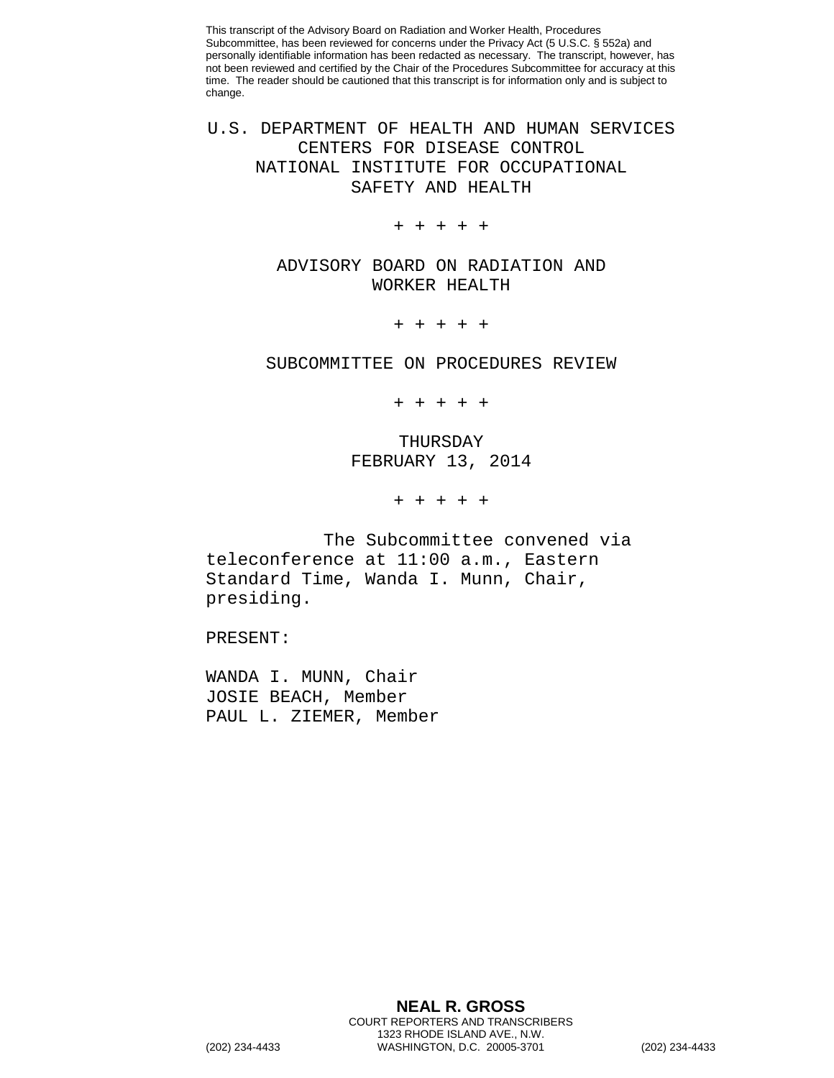This transcript of the Advisory Board on Radiation and Worker Health, Procedures Subcommittee, has been reviewed for concerns under the Privacy Act (5 U.S.C. § 552a) and personally identifiable information has been redacted as necessary. The transcript, however, has not been reviewed and certified by the Chair of the Procedures Subcommittee for accuracy at this time. The reader should be cautioned that this transcript is for information only and is subject to change.

U.S. DEPARTMENT OF HEALTH AND HUMAN SERVICES CENTERS FOR DISEASE CONTROL NATIONAL INSTITUTE FOR OCCUPATIONAL SAFETY AND HEALTH

+ + + + +

ADVISORY BOARD ON RADIATION AND WORKER HEALTH

+ + + + +

SUBCOMMITTEE ON PROCEDURES REVIEW

+ + + + +

THURSDAY FEBRUARY 13, 2014

+ + + + +

The Subcommittee convened via teleconference at 11:00 a.m., Eastern Standard Time, Wanda I. Munn, Chair, presiding.

PRESENT:

WANDA I. MUNN, Chair JOSIE BEACH, Member PAUL L. ZIEMER, Member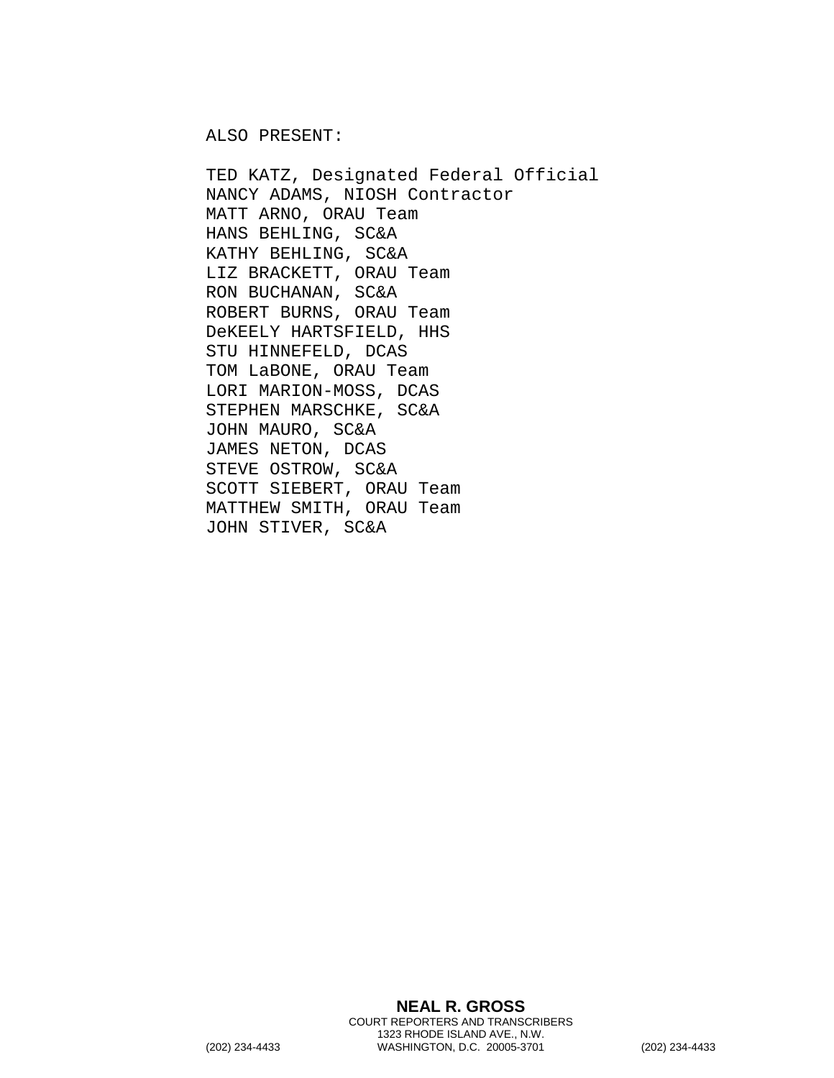ALSO PRESENT:

TED KATZ, Designated Federal Official NANCY ADAMS, NIOSH Contractor MATT ARNO, ORAU Team HANS BEHLING, SC&A KATHY BEHLING, SC&A LIZ BRACKETT, ORAU Team RON BUCHANAN, SC&A ROBERT BURNS, ORAU Team DeKEELY HARTSFIELD, HHS STU HINNEFELD, DCAS TOM LaBONE, ORAU Team LORI MARION-MOSS, DCAS STEPHEN MARSCHKE, SC&A JOHN MAURO, SC&A JAMES NETON, DCAS STEVE OSTROW, SC&A SCOTT SIEBERT, ORAU Team MATTHEW SMITH, ORAU Team JOHN STIVER, SC&A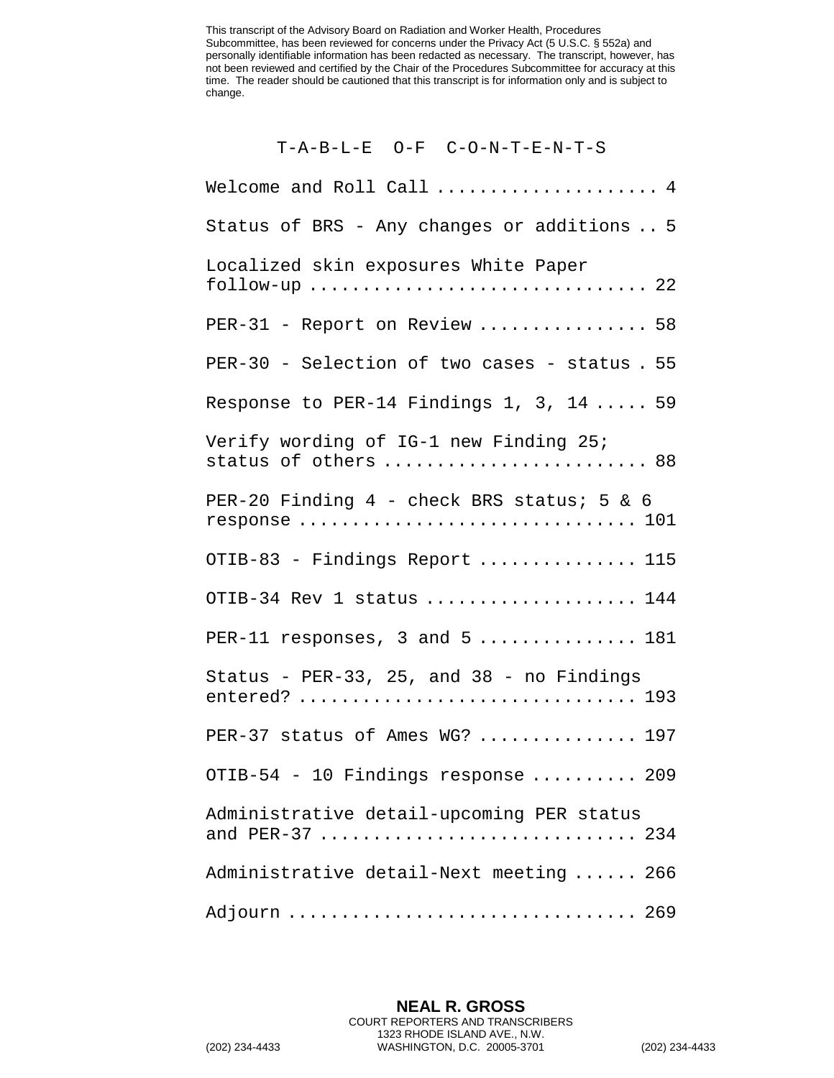This transcript of the Advisory Board on Radiation and Worker Health, Procedures Subcommittee, has been reviewed for concerns under the Privacy Act (5 U.S.C. § 552a) and personally identifiable information has been redacted as necessary. The transcript, however, has not been reviewed and certified by the Chair of the Procedures Subcommittee for accuracy at this time. The reader should be cautioned that this transcript is for information only and is subject to change.

T-A-B-L-E O-F C-O-N-T-E-N-T-S

Welcome and Roll Call ..................... 4 Status of BRS - Any changes or additions .. 5 Localized skin exposures White Paper  $f\text{allow-up}\dots\dots\dots\dots\dots\dots\dots\dots\dots\dots\ 22$ PER-31 - Report on Review ................. 58 PER-30 - Selection of two cases - status . 55 Response to PER-14 Findings 1, 3, 14 ..... 59 Verify wording of IG-1 new Finding 25; status of others ........................... 88 PER-20 Finding 4 - check BRS status; 5 & 6 response ................................ 101 OTIB-83 - Findings Report ............... 115 OTIB-34 Rev 1 status ..................... 144 PER-11 responses,  $3$  and  $5$  ................. 181 Status - PER-33, 25, and 38 - no Findings entered? ................................ 193 PER-37 status of Ames WG? ............... 197 OTIB-54 - 10 Findings response .......... 209 Administrative detail-upcoming PER status and PER-37 ................................. 234 Administrative detail-Next meeting ...... 266 Adjourn ................................. 269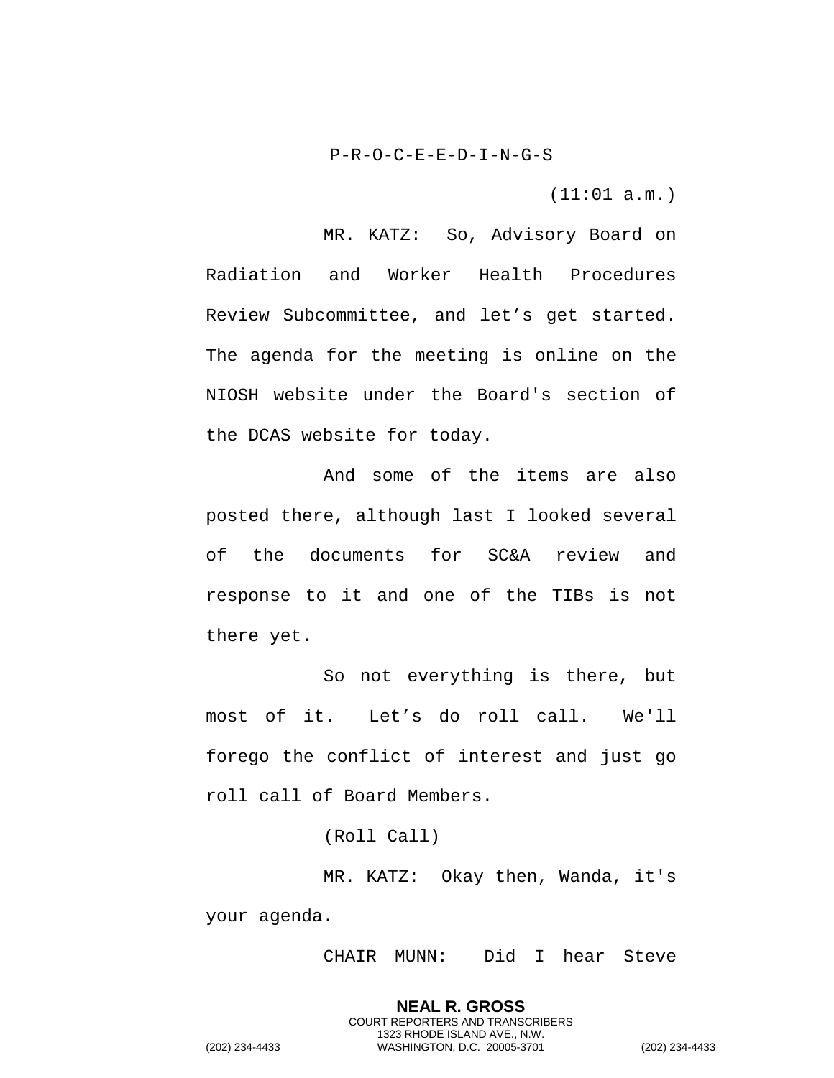P-R-O-C-E-E-D-I-N-G-S

(11:01 a.m.)

MR. KATZ: So, Advisory Board on Radiation and Worker Health Procedures Review Subcommittee, and let's get started. The agenda for the meeting is online on the NIOSH website under the Board's section of the DCAS website for today.

And some of the items are also posted there, although last I looked several of the documents for SC&A review and response to it and one of the TIBs is not there yet.

So not everything is there, but most of it. Let's do roll call. We'll forego the conflict of interest and just go roll call of Board Members.

(Roll Call)

MR. KATZ: Okay then, Wanda, it's your agenda.

CHAIR MUNN: Did I hear Steve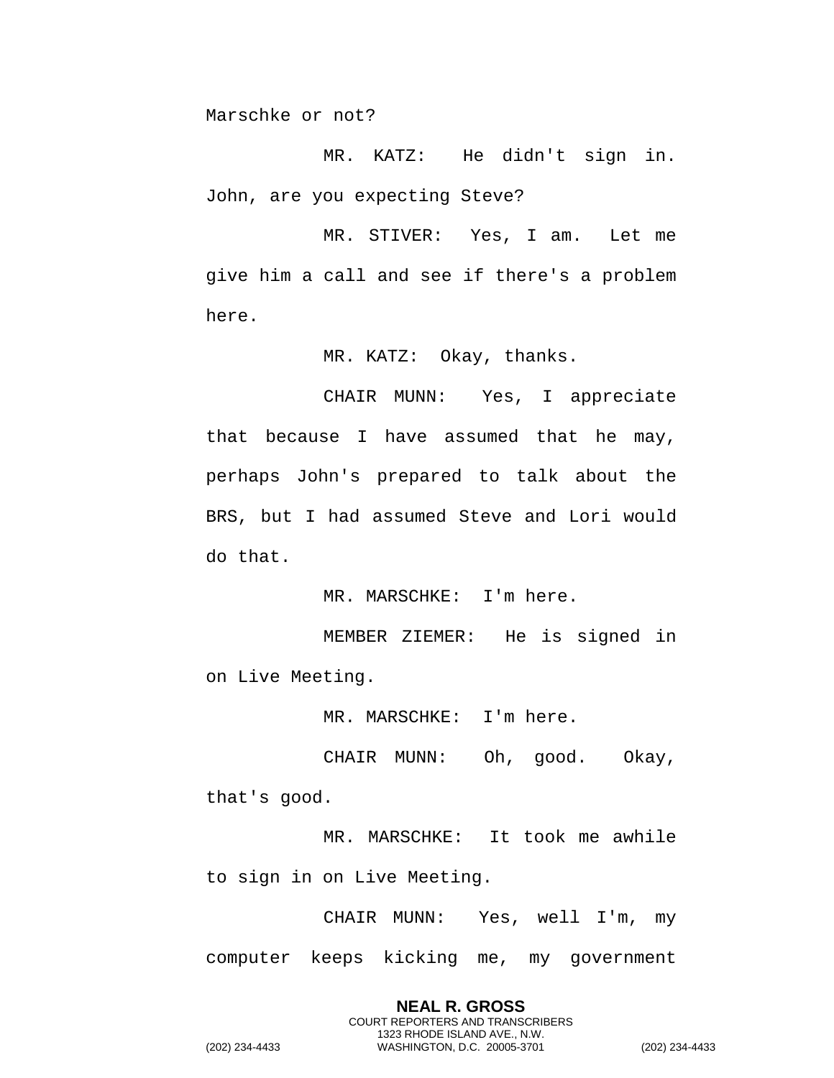Marschke or not?

MR. KATZ: He didn't sign in. John, are you expecting Steve?

MR. STIVER: Yes, I am. Let me give him a call and see if there's a problem here.

MR. KATZ: Okay, thanks.

CHAIR MUNN: Yes, I appreciate that because I have assumed that he may, perhaps John's prepared to talk about the BRS, but I had assumed Steve and Lori would do that.

MR. MARSCHKE: I'm here.

MEMBER ZIEMER: He is signed in on Live Meeting.

MR. MARSCHKE: I'm here.

CHAIR MUNN: Oh, good. Okay, that's good.

MR. MARSCHKE: It took me awhile to sign in on Live Meeting.

CHAIR MUNN: Yes, well I'm, my computer keeps kicking me, my government

> **NEAL R. GROSS** COURT REPORTERS AND TRANSCRIBERS 1323 RHODE ISLAND AVE., N.W.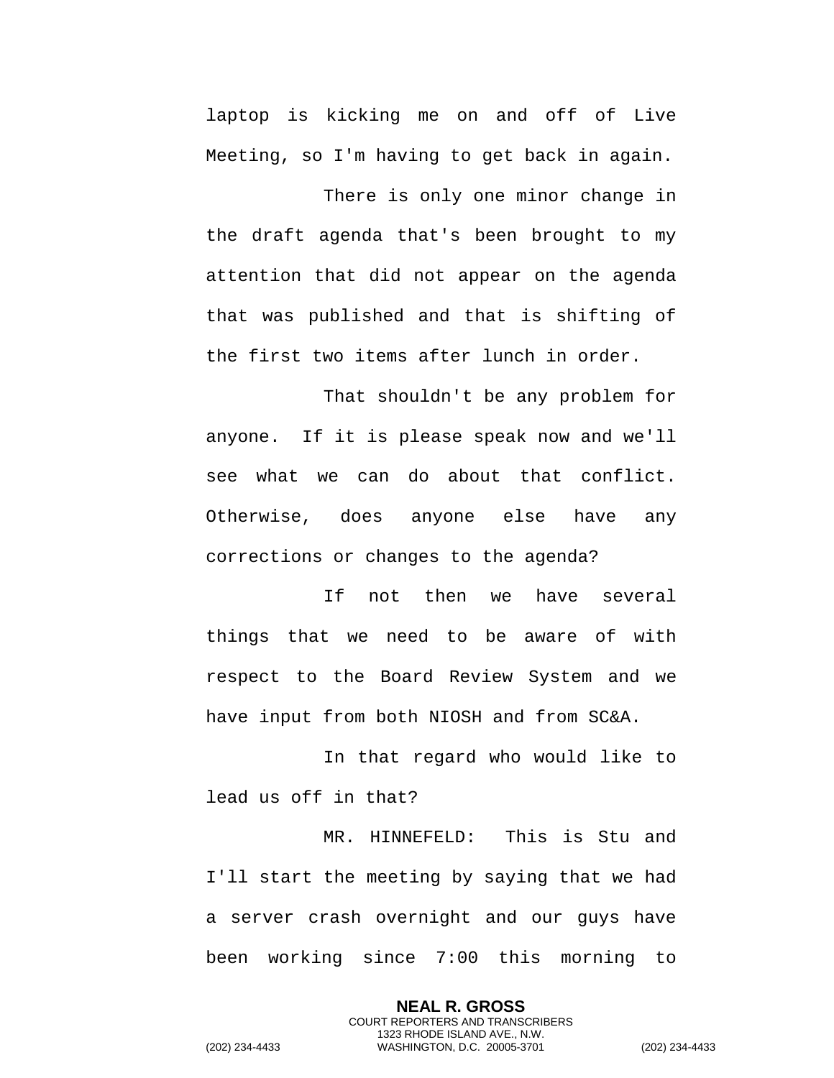laptop is kicking me on and off of Live Meeting, so I'm having to get back in again.

There is only one minor change in the draft agenda that's been brought to my attention that did not appear on the agenda that was published and that is shifting of the first two items after lunch in order.

That shouldn't be any problem for anyone. If it is please speak now and we'll see what we can do about that conflict. Otherwise, does anyone else have any corrections or changes to the agenda?

If not then we have several things that we need to be aware of with respect to the Board Review System and we have input from both NIOSH and from SC&A.

In that regard who would like to lead us off in that?

MR. HINNEFELD: This is Stu and I'll start the meeting by saying that we had a server crash overnight and our guys have been working since 7:00 this morning to

> **NEAL R. GROSS** COURT REPORTERS AND TRANSCRIBERS 1323 RHODE ISLAND AVE., N.W.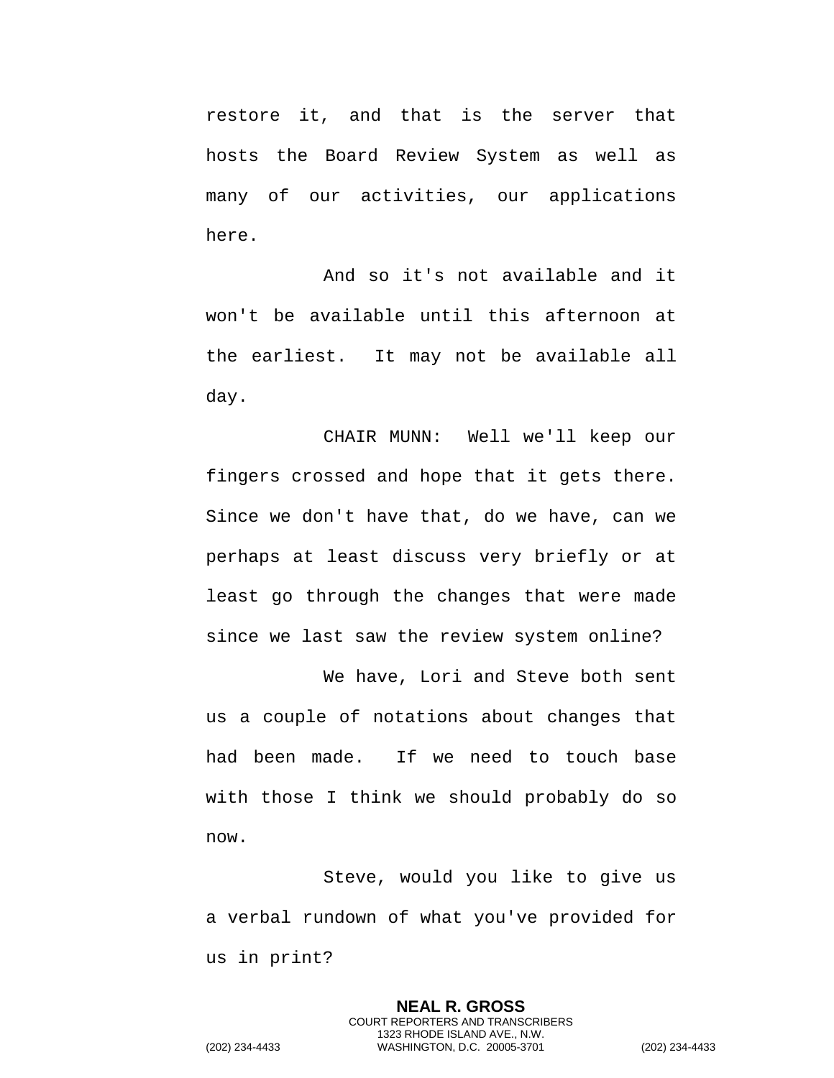restore it, and that is the server that hosts the Board Review System as well as many of our activities, our applications here.

And so it's not available and it won't be available until this afternoon at the earliest. It may not be available all day.

CHAIR MUNN: Well we'll keep our fingers crossed and hope that it gets there. Since we don't have that, do we have, can we perhaps at least discuss very briefly or at least go through the changes that were made since we last saw the review system online?

We have, Lori and Steve both sent us a couple of notations about changes that had been made. If we need to touch base with those I think we should probably do so now.

Steve, would you like to give us a verbal rundown of what you've provided for us in print?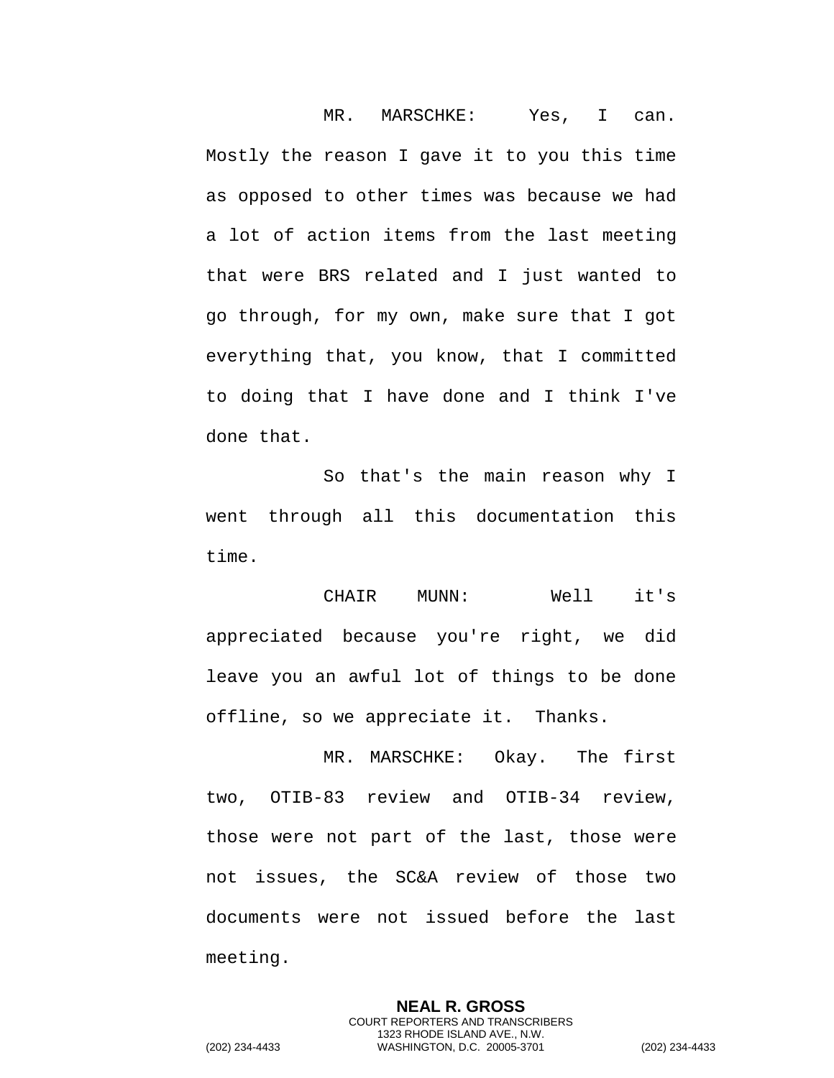MR. MARSCHKE: Yes, I can. Mostly the reason I gave it to you this time as opposed to other times was because we had a lot of action items from the last meeting that were BRS related and I just wanted to go through, for my own, make sure that I got everything that, you know, that I committed to doing that I have done and I think I've done that.

So that's the main reason why I went through all this documentation this time.

CHAIR MUNN: Well it's appreciated because you're right, we did leave you an awful lot of things to be done offline, so we appreciate it. Thanks.

MR. MARSCHKE: Okay. The first two, OTIB-83 review and OTIB-34 review, those were not part of the last, those were not issues, the SC&A review of those two documents were not issued before the last meeting.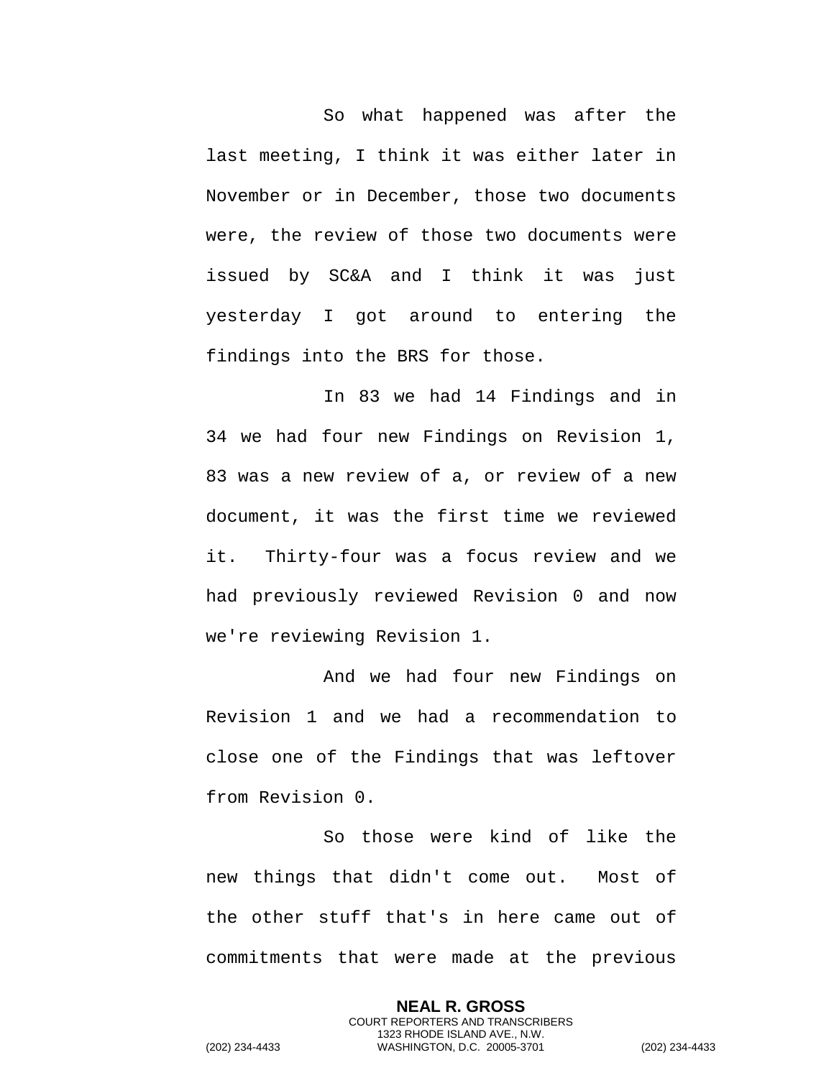So what happened was after the last meeting, I think it was either later in November or in December, those two documents were, the review of those two documents were issued by SC&A and I think it was just yesterday I got around to entering the findings into the BRS for those.

In 83 we had 14 Findings and in 34 we had four new Findings on Revision 1, 83 was a new review of a, or review of a new document, it was the first time we reviewed it. Thirty-four was a focus review and we had previously reviewed Revision 0 and now we're reviewing Revision 1.

And we had four new Findings on Revision 1 and we had a recommendation to close one of the Findings that was leftover from Revision 0.

So those were kind of like the new things that didn't come out. Most of the other stuff that's in here came out of commitments that were made at the previous

> **NEAL R. GROSS** COURT REPORTERS AND TRANSCRIBERS 1323 RHODE ISLAND AVE., N.W.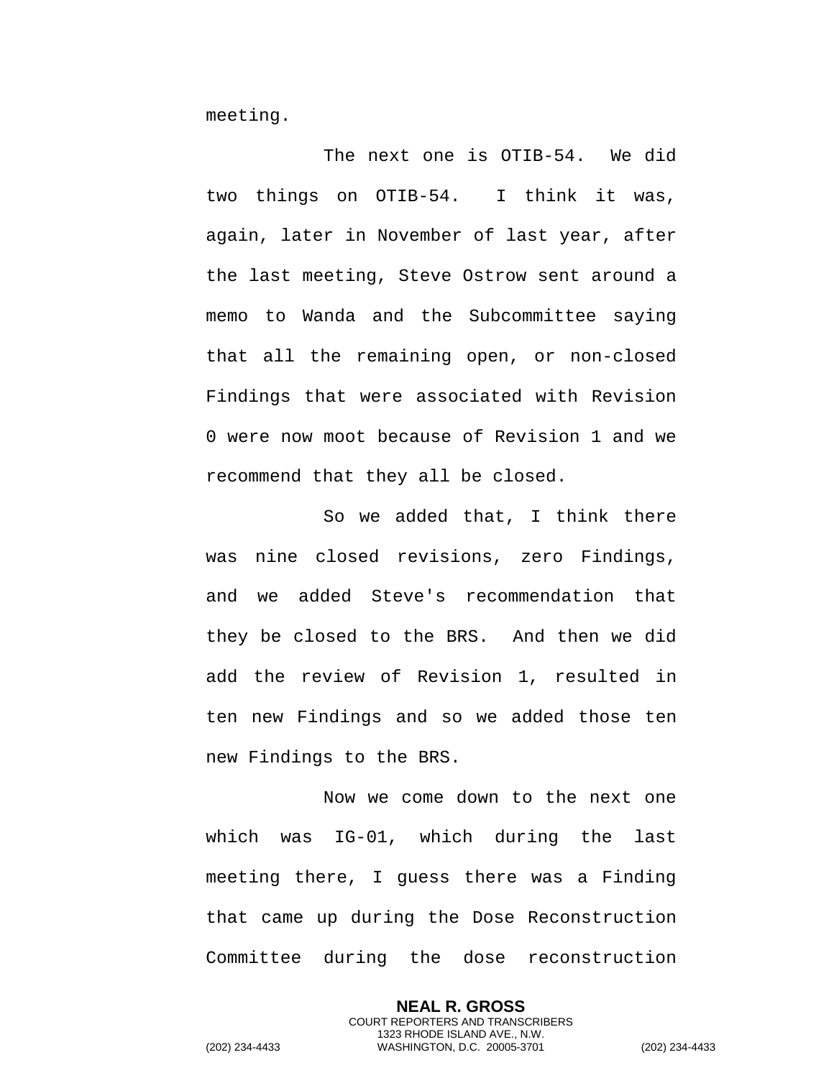meeting.

The next one is OTIB-54. We did two things on OTIB-54. I think it was, again, later in November of last year, after the last meeting, Steve Ostrow sent around a memo to Wanda and the Subcommittee saying that all the remaining open, or non-closed Findings that were associated with Revision 0 were now moot because of Revision 1 and we recommend that they all be closed.

So we added that, I think there was nine closed revisions, zero Findings, and we added Steve's recommendation that they be closed to the BRS. And then we did add the review of Revision 1, resulted in ten new Findings and so we added those ten new Findings to the BRS.

Now we come down to the next one which was IG-01, which during the last meeting there, I guess there was a Finding that came up during the Dose Reconstruction Committee during the dose reconstruction

> **NEAL R. GROSS** COURT REPORTERS AND TRANSCRIBERS 1323 RHODE ISLAND AVE., N.W.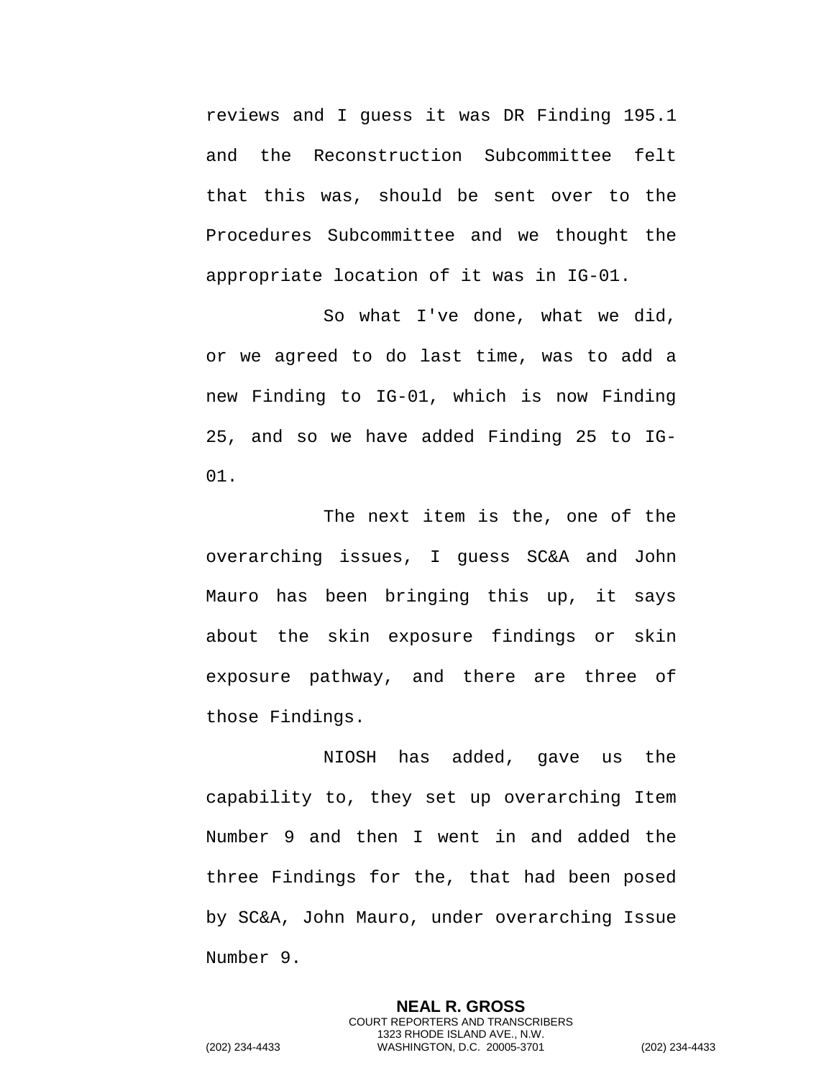reviews and I guess it was DR Finding 195.1 and the Reconstruction Subcommittee felt that this was, should be sent over to the Procedures Subcommittee and we thought the appropriate location of it was in IG-01.

So what I've done, what we did, or we agreed to do last time, was to add a new Finding to IG-01, which is now Finding 25, and so we have added Finding 25 to IG-01.

The next item is the, one of the overarching issues, I guess SC&A and John Mauro has been bringing this up, it says about the skin exposure findings or skin exposure pathway, and there are three of those Findings.

NIOSH has added, gave us the capability to, they set up overarching Item Number 9 and then I went in and added the three Findings for the, that had been posed by SC&A, John Mauro, under overarching Issue Number 9.

> **NEAL R. GROSS** COURT REPORTERS AND TRANSCRIBERS 1323 RHODE ISLAND AVE., N.W.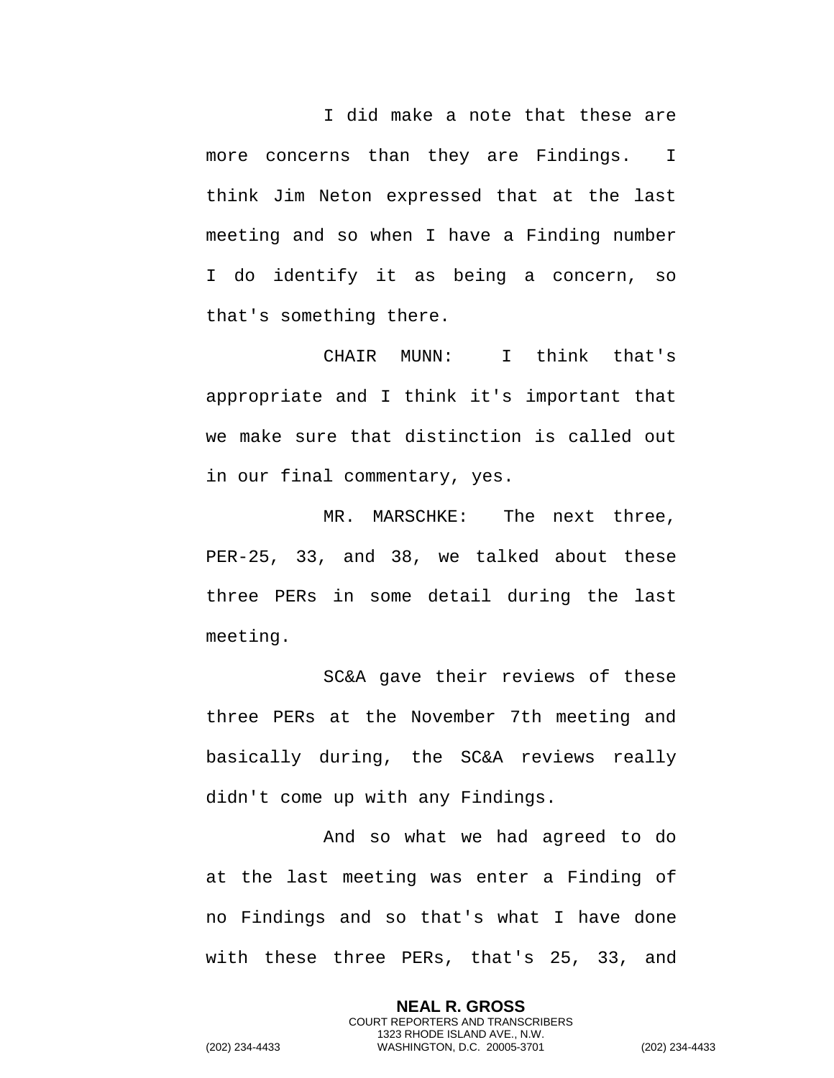I did make a note that these are more concerns than they are Findings. I think Jim Neton expressed that at the last meeting and so when I have a Finding number I do identify it as being a concern, so that's something there.

CHAIR MUNN: I think that's appropriate and I think it's important that we make sure that distinction is called out in our final commentary, yes.

MR. MARSCHKE: The next three, PER-25, 33, and 38, we talked about these three PERs in some detail during the last meeting.

SC&A gave their reviews of these three PERs at the November 7th meeting and basically during, the SC&A reviews really didn't come up with any Findings.

And so what we had agreed to do at the last meeting was enter a Finding of no Findings and so that's what I have done with these three PERs, that's 25, 33, and

> **NEAL R. GROSS** COURT REPORTERS AND TRANSCRIBERS 1323 RHODE ISLAND AVE., N.W.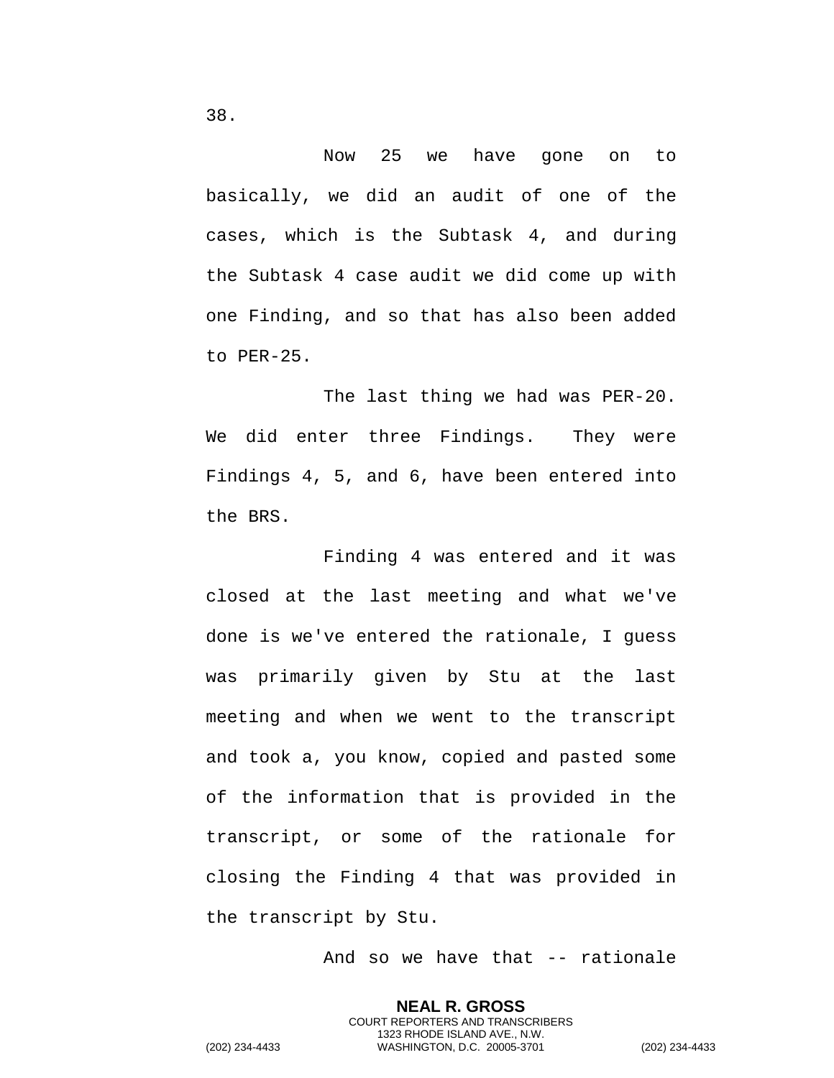Now 25 we have gone on to

basically, we did an audit of one of the cases, which is the Subtask 4, and during the Subtask 4 case audit we did come up with one Finding, and so that has also been added to PER-25.

The last thing we had was PER-20. We did enter three Findings. They were Findings 4, 5, and 6, have been entered into the BRS.

Finding 4 was entered and it was closed at the last meeting and what we've done is we've entered the rationale, I guess was primarily given by Stu at the last meeting and when we went to the transcript and took a, you know, copied and pasted some of the information that is provided in the transcript, or some of the rationale for closing the Finding 4 that was provided in the transcript by Stu.

And so we have that -- rationale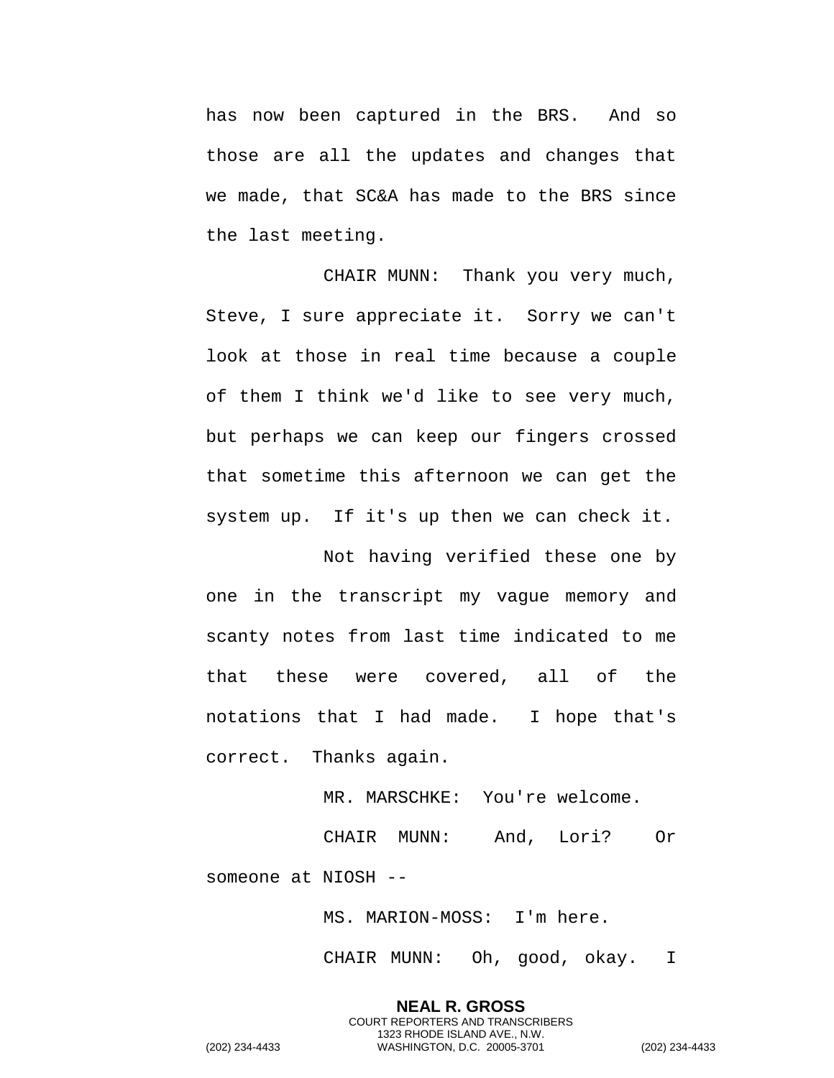has now been captured in the BRS. And so those are all the updates and changes that we made, that SC&A has made to the BRS since the last meeting.

CHAIR MUNN: Thank you very much, Steve, I sure appreciate it. Sorry we can't look at those in real time because a couple of them I think we'd like to see very much, but perhaps we can keep our fingers crossed that sometime this afternoon we can get the system up. If it's up then we can check it.

Not having verified these one by one in the transcript my vague memory and scanty notes from last time indicated to me that these were covered, all of the notations that I had made. I hope that's correct. Thanks again.

MR. MARSCHKE: You're welcome.

CHAIR MUNN: And, Lori? Or someone at NIOSH --

MS. MARION-MOSS: I'm here.

CHAIR MUNN: Oh, good, okay. I

**NEAL R. GROSS** COURT REPORTERS AND TRANSCRIBERS 1323 RHODE ISLAND AVE., N.W. (202) 234-4433 WASHINGTON, D.C. 20005-3701 (202) 234-4433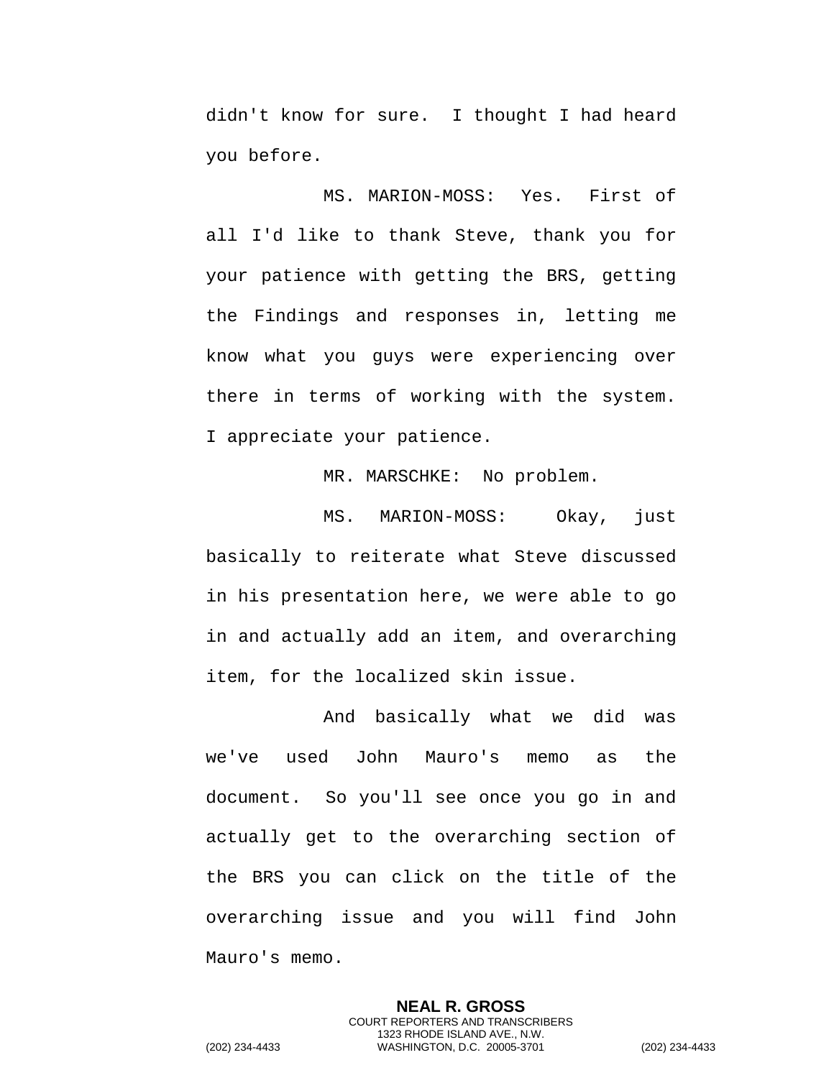didn't know for sure. I thought I had heard you before.

MS. MARION-MOSS: Yes. First of all I'd like to thank Steve, thank you for your patience with getting the BRS, getting the Findings and responses in, letting me know what you guys were experiencing over there in terms of working with the system. I appreciate your patience.

MR. MARSCHKE: No problem.

MS. MARION-MOSS: Okay, just basically to reiterate what Steve discussed in his presentation here, we were able to go in and actually add an item, and overarching item, for the localized skin issue.

And basically what we did was we've used John Mauro's memo as the document. So you'll see once you go in and actually get to the overarching section of the BRS you can click on the title of the overarching issue and you will find John Mauro's memo.

**NEAL R. GROSS** COURT REPORTERS AND TRANSCRIBERS 1323 RHODE ISLAND AVE., N.W. (202) 234-4433 WASHINGTON, D.C. 20005-3701 (202) 234-4433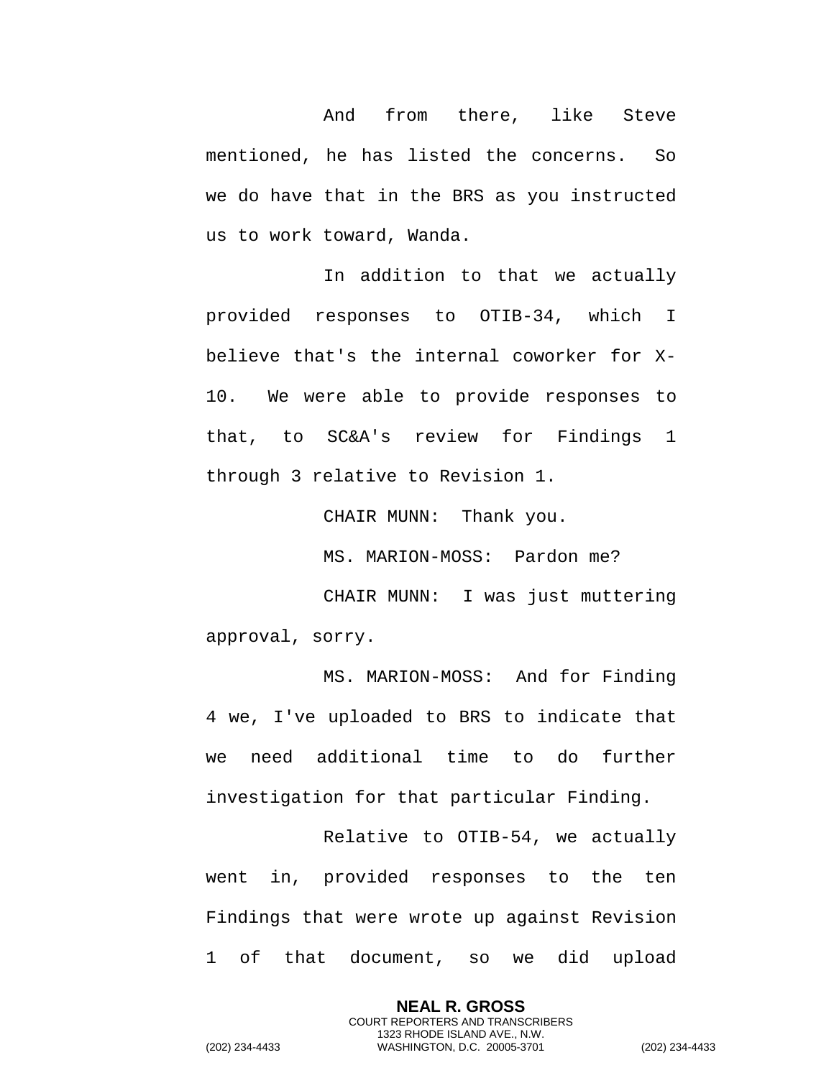And from there, like Steve mentioned, he has listed the concerns. So we do have that in the BRS as you instructed us to work toward, Wanda.

In addition to that we actually provided responses to OTIB-34, which I believe that's the internal coworker for X-10. We were able to provide responses to that, to SC&A's review for Findings 1 through 3 relative to Revision 1.

CHAIR MUNN: Thank you.

MS. MARION-MOSS: Pardon me?

CHAIR MUNN: I was just muttering approval, sorry.

MS. MARION-MOSS: And for Finding 4 we, I've uploaded to BRS to indicate that we need additional time to do further investigation for that particular Finding.

Relative to OTIB-54, we actually went in, provided responses to the ten Findings that were wrote up against Revision 1 of that document, so we did upload

> **NEAL R. GROSS** COURT REPORTERS AND TRANSCRIBERS 1323 RHODE ISLAND AVE., N.W.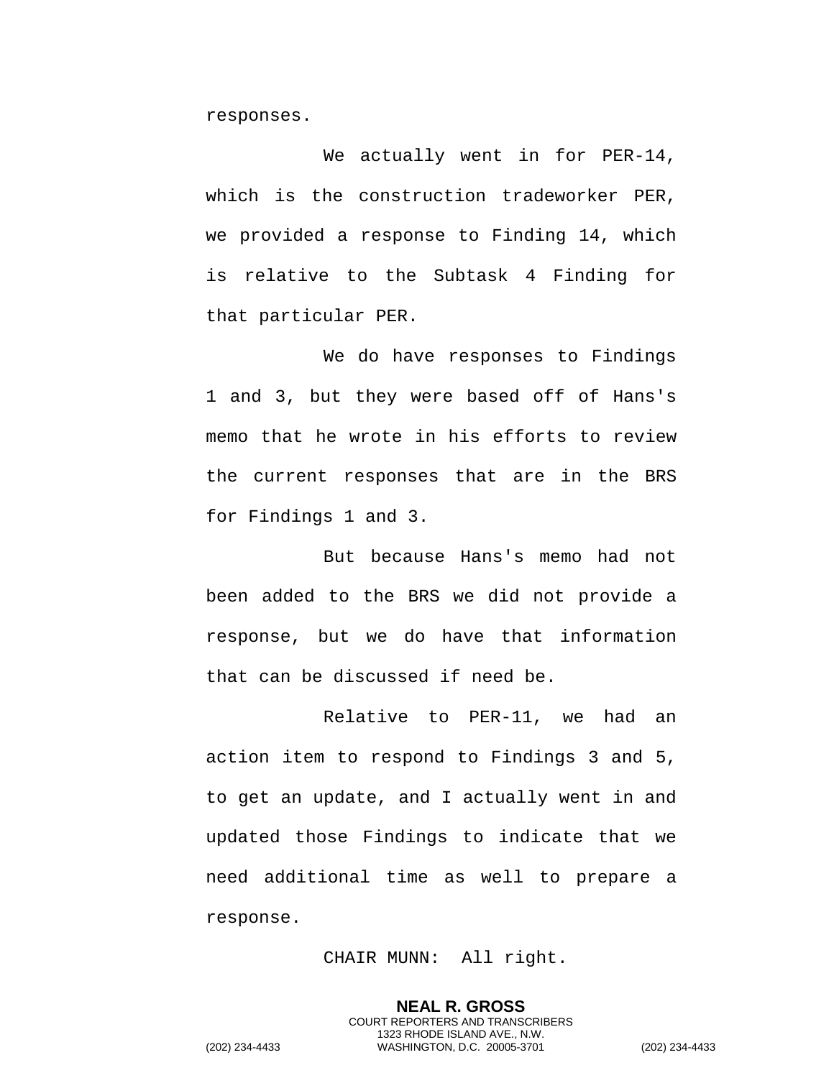responses.

We actually went in for PER-14, which is the construction tradeworker PER, we provided a response to Finding 14, which is relative to the Subtask 4 Finding for that particular PER.

We do have responses to Findings 1 and 3, but they were based off of Hans's memo that he wrote in his efforts to review the current responses that are in the BRS for Findings 1 and 3.

But because Hans's memo had not been added to the BRS we did not provide a response, but we do have that information that can be discussed if need be.

Relative to PER-11, we had an action item to respond to Findings 3 and 5, to get an update, and I actually went in and updated those Findings to indicate that we need additional time as well to prepare a response.

CHAIR MUNN: All right.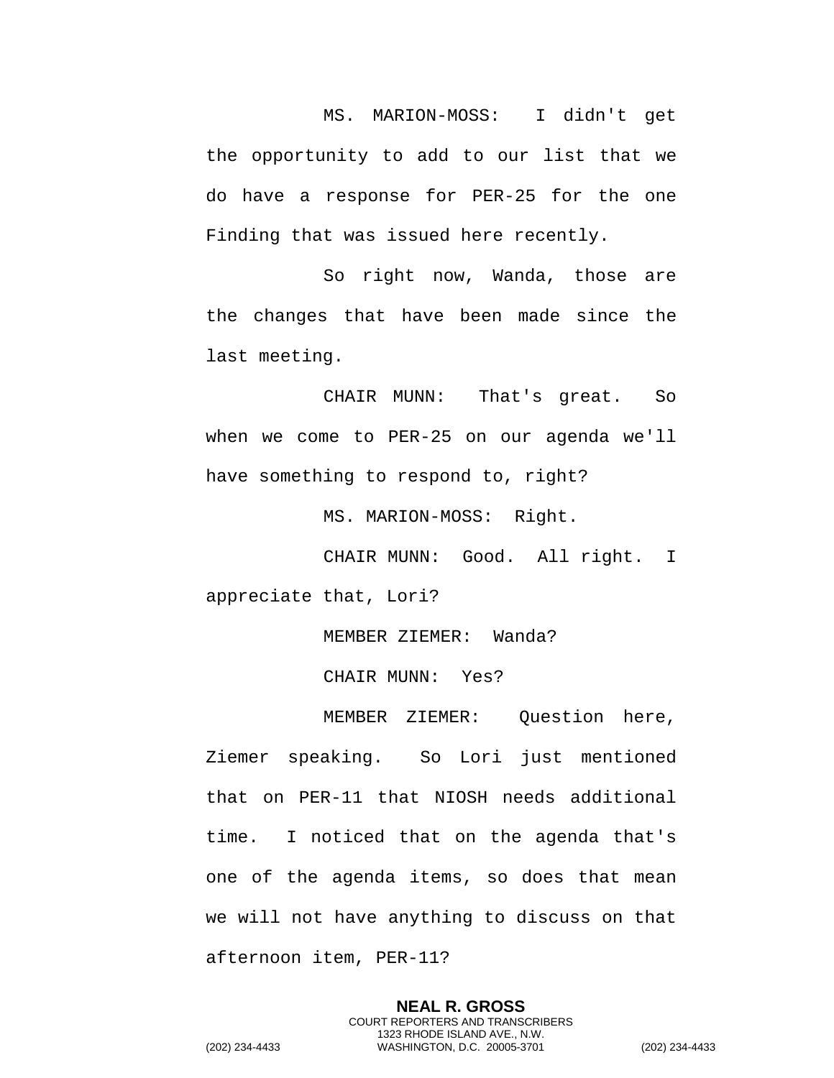MS. MARION-MOSS: I didn't get the opportunity to add to our list that we do have a response for PER-25 for the one Finding that was issued here recently.

So right now, Wanda, those are the changes that have been made since the last meeting.

CHAIR MUNN: That's great. So when we come to PER-25 on our agenda we'll have something to respond to, right?

MS. MARION-MOSS: Right.

CHAIR MUNN: Good. All right. I appreciate that, Lori?

MEMBER ZIEMER: Wanda?

CHAIR MUNN: Yes?

MEMBER ZIEMER: Question here, Ziemer speaking. So Lori just mentioned that on PER-11 that NIOSH needs additional time. I noticed that on the agenda that's one of the agenda items, so does that mean we will not have anything to discuss on that afternoon item, PER-11?

> **NEAL R. GROSS** COURT REPORTERS AND TRANSCRIBERS 1323 RHODE ISLAND AVE., N.W.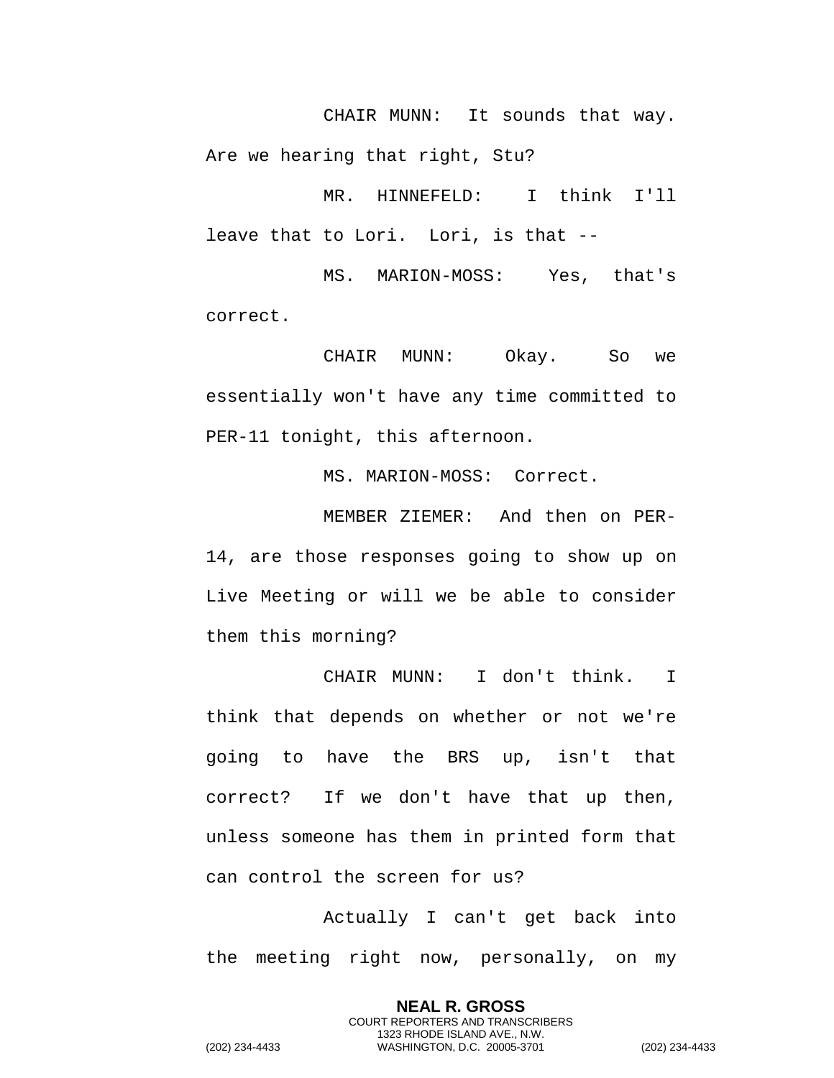CHAIR MUNN: It sounds that way. Are we hearing that right, Stu?

MR. HINNEFELD: I think I'll leave that to Lori. Lori, is that --

MS. MARION-MOSS: Yes, that's correct.

CHAIR MUNN: Okay. So we essentially won't have any time committed to PER-11 tonight, this afternoon.

MS. MARION-MOSS: Correct.

MEMBER ZIEMER: And then on PER-14, are those responses going to show up on Live Meeting or will we be able to consider them this morning?

CHAIR MUNN: I don't think. I think that depends on whether or not we're going to have the BRS up, isn't that correct? If we don't have that up then, unless someone has them in printed form that can control the screen for us?

Actually I can't get back into the meeting right now, personally, on my

> **NEAL R. GROSS** COURT REPORTERS AND TRANSCRIBERS 1323 RHODE ISLAND AVE., N.W.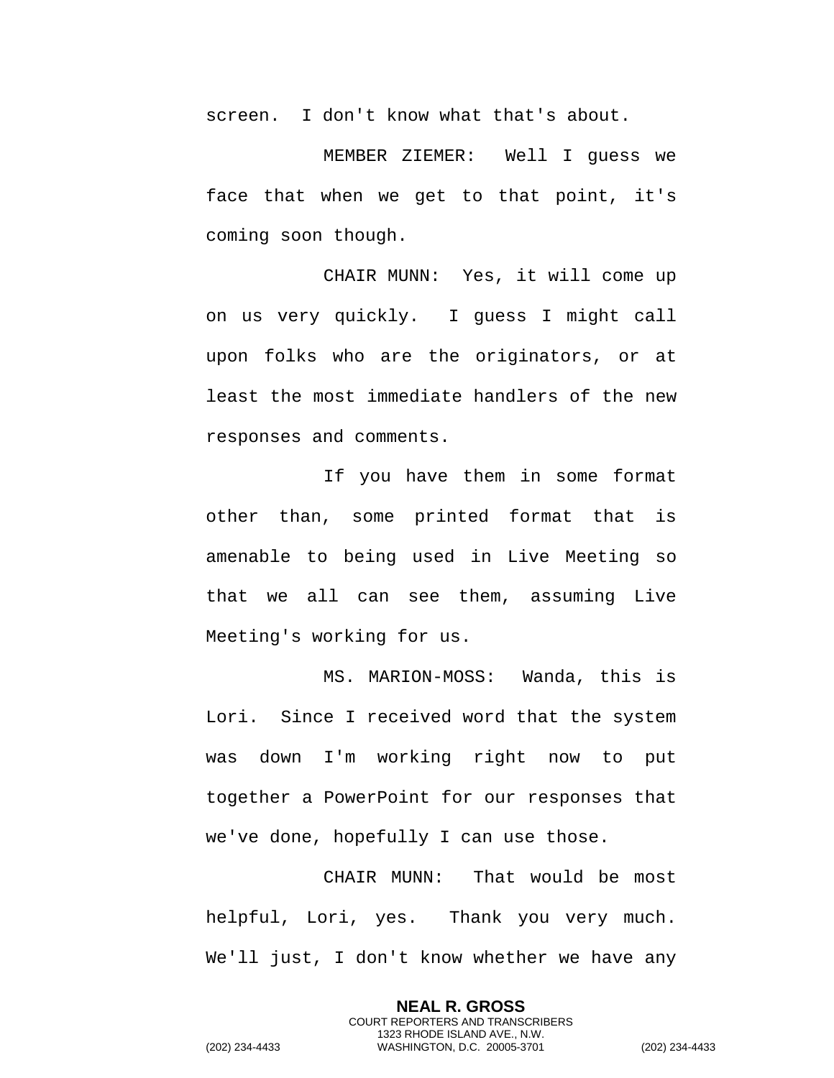screen. I don't know what that's about.

MEMBER ZIEMER: Well I guess we face that when we get to that point, it's coming soon though.

CHAIR MUNN: Yes, it will come up on us very quickly. I guess I might call upon folks who are the originators, or at least the most immediate handlers of the new responses and comments.

If you have them in some format other than, some printed format that is amenable to being used in Live Meeting so that we all can see them, assuming Live Meeting's working for us.

MS. MARION-MOSS: Wanda, this is Lori. Since I received word that the system was down I'm working right now to put together a PowerPoint for our responses that we've done, hopefully I can use those.

CHAIR MUNN: That would be most helpful, Lori, yes. Thank you very much. We'll just, I don't know whether we have any

> **NEAL R. GROSS** COURT REPORTERS AND TRANSCRIBERS 1323 RHODE ISLAND AVE., N.W.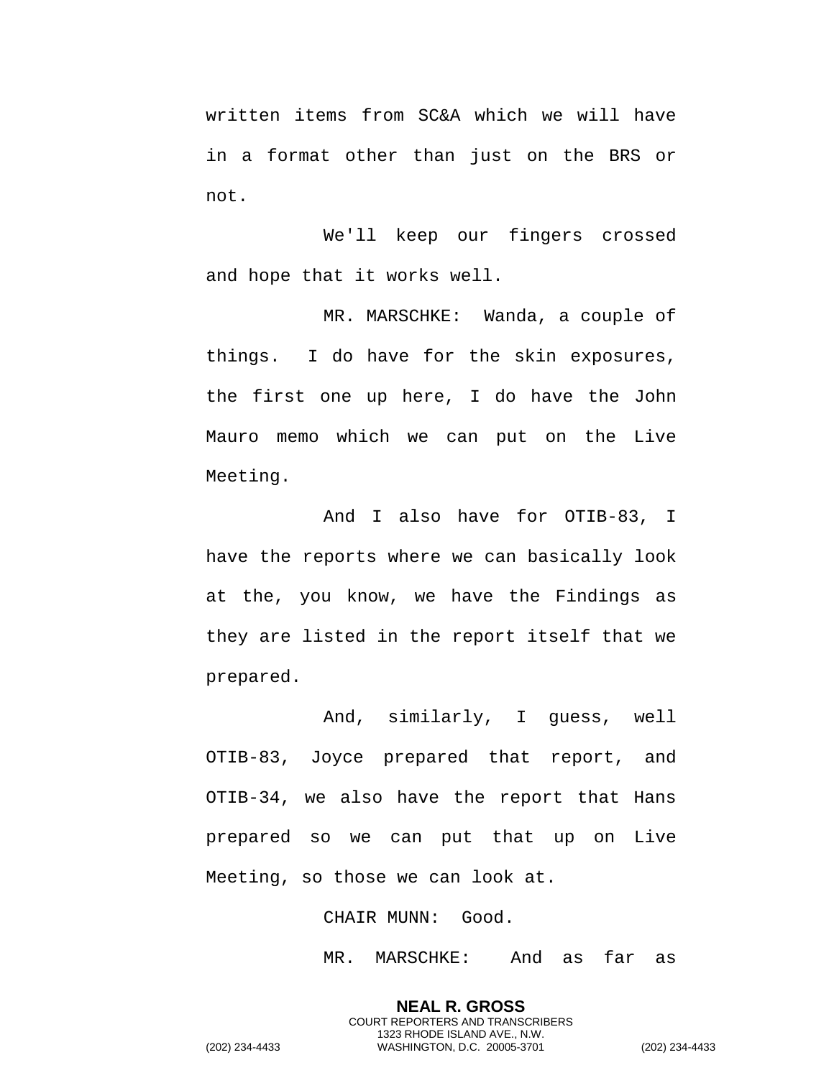written items from SC&A which we will have in a format other than just on the BRS or not.

We'll keep our fingers crossed and hope that it works well.

MR. MARSCHKE: Wanda, a couple of things. I do have for the skin exposures, the first one up here, I do have the John Mauro memo which we can put on the Live Meeting.

And I also have for OTIB-83, I have the reports where we can basically look at the, you know, we have the Findings as they are listed in the report itself that we prepared.

And, similarly, I guess, well OTIB-83, Joyce prepared that report, and OTIB-34, we also have the report that Hans prepared so we can put that up on Live Meeting, so those we can look at.

CHAIR MUNN: Good.

MR. MARSCHKE: And as far as

**NEAL R. GROSS** COURT REPORTERS AND TRANSCRIBERS 1323 RHODE ISLAND AVE., N.W.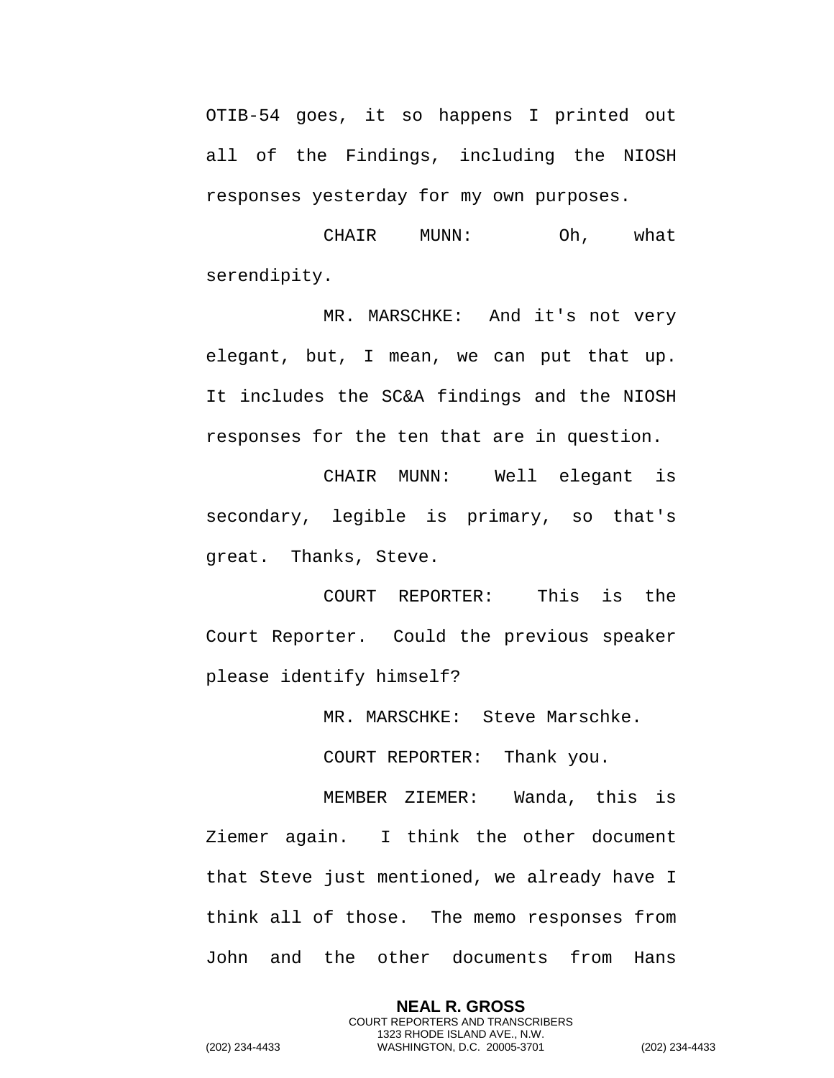OTIB-54 goes, it so happens I printed out all of the Findings, including the NIOSH responses yesterday for my own purposes.

CHAIR MUNN: Oh, what serendipity.

MR. MARSCHKE: And it's not very elegant, but, I mean, we can put that up. It includes the SC&A findings and the NIOSH responses for the ten that are in question.

CHAIR MUNN: Well elegant is secondary, legible is primary, so that's great. Thanks, Steve.

COURT REPORTER: This is the Court Reporter. Could the previous speaker please identify himself?

MR. MARSCHKE: Steve Marschke.

COURT REPORTER: Thank you.

MEMBER ZIEMER: Wanda, this is Ziemer again. I think the other document that Steve just mentioned, we already have I think all of those. The memo responses from John and the other documents from Hans

> **NEAL R. GROSS** COURT REPORTERS AND TRANSCRIBERS 1323 RHODE ISLAND AVE., N.W.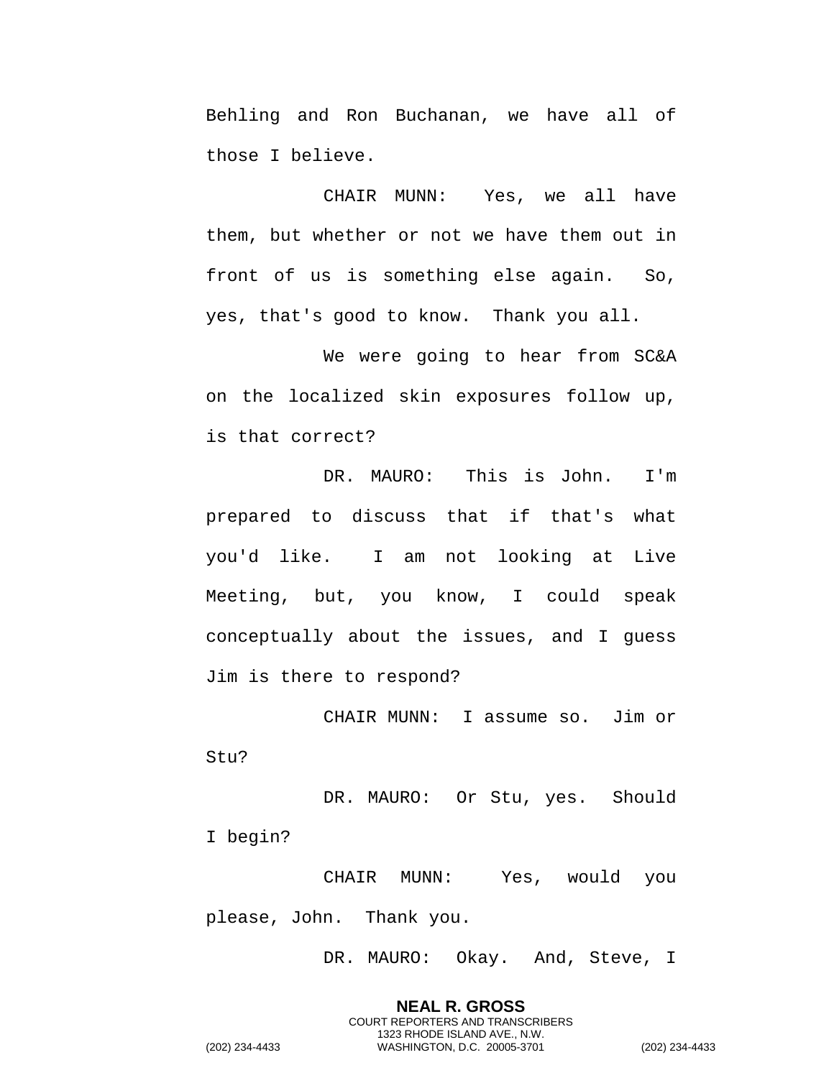Behling and Ron Buchanan, we have all of those I believe.

CHAIR MUNN: Yes, we all have them, but whether or not we have them out in front of us is something else again. So, yes, that's good to know. Thank you all.

We were going to hear from SC&A on the localized skin exposures follow up, is that correct?

DR. MAURO: This is John. I'm prepared to discuss that if that's what you'd like. I am not looking at Live Meeting, but, you know, I could speak conceptually about the issues, and I guess Jim is there to respond?

CHAIR MUNN: I assume so. Jim or Stu?

DR. MAURO: Or Stu, yes. Should I begin?

CHAIR MUNN: Yes, would you please, John. Thank you.

DR. MAURO: Okay. And, Steve, I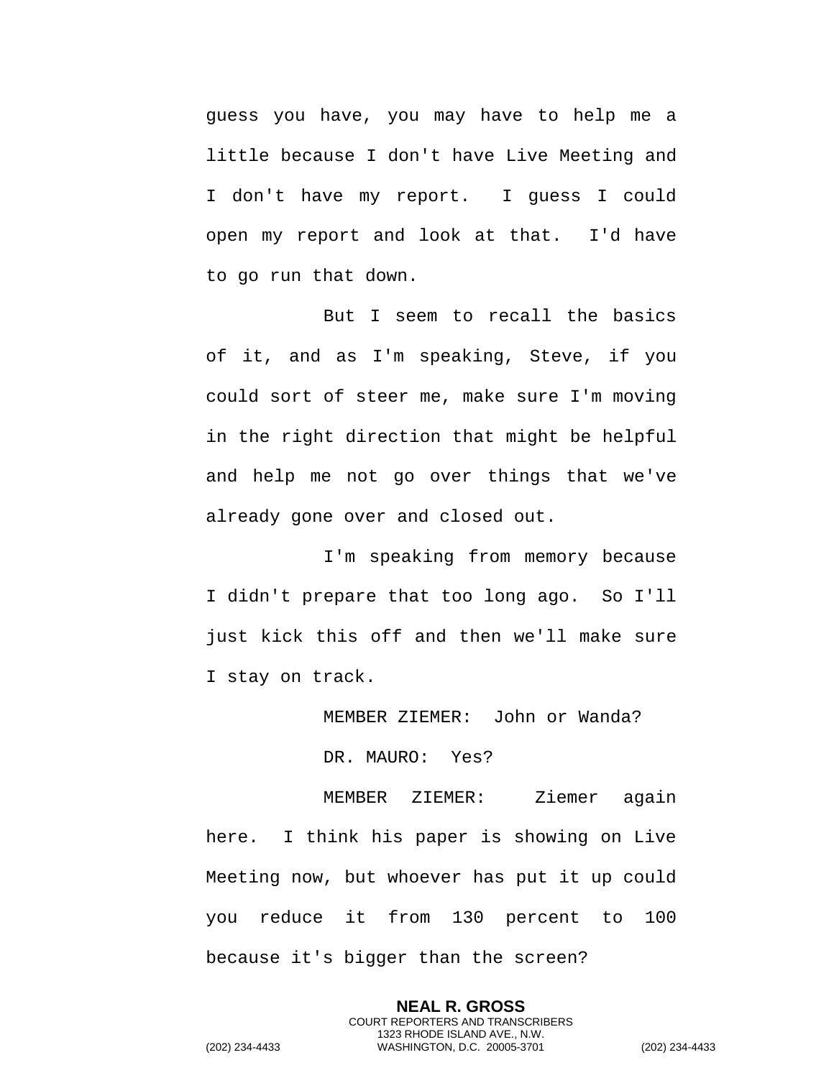guess you have, you may have to help me a little because I don't have Live Meeting and I don't have my report. I guess I could open my report and look at that. I'd have to go run that down.

But I seem to recall the basics of it, and as I'm speaking, Steve, if you could sort of steer me, make sure I'm moving in the right direction that might be helpful and help me not go over things that we've already gone over and closed out.

I'm speaking from memory because I didn't prepare that too long ago. So I'll just kick this off and then we'll make sure I stay on track.

MEMBER ZIEMER: John or Wanda?

DR. MAURO: Yes?

MEMBER ZIEMER: Ziemer again here. I think his paper is showing on Live Meeting now, but whoever has put it up could you reduce it from 130 percent to 100 because it's bigger than the screen?

> **NEAL R. GROSS** COURT REPORTERS AND TRANSCRIBERS 1323 RHODE ISLAND AVE., N.W.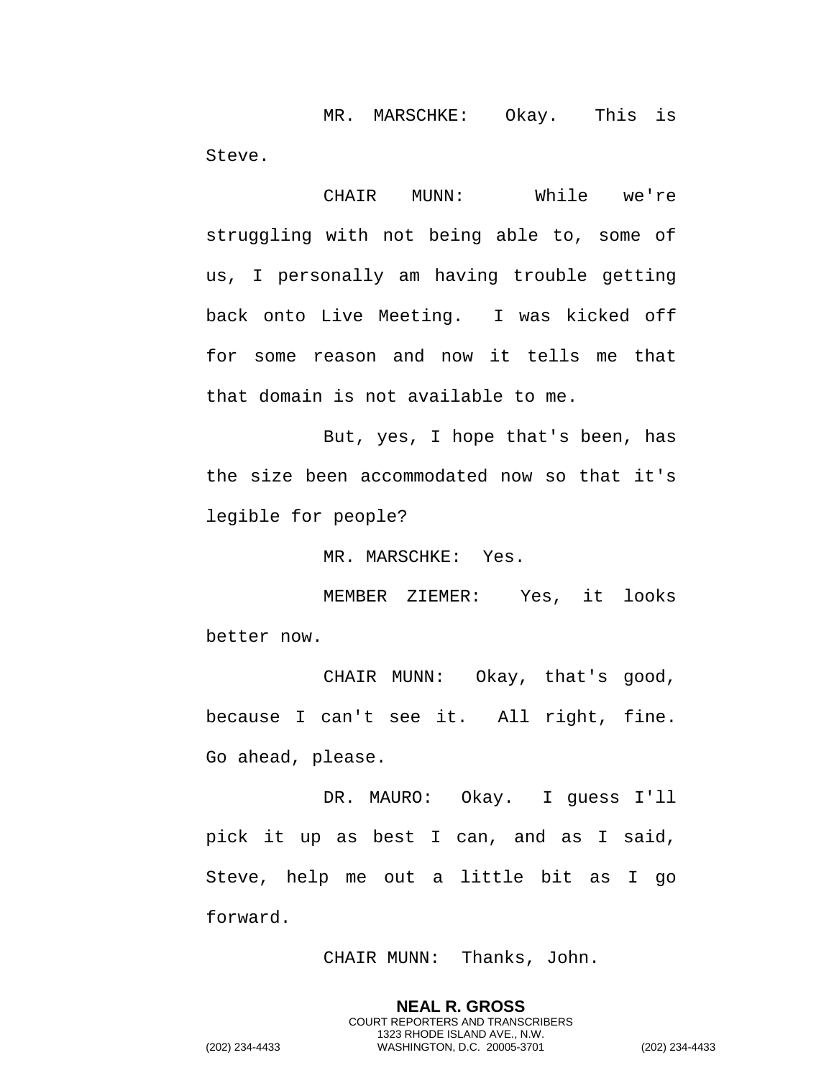MR. MARSCHKE: Okay. This is Steve.

CHAIR MUNN: While we're struggling with not being able to, some of us, I personally am having trouble getting back onto Live Meeting. I was kicked off for some reason and now it tells me that that domain is not available to me.

But, yes, I hope that's been, has the size been accommodated now so that it's legible for people?

MR. MARSCHKE: Yes.

MEMBER ZIEMER: Yes, it looks better now.

CHAIR MUNN: Okay, that's good, because I can't see it. All right, fine. Go ahead, please.

DR. MAURO: Okay. I guess I'll pick it up as best I can, and as I said, Steve, help me out a little bit as I go forward.

CHAIR MUNN: Thanks, John.

**NEAL R. GROSS** COURT REPORTERS AND TRANSCRIBERS 1323 RHODE ISLAND AVE., N.W.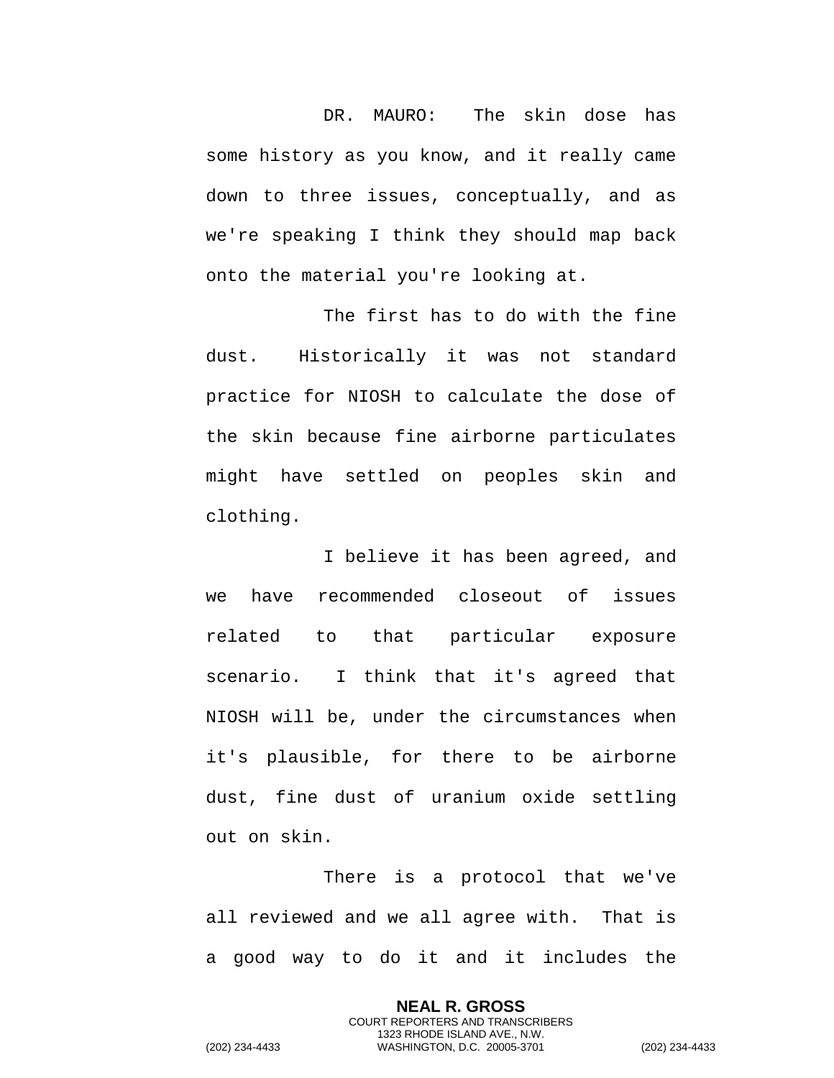DR. MAURO: The skin dose has some history as you know, and it really came down to three issues, conceptually, and as we're speaking I think they should map back onto the material you're looking at.

The first has to do with the fine dust. Historically it was not standard practice for NIOSH to calculate the dose of the skin because fine airborne particulates might have settled on peoples skin and clothing.

I believe it has been agreed, and we have recommended closeout of issues related to that particular exposure scenario. I think that it's agreed that NIOSH will be, under the circumstances when it's plausible, for there to be airborne dust, fine dust of uranium oxide settling out on skin.

There is a protocol that we've all reviewed and we all agree with. That is a good way to do it and it includes the

> **NEAL R. GROSS** COURT REPORTERS AND TRANSCRIBERS 1323 RHODE ISLAND AVE., N.W.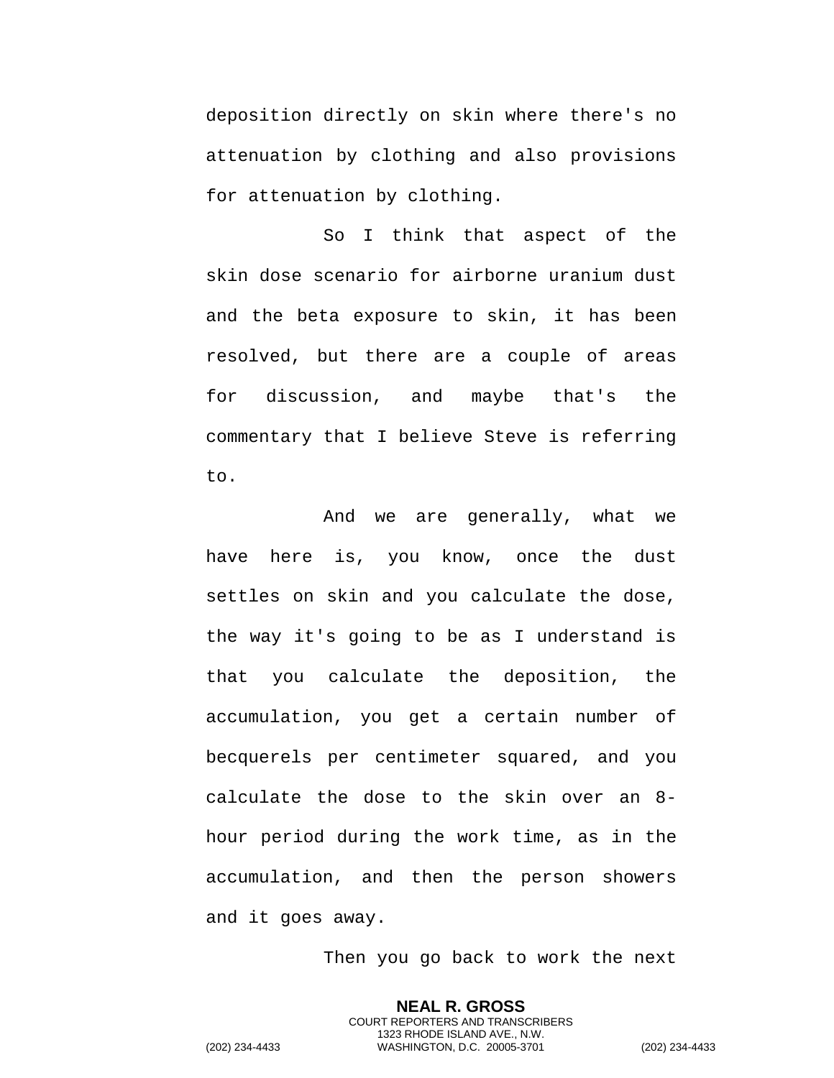deposition directly on skin where there's no attenuation by clothing and also provisions for attenuation by clothing.

So I think that aspect of the skin dose scenario for airborne uranium dust and the beta exposure to skin, it has been resolved, but there are a couple of areas for discussion, and maybe that's the commentary that I believe Steve is referring to.

And we are generally, what we have here is, you know, once the dust settles on skin and you calculate the dose, the way it's going to be as I understand is that you calculate the deposition, the accumulation, you get a certain number of becquerels per centimeter squared, and you calculate the dose to the skin over an 8 hour period during the work time, as in the accumulation, and then the person showers and it goes away.

Then you go back to work the next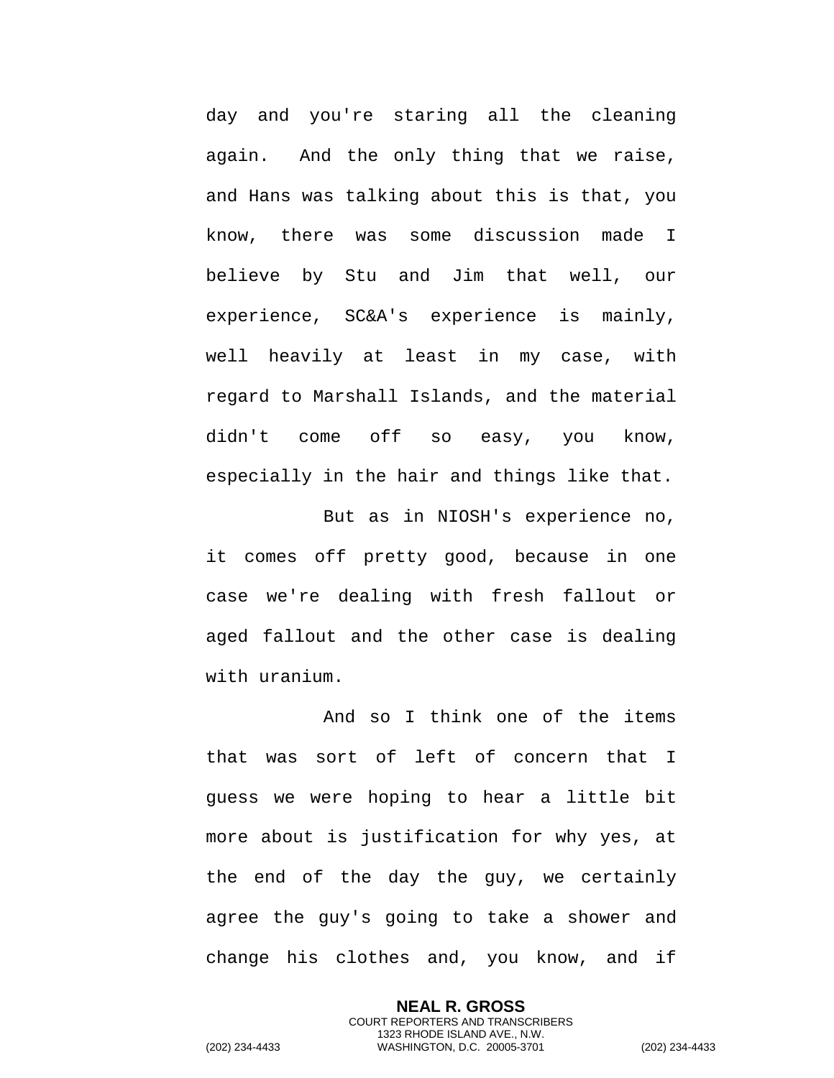day and you're staring all the cleaning again. And the only thing that we raise, and Hans was talking about this is that, you know, there was some discussion made I believe by Stu and Jim that well, our experience, SC&A's experience is mainly, well heavily at least in my case, with regard to Marshall Islands, and the material didn't come off so easy, you know, especially in the hair and things like that.

But as in NIOSH's experience no, it comes off pretty good, because in one case we're dealing with fresh fallout or aged fallout and the other case is dealing with uranium.

And so I think one of the items that was sort of left of concern that I guess we were hoping to hear a little bit more about is justification for why yes, at the end of the day the guy, we certainly agree the guy's going to take a shower and change his clothes and, you know, and if

> **NEAL R. GROSS** COURT REPORTERS AND TRANSCRIBERS 1323 RHODE ISLAND AVE., N.W.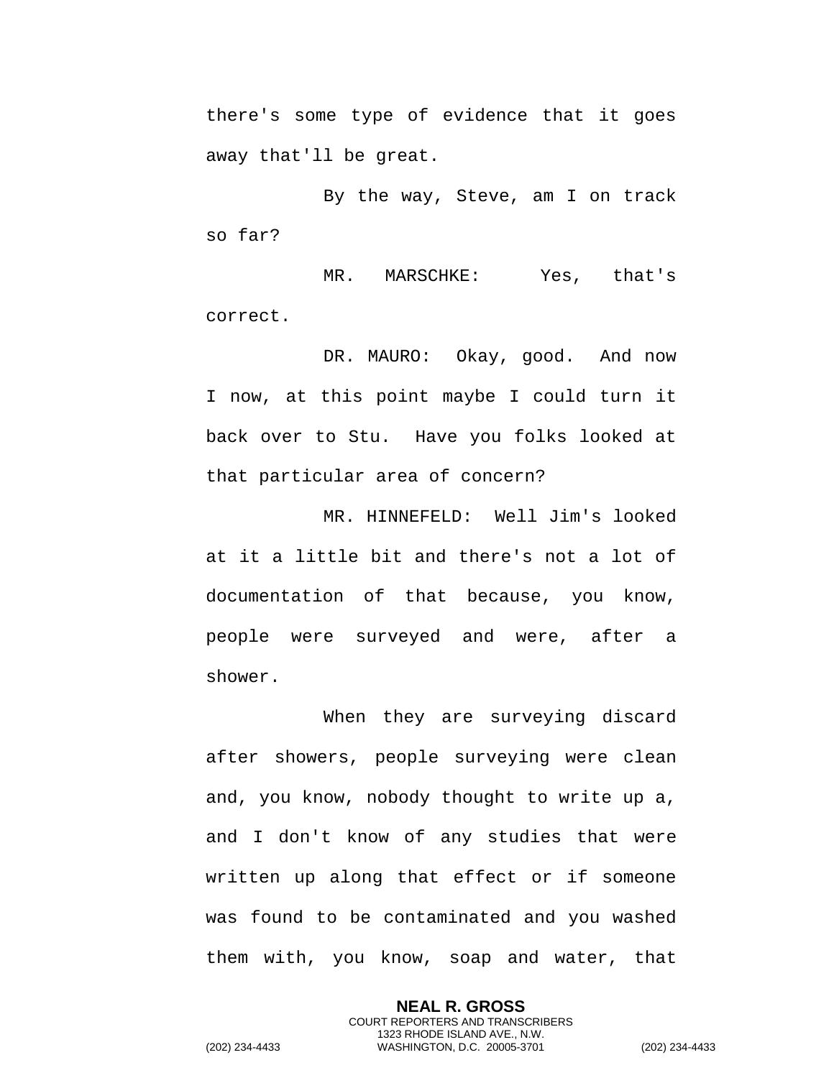there's some type of evidence that it goes away that'll be great.

By the way, Steve, am I on track so far?

MR. MARSCHKE: Yes, that's correct.

DR. MAURO: Okay, good. And now I now, at this point maybe I could turn it back over to Stu. Have you folks looked at that particular area of concern?

MR. HINNEFELD: Well Jim's looked at it a little bit and there's not a lot of documentation of that because, you know, people were surveyed and were, after a shower.

When they are surveying discard after showers, people surveying were clean and, you know, nobody thought to write up a, and I don't know of any studies that were written up along that effect or if someone was found to be contaminated and you washed them with, you know, soap and water, that

> **NEAL R. GROSS** COURT REPORTERS AND TRANSCRIBERS 1323 RHODE ISLAND AVE., N.W.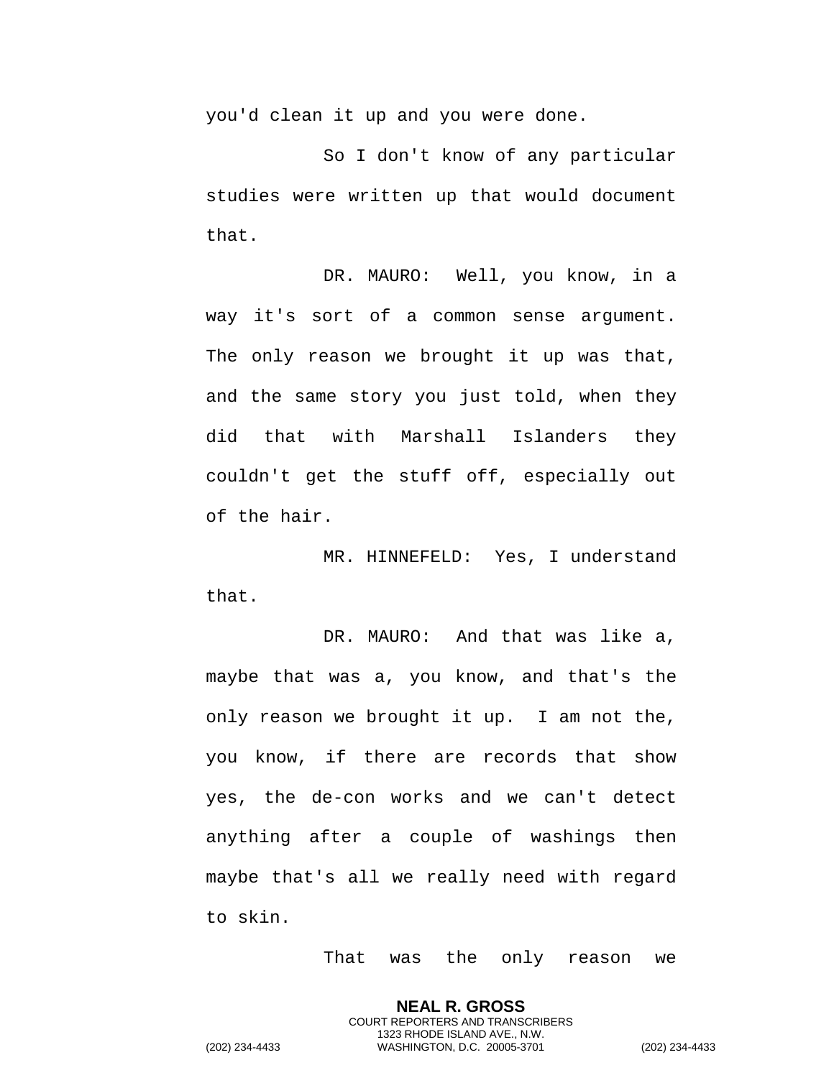you'd clean it up and you were done.

So I don't know of any particular studies were written up that would document that.

DR. MAURO: Well, you know, in a way it's sort of a common sense argument. The only reason we brought it up was that, and the same story you just told, when they did that with Marshall Islanders they couldn't get the stuff off, especially out of the hair.

MR. HINNEFELD: Yes, I understand that.

DR. MAURO: And that was like a, maybe that was a, you know, and that's the only reason we brought it up. I am not the, you know, if there are records that show yes, the de-con works and we can't detect anything after a couple of washings then maybe that's all we really need with regard to skin.

That was the only reason we

**NEAL R. GROSS** COURT REPORTERS AND TRANSCRIBERS 1323 RHODE ISLAND AVE., N.W.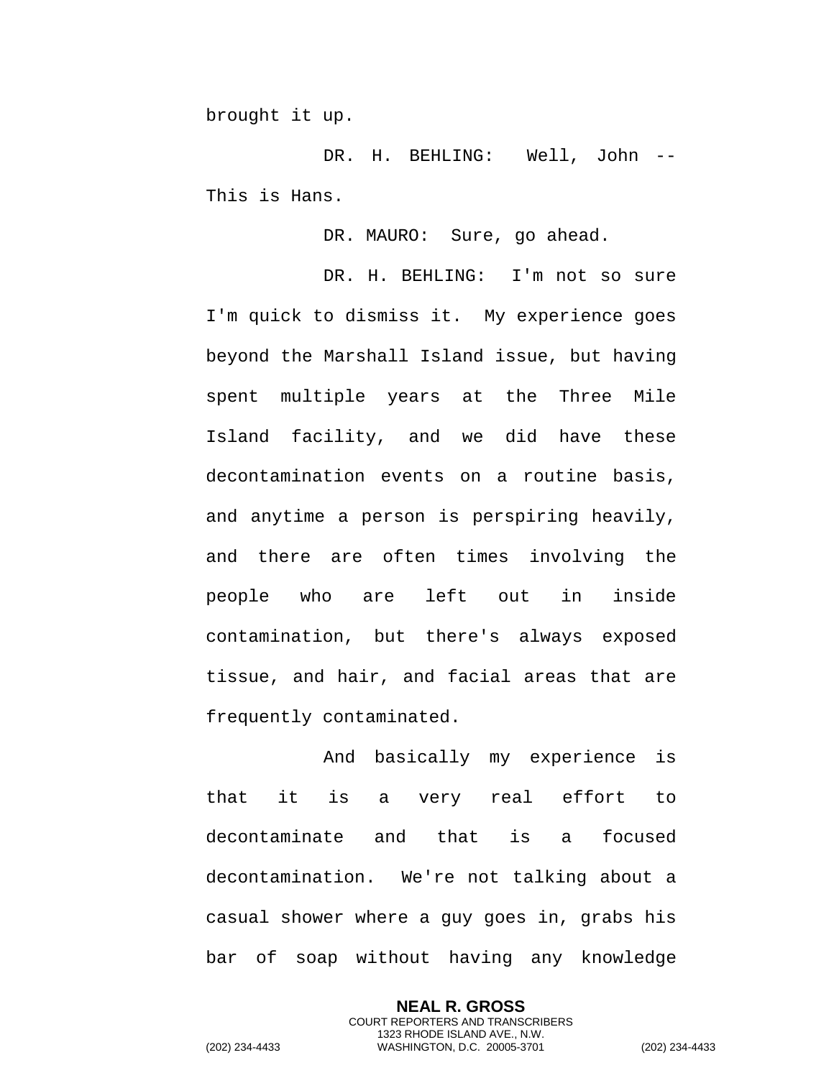brought it up.

DR. H. BEHLING: Well, John -- This is Hans.

DR. MAURO: Sure, go ahead.

DR. H. BEHLING: I'm not so sure I'm quick to dismiss it. My experience goes beyond the Marshall Island issue, but having spent multiple years at the Three Mile Island facility, and we did have these decontamination events on a routine basis, and anytime a person is perspiring heavily, and there are often times involving the people who are left out in inside contamination, but there's always exposed tissue, and hair, and facial areas that are frequently contaminated.

And basically my experience is that it is a very real effort to decontaminate and that is a focused decontamination. We're not talking about a casual shower where a guy goes in, grabs his bar of soap without having any knowledge

> **NEAL R. GROSS** COURT REPORTERS AND TRANSCRIBERS 1323 RHODE ISLAND AVE., N.W.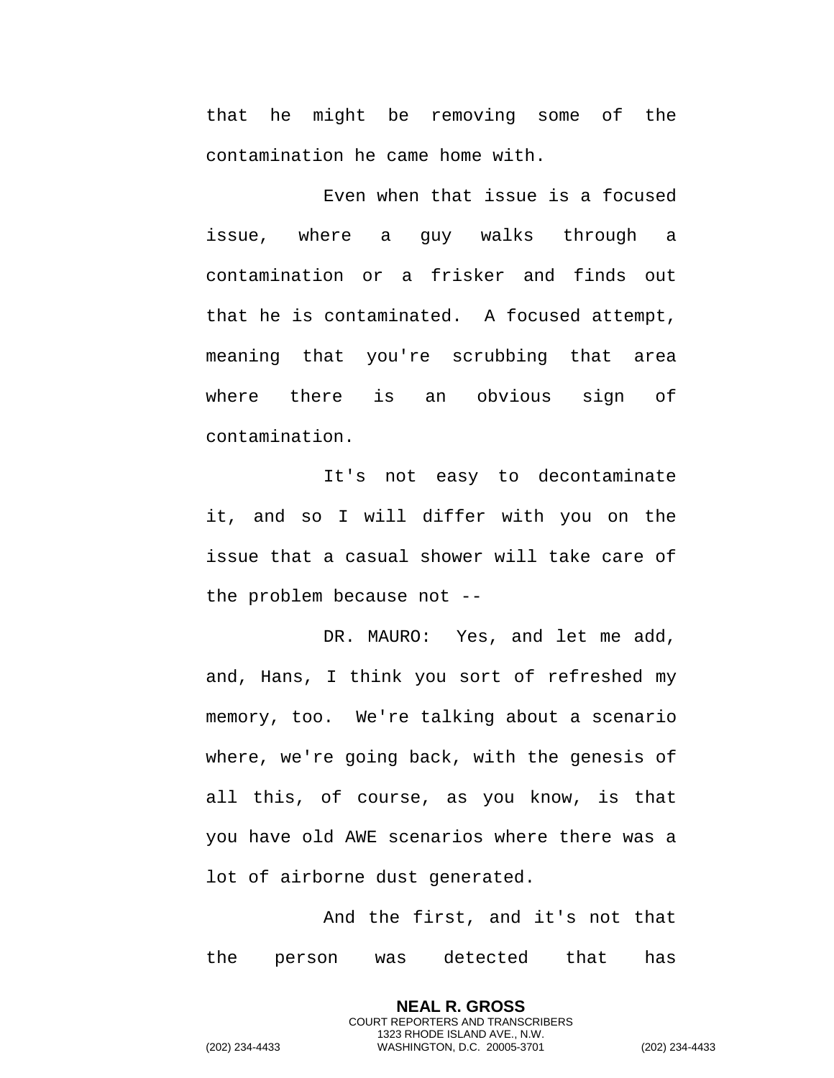that he might be removing some of the contamination he came home with.

Even when that issue is a focused issue, where a guy walks through a contamination or a frisker and finds out that he is contaminated. A focused attempt, meaning that you're scrubbing that area where there is an obvious sign of contamination.

It's not easy to decontaminate it, and so I will differ with you on the issue that a casual shower will take care of the problem because not --

DR. MAURO: Yes, and let me add, and, Hans, I think you sort of refreshed my memory, too. We're talking about a scenario where, we're going back, with the genesis of all this, of course, as you know, is that you have old AWE scenarios where there was a lot of airborne dust generated.

And the first, and it's not that the person was detected that has

> **NEAL R. GROSS** COURT REPORTERS AND TRANSCRIBERS 1323 RHODE ISLAND AVE., N.W.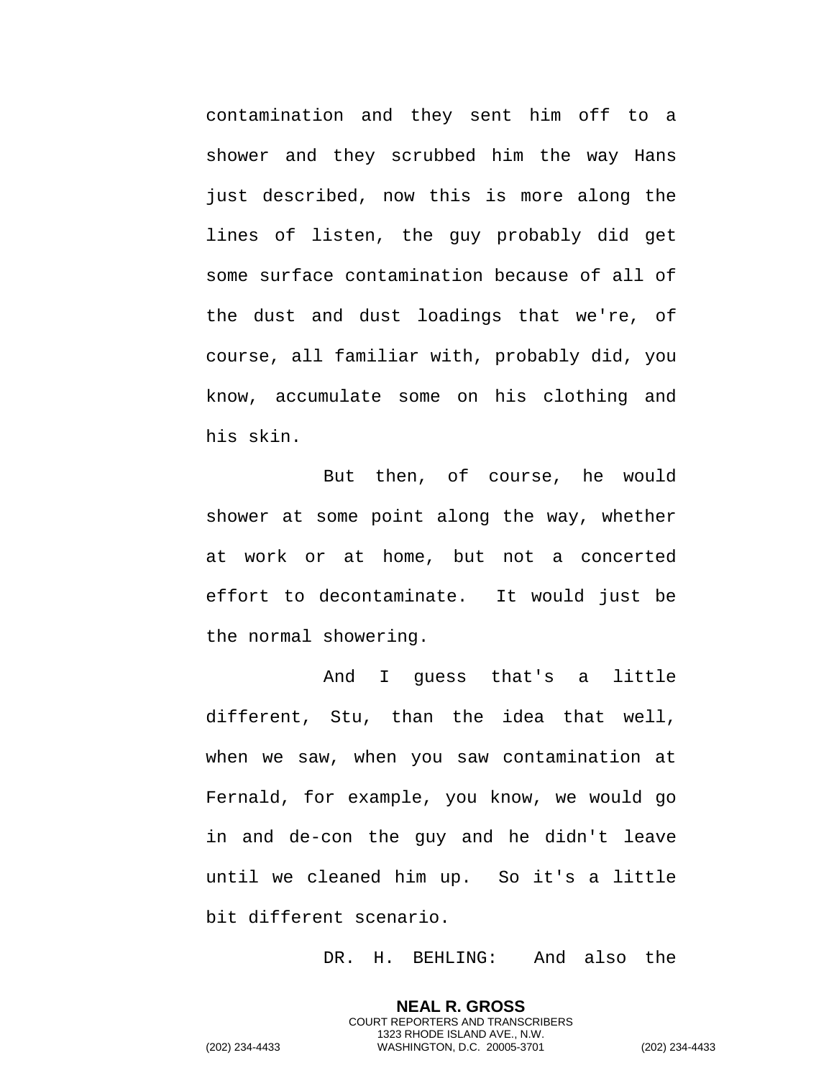contamination and they sent him off to a shower and they scrubbed him the way Hans just described, now this is more along the lines of listen, the guy probably did get some surface contamination because of all of the dust and dust loadings that we're, of course, all familiar with, probably did, you know, accumulate some on his clothing and his skin.

But then, of course, he would shower at some point along the way, whether at work or at home, but not a concerted effort to decontaminate. It would just be the normal showering.

And I guess that's a little different, Stu, than the idea that well, when we saw, when you saw contamination at Fernald, for example, you know, we would go in and de-con the guy and he didn't leave until we cleaned him up. So it's a little bit different scenario.

DR. H. BEHLING: And also the

**NEAL R. GROSS** COURT REPORTERS AND TRANSCRIBERS 1323 RHODE ISLAND AVE., N.W.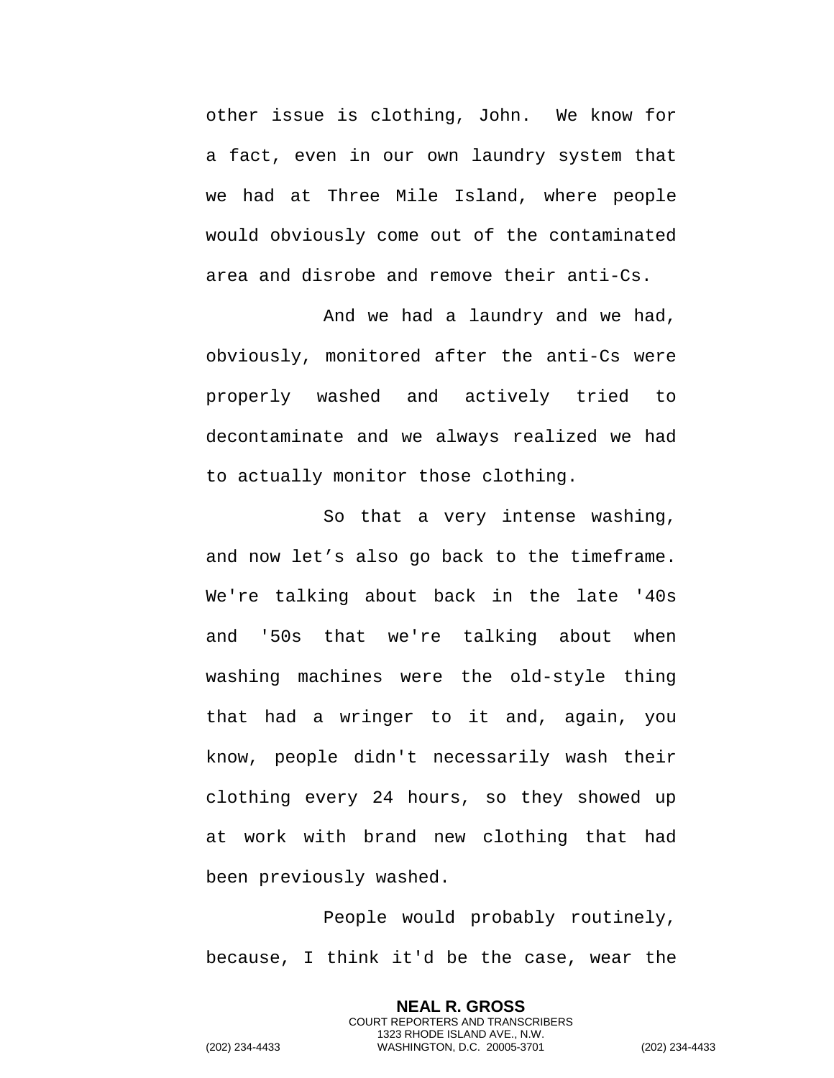other issue is clothing, John. We know for a fact, even in our own laundry system that we had at Three Mile Island, where people would obviously come out of the contaminated area and disrobe and remove their anti-Cs.

And we had a laundry and we had, obviously, monitored after the anti-Cs were properly washed and actively tried to decontaminate and we always realized we had to actually monitor those clothing.

So that a very intense washing, and now let's also go back to the timeframe. We're talking about back in the late '40s and '50s that we're talking about when washing machines were the old-style thing that had a wringer to it and, again, you know, people didn't necessarily wash their clothing every 24 hours, so they showed up at work with brand new clothing that had been previously washed.

People would probably routinely, because, I think it'd be the case, wear the

> **NEAL R. GROSS** COURT REPORTERS AND TRANSCRIBERS 1323 RHODE ISLAND AVE., N.W.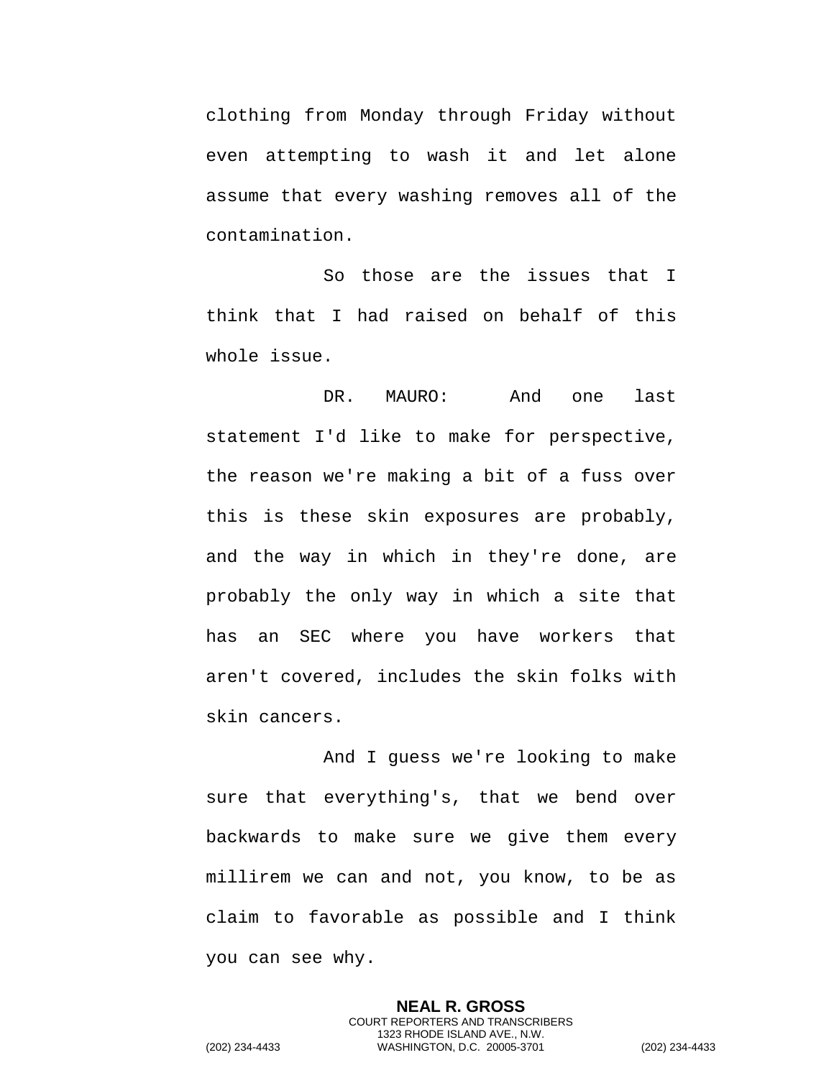clothing from Monday through Friday without even attempting to wash it and let alone assume that every washing removes all of the contamination.

So those are the issues that I think that I had raised on behalf of this whole issue.

DR. MAURO: And one last statement I'd like to make for perspective, the reason we're making a bit of a fuss over this is these skin exposures are probably, and the way in which in they're done, are probably the only way in which a site that has an SEC where you have workers that aren't covered, includes the skin folks with skin cancers.

And I guess we're looking to make sure that everything's, that we bend over backwards to make sure we give them every millirem we can and not, you know, to be as claim to favorable as possible and I think you can see why.

> **NEAL R. GROSS** COURT REPORTERS AND TRANSCRIBERS 1323 RHODE ISLAND AVE., N.W.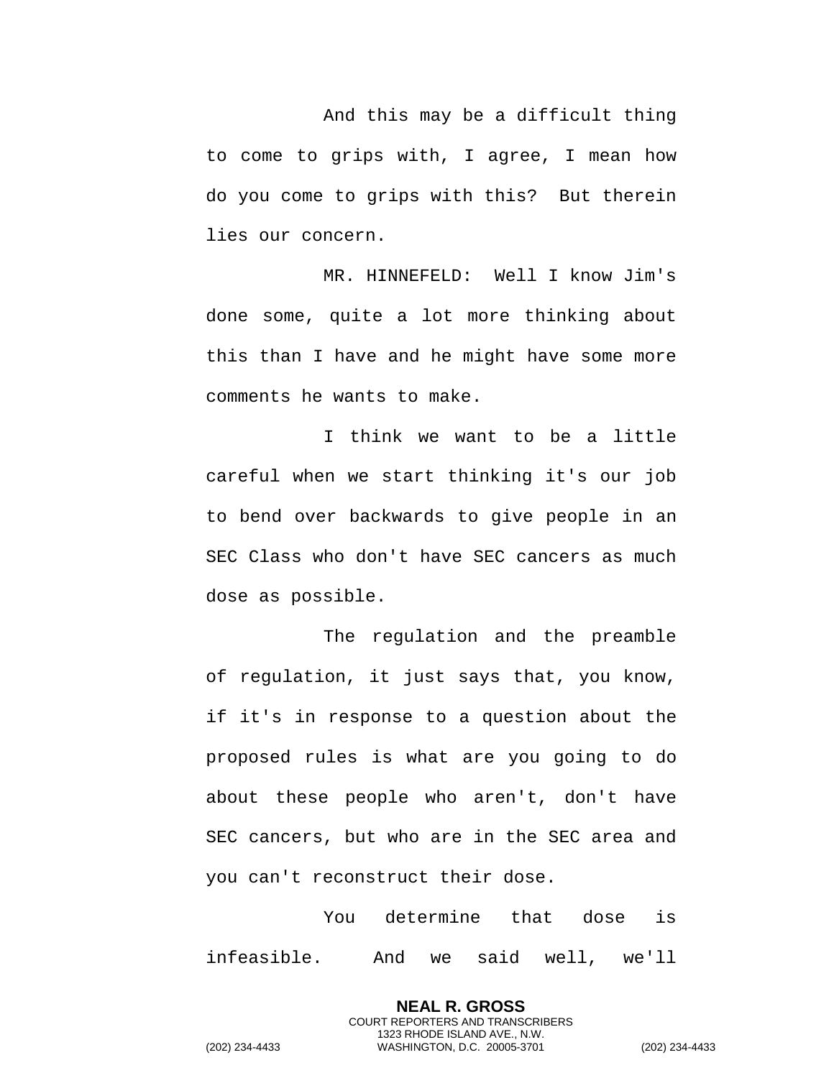And this may be a difficult thing to come to grips with, I agree, I mean how do you come to grips with this? But therein lies our concern.

MR. HINNEFELD: Well I know Jim's done some, quite a lot more thinking about this than I have and he might have some more comments he wants to make.

I think we want to be a little careful when we start thinking it's our job to bend over backwards to give people in an SEC Class who don't have SEC cancers as much dose as possible.

The regulation and the preamble of regulation, it just says that, you know, if it's in response to a question about the proposed rules is what are you going to do about these people who aren't, don't have SEC cancers, but who are in the SEC area and you can't reconstruct their dose.

You determine that dose is infeasible. And we said well, we'll

> **NEAL R. GROSS** COURT REPORTERS AND TRANSCRIBERS 1323 RHODE ISLAND AVE., N.W.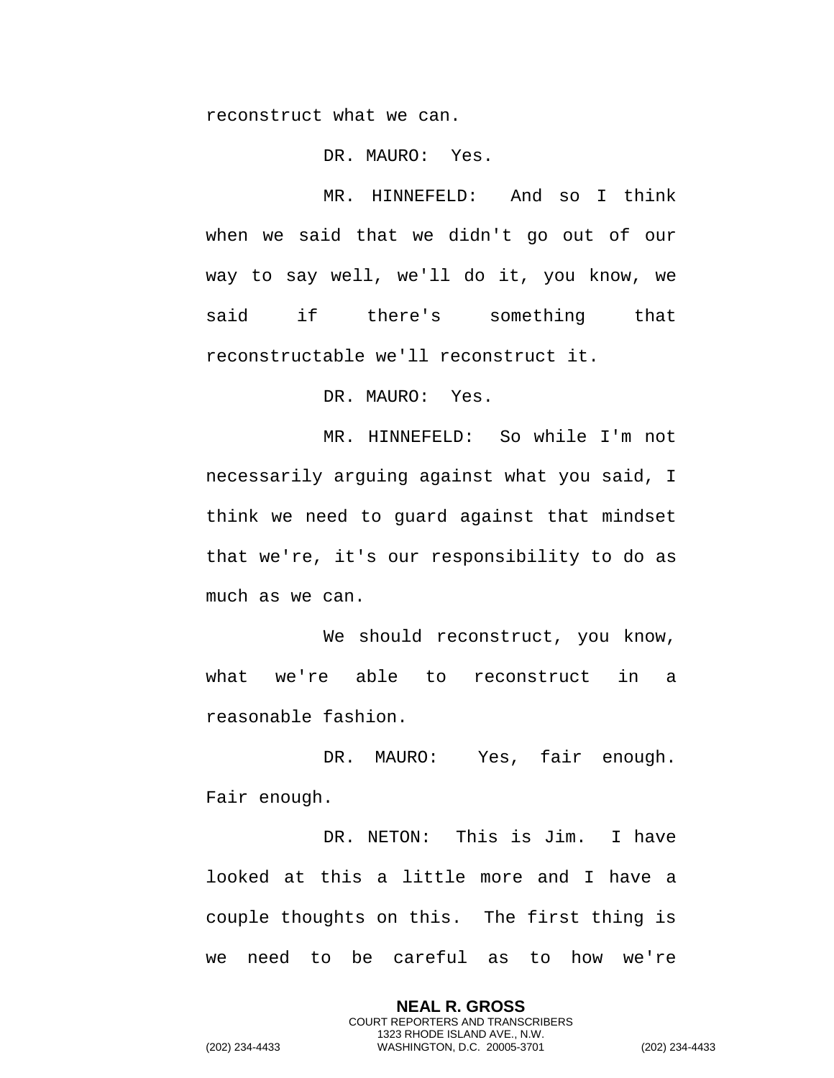reconstruct what we can.

DR. MAURO: Yes.

MR. HINNEFELD: And so I think when we said that we didn't go out of our way to say well, we'll do it, you know, we said if there's something that reconstructable we'll reconstruct it.

DR. MAURO: Yes.

MR. HINNEFELD: So while I'm not necessarily arguing against what you said, I think we need to guard against that mindset that we're, it's our responsibility to do as much as we can.

We should reconstruct, you know, what we're able to reconstruct in a reasonable fashion.

DR. MAURO: Yes, fair enough. Fair enough.

DR. NETON: This is Jim. I have looked at this a little more and I have a couple thoughts on this. The first thing is we need to be careful as to how we're

> **NEAL R. GROSS** COURT REPORTERS AND TRANSCRIBERS 1323 RHODE ISLAND AVE., N.W.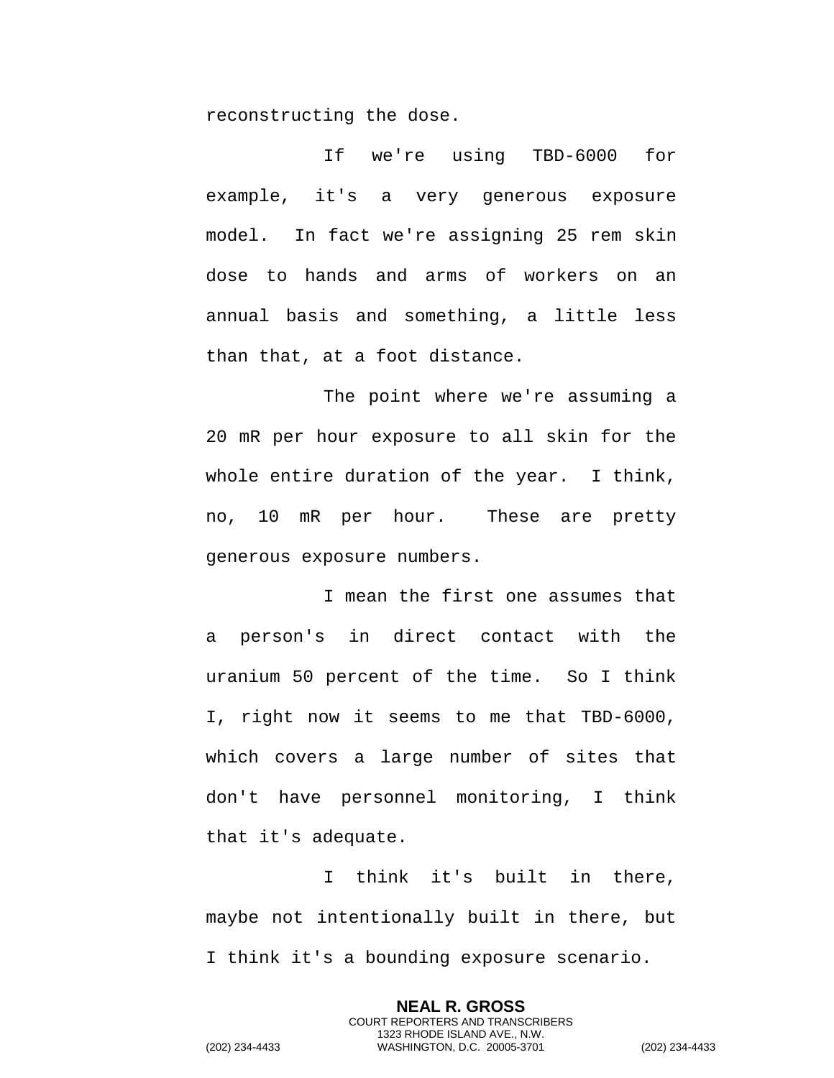reconstructing the dose.

If we're using TBD-6000 for example, it's a very generous exposure model. In fact we're assigning 25 rem skin dose to hands and arms of workers on an annual basis and something, a little less than that, at a foot distance.

The point where we're assuming a 20 mR per hour exposure to all skin for the whole entire duration of the year. I think, no, 10 mR per hour. These are pretty generous exposure numbers.

I mean the first one assumes that a person's in direct contact with the uranium 50 percent of the time. So I think I, right now it seems to me that TBD-6000, which covers a large number of sites that don't have personnel monitoring, I think that it's adequate.

I think it's built in there, maybe not intentionally built in there, but I think it's a bounding exposure scenario.

> **NEAL R. GROSS** COURT REPORTERS AND TRANSCRIBERS 1323 RHODE ISLAND AVE., N.W.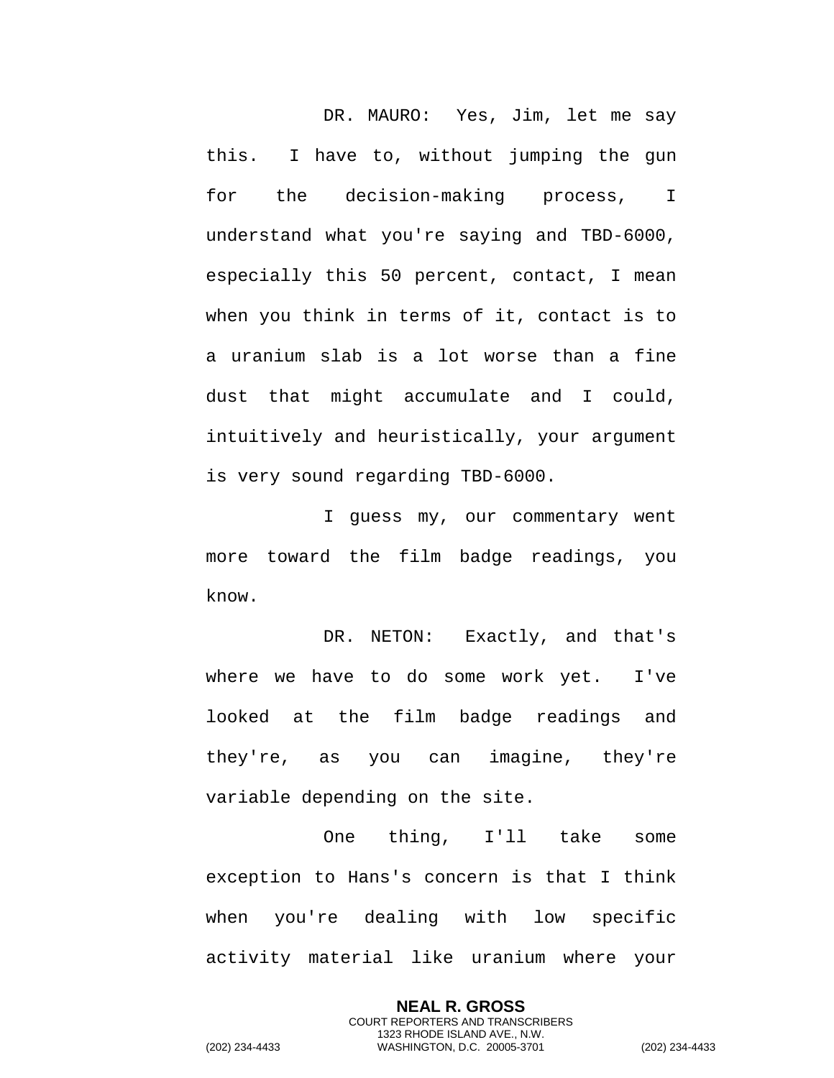DR. MAURO: Yes, Jim, let me say this. I have to, without jumping the gun for the decision-making process, I understand what you're saying and TBD-6000, especially this 50 percent, contact, I mean when you think in terms of it, contact is to a uranium slab is a lot worse than a fine dust that might accumulate and I could, intuitively and heuristically, your argument is very sound regarding TBD-6000.

I guess my, our commentary went more toward the film badge readings, you know.

DR. NETON: Exactly, and that's where we have to do some work yet. I've looked at the film badge readings and they're, as you can imagine, they're variable depending on the site.

One thing, I'll take some exception to Hans's concern is that I think when you're dealing with low specific activity material like uranium where your

> **NEAL R. GROSS** COURT REPORTERS AND TRANSCRIBERS 1323 RHODE ISLAND AVE., N.W.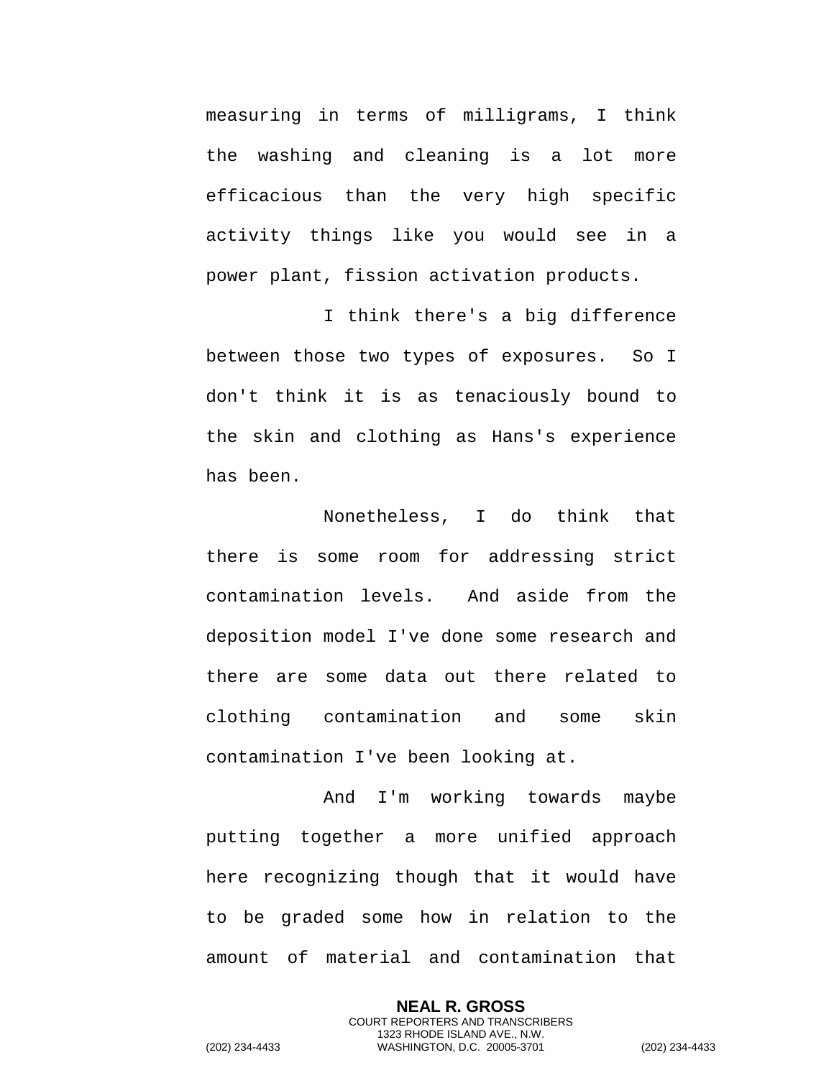measuring in terms of milligrams, I think the washing and cleaning is a lot more efficacious than the very high specific activity things like you would see in a power plant, fission activation products.

I think there's a big difference between those two types of exposures. So I don't think it is as tenaciously bound to the skin and clothing as Hans's experience has been.

Nonetheless, I do think that there is some room for addressing strict contamination levels. And aside from the deposition model I've done some research and there are some data out there related to clothing contamination and some skin contamination I've been looking at.

And I'm working towards maybe putting together a more unified approach here recognizing though that it would have to be graded some how in relation to the amount of material and contamination that

**NEAL R. GROSS** COURT REPORTERS AND TRANSCRIBERS 1323 RHODE ISLAND AVE., N.W. (202) 234-4433 WASHINGTON, D.C. 20005-3701 (202) 234-4433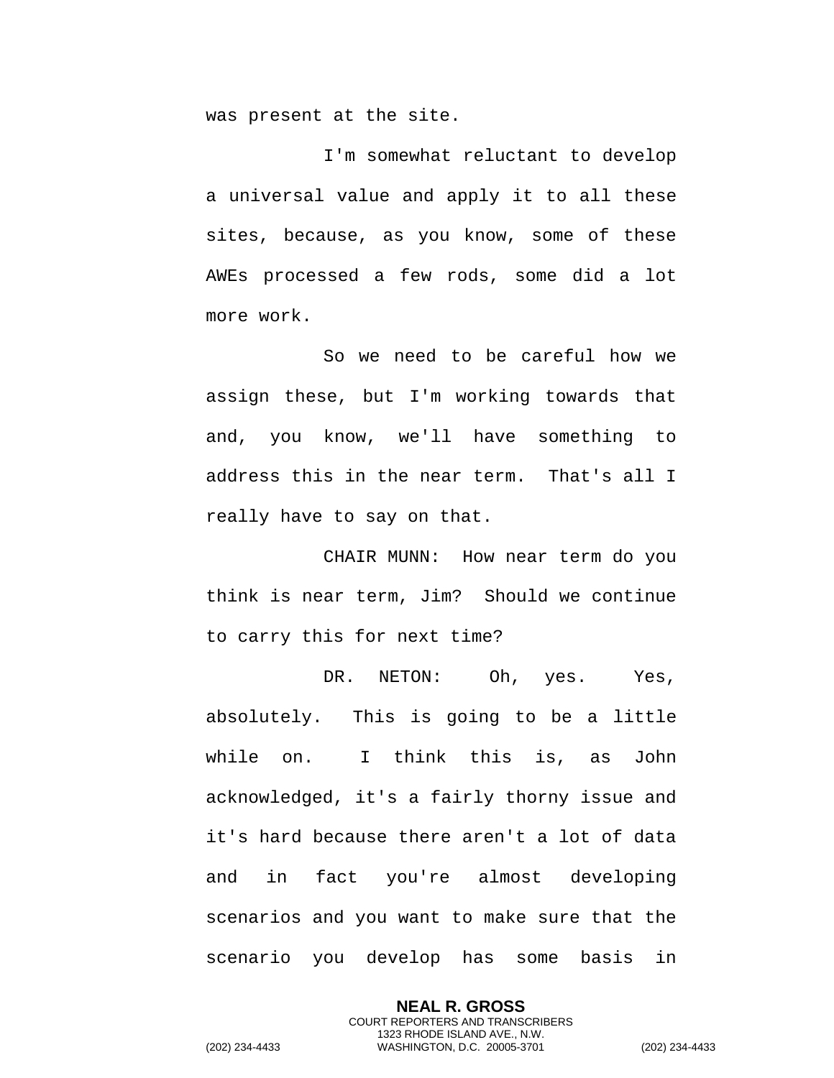was present at the site.

I'm somewhat reluctant to develop a universal value and apply it to all these sites, because, as you know, some of these AWEs processed a few rods, some did a lot more work.

So we need to be careful how we assign these, but I'm working towards that and, you know, we'll have something to address this in the near term. That's all I really have to say on that.

CHAIR MUNN: How near term do you think is near term, Jim? Should we continue to carry this for next time?

DR. NETON: Oh, yes. Yes, absolutely. This is going to be a little while on. I think this is, as John acknowledged, it's a fairly thorny issue and it's hard because there aren't a lot of data and in fact you're almost developing scenarios and you want to make sure that the scenario you develop has some basis in

> **NEAL R. GROSS** COURT REPORTERS AND TRANSCRIBERS 1323 RHODE ISLAND AVE., N.W.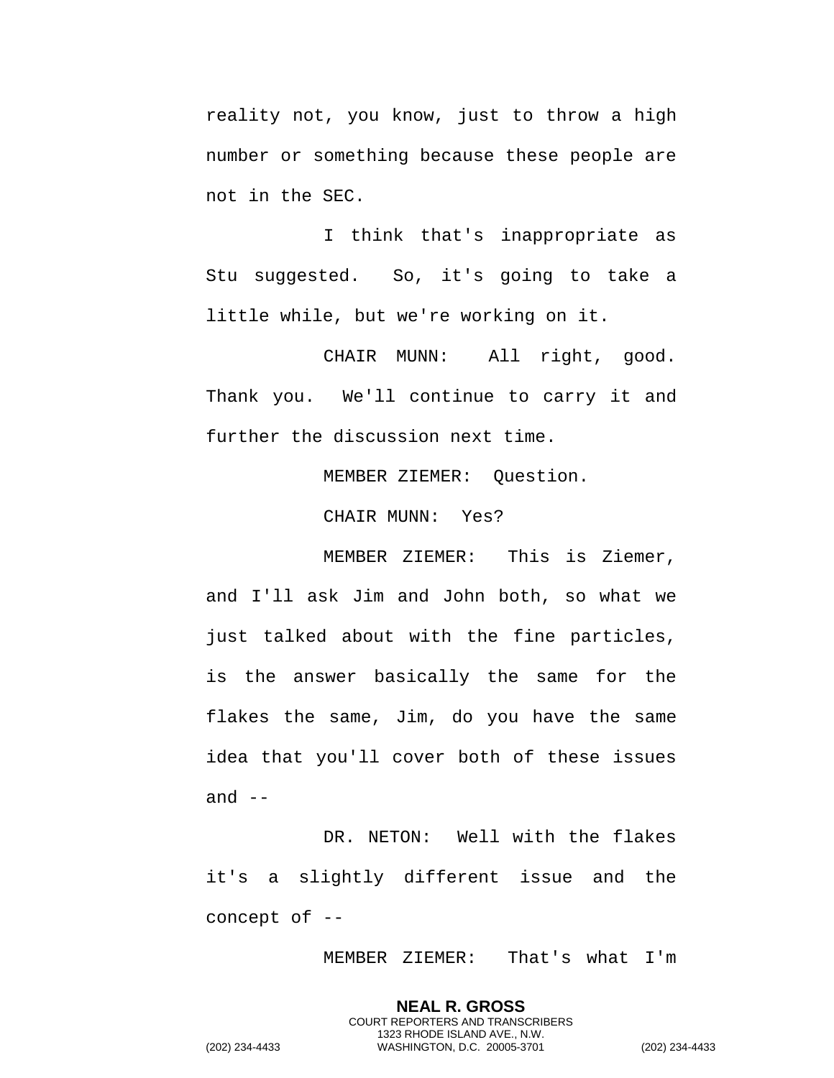reality not, you know, just to throw a high number or something because these people are not in the SEC.

I think that's inappropriate as Stu suggested. So, it's going to take a little while, but we're working on it.

CHAIR MUNN: All right, good. Thank you. We'll continue to carry it and further the discussion next time.

MEMBER ZIEMER: Question.

CHAIR MUNN: Yes?

MEMBER ZIEMER: This is Ziemer, and I'll ask Jim and John both, so what we just talked about with the fine particles, is the answer basically the same for the flakes the same, Jim, do you have the same idea that you'll cover both of these issues and  $--$ 

DR. NETON: Well with the flakes it's a slightly different issue and the concept of --

MEMBER ZIEMER: That's what I'm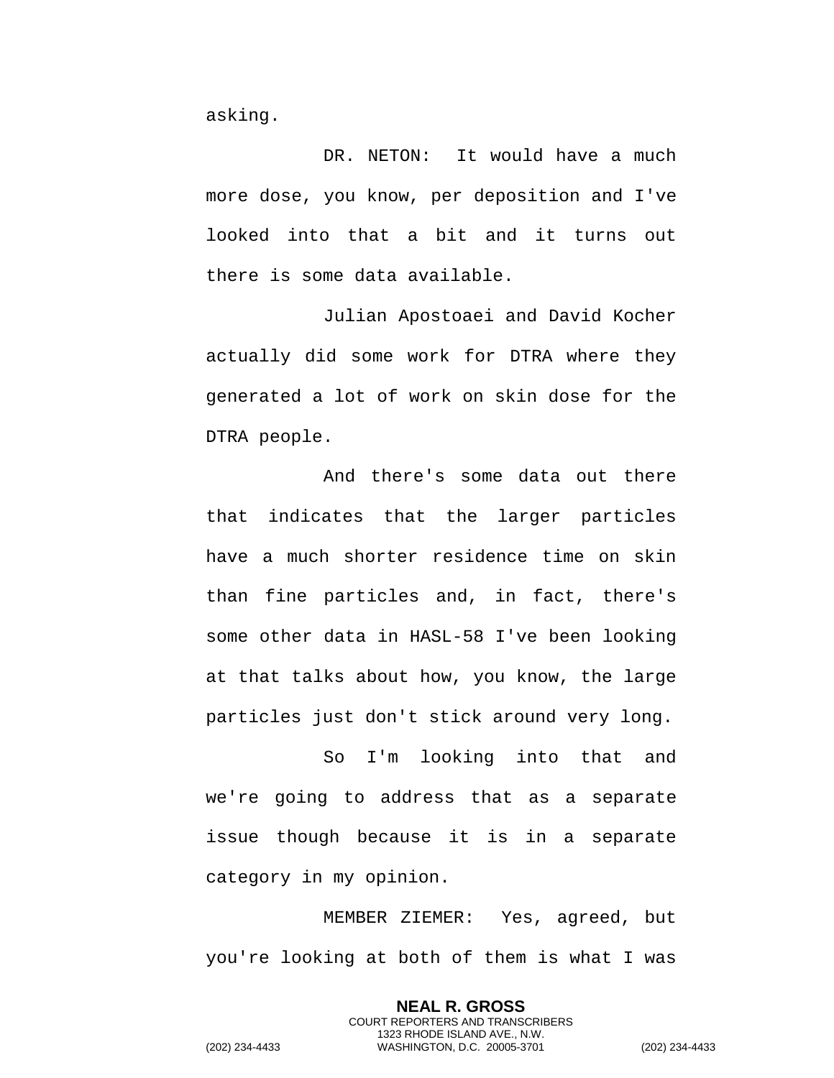asking.

DR. NETON: It would have a much more dose, you know, per deposition and I've looked into that a bit and it turns out there is some data available.

Julian Apostoaei and David Kocher actually did some work for DTRA where they generated a lot of work on skin dose for the DTRA people.

And there's some data out there that indicates that the larger particles have a much shorter residence time on skin than fine particles and, in fact, there's some other data in HASL-58 I've been looking at that talks about how, you know, the large particles just don't stick around very long.

So I'm looking into that and we're going to address that as a separate issue though because it is in a separate category in my opinion.

MEMBER ZIEMER: Yes, agreed, but you're looking at both of them is what I was

> **NEAL R. GROSS** COURT REPORTERS AND TRANSCRIBERS 1323 RHODE ISLAND AVE., N.W.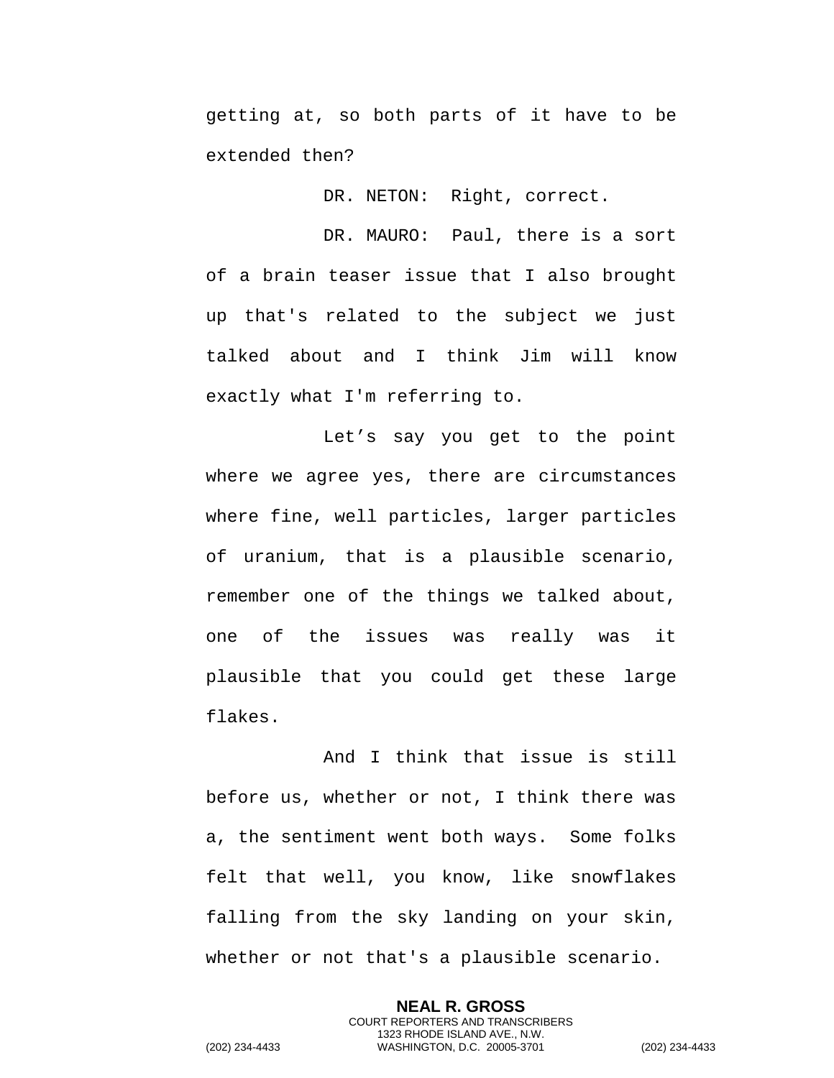getting at, so both parts of it have to be extended then?

DR. NETON: Right, correct.

DR. MAURO: Paul, there is a sort of a brain teaser issue that I also brought up that's related to the subject we just talked about and I think Jim will know exactly what I'm referring to.

Let's say you get to the point where we agree yes, there are circumstances where fine, well particles, larger particles of uranium, that is a plausible scenario, remember one of the things we talked about, one of the issues was really was it plausible that you could get these large flakes.

And I think that issue is still before us, whether or not, I think there was a, the sentiment went both ways. Some folks felt that well, you know, like snowflakes falling from the sky landing on your skin, whether or not that's a plausible scenario.

> **NEAL R. GROSS** COURT REPORTERS AND TRANSCRIBERS 1323 RHODE ISLAND AVE., N.W.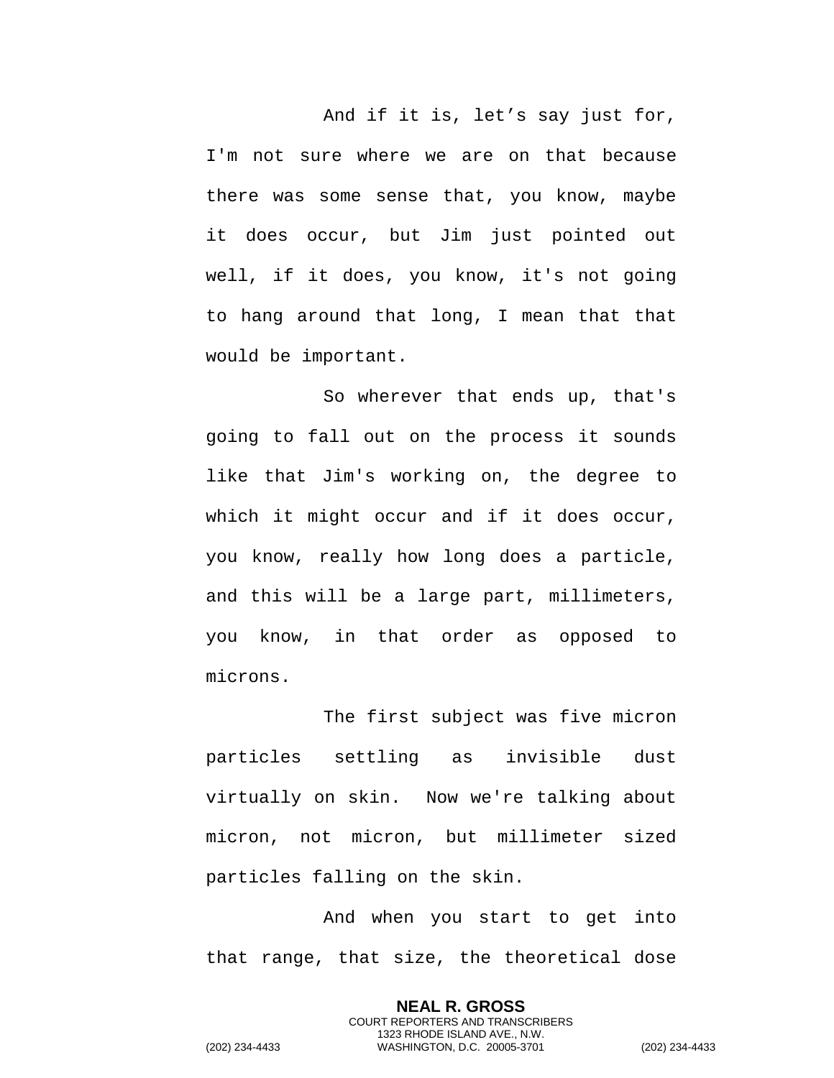And if it is, let's say just for, I'm not sure where we are on that because there was some sense that, you know, maybe it does occur, but Jim just pointed out well, if it does, you know, it's not going to hang around that long, I mean that that would be important.

So wherever that ends up, that's going to fall out on the process it sounds like that Jim's working on, the degree to which it might occur and if it does occur, you know, really how long does a particle, and this will be a large part, millimeters, you know, in that order as opposed to microns.

The first subject was five micron particles settling as invisible dust virtually on skin. Now we're talking about micron, not micron, but millimeter sized particles falling on the skin.

And when you start to get into that range, that size, the theoretical dose

> **NEAL R. GROSS** COURT REPORTERS AND TRANSCRIBERS 1323 RHODE ISLAND AVE., N.W.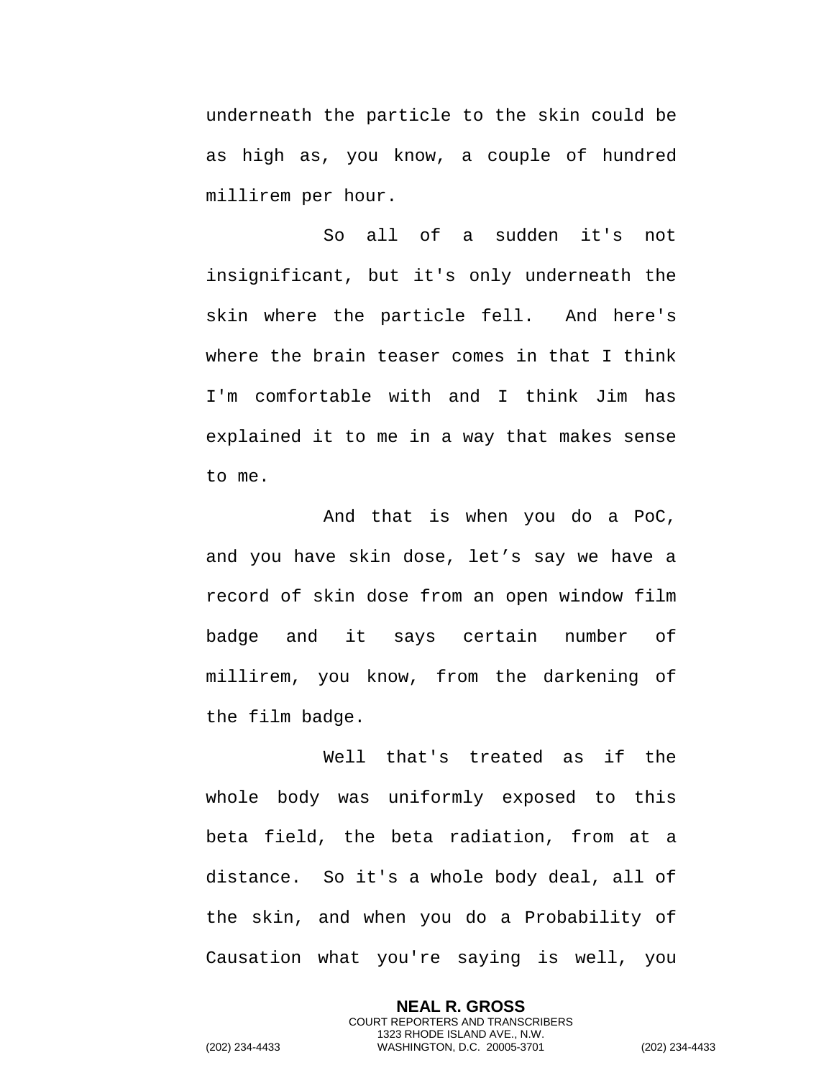underneath the particle to the skin could be as high as, you know, a couple of hundred millirem per hour.

So all of a sudden it's not insignificant, but it's only underneath the skin where the particle fell. And here's where the brain teaser comes in that I think I'm comfortable with and I think Jim has explained it to me in a way that makes sense to me.

And that is when you do a PoC, and you have skin dose, let's say we have a record of skin dose from an open window film badge and it says certain number of millirem, you know, from the darkening of the film badge.

Well that's treated as if the whole body was uniformly exposed to this beta field, the beta radiation, from at a distance. So it's a whole body deal, all of the skin, and when you do a Probability of Causation what you're saying is well, you

> **NEAL R. GROSS** COURT REPORTERS AND TRANSCRIBERS 1323 RHODE ISLAND AVE., N.W.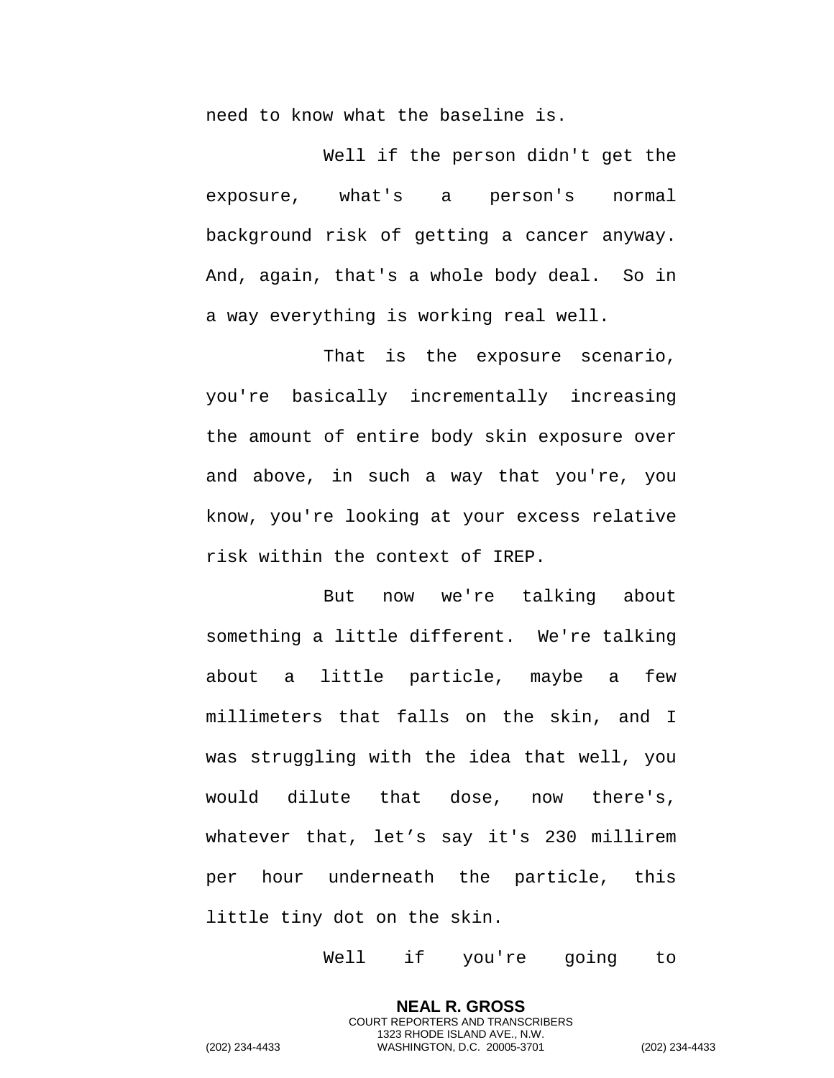need to know what the baseline is.

Well if the person didn't get the exposure, what's a person's normal background risk of getting a cancer anyway. And, again, that's a whole body deal. So in a way everything is working real well.

That is the exposure scenario, you're basically incrementally increasing the amount of entire body skin exposure over and above, in such a way that you're, you know, you're looking at your excess relative risk within the context of IREP.

But now we're talking about something a little different. We're talking about a little particle, maybe a few millimeters that falls on the skin, and I was struggling with the idea that well, you would dilute that dose, now there's, whatever that, let's say it's 230 millirem per hour underneath the particle, this little tiny dot on the skin.

Well if you're going to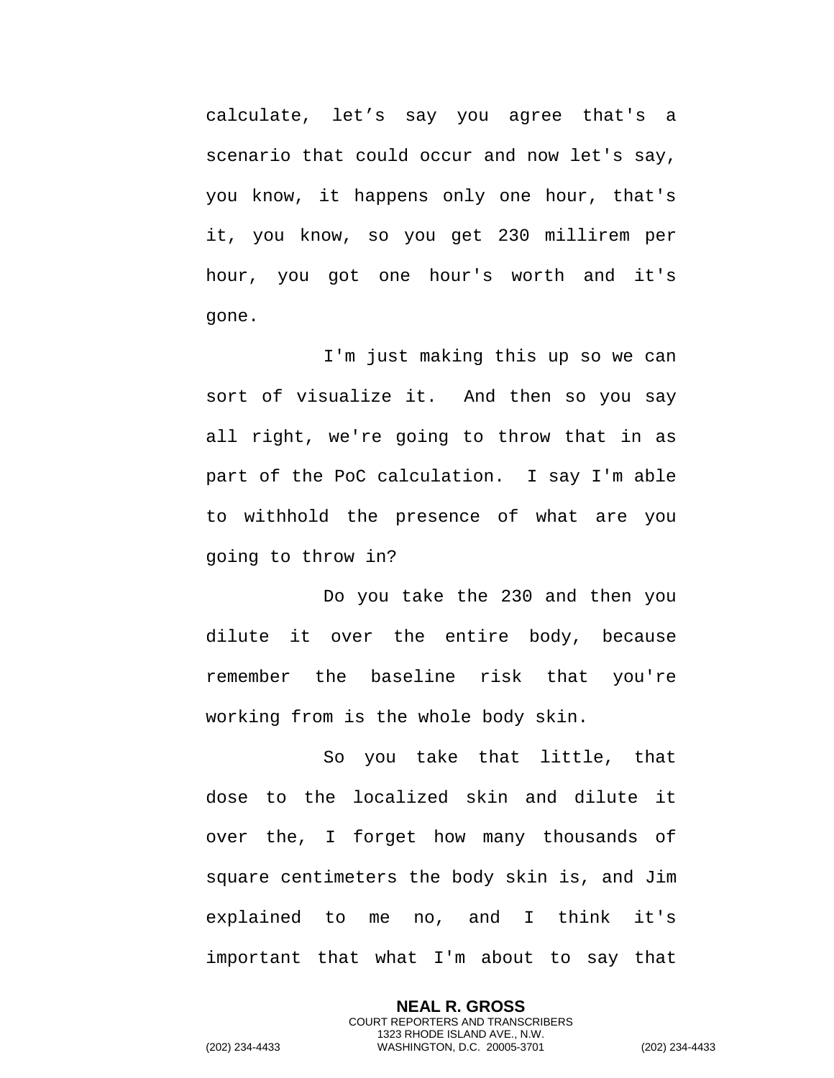calculate, let's say you agree that's a scenario that could occur and now let's say, you know, it happens only one hour, that's it, you know, so you get 230 millirem per hour, you got one hour's worth and it's gone.

I'm just making this up so we can sort of visualize it. And then so you say all right, we're going to throw that in as part of the PoC calculation. I say I'm able to withhold the presence of what are you going to throw in?

Do you take the 230 and then you dilute it over the entire body, because remember the baseline risk that you're working from is the whole body skin.

So you take that little, that dose to the localized skin and dilute it over the, I forget how many thousands of square centimeters the body skin is, and Jim explained to me no, and I think it's important that what I'm about to say that

> **NEAL R. GROSS** COURT REPORTERS AND TRANSCRIBERS 1323 RHODE ISLAND AVE., N.W.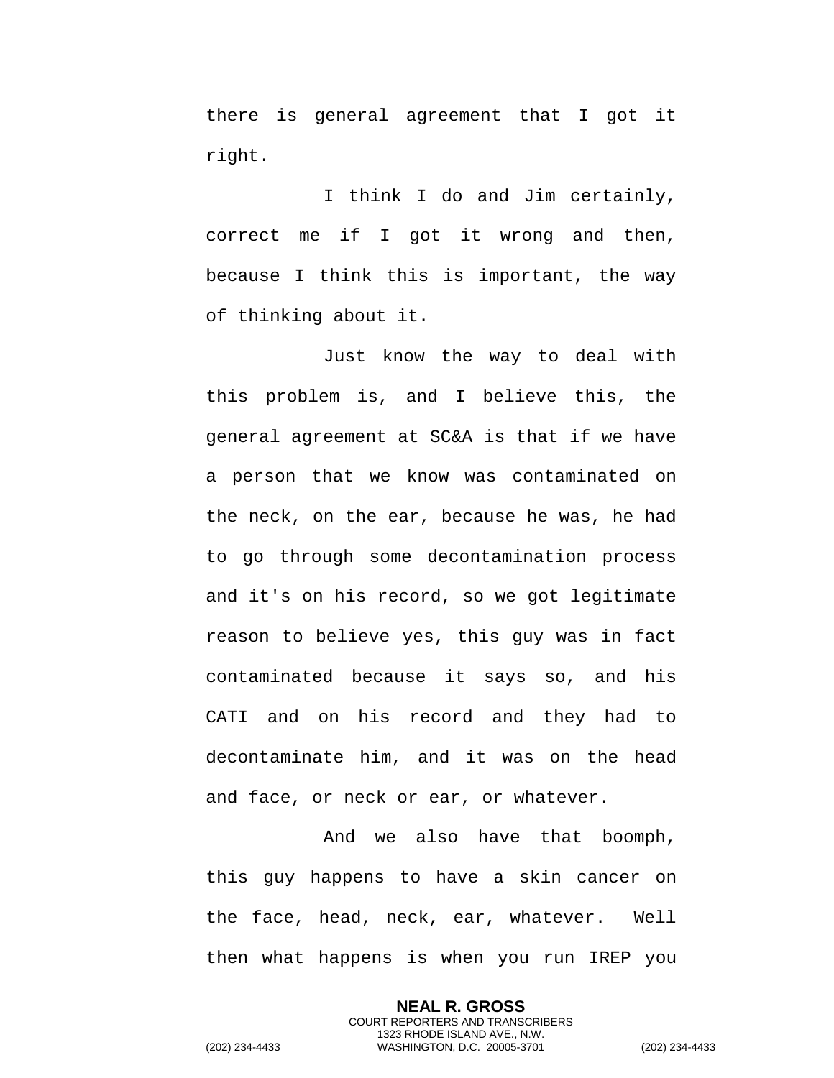there is general agreement that I got it right.

I think I do and Jim certainly, correct me if I got it wrong and then, because I think this is important, the way of thinking about it.

Just know the way to deal with this problem is, and I believe this, the general agreement at SC&A is that if we have a person that we know was contaminated on the neck, on the ear, because he was, he had to go through some decontamination process and it's on his record, so we got legitimate reason to believe yes, this guy was in fact contaminated because it says so, and his CATI and on his record and they had to decontaminate him, and it was on the head and face, or neck or ear, or whatever.

And we also have that boomph, this guy happens to have a skin cancer on the face, head, neck, ear, whatever. Well then what happens is when you run IREP you

> **NEAL R. GROSS** COURT REPORTERS AND TRANSCRIBERS 1323 RHODE ISLAND AVE., N.W.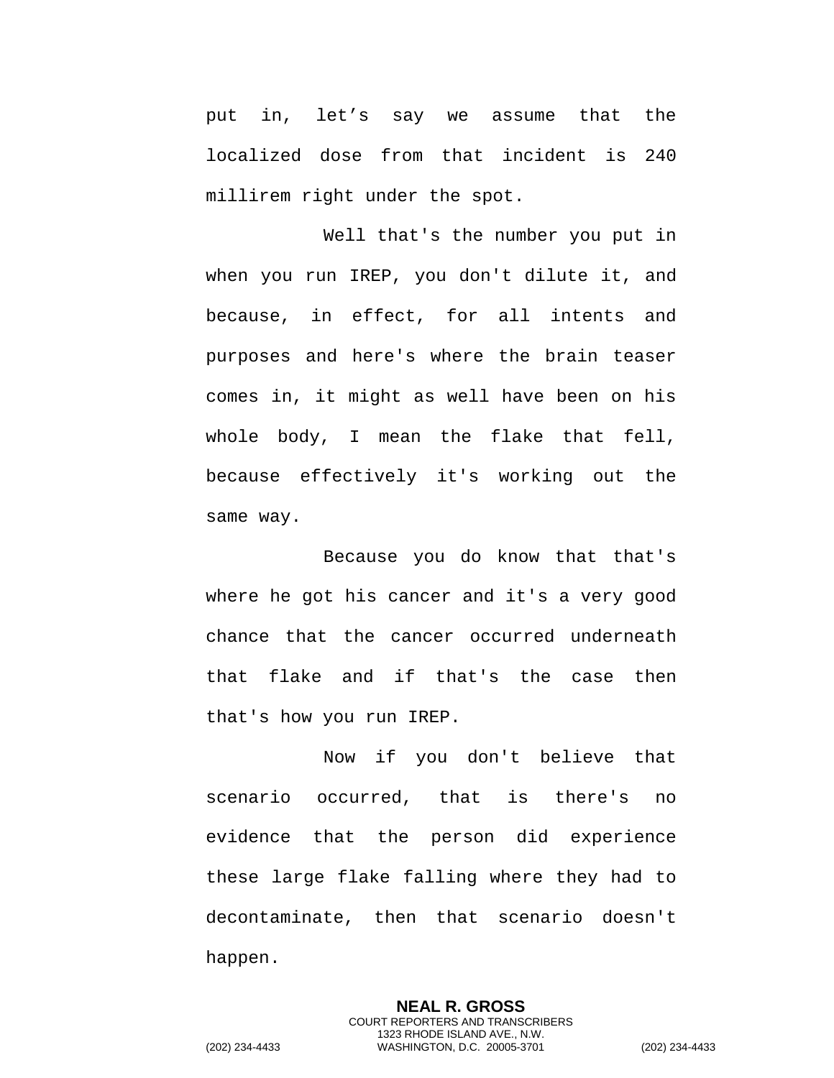put in, let's say we assume that the localized dose from that incident is 240 millirem right under the spot.

Well that's the number you put in when you run IREP, you don't dilute it, and because, in effect, for all intents and purposes and here's where the brain teaser comes in, it might as well have been on his whole body, I mean the flake that fell, because effectively it's working out the same way.

Because you do know that that's where he got his cancer and it's a very good chance that the cancer occurred underneath that flake and if that's the case then that's how you run IREP.

Now if you don't believe that scenario occurred, that is there's no evidence that the person did experience these large flake falling where they had to decontaminate, then that scenario doesn't happen.

> **NEAL R. GROSS** COURT REPORTERS AND TRANSCRIBERS 1323 RHODE ISLAND AVE., N.W.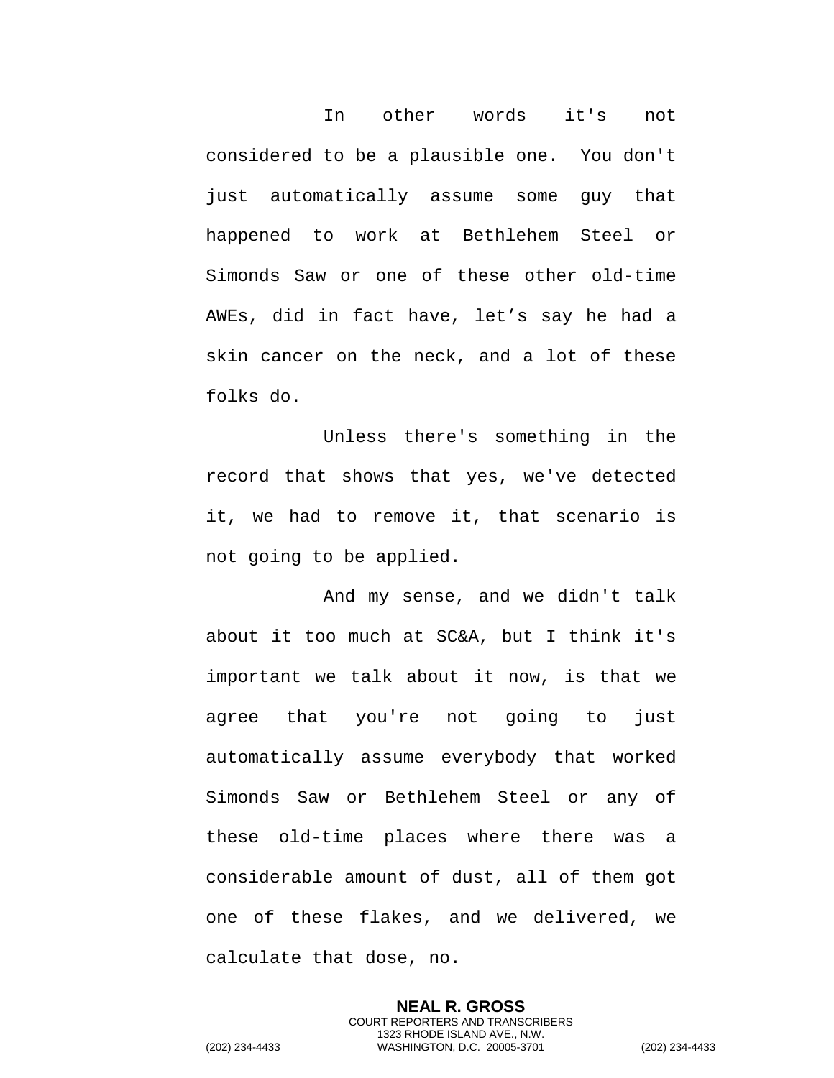In other words it's not considered to be a plausible one. You don't just automatically assume some guy that happened to work at Bethlehem Steel or Simonds Saw or one of these other old-time AWEs, did in fact have, let's say he had a skin cancer on the neck, and a lot of these folks do.

Unless there's something in the record that shows that yes, we've detected it, we had to remove it, that scenario is not going to be applied.

And my sense, and we didn't talk about it too much at SC&A, but I think it's important we talk about it now, is that we agree that you're not going to just automatically assume everybody that worked Simonds Saw or Bethlehem Steel or any of these old-time places where there was a considerable amount of dust, all of them got one of these flakes, and we delivered, we calculate that dose, no.

> **NEAL R. GROSS** COURT REPORTERS AND TRANSCRIBERS 1323 RHODE ISLAND AVE., N.W.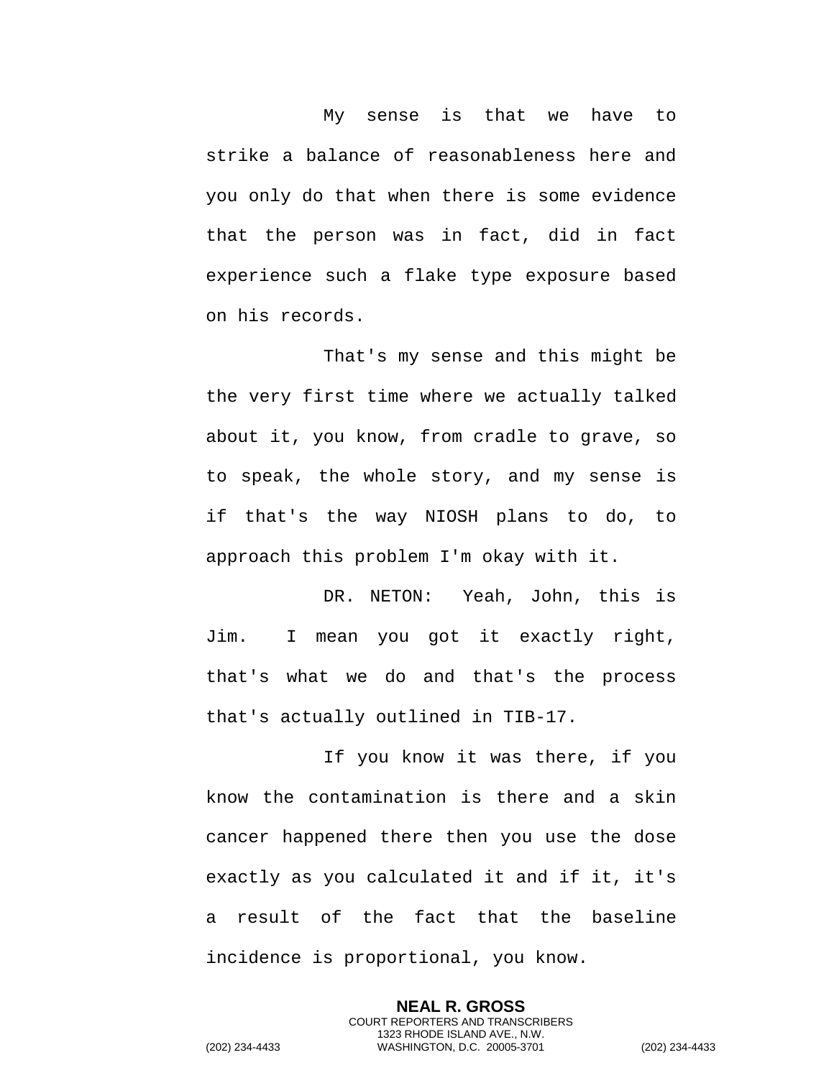My sense is that we have to strike a balance of reasonableness here and you only do that when there is some evidence that the person was in fact, did in fact experience such a flake type exposure based on his records.

That's my sense and this might be the very first time where we actually talked about it, you know, from cradle to grave, so to speak, the whole story, and my sense is if that's the way NIOSH plans to do, to approach this problem I'm okay with it.

DR. NETON: Yeah, John, this is Jim. I mean you got it exactly right, that's what we do and that's the process that's actually outlined in TIB-17.

If you know it was there, if you know the contamination is there and a skin cancer happened there then you use the dose exactly as you calculated it and if it, it's a result of the fact that the baseline incidence is proportional, you know.

> **NEAL R. GROSS** COURT REPORTERS AND TRANSCRIBERS 1323 RHODE ISLAND AVE., N.W.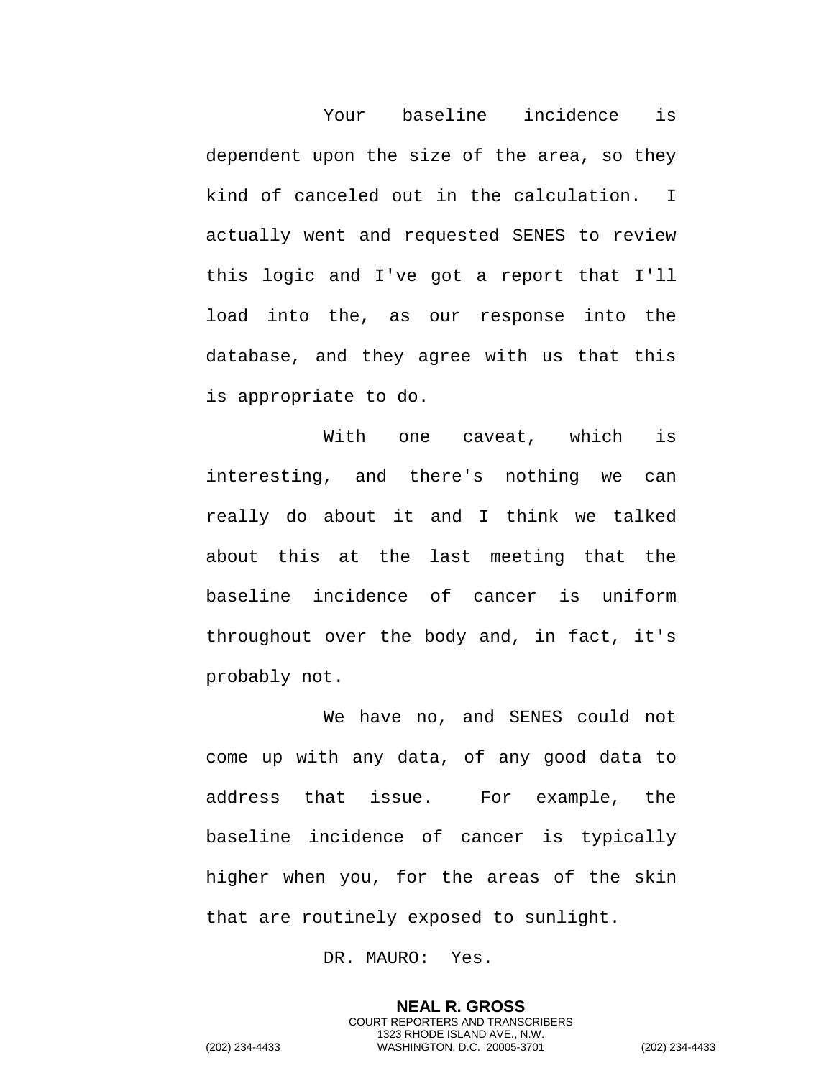Your baseline incidence is dependent upon the size of the area, so they kind of canceled out in the calculation. I actually went and requested SENES to review this logic and I've got a report that I'll load into the, as our response into the database, and they agree with us that this is appropriate to do.

With one caveat, which is interesting, and there's nothing we can really do about it and I think we talked about this at the last meeting that the baseline incidence of cancer is uniform throughout over the body and, in fact, it's probably not.

We have no, and SENES could not come up with any data, of any good data to address that issue. For example, the baseline incidence of cancer is typically higher when you, for the areas of the skin that are routinely exposed to sunlight.

DR. MAURO: Yes.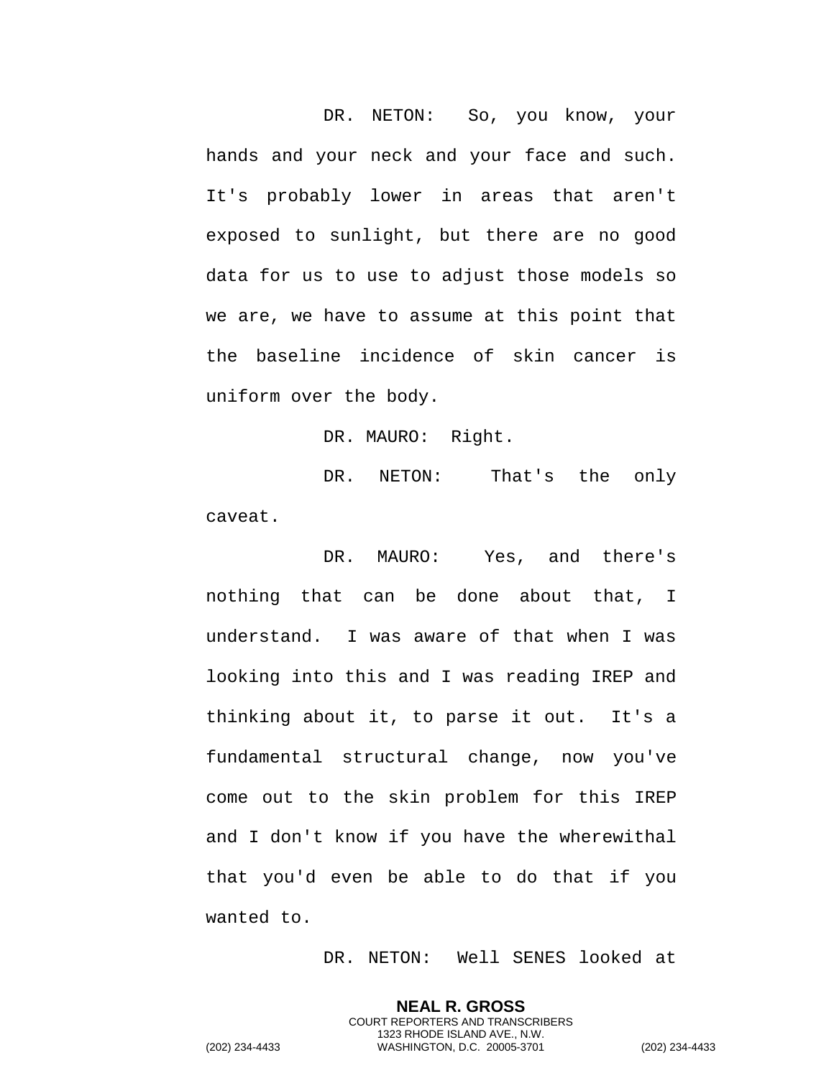DR. NETON: So, you know, your hands and your neck and your face and such. It's probably lower in areas that aren't exposed to sunlight, but there are no good data for us to use to adjust those models so we are, we have to assume at this point that the baseline incidence of skin cancer is uniform over the body.

DR. MAURO: Right.

DR. NETON: That's the only caveat.

DR. MAURO: Yes, and there's nothing that can be done about that, I understand. I was aware of that when I was looking into this and I was reading IREP and thinking about it, to parse it out. It's a fundamental structural change, now you've come out to the skin problem for this IREP and I don't know if you have the wherewithal that you'd even be able to do that if you wanted to.

DR. NETON: Well SENES looked at

**NEAL R. GROSS** COURT REPORTERS AND TRANSCRIBERS 1323 RHODE ISLAND AVE., N.W.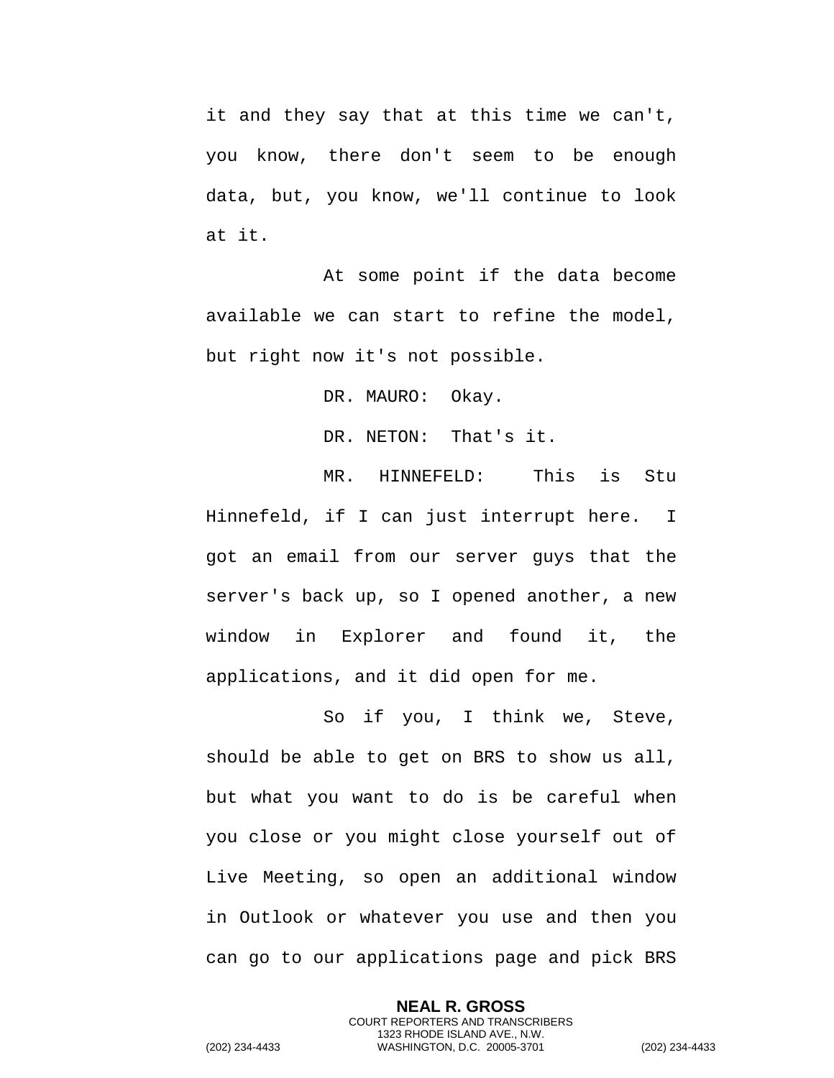it and they say that at this time we can't, you know, there don't seem to be enough data, but, you know, we'll continue to look at it.

At some point if the data become available we can start to refine the model, but right now it's not possible.

DR. MAURO: Okay.

DR. NETON: That's it.

MR. HINNEFELD: This is Stu Hinnefeld, if I can just interrupt here. I got an email from our server guys that the server's back up, so I opened another, a new window in Explorer and found it, the applications, and it did open for me.

So if you, I think we, Steve, should be able to get on BRS to show us all, but what you want to do is be careful when you close or you might close yourself out of Live Meeting, so open an additional window in Outlook or whatever you use and then you can go to our applications page and pick BRS

**NEAL R. GROSS** COURT REPORTERS AND TRANSCRIBERS 1323 RHODE ISLAND AVE., N.W. (202) 234-4433 WASHINGTON, D.C. 20005-3701 (202) 234-4433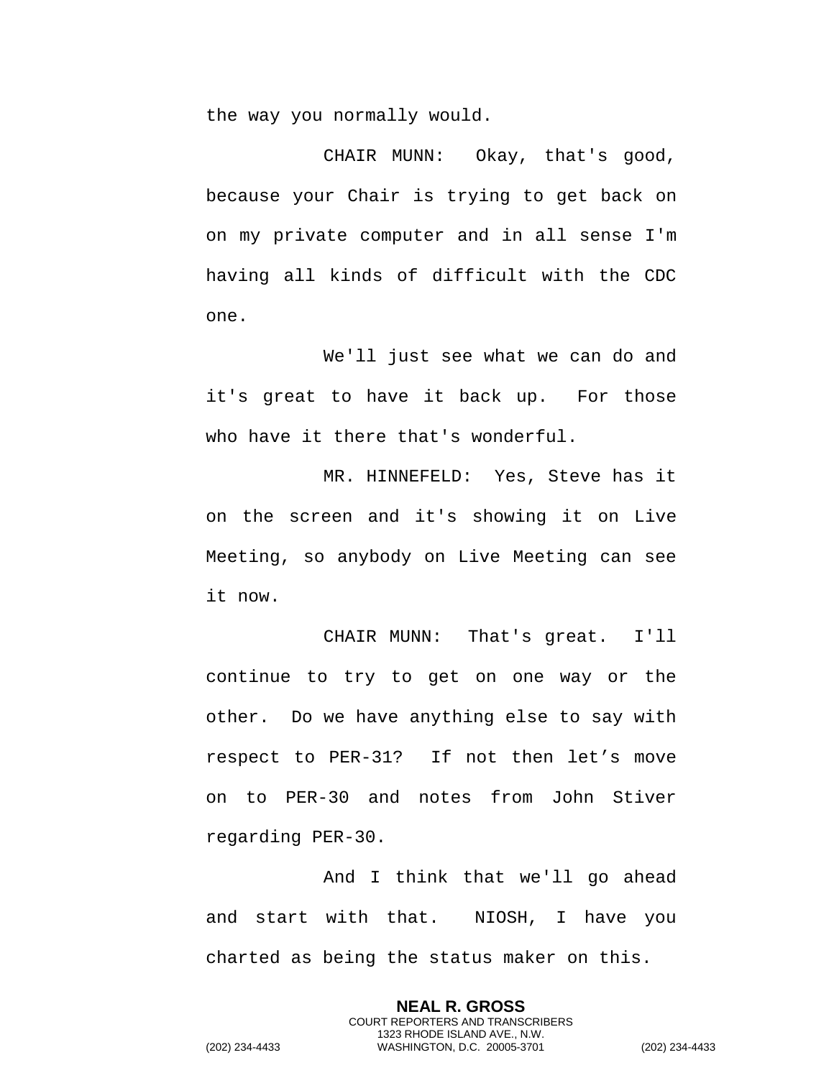the way you normally would.

CHAIR MUNN: Okay, that's good, because your Chair is trying to get back on on my private computer and in all sense I'm having all kinds of difficult with the CDC one.

We'll just see what we can do and it's great to have it back up. For those who have it there that's wonderful.

MR. HINNEFELD: Yes, Steve has it on the screen and it's showing it on Live Meeting, so anybody on Live Meeting can see it now.

CHAIR MUNN: That's great. I'll continue to try to get on one way or the other. Do we have anything else to say with respect to PER-31? If not then let's move on to PER-30 and notes from John Stiver regarding PER-30.

And I think that we'll go ahead and start with that. NIOSH, I have you charted as being the status maker on this.

> **NEAL R. GROSS** COURT REPORTERS AND TRANSCRIBERS 1323 RHODE ISLAND AVE., N.W.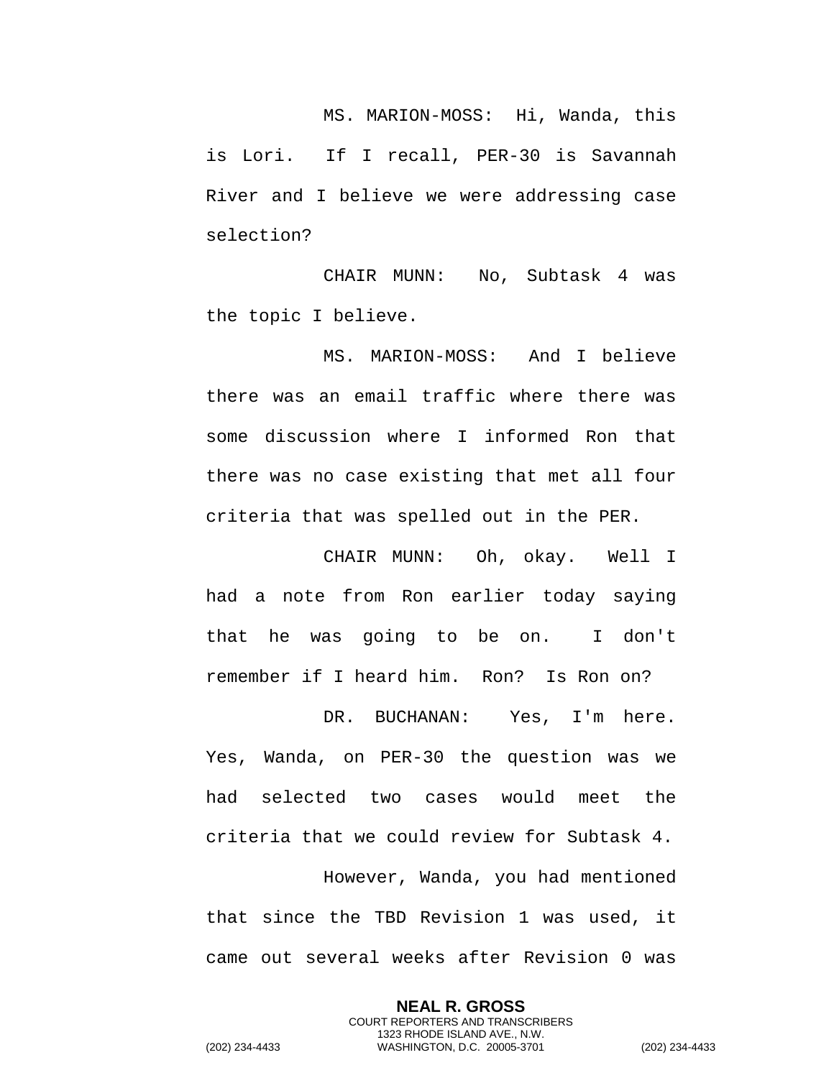MS. MARION-MOSS: Hi, Wanda, this is Lori. If I recall, PER-30 is Savannah River and I believe we were addressing case selection?

CHAIR MUNN: No, Subtask 4 was the topic I believe.

MS. MARION-MOSS: And I believe there was an email traffic where there was some discussion where I informed Ron that there was no case existing that met all four criteria that was spelled out in the PER.

CHAIR MUNN: Oh, okay. Well I had a note from Ron earlier today saying that he was going to be on. I don't remember if I heard him. Ron? Is Ron on?

DR. BUCHANAN: Yes, I'm here. Yes, Wanda, on PER-30 the question was we had selected two cases would meet the criteria that we could review for Subtask 4. However, Wanda, you had mentioned that since the TBD Revision 1 was used, it came out several weeks after Revision 0 was

> **NEAL R. GROSS** COURT REPORTERS AND TRANSCRIBERS 1323 RHODE ISLAND AVE., N.W.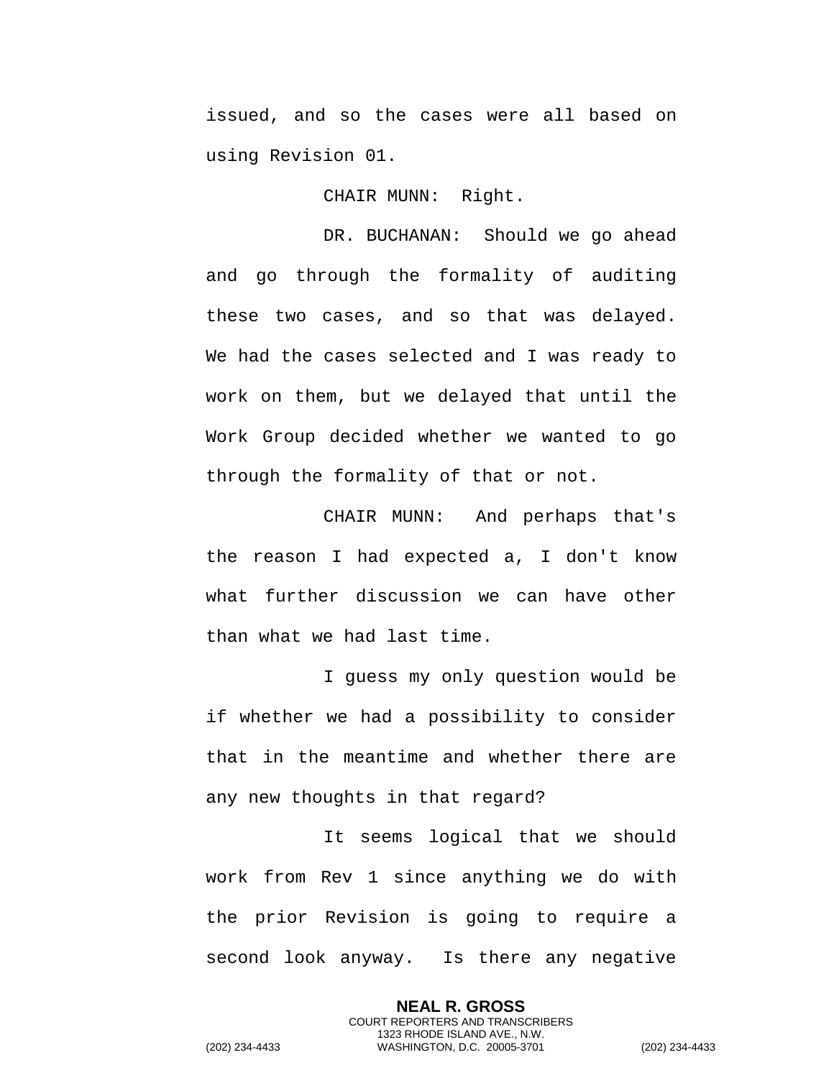issued, and so the cases were all based on using Revision 01.

CHAIR MUNN: Right.

DR. BUCHANAN: Should we go ahead and go through the formality of auditing these two cases, and so that was delayed. We had the cases selected and I was ready to work on them, but we delayed that until the Work Group decided whether we wanted to go through the formality of that or not.

CHAIR MUNN: And perhaps that's the reason I had expected a, I don't know what further discussion we can have other than what we had last time.

I guess my only question would be if whether we had a possibility to consider that in the meantime and whether there are any new thoughts in that regard?

It seems logical that we should work from Rev 1 since anything we do with the prior Revision is going to require a second look anyway. Is there any negative

> **NEAL R. GROSS** COURT REPORTERS AND TRANSCRIBERS 1323 RHODE ISLAND AVE., N.W.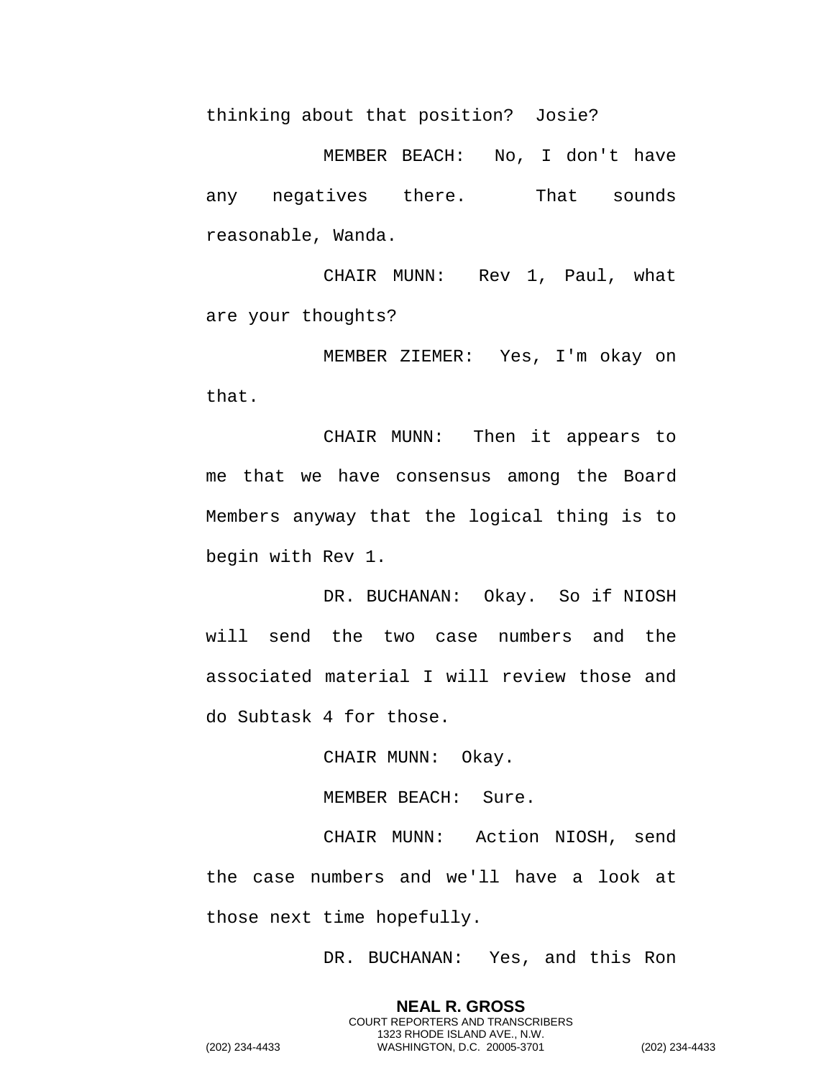thinking about that position? Josie?

MEMBER BEACH: No, I don't have any negatives there. That sounds reasonable, Wanda.

CHAIR MUNN: Rev 1, Paul, what are your thoughts?

MEMBER ZIEMER: Yes, I'm okay on that.

CHAIR MUNN: Then it appears to me that we have consensus among the Board Members anyway that the logical thing is to begin with Rev 1.

DR. BUCHANAN: Okay. So if NIOSH will send the two case numbers and the associated material I will review those and do Subtask 4 for those.

CHAIR MUNN: Okay.

MEMBER BEACH: Sure.

CHAIR MUNN: Action NIOSH, send the case numbers and we'll have a look at those next time hopefully.

DR. BUCHANAN: Yes, and this Ron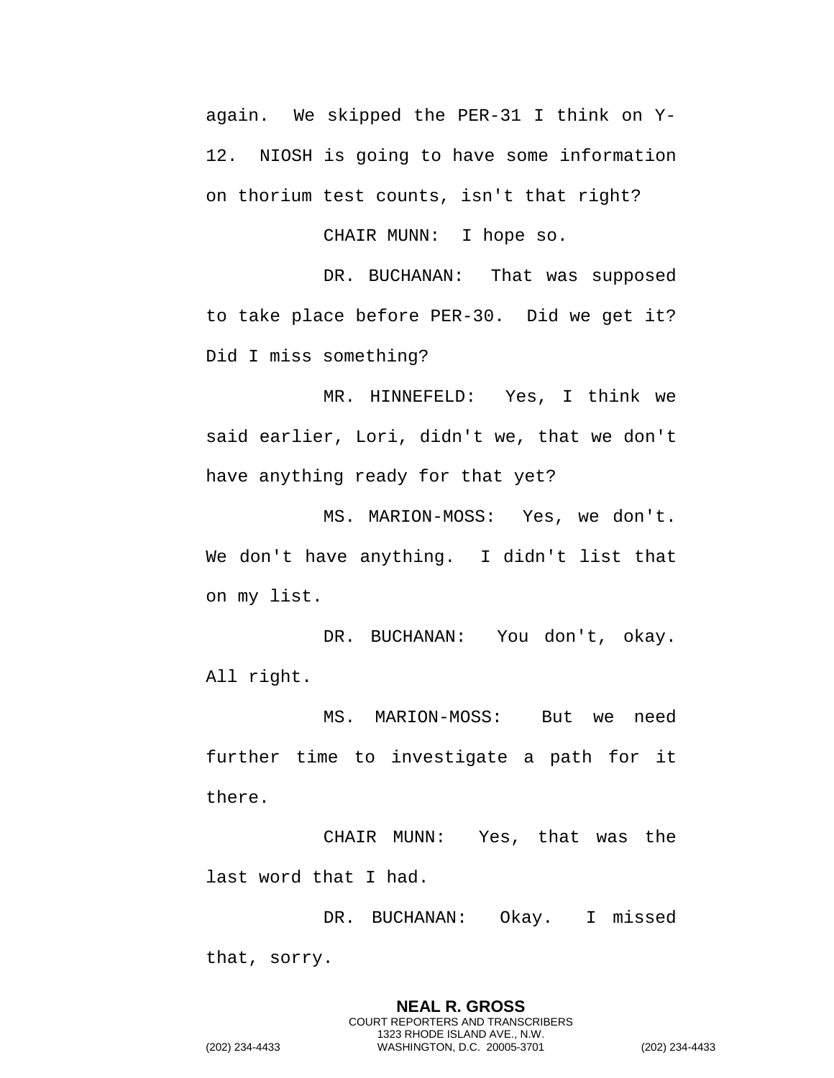again. We skipped the PER-31 I think on Y-12. NIOSH is going to have some information on thorium test counts, isn't that right?

CHAIR MUNN: I hope so.

DR. BUCHANAN: That was supposed to take place before PER-30. Did we get it? Did I miss something?

MR. HINNEFELD: Yes, I think we said earlier, Lori, didn't we, that we don't have anything ready for that yet?

MS. MARION-MOSS: Yes, we don't. We don't have anything. I didn't list that on my list.

DR. BUCHANAN: You don't, okay. All right.

MS. MARION-MOSS: But we need further time to investigate a path for it there.

CHAIR MUNN: Yes, that was the last word that I had.

DR. BUCHANAN: Okay. I missed that, sorry.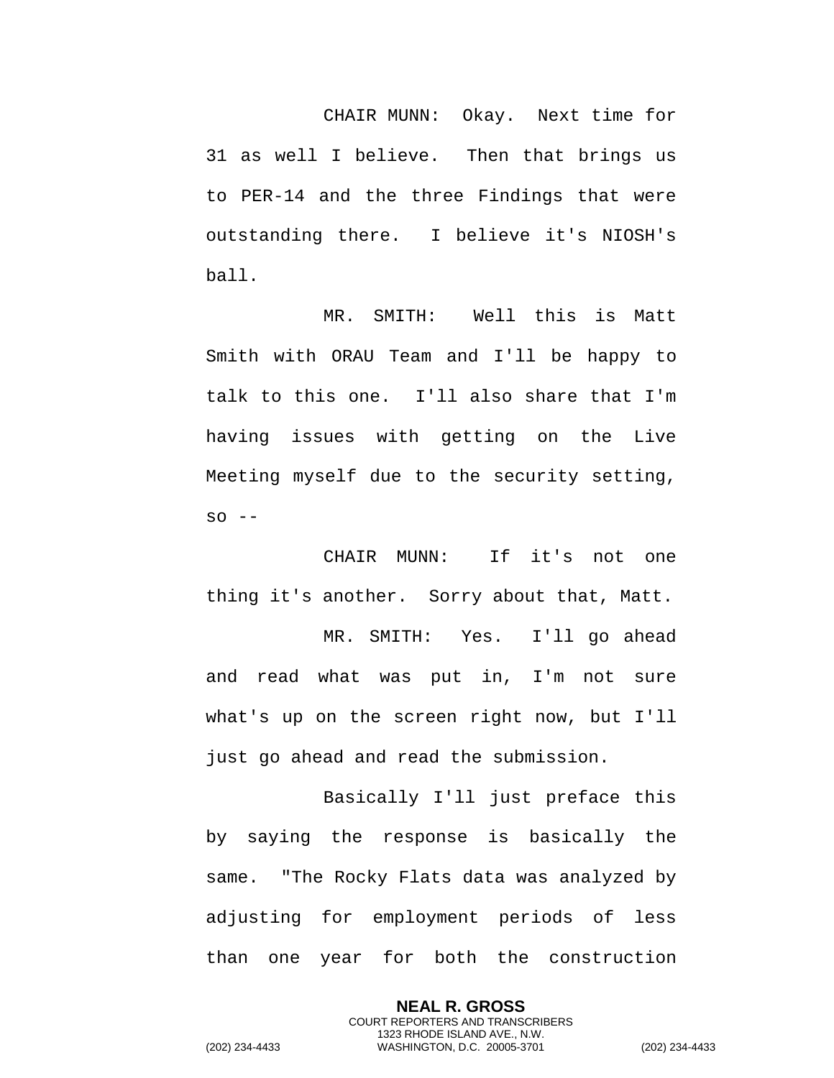CHAIR MUNN: Okay. Next time for 31 as well I believe. Then that brings us to PER-14 and the three Findings that were outstanding there. I believe it's NIOSH's ball.

MR. SMITH: Well this is Matt Smith with ORAU Team and I'll be happy to talk to this one. I'll also share that I'm having issues with getting on the Live Meeting myself due to the security setting,  $SO - -$ 

CHAIR MUNN: If it's not one thing it's another. Sorry about that, Matt.

MR. SMITH: Yes. I'll go ahead and read what was put in, I'm not sure what's up on the screen right now, but I'll just go ahead and read the submission.

Basically I'll just preface this by saying the response is basically the same. "The Rocky Flats data was analyzed by adjusting for employment periods of less than one year for both the construction

> **NEAL R. GROSS** COURT REPORTERS AND TRANSCRIBERS 1323 RHODE ISLAND AVE., N.W.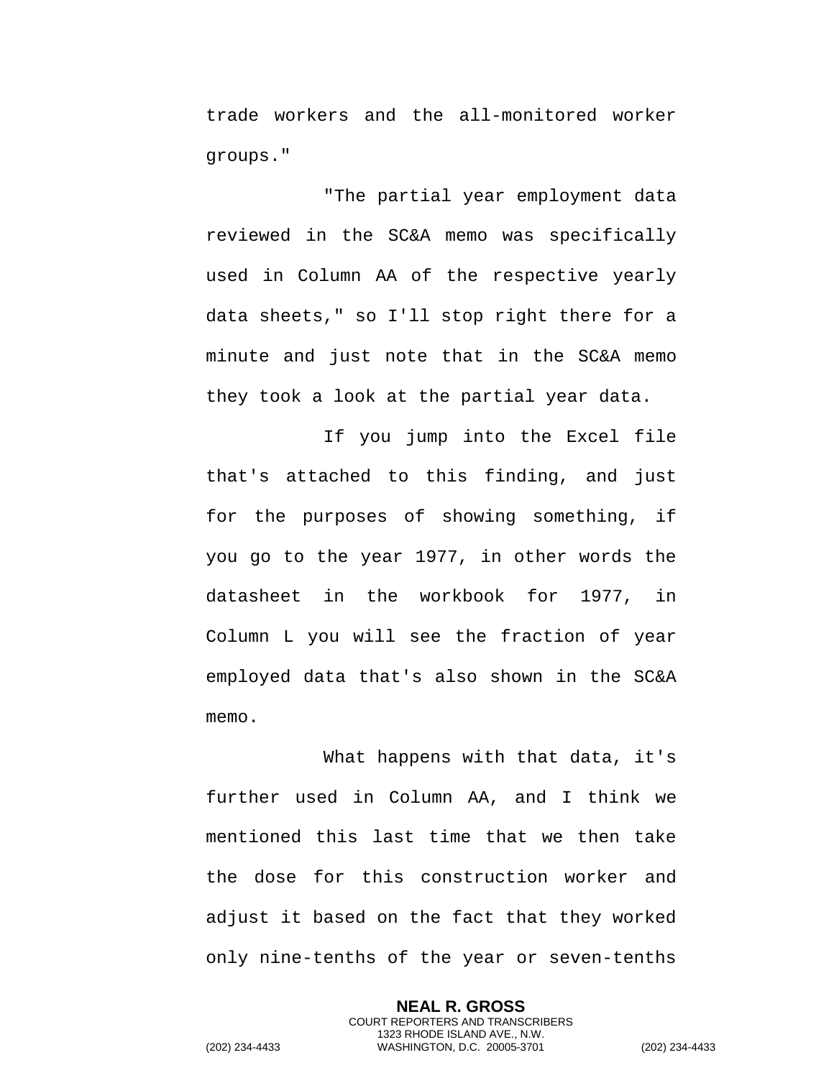trade workers and the all-monitored worker groups."

"The partial year employment data reviewed in the SC&A memo was specifically used in Column AA of the respective yearly data sheets," so I'll stop right there for a minute and just note that in the SC&A memo they took a look at the partial year data.

If you jump into the Excel file that's attached to this finding, and just for the purposes of showing something, if you go to the year 1977, in other words the datasheet in the workbook for 1977, in Column L you will see the fraction of year employed data that's also shown in the SC&A memo.

What happens with that data, it's further used in Column AA, and I think we mentioned this last time that we then take the dose for this construction worker and adjust it based on the fact that they worked only nine-tenths of the year or seven-tenths

> **NEAL R. GROSS** COURT REPORTERS AND TRANSCRIBERS 1323 RHODE ISLAND AVE., N.W.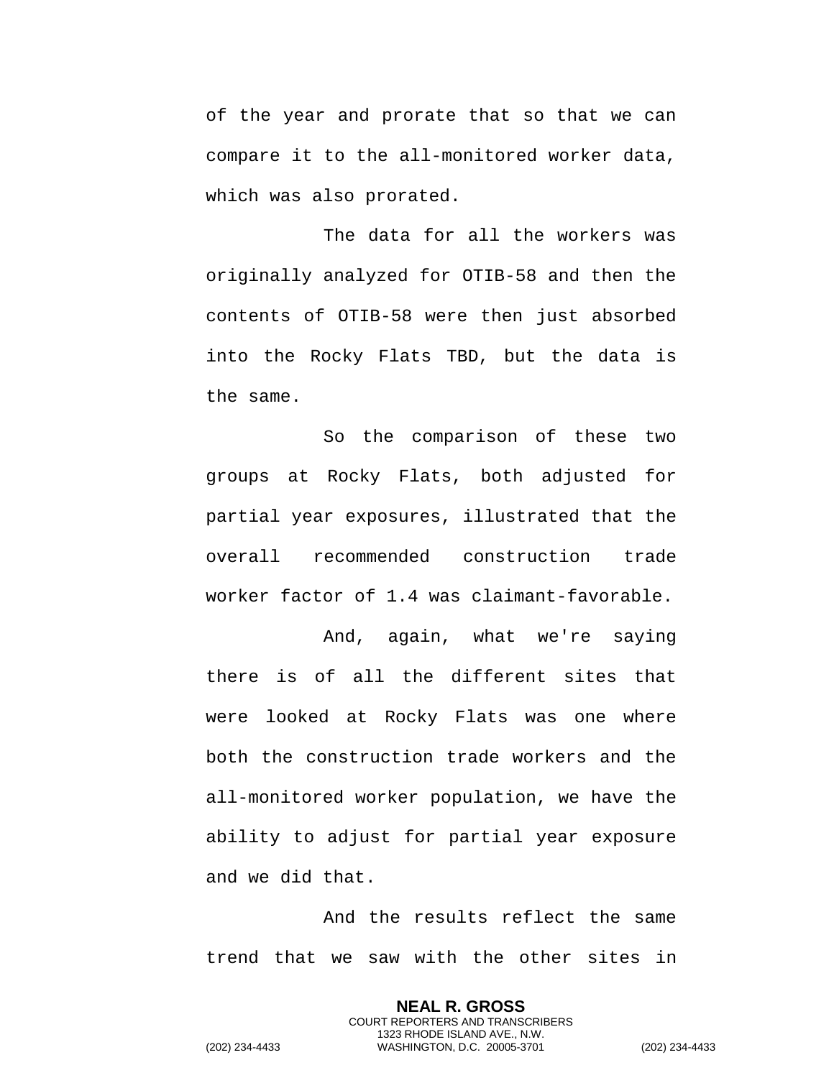of the year and prorate that so that we can compare it to the all-monitored worker data, which was also prorated.

The data for all the workers was originally analyzed for OTIB-58 and then the contents of OTIB-58 were then just absorbed into the Rocky Flats TBD, but the data is the same.

So the comparison of these two groups at Rocky Flats, both adjusted for partial year exposures, illustrated that the overall recommended construction trade worker factor of 1.4 was claimant-favorable.

And, again, what we're saying there is of all the different sites that were looked at Rocky Flats was one where both the construction trade workers and the all-monitored worker population, we have the ability to adjust for partial year exposure and we did that.

And the results reflect the same trend that we saw with the other sites in

> **NEAL R. GROSS** COURT REPORTERS AND TRANSCRIBERS 1323 RHODE ISLAND AVE., N.W.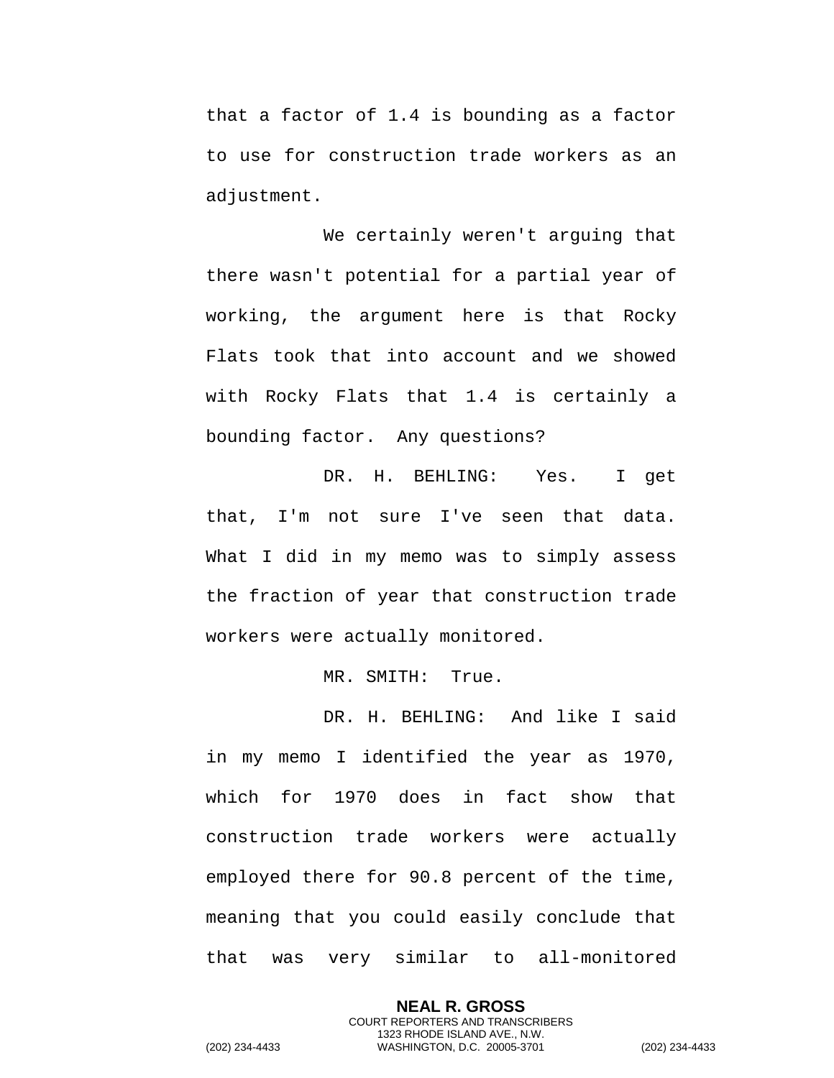that a factor of 1.4 is bounding as a factor to use for construction trade workers as an adjustment.

We certainly weren't arguing that there wasn't potential for a partial year of working, the argument here is that Rocky Flats took that into account and we showed with Rocky Flats that 1.4 is certainly a bounding factor. Any questions?

DR. H. BEHLING: Yes. I get that, I'm not sure I've seen that data. What I did in my memo was to simply assess the fraction of year that construction trade workers were actually monitored.

MR. SMITH: True.

DR. H. BEHLING: And like I said in my memo I identified the year as 1970, which for 1970 does in fact show that construction trade workers were actually employed there for 90.8 percent of the time, meaning that you could easily conclude that that was very similar to all-monitored

> **NEAL R. GROSS** COURT REPORTERS AND TRANSCRIBERS 1323 RHODE ISLAND AVE., N.W.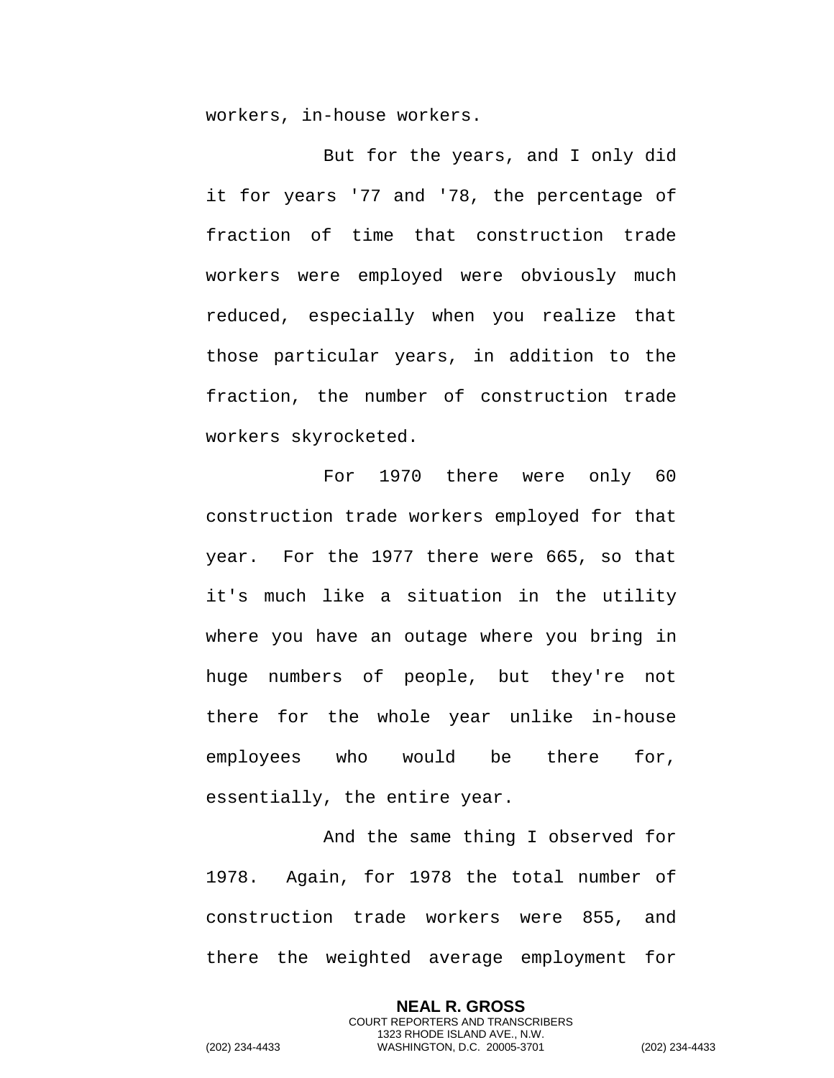workers, in-house workers.

But for the years, and I only did it for years '77 and '78, the percentage of fraction of time that construction trade workers were employed were obviously much reduced, especially when you realize that those particular years, in addition to the fraction, the number of construction trade workers skyrocketed.

For 1970 there were only 60 construction trade workers employed for that year. For the 1977 there were 665, so that it's much like a situation in the utility where you have an outage where you bring in huge numbers of people, but they're not there for the whole year unlike in-house employees who would be there for, essentially, the entire year.

And the same thing I observed for 1978. Again, for 1978 the total number of construction trade workers were 855, and there the weighted average employment for

> **NEAL R. GROSS** COURT REPORTERS AND TRANSCRIBERS 1323 RHODE ISLAND AVE., N.W.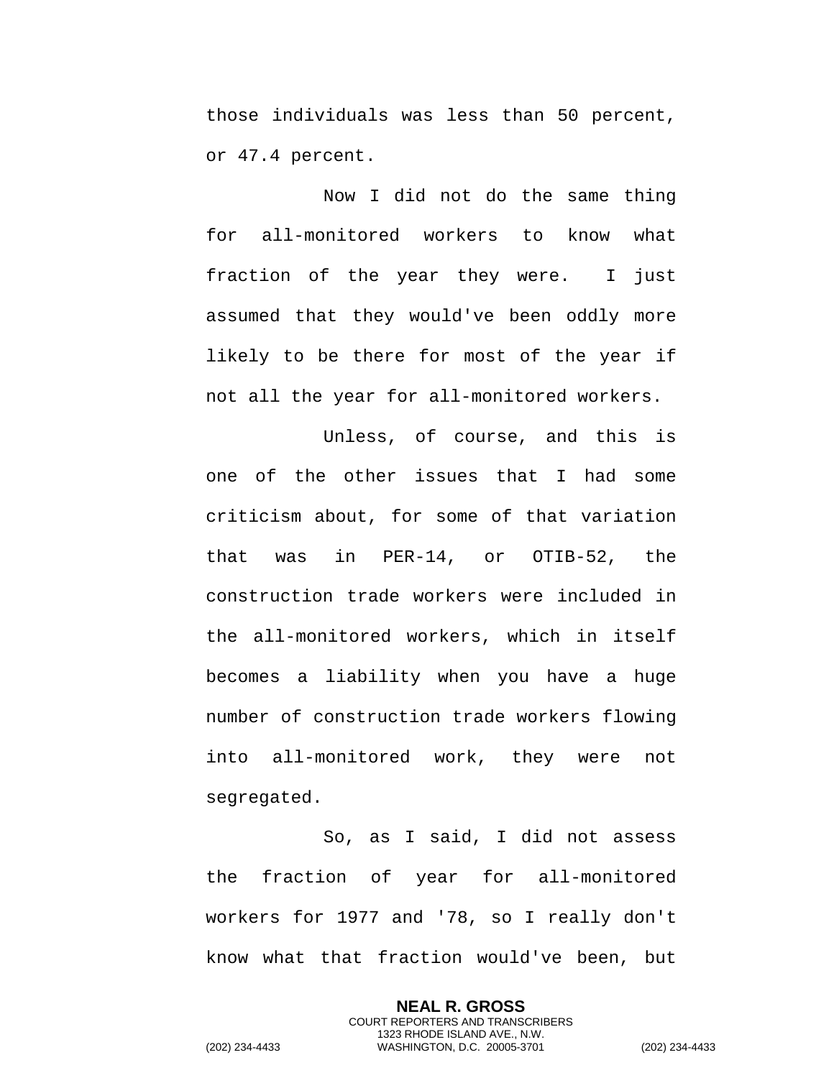those individuals was less than 50 percent, or 47.4 percent.

Now I did not do the same thing for all-monitored workers to know what fraction of the year they were. I just assumed that they would've been oddly more likely to be there for most of the year if not all the year for all-monitored workers.

Unless, of course, and this is one of the other issues that I had some criticism about, for some of that variation that was in PER-14, or OTIB-52, the construction trade workers were included in the all-monitored workers, which in itself becomes a liability when you have a huge number of construction trade workers flowing into all-monitored work, they were not segregated.

So, as I said, I did not assess the fraction of year for all-monitored workers for 1977 and '78, so I really don't know what that fraction would've been, but

> **NEAL R. GROSS** COURT REPORTERS AND TRANSCRIBERS 1323 RHODE ISLAND AVE., N.W.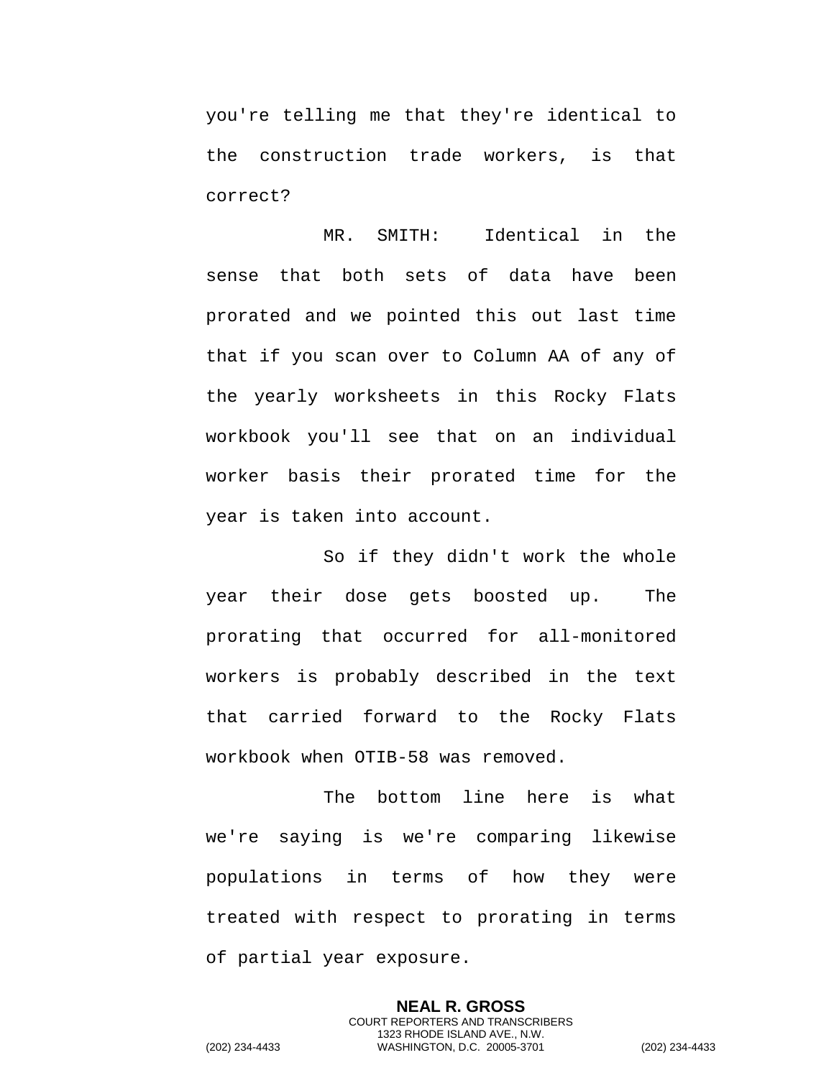you're telling me that they're identical to the construction trade workers, is that correct?

MR. SMITH: Identical in the sense that both sets of data have been prorated and we pointed this out last time that if you scan over to Column AA of any of the yearly worksheets in this Rocky Flats workbook you'll see that on an individual worker basis their prorated time for the year is taken into account.

So if they didn't work the whole year their dose gets boosted up. The prorating that occurred for all-monitored workers is probably described in the text that carried forward to the Rocky Flats workbook when OTIB-58 was removed.

The bottom line here is what we're saying is we're comparing likewise populations in terms of how they were treated with respect to prorating in terms of partial year exposure.

**NEAL R. GROSS** COURT REPORTERS AND TRANSCRIBERS 1323 RHODE ISLAND AVE., N.W. (202) 234-4433 WASHINGTON, D.C. 20005-3701 (202) 234-4433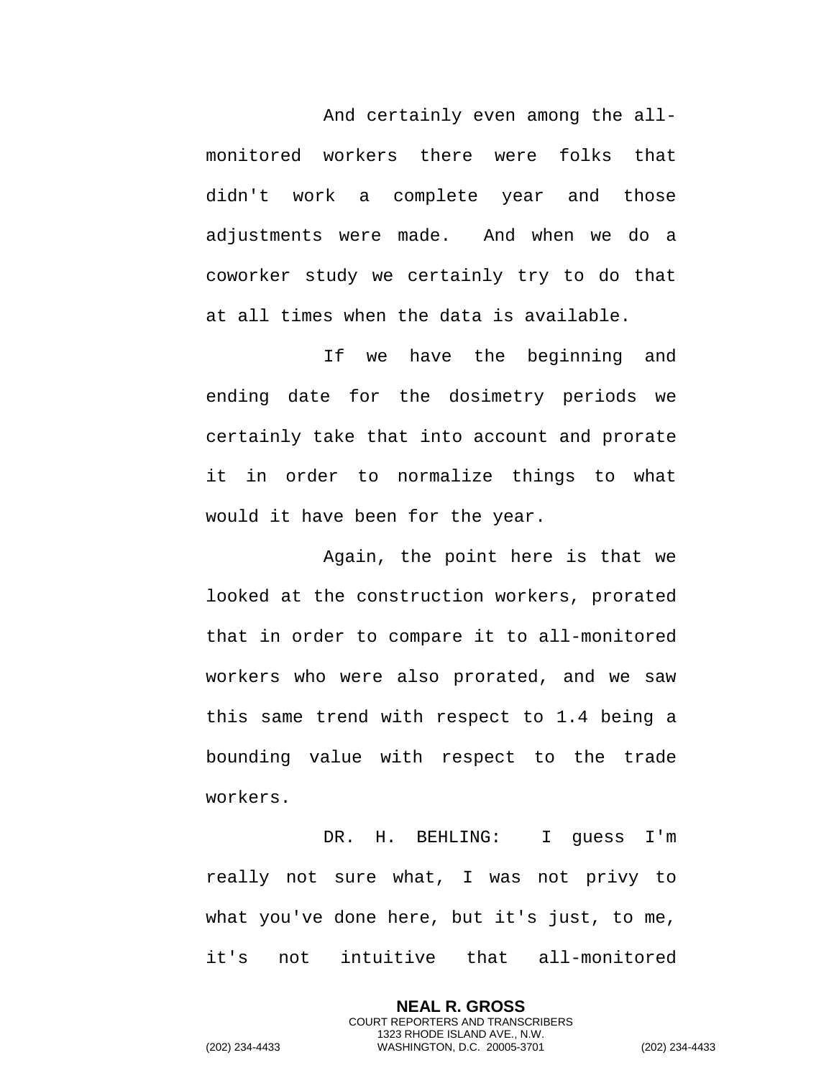And certainly even among the allmonitored workers there were folks that didn't work a complete year and those adjustments were made. And when we do a coworker study we certainly try to do that at all times when the data is available.

If we have the beginning and ending date for the dosimetry periods we certainly take that into account and prorate it in order to normalize things to what would it have been for the year.

Again, the point here is that we looked at the construction workers, prorated that in order to compare it to all-monitored workers who were also prorated, and we saw this same trend with respect to 1.4 being a bounding value with respect to the trade workers.

DR. H. BEHLING: I guess I'm really not sure what, I was not privy to what you've done here, but it's just, to me, it's not intuitive that all-monitored

> **NEAL R. GROSS** COURT REPORTERS AND TRANSCRIBERS 1323 RHODE ISLAND AVE., N.W.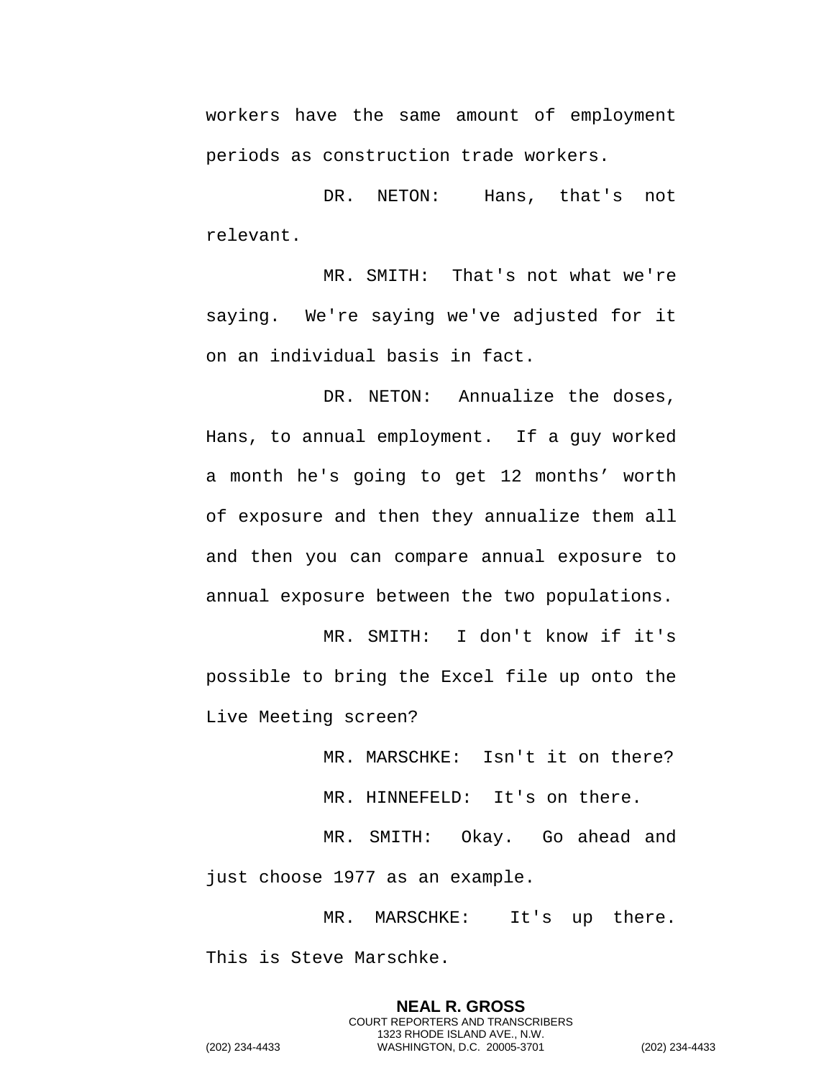workers have the same amount of employment periods as construction trade workers.

DR. NETON: Hans, that's not relevant.

MR. SMITH: That's not what we're saying. We're saying we've adjusted for it on an individual basis in fact.

DR. NETON: Annualize the doses, Hans, to annual employment. If a guy worked a month he's going to get 12 months' worth of exposure and then they annualize them all and then you can compare annual exposure to annual exposure between the two populations.

MR. SMITH: I don't know if it's possible to bring the Excel file up onto the Live Meeting screen?

MR. MARSCHKE: Isn't it on there?

MR. HINNEFELD: It's on there.

MR. SMITH: Okay. Go ahead and just choose 1977 as an example.

MR. MARSCHKE: It's up there. This is Steve Marschke.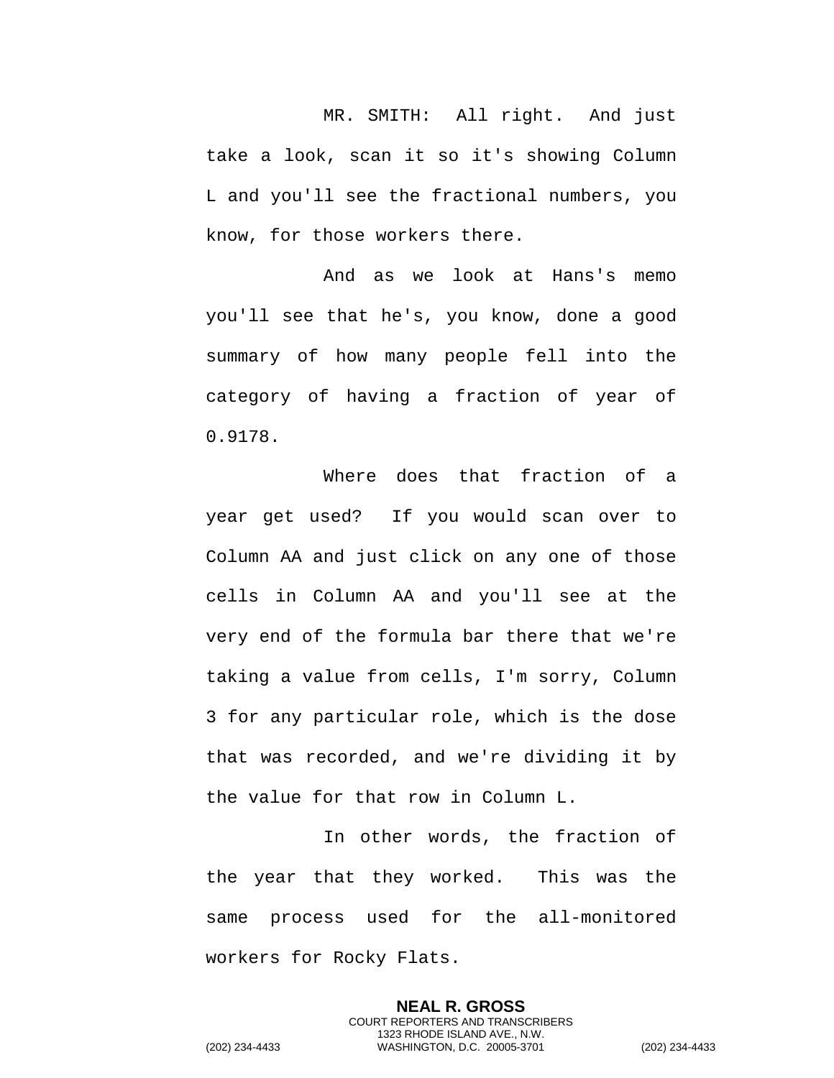MR. SMITH: All right. And just take a look, scan it so it's showing Column L and you'll see the fractional numbers, you know, for those workers there.

And as we look at Hans's memo you'll see that he's, you know, done a good summary of how many people fell into the category of having a fraction of year of 0.9178.

Where does that fraction of a year get used? If you would scan over to Column AA and just click on any one of those cells in Column AA and you'll see at the very end of the formula bar there that we're taking a value from cells, I'm sorry, Column 3 for any particular role, which is the dose that was recorded, and we're dividing it by the value for that row in Column L.

In other words, the fraction of the year that they worked. This was the same process used for the all-monitored workers for Rocky Flats.

> **NEAL R. GROSS** COURT REPORTERS AND TRANSCRIBERS 1323 RHODE ISLAND AVE., N.W.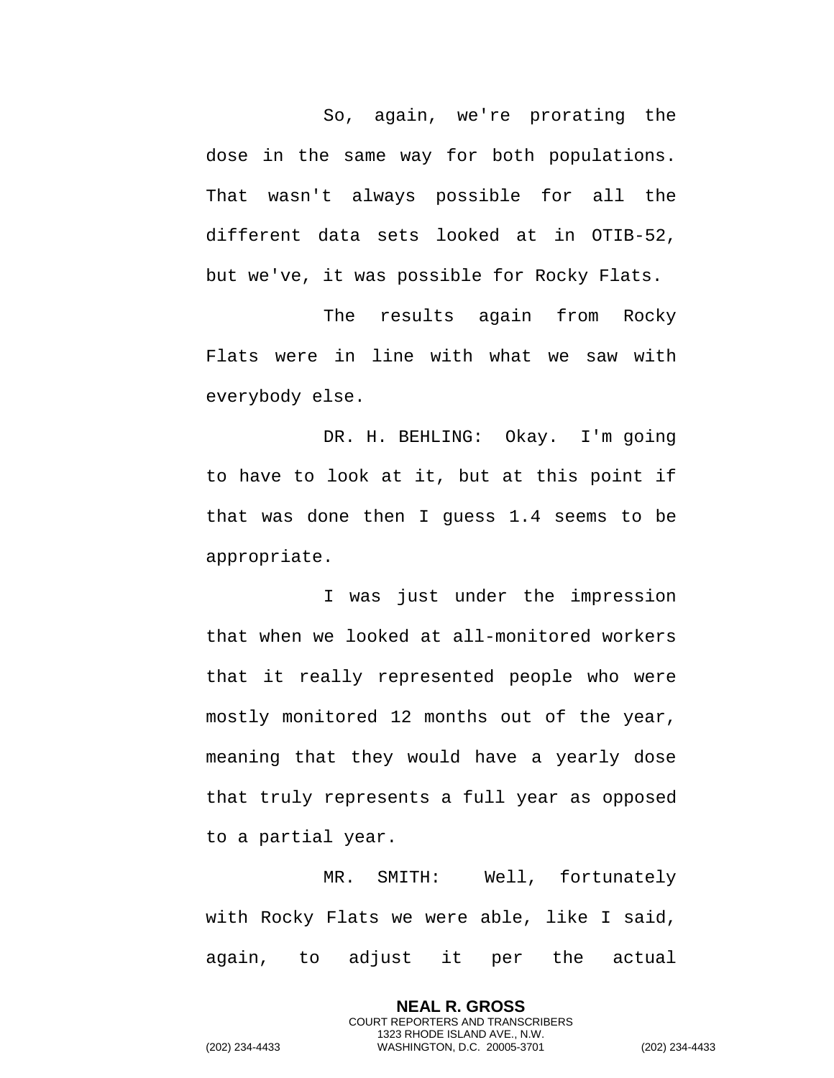So, again, we're prorating the dose in the same way for both populations. That wasn't always possible for all the different data sets looked at in OTIB-52, but we've, it was possible for Rocky Flats.

The results again from Rocky Flats were in line with what we saw with everybody else.

DR. H. BEHLING: Okay. I'm going to have to look at it, but at this point if that was done then I guess 1.4 seems to be appropriate.

I was just under the impression that when we looked at all-monitored workers that it really represented people who were mostly monitored 12 months out of the year, meaning that they would have a yearly dose that truly represents a full year as opposed to a partial year.

MR. SMITH: Well, fortunately with Rocky Flats we were able, like I said, again, to adjust it per the actual

> **NEAL R. GROSS** COURT REPORTERS AND TRANSCRIBERS 1323 RHODE ISLAND AVE., N.W.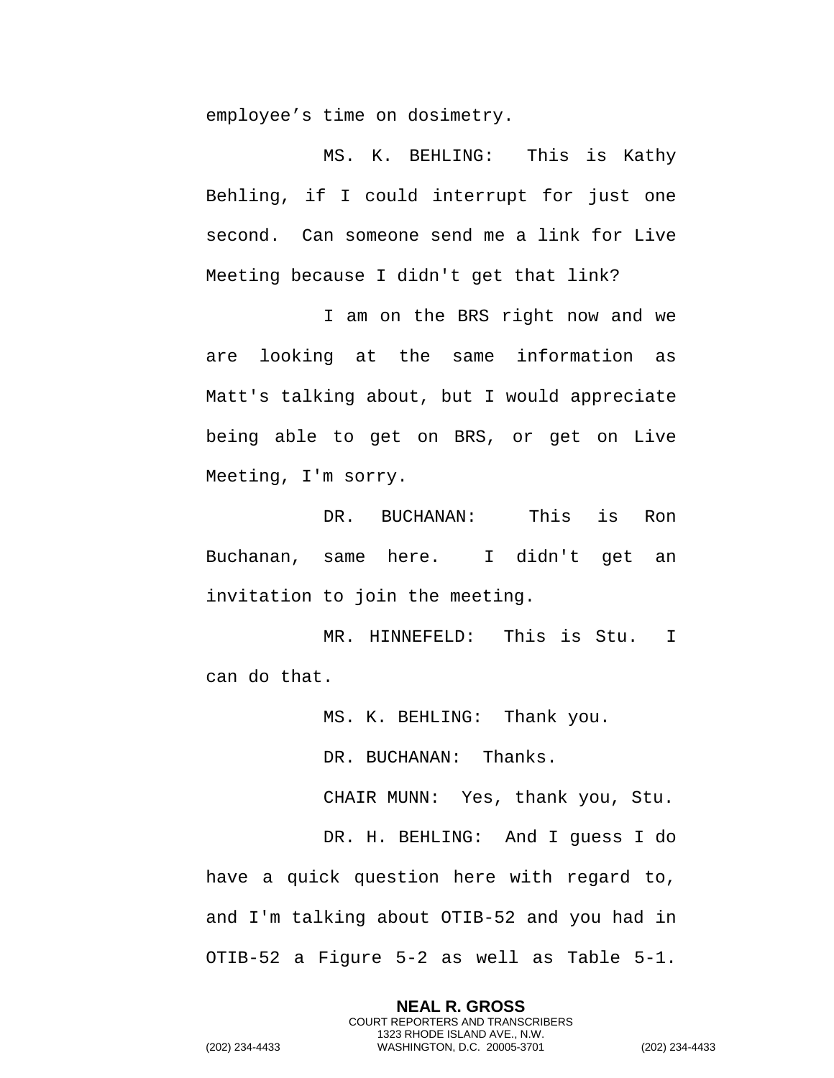employee's time on dosimetry.

MS. K. BEHLING: This is Kathy Behling, if I could interrupt for just one second. Can someone send me a link for Live Meeting because I didn't get that link?

I am on the BRS right now and we are looking at the same information as Matt's talking about, but I would appreciate being able to get on BRS, or get on Live Meeting, I'm sorry.

DR. BUCHANAN: This is Ron Buchanan, same here. I didn't get an invitation to join the meeting.

MR. HINNEFELD: This is Stu. I can do that.

MS. K. BEHLING: Thank you.

DR. BUCHANAN: Thanks.

CHAIR MUNN: Yes, thank you, Stu.

DR. H. BEHLING: And I guess I do have a quick question here with regard to, and I'm talking about OTIB-52 and you had in OTIB-52 a Figure 5-2 as well as Table 5-1.

> **NEAL R. GROSS** COURT REPORTERS AND TRANSCRIBERS 1323 RHODE ISLAND AVE., N.W.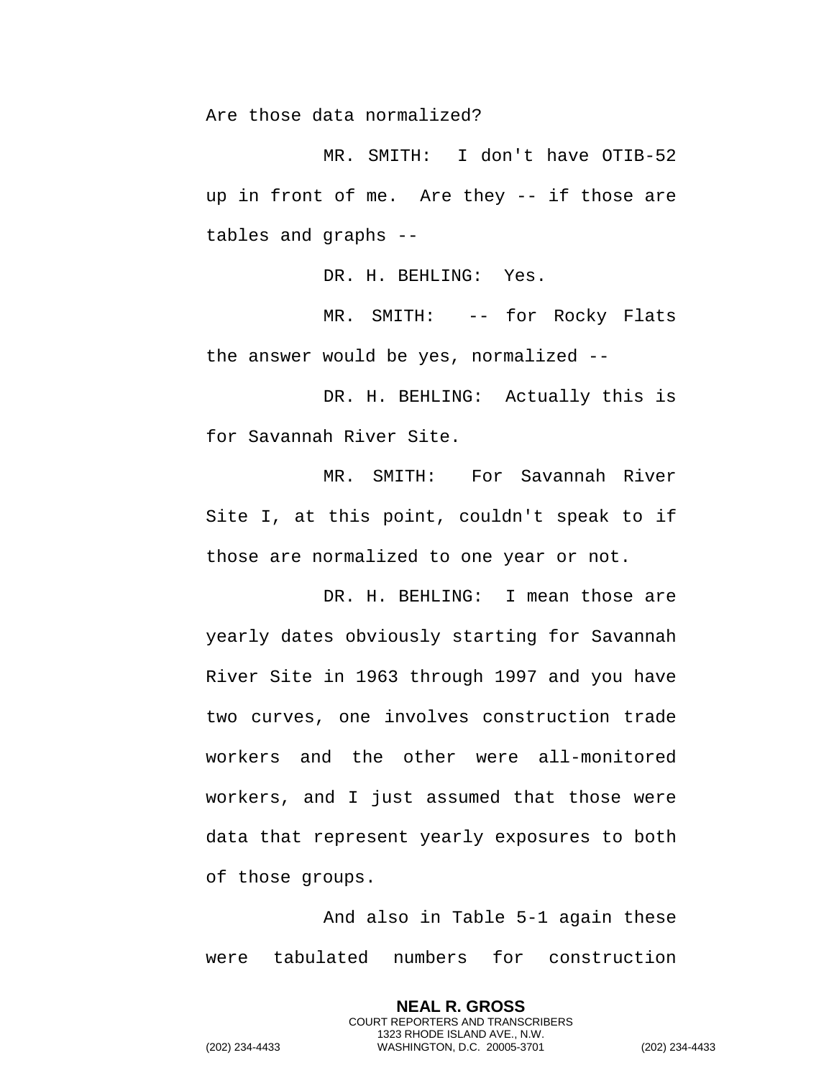Are those data normalized?

MR. SMITH: I don't have OTIB-52 up in front of me. Are they -- if those are tables and graphs --

DR. H. BEHLING: Yes.

MR. SMITH: -- for Rocky Flats the answer would be yes, normalized --

DR. H. BEHLING: Actually this is for Savannah River Site.

MR. SMITH: For Savannah River Site I, at this point, couldn't speak to if those are normalized to one year or not.

DR. H. BEHLING: I mean those are yearly dates obviously starting for Savannah River Site in 1963 through 1997 and you have two curves, one involves construction trade workers and the other were all-monitored workers, and I just assumed that those were data that represent yearly exposures to both of those groups.

And also in Table 5-1 again these were tabulated numbers for construction

> **NEAL R. GROSS** COURT REPORTERS AND TRANSCRIBERS 1323 RHODE ISLAND AVE., N.W.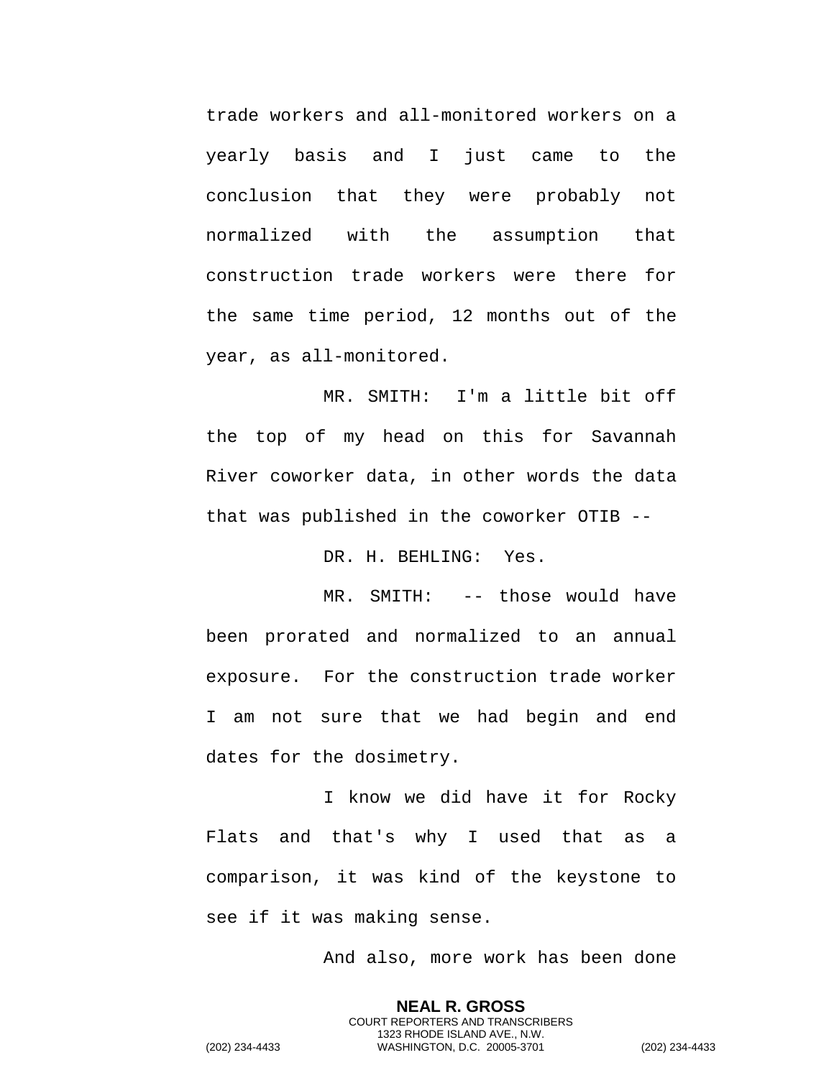trade workers and all-monitored workers on a yearly basis and I just came to the conclusion that they were probably not normalized with the assumption that construction trade workers were there for the same time period, 12 months out of the year, as all-monitored.

MR. SMITH: I'm a little bit off the top of my head on this for Savannah River coworker data, in other words the data that was published in the coworker OTIB --

DR. H. BEHLING: Yes.

MR. SMITH: -- those would have been prorated and normalized to an annual exposure. For the construction trade worker I am not sure that we had begin and end dates for the dosimetry.

I know we did have it for Rocky Flats and that's why I used that as a comparison, it was kind of the keystone to see if it was making sense.

And also, more work has been done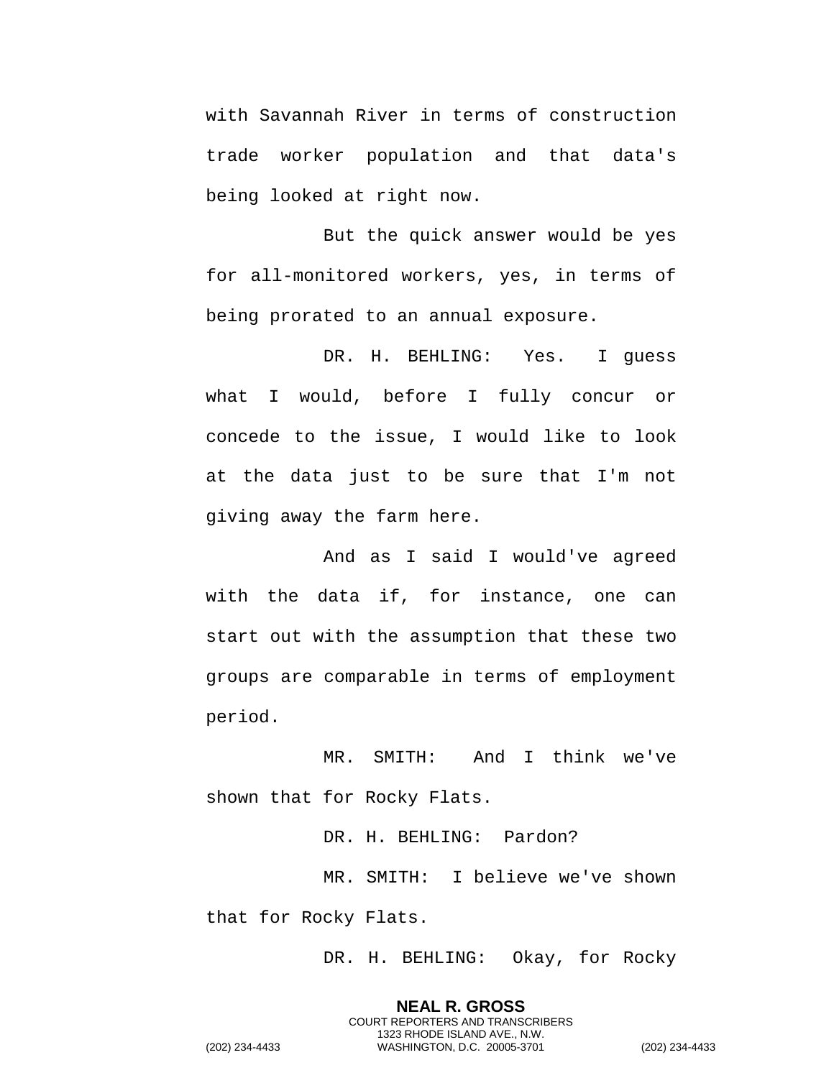with Savannah River in terms of construction trade worker population and that data's being looked at right now.

But the quick answer would be yes for all-monitored workers, yes, in terms of being prorated to an annual exposure.

DR. H. BEHLING: Yes. I guess what I would, before I fully concur or concede to the issue, I would like to look at the data just to be sure that I'm not giving away the farm here.

And as I said I would've agreed with the data if, for instance, one can start out with the assumption that these two groups are comparable in terms of employment period.

MR. SMITH: And I think we've shown that for Rocky Flats.

DR. H. BEHLING: Pardon? MR. SMITH: I believe we've shown that for Rocky Flats.

DR. H. BEHLING: Okay, for Rocky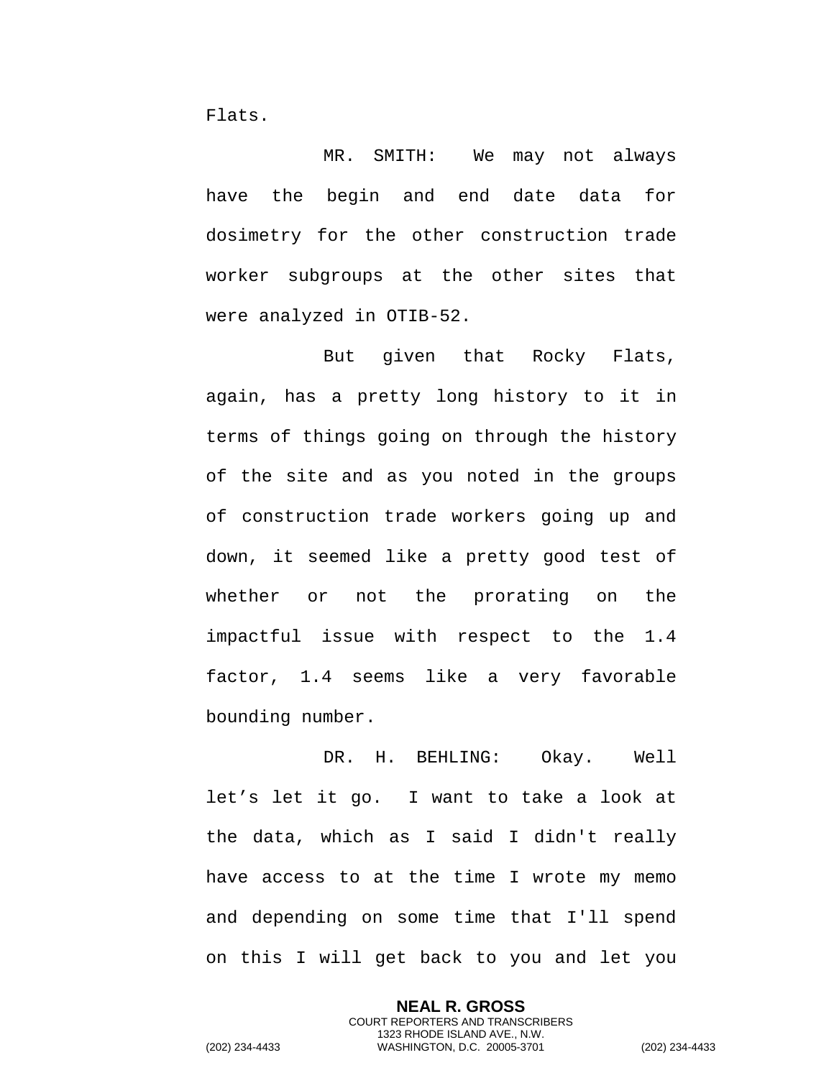Flats.

MR. SMITH: We may not always have the begin and end date data for dosimetry for the other construction trade worker subgroups at the other sites that were analyzed in OTIB-52.

But given that Rocky Flats, again, has a pretty long history to it in terms of things going on through the history of the site and as you noted in the groups of construction trade workers going up and down, it seemed like a pretty good test of whether or not the prorating on the impactful issue with respect to the 1.4 factor, 1.4 seems like a very favorable bounding number.

DR. H. BEHLING: Okay. Well let's let it go. I want to take a look at the data, which as I said I didn't really have access to at the time I wrote my memo and depending on some time that I'll spend on this I will get back to you and let you

> **NEAL R. GROSS** COURT REPORTERS AND TRANSCRIBERS 1323 RHODE ISLAND AVE., N.W.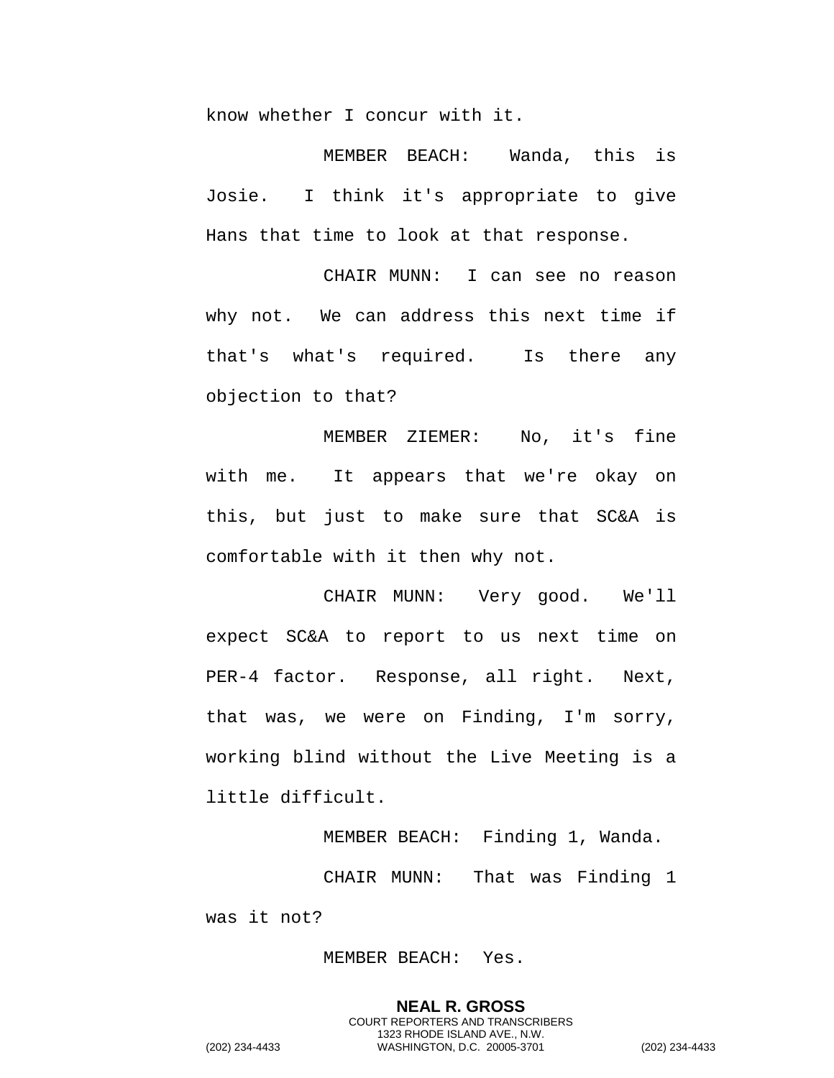know whether I concur with it.

MEMBER BEACH: Wanda, this is Josie. I think it's appropriate to give Hans that time to look at that response.

CHAIR MUNN: I can see no reason why not. We can address this next time if that's what's required. Is there any objection to that?

MEMBER ZIEMER: No, it's fine with me. It appears that we're okay on this, but just to make sure that SC&A is comfortable with it then why not.

CHAIR MUNN: Very good. We'll expect SC&A to report to us next time on PER-4 factor. Response, all right. Next, that was, we were on Finding, I'm sorry, working blind without the Live Meeting is a little difficult.

MEMBER BEACH: Finding 1, Wanda. CHAIR MUNN: That was Finding 1 was it not?

MEMBER BEACH: Yes.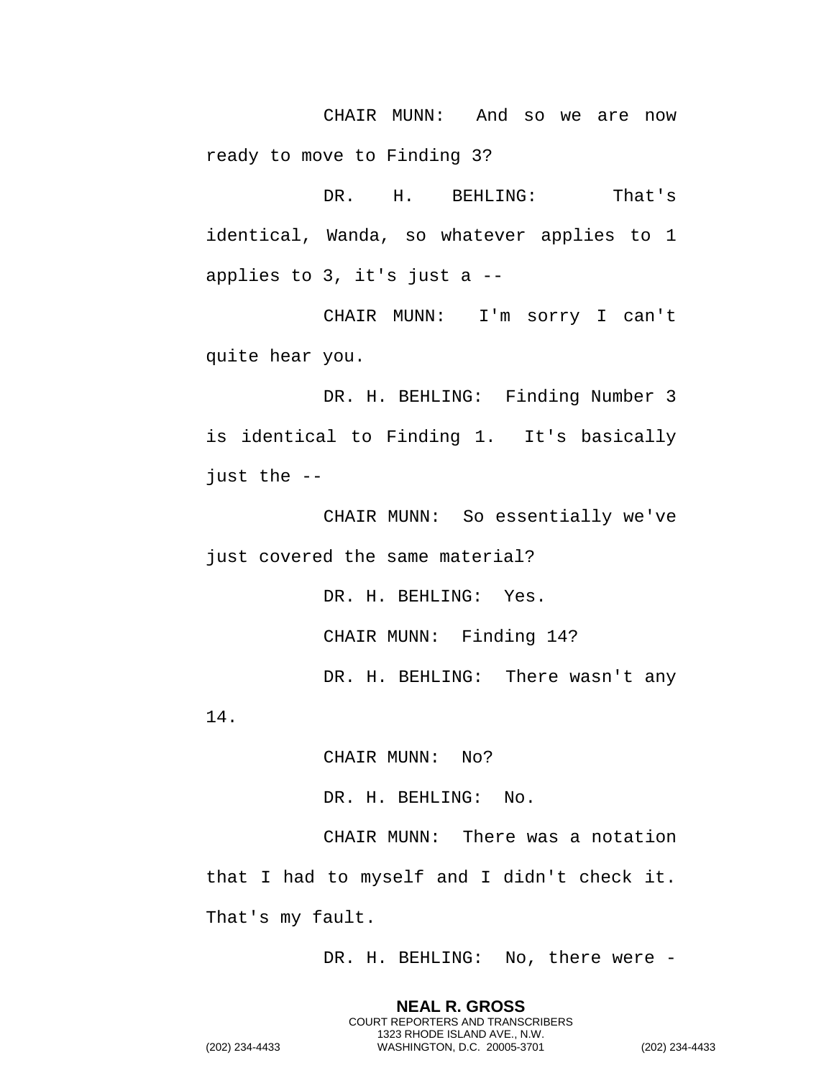CHAIR MUNN: And so we are now ready to move to Finding 3?

DR. H. BEHLING: That's identical, Wanda, so whatever applies to 1 applies to 3, it's just a --

CHAIR MUNN: I'm sorry I can't quite hear you.

DR. H. BEHLING: Finding Number 3 is identical to Finding 1. It's basically just the --

CHAIR MUNN: So essentially we've just covered the same material?

> DR. H. BEHLING: Yes. CHAIR MUNN: Finding 14? DR. H. BEHLING: There wasn't any

14.

CHAIR MUNN: No?

DR. H. BEHLING: No.

CHAIR MUNN: There was a notation that I had to myself and I didn't check it. That's my fault.

DR. H. BEHLING: No, there were -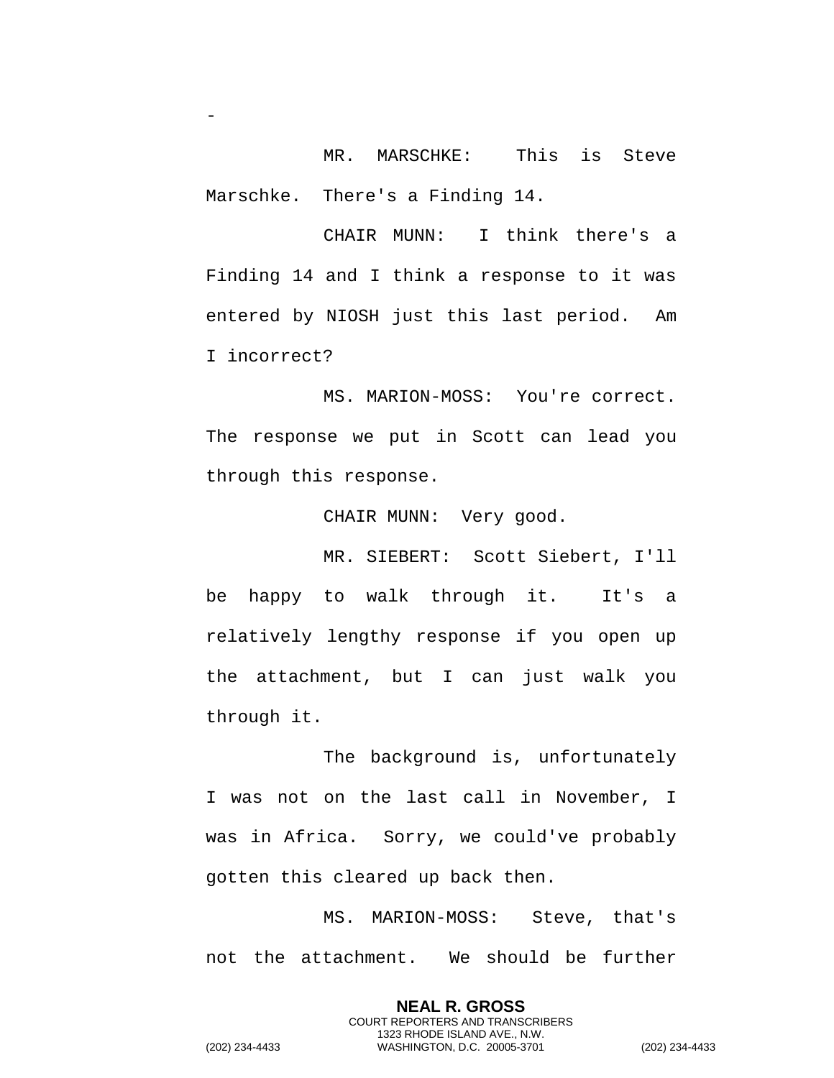MR. MARSCHKE: This is Steve Marschke. There's a Finding 14.

CHAIR MUNN: I think there's a Finding 14 and I think a response to it was entered by NIOSH just this last period. Am I incorrect?

MS. MARION-MOSS: You're correct. The response we put in Scott can lead you through this response.

CHAIR MUNN: Very good.

MR. SIEBERT: Scott Siebert, I'll be happy to walk through it. It's a relatively lengthy response if you open up the attachment, but I can just walk you through it.

The background is, unfortunately I was not on the last call in November, I was in Africa. Sorry, we could've probably gotten this cleared up back then.

MS. MARION-MOSS: Steve, that's not the attachment. We should be further

> **NEAL R. GROSS** COURT REPORTERS AND TRANSCRIBERS 1323 RHODE ISLAND AVE., N.W.

(202) 234-4433 WASHINGTON, D.C. 20005-3701 (202) 234-4433

-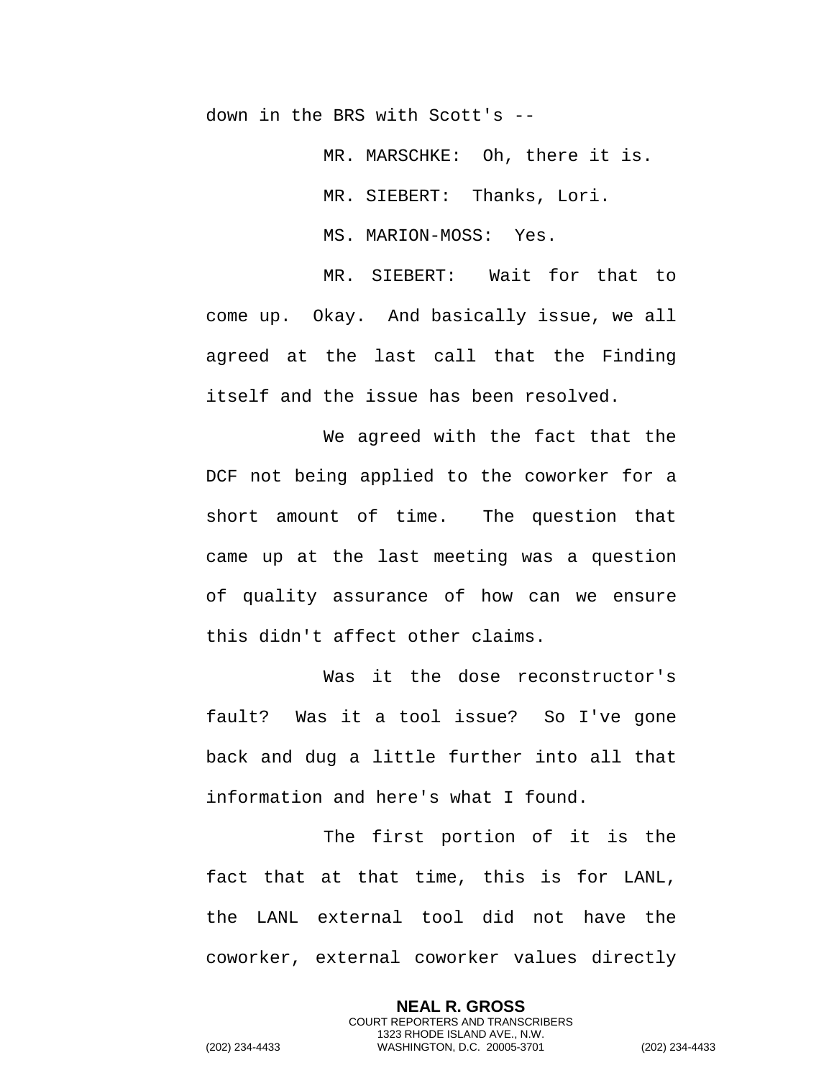down in the BRS with Scott's --

MR. MARSCHKE: Oh, there it is.

MR. SIEBERT: Thanks, Lori.

MS. MARION-MOSS: Yes.

MR. SIEBERT: Wait for that to come up. Okay. And basically issue, we all agreed at the last call that the Finding itself and the issue has been resolved.

We agreed with the fact that the DCF not being applied to the coworker for a short amount of time. The question that came up at the last meeting was a question of quality assurance of how can we ensure this didn't affect other claims.

Was it the dose reconstructor's fault? Was it a tool issue? So I've gone back and dug a little further into all that information and here's what I found.

The first portion of it is the fact that at that time, this is for LANL, the LANL external tool did not have the coworker, external coworker values directly

> **NEAL R. GROSS** COURT REPORTERS AND TRANSCRIBERS 1323 RHODE ISLAND AVE., N.W.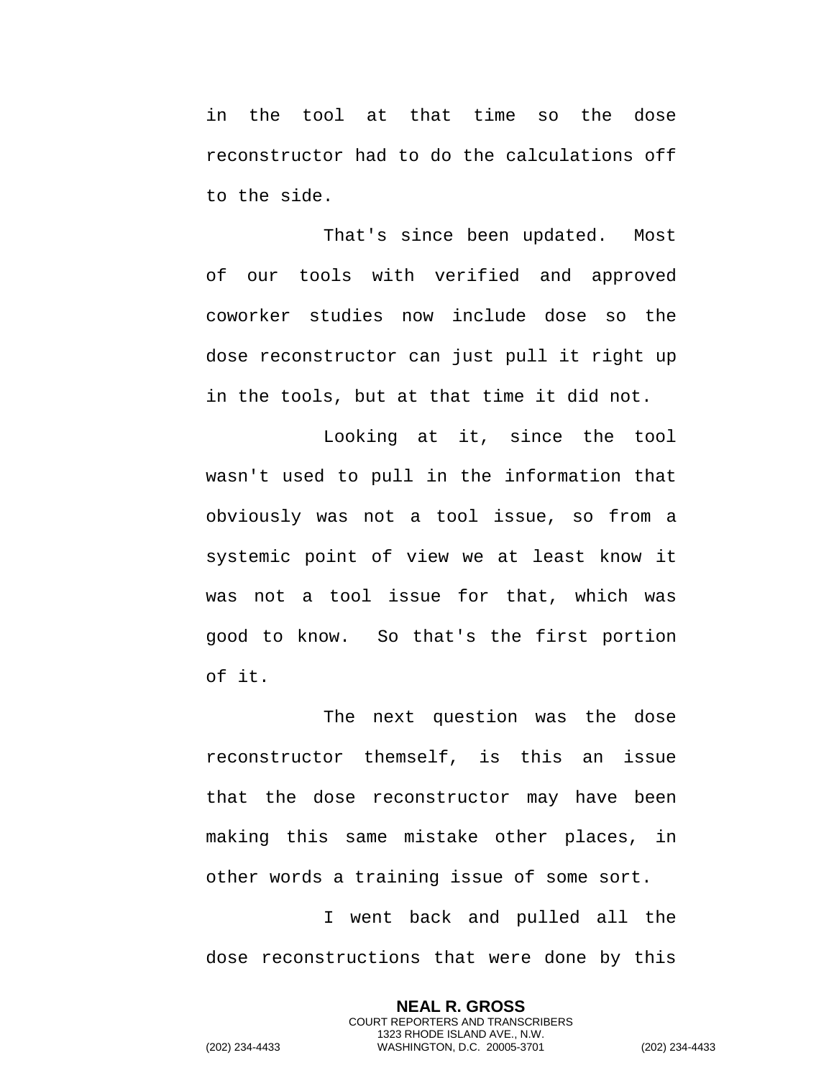in the tool at that time so the dose reconstructor had to do the calculations off to the side.

That's since been updated. Most of our tools with verified and approved coworker studies now include dose so the dose reconstructor can just pull it right up in the tools, but at that time it did not.

Looking at it, since the tool wasn't used to pull in the information that obviously was not a tool issue, so from a systemic point of view we at least know it was not a tool issue for that, which was good to know. So that's the first portion of it.

The next question was the dose reconstructor themself, is this an issue that the dose reconstructor may have been making this same mistake other places, in other words a training issue of some sort.

I went back and pulled all the dose reconstructions that were done by this

> **NEAL R. GROSS** COURT REPORTERS AND TRANSCRIBERS 1323 RHODE ISLAND AVE., N.W.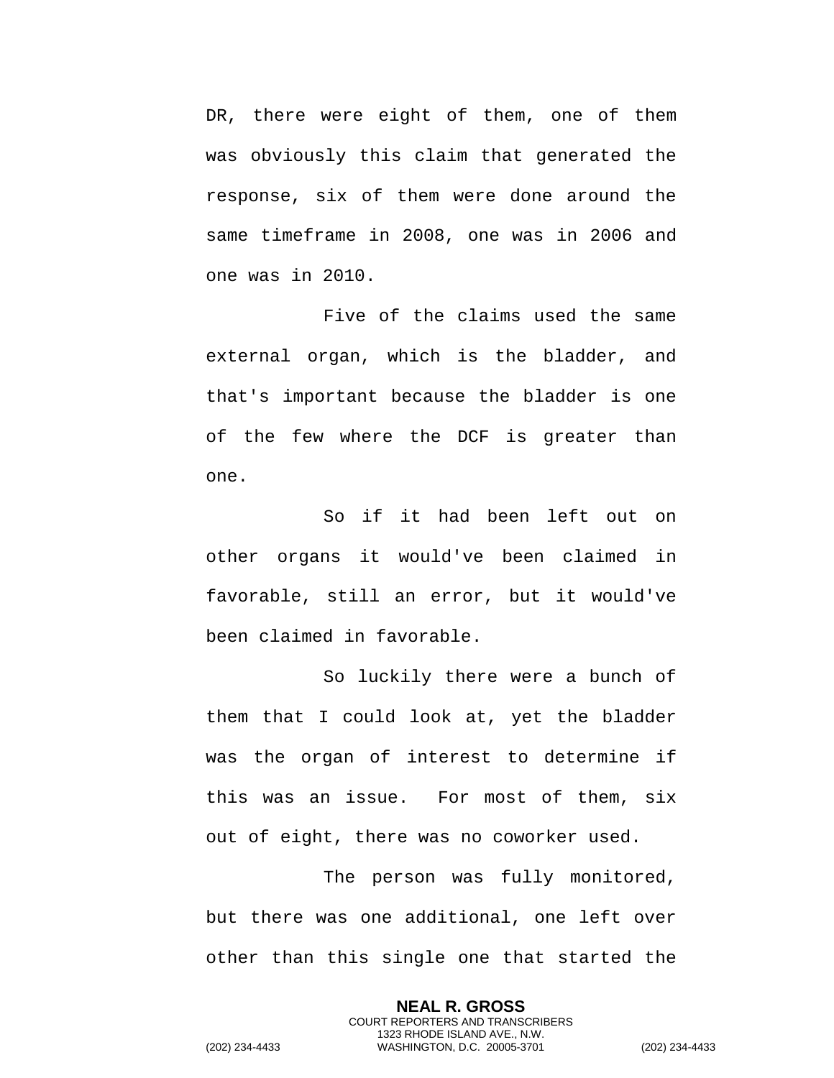DR, there were eight of them, one of them was obviously this claim that generated the response, six of them were done around the same timeframe in 2008, one was in 2006 and one was in 2010.

Five of the claims used the same external organ, which is the bladder, and that's important because the bladder is one of the few where the DCF is greater than one.

So if it had been left out on other organs it would've been claimed in favorable, still an error, but it would've been claimed in favorable.

So luckily there were a bunch of them that I could look at, yet the bladder was the organ of interest to determine if this was an issue. For most of them, six out of eight, there was no coworker used.

The person was fully monitored, but there was one additional, one left over other than this single one that started the

> **NEAL R. GROSS** COURT REPORTERS AND TRANSCRIBERS 1323 RHODE ISLAND AVE., N.W.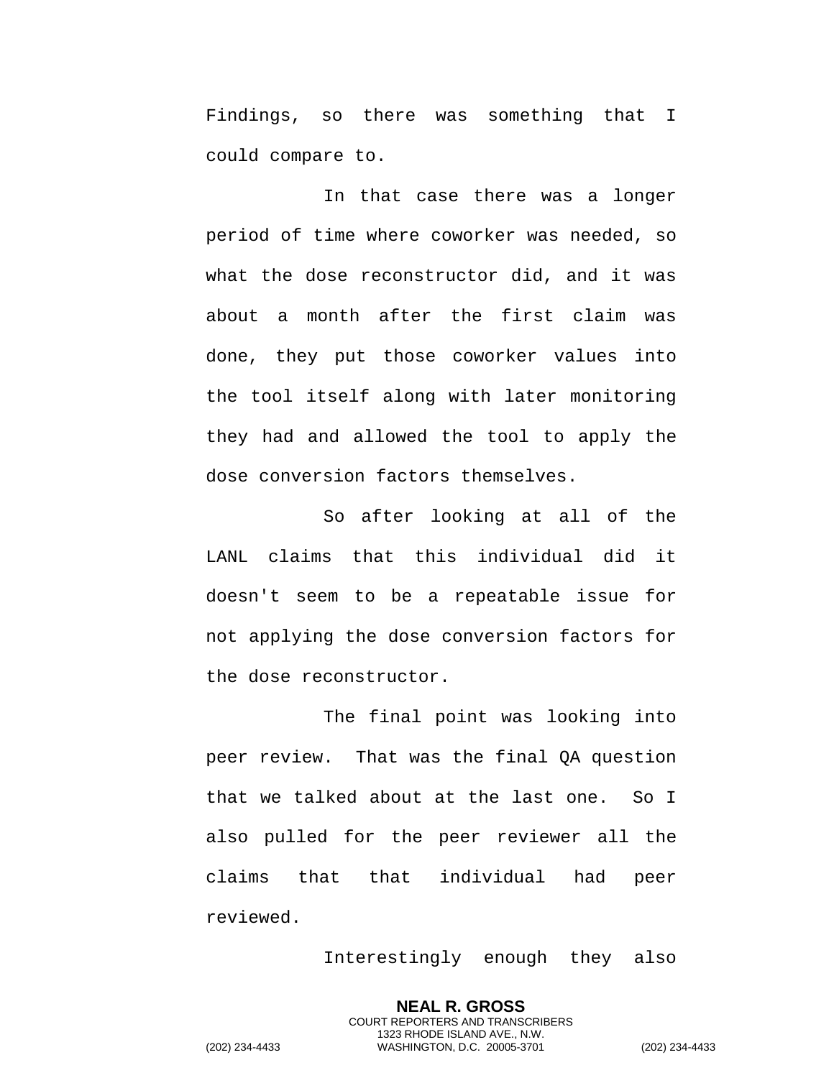Findings, so there was something that I could compare to.

In that case there was a longer period of time where coworker was needed, so what the dose reconstructor did, and it was about a month after the first claim was done, they put those coworker values into the tool itself along with later monitoring they had and allowed the tool to apply the dose conversion factors themselves.

So after looking at all of the LANL claims that this individual did it doesn't seem to be a repeatable issue for not applying the dose conversion factors for the dose reconstructor.

The final point was looking into peer review. That was the final QA question that we talked about at the last one. So I also pulled for the peer reviewer all the claims that that individual had peer reviewed.

Interestingly enough they also

**NEAL R. GROSS** COURT REPORTERS AND TRANSCRIBERS 1323 RHODE ISLAND AVE., N.W.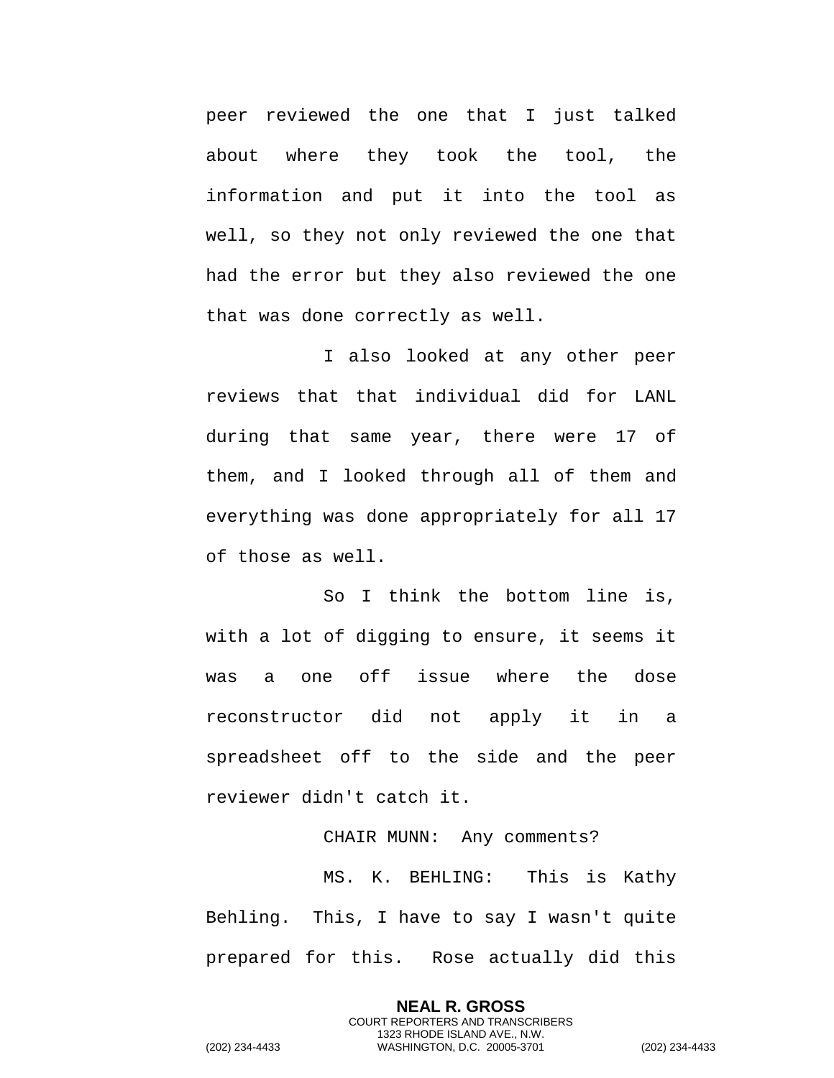peer reviewed the one that I just talked about where they took the tool, the information and put it into the tool as well, so they not only reviewed the one that had the error but they also reviewed the one that was done correctly as well.

I also looked at any other peer reviews that that individual did for LANL during that same year, there were 17 of them, and I looked through all of them and everything was done appropriately for all 17 of those as well.

So I think the bottom line is, with a lot of digging to ensure, it seems it was a one off issue where the dose reconstructor did not apply it in a spreadsheet off to the side and the peer reviewer didn't catch it.

## CHAIR MUNN: Any comments? MS. K. BEHLING: This is Kathy Behling. This, I have to say I wasn't quite prepared for this. Rose actually did this

**NEAL R. GROSS** COURT REPORTERS AND TRANSCRIBERS 1323 RHODE ISLAND AVE., N.W.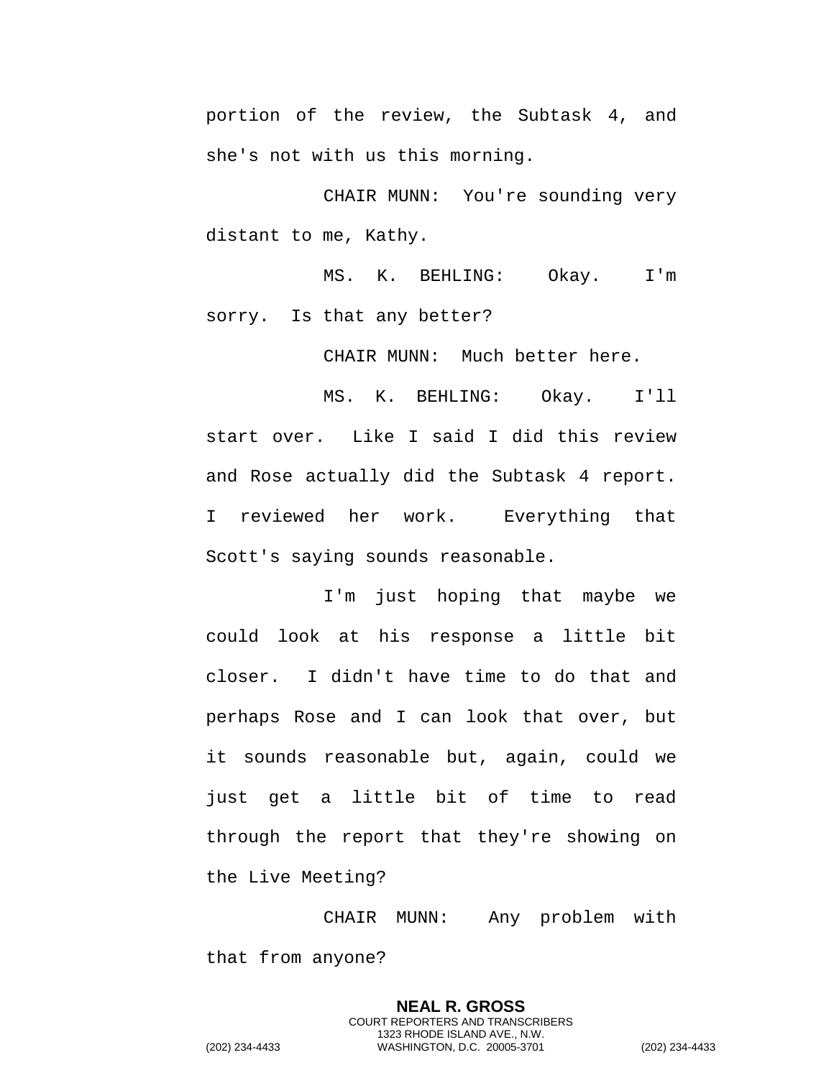portion of the review, the Subtask 4, and she's not with us this morning.

CHAIR MUNN: You're sounding very distant to me, Kathy.

MS. K. BEHLING: Okay. I'm sorry. Is that any better?

CHAIR MUNN: Much better here.

MS. K. BEHLING: Okay. I'll start over. Like I said I did this review and Rose actually did the Subtask 4 report. I reviewed her work. Everything that Scott's saying sounds reasonable.

I'm just hoping that maybe we could look at his response a little bit closer. I didn't have time to do that and perhaps Rose and I can look that over, but it sounds reasonable but, again, could we just get a little bit of time to read through the report that they're showing on the Live Meeting?

CHAIR MUNN: Any problem with that from anyone?

> **NEAL R. GROSS** COURT REPORTERS AND TRANSCRIBERS 1323 RHODE ISLAND AVE., N.W.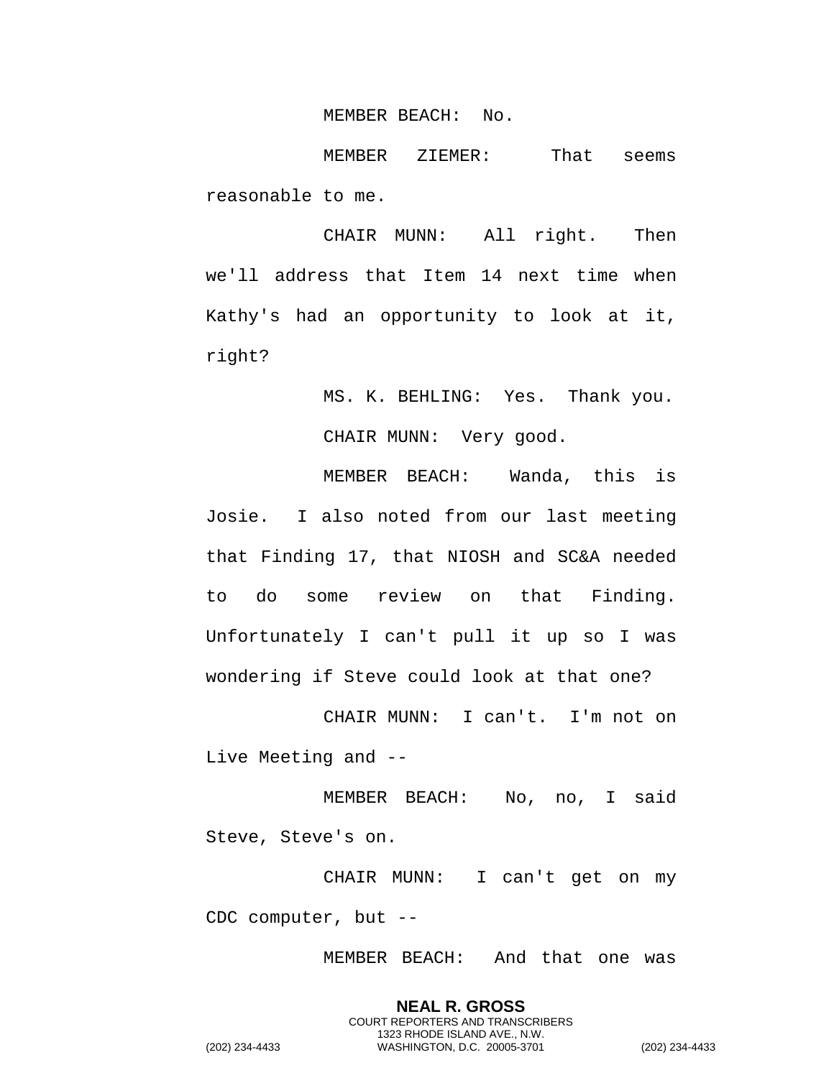MEMBER BEACH: No.

MEMBER ZIEMER: That seems reasonable to me.

CHAIR MUNN: All right. Then we'll address that Item 14 next time when Kathy's had an opportunity to look at it, right?

> MS. K. BEHLING: Yes. Thank you. CHAIR MUNN: Very good.

MEMBER BEACH: Wanda, this is Josie. I also noted from our last meeting that Finding 17, that NIOSH and SC&A needed to do some review on that Finding. Unfortunately I can't pull it up so I was wondering if Steve could look at that one?

CHAIR MUNN: I can't. I'm not on Live Meeting and --

MEMBER BEACH: No, no, I said Steve, Steve's on.

CHAIR MUNN: I can't get on my CDC computer, but --

MEMBER BEACH: And that one was

**NEAL R. GROSS** COURT REPORTERS AND TRANSCRIBERS 1323 RHODE ISLAND AVE., N.W. (202) 234-4433 WASHINGTON, D.C. 20005-3701 (202) 234-4433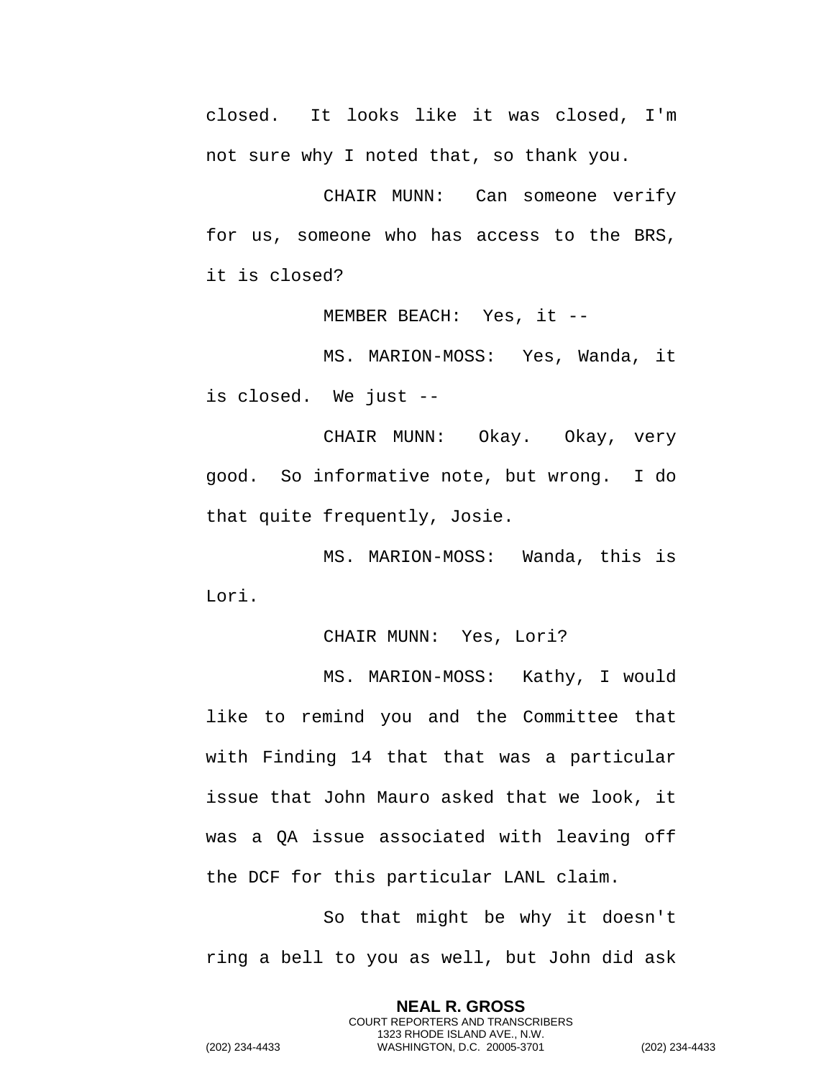closed. It looks like it was closed, I'm not sure why I noted that, so thank you.

CHAIR MUNN: Can someone verify for us, someone who has access to the BRS, it is closed?

MEMBER BEACH: Yes, it --

MS. MARION-MOSS: Yes, Wanda, it is closed. We just --

CHAIR MUNN: Okay. Okay, very good. So informative note, but wrong. I do that quite frequently, Josie.

MS. MARION-MOSS: Wanda, this is Lori.

CHAIR MUNN: Yes, Lori?

MS. MARION-MOSS: Kathy, I would like to remind you and the Committee that with Finding 14 that that was a particular issue that John Mauro asked that we look, it was a QA issue associated with leaving off the DCF for this particular LANL claim.

So that might be why it doesn't ring a bell to you as well, but John did ask

> **NEAL R. GROSS** COURT REPORTERS AND TRANSCRIBERS 1323 RHODE ISLAND AVE., N.W.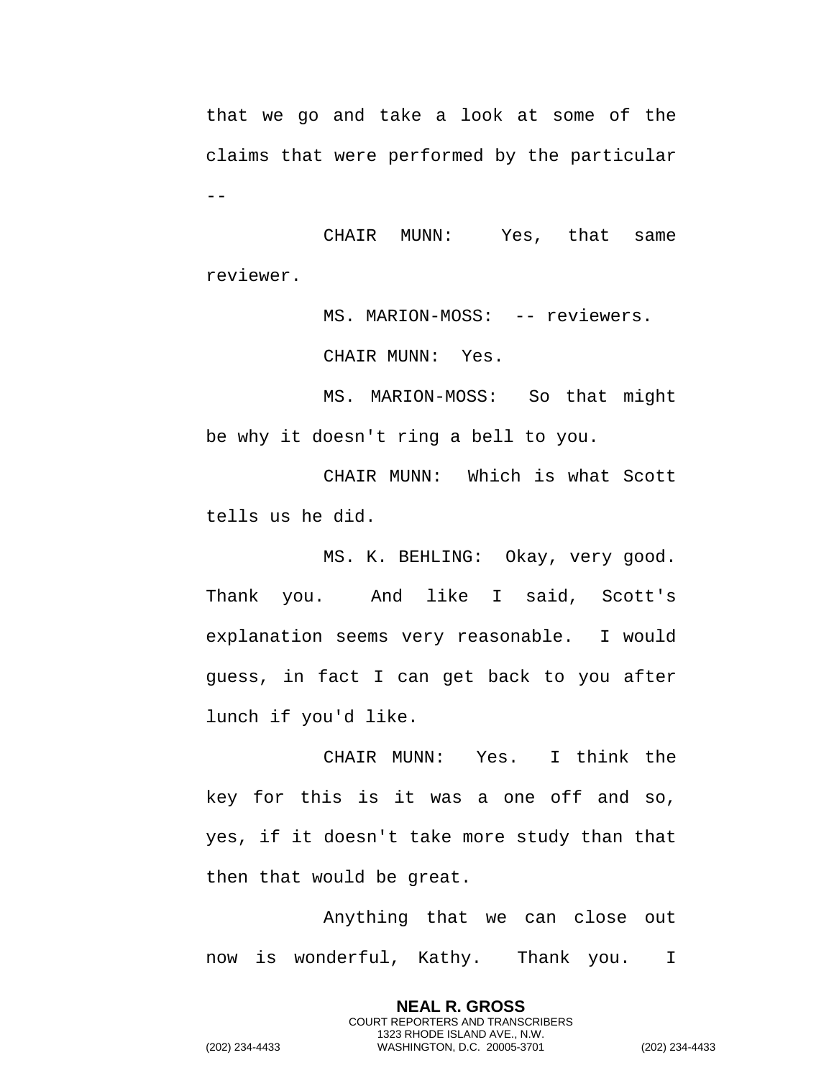that we go and take a look at some of the claims that were performed by the particular  $- -$ 

CHAIR MUNN: Yes, that same reviewer.

MS. MARION-MOSS: -- reviewers.

CHAIR MUNN: Yes.

MS. MARION-MOSS: So that might be why it doesn't ring a bell to you.

CHAIR MUNN: Which is what Scott tells us he did.

MS. K. BEHLING: Okay, very good. Thank you. And like I said, Scott's explanation seems very reasonable. I would guess, in fact I can get back to you after lunch if you'd like.

CHAIR MUNN: Yes. I think the key for this is it was a one off and so, yes, if it doesn't take more study than that then that would be great.

Anything that we can close out now is wonderful, Kathy. Thank you. I

> **NEAL R. GROSS** COURT REPORTERS AND TRANSCRIBERS 1323 RHODE ISLAND AVE., N.W.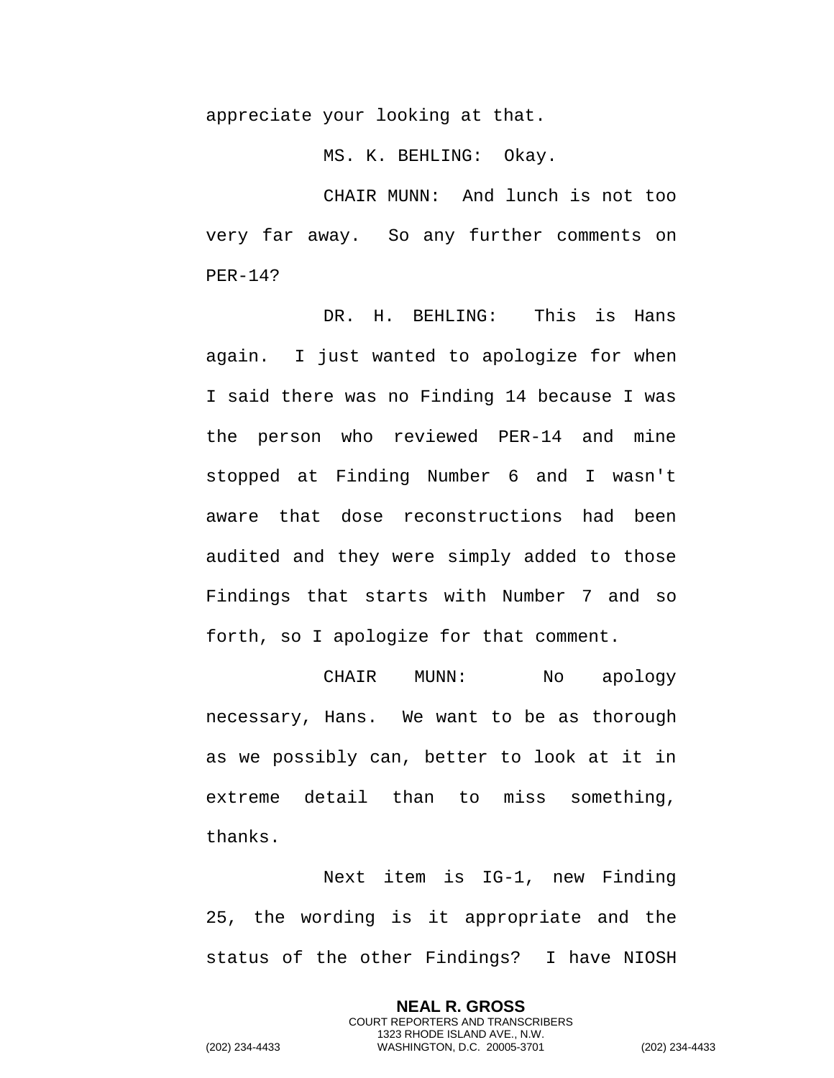appreciate your looking at that.

MS. K. BEHLING: Okay.

CHAIR MUNN: And lunch is not too very far away. So any further comments on PER-14?

DR. H. BEHLING: This is Hans again. I just wanted to apologize for when I said there was no Finding 14 because I was the person who reviewed PER-14 and mine stopped at Finding Number 6 and I wasn't aware that dose reconstructions had been audited and they were simply added to those Findings that starts with Number 7 and so forth, so I apologize for that comment.

CHAIR MUNN: No apology necessary, Hans. We want to be as thorough as we possibly can, better to look at it in extreme detail than to miss something, thanks.

Next item is IG-1, new Finding 25, the wording is it appropriate and the status of the other Findings? I have NIOSH

> **NEAL R. GROSS** COURT REPORTERS AND TRANSCRIBERS 1323 RHODE ISLAND AVE., N.W.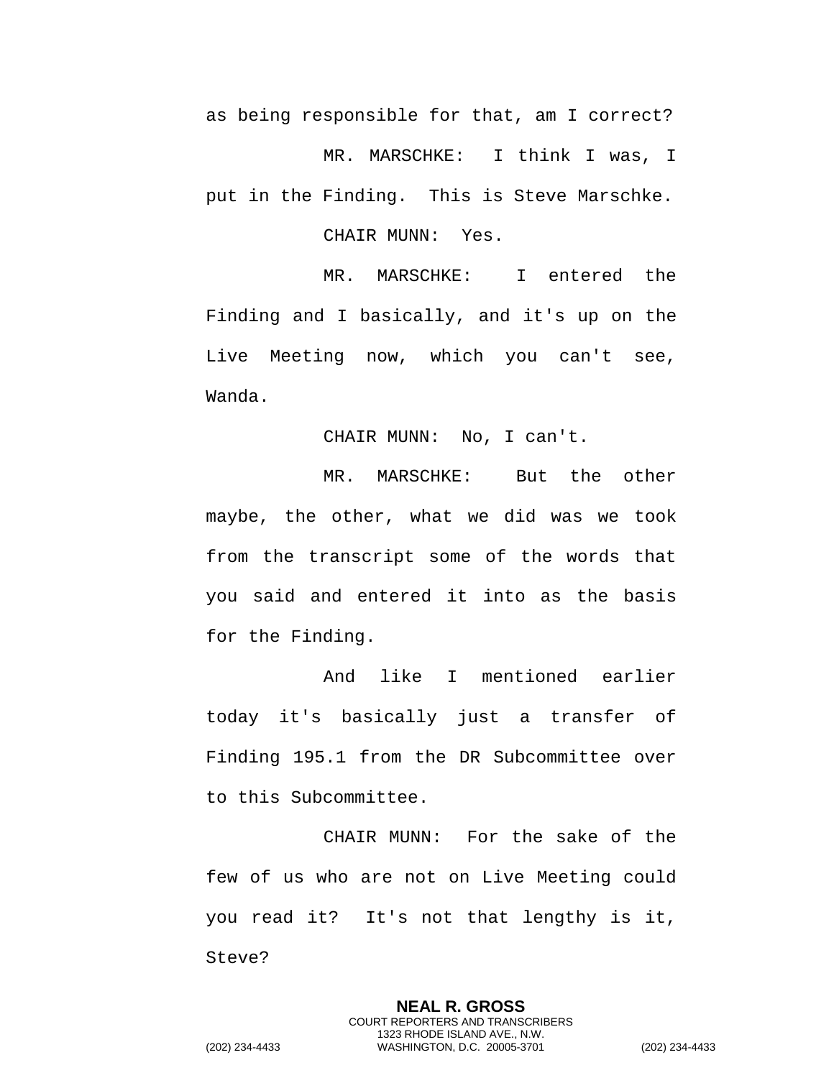as being responsible for that, am I correct? MR. MARSCHKE: I think I was, I put in the Finding. This is Steve Marschke.

CHAIR MUNN: Yes.

MR. MARSCHKE: I entered the Finding and I basically, and it's up on the Live Meeting now, which you can't see, Wanda.

CHAIR MUNN: No, I can't.

MR. MARSCHKE: But the other maybe, the other, what we did was we took from the transcript some of the words that you said and entered it into as the basis for the Finding.

And like I mentioned earlier today it's basically just a transfer of Finding 195.1 from the DR Subcommittee over to this Subcommittee.

CHAIR MUNN: For the sake of the few of us who are not on Live Meeting could you read it? It's not that lengthy is it, Steve?

> **NEAL R. GROSS** COURT REPORTERS AND TRANSCRIBERS 1323 RHODE ISLAND AVE., N.W.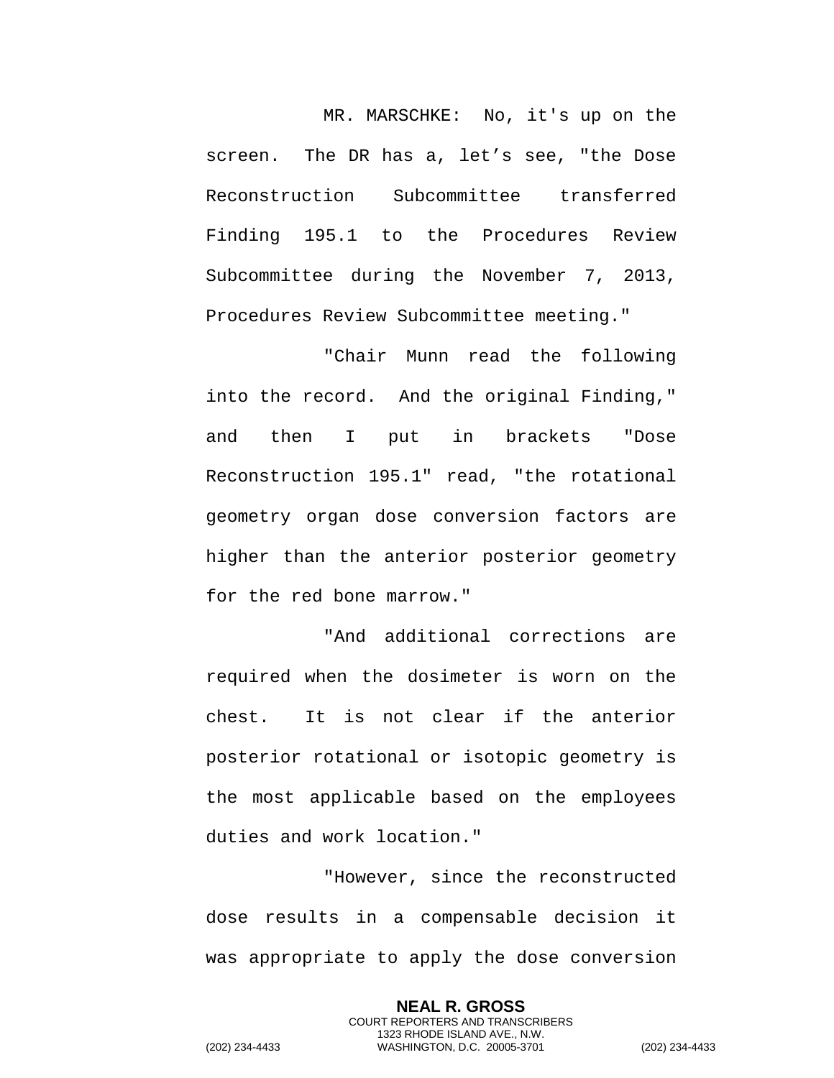MR. MARSCHKE: No, it's up on the screen. The DR has a, let's see, "the Dose Reconstruction Subcommittee transferred Finding 195.1 to the Procedures Review Subcommittee during the November 7, 2013, Procedures Review Subcommittee meeting."

"Chair Munn read the following into the record. And the original Finding," and then I put in brackets "Dose Reconstruction 195.1" read, "the rotational geometry organ dose conversion factors are higher than the anterior posterior geometry for the red bone marrow."

"And additional corrections are required when the dosimeter is worn on the chest. It is not clear if the anterior posterior rotational or isotopic geometry is the most applicable based on the employees duties and work location."

"However, since the reconstructed dose results in a compensable decision it was appropriate to apply the dose conversion

> **NEAL R. GROSS** COURT REPORTERS AND TRANSCRIBERS 1323 RHODE ISLAND AVE., N.W.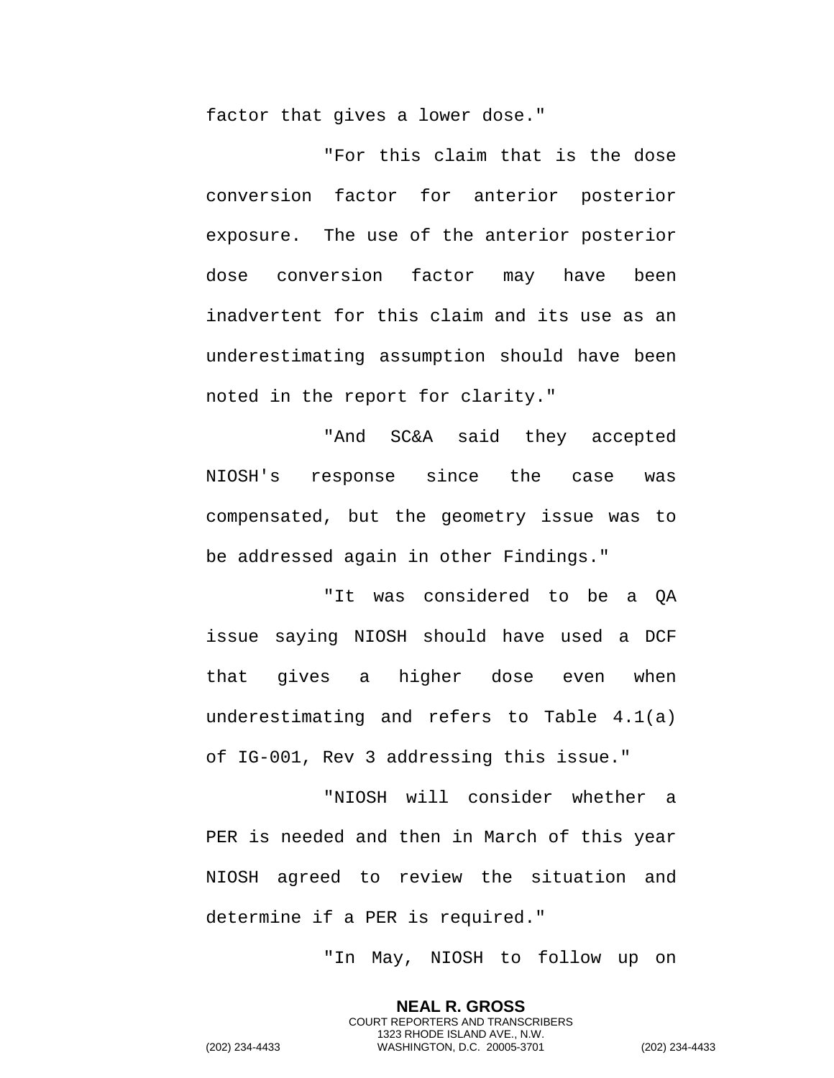factor that gives a lower dose."

"For this claim that is the dose conversion factor for anterior posterior exposure. The use of the anterior posterior dose conversion factor may have been inadvertent for this claim and its use as an underestimating assumption should have been noted in the report for clarity."

"And SC&A said they accepted NIOSH's response since the case was compensated, but the geometry issue was to be addressed again in other Findings."

"It was considered to be a QA issue saying NIOSH should have used a DCF that gives a higher dose even when underestimating and refers to Table 4.1(a) of IG-001, Rev 3 addressing this issue."

"NIOSH will consider whether a PER is needed and then in March of this year NIOSH agreed to review the situation and determine if a PER is required."

"In May, NIOSH to follow up on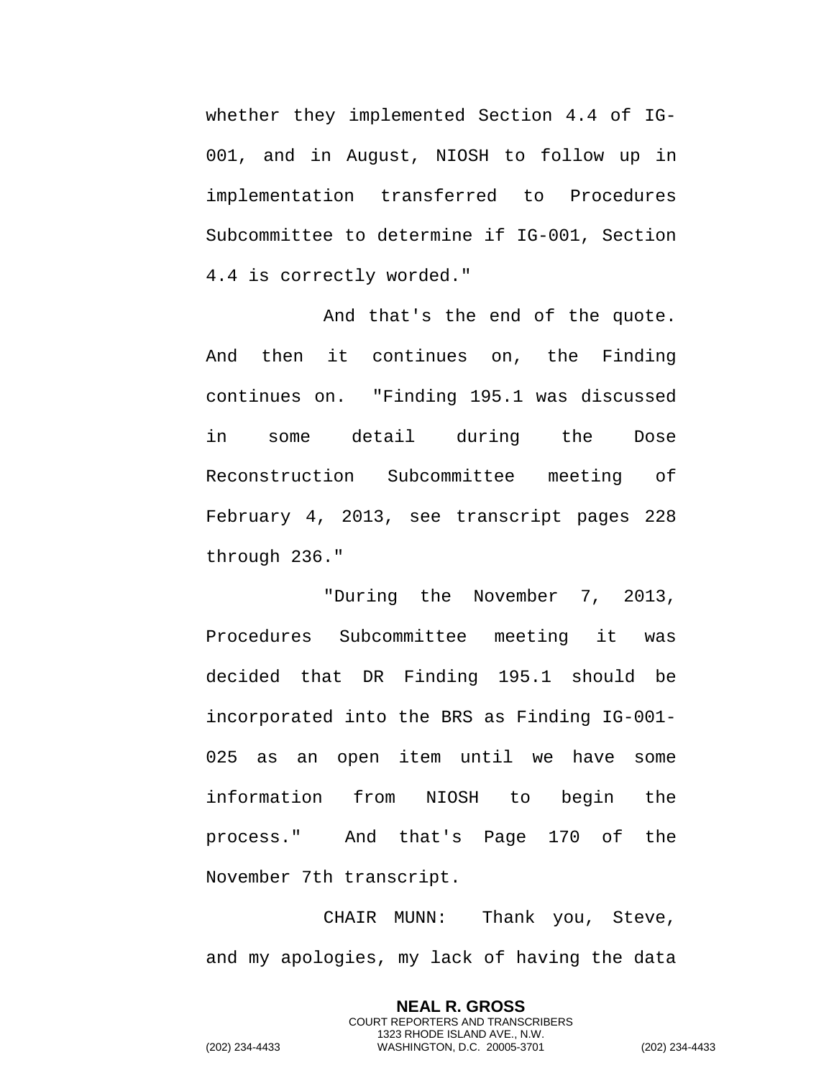whether they implemented Section 4.4 of IG-001, and in August, NIOSH to follow up in implementation transferred to Procedures Subcommittee to determine if IG-001, Section 4.4 is correctly worded."

And that's the end of the quote. And then it continues on, the Finding continues on. "Finding 195.1 was discussed in some detail during the Dose Reconstruction Subcommittee meeting of February 4, 2013, see transcript pages 228 through 236."

"During the November 7, 2013, Procedures Subcommittee meeting it was decided that DR Finding 195.1 should be incorporated into the BRS as Finding IG-001- 025 as an open item until we have some information from NIOSH to begin the process." And that's Page 170 of the November 7th transcript.

CHAIR MUNN: Thank you, Steve, and my apologies, my lack of having the data

> **NEAL R. GROSS** COURT REPORTERS AND TRANSCRIBERS 1323 RHODE ISLAND AVE., N.W.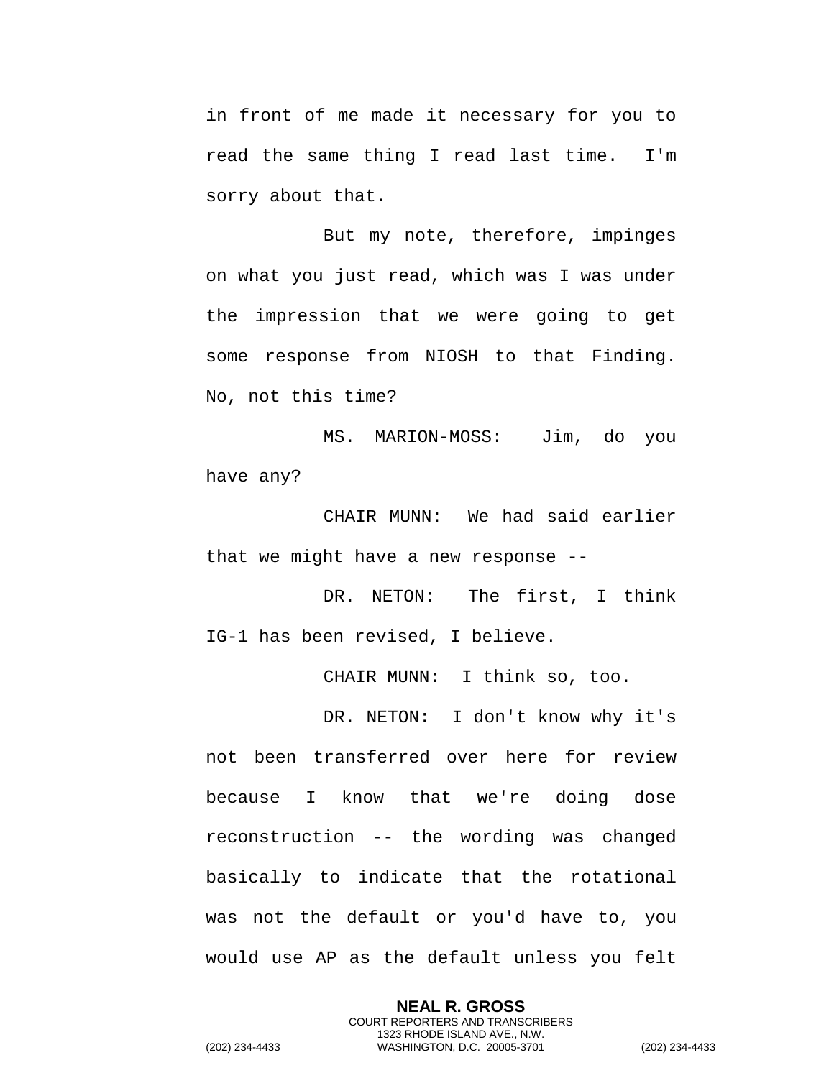in front of me made it necessary for you to read the same thing I read last time. I'm sorry about that.

But my note, therefore, impinges on what you just read, which was I was under the impression that we were going to get some response from NIOSH to that Finding. No, not this time?

MS. MARION-MOSS: Jim, do you have any?

CHAIR MUNN: We had said earlier that we might have a new response --

DR. NETON: The first, I think IG-1 has been revised, I believe.

CHAIR MUNN: I think so, too.

DR. NETON: I don't know why it's not been transferred over here for review because I know that we're doing dose reconstruction -- the wording was changed basically to indicate that the rotational was not the default or you'd have to, you would use AP as the default unless you felt

> **NEAL R. GROSS** COURT REPORTERS AND TRANSCRIBERS 1323 RHODE ISLAND AVE., N.W.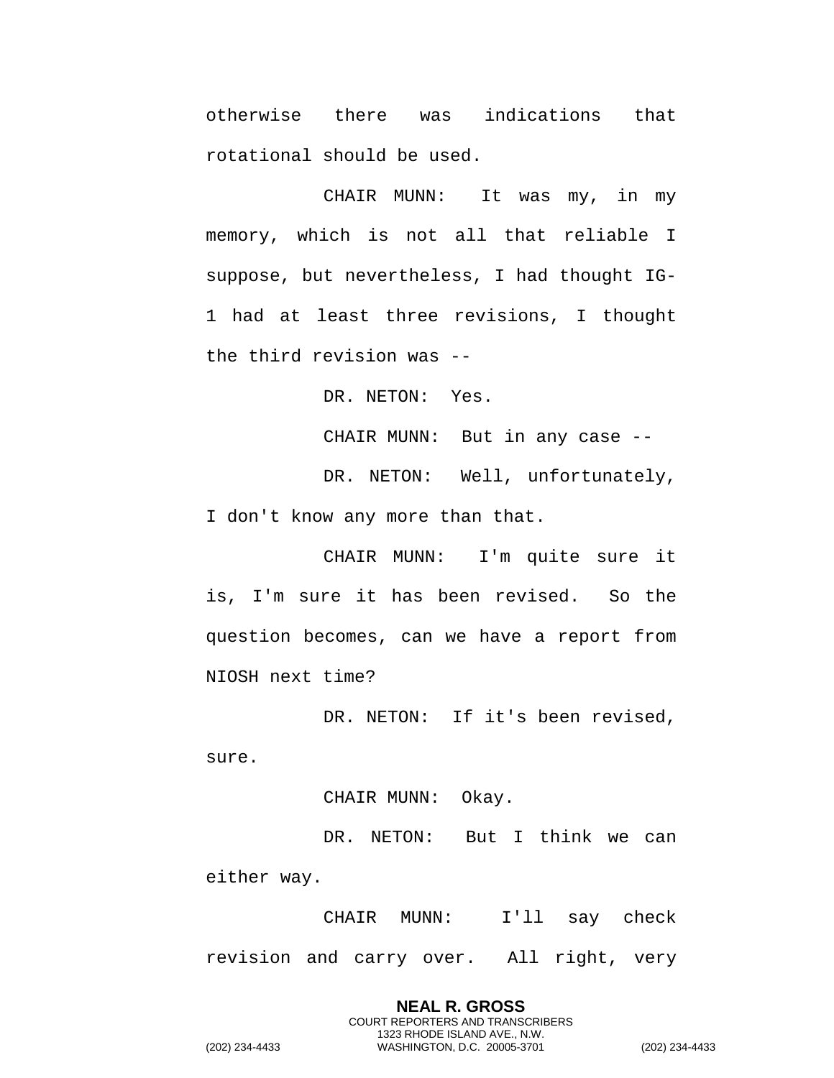otherwise there was indications that rotational should be used.

CHAIR MUNN: It was my, in my memory, which is not all that reliable I suppose, but nevertheless, I had thought IG-1 had at least three revisions, I thought the third revision was --

DR. NETON: Yes.

CHAIR MUNN: But in any case --

DR. NETON: Well, unfortunately, I don't know any more than that.

CHAIR MUNN: I'm quite sure it is, I'm sure it has been revised. So the question becomes, can we have a report from NIOSH next time?

DR. NETON: If it's been revised, sure.

CHAIR MUNN: Okay.

DR. NETON: But I think we can either way.

CHAIR MUNN: I'll say check revision and carry over. All right, very

**NEAL R. GROSS** COURT REPORTERS AND TRANSCRIBERS 1323 RHODE ISLAND AVE., N.W. (202) 234-4433 WASHINGTON, D.C. 20005-3701 (202) 234-4433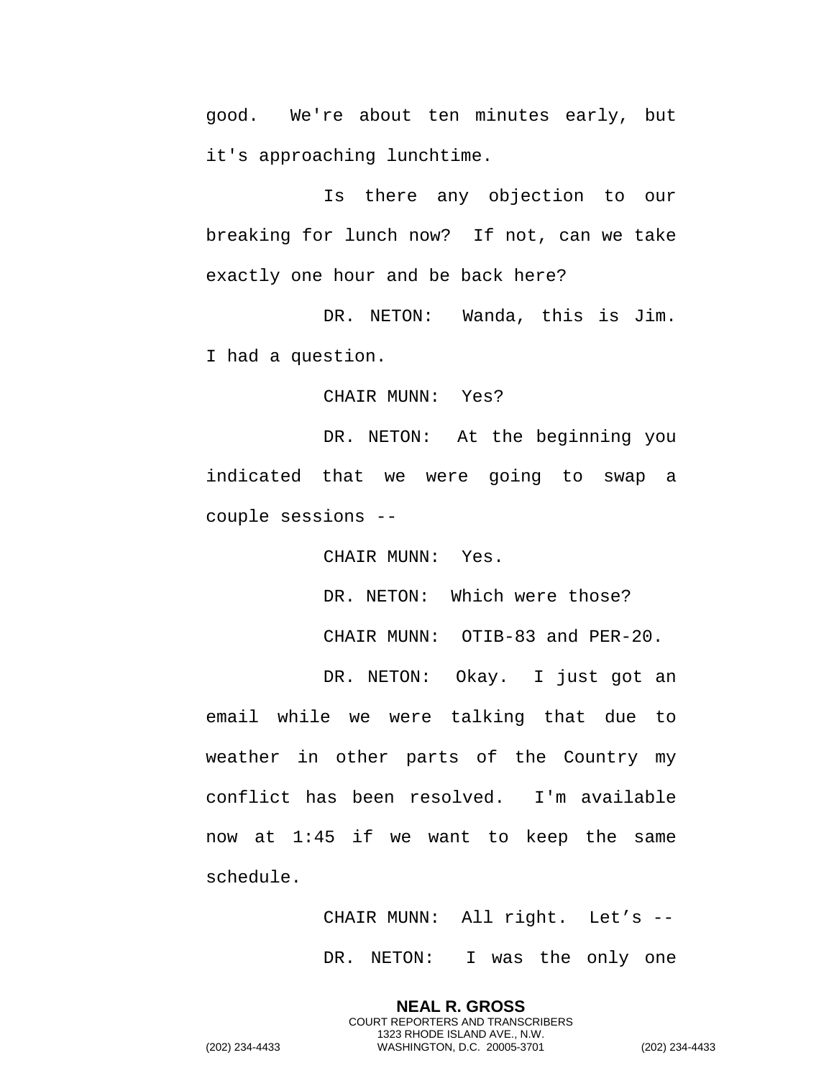good. We're about ten minutes early, but it's approaching lunchtime.

Is there any objection to our breaking for lunch now? If not, can we take exactly one hour and be back here?

DR. NETON: Wanda, this is Jim. I had a question.

CHAIR MUNN: Yes?

DR. NETON: At the beginning you indicated that we were going to swap a couple sessions --

CHAIR MUNN: Yes.

DR. NETON: Which were those? CHAIR MUNN: OTIB-83 and PER-20.

DR. NETON: Okay. I just got an email while we were talking that due to weather in other parts of the Country my conflict has been resolved. I'm available now at 1:45 if we want to keep the same schedule.

> CHAIR MUNN: All right. Let's -- DR. NETON: I was the only one

**NEAL R. GROSS** COURT REPORTERS AND TRANSCRIBERS 1323 RHODE ISLAND AVE., N.W.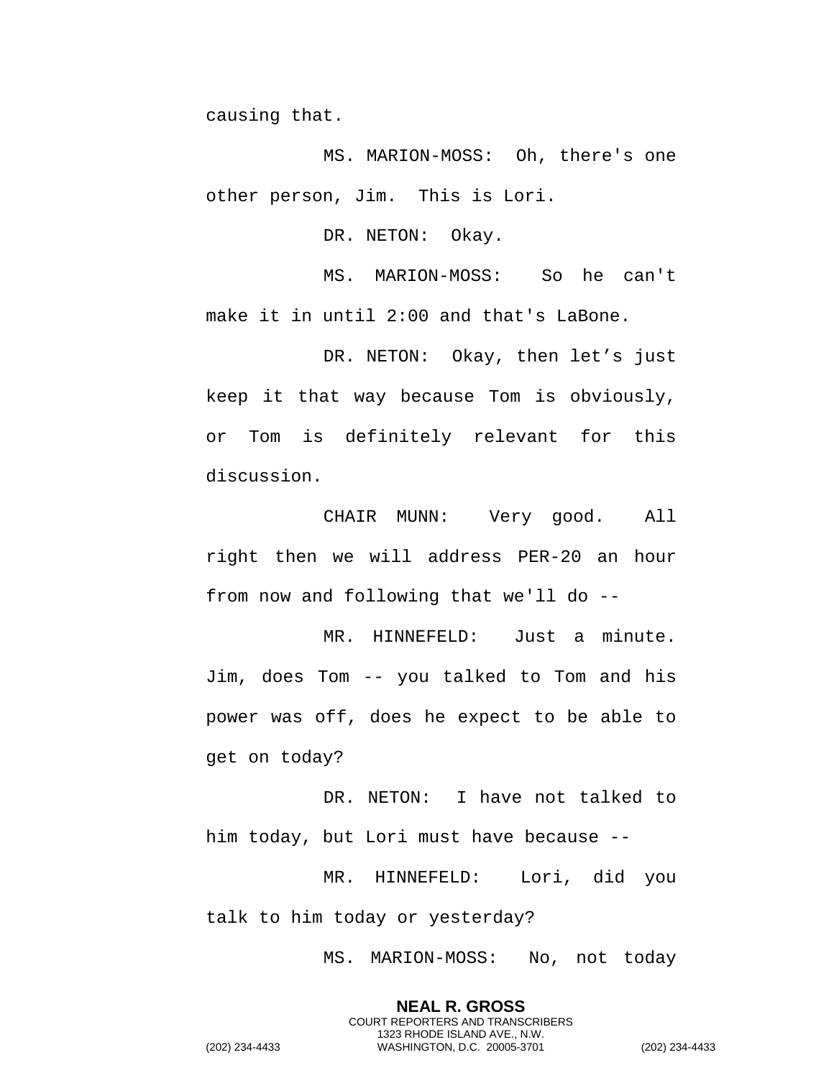causing that.

MS. MARION-MOSS: Oh, there's one other person, Jim. This is Lori.

DR. NETON: Okay.

MS. MARION-MOSS: So he can't make it in until 2:00 and that's LaBone.

DR. NETON: Okay, then let's just keep it that way because Tom is obviously, or Tom is definitely relevant for this discussion.

CHAIR MUNN: Very good. All right then we will address PER-20 an hour from now and following that we'll do --

MR. HINNEFELD: Just a minute. Jim, does Tom -- you talked to Tom and his power was off, does he expect to be able to get on today?

DR. NETON: I have not talked to him today, but Lori must have because --

MR. HINNEFELD: Lori, did you talk to him today or yesterday?

MS. MARION-MOSS: No, not today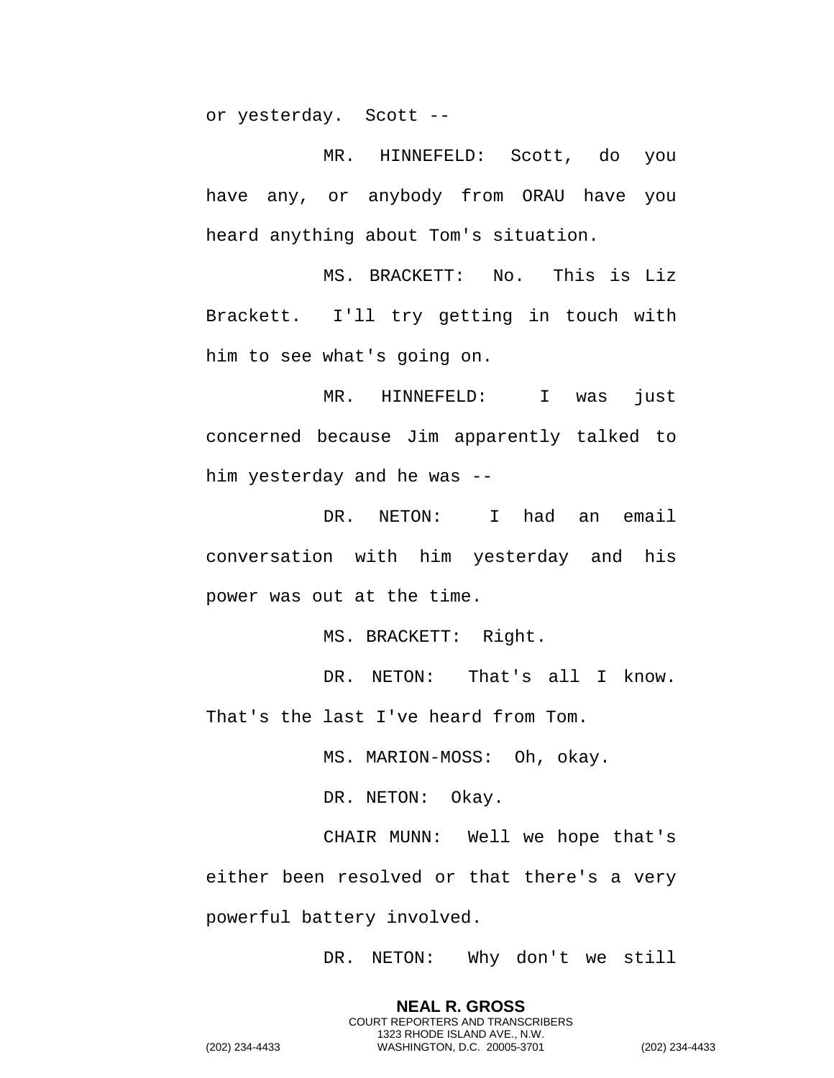or yesterday. Scott --

MR. HINNEFELD: Scott, do you have any, or anybody from ORAU have you heard anything about Tom's situation.

MS. BRACKETT: No. This is Liz Brackett. I'll try getting in touch with him to see what's going on.

MR. HINNEFELD: I was just concerned because Jim apparently talked to him yesterday and he was --

DR. NETON: I had an email conversation with him yesterday and his power was out at the time.

MS. BRACKETT: Right.

DR. NETON: That's all I know. That's the last I've heard from Tom.

MS. MARION-MOSS: Oh, okay.

DR. NETON: Okay.

CHAIR MUNN: Well we hope that's either been resolved or that there's a very powerful battery involved.

DR. NETON: Why don't we still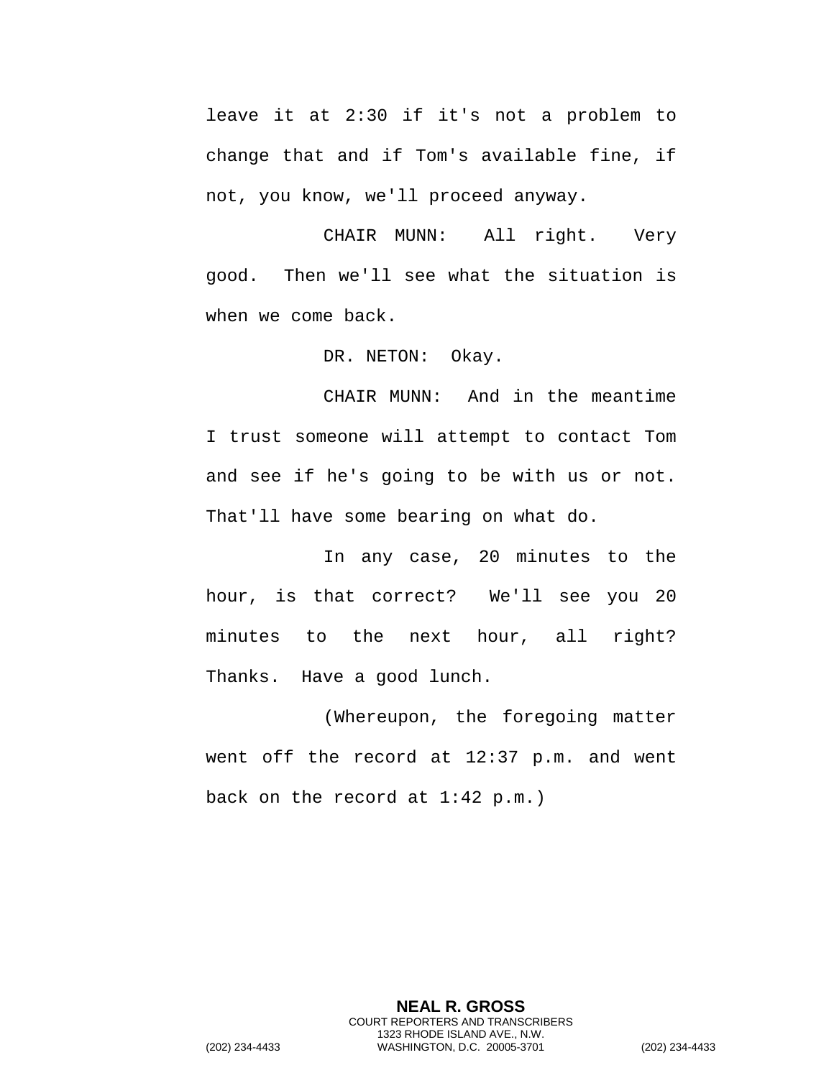leave it at 2:30 if it's not a problem to change that and if Tom's available fine, if not, you know, we'll proceed anyway.

CHAIR MUNN: All right. Very good. Then we'll see what the situation is when we come back.

DR. NETON: Okay.

CHAIR MUNN: And in the meantime I trust someone will attempt to contact Tom and see if he's going to be with us or not. That'll have some bearing on what do.

In any case, 20 minutes to the hour, is that correct? We'll see you 20 minutes to the next hour, all right? Thanks. Have a good lunch.

(Whereupon, the foregoing matter went off the record at 12:37 p.m. and went back on the record at 1:42 p.m.)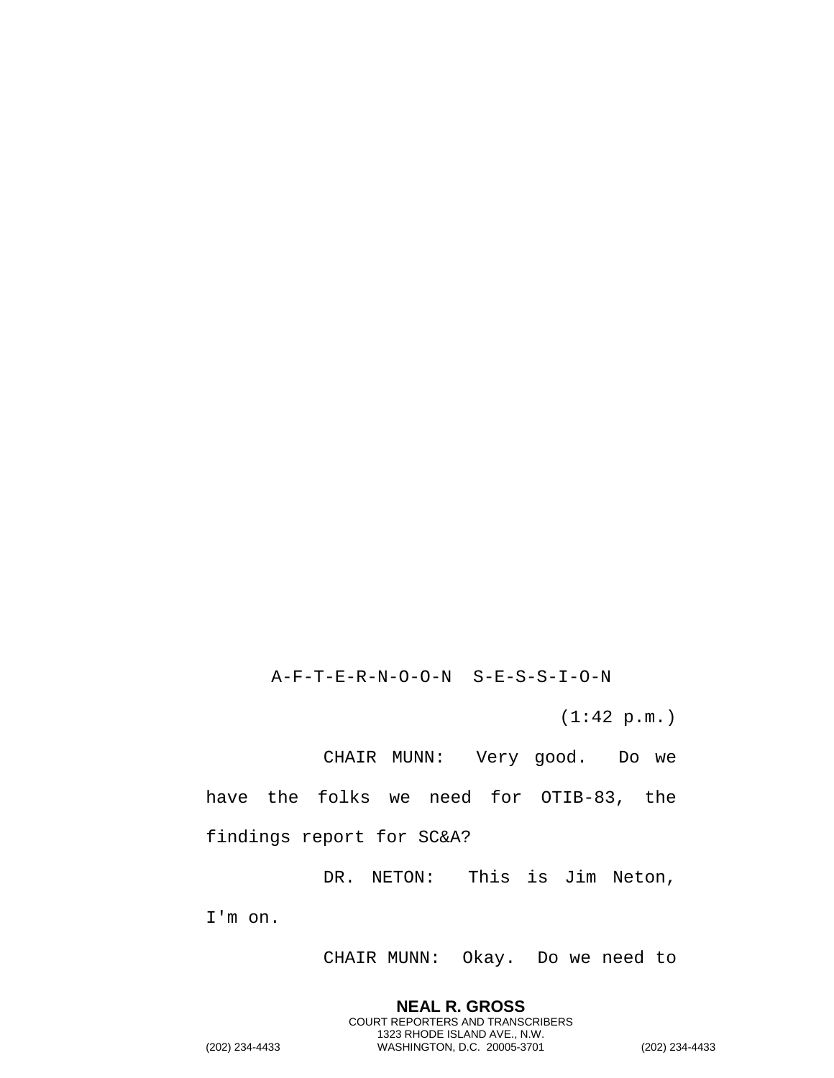CHAIR MUNN: Okay. Do we need to

**NEAL R. GROSS** COURT REPORTERS AND TRANSCRIBERS 1323 RHODE ISLAND AVE., N.W.

I'm on.

DR. NETON: This is Jim Neton,

findings report for SC&A?

have the folks we need for OTIB-83, the

CHAIR MUNN: Very good. Do we

(1:42 p.m.)

A-F-T-E-R-N-O-O-N S-E-S-S-I-O-N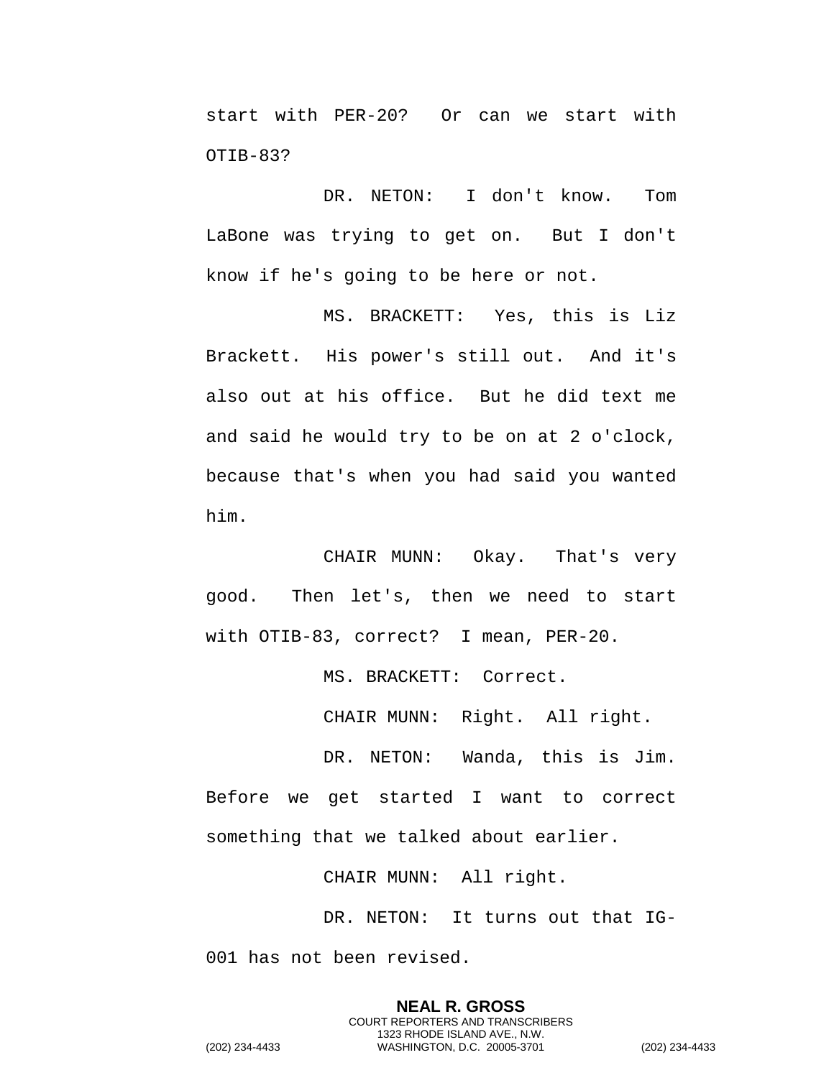start with PER-20? Or can we start with OTIB-83?

DR. NETON: I don't know. Tom LaBone was trying to get on. But I don't know if he's going to be here or not.

MS. BRACKETT: Yes, this is Liz Brackett. His power's still out. And it's also out at his office. But he did text me and said he would try to be on at 2 o'clock, because that's when you had said you wanted him.

CHAIR MUNN: Okay. That's very good. Then let's, then we need to start with OTIB-83, correct? I mean, PER-20.

MS. BRACKETT: Correct.

CHAIR MUNN: Right. All right.

DR. NETON: Wanda, this is Jim. Before we get started I want to correct something that we talked about earlier.

CHAIR MUNN: All right.

DR. NETON: It turns out that IG-001 has not been revised.

> **NEAL R. GROSS** COURT REPORTERS AND TRANSCRIBERS 1323 RHODE ISLAND AVE., N.W.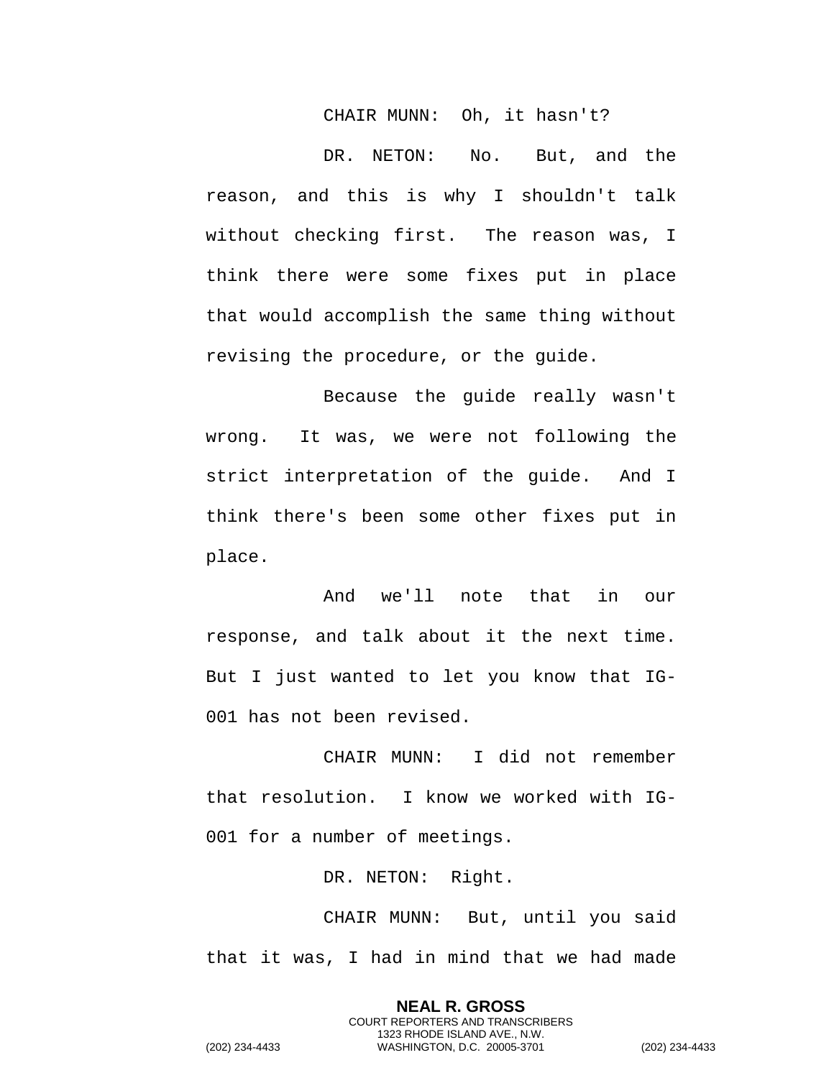## CHAIR MUNN: Oh, it hasn't?

DR. NETON: No. But, and the reason, and this is why I shouldn't talk without checking first. The reason was, I think there were some fixes put in place that would accomplish the same thing without revising the procedure, or the guide.

Because the guide really wasn't wrong. It was, we were not following the strict interpretation of the guide. And I think there's been some other fixes put in place.

And we'll note that in our response, and talk about it the next time. But I just wanted to let you know that IG-001 has not been revised.

CHAIR MUNN: I did not remember that resolution. I know we worked with IG-001 for a number of meetings.

DR. NETON: Right.

CHAIR MUNN: But, until you said that it was, I had in mind that we had made

> **NEAL R. GROSS** COURT REPORTERS AND TRANSCRIBERS 1323 RHODE ISLAND AVE., N.W.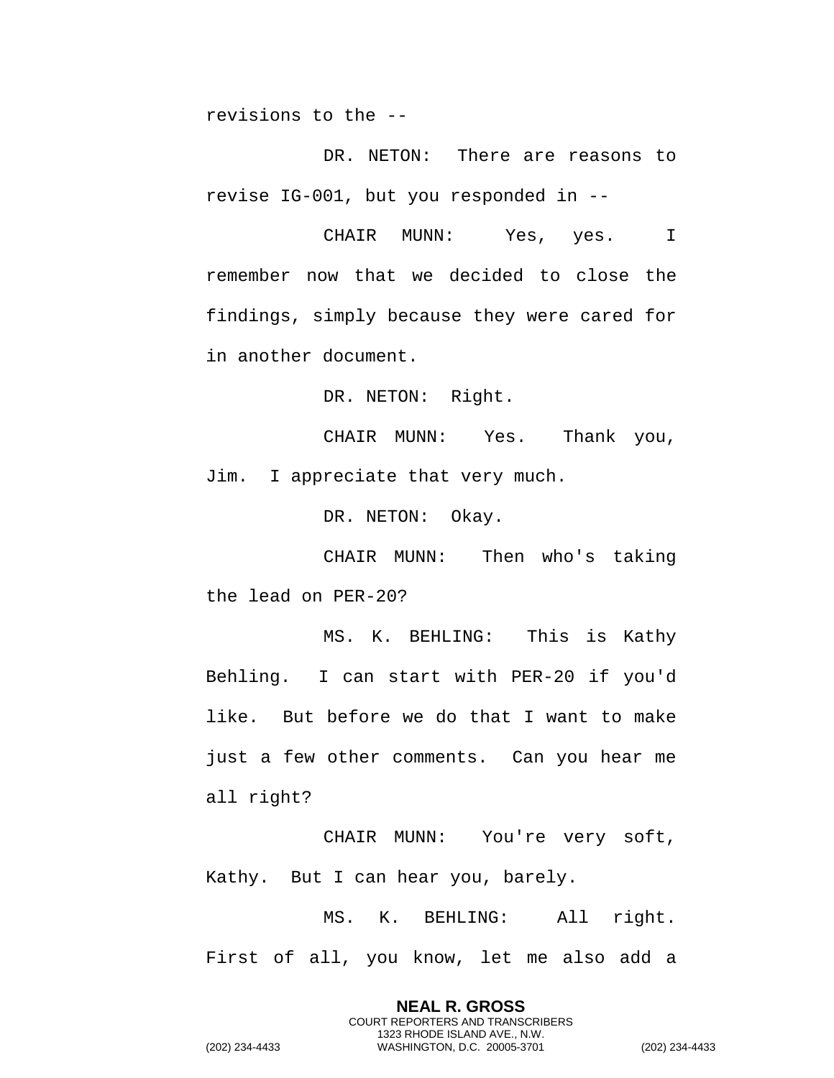revisions to the --

DR. NETON: There are reasons to revise IG-001, but you responded in --

CHAIR MUNN: Yes, yes. I remember now that we decided to close the findings, simply because they were cared for in another document.

DR. NETON: Right.

CHAIR MUNN: Yes. Thank you, Jim. I appreciate that very much.

DR. NETON: Okay.

CHAIR MUNN: Then who's taking the lead on PER-20?

MS. K. BEHLING: This is Kathy Behling. I can start with PER-20 if you'd like. But before we do that I want to make just a few other comments. Can you hear me all right?

CHAIR MUNN: You're very soft, Kathy. But I can hear you, barely.

MS. K. BEHLING: All right. First of all, you know, let me also add a

> **NEAL R. GROSS** COURT REPORTERS AND TRANSCRIBERS 1323 RHODE ISLAND AVE., N.W.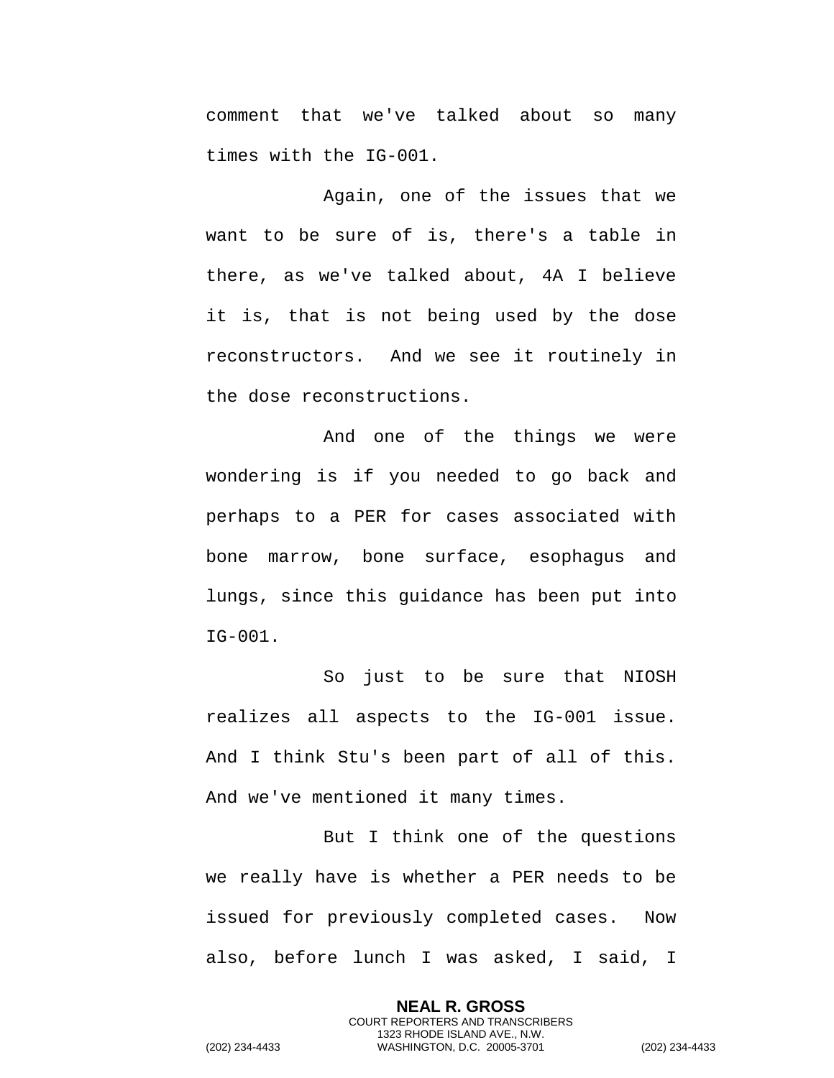comment that we've talked about so many times with the IG-001.

Again, one of the issues that we want to be sure of is, there's a table in there, as we've talked about, 4A I believe it is, that is not being used by the dose reconstructors. And we see it routinely in the dose reconstructions.

And one of the things we were wondering is if you needed to go back and perhaps to a PER for cases associated with bone marrow, bone surface, esophagus and lungs, since this guidance has been put into IG-001.

So just to be sure that NIOSH realizes all aspects to the IG-001 issue. And I think Stu's been part of all of this. And we've mentioned it many times.

But I think one of the questions we really have is whether a PER needs to be issued for previously completed cases. Now also, before lunch I was asked, I said, I

> **NEAL R. GROSS** COURT REPORTERS AND TRANSCRIBERS 1323 RHODE ISLAND AVE., N.W.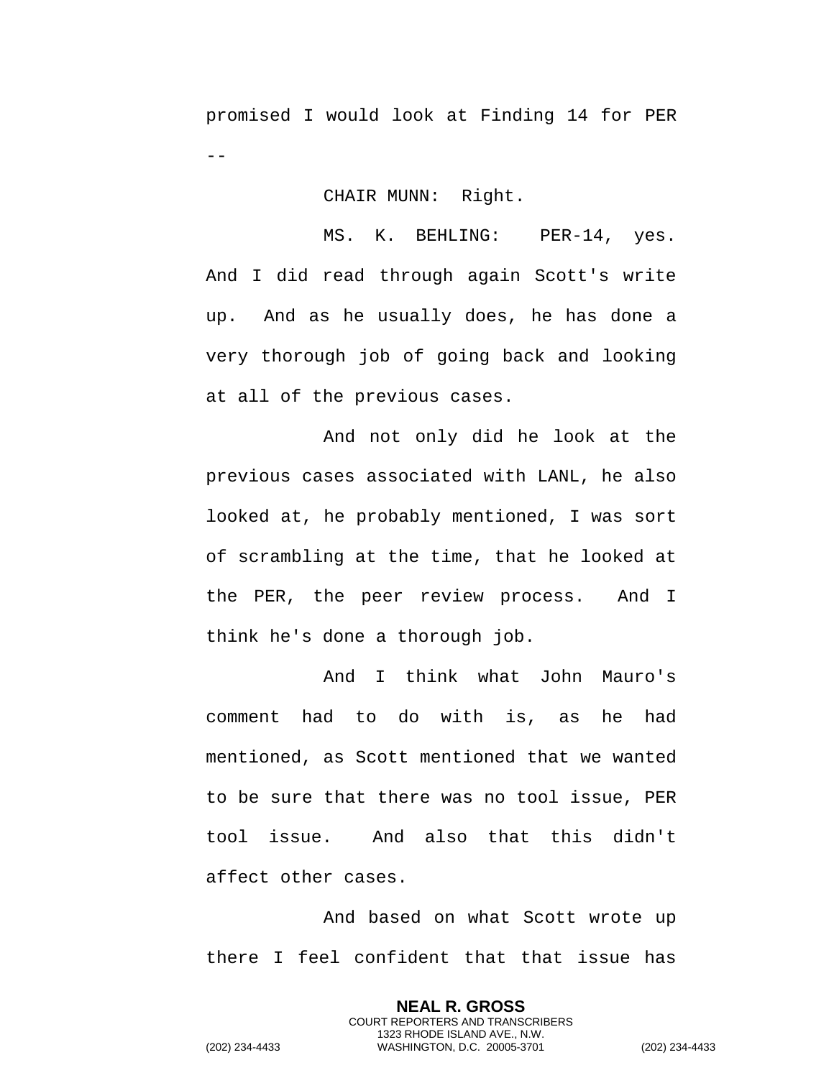promised I would look at Finding 14 for PER  $-$ 

## CHAIR MUNN: Right.

MS. K. BEHLING: PER-14, yes. And I did read through again Scott's write up. And as he usually does, he has done a very thorough job of going back and looking at all of the previous cases.

And not only did he look at the previous cases associated with LANL, he also looked at, he probably mentioned, I was sort of scrambling at the time, that he looked at the PER, the peer review process. And I think he's done a thorough job.

And I think what John Mauro's comment had to do with is, as he had mentioned, as Scott mentioned that we wanted to be sure that there was no tool issue, PER tool issue. And also that this didn't affect other cases.

And based on what Scott wrote up there I feel confident that that issue has

> **NEAL R. GROSS** COURT REPORTERS AND TRANSCRIBERS 1323 RHODE ISLAND AVE., N.W.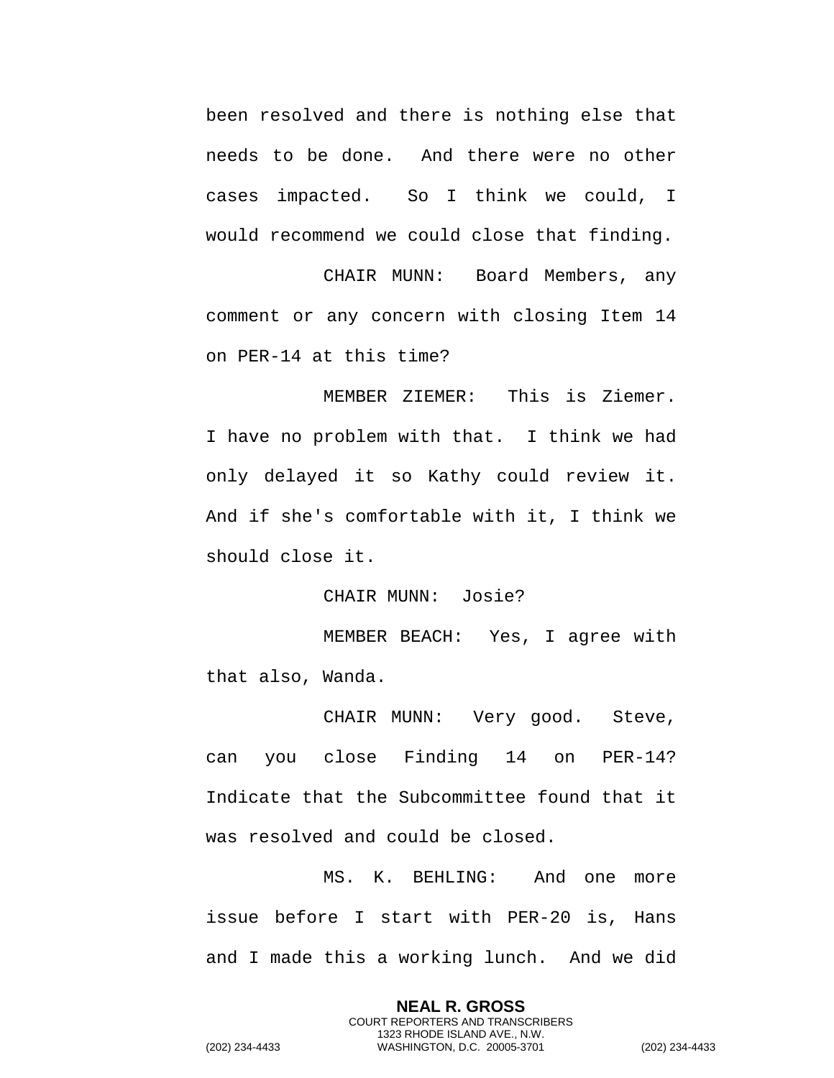been resolved and there is nothing else that needs to be done. And there were no other cases impacted. So I think we could, I would recommend we could close that finding.

CHAIR MUNN: Board Members, any comment or any concern with closing Item 14 on PER-14 at this time?

MEMBER ZIEMER: This is Ziemer. I have no problem with that. I think we had only delayed it so Kathy could review it. And if she's comfortable with it, I think we should close it.

CHAIR MUNN: Josie?

MEMBER BEACH: Yes, I agree with that also, Wanda.

CHAIR MUNN: Very good. Steve, can you close Finding 14 on PER-14? Indicate that the Subcommittee found that it was resolved and could be closed.

MS. K. BEHLING: And one more issue before I start with PER-20 is, Hans and I made this a working lunch. And we did

> **NEAL R. GROSS** COURT REPORTERS AND TRANSCRIBERS 1323 RHODE ISLAND AVE., N.W.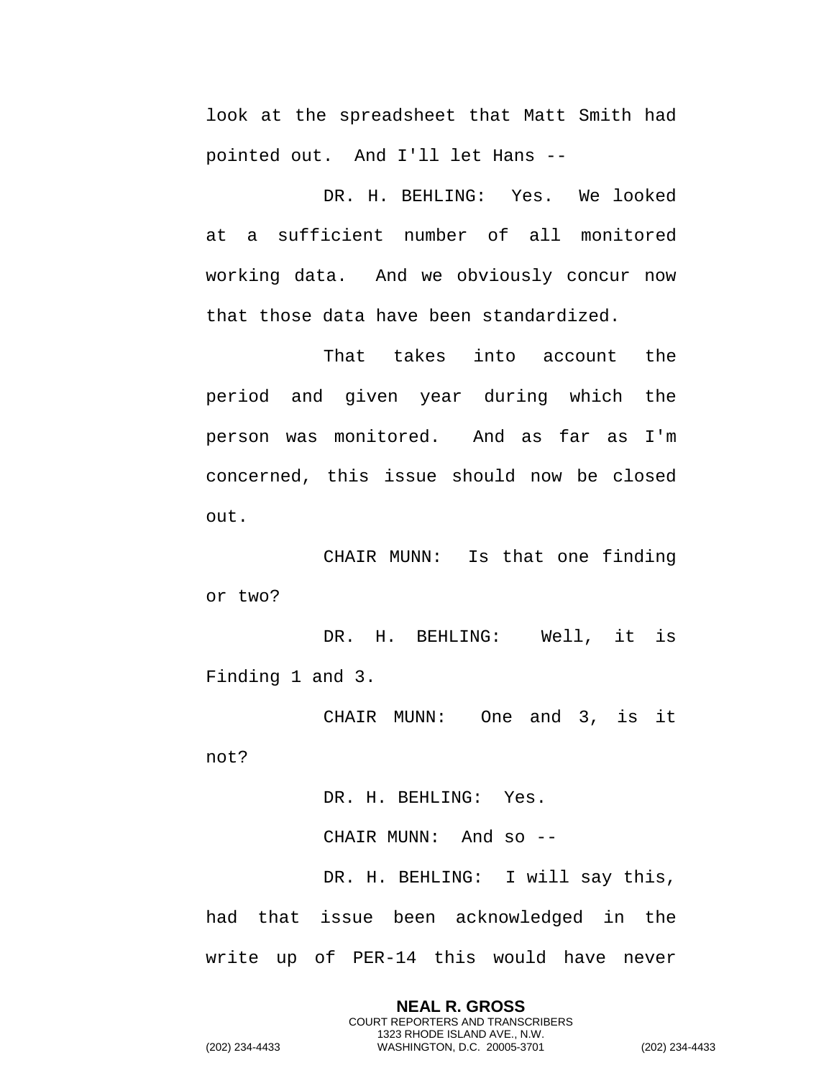look at the spreadsheet that Matt Smith had pointed out. And I'll let Hans --

DR. H. BEHLING: Yes. We looked at a sufficient number of all monitored working data. And we obviously concur now that those data have been standardized.

That takes into account the period and given year during which the person was monitored. And as far as I'm concerned, this issue should now be closed out.

CHAIR MUNN: Is that one finding or two?

DR. H. BEHLING: Well, it is Finding 1 and 3.

CHAIR MUNN: One and 3, is it

not?

DR. H. BEHLING: Yes. CHAIR MUNN: And so -- DR. H. BEHLING: I will say this, had that issue been acknowledged in the write up of PER-14 this would have never

> **NEAL R. GROSS** COURT REPORTERS AND TRANSCRIBERS 1323 RHODE ISLAND AVE., N.W.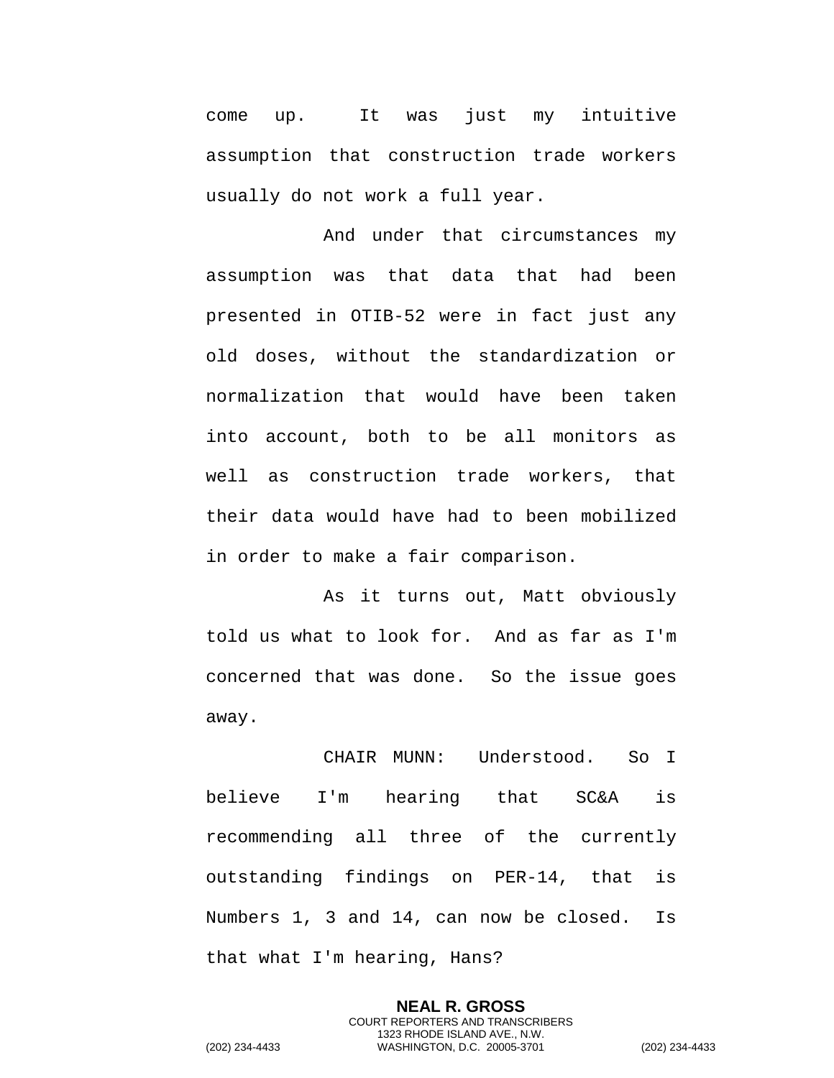come up. It was just my intuitive assumption that construction trade workers usually do not work a full year.

And under that circumstances my assumption was that data that had been presented in OTIB-52 were in fact just any old doses, without the standardization or normalization that would have been taken into account, both to be all monitors as well as construction trade workers, that their data would have had to been mobilized in order to make a fair comparison.

As it turns out, Matt obviously told us what to look for. And as far as I'm concerned that was done. So the issue goes away.

CHAIR MUNN: Understood. So I believe I'm hearing that SC&A is recommending all three of the currently outstanding findings on PER-14, that is Numbers 1, 3 and 14, can now be closed. Is that what I'm hearing, Hans?

**NEAL R. GROSS** COURT REPORTERS AND TRANSCRIBERS 1323 RHODE ISLAND AVE., N.W. (202) 234-4433 WASHINGTON, D.C. 20005-3701 (202) 234-4433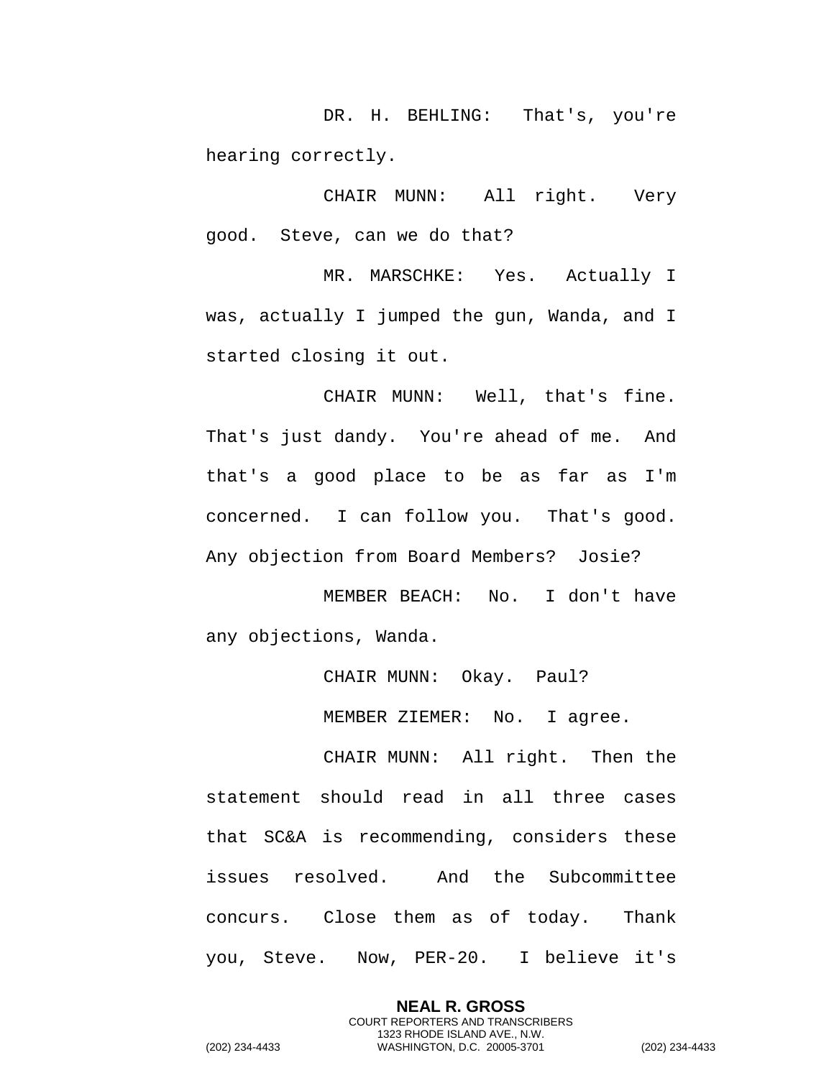DR. H. BEHLING: That's, you're hearing correctly.

CHAIR MUNN: All right. Very good. Steve, can we do that?

MR. MARSCHKE: Yes. Actually I was, actually I jumped the gun, Wanda, and I started closing it out.

CHAIR MUNN: Well, that's fine. That's just dandy. You're ahead of me. And that's a good place to be as far as I'm concerned. I can follow you. That's good. Any objection from Board Members? Josie?

MEMBER BEACH: No. I don't have any objections, Wanda.

CHAIR MUNN: Okay. Paul?

MEMBER ZIEMER: No. I agree.

CHAIR MUNN: All right. Then the statement should read in all three cases that SC&A is recommending, considers these issues resolved. And the Subcommittee concurs. Close them as of today. Thank you, Steve. Now, PER-20. I believe it's

> **NEAL R. GROSS** COURT REPORTERS AND TRANSCRIBERS 1323 RHODE ISLAND AVE., N.W.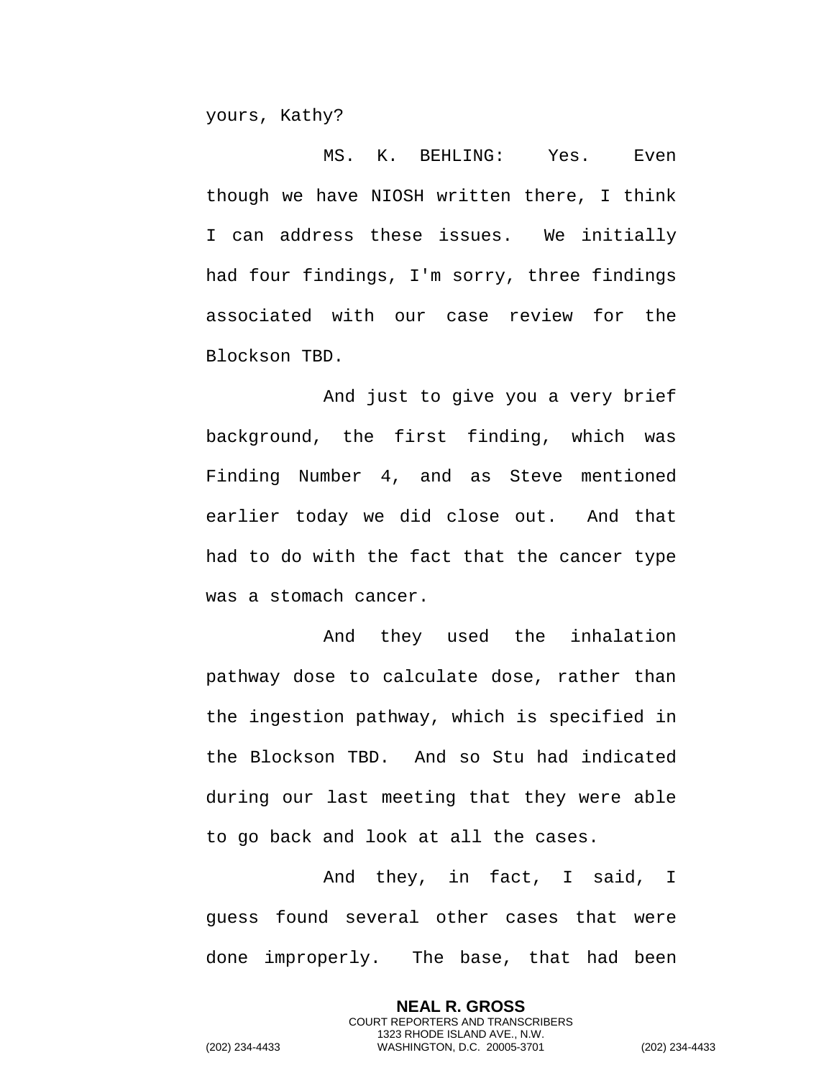yours, Kathy?

MS. K. BEHLING: Yes. Even though we have NIOSH written there, I think I can address these issues. We initially had four findings, I'm sorry, three findings associated with our case review for the Blockson TBD.

And just to give you a very brief background, the first finding, which was Finding Number 4, and as Steve mentioned earlier today we did close out. And that had to do with the fact that the cancer type was a stomach cancer.

And they used the inhalation pathway dose to calculate dose, rather than the ingestion pathway, which is specified in the Blockson TBD. And so Stu had indicated during our last meeting that they were able to go back and look at all the cases.

And they, in fact, I said, I guess found several other cases that were done improperly. The base, that had been

> **NEAL R. GROSS** COURT REPORTERS AND TRANSCRIBERS 1323 RHODE ISLAND AVE., N.W.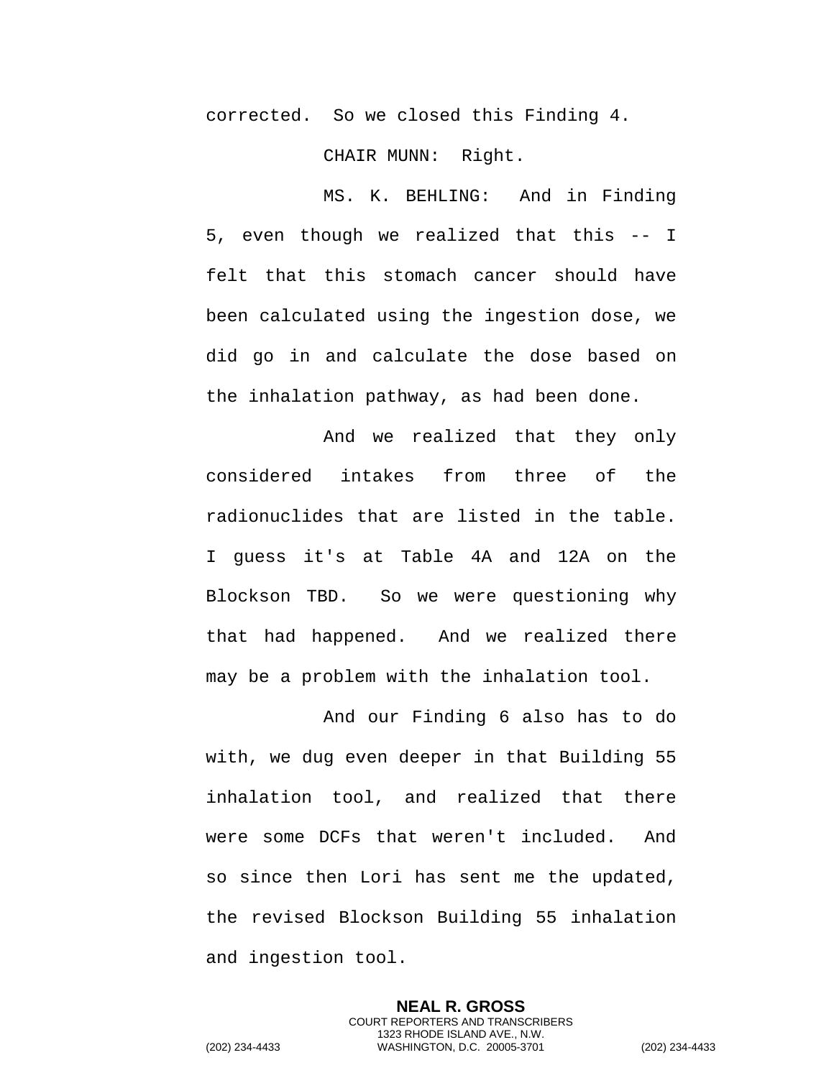corrected. So we closed this Finding 4.

CHAIR MUNN: Right.

MS. K. BEHLING: And in Finding 5, even though we realized that this -- I felt that this stomach cancer should have been calculated using the ingestion dose, we did go in and calculate the dose based on the inhalation pathway, as had been done.

And we realized that they only considered intakes from three of the radionuclides that are listed in the table. I guess it's at Table 4A and 12A on the Blockson TBD. So we were questioning why that had happened. And we realized there may be a problem with the inhalation tool.

And our Finding 6 also has to do with, we dug even deeper in that Building 55 inhalation tool, and realized that there were some DCFs that weren't included. And so since then Lori has sent me the updated, the revised Blockson Building 55 inhalation and ingestion tool.

> **NEAL R. GROSS** COURT REPORTERS AND TRANSCRIBERS 1323 RHODE ISLAND AVE., N.W.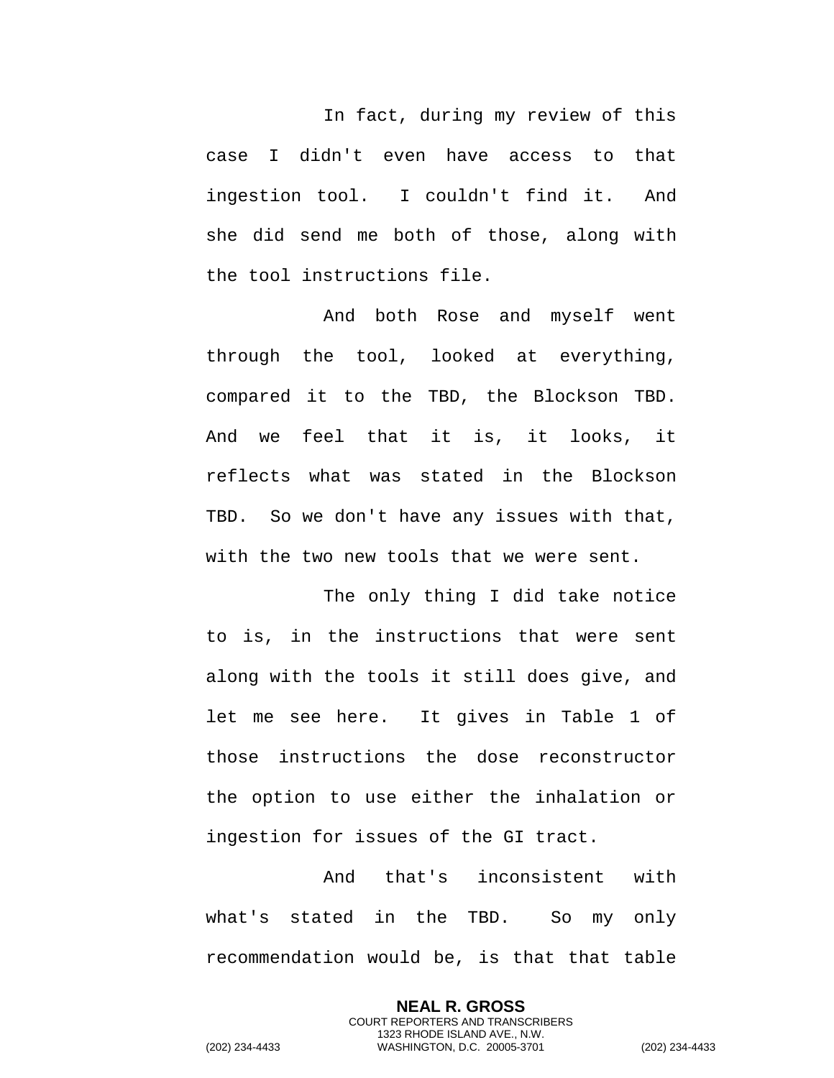In fact, during my review of this case I didn't even have access to that ingestion tool. I couldn't find it. And she did send me both of those, along with the tool instructions file.

And both Rose and myself went through the tool, looked at everything, compared it to the TBD, the Blockson TBD. And we feel that it is, it looks, it reflects what was stated in the Blockson TBD. So we don't have any issues with that, with the two new tools that we were sent.

The only thing I did take notice to is, in the instructions that were sent along with the tools it still does give, and let me see here. It gives in Table 1 of those instructions the dose reconstructor the option to use either the inhalation or ingestion for issues of the GI tract.

And that's inconsistent with what's stated in the TBD. So my only recommendation would be, is that that table

> **NEAL R. GROSS** COURT REPORTERS AND TRANSCRIBERS 1323 RHODE ISLAND AVE., N.W.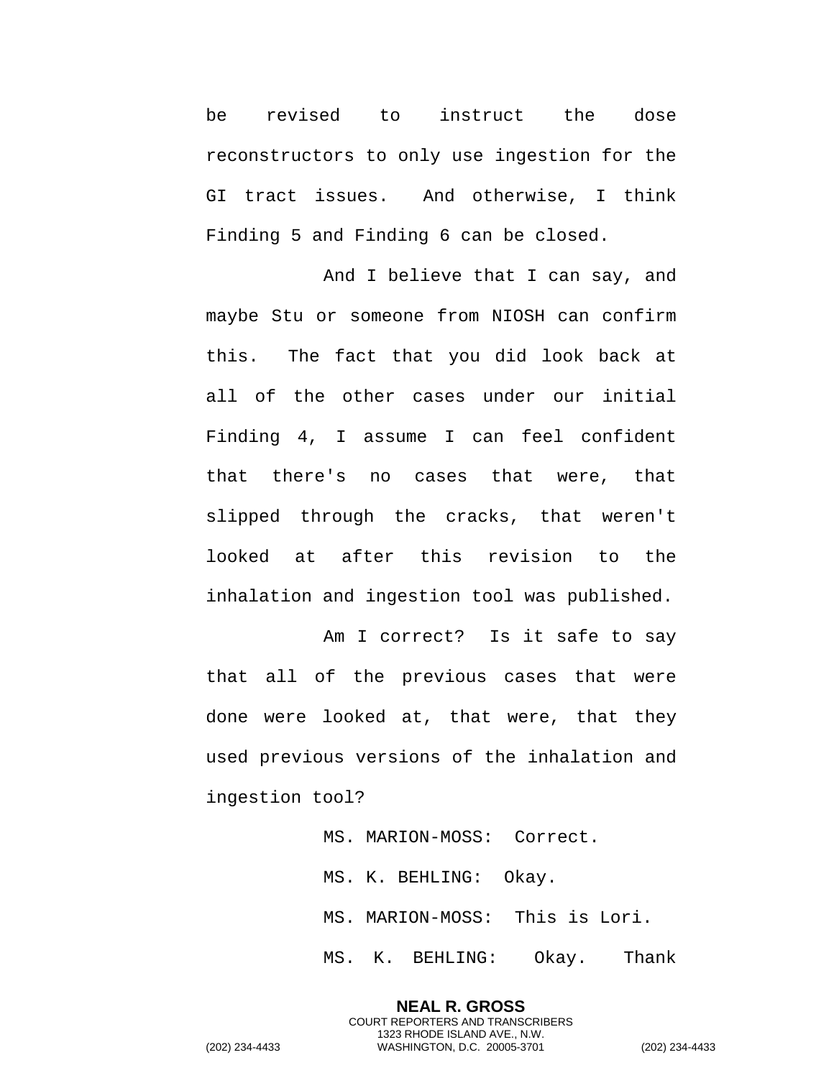be revised to instruct the dose reconstructors to only use ingestion for the GI tract issues. And otherwise, I think Finding 5 and Finding 6 can be closed.

And I believe that I can say, and maybe Stu or someone from NIOSH can confirm this. The fact that you did look back at all of the other cases under our initial Finding 4, I assume I can feel confident that there's no cases that were, that slipped through the cracks, that weren't looked at after this revision to the inhalation and ingestion tool was published.

Am I correct? Is it safe to say that all of the previous cases that were done were looked at, that were, that they used previous versions of the inhalation and ingestion tool?

> MS. MARION-MOSS: Correct. MS. K. BEHLING: Okay. MS. MARION-MOSS: This is Lori. MS. K. BEHLING: Okay. Thank

**NEAL R. GROSS** COURT REPORTERS AND TRANSCRIBERS 1323 RHODE ISLAND AVE., N.W.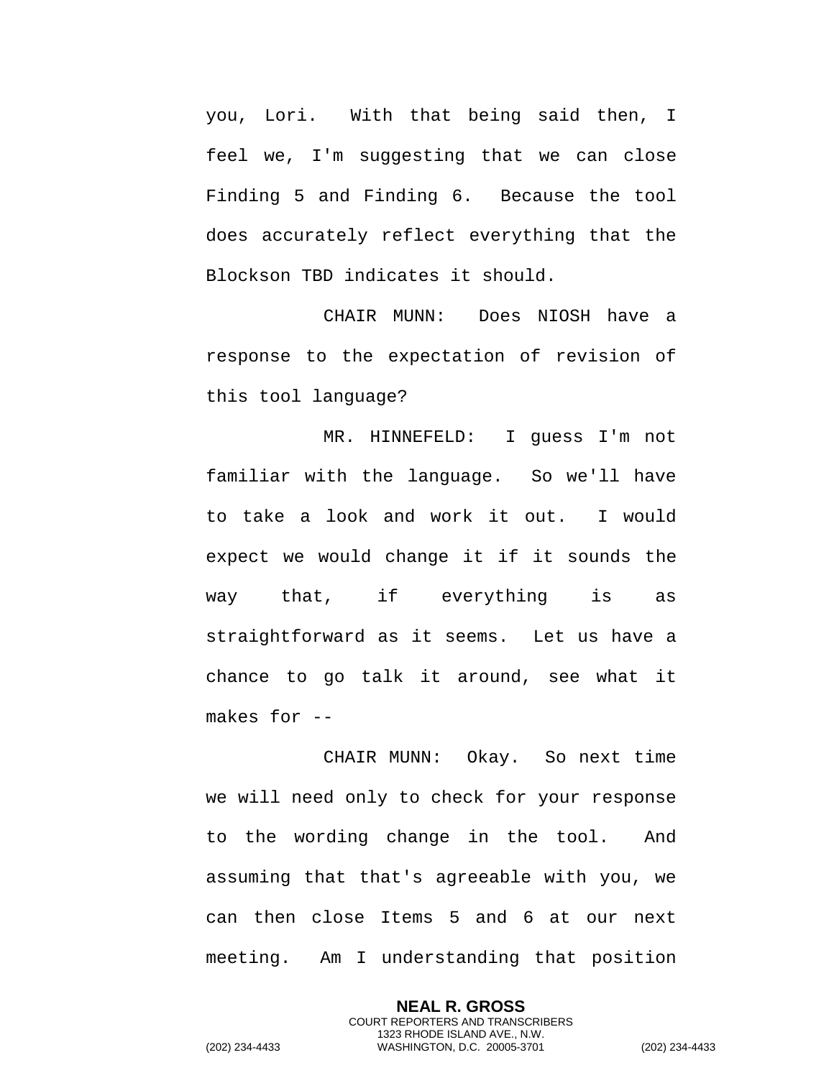you, Lori. With that being said then, I feel we, I'm suggesting that we can close Finding 5 and Finding 6. Because the tool does accurately reflect everything that the Blockson TBD indicates it should.

CHAIR MUNN: Does NIOSH have a response to the expectation of revision of this tool language?

MR. HINNEFELD: I guess I'm not familiar with the language. So we'll have to take a look and work it out. I would expect we would change it if it sounds the way that, if everything is as straightforward as it seems. Let us have a chance to go talk it around, see what it makes for --

CHAIR MUNN: Okay. So next time we will need only to check for your response to the wording change in the tool. And assuming that that's agreeable with you, we can then close Items 5 and 6 at our next meeting. Am I understanding that position

> **NEAL R. GROSS** COURT REPORTERS AND TRANSCRIBERS 1323 RHODE ISLAND AVE., N.W.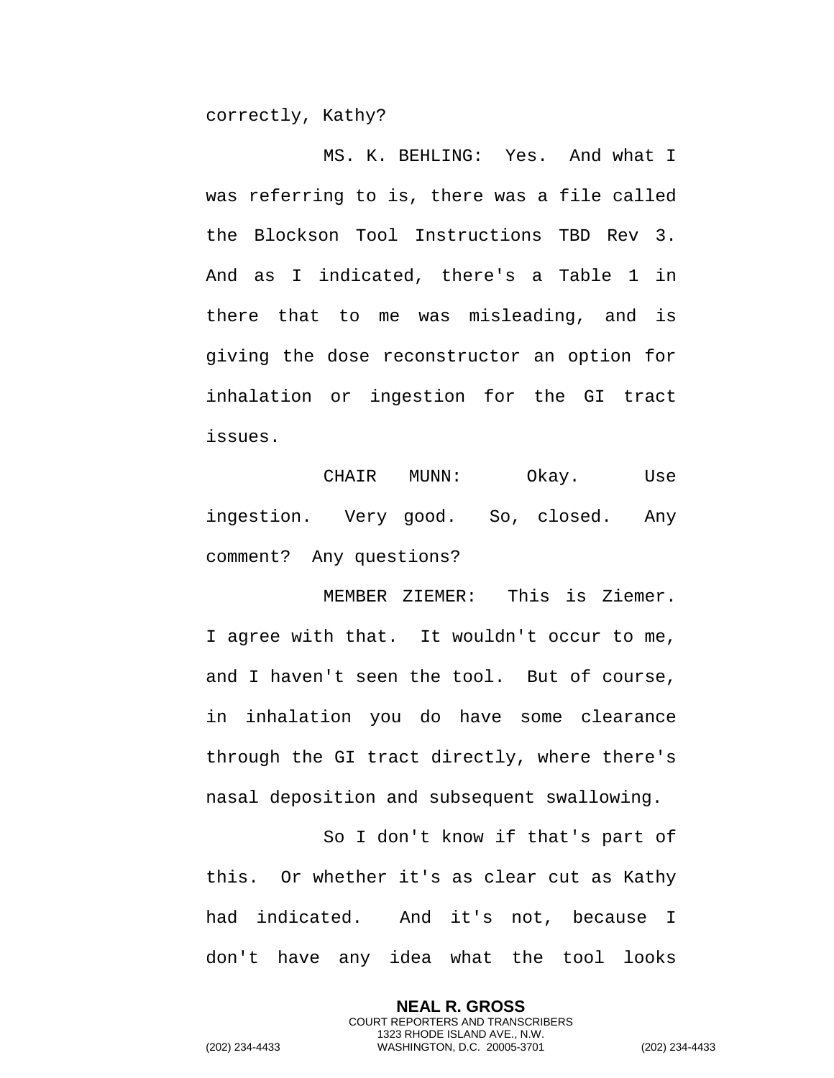correctly, Kathy?

MS. K. BEHLING: Yes. And what I was referring to is, there was a file called the Blockson Tool Instructions TBD Rev 3. And as I indicated, there's a Table 1 in there that to me was misleading, and is giving the dose reconstructor an option for inhalation or ingestion for the GI tract issues.

CHAIR MUNN: Okay. Use ingestion. Very good. So, closed. Any comment? Any questions?

MEMBER ZIEMER: This is Ziemer. I agree with that. It wouldn't occur to me, and I haven't seen the tool. But of course, in inhalation you do have some clearance through the GI tract directly, where there's nasal deposition and subsequent swallowing.

So I don't know if that's part of this. Or whether it's as clear cut as Kathy had indicated. And it's not, because I don't have any idea what the tool looks

> **NEAL R. GROSS** COURT REPORTERS AND TRANSCRIBERS 1323 RHODE ISLAND AVE., N.W.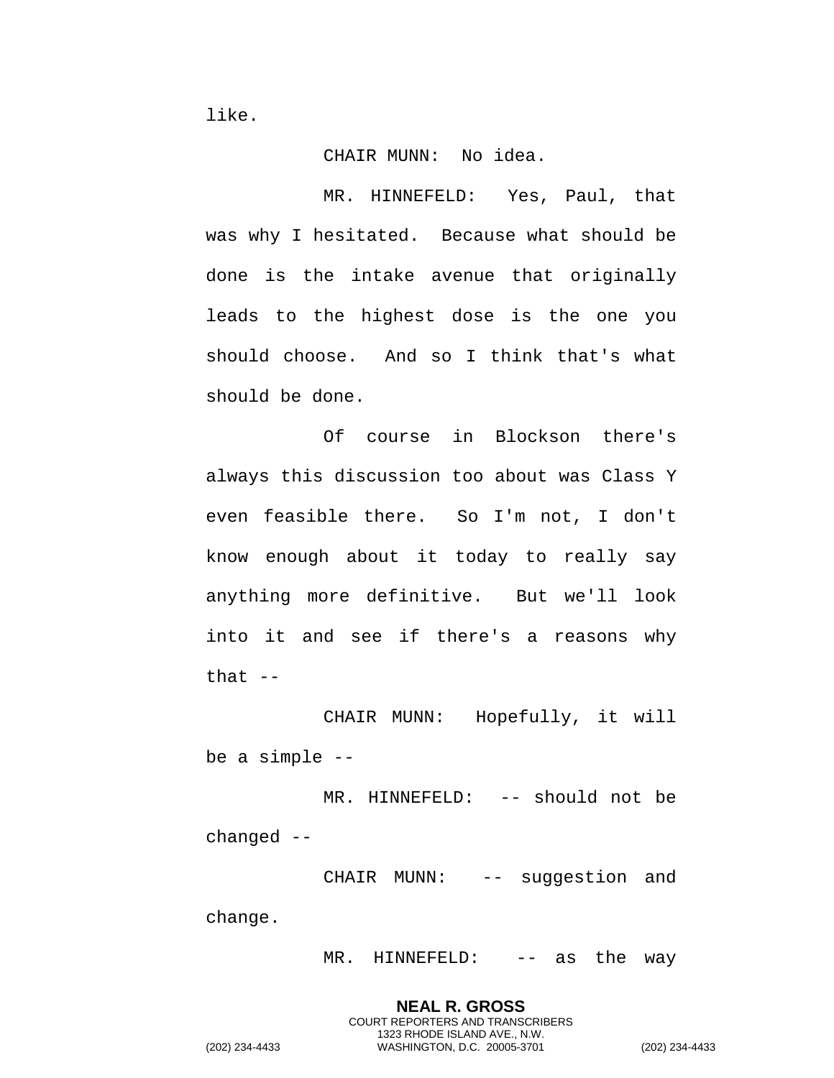like.

## CHAIR MUNN: No idea.

MR. HINNEFELD: Yes, Paul, that was why I hesitated. Because what should be done is the intake avenue that originally leads to the highest dose is the one you should choose. And so I think that's what should be done.

Of course in Blockson there's always this discussion too about was Class Y even feasible there. So I'm not, I don't know enough about it today to really say anything more definitive. But we'll look into it and see if there's a reasons why that  $--$ 

CHAIR MUNN: Hopefully, it will be a simple --

MR. HINNEFELD: -- should not be changed --

CHAIR MUNN: -- suggestion and

change.

MR. HINNEFELD: -- as the way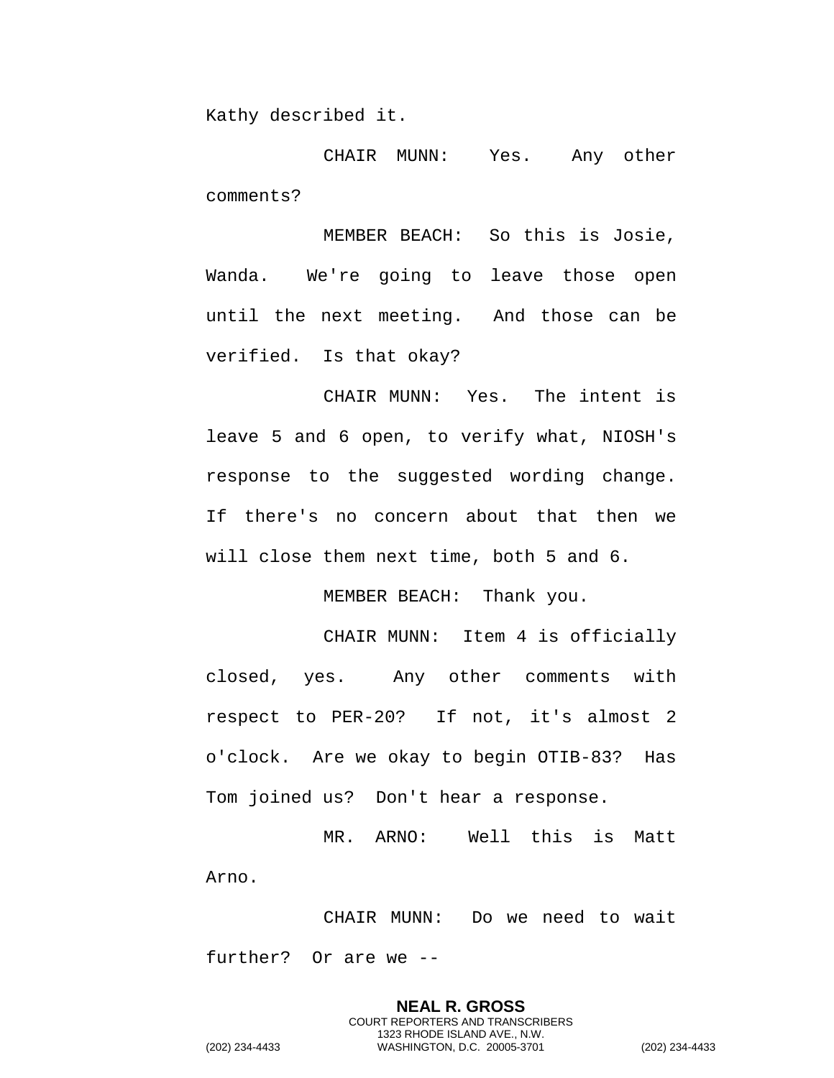Kathy described it.

CHAIR MUNN: Yes. Any other comments?

MEMBER BEACH: So this is Josie, Wanda. We're going to leave those open until the next meeting. And those can be verified. Is that okay?

CHAIR MUNN: Yes. The intent is leave 5 and 6 open, to verify what, NIOSH's response to the suggested wording change. If there's no concern about that then we will close them next time, both 5 and 6.

MEMBER BEACH: Thank you.

CHAIR MUNN: Item 4 is officially closed, yes. Any other comments with respect to PER-20? If not, it's almost 2 o'clock. Are we okay to begin OTIB-83? Has Tom joined us? Don't hear a response.

MR. ARNO: Well this is Matt Arno.

CHAIR MUNN: Do we need to wait further? Or are we --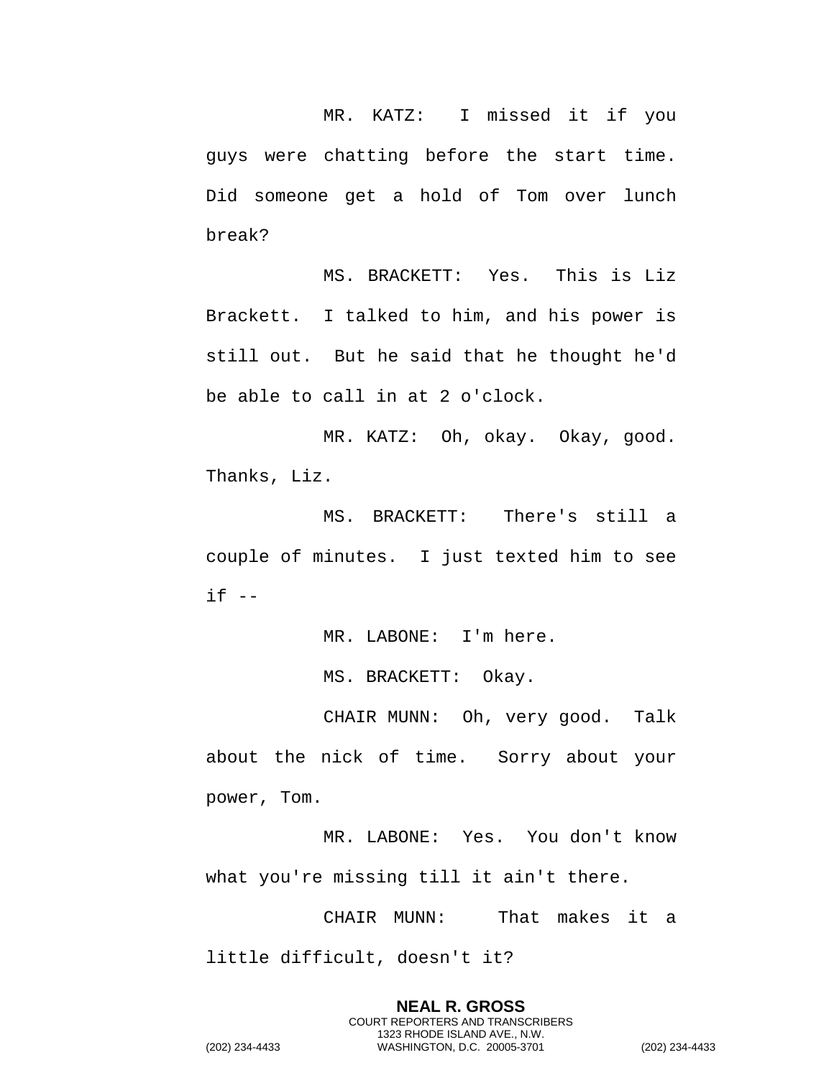MR. KATZ: I missed it if you guys were chatting before the start time. Did someone get a hold of Tom over lunch break?

MS. BRACKETT: Yes. This is Liz Brackett. I talked to him, and his power is still out. But he said that he thought he'd be able to call in at 2 o'clock.

MR. KATZ: Oh, okay. Okay, good. Thanks, Liz.

MS. BRACKETT: There's still a couple of minutes. I just texted him to see  $if --$ 

MR. LABONE: I'm here.

MS. BRACKETT: Okay.

CHAIR MUNN: Oh, very good. Talk about the nick of time. Sorry about your power, Tom.

MR. LABONE: Yes. You don't know what you're missing till it ain't there.

CHAIR MUNN: That makes it a little difficult, doesn't it?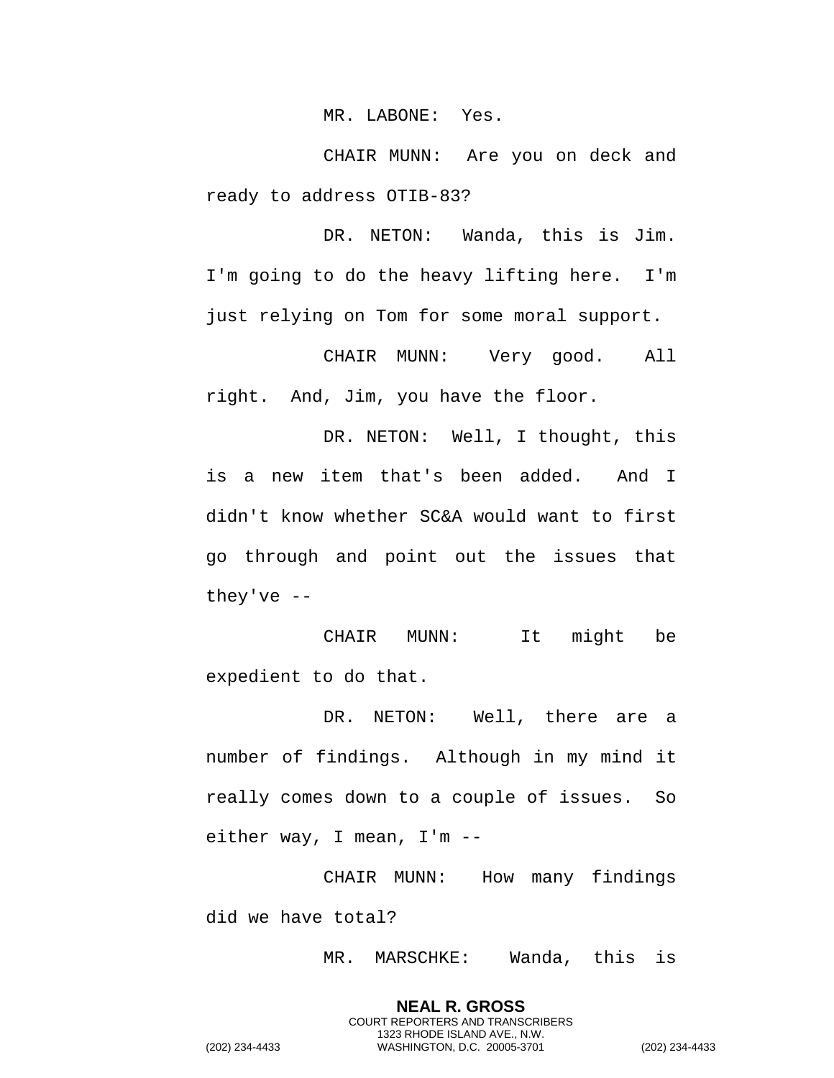MR. LABONE: Yes.

CHAIR MUNN: Are you on deck and ready to address OTIB-83?

DR. NETON: Wanda, this is Jim. I'm going to do the heavy lifting here. I'm just relying on Tom for some moral support.

CHAIR MUNN: Very good. All right. And, Jim, you have the floor.

DR. NETON: Well, I thought, this is a new item that's been added. And I didn't know whether SC&A would want to first go through and point out the issues that they've --

CHAIR MUNN: It might be expedient to do that.

DR. NETON: Well, there are a number of findings. Although in my mind it really comes down to a couple of issues. So either way, I mean, I'm --

CHAIR MUNN: How many findings did we have total?

> **NEAL R. GROSS** COURT REPORTERS AND TRANSCRIBERS 1323 RHODE ISLAND AVE., N.W.

MR. MARSCHKE: Wanda, this is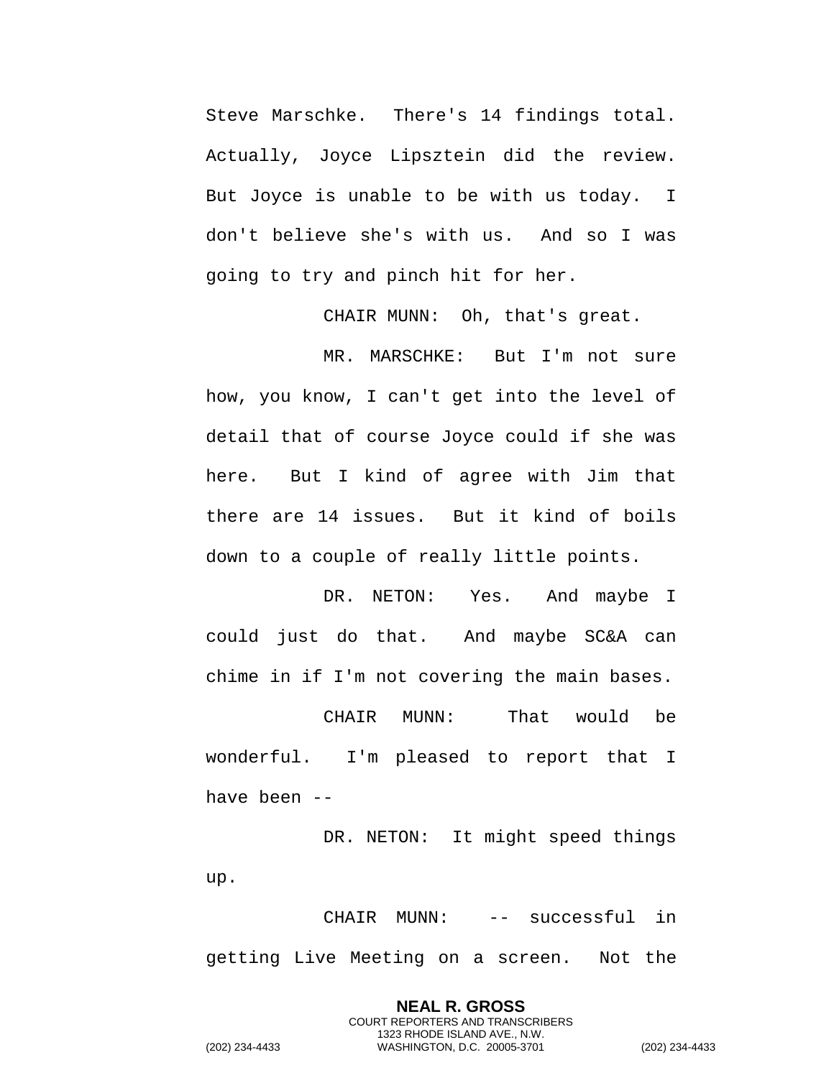Steve Marschke. There's 14 findings total. Actually, Joyce Lipsztein did the review. But Joyce is unable to be with us today. I don't believe she's with us. And so I was going to try and pinch hit for her.

CHAIR MUNN: Oh, that's great.

MR. MARSCHKE: But I'm not sure how, you know, I can't get into the level of detail that of course Joyce could if she was here. But I kind of agree with Jim that there are 14 issues. But it kind of boils down to a couple of really little points.

DR. NETON: Yes. And maybe I could just do that. And maybe SC&A can chime in if I'm not covering the main bases.

CHAIR MUNN: That would be wonderful. I'm pleased to report that I have been --

DR. NETON: It might speed things up.

CHAIR MUNN: -- successful in getting Live Meeting on a screen. Not the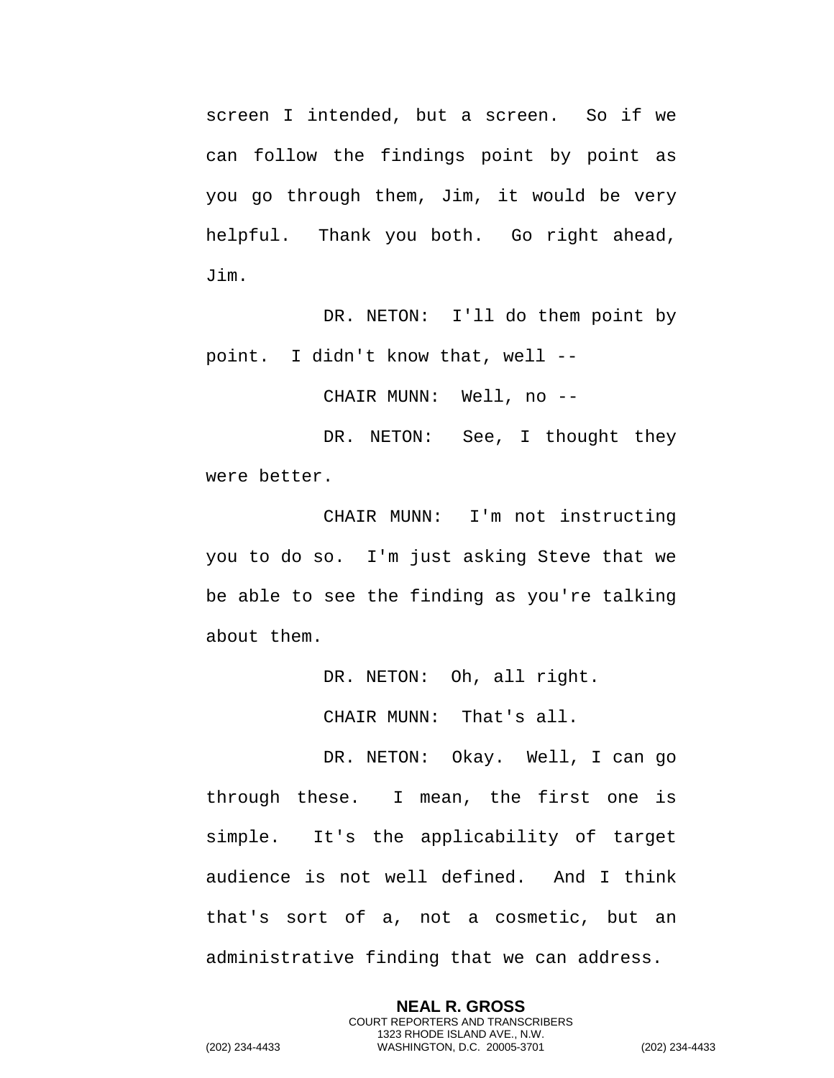screen I intended, but a screen. So if we can follow the findings point by point as you go through them, Jim, it would be very helpful. Thank you both. Go right ahead, Jim.

DR. NETON: I'll do them point by point. I didn't know that, well --

CHAIR MUNN: Well, no --

DR. NETON: See, I thought they were better.

CHAIR MUNN: I'm not instructing you to do so. I'm just asking Steve that we be able to see the finding as you're talking about them.

DR. NETON: Oh, all right.

CHAIR MUNN: That's all.

DR. NETON: Okay. Well, I can go through these. I mean, the first one is simple. It's the applicability of target audience is not well defined. And I think that's sort of a, not a cosmetic, but an administrative finding that we can address.

> **NEAL R. GROSS** COURT REPORTERS AND TRANSCRIBERS 1323 RHODE ISLAND AVE., N.W.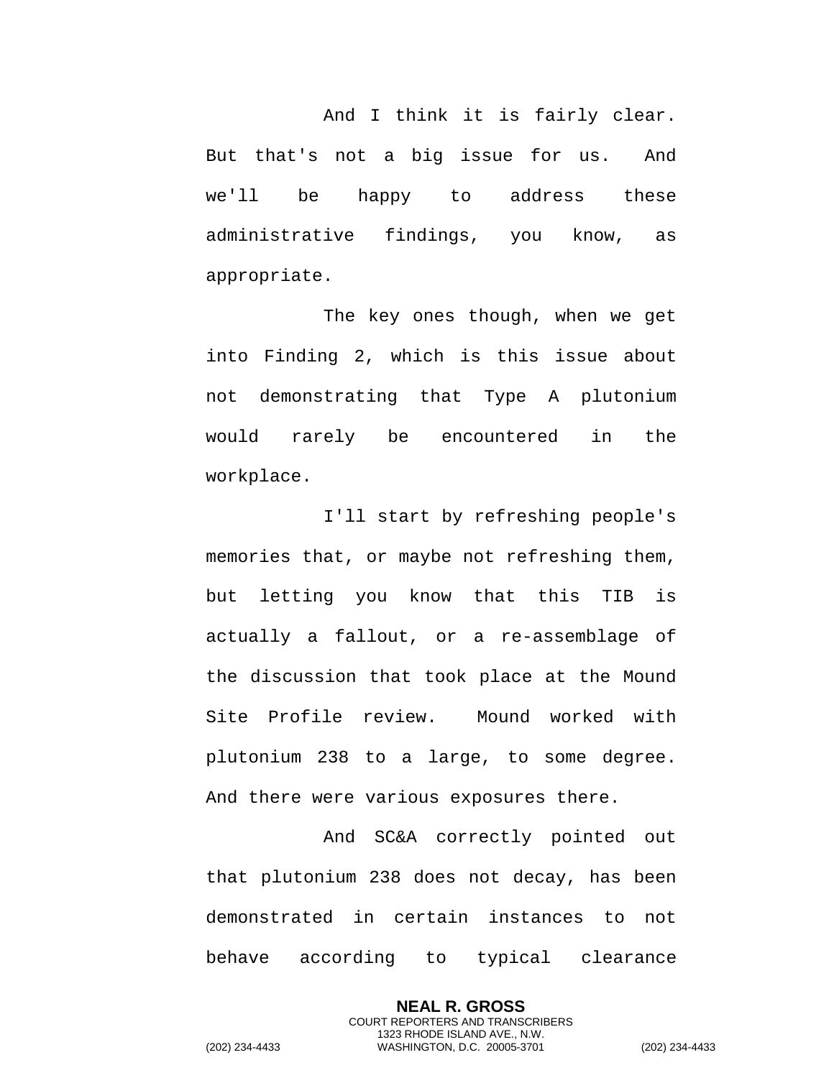And I think it is fairly clear. But that's not a big issue for us. And we'll be happy to address these administrative findings, you know, as appropriate.

The key ones though, when we get into Finding 2, which is this issue about not demonstrating that Type A plutonium would rarely be encountered in the workplace.

I'll start by refreshing people's memories that, or maybe not refreshing them, but letting you know that this TIB is actually a fallout, or a re-assemblage of the discussion that took place at the Mound Site Profile review. Mound worked with plutonium 238 to a large, to some degree. And there were various exposures there.

And SC&A correctly pointed out that plutonium 238 does not decay, has been demonstrated in certain instances to not behave according to typical clearance

> **NEAL R. GROSS** COURT REPORTERS AND TRANSCRIBERS 1323 RHODE ISLAND AVE., N.W.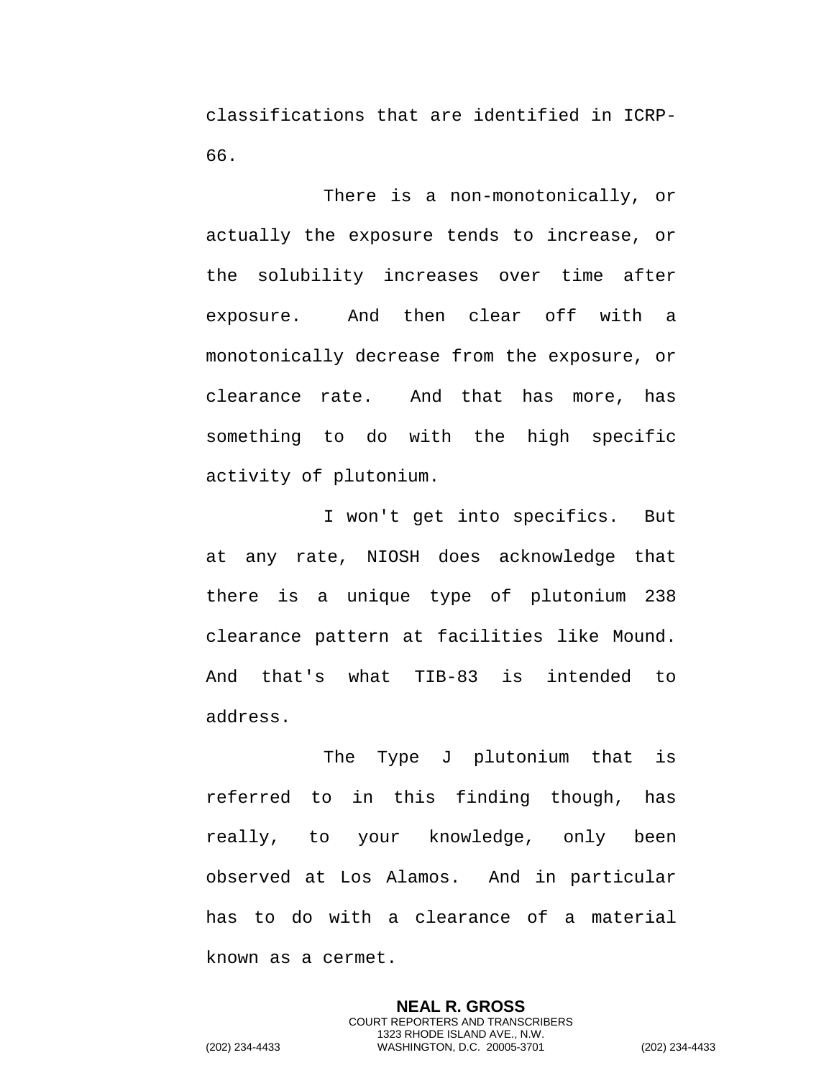classifications that are identified in ICRP-66.

There is a non-monotonically, or actually the exposure tends to increase, or the solubility increases over time after exposure. And then clear off with a monotonically decrease from the exposure, or clearance rate. And that has more, has something to do with the high specific activity of plutonium.

I won't get into specifics. But at any rate, NIOSH does acknowledge that there is a unique type of plutonium 238 clearance pattern at facilities like Mound. And that's what TIB-83 is intended to address.

The Type J plutonium that is referred to in this finding though, has really, to your knowledge, only been observed at Los Alamos. And in particular has to do with a clearance of a material known as a cermet.

> **NEAL R. GROSS** COURT REPORTERS AND TRANSCRIBERS 1323 RHODE ISLAND AVE., N.W.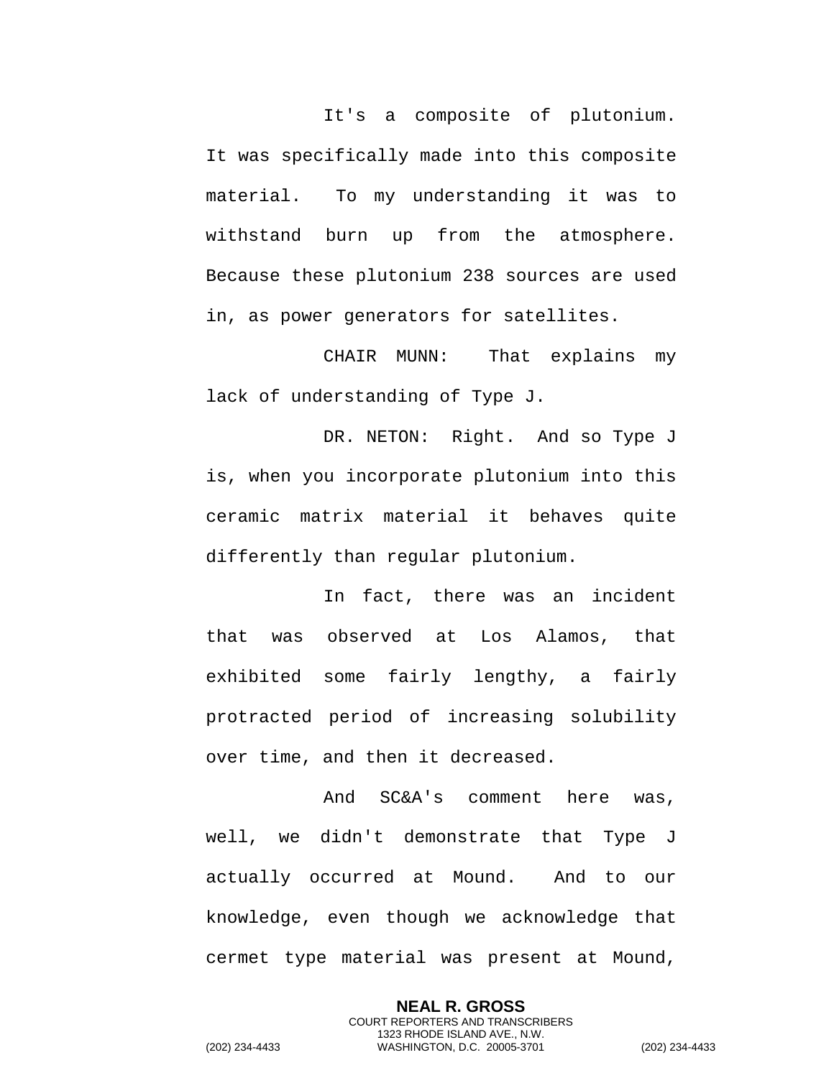It's a composite of plutonium. It was specifically made into this composite material. To my understanding it was to withstand burn up from the atmosphere. Because these plutonium 238 sources are used in, as power generators for satellites.

CHAIR MUNN: That explains my lack of understanding of Type J.

DR. NETON: Right. And so Type J is, when you incorporate plutonium into this ceramic matrix material it behaves quite differently than regular plutonium.

In fact, there was an incident that was observed at Los Alamos, that exhibited some fairly lengthy, a fairly protracted period of increasing solubility over time, and then it decreased.

And SC&A's comment here was, well, we didn't demonstrate that Type J actually occurred at Mound. And to our knowledge, even though we acknowledge that cermet type material was present at Mound,

> **NEAL R. GROSS** COURT REPORTERS AND TRANSCRIBERS 1323 RHODE ISLAND AVE., N.W.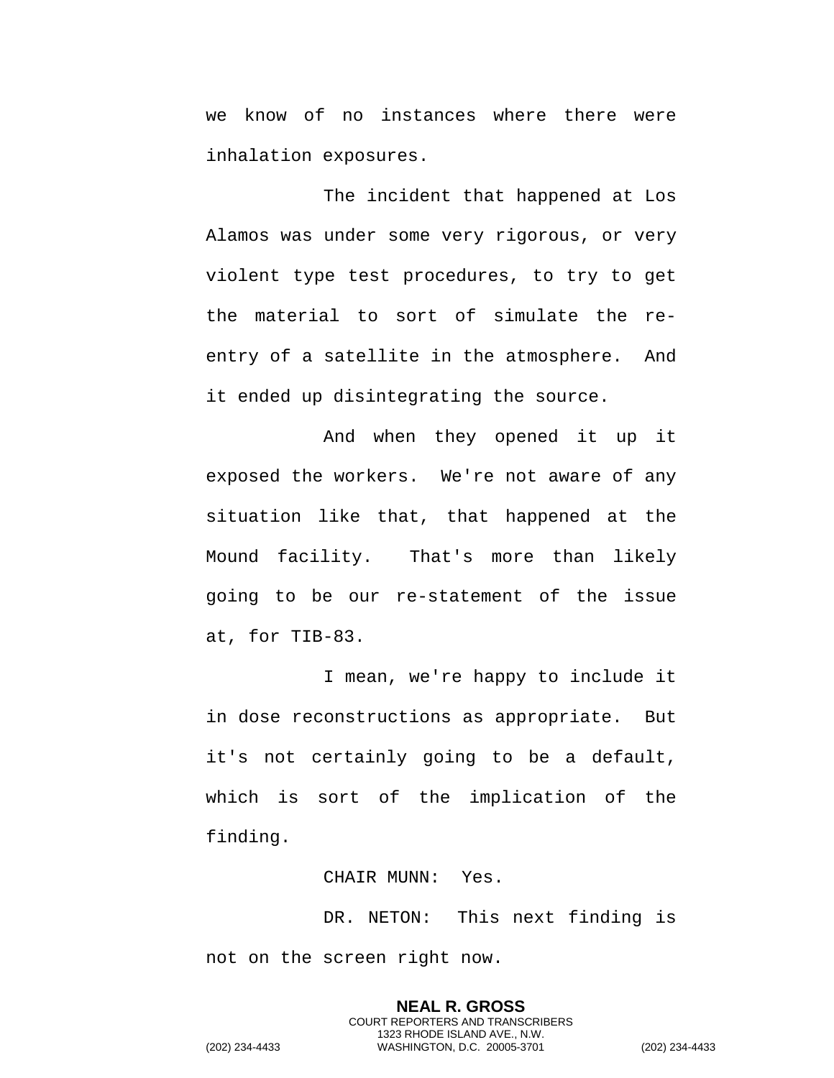we know of no instances where there were inhalation exposures.

The incident that happened at Los Alamos was under some very rigorous, or very violent type test procedures, to try to get the material to sort of simulate the reentry of a satellite in the atmosphere. And it ended up disintegrating the source.

And when they opened it up it exposed the workers. We're not aware of any situation like that, that happened at the Mound facility. That's more than likely going to be our re-statement of the issue at, for TIB-83.

I mean, we're happy to include it in dose reconstructions as appropriate. But it's not certainly going to be a default, which is sort of the implication of the finding.

CHAIR MUNN: Yes.

DR. NETON: This next finding is not on the screen right now.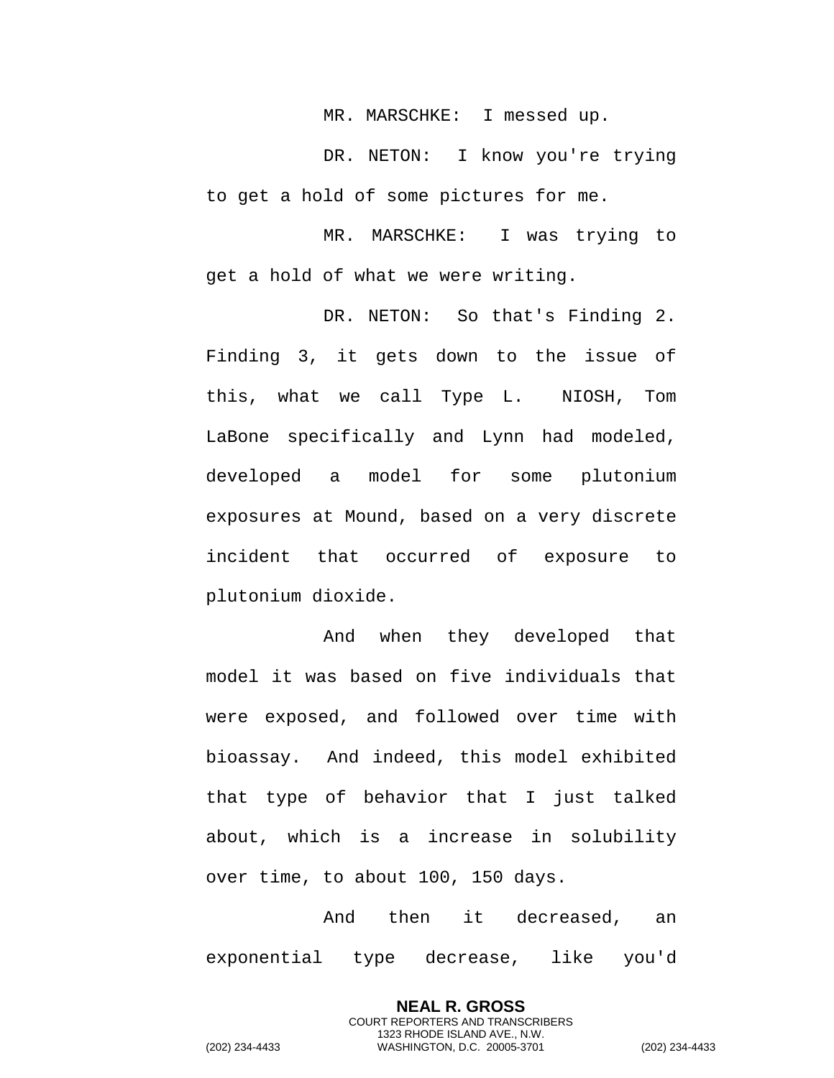MR. MARSCHKE: I messed up.

DR. NETON: I know you're trying to get a hold of some pictures for me.

MR. MARSCHKE: I was trying to get a hold of what we were writing.

DR. NETON: So that's Finding 2. Finding 3, it gets down to the issue of this, what we call Type L. NIOSH, Tom LaBone specifically and Lynn had modeled, developed a model for some plutonium exposures at Mound, based on a very discrete incident that occurred of exposure to plutonium dioxide.

And when they developed that model it was based on five individuals that were exposed, and followed over time with bioassay. And indeed, this model exhibited that type of behavior that I just talked about, which is a increase in solubility over time, to about 100, 150 days.

And then it decreased, an exponential type decrease, like you'd

> **NEAL R. GROSS** COURT REPORTERS AND TRANSCRIBERS 1323 RHODE ISLAND AVE., N.W.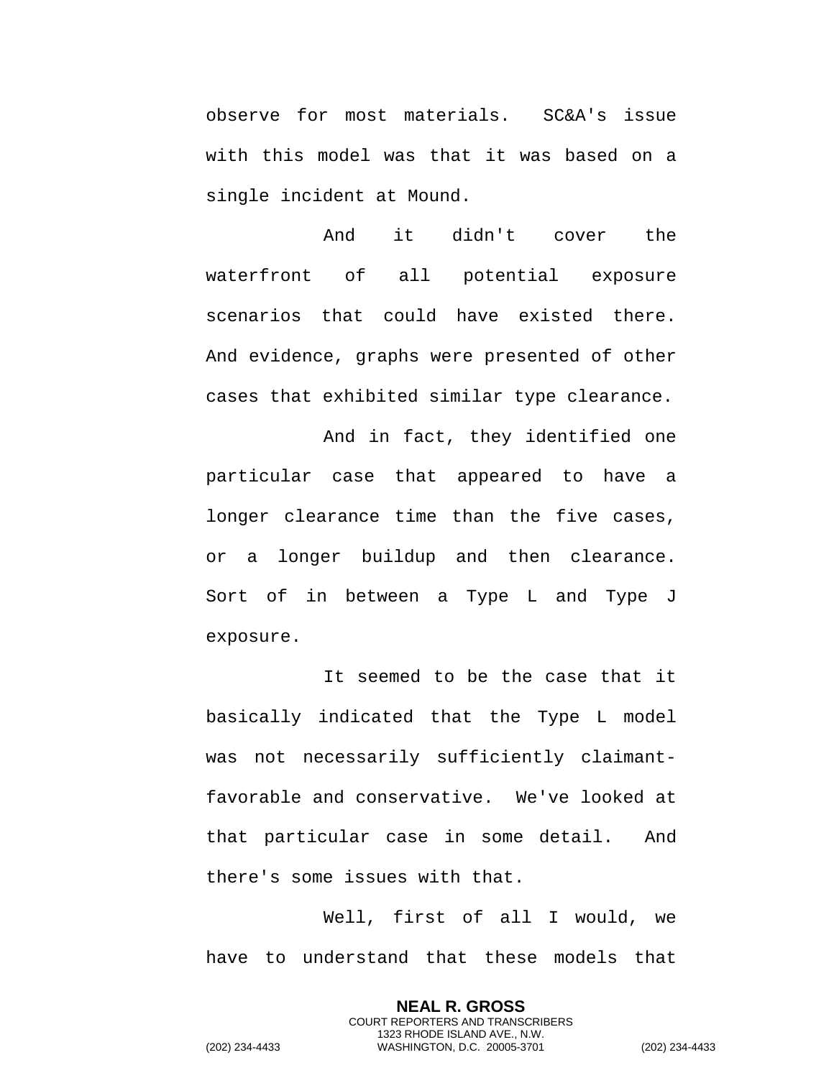observe for most materials. SC&A's issue with this model was that it was based on a single incident at Mound.

And it didn't cover the waterfront of all potential exposure scenarios that could have existed there. And evidence, graphs were presented of other cases that exhibited similar type clearance.

And in fact, they identified one particular case that appeared to have a longer clearance time than the five cases, or a longer buildup and then clearance. Sort of in between a Type L and Type J exposure.

It seemed to be the case that it basically indicated that the Type L model was not necessarily sufficiently claimantfavorable and conservative. We've looked at that particular case in some detail. And there's some issues with that.

Well, first of all I would, we have to understand that these models that

> **NEAL R. GROSS** COURT REPORTERS AND TRANSCRIBERS 1323 RHODE ISLAND AVE., N.W.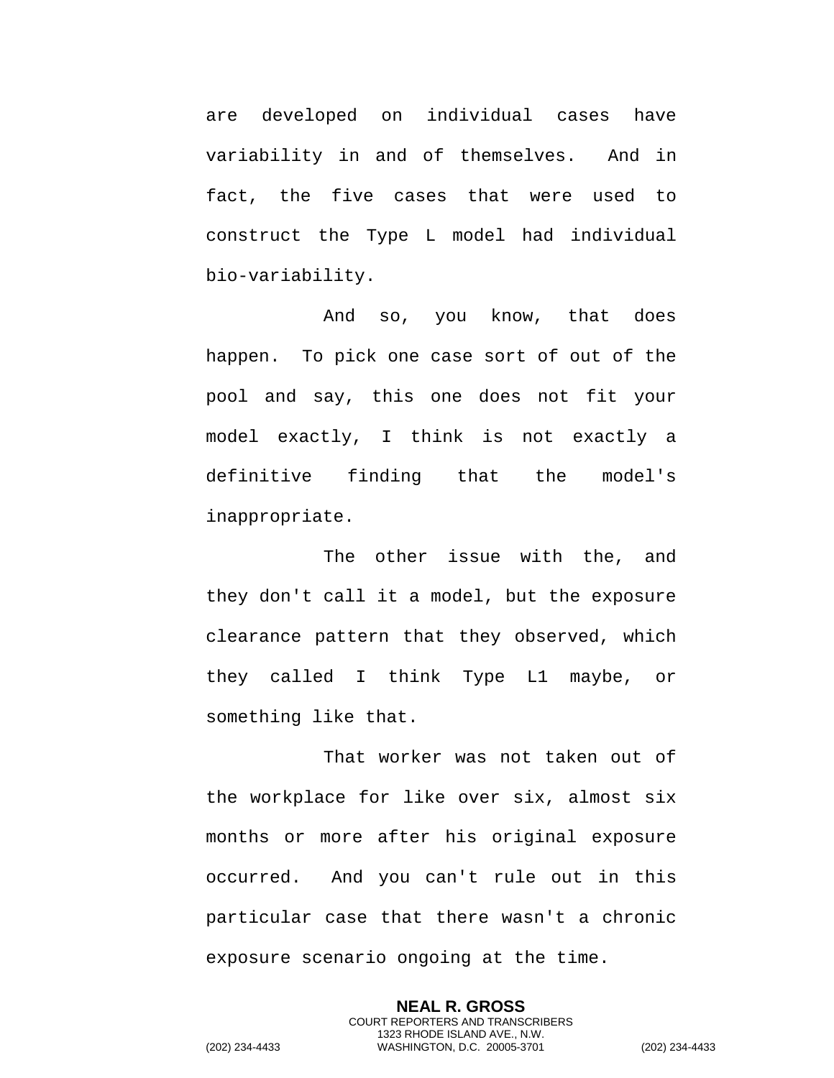are developed on individual cases have variability in and of themselves. And in fact, the five cases that were used to construct the Type L model had individual bio-variability.

And so, you know, that does happen. To pick one case sort of out of the pool and say, this one does not fit your model exactly, I think is not exactly a definitive finding that the model's inappropriate.

The other issue with the, and they don't call it a model, but the exposure clearance pattern that they observed, which they called I think Type L1 maybe, or something like that.

That worker was not taken out of the workplace for like over six, almost six months or more after his original exposure occurred. And you can't rule out in this particular case that there wasn't a chronic exposure scenario ongoing at the time.

> **NEAL R. GROSS** COURT REPORTERS AND TRANSCRIBERS 1323 RHODE ISLAND AVE., N.W.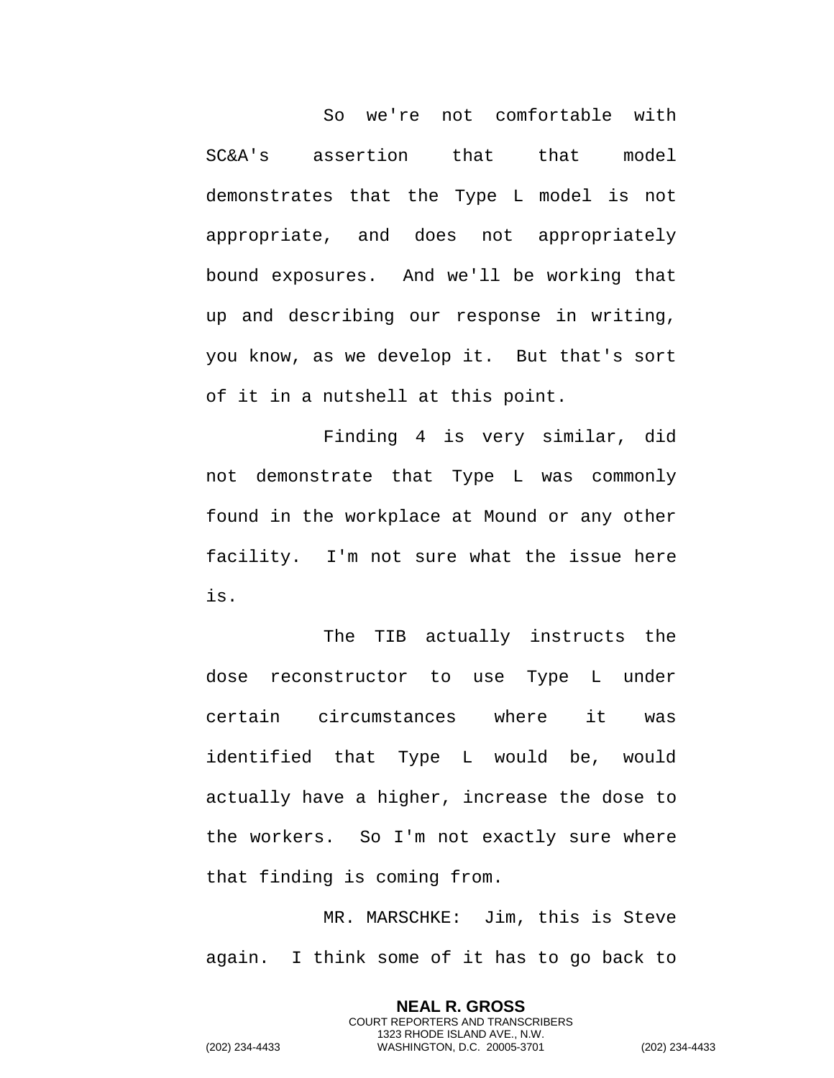So we're not comfortable with SC&A's assertion that that model demonstrates that the Type L model is not appropriate, and does not appropriately bound exposures. And we'll be working that up and describing our response in writing, you know, as we develop it. But that's sort of it in a nutshell at this point.

Finding 4 is very similar, did not demonstrate that Type L was commonly found in the workplace at Mound or any other facility. I'm not sure what the issue here is.

The TIB actually instructs the dose reconstructor to use Type L under certain circumstances where it was identified that Type L would be, would actually have a higher, increase the dose to the workers. So I'm not exactly sure where that finding is coming from.

MR. MARSCHKE: Jim, this is Steve again. I think some of it has to go back to

> **NEAL R. GROSS** COURT REPORTERS AND TRANSCRIBERS 1323 RHODE ISLAND AVE., N.W.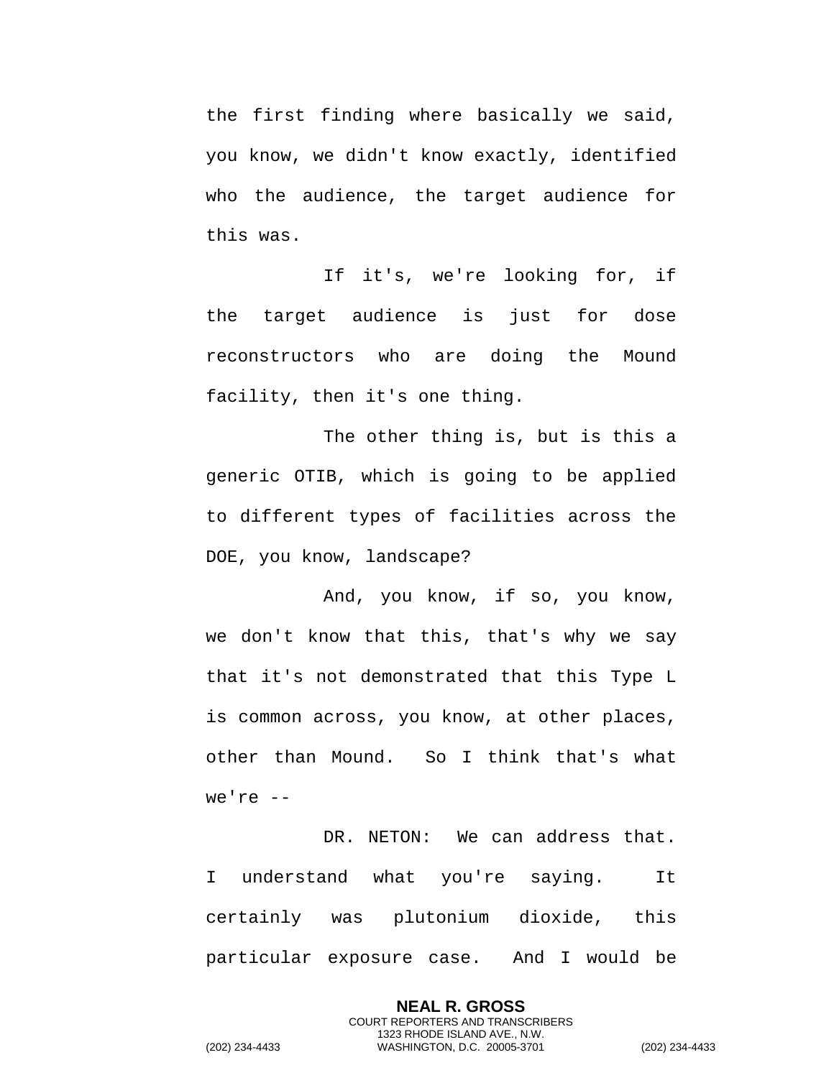the first finding where basically we said, you know, we didn't know exactly, identified who the audience, the target audience for this was.

If it's, we're looking for, if the target audience is just for dose reconstructors who are doing the Mound facility, then it's one thing.

The other thing is, but is this a generic OTIB, which is going to be applied to different types of facilities across the DOE, you know, landscape?

And, you know, if so, you know, we don't know that this, that's why we say that it's not demonstrated that this Type L is common across, you know, at other places, other than Mound. So I think that's what we're --

DR. NETON: We can address that. I understand what you're saying. It certainly was plutonium dioxide, this particular exposure case. And I would be

> **NEAL R. GROSS** COURT REPORTERS AND TRANSCRIBERS 1323 RHODE ISLAND AVE., N.W.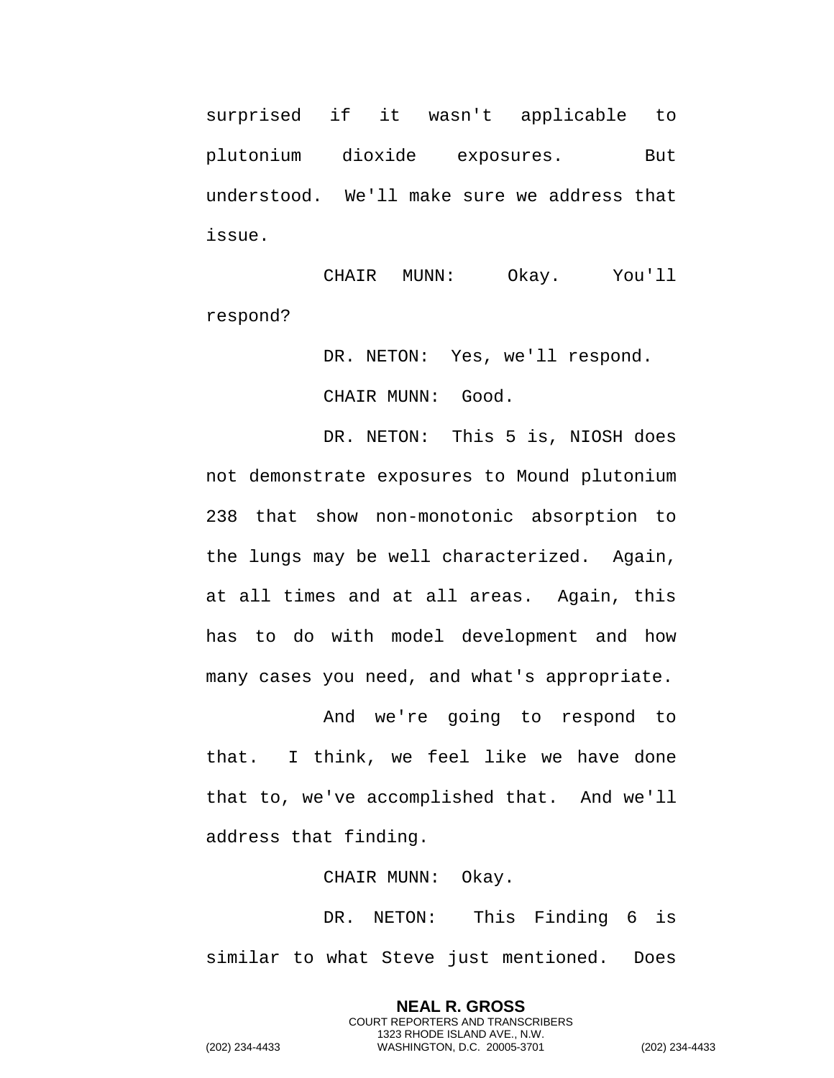surprised if it wasn't applicable to plutonium dioxide exposures. But understood. We'll make sure we address that issue.

CHAIR MUNN: Okay. You'll respond?

> DR. NETON: Yes, we'll respond. CHAIR MUNN: Good.

DR. NETON: This 5 is, NIOSH does not demonstrate exposures to Mound plutonium 238 that show non-monotonic absorption to the lungs may be well characterized. Again, at all times and at all areas. Again, this has to do with model development and how many cases you need, and what's appropriate.

And we're going to respond to that. I think, we feel like we have done that to, we've accomplished that. And we'll address that finding.

CHAIR MUNN: Okay.

DR. NETON: This Finding 6 is similar to what Steve just mentioned. Does

> **NEAL R. GROSS** COURT REPORTERS AND TRANSCRIBERS 1323 RHODE ISLAND AVE., N.W.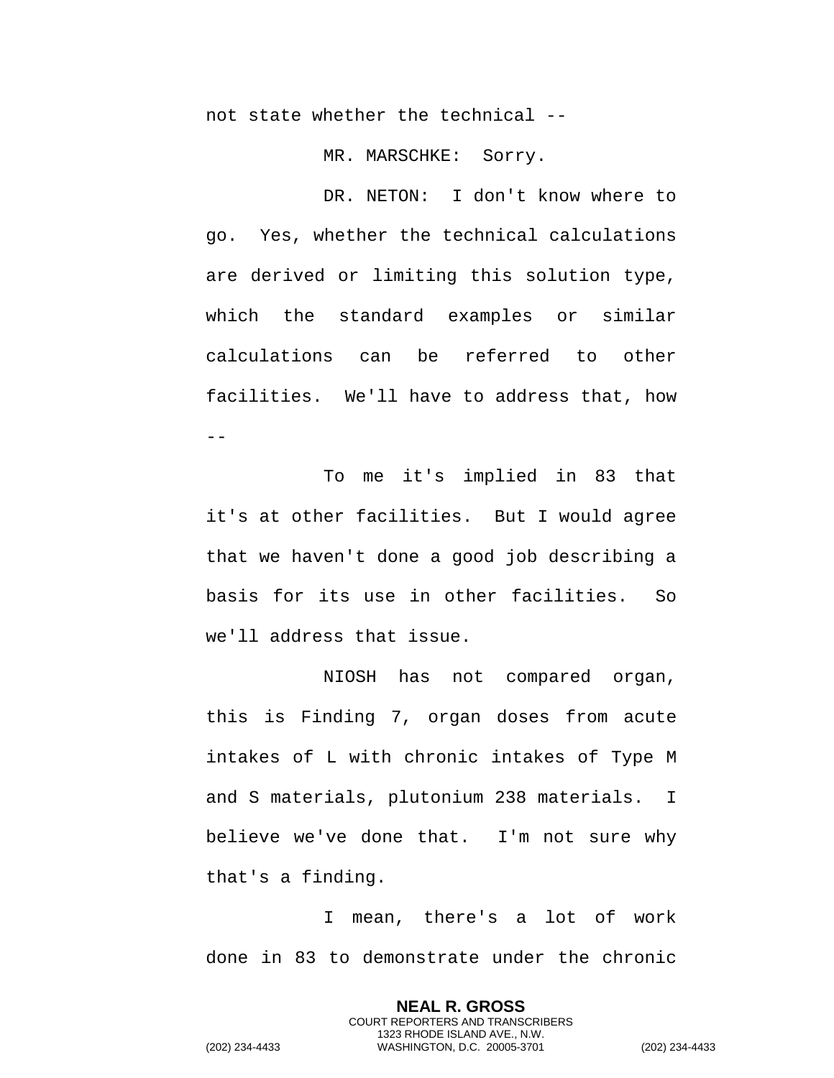not state whether the technical --

MR. MARSCHKE: Sorry.

DR. NETON: I don't know where to go. Yes, whether the technical calculations are derived or limiting this solution type, which the standard examples or similar calculations can be referred to other facilities. We'll have to address that, how  $-$ 

To me it's implied in 83 that it's at other facilities. But I would agree that we haven't done a good job describing a basis for its use in other facilities. So we'll address that issue.

NIOSH has not compared organ, this is Finding 7, organ doses from acute intakes of L with chronic intakes of Type M and S materials, plutonium 238 materials. I believe we've done that. I'm not sure why that's a finding.

I mean, there's a lot of work done in 83 to demonstrate under the chronic

> **NEAL R. GROSS** COURT REPORTERS AND TRANSCRIBERS 1323 RHODE ISLAND AVE., N.W.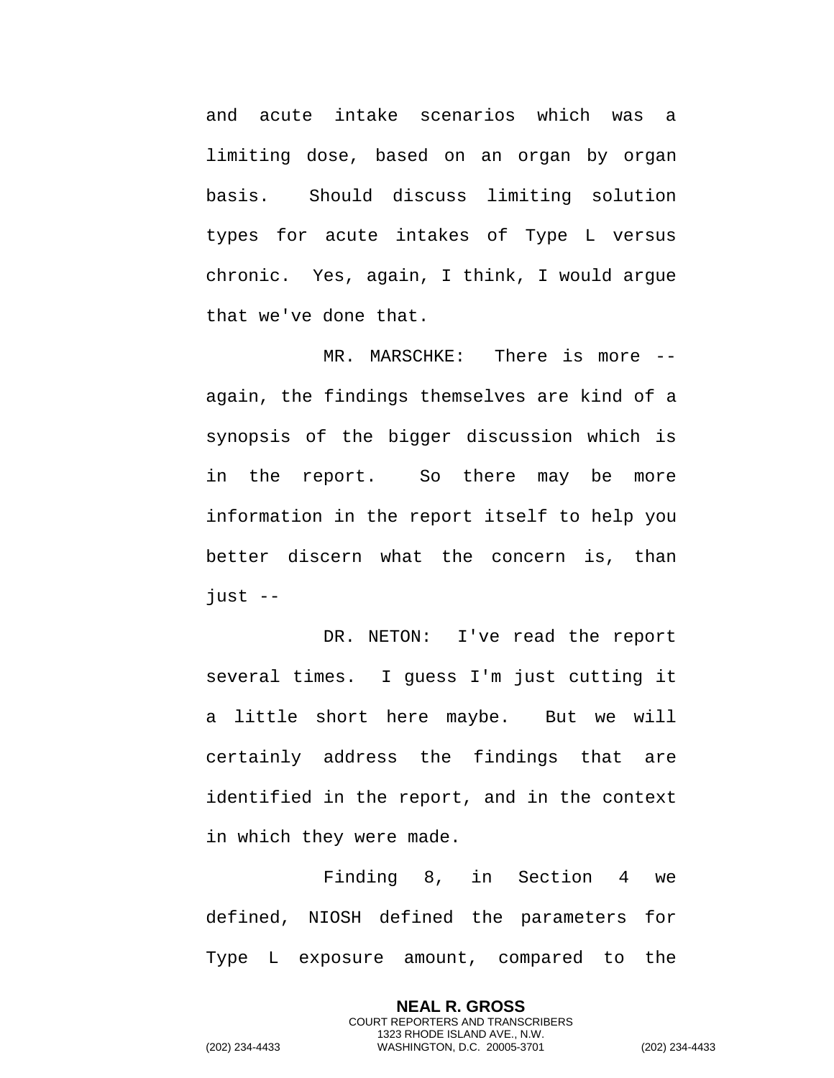and acute intake scenarios which was a limiting dose, based on an organ by organ basis. Should discuss limiting solution types for acute intakes of Type L versus chronic. Yes, again, I think, I would argue that we've done that.

MR. MARSCHKE: There is more -again, the findings themselves are kind of a synopsis of the bigger discussion which is in the report. So there may be more information in the report itself to help you better discern what the concern is, than  $just$  --

DR. NETON: I've read the report several times. I guess I'm just cutting it a little short here maybe. But we will certainly address the findings that are identified in the report, and in the context in which they were made.

Finding 8, in Section 4 we defined, NIOSH defined the parameters for Type L exposure amount, compared to the

> **NEAL R. GROSS** COURT REPORTERS AND TRANSCRIBERS 1323 RHODE ISLAND AVE., N.W.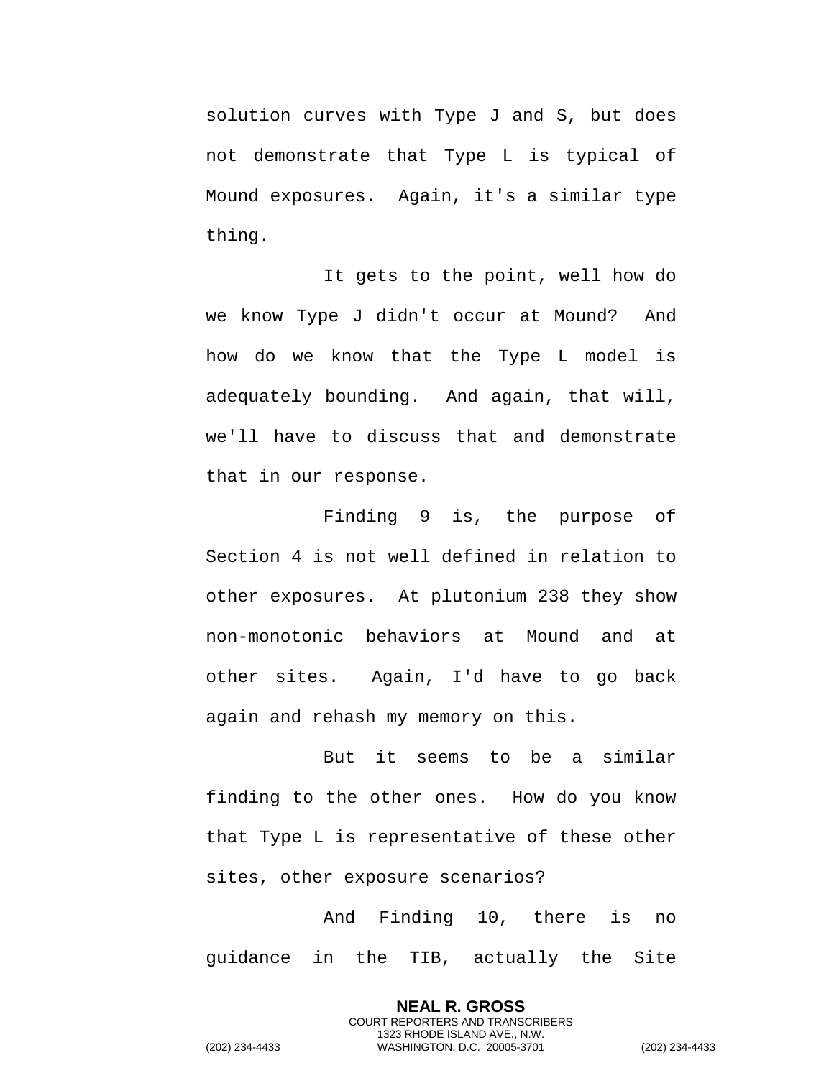solution curves with Type J and S, but does not demonstrate that Type L is typical of Mound exposures. Again, it's a similar type thing.

It gets to the point, well how do we know Type J didn't occur at Mound? And how do we know that the Type L model is adequately bounding. And again, that will, we'll have to discuss that and demonstrate that in our response.

Finding 9 is, the purpose of Section 4 is not well defined in relation to other exposures. At plutonium 238 they show non-monotonic behaviors at Mound and at other sites. Again, I'd have to go back again and rehash my memory on this.

But it seems to be a similar finding to the other ones. How do you know that Type L is representative of these other sites, other exposure scenarios?

And Finding 10, there is no guidance in the TIB, actually the Site

> **NEAL R. GROSS** COURT REPORTERS AND TRANSCRIBERS 1323 RHODE ISLAND AVE., N.W.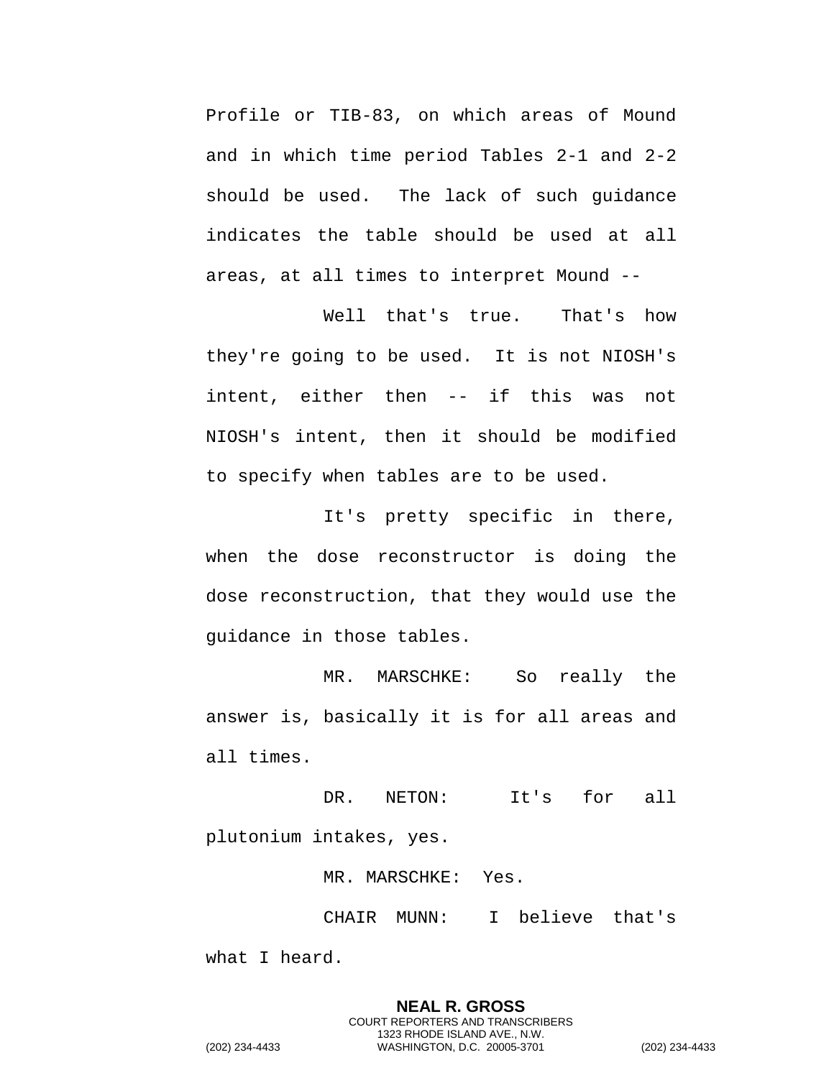Profile or TIB-83, on which areas of Mound and in which time period Tables 2-1 and 2-2 should be used. The lack of such guidance indicates the table should be used at all areas, at all times to interpret Mound --

Well that's true. That's how they're going to be used. It is not NIOSH's intent, either then -- if this was not NIOSH's intent, then it should be modified to specify when tables are to be used.

It's pretty specific in there, when the dose reconstructor is doing the dose reconstruction, that they would use the guidance in those tables.

MR. MARSCHKE: So really the answer is, basically it is for all areas and all times.

DR. NETON: It's for all plutonium intakes, yes.

MR. MARSCHKE: Yes.

CHAIR MUNN: I believe that's

what I heard.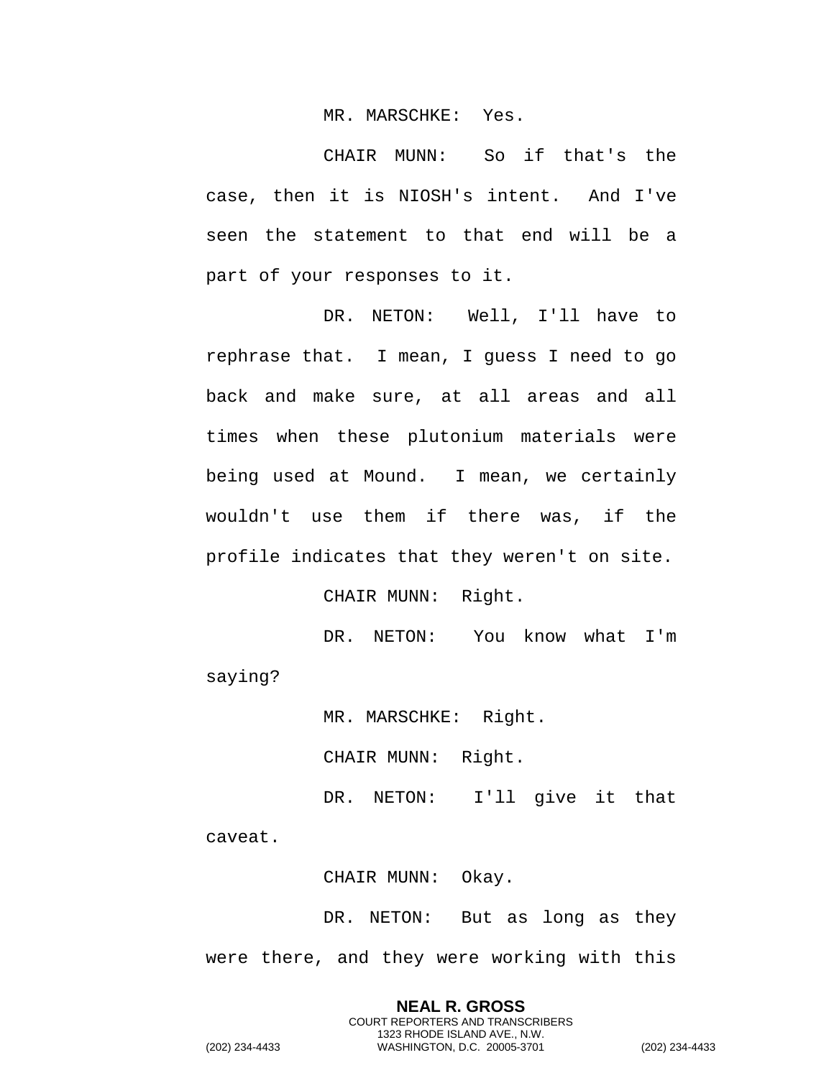MR. MARSCHKE: Yes.

CHAIR MUNN: So if that's the case, then it is NIOSH's intent. And I've seen the statement to that end will be a part of your responses to it.

DR. NETON: Well, I'll have to rephrase that. I mean, I guess I need to go back and make sure, at all areas and all times when these plutonium materials were being used at Mound. I mean, we certainly wouldn't use them if there was, if the profile indicates that they weren't on site.

CHAIR MUNN: Right.

DR. NETON: You know what I'm saying?

MR. MARSCHKE: Right.

CHAIR MUNN: Right.

DR. NETON: I'll give it that

caveat.

CHAIR MUNN: Okay.

DR. NETON: But as long as they were there, and they were working with this

**NEAL R. GROSS** COURT REPORTERS AND TRANSCRIBERS 1323 RHODE ISLAND AVE., N.W. (202) 234-4433 WASHINGTON, D.C. 20005-3701 (202) 234-4433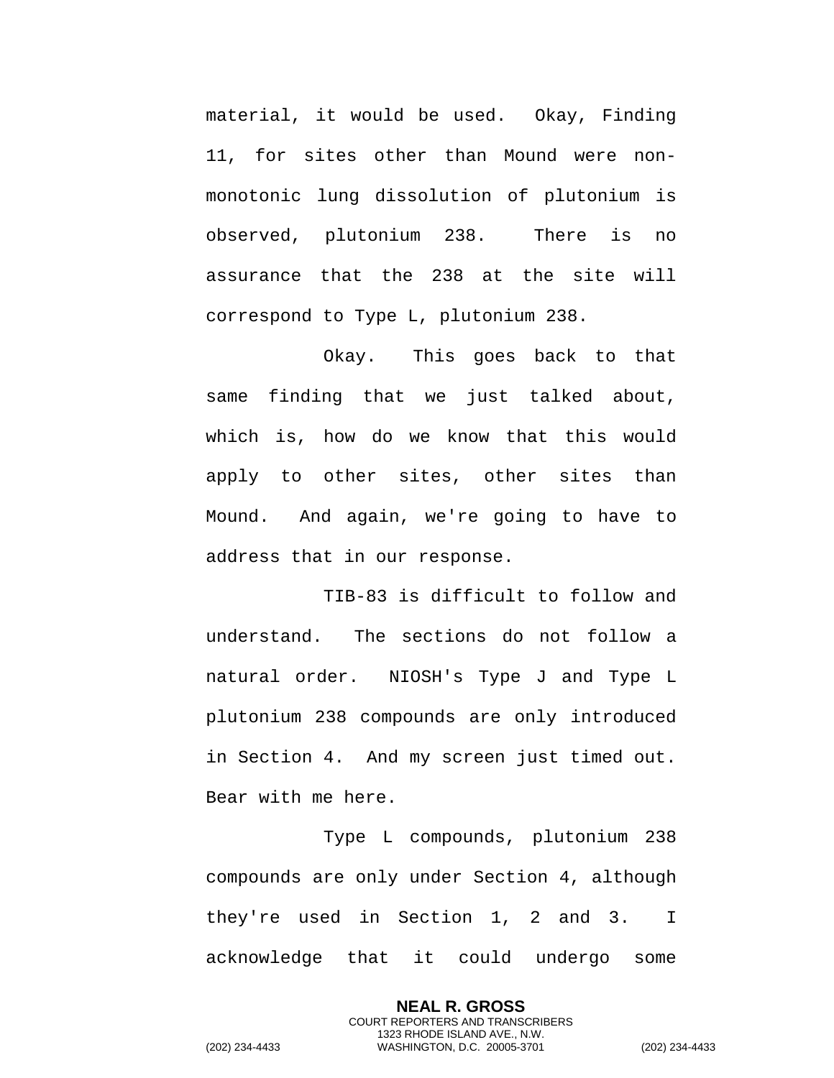material, it would be used. Okay, Finding 11, for sites other than Mound were nonmonotonic lung dissolution of plutonium is observed, plutonium 238. There is no assurance that the 238 at the site will correspond to Type L, plutonium 238.

Okay. This goes back to that same finding that we just talked about, which is, how do we know that this would apply to other sites, other sites than Mound. And again, we're going to have to address that in our response.

TIB-83 is difficult to follow and understand. The sections do not follow a natural order. NIOSH's Type J and Type L plutonium 238 compounds are only introduced in Section 4. And my screen just timed out. Bear with me here.

Type L compounds, plutonium 238 compounds are only under Section 4, although they're used in Section 1, 2 and 3. I acknowledge that it could undergo some

> **NEAL R. GROSS** COURT REPORTERS AND TRANSCRIBERS 1323 RHODE ISLAND AVE., N.W.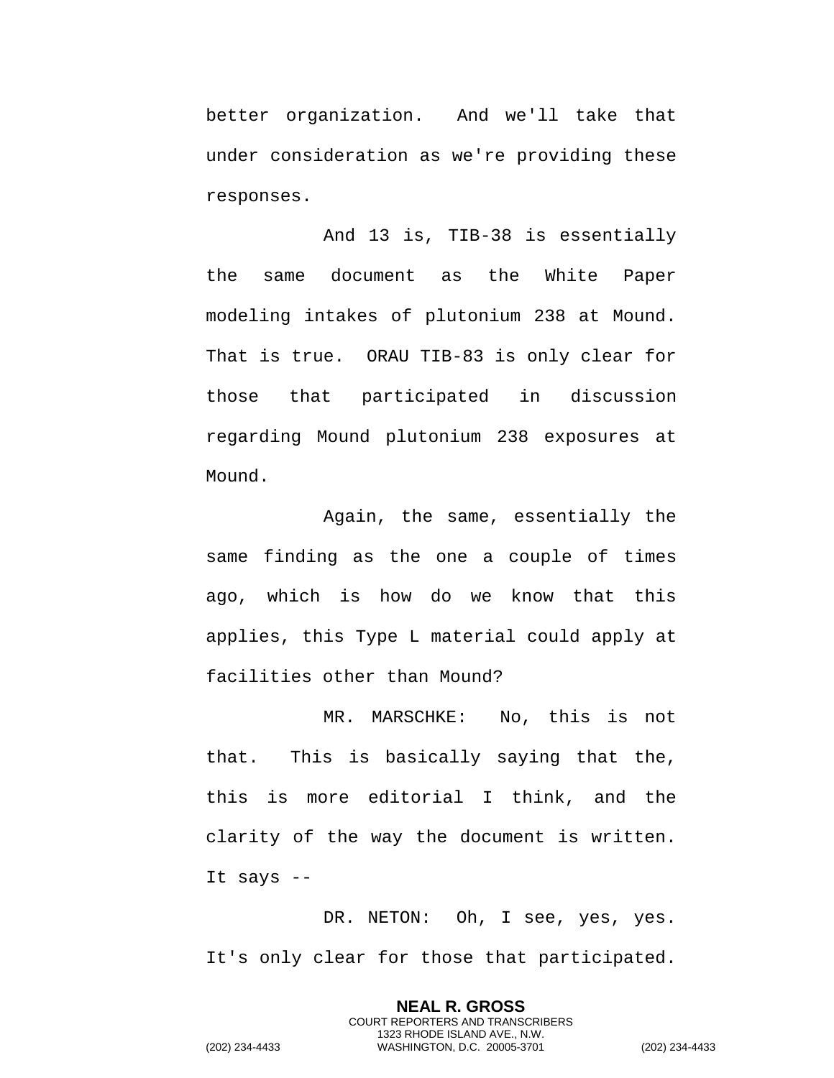better organization. And we'll take that under consideration as we're providing these responses.

And 13 is, TIB-38 is essentially the same document as the White Paper modeling intakes of plutonium 238 at Mound. That is true. ORAU TIB-83 is only clear for those that participated in discussion regarding Mound plutonium 238 exposures at Mound.

Again, the same, essentially the same finding as the one a couple of times ago, which is how do we know that this applies, this Type L material could apply at facilities other than Mound?

MR. MARSCHKE: No, this is not that. This is basically saying that the, this is more editorial I think, and the clarity of the way the document is written. It says --

DR. NETON: Oh, I see, yes, yes. It's only clear for those that participated.

> **NEAL R. GROSS** COURT REPORTERS AND TRANSCRIBERS 1323 RHODE ISLAND AVE., N.W.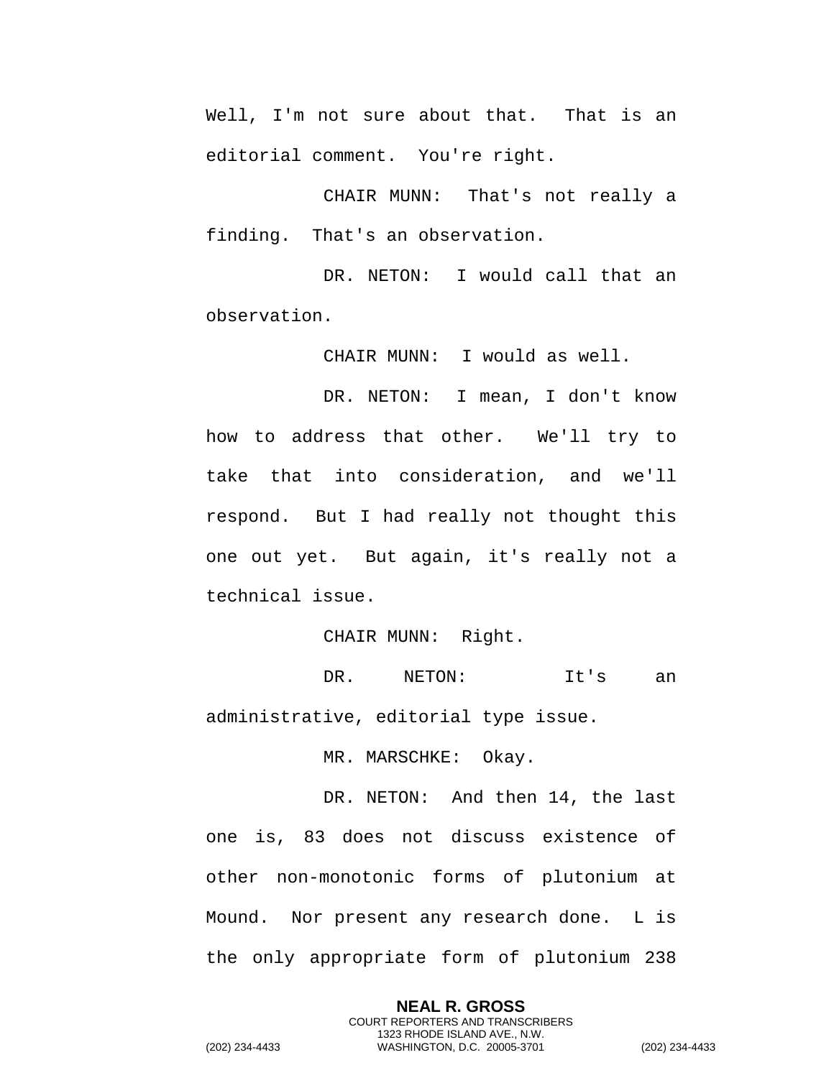Well, I'm not sure about that. That is an editorial comment. You're right.

CHAIR MUNN: That's not really a finding. That's an observation.

DR. NETON: I would call that an observation.

CHAIR MUNN: I would as well.

DR. NETON: I mean, I don't know how to address that other. We'll try to take that into consideration, and we'll respond. But I had really not thought this one out yet. But again, it's really not a technical issue.

CHAIR MUNN: Right.

DR. NETON: It's an administrative, editorial type issue.

MR. MARSCHKE: Okay.

DR. NETON: And then 14, the last one is, 83 does not discuss existence of other non-monotonic forms of plutonium at Mound. Nor present any research done. L is the only appropriate form of plutonium 238

> **NEAL R. GROSS** COURT REPORTERS AND TRANSCRIBERS 1323 RHODE ISLAND AVE., N.W.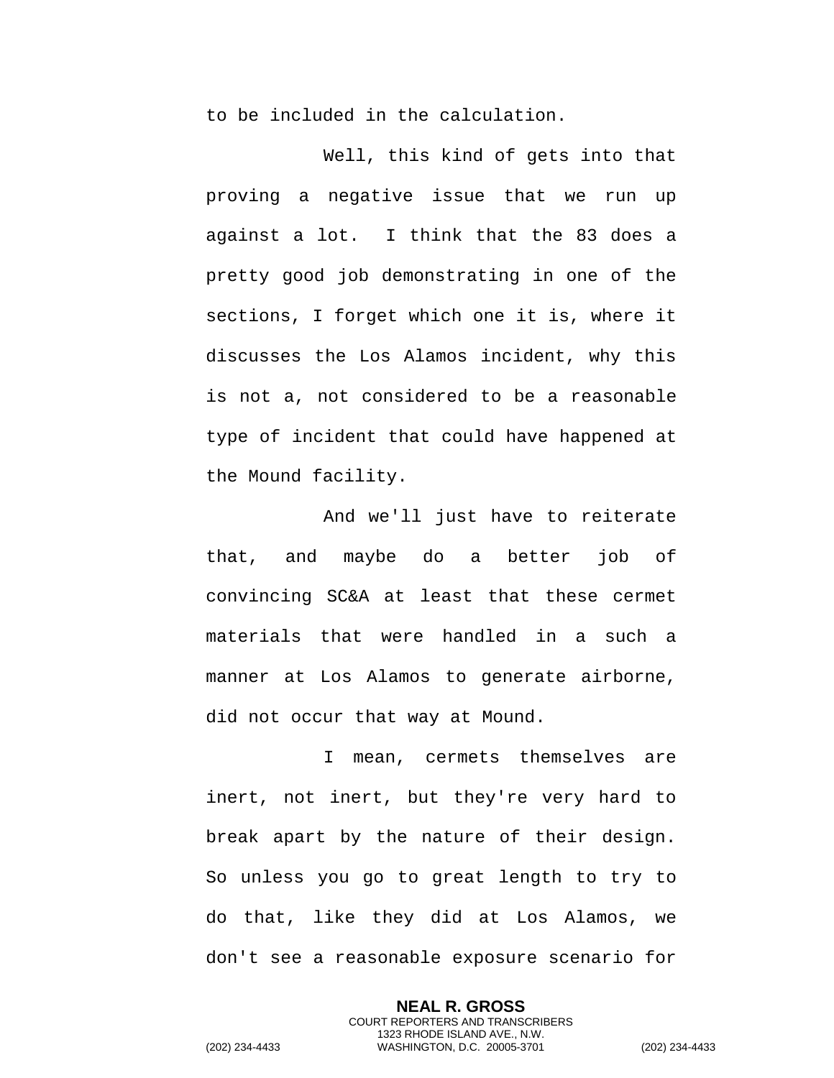to be included in the calculation.

Well, this kind of gets into that proving a negative issue that we run up against a lot. I think that the 83 does a pretty good job demonstrating in one of the sections, I forget which one it is, where it discusses the Los Alamos incident, why this is not a, not considered to be a reasonable type of incident that could have happened at the Mound facility.

And we'll just have to reiterate that, and maybe do a better job of convincing SC&A at least that these cermet materials that were handled in a such a manner at Los Alamos to generate airborne, did not occur that way at Mound.

I mean, cermets themselves are inert, not inert, but they're very hard to break apart by the nature of their design. So unless you go to great length to try to do that, like they did at Los Alamos, we don't see a reasonable exposure scenario for

> **NEAL R. GROSS** COURT REPORTERS AND TRANSCRIBERS 1323 RHODE ISLAND AVE., N.W.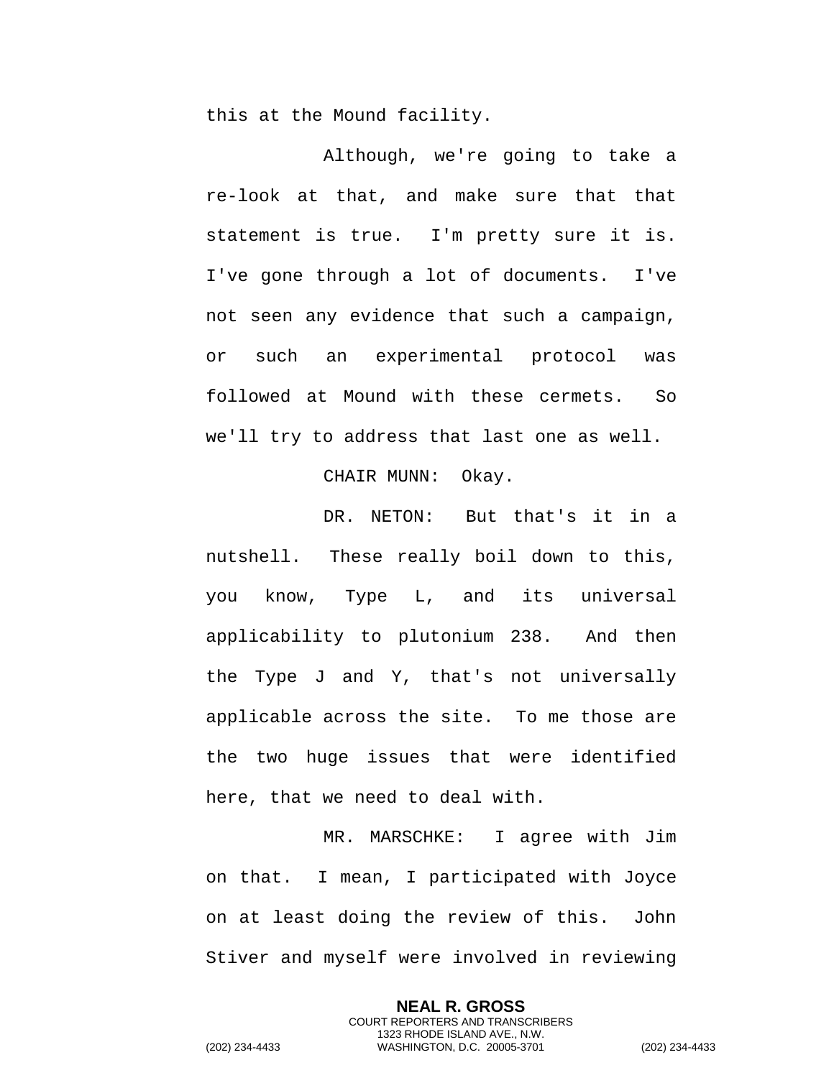this at the Mound facility.

Although, we're going to take a re-look at that, and make sure that that statement is true. I'm pretty sure it is. I've gone through a lot of documents. I've not seen any evidence that such a campaign, or such an experimental protocol was followed at Mound with these cermets. So we'll try to address that last one as well.

CHAIR MUNN: Okay.

DR. NETON: But that's it in a nutshell. These really boil down to this, you know, Type L, and its universal applicability to plutonium 238. And then the Type J and Y, that's not universally applicable across the site. To me those are the two huge issues that were identified here, that we need to deal with.

MR. MARSCHKE: I agree with Jim on that. I mean, I participated with Joyce on at least doing the review of this. John Stiver and myself were involved in reviewing

> **NEAL R. GROSS** COURT REPORTERS AND TRANSCRIBERS 1323 RHODE ISLAND AVE., N.W.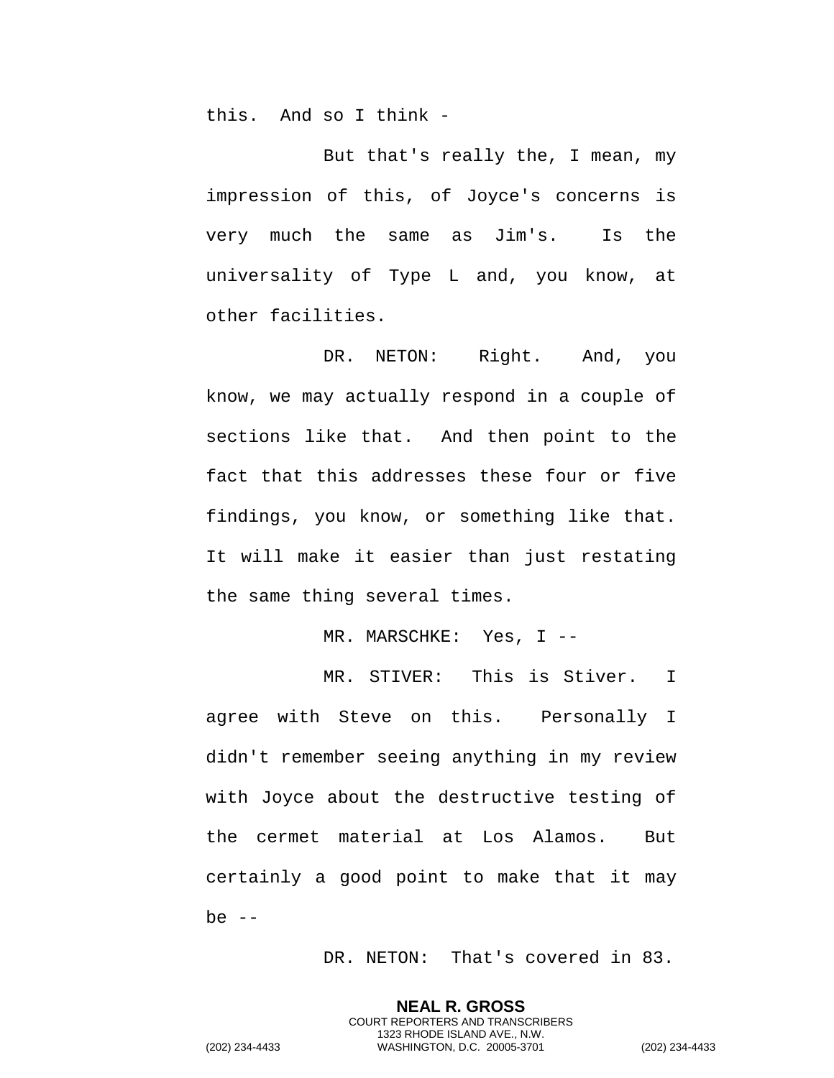this. And so I think -

But that's really the, I mean, my impression of this, of Joyce's concerns is very much the same as Jim's. Is the universality of Type L and, you know, at other facilities.

DR. NETON: Right. And, you know, we may actually respond in a couple of sections like that. And then point to the fact that this addresses these four or five findings, you know, or something like that. It will make it easier than just restating the same thing several times.

MR. MARSCHKE: Yes, I --

MR. STIVER: This is Stiver. I agree with Steve on this. Personally I didn't remember seeing anything in my review with Joyce about the destructive testing of the cermet material at Los Alamos. But certainly a good point to make that it may be  $--$ 

DR. NETON: That's covered in 83.

**NEAL R. GROSS** COURT REPORTERS AND TRANSCRIBERS 1323 RHODE ISLAND AVE., N.W.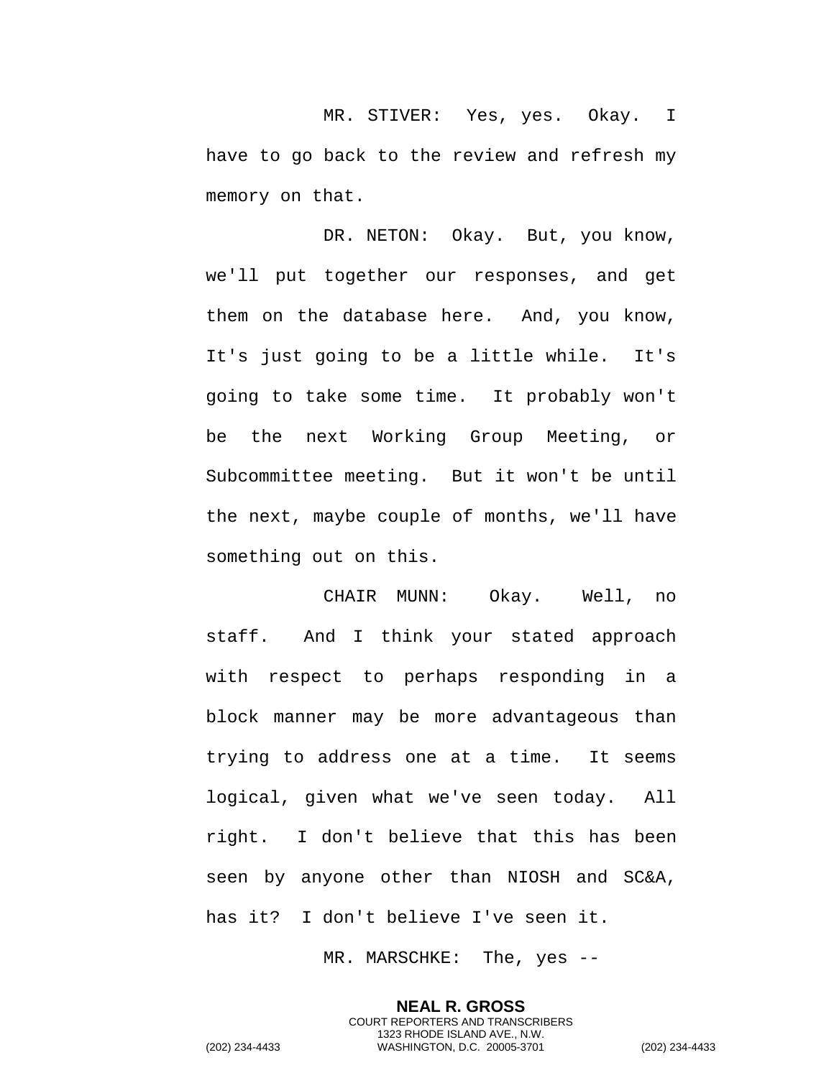MR. STIVER: Yes, yes. Okay. I have to go back to the review and refresh my memory on that.

DR. NETON: Okay. But, you know, we'll put together our responses, and get them on the database here. And, you know, It's just going to be a little while. It's going to take some time. It probably won't be the next Working Group Meeting, or Subcommittee meeting. But it won't be until the next, maybe couple of months, we'll have something out on this.

CHAIR MUNN: Okay. Well, no staff. And I think your stated approach with respect to perhaps responding in a block manner may be more advantageous than trying to address one at a time. It seems logical, given what we've seen today. All right. I don't believe that this has been seen by anyone other than NIOSH and SC&A, has it? I don't believe I've seen it.

MR. MARSCHKE: The, yes --

**NEAL R. GROSS** COURT REPORTERS AND TRANSCRIBERS 1323 RHODE ISLAND AVE., N.W. (202) 234-4433 WASHINGTON, D.C. 20005-3701 (202) 234-4433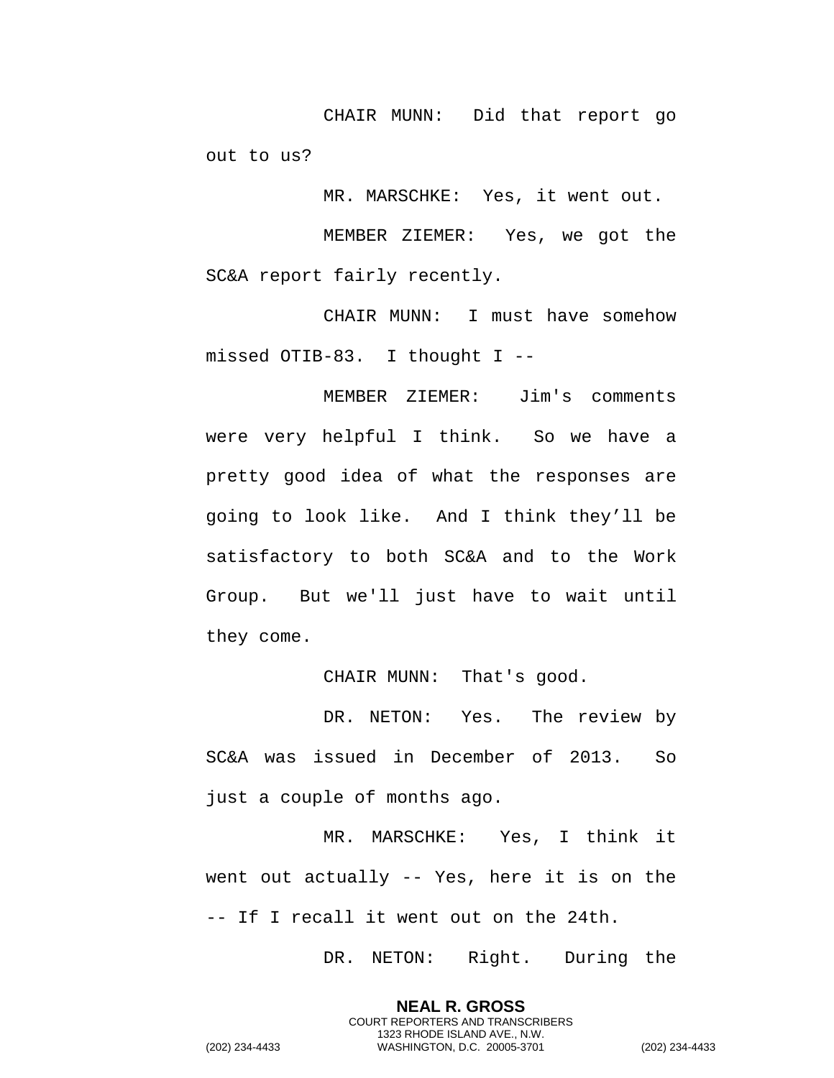CHAIR MUNN: Did that report go out to us?

MR. MARSCHKE: Yes, it went out.

MEMBER ZIEMER: Yes, we got the SC&A report fairly recently.

CHAIR MUNN: I must have somehow missed OTIB-83. I thought I --

MEMBER ZIEMER: Jim's comments were very helpful I think. So we have a pretty good idea of what the responses are going to look like. And I think they'll be satisfactory to both SC&A and to the Work Group. But we'll just have to wait until they come.

CHAIR MUNN: That's good.

DR. NETON: Yes. The review by SC&A was issued in December of 2013. So just a couple of months ago.

MR. MARSCHKE: Yes, I think it went out actually -- Yes, here it is on the -- If I recall it went out on the 24th.

> **NEAL R. GROSS** COURT REPORTERS AND TRANSCRIBERS 1323 RHODE ISLAND AVE., N.W.

DR. NETON: Right. During the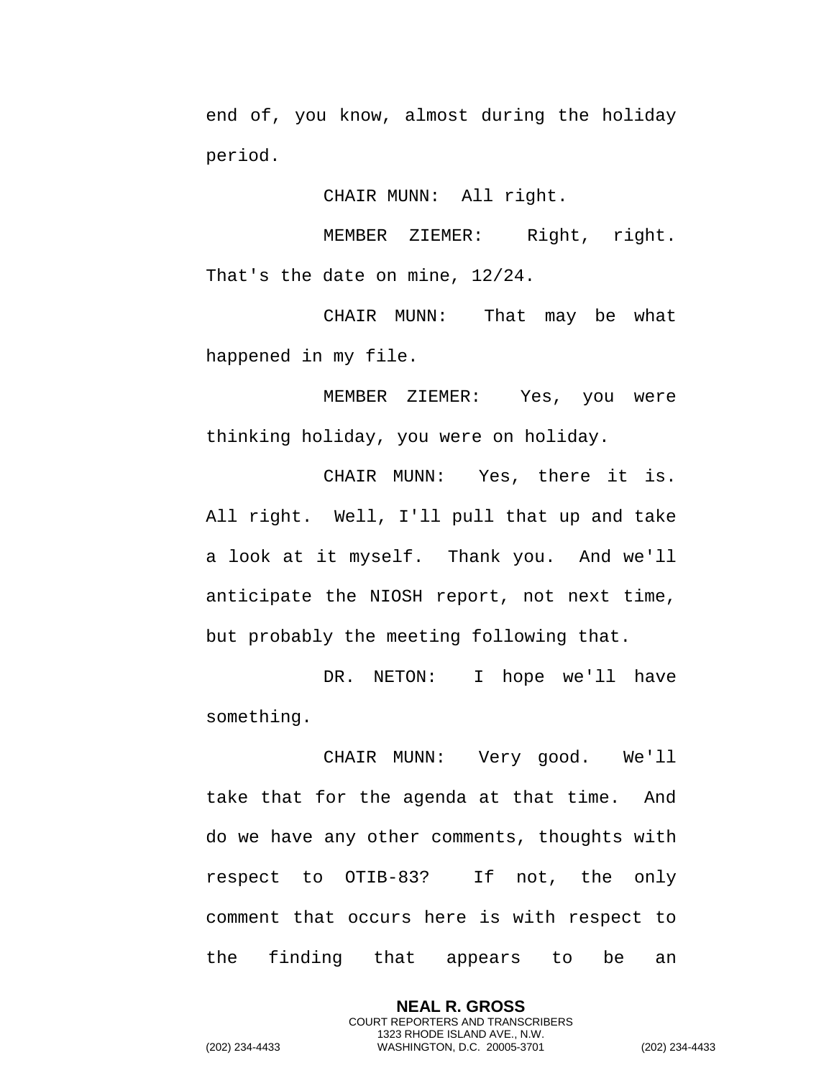end of, you know, almost during the holiday period.

CHAIR MUNN: All right.

MEMBER ZIEMER: Right, right. That's the date on mine, 12/24.

CHAIR MUNN: That may be what happened in my file.

MEMBER ZIEMER: Yes, you were thinking holiday, you were on holiday.

CHAIR MUNN: Yes, there it is. All right. Well, I'll pull that up and take a look at it myself. Thank you. And we'll anticipate the NIOSH report, not next time, but probably the meeting following that.

DR. NETON: I hope we'll have something.

CHAIR MUNN: Very good. We'll take that for the agenda at that time. And do we have any other comments, thoughts with respect to OTIB-83? If not, the only comment that occurs here is with respect to the finding that appears to be an

> **NEAL R. GROSS** COURT REPORTERS AND TRANSCRIBERS 1323 RHODE ISLAND AVE., N.W.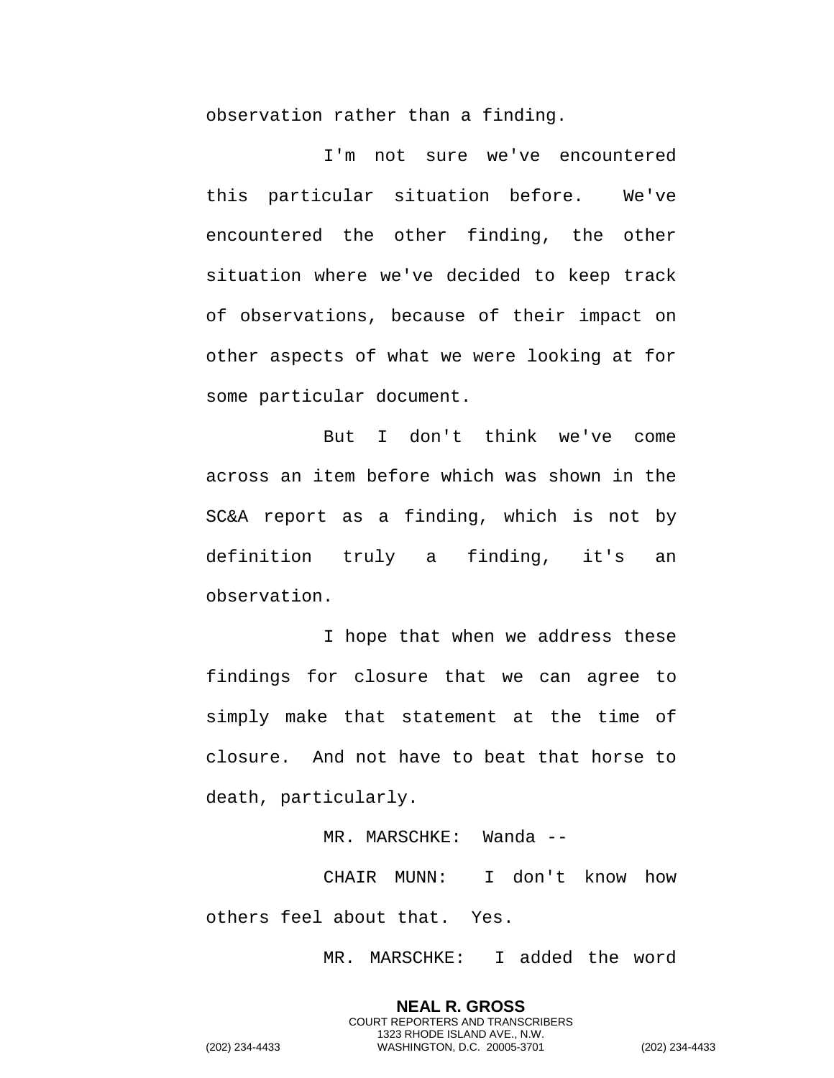observation rather than a finding.

I'm not sure we've encountered this particular situation before. We've encountered the other finding, the other situation where we've decided to keep track of observations, because of their impact on other aspects of what we were looking at for some particular document.

But I don't think we've come across an item before which was shown in the SC&A report as a finding, which is not by definition truly a finding, it's an observation.

I hope that when we address these findings for closure that we can agree to simply make that statement at the time of closure. And not have to beat that horse to death, particularly.

MR. MARSCHKE: Wanda --

CHAIR MUNN: I don't know how others feel about that. Yes.

MR. MARSCHKE: I added the word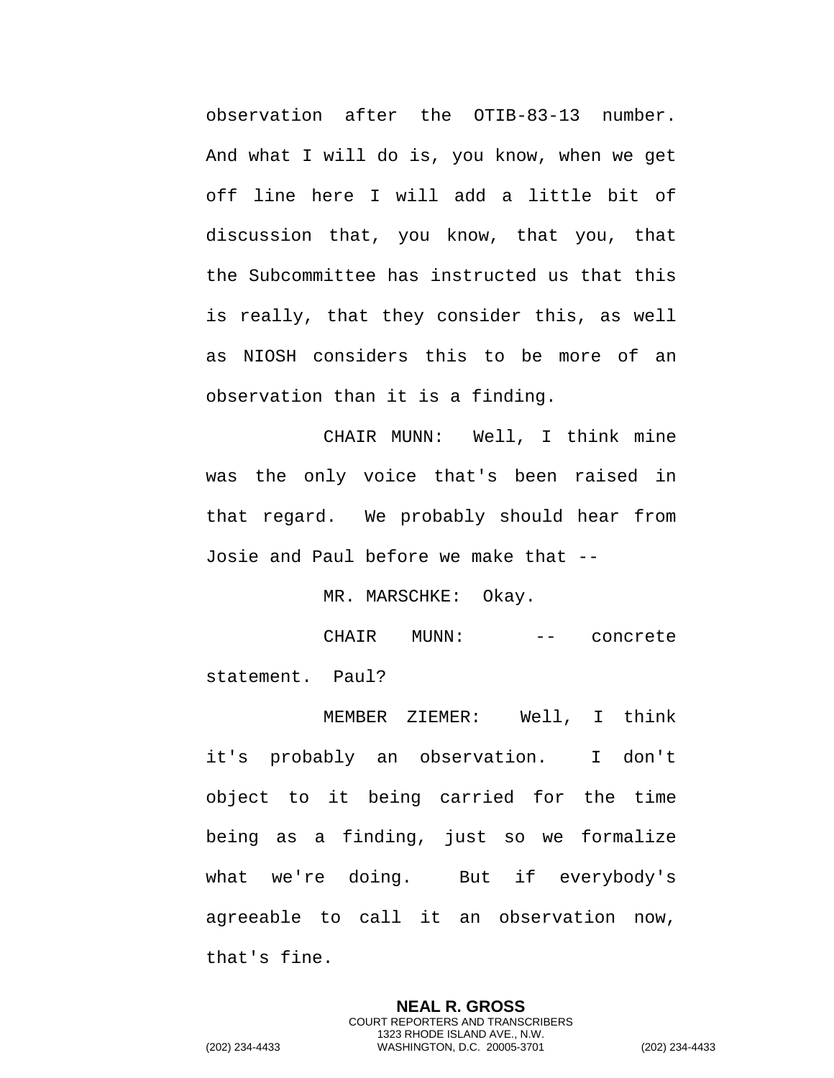observation after the OTIB-83-13 number. And what I will do is, you know, when we get off line here I will add a little bit of discussion that, you know, that you, that the Subcommittee has instructed us that this is really, that they consider this, as well as NIOSH considers this to be more of an observation than it is a finding.

CHAIR MUNN: Well, I think mine was the only voice that's been raised in that regard. We probably should hear from Josie and Paul before we make that --

MR. MARSCHKE: Okay.

CHAIR MUNN: -- concrete statement. Paul?

MEMBER ZIEMER: Well, I think it's probably an observation. I don't object to it being carried for the time being as a finding, just so we formalize what we're doing. But if everybody's agreeable to call it an observation now, that's fine.

> **NEAL R. GROSS** COURT REPORTERS AND TRANSCRIBERS 1323 RHODE ISLAND AVE., N.W.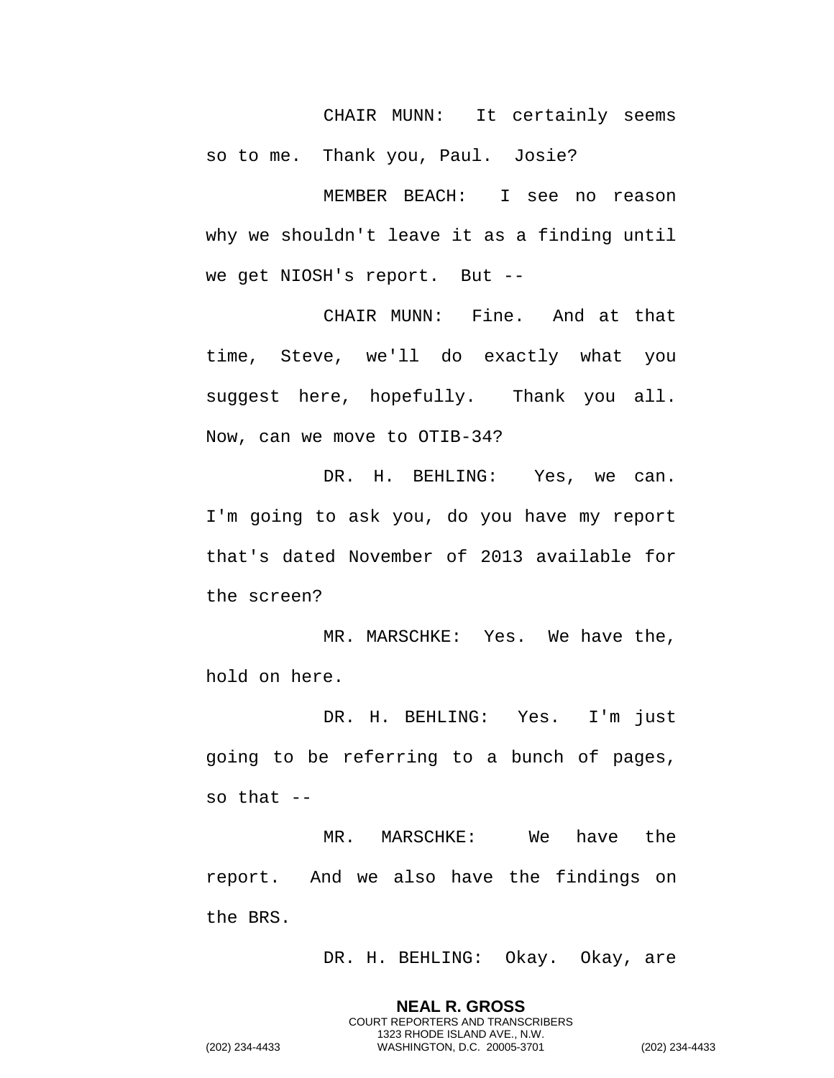CHAIR MUNN: It certainly seems so to me. Thank you, Paul. Josie?

MEMBER BEACH: I see no reason why we shouldn't leave it as a finding until we get NIOSH's report. But --

CHAIR MUNN: Fine. And at that time, Steve, we'll do exactly what you suggest here, hopefully. Thank you all. Now, can we move to OTIB-34?

DR. H. BEHLING: Yes, we can. I'm going to ask you, do you have my report that's dated November of 2013 available for the screen?

MR. MARSCHKE: Yes. We have the, hold on here.

DR. H. BEHLING: Yes. I'm just going to be referring to a bunch of pages, so that  $-$ 

MR. MARSCHKE: We have the report. And we also have the findings on the BRS.

> **NEAL R. GROSS** COURT REPORTERS AND TRANSCRIBERS 1323 RHODE ISLAND AVE., N.W.

DR. H. BEHLING: Okay. Okay, are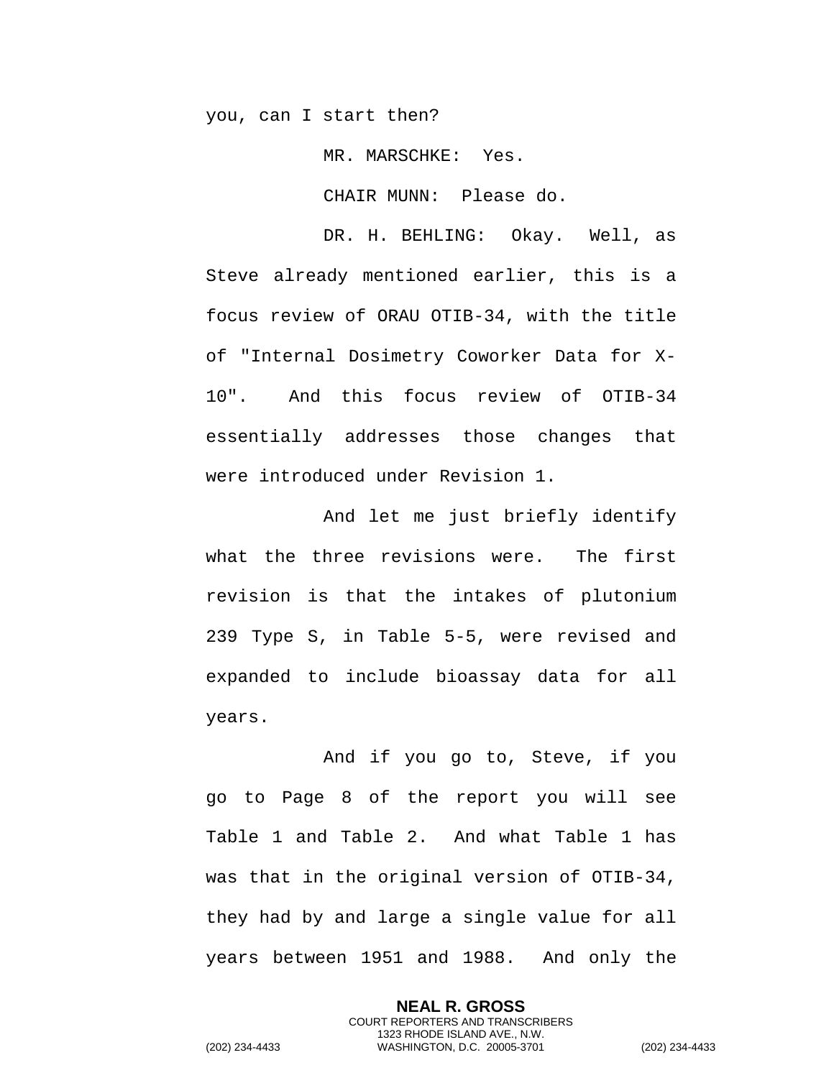you, can I start then?

MR. MARSCHKE: Yes.

CHAIR MUNN: Please do.

DR. H. BEHLING: Okay. Well, as Steve already mentioned earlier, this is a focus review of ORAU OTIB-34, with the title of "Internal Dosimetry Coworker Data for X-10". And this focus review of OTIB-34 essentially addresses those changes that were introduced under Revision 1.

And let me just briefly identify what the three revisions were. The first revision is that the intakes of plutonium 239 Type S, in Table 5-5, were revised and expanded to include bioassay data for all years.

And if you go to, Steve, if you go to Page 8 of the report you will see Table 1 and Table 2. And what Table 1 has was that in the original version of OTIB-34, they had by and large a single value for all years between 1951 and 1988. And only the

> **NEAL R. GROSS** COURT REPORTERS AND TRANSCRIBERS 1323 RHODE ISLAND AVE., N.W.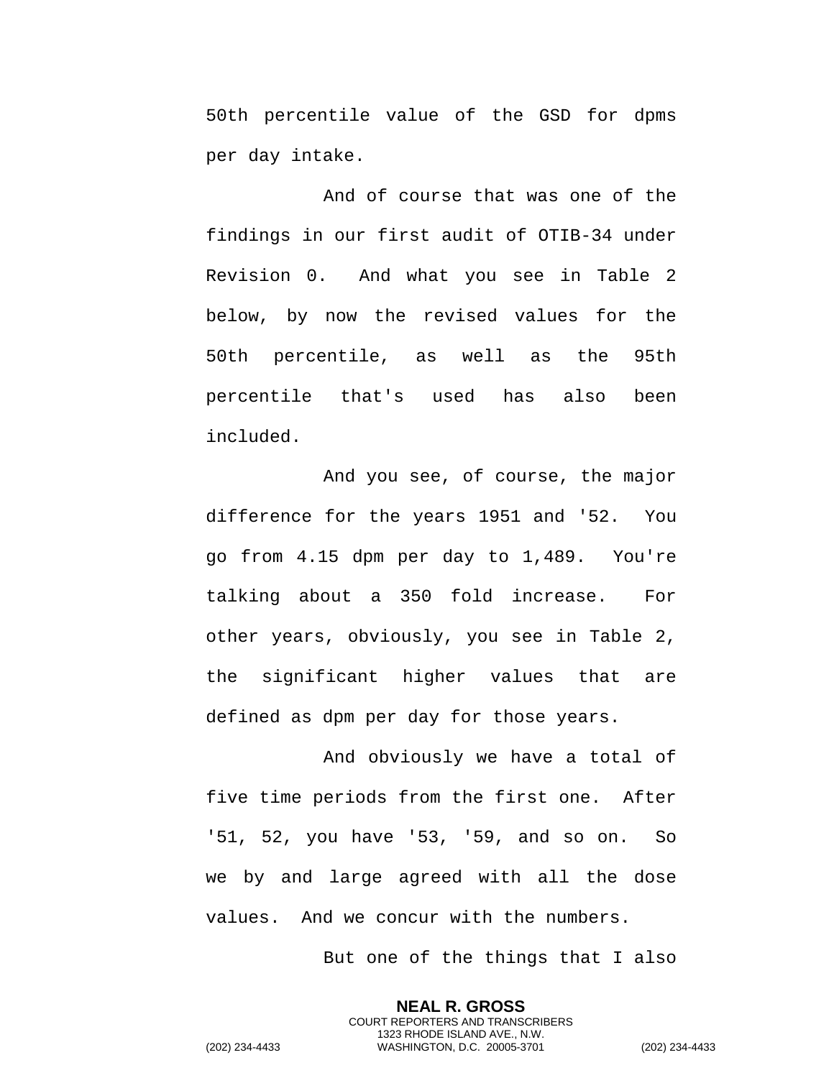50th percentile value of the GSD for dpms per day intake.

And of course that was one of the findings in our first audit of OTIB-34 under Revision 0. And what you see in Table 2 below, by now the revised values for the 50th percentile, as well as the 95th percentile that's used has also been included.

And you see, of course, the major difference for the years 1951 and '52. You go from 4.15 dpm per day to 1,489. You're talking about a 350 fold increase. For other years, obviously, you see in Table 2, the significant higher values that are defined as dpm per day for those years.

And obviously we have a total of five time periods from the first one. After '51, 52, you have '53, '59, and so on. So we by and large agreed with all the dose values. And we concur with the numbers.

But one of the things that I also

**NEAL R. GROSS** COURT REPORTERS AND TRANSCRIBERS 1323 RHODE ISLAND AVE., N.W.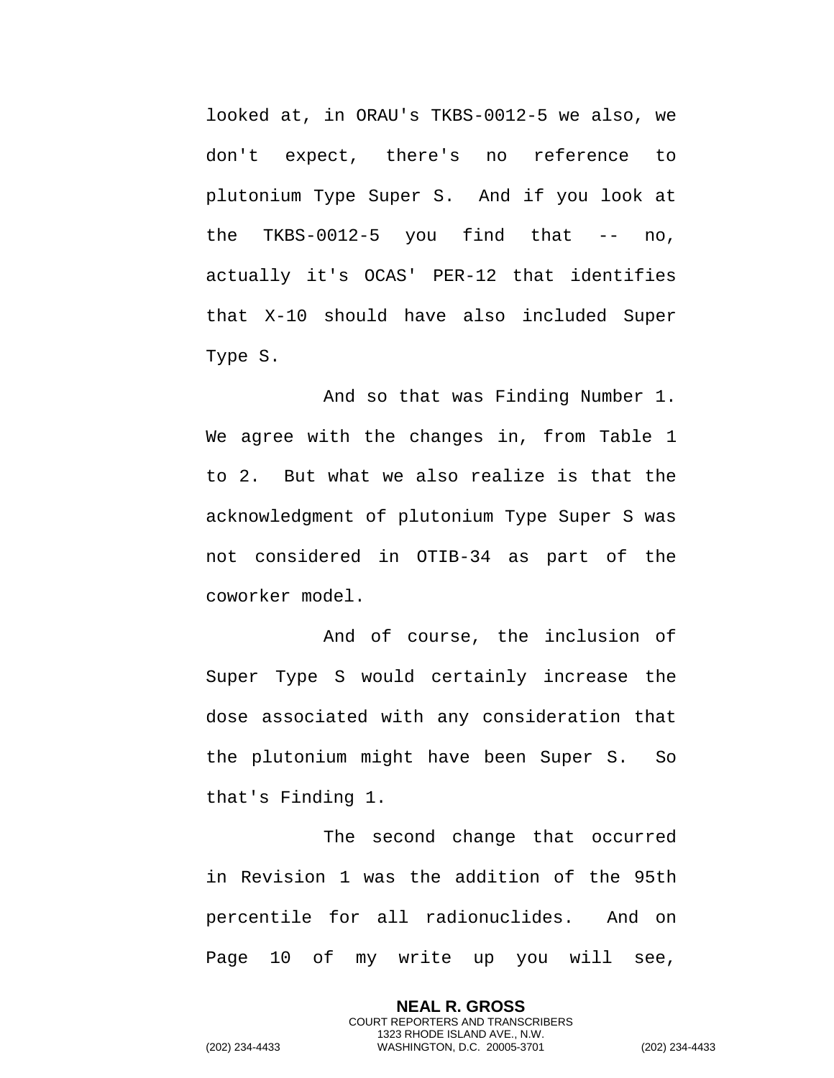looked at, in ORAU's TKBS-0012-5 we also, we don't expect, there's no reference to plutonium Type Super S. And if you look at the TKBS-0012-5 you find that  $-$  no, actually it's OCAS' PER-12 that identifies that X-10 should have also included Super Type S.

And so that was Finding Number 1. We agree with the changes in, from Table 1 to 2. But what we also realize is that the acknowledgment of plutonium Type Super S was not considered in OTIB-34 as part of the coworker model.

And of course, the inclusion of Super Type S would certainly increase the dose associated with any consideration that the plutonium might have been Super S. So that's Finding 1.

The second change that occurred in Revision 1 was the addition of the 95th percentile for all radionuclides. And on Page 10 of my write up you will see,

> **NEAL R. GROSS** COURT REPORTERS AND TRANSCRIBERS 1323 RHODE ISLAND AVE., N.W.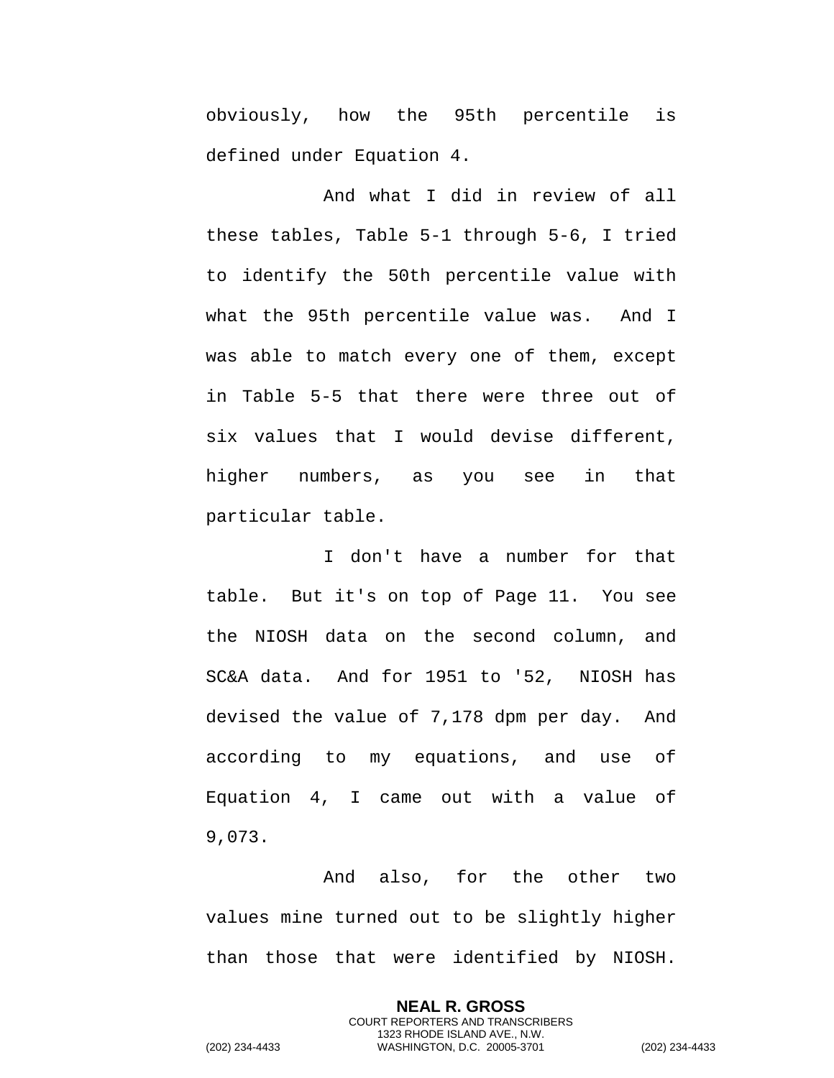obviously, how the 95th percentile is defined under Equation 4.

And what I did in review of all these tables, Table 5-1 through 5-6, I tried to identify the 50th percentile value with what the 95th percentile value was. And I was able to match every one of them, except in Table 5-5 that there were three out of six values that I would devise different, higher numbers, as you see in that particular table.

I don't have a number for that table. But it's on top of Page 11. You see the NIOSH data on the second column, and SC&A data. And for 1951 to '52, NIOSH has devised the value of 7,178 dpm per day. And according to my equations, and use of Equation 4, I came out with a value of 9,073.

And also, for the other two values mine turned out to be slightly higher than those that were identified by NIOSH.

> **NEAL R. GROSS** COURT REPORTERS AND TRANSCRIBERS 1323 RHODE ISLAND AVE., N.W.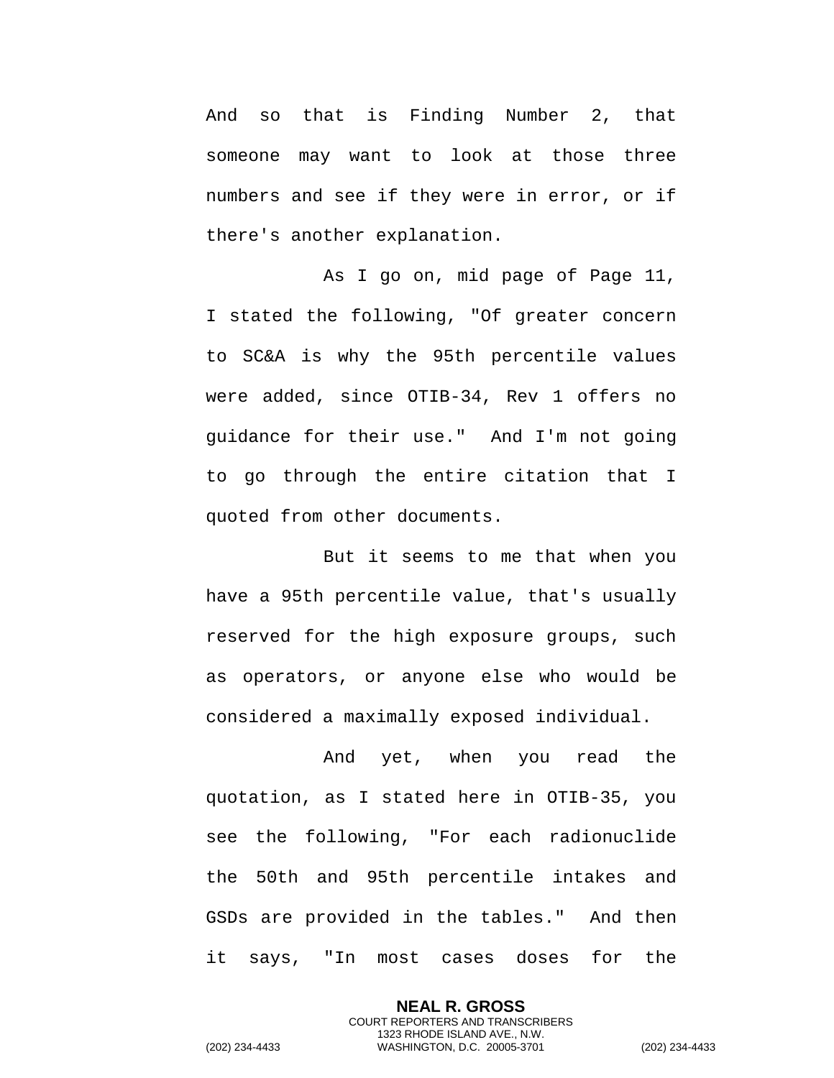And so that is Finding Number 2, that someone may want to look at those three numbers and see if they were in error, or if there's another explanation.

As I go on, mid page of Page 11, I stated the following, "Of greater concern to SC&A is why the 95th percentile values were added, since OTIB-34, Rev 1 offers no guidance for their use." And I'm not going to go through the entire citation that I quoted from other documents.

But it seems to me that when you have a 95th percentile value, that's usually reserved for the high exposure groups, such as operators, or anyone else who would be considered a maximally exposed individual.

And yet, when you read the quotation, as I stated here in OTIB-35, you see the following, "For each radionuclide the 50th and 95th percentile intakes and GSDs are provided in the tables." And then it says, "In most cases doses for the

> **NEAL R. GROSS** COURT REPORTERS AND TRANSCRIBERS 1323 RHODE ISLAND AVE., N.W.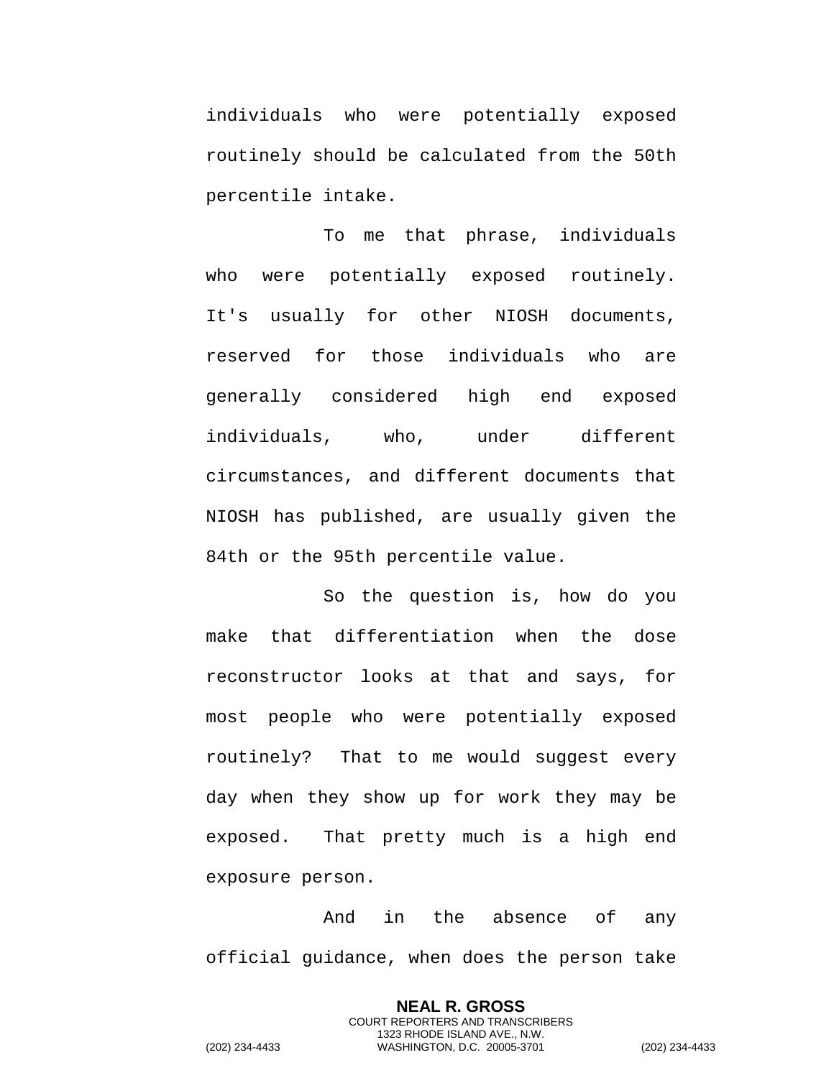individuals who were potentially exposed routinely should be calculated from the 50th percentile intake.

To me that phrase, individuals who were potentially exposed routinely. It's usually for other NIOSH documents, reserved for those individuals who are generally considered high end exposed individuals, who, under different circumstances, and different documents that NIOSH has published, are usually given the 84th or the 95th percentile value.

So the question is, how do you make that differentiation when the dose reconstructor looks at that and says, for most people who were potentially exposed routinely? That to me would suggest every day when they show up for work they may be exposed. That pretty much is a high end exposure person.

And in the absence of any official guidance, when does the person take

> **NEAL R. GROSS** COURT REPORTERS AND TRANSCRIBERS 1323 RHODE ISLAND AVE., N.W.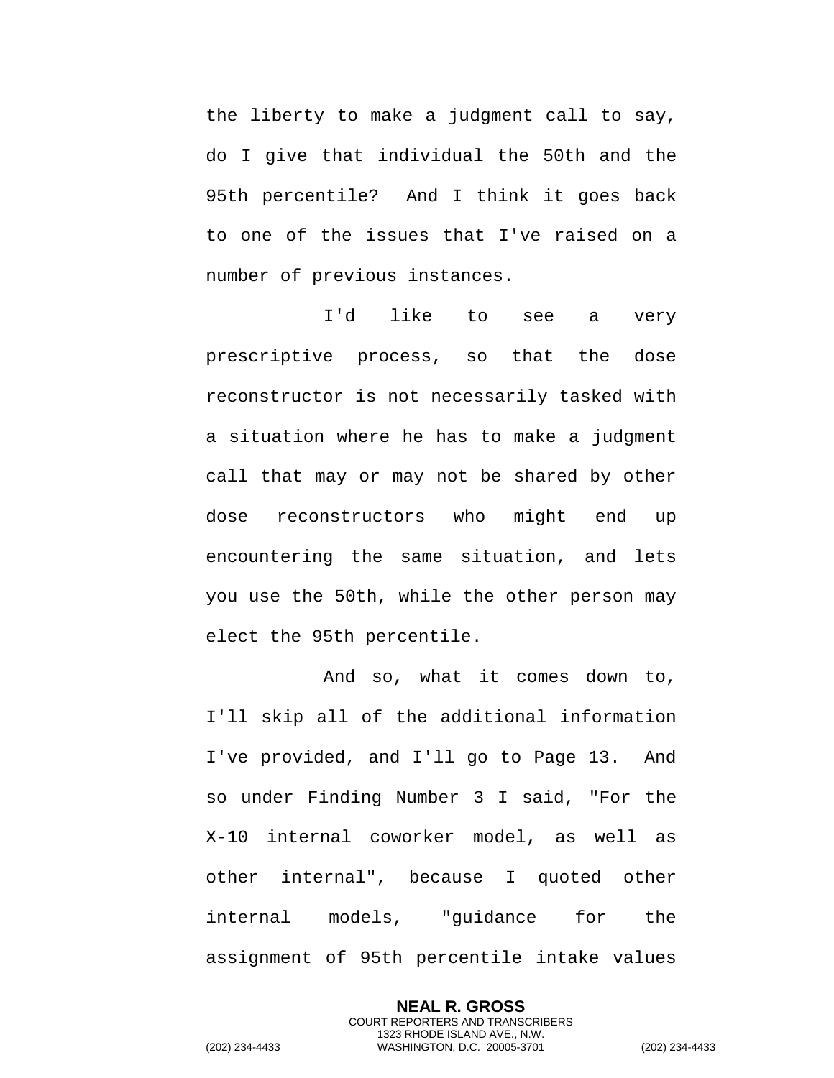the liberty to make a judgment call to say, do I give that individual the 50th and the 95th percentile? And I think it goes back to one of the issues that I've raised on a number of previous instances.

I'd like to see a very prescriptive process, so that the dose reconstructor is not necessarily tasked with a situation where he has to make a judgment call that may or may not be shared by other dose reconstructors who might end up encountering the same situation, and lets you use the 50th, while the other person may elect the 95th percentile.

And so, what it comes down to, I'll skip all of the additional information I've provided, and I'll go to Page 13. And so under Finding Number 3 I said, "For the X-10 internal coworker model, as well as other internal", because I quoted other internal models, "guidance for the assignment of 95th percentile intake values

> **NEAL R. GROSS** COURT REPORTERS AND TRANSCRIBERS 1323 RHODE ISLAND AVE., N.W.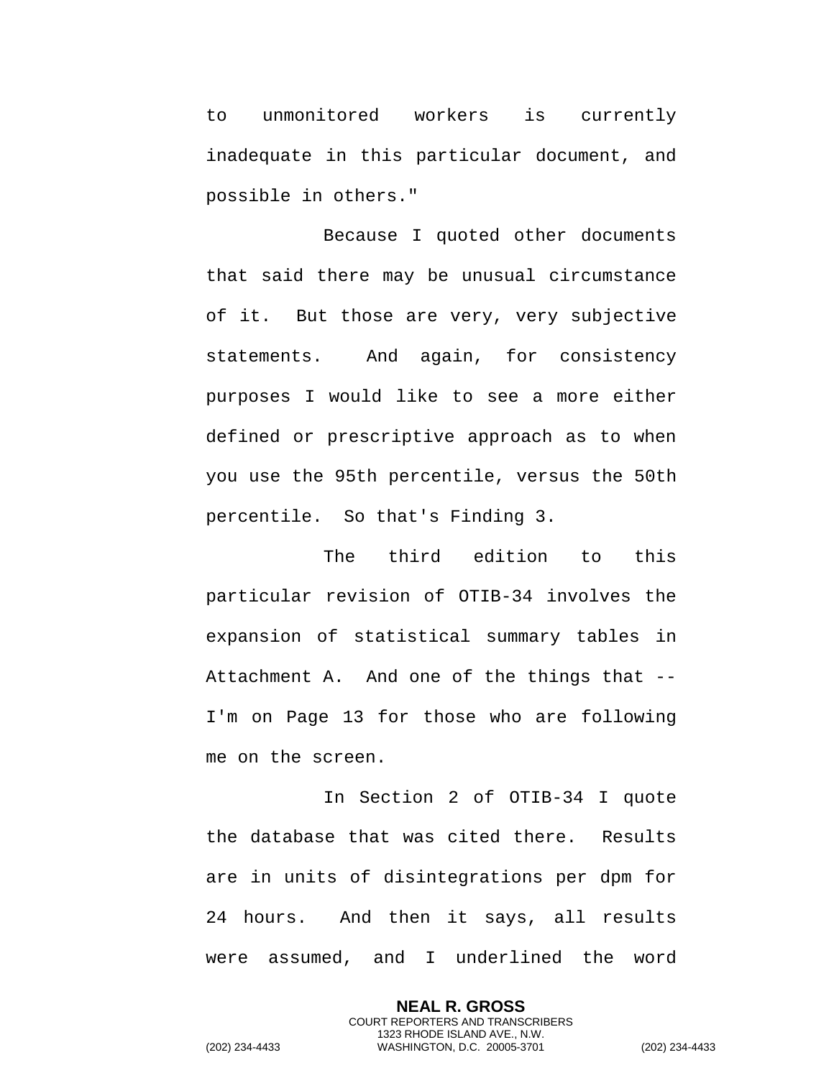to unmonitored workers is currently inadequate in this particular document, and possible in others."

Because I quoted other documents that said there may be unusual circumstance of it. But those are very, very subjective statements. And again, for consistency purposes I would like to see a more either defined or prescriptive approach as to when you use the 95th percentile, versus the 50th percentile. So that's Finding 3.

The third edition to this particular revision of OTIB-34 involves the expansion of statistical summary tables in Attachment A. And one of the things that -- I'm on Page 13 for those who are following me on the screen.

In Section 2 of OTIB-34 I quote the database that was cited there. Results are in units of disintegrations per dpm for 24 hours. And then it says, all results were assumed, and I underlined the word

> **NEAL R. GROSS** COURT REPORTERS AND TRANSCRIBERS 1323 RHODE ISLAND AVE., N.W.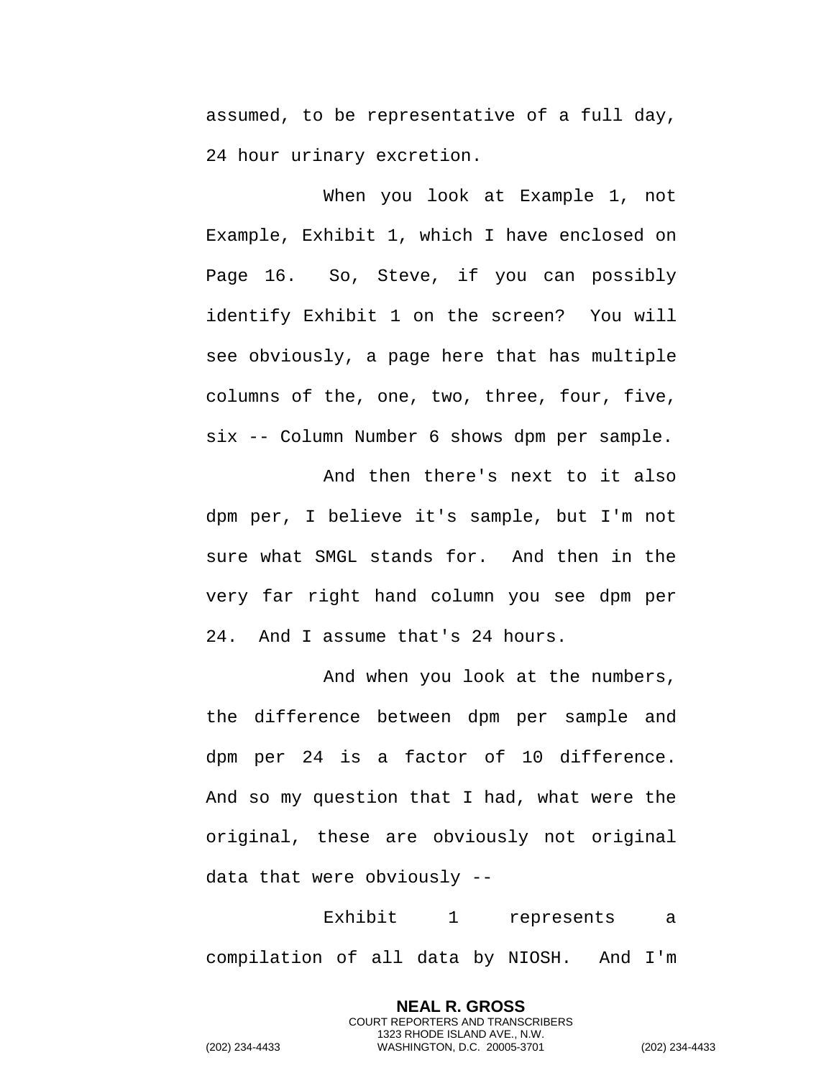assumed, to be representative of a full day, 24 hour urinary excretion.

When you look at Example 1, not Example, Exhibit 1, which I have enclosed on Page 16. So, Steve, if you can possibly identify Exhibit 1 on the screen? You will see obviously, a page here that has multiple columns of the, one, two, three, four, five, six -- Column Number 6 shows dpm per sample.

And then there's next to it also dpm per, I believe it's sample, but I'm not sure what SMGL stands for. And then in the very far right hand column you see dpm per 24. And I assume that's 24 hours.

And when you look at the numbers, the difference between dpm per sample and dpm per 24 is a factor of 10 difference. And so my question that I had, what were the original, these are obviously not original data that were obviously --

Exhibit 1 represents a compilation of all data by NIOSH. And I'm

> **NEAL R. GROSS** COURT REPORTERS AND TRANSCRIBERS 1323 RHODE ISLAND AVE., N.W.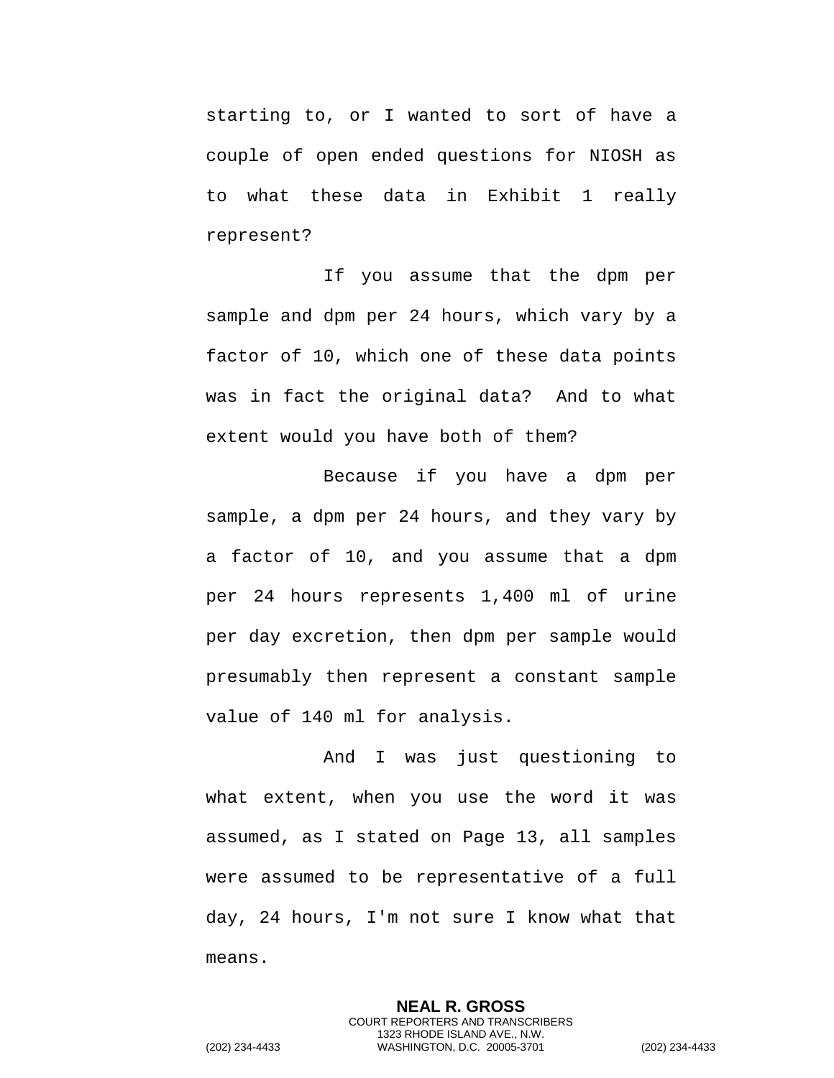starting to, or I wanted to sort of have a couple of open ended questions for NIOSH as to what these data in Exhibit 1 really represent?

If you assume that the dpm per sample and dpm per 24 hours, which vary by a factor of 10, which one of these data points was in fact the original data? And to what extent would you have both of them?

Because if you have a dpm per sample, a dpm per 24 hours, and they vary by a factor of 10, and you assume that a dpm per 24 hours represents 1,400 ml of urine per day excretion, then dpm per sample would presumably then represent a constant sample value of 140 ml for analysis.

And I was just questioning to what extent, when you use the word it was assumed, as I stated on Page 13, all samples were assumed to be representative of a full day, 24 hours, I'm not sure I know what that means.

> **NEAL R. GROSS** COURT REPORTERS AND TRANSCRIBERS 1323 RHODE ISLAND AVE., N.W.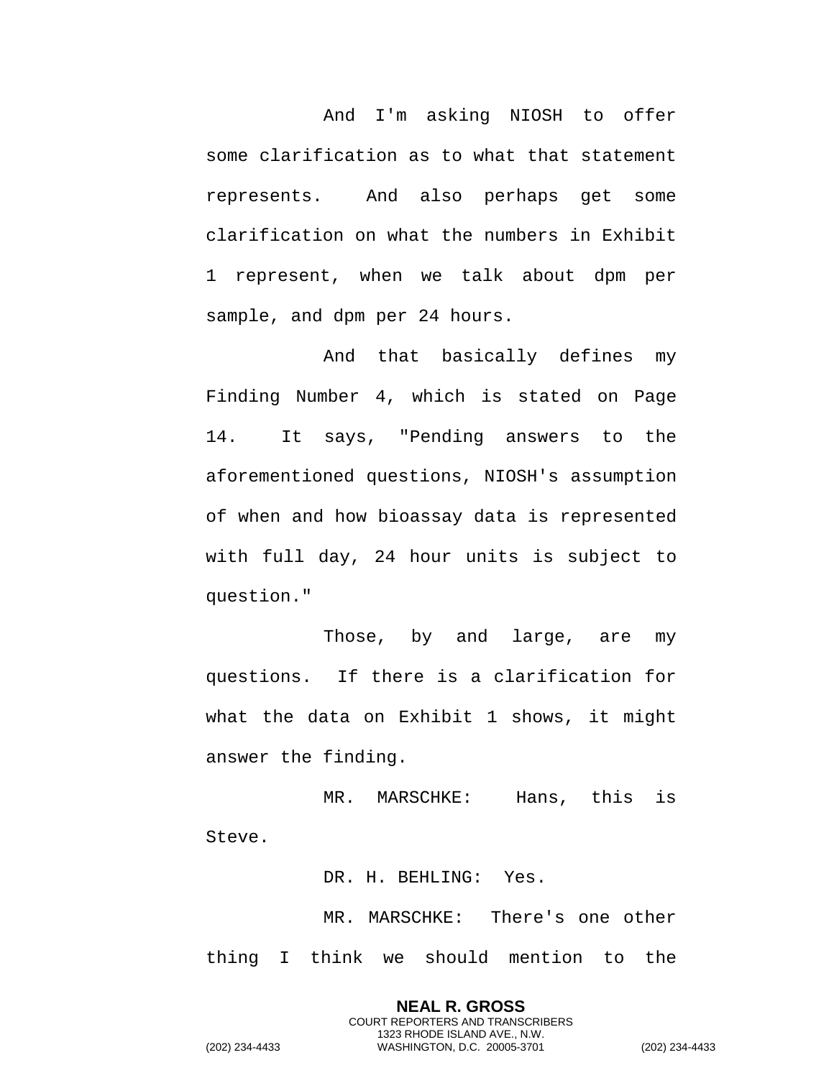And I'm asking NIOSH to offer some clarification as to what that statement represents. And also perhaps get some clarification on what the numbers in Exhibit 1 represent, when we talk about dpm per sample, and dpm per 24 hours.

And that basically defines my Finding Number 4, which is stated on Page 14. It says, "Pending answers to the aforementioned questions, NIOSH's assumption of when and how bioassay data is represented with full day, 24 hour units is subject to question."

Those, by and large, are my questions. If there is a clarification for what the data on Exhibit 1 shows, it might answer the finding.

MR. MARSCHKE: Hans, this is Steve.

DR. H. BEHLING: Yes.

MR. MARSCHKE: There's one other thing I think we should mention to the

**NEAL R. GROSS** COURT REPORTERS AND TRANSCRIBERS 1323 RHODE ISLAND AVE., N.W. (202) 234-4433 WASHINGTON, D.C. 20005-3701 (202) 234-4433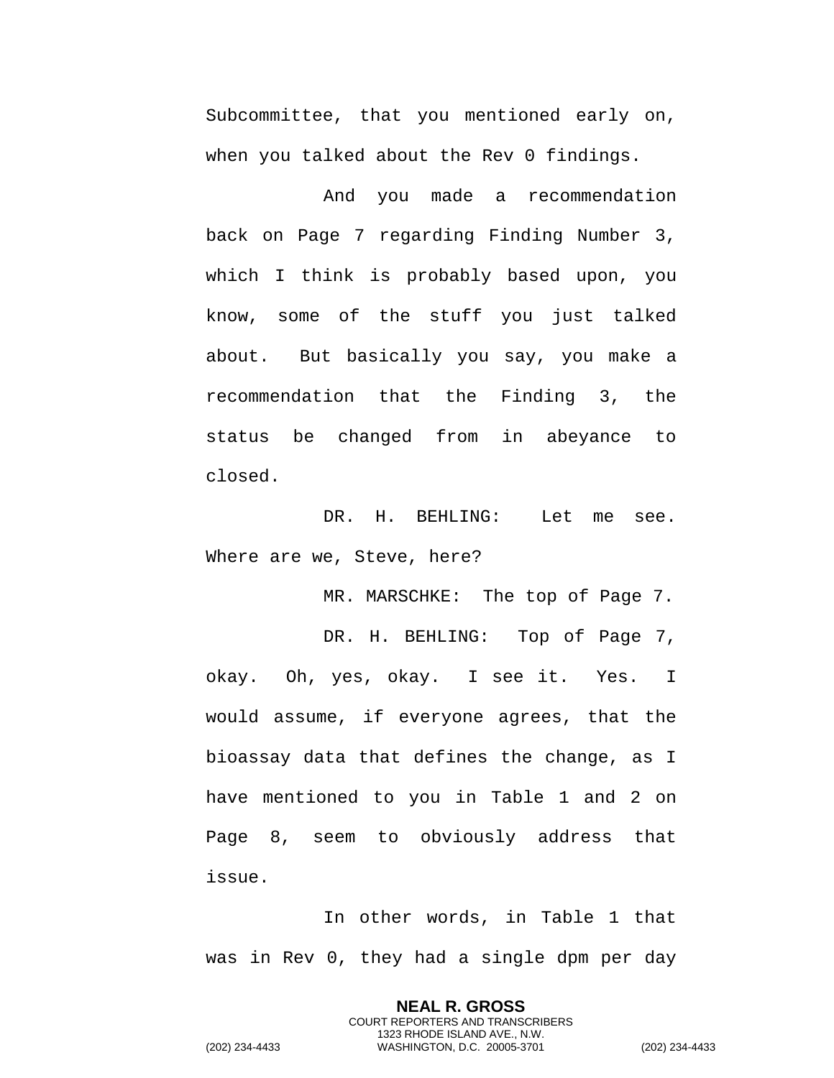Subcommittee, that you mentioned early on, when you talked about the Rev 0 findings.

And you made a recommendation back on Page 7 regarding Finding Number 3, which I think is probably based upon, you know, some of the stuff you just talked about. But basically you say, you make a recommendation that the Finding 3, the status be changed from in abeyance to closed.

DR. H. BEHLING: Let me see. Where are we, Steve, here?

MR. MARSCHKE: The top of Page 7.

DR. H. BEHLING: Top of Page 7, okay. Oh, yes, okay. I see it. Yes. I would assume, if everyone agrees, that the bioassay data that defines the change, as I have mentioned to you in Table 1 and 2 on Page 8, seem to obviously address that issue.

In other words, in Table 1 that was in Rev 0, they had a single dpm per day

> **NEAL R. GROSS** COURT REPORTERS AND TRANSCRIBERS 1323 RHODE ISLAND AVE., N.W.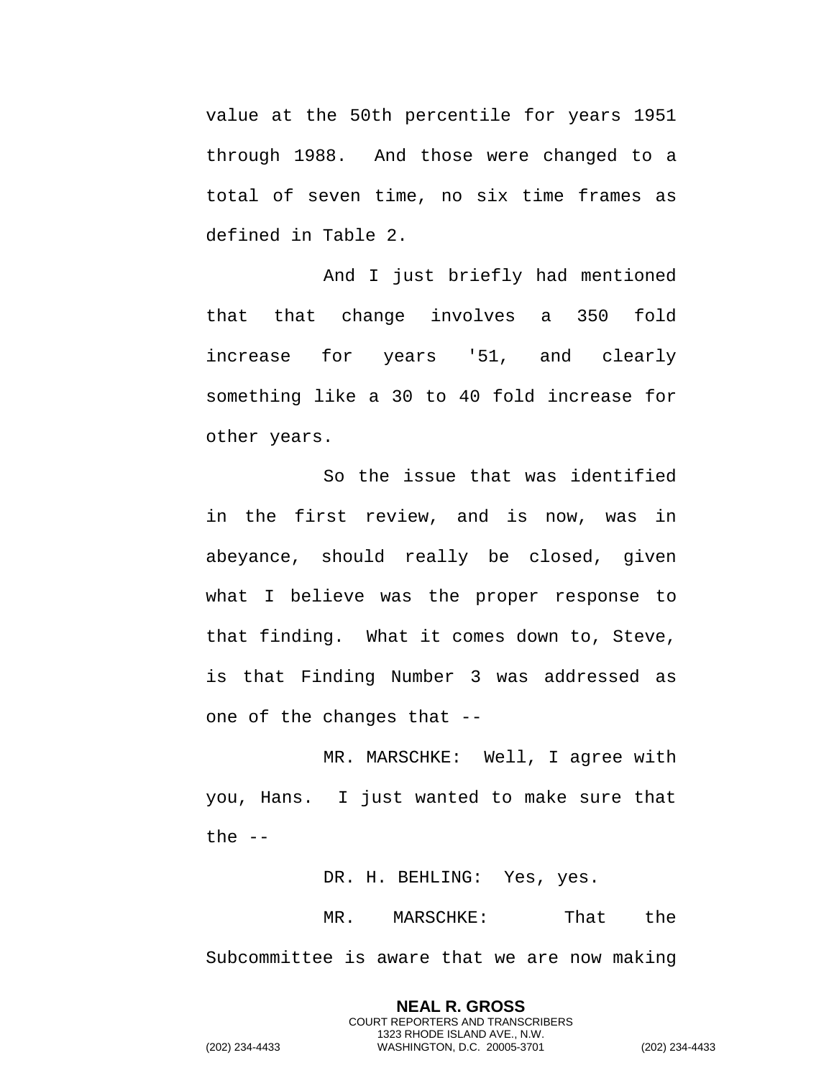value at the 50th percentile for years 1951 through 1988. And those were changed to a total of seven time, no six time frames as defined in Table 2.

And I just briefly had mentioned that that change involves a 350 fold increase for years '51, and clearly something like a 30 to 40 fold increase for other years.

So the issue that was identified in the first review, and is now, was in abeyance, should really be closed, given what I believe was the proper response to that finding. What it comes down to, Steve, is that Finding Number 3 was addressed as one of the changes that --

MR. MARSCHKE: Well, I agree with you, Hans. I just wanted to make sure that the  $--$ 

DR. H. BEHLING: Yes, yes.

**NEAL R. GROSS** COURT REPORTERS AND TRANSCRIBERS 1323 RHODE ISLAND AVE., N.W.

MR. MARSCHKE: That the Subcommittee is aware that we are now making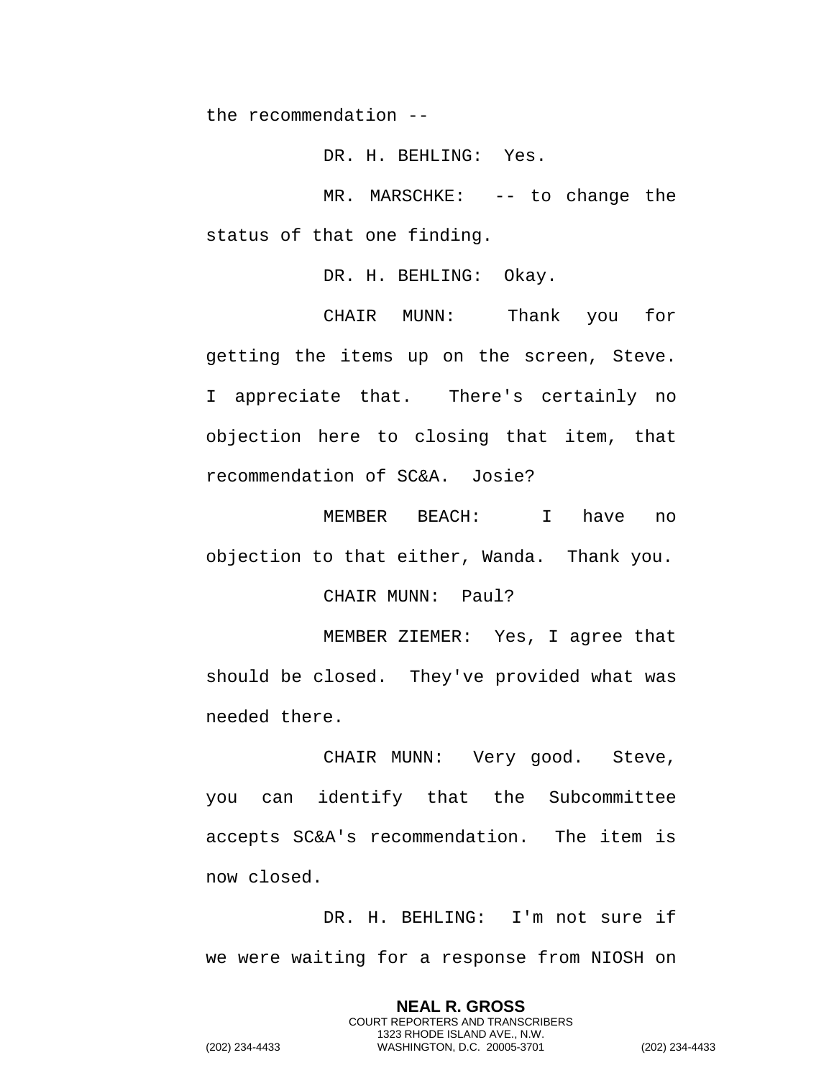the recommendation --

DR. H. BEHLING: Yes.

MR. MARSCHKE: -- to change the status of that one finding.

DR. H. BEHLING: Okay.

CHAIR MUNN: Thank you for getting the items up on the screen, Steve. I appreciate that. There's certainly no objection here to closing that item, that recommendation of SC&A. Josie?

MEMBER BEACH: I have no objection to that either, Wanda. Thank you.

CHAIR MUNN: Paul?

MEMBER ZIEMER: Yes, I agree that should be closed. They've provided what was needed there.

CHAIR MUNN: Very good. Steve, you can identify that the Subcommittee accepts SC&A's recommendation. The item is now closed.

DR. H. BEHLING: I'm not sure if we were waiting for a response from NIOSH on

> **NEAL R. GROSS** COURT REPORTERS AND TRANSCRIBERS 1323 RHODE ISLAND AVE., N.W.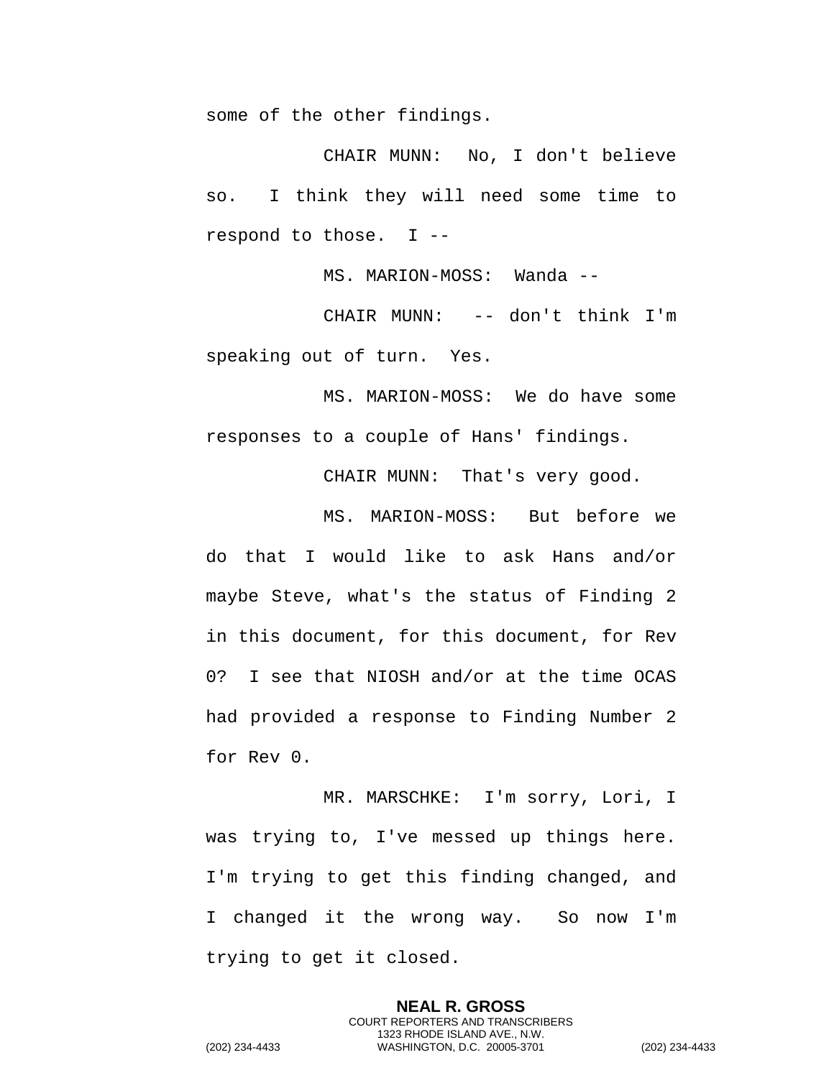some of the other findings.

CHAIR MUNN: No, I don't believe so. I think they will need some time to respond to those. I --

MS. MARION-MOSS: Wanda --

CHAIR MUNN: -- don't think I'm speaking out of turn. Yes.

MS. MARION-MOSS: We do have some responses to a couple of Hans' findings.

CHAIR MUNN: That's very good.

MS. MARION-MOSS: But before we do that I would like to ask Hans and/or maybe Steve, what's the status of Finding 2 in this document, for this document, for Rev 0? I see that NIOSH and/or at the time OCAS had provided a response to Finding Number 2 for Rev 0.

MR. MARSCHKE: I'm sorry, Lori, I was trying to, I've messed up things here. I'm trying to get this finding changed, and I changed it the wrong way. So now I'm trying to get it closed.

> **NEAL R. GROSS** COURT REPORTERS AND TRANSCRIBERS 1323 RHODE ISLAND AVE., N.W.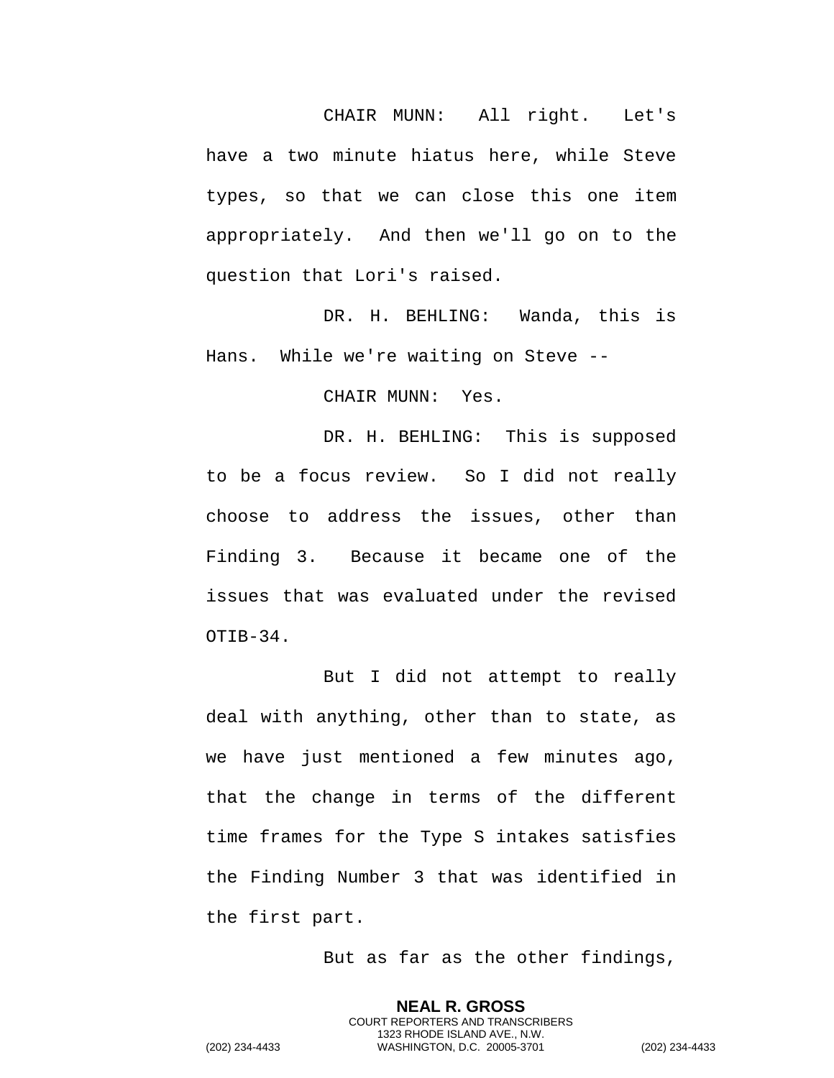CHAIR MUNN: All right. Let's have a two minute hiatus here, while Steve types, so that we can close this one item appropriately. And then we'll go on to the question that Lori's raised.

DR. H. BEHLING: Wanda, this is Hans. While we're waiting on Steve --

CHAIR MUNN: Yes.

DR. H. BEHLING: This is supposed to be a focus review. So I did not really choose to address the issues, other than Finding 3. Because it became one of the issues that was evaluated under the revised OTIB-34.

But I did not attempt to really deal with anything, other than to state, as we have just mentioned a few minutes ago, that the change in terms of the different time frames for the Type S intakes satisfies the Finding Number 3 that was identified in the first part.

But as far as the other findings,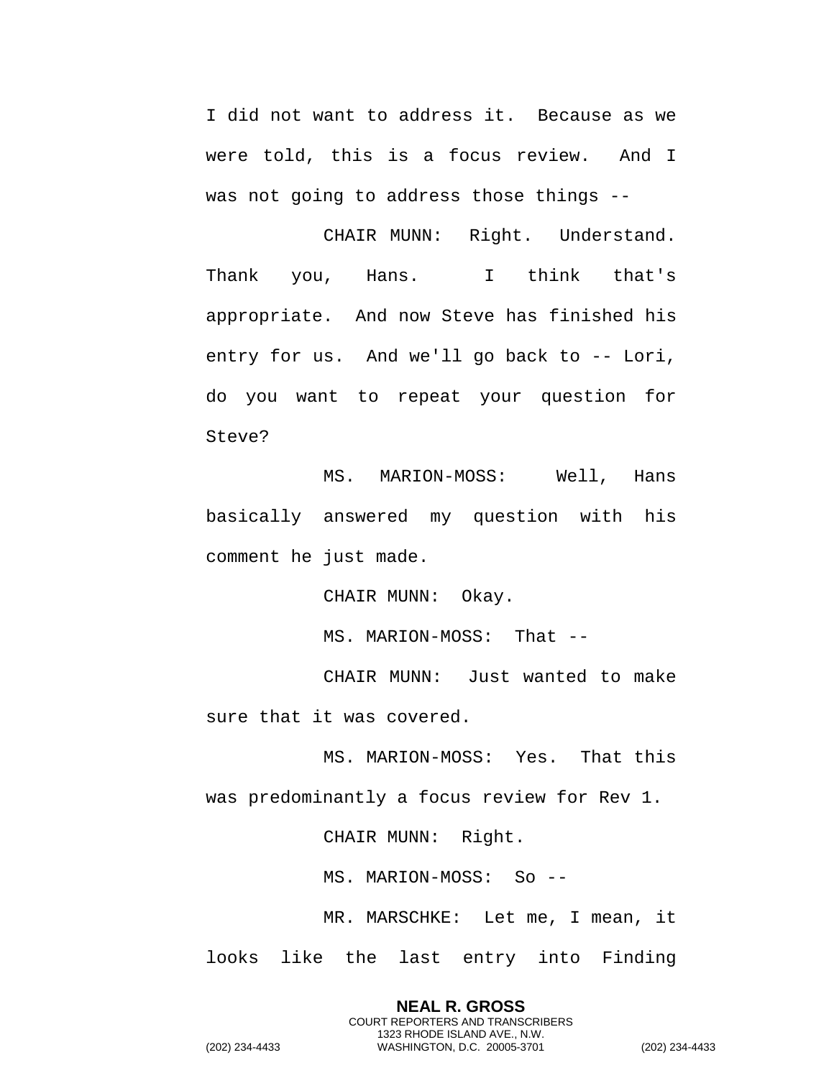I did not want to address it. Because as we were told, this is a focus review. And I was not going to address those things --

CHAIR MUNN: Right. Understand. Thank you, Hans. I think that's appropriate. And now Steve has finished his entry for us. And we'll go back to -- Lori, do you want to repeat your question for Steve?

MS. MARION-MOSS: Well, Hans basically answered my question with his comment he just made.

CHAIR MUNN: Okay.

MS. MARION-MOSS: That --

CHAIR MUNN: Just wanted to make sure that it was covered.

MS. MARION-MOSS: Yes. That this was predominantly a focus review for Rev 1.

CHAIR MUNN: Right.

MS. MARION-MOSS: So --

MR. MARSCHKE: Let me, I mean, it looks like the last entry into Finding

> **NEAL R. GROSS** COURT REPORTERS AND TRANSCRIBERS 1323 RHODE ISLAND AVE., N.W.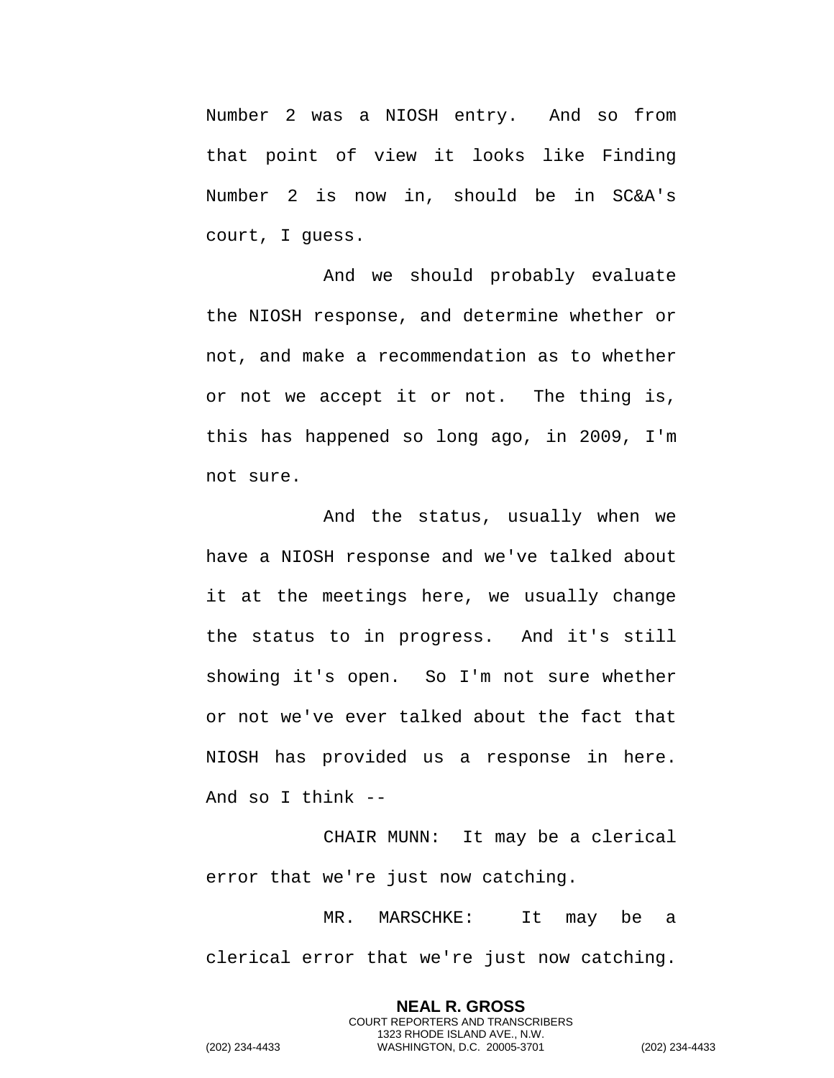Number 2 was a NIOSH entry. And so from that point of view it looks like Finding Number 2 is now in, should be in SC&A's court, I guess.

And we should probably evaluate the NIOSH response, and determine whether or not, and make a recommendation as to whether or not we accept it or not. The thing is, this has happened so long ago, in 2009, I'm not sure.

And the status, usually when we have a NIOSH response and we've talked about it at the meetings here, we usually change the status to in progress. And it's still showing it's open. So I'm not sure whether or not we've ever talked about the fact that NIOSH has provided us a response in here. And so I think --

CHAIR MUNN: It may be a clerical error that we're just now catching.

MR. MARSCHKE: It may be a clerical error that we're just now catching.

> **NEAL R. GROSS** COURT REPORTERS AND TRANSCRIBERS 1323 RHODE ISLAND AVE., N.W.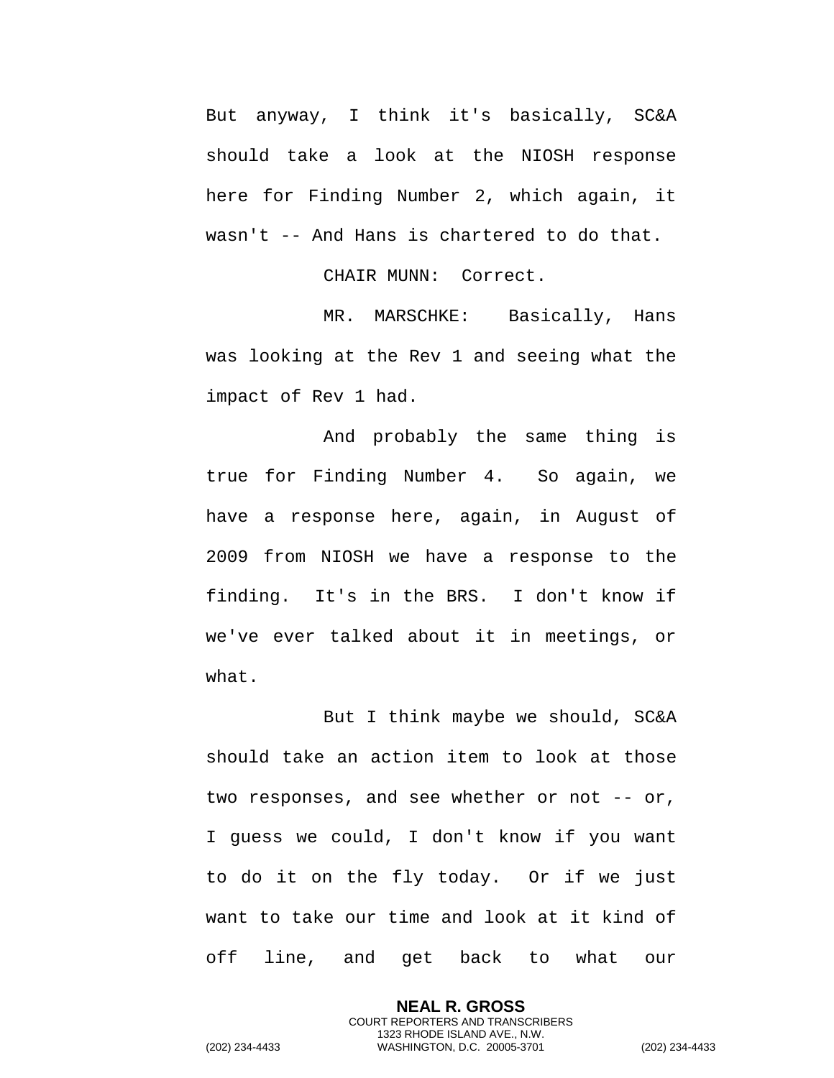But anyway, I think it's basically, SC&A should take a look at the NIOSH response here for Finding Number 2, which again, it wasn't -- And Hans is chartered to do that.

CHAIR MUNN: Correct.

MR. MARSCHKE: Basically, Hans was looking at the Rev 1 and seeing what the impact of Rev 1 had.

And probably the same thing is true for Finding Number 4. So again, we have a response here, again, in August of 2009 from NIOSH we have a response to the finding. It's in the BRS. I don't know if we've ever talked about it in meetings, or what.

But I think maybe we should, SC&A should take an action item to look at those two responses, and see whether or not -- or, I guess we could, I don't know if you want to do it on the fly today. Or if we just want to take our time and look at it kind of off line, and get back to what our

> **NEAL R. GROSS** COURT REPORTERS AND TRANSCRIBERS 1323 RHODE ISLAND AVE., N.W.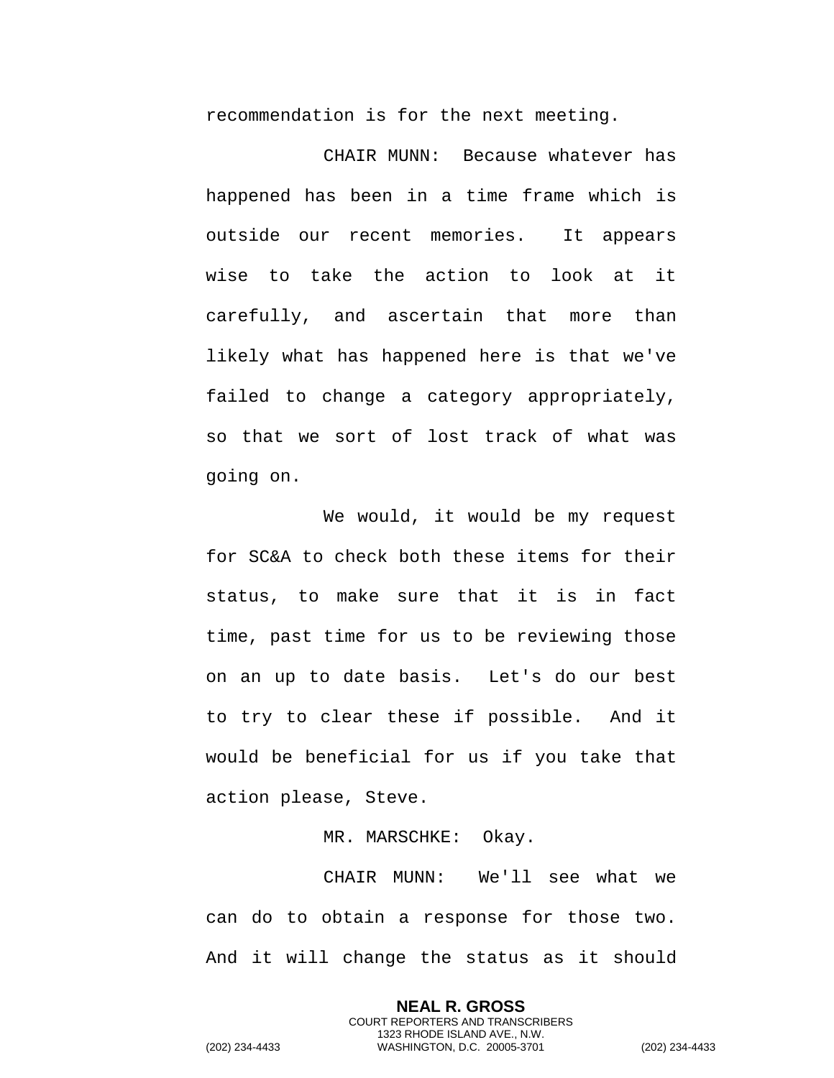recommendation is for the next meeting.

CHAIR MUNN: Because whatever has happened has been in a time frame which is outside our recent memories. It appears wise to take the action to look at it carefully, and ascertain that more than likely what has happened here is that we've failed to change a category appropriately, so that we sort of lost track of what was going on.

We would, it would be my request for SC&A to check both these items for their status, to make sure that it is in fact time, past time for us to be reviewing those on an up to date basis. Let's do our best to try to clear these if possible. And it would be beneficial for us if you take that action please, Steve.

MR. MARSCHKE: Okay.

CHAIR MUNN: We'll see what we can do to obtain a response for those two. And it will change the status as it should

> **NEAL R. GROSS** COURT REPORTERS AND TRANSCRIBERS 1323 RHODE ISLAND AVE., N.W.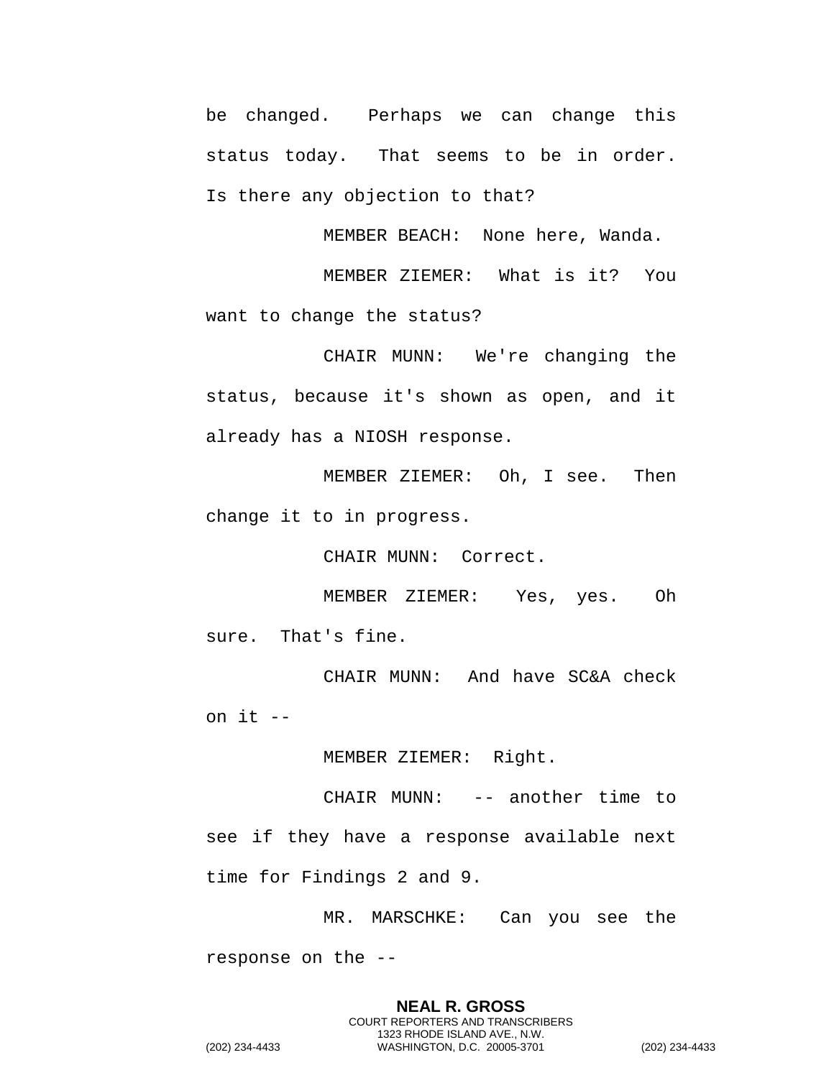be changed. Perhaps we can change this status today. That seems to be in order. Is there any objection to that?

MEMBER BEACH: None here, Wanda.

MEMBER ZIEMER: What is it? You want to change the status?

CHAIR MUNN: We're changing the status, because it's shown as open, and it already has a NIOSH response.

MEMBER ZIEMER: Oh, I see. Then change it to in progress.

CHAIR MUNN: Correct.

MEMBER ZIEMER: Yes, yes. Oh sure. That's fine.

CHAIR MUNN: And have SC&A check on it --

MEMBER ZIEMER: Right.

CHAIR MUNN: -- another time to see if they have a response available next time for Findings 2 and 9.

MR. MARSCHKE: Can you see the response on the --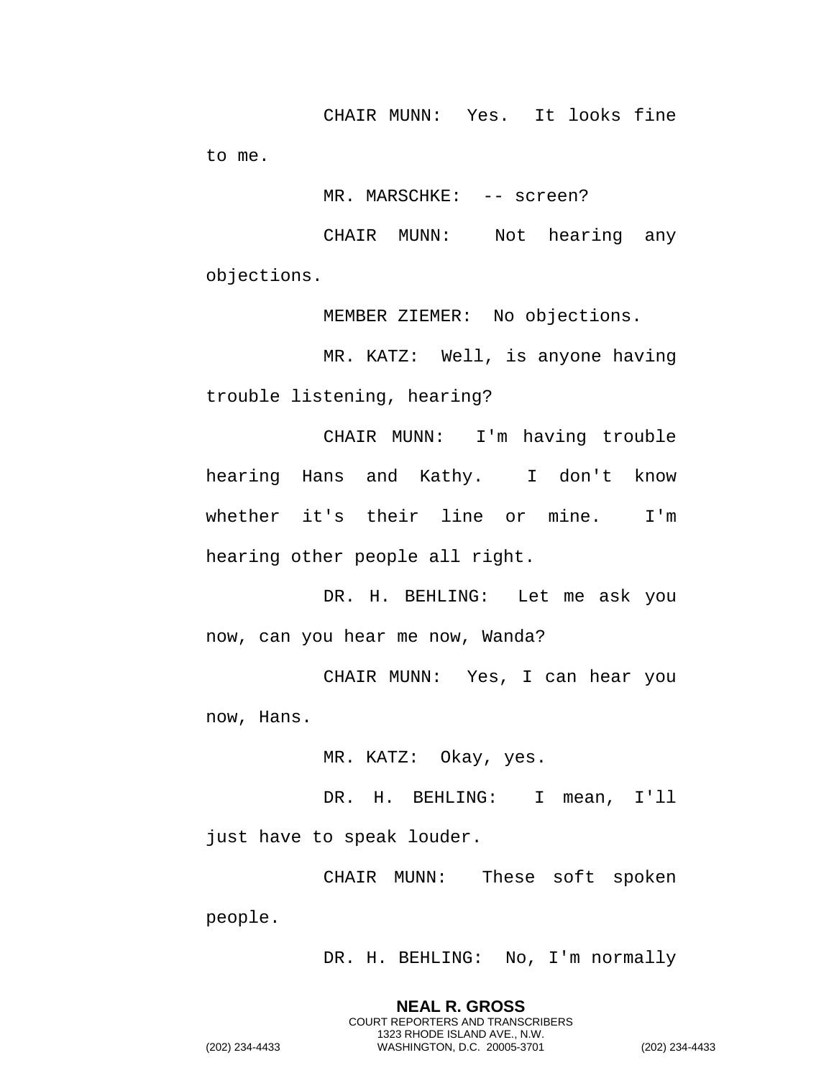CHAIR MUNN: Yes. It looks fine to me.

MR. MARSCHKE: -- screen?

CHAIR MUNN: Not hearing any objections.

MEMBER ZIEMER: No objections.

MR. KATZ: Well, is anyone having trouble listening, hearing?

CHAIR MUNN: I'm having trouble hearing Hans and Kathy. I don't know whether it's their line or mine. I'm hearing other people all right.

DR. H. BEHLING: Let me ask you now, can you hear me now, Wanda?

CHAIR MUNN: Yes, I can hear you now, Hans.

MR. KATZ: Okay, yes.

DR. H. BEHLING: I mean, I'll just have to speak louder.

CHAIR MUNN: These soft spoken people.

> **NEAL R. GROSS** COURT REPORTERS AND TRANSCRIBERS 1323 RHODE ISLAND AVE., N.W.

DR. H. BEHLING: No, I'm normally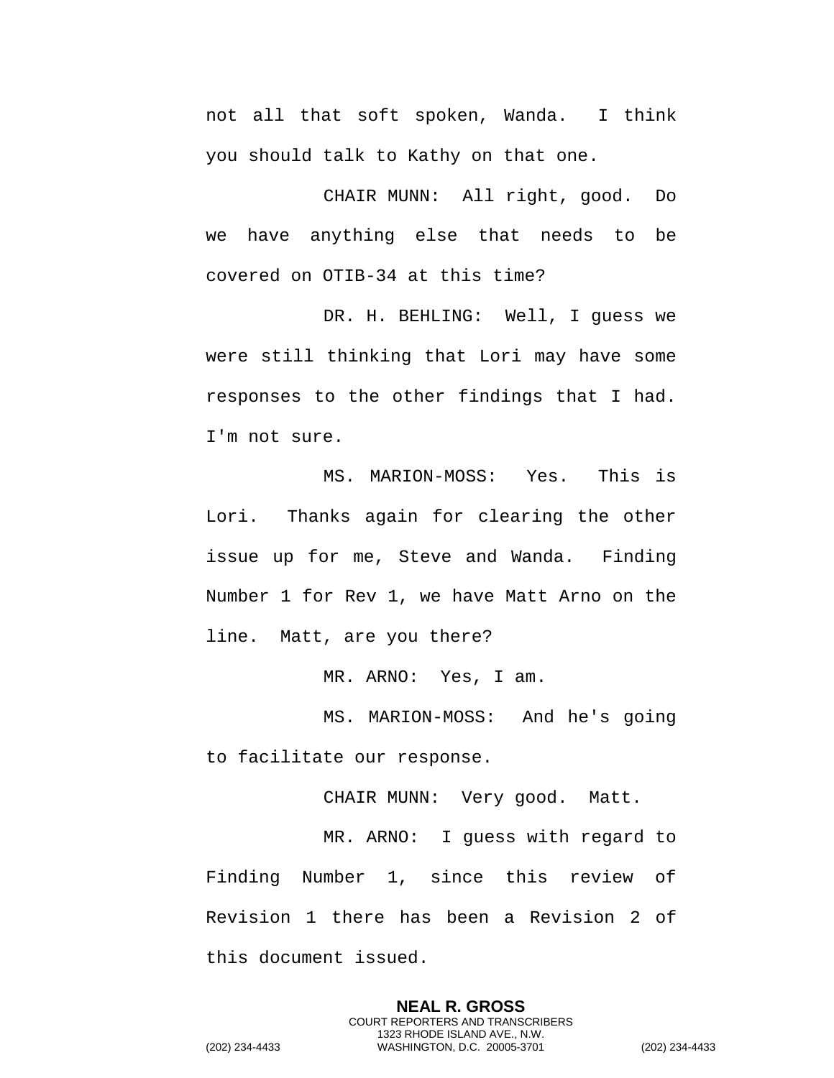not all that soft spoken, Wanda. I think you should talk to Kathy on that one.

CHAIR MUNN: All right, good. Do we have anything else that needs to be covered on OTIB-34 at this time?

DR. H. BEHLING: Well, I guess we were still thinking that Lori may have some responses to the other findings that I had. I'm not sure.

MS. MARION-MOSS: Yes. This is Lori. Thanks again for clearing the other issue up for me, Steve and Wanda. Finding Number 1 for Rev 1, we have Matt Arno on the line. Matt, are you there?

MR. ARNO: Yes, I am.

MS. MARION-MOSS: And he's going to facilitate our response.

CHAIR MUNN: Very good. Matt.

MR. ARNO: I guess with regard to Finding Number 1, since this review of Revision 1 there has been a Revision 2 of this document issued.

> **NEAL R. GROSS** COURT REPORTERS AND TRANSCRIBERS 1323 RHODE ISLAND AVE., N.W.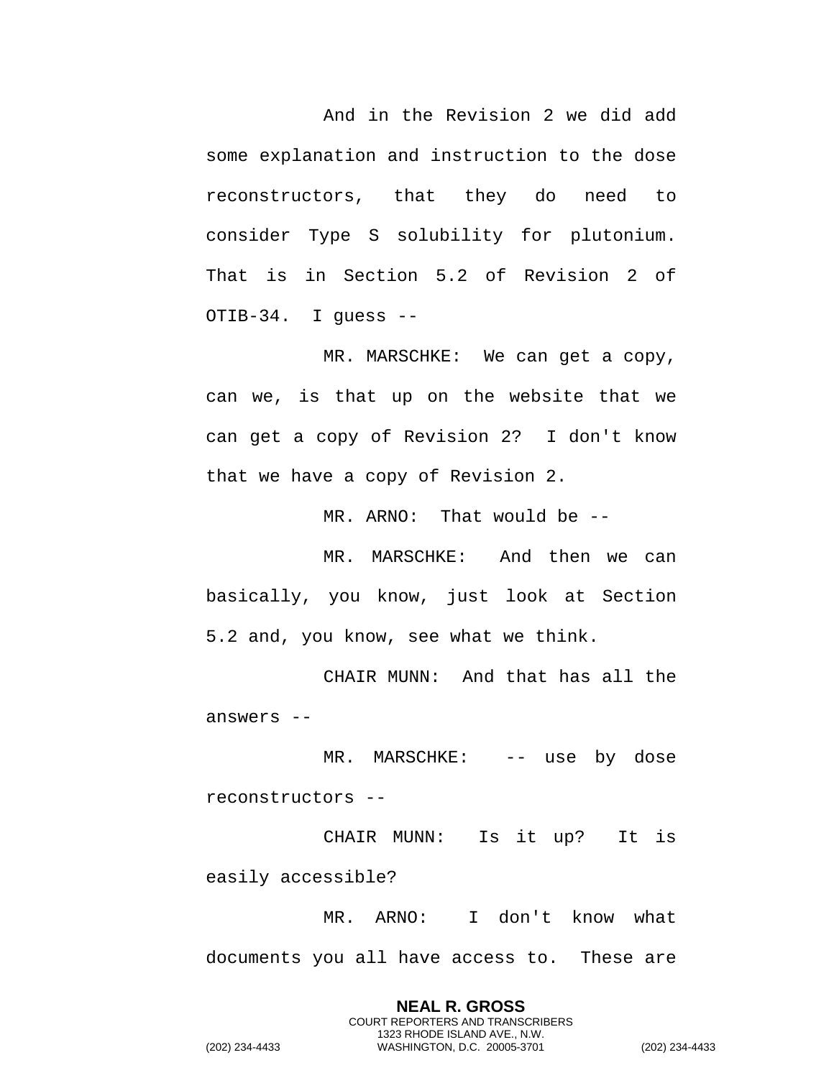And in the Revision 2 we did add some explanation and instruction to the dose reconstructors, that they do need to consider Type S solubility for plutonium. That is in Section 5.2 of Revision 2 of OTIB-34. I guess --

MR. MARSCHKE: We can get a copy, can we, is that up on the website that we can get a copy of Revision 2? I don't know that we have a copy of Revision 2.

MR. ARNO: That would be --

MR. MARSCHKE: And then we can basically, you know, just look at Section 5.2 and, you know, see what we think.

CHAIR MUNN: And that has all the answers --

MR. MARSCHKE: -- use by dose reconstructors --

CHAIR MUNN: Is it up? It is easily accessible?

MR. ARNO: I don't know what documents you all have access to. These are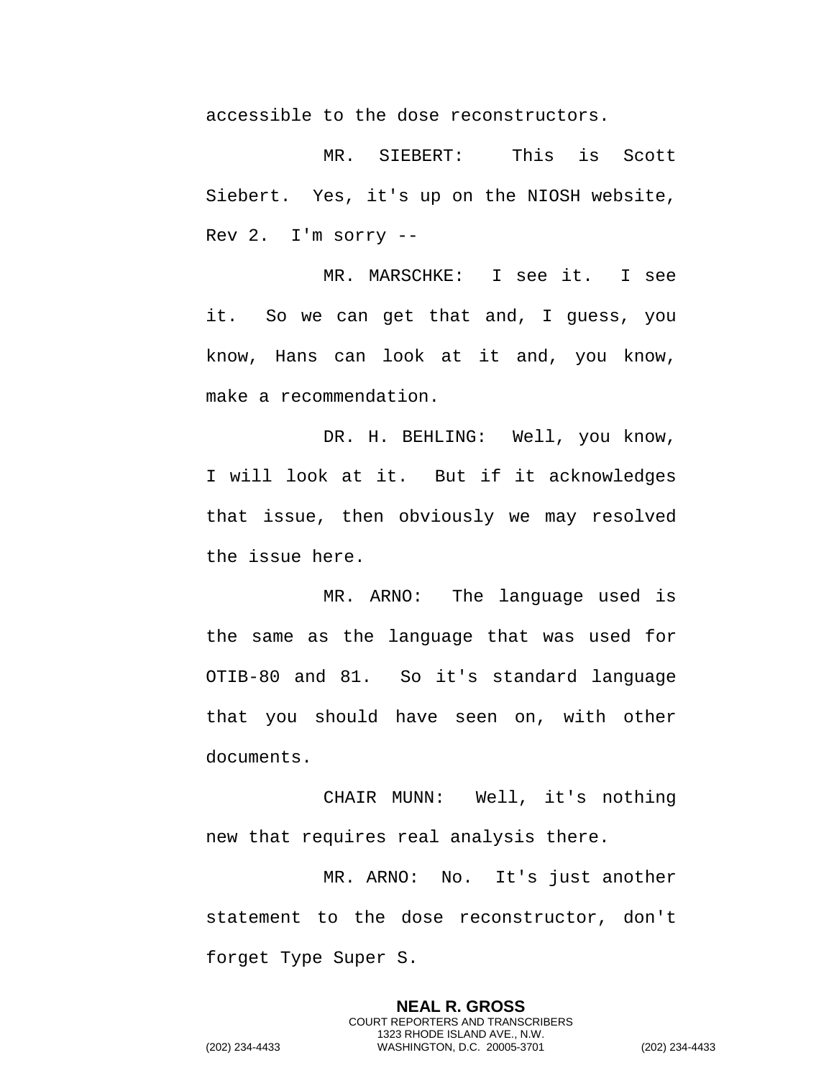accessible to the dose reconstructors.

MR. SIEBERT: This is Scott Siebert. Yes, it's up on the NIOSH website, Rev 2. I'm sorry --

MR. MARSCHKE: I see it. I see it. So we can get that and, I guess, you know, Hans can look at it and, you know, make a recommendation.

DR. H. BEHLING: Well, you know, I will look at it. But if it acknowledges that issue, then obviously we may resolved the issue here.

MR. ARNO: The language used is the same as the language that was used for OTIB-80 and 81. So it's standard language that you should have seen on, with other documents.

CHAIR MUNN: Well, it's nothing new that requires real analysis there.

MR. ARNO: No. It's just another statement to the dose reconstructor, don't forget Type Super S.

> **NEAL R. GROSS** COURT REPORTERS AND TRANSCRIBERS 1323 RHODE ISLAND AVE., N.W.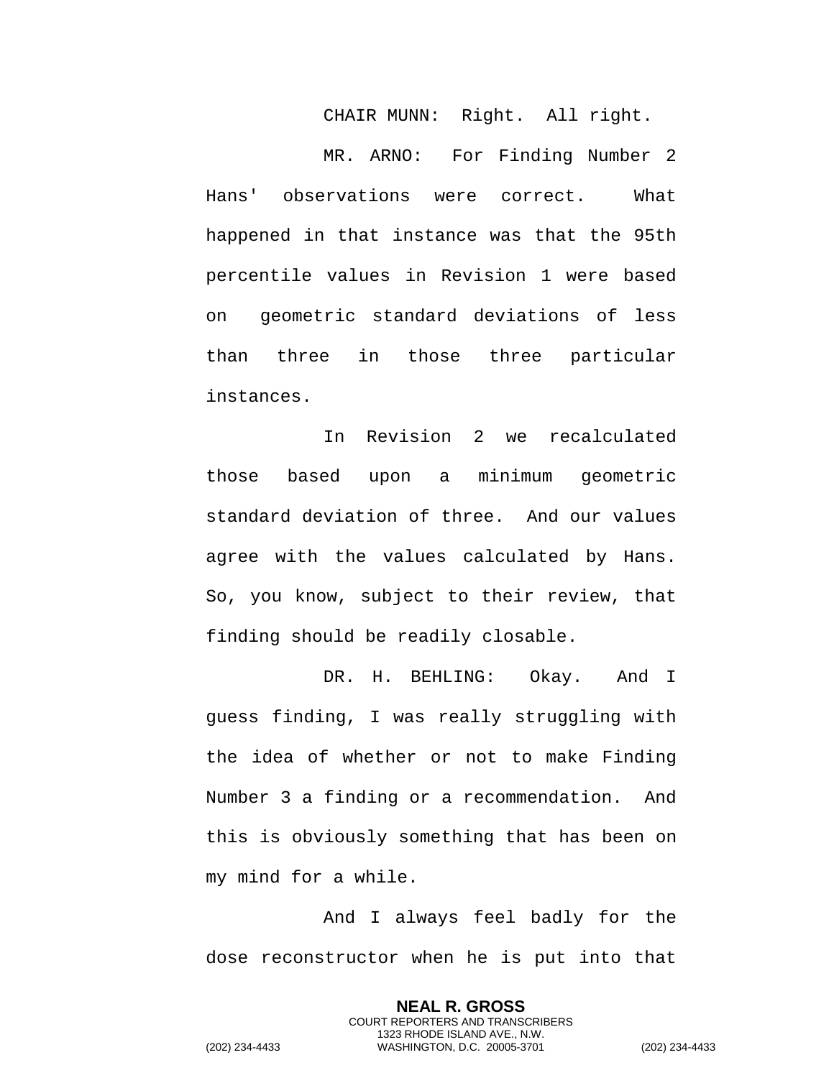CHAIR MUNN: Right. All right.

MR. ARNO: For Finding Number 2 Hans' observations were correct. What happened in that instance was that the 95th percentile values in Revision 1 were based on geometric standard deviations of less than three in those three particular instances.

In Revision 2 we recalculated those based upon a minimum geometric standard deviation of three. And our values agree with the values calculated by Hans. So, you know, subject to their review, that finding should be readily closable.

DR. H. BEHLING: Okay. And I guess finding, I was really struggling with the idea of whether or not to make Finding Number 3 a finding or a recommendation. And this is obviously something that has been on my mind for a while.

And I always feel badly for the dose reconstructor when he is put into that

> **NEAL R. GROSS** COURT REPORTERS AND TRANSCRIBERS 1323 RHODE ISLAND AVE., N.W.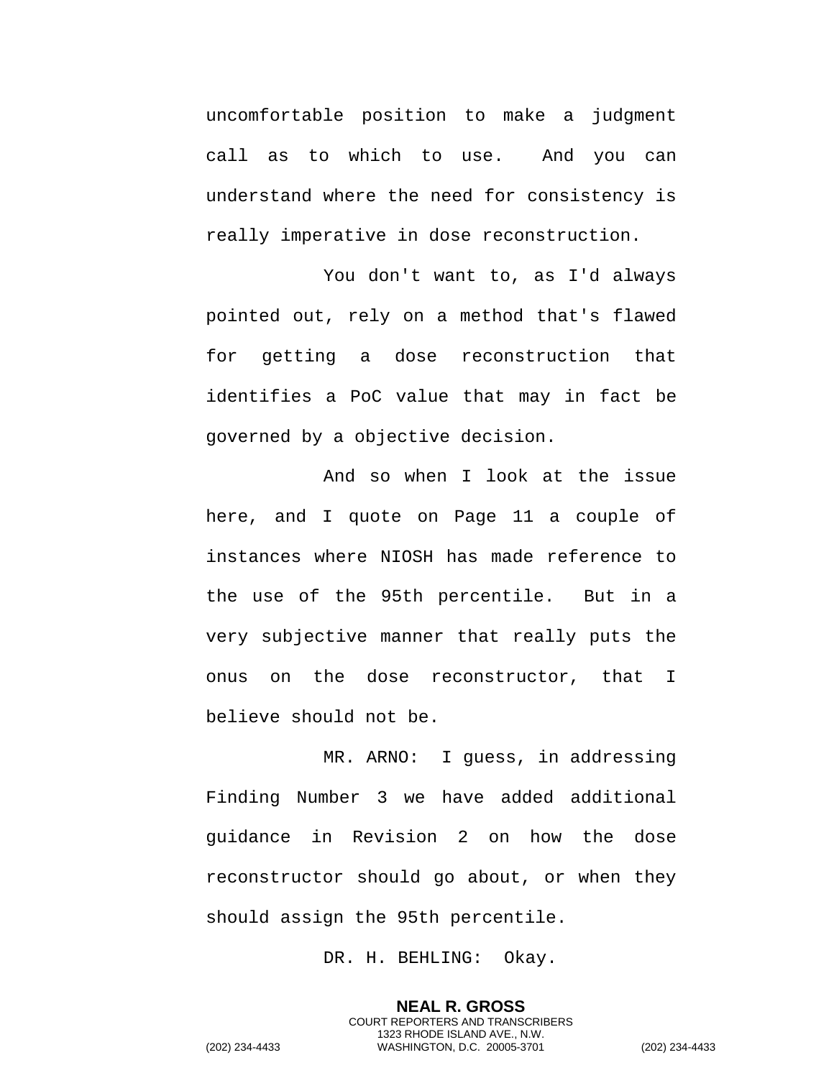uncomfortable position to make a judgment call as to which to use. And you can understand where the need for consistency is really imperative in dose reconstruction.

You don't want to, as I'd always pointed out, rely on a method that's flawed for getting a dose reconstruction that identifies a PoC value that may in fact be governed by a objective decision.

And so when I look at the issue here, and I quote on Page 11 a couple of instances where NIOSH has made reference to the use of the 95th percentile. But in a very subjective manner that really puts the onus on the dose reconstructor, that I believe should not be.

MR. ARNO: I guess, in addressing Finding Number 3 we have added additional guidance in Revision 2 on how the dose reconstructor should go about, or when they should assign the 95th percentile.

DR. H. BEHLING: Okay.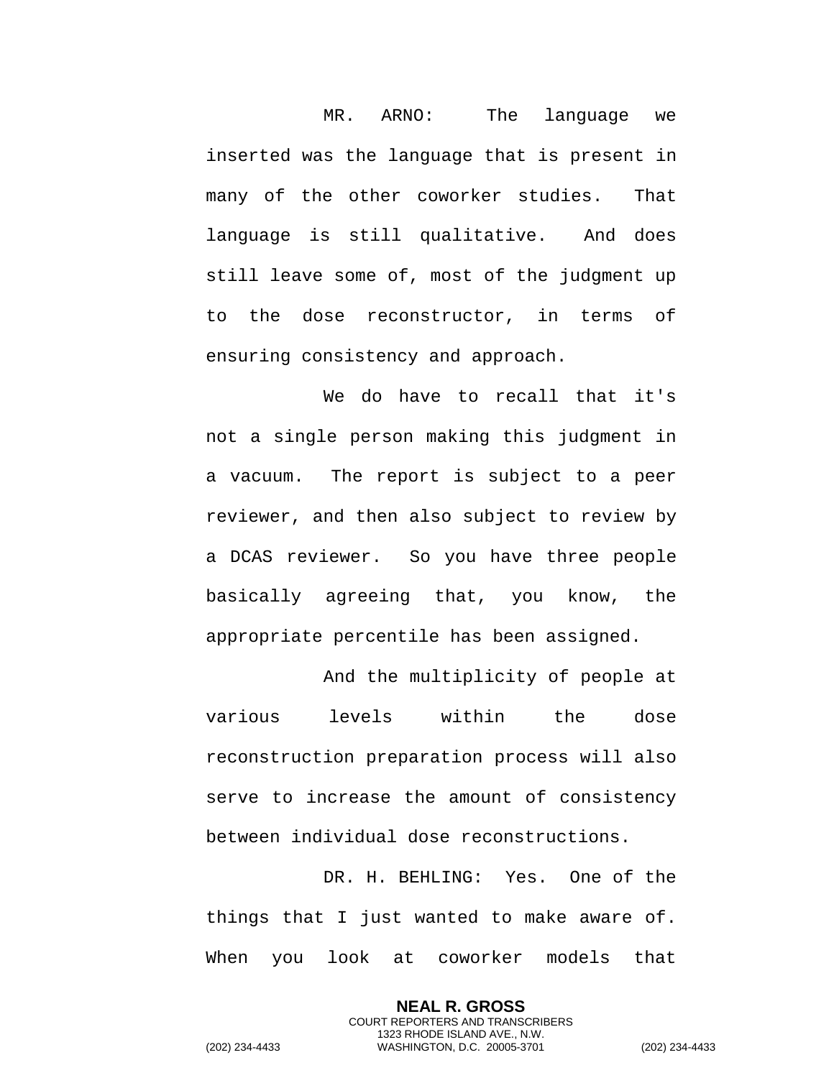MR. ARNO: The language we inserted was the language that is present in many of the other coworker studies. That language is still qualitative. And does still leave some of, most of the judgment up to the dose reconstructor, in terms of ensuring consistency and approach.

We do have to recall that it's not a single person making this judgment in a vacuum. The report is subject to a peer reviewer, and then also subject to review by a DCAS reviewer. So you have three people basically agreeing that, you know, the appropriate percentile has been assigned.

And the multiplicity of people at various levels within the dose reconstruction preparation process will also serve to increase the amount of consistency between individual dose reconstructions.

DR. H. BEHLING: Yes. One of the things that I just wanted to make aware of. When you look at coworker models that

> **NEAL R. GROSS** COURT REPORTERS AND TRANSCRIBERS 1323 RHODE ISLAND AVE., N.W.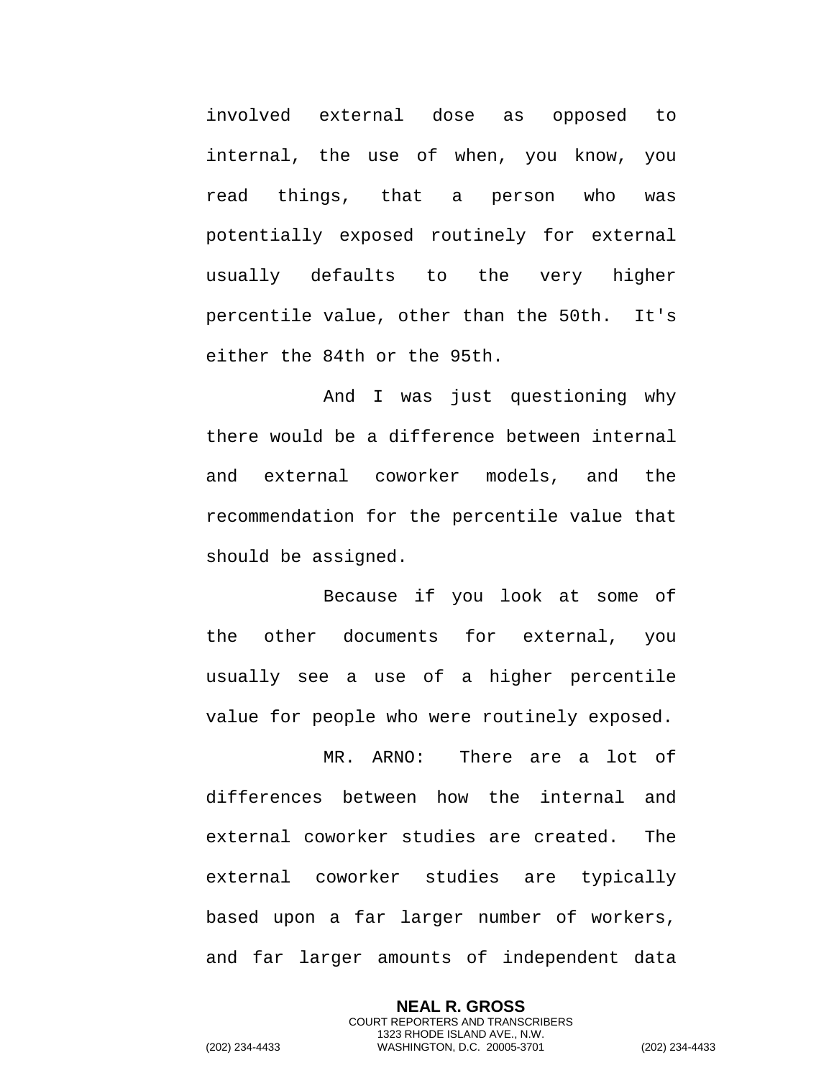involved external dose as opposed to internal, the use of when, you know, you read things, that a person who was potentially exposed routinely for external usually defaults to the very higher percentile value, other than the 50th. It's either the 84th or the 95th.

And I was just questioning why there would be a difference between internal and external coworker models, and the recommendation for the percentile value that should be assigned.

Because if you look at some of the other documents for external, you usually see a use of a higher percentile value for people who were routinely exposed.

MR. ARNO: There are a lot of differences between how the internal and external coworker studies are created. The external coworker studies are typically based upon a far larger number of workers, and far larger amounts of independent data

> **NEAL R. GROSS** COURT REPORTERS AND TRANSCRIBERS

1323 RHODE ISLAND AVE., N.W. (202) 234-4433 WASHINGTON, D.C. 20005-3701 (202) 234-4433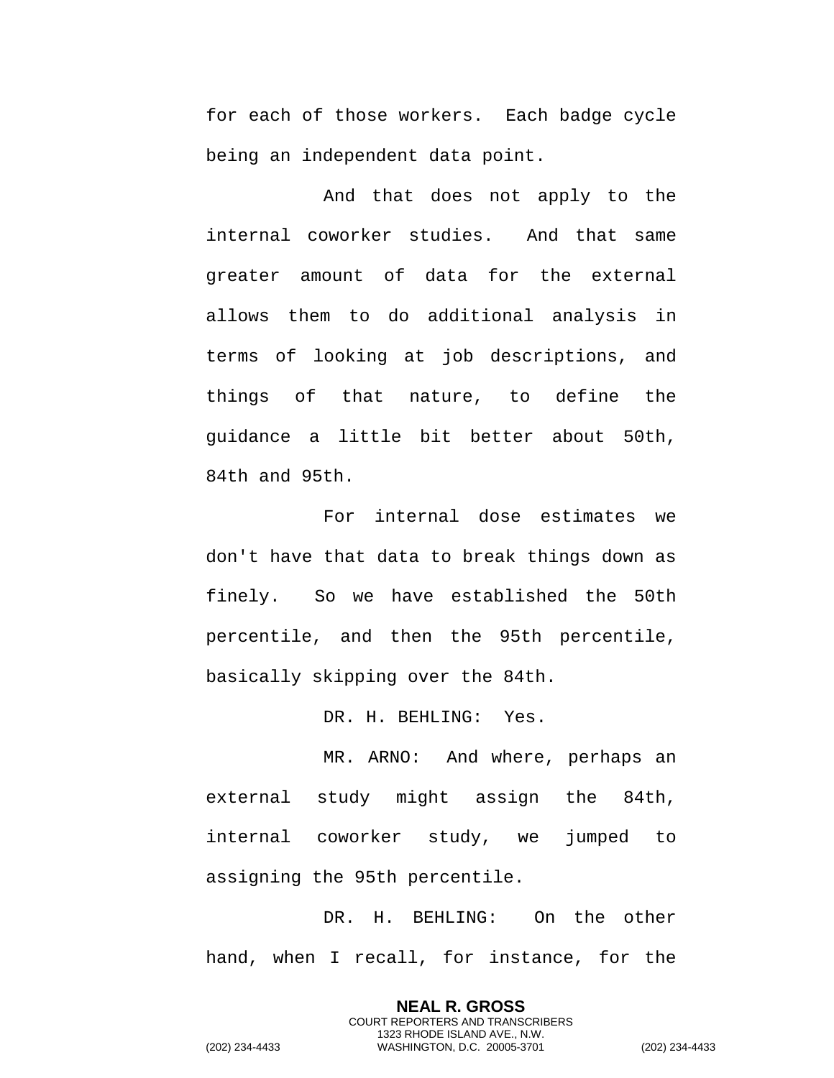for each of those workers. Each badge cycle being an independent data point.

And that does not apply to the internal coworker studies. And that same greater amount of data for the external allows them to do additional analysis in terms of looking at job descriptions, and things of that nature, to define the guidance a little bit better about 50th, 84th and 95th.

For internal dose estimates we don't have that data to break things down as finely. So we have established the 50th percentile, and then the 95th percentile, basically skipping over the 84th.

DR. H. BEHLING: Yes.

MR. ARNO: And where, perhaps an external study might assign the 84th, internal coworker study, we jumped to assigning the 95th percentile.

DR. H. BEHLING: On the other hand, when I recall, for instance, for the

> **NEAL R. GROSS** COURT REPORTERS AND TRANSCRIBERS 1323 RHODE ISLAND AVE., N.W.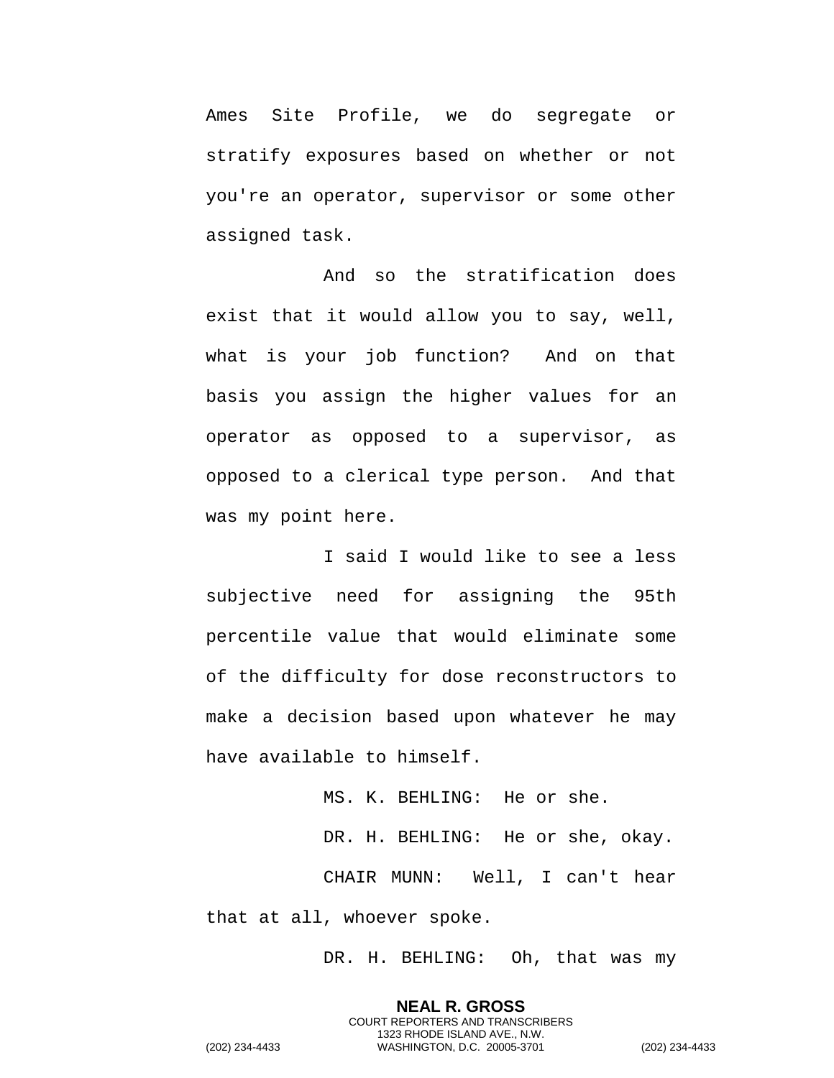Ames Site Profile, we do segregate or stratify exposures based on whether or not you're an operator, supervisor or some other assigned task.

And so the stratification does exist that it would allow you to say, well, what is your job function? And on that basis you assign the higher values for an operator as opposed to a supervisor, as opposed to a clerical type person. And that was my point here.

I said I would like to see a less subjective need for assigning the 95th percentile value that would eliminate some of the difficulty for dose reconstructors to make a decision based upon whatever he may have available to himself.

MS. K. BEHLING: He or she.

DR. H. BEHLING: He or she, okay.

CHAIR MUNN: Well, I can't hear that at all, whoever spoke.

DR. H. BEHLING: Oh, that was my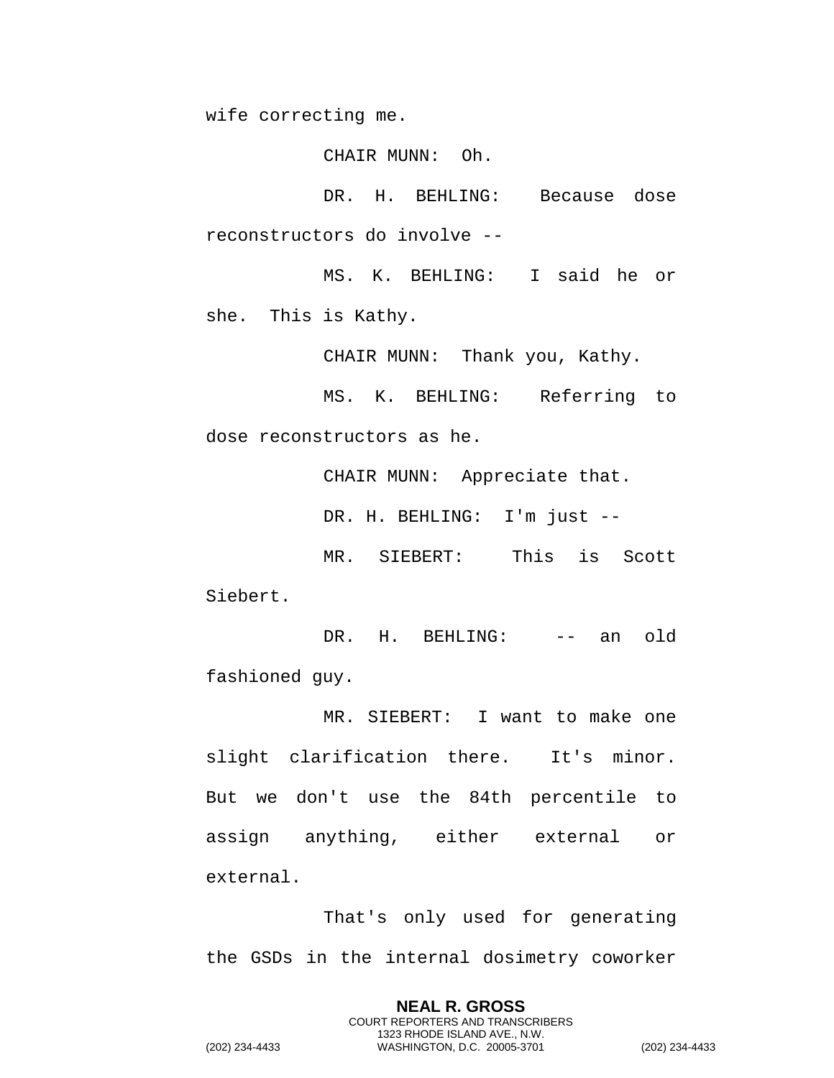wife correcting me.

CHAIR MUNN: Oh.

DR. H. BEHLING: Because dose reconstructors do involve --

MS. K. BEHLING: I said he or she. This is Kathy.

CHAIR MUNN: Thank you, Kathy.

MS. K. BEHLING: Referring to dose reconstructors as he.

CHAIR MUNN: Appreciate that.

DR. H. BEHLING: I'm just --

MR. SIEBERT: This is Scott Siebert.

DR. H. BEHLING: -- an old fashioned guy.

MR. SIEBERT: I want to make one slight clarification there. It's minor. But we don't use the 84th percentile to assign anything, either external or external.

That's only used for generating the GSDs in the internal dosimetry coworker

> **NEAL R. GROSS** COURT REPORTERS AND TRANSCRIBERS 1323 RHODE ISLAND AVE., N.W.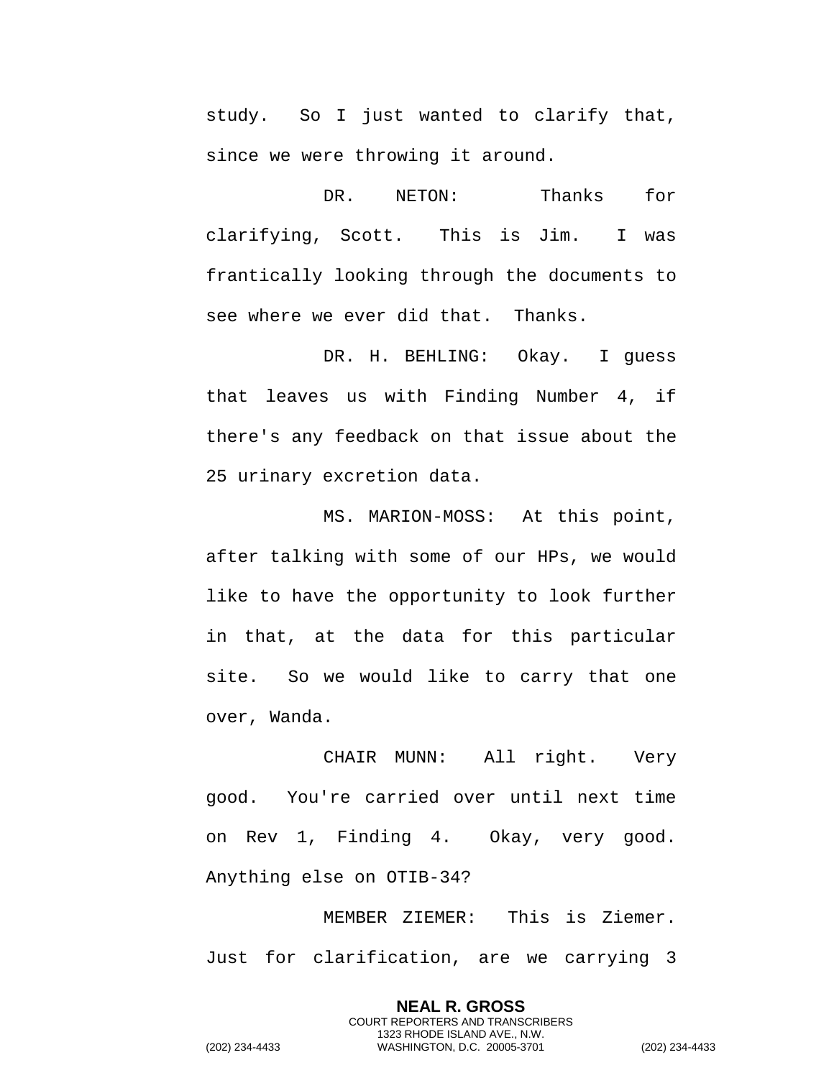study. So I just wanted to clarify that, since we were throwing it around.

DR. NETON: Thanks for clarifying, Scott. This is Jim. I was frantically looking through the documents to see where we ever did that. Thanks.

DR. H. BEHLING: Okay. I guess that leaves us with Finding Number 4, if there's any feedback on that issue about the 25 urinary excretion data.

MS. MARION-MOSS: At this point, after talking with some of our HPs, we would like to have the opportunity to look further in that, at the data for this particular site. So we would like to carry that one over, Wanda.

CHAIR MUNN: All right. Very good. You're carried over until next time on Rev 1, Finding 4. Okay, very good. Anything else on OTIB-34?

MEMBER ZIEMER: This is Ziemer. Just for clarification, are we carrying 3

> **NEAL R. GROSS** COURT REPORTERS AND TRANSCRIBERS 1323 RHODE ISLAND AVE., N.W.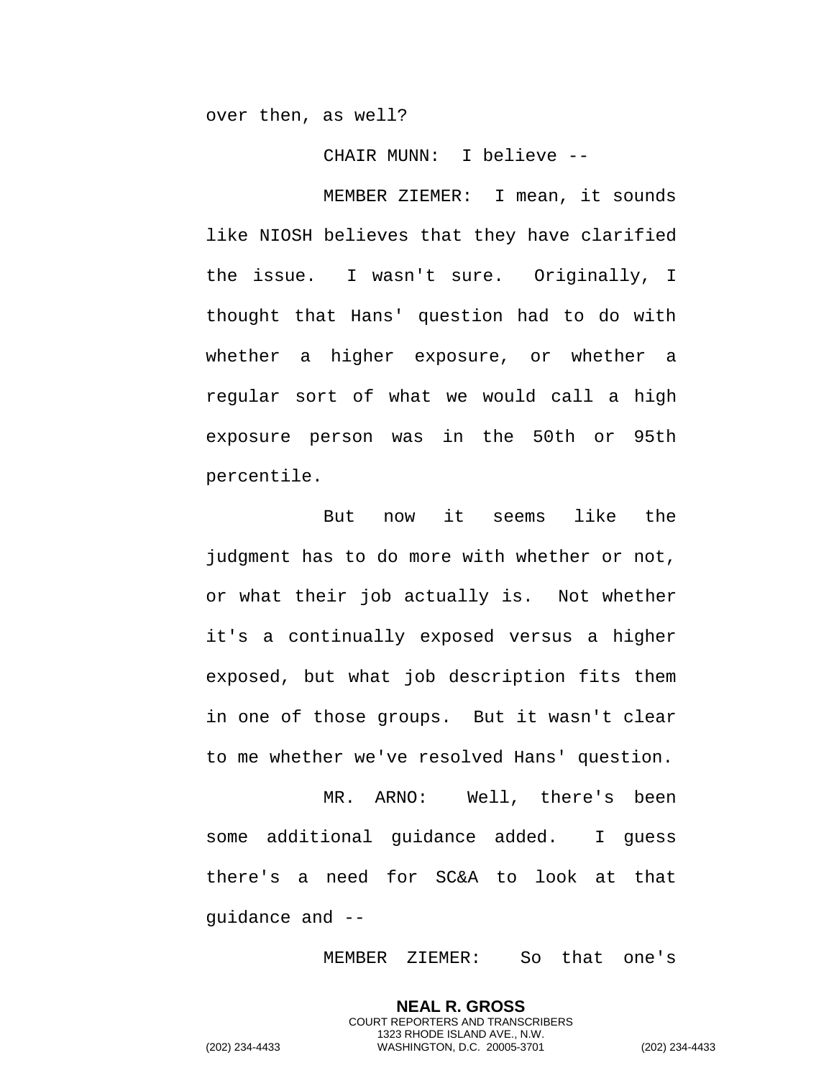over then, as well?

CHAIR MUNN: I believe --

MEMBER ZIEMER: I mean, it sounds like NIOSH believes that they have clarified the issue. I wasn't sure. Originally, I thought that Hans' question had to do with whether a higher exposure, or whether a regular sort of what we would call a high exposure person was in the 50th or 95th percentile.

But now it seems like the judgment has to do more with whether or not, or what their job actually is. Not whether it's a continually exposed versus a higher exposed, but what job description fits them in one of those groups. But it wasn't clear to me whether we've resolved Hans' question.

MR. ARNO: Well, there's been some additional guidance added. I guess there's a need for SC&A to look at that guidance and --

MEMBER ZIEMER: So that one's

**NEAL R. GROSS** COURT REPORTERS AND TRANSCRIBERS 1323 RHODE ISLAND AVE., N.W.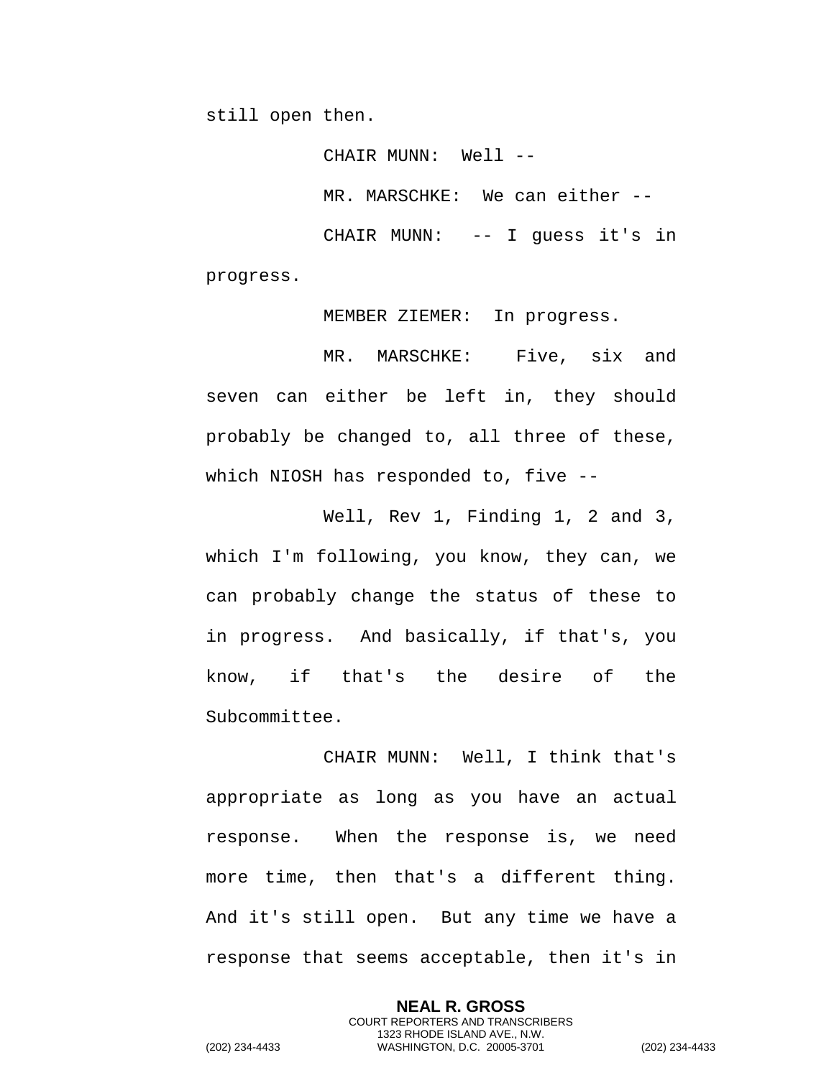still open then.

CHAIR MUNN: Well --MR. MARSCHKE: We can either -- CHAIR MUNN: -- I guess it's in progress.

MEMBER ZIEMER: In progress.

MR. MARSCHKE: Five, six and seven can either be left in, they should probably be changed to, all three of these, which NIOSH has responded to, five --

Well, Rev 1, Finding 1, 2 and 3, which I'm following, you know, they can, we can probably change the status of these to in progress. And basically, if that's, you know, if that's the desire of the Subcommittee.

CHAIR MUNN: Well, I think that's appropriate as long as you have an actual response. When the response is, we need more time, then that's a different thing. And it's still open. But any time we have a response that seems acceptable, then it's in

> **NEAL R. GROSS** COURT REPORTERS AND TRANSCRIBERS 1323 RHODE ISLAND AVE., N.W.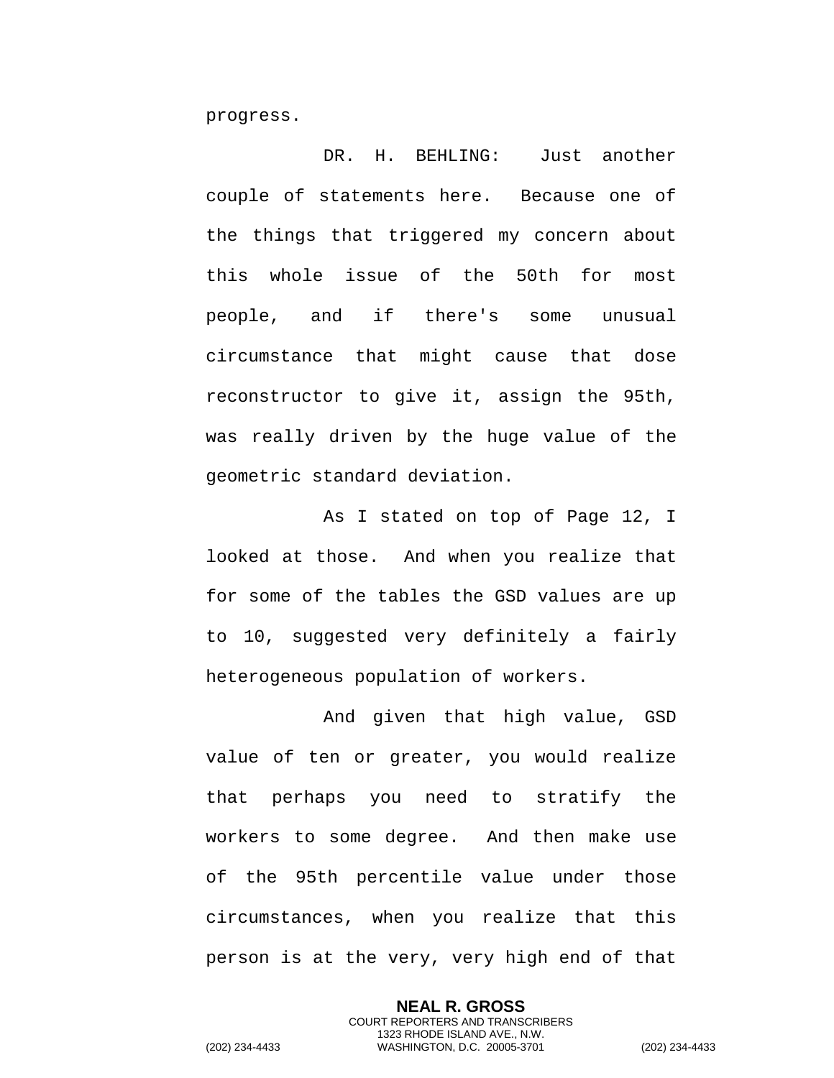progress.

DR. H. BEHLING: Just another couple of statements here. Because one of the things that triggered my concern about this whole issue of the 50th for most people, and if there's some unusual circumstance that might cause that dose reconstructor to give it, assign the 95th, was really driven by the huge value of the geometric standard deviation.

As I stated on top of Page 12, I looked at those. And when you realize that for some of the tables the GSD values are up to 10, suggested very definitely a fairly heterogeneous population of workers.

And given that high value, GSD value of ten or greater, you would realize that perhaps you need to stratify the workers to some degree. And then make use of the 95th percentile value under those circumstances, when you realize that this person is at the very, very high end of that

> **NEAL R. GROSS** COURT REPORTERS AND TRANSCRIBERS 1323 RHODE ISLAND AVE., N.W.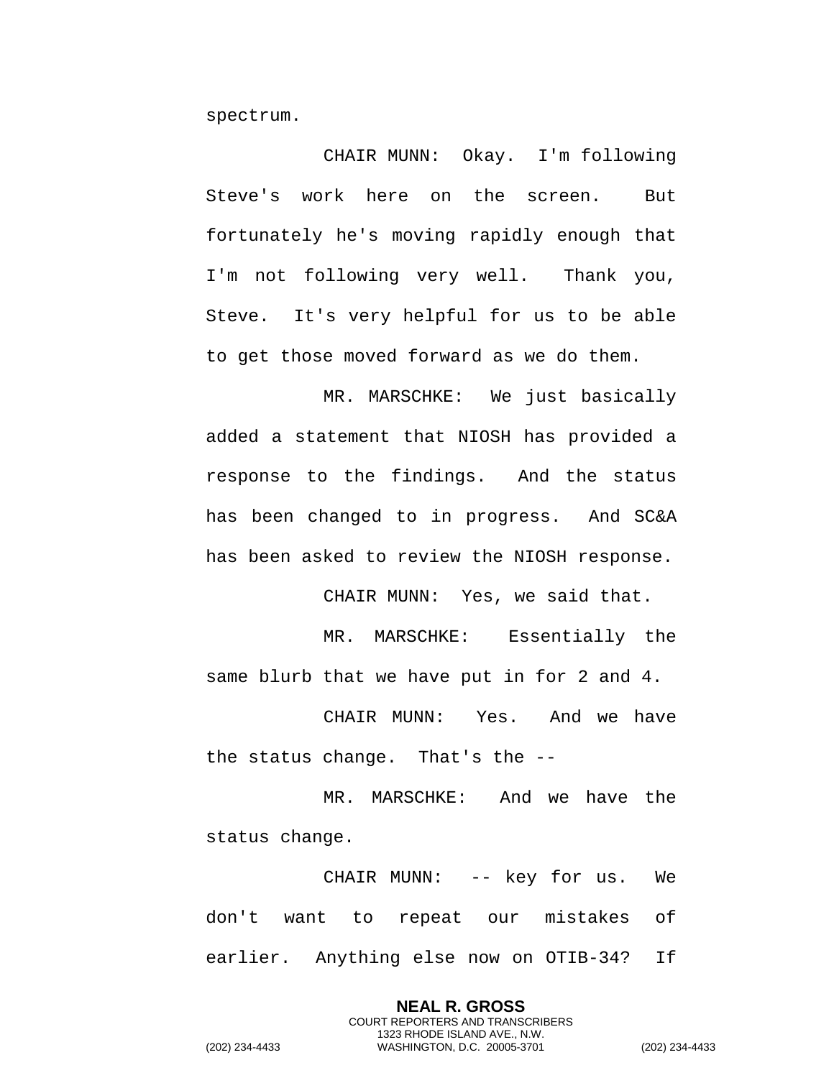spectrum.

CHAIR MUNN: Okay. I'm following Steve's work here on the screen. But fortunately he's moving rapidly enough that I'm not following very well. Thank you, Steve. It's very helpful for us to be able to get those moved forward as we do them.

MR. MARSCHKE: We just basically added a statement that NIOSH has provided a response to the findings. And the status has been changed to in progress. And SC&A has been asked to review the NIOSH response.

CHAIR MUNN: Yes, we said that.

MR. MARSCHKE: Essentially the same blurb that we have put in for 2 and 4.

CHAIR MUNN: Yes. And we have the status change. That's the --

MR. MARSCHKE: And we have the status change.

CHAIR MUNN: -- key for us. We don't want to repeat our mistakes of earlier. Anything else now on OTIB-34? If

> **NEAL R. GROSS** COURT REPORTERS AND TRANSCRIBERS 1323 RHODE ISLAND AVE., N.W.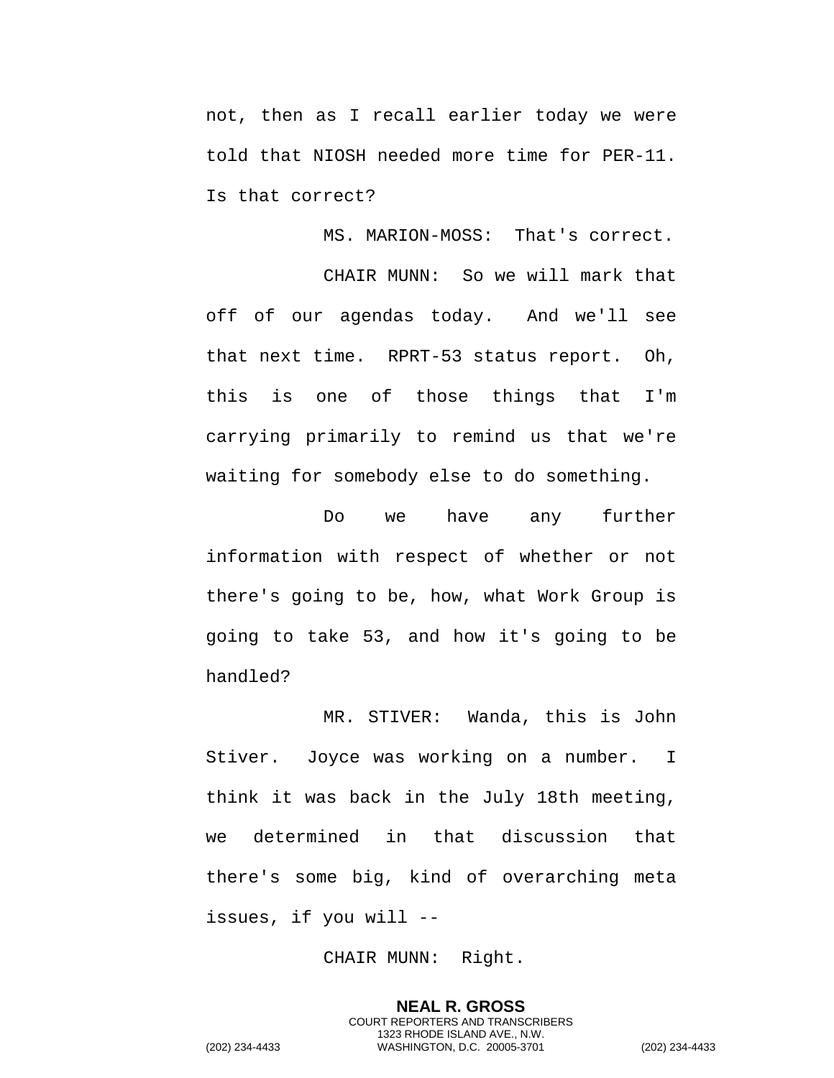not, then as I recall earlier today we were told that NIOSH needed more time for PER-11. Is that correct?

MS. MARION-MOSS: That's correct.

CHAIR MUNN: So we will mark that off of our agendas today. And we'll see that next time. RPRT-53 status report. Oh, this is one of those things that I'm carrying primarily to remind us that we're waiting for somebody else to do something.

Do we have any further information with respect of whether or not there's going to be, how, what Work Group is going to take 53, and how it's going to be handled?

MR. STIVER: Wanda, this is John Stiver. Joyce was working on a number. I think it was back in the July 18th meeting, we determined in that discussion that there's some big, kind of overarching meta issues, if you will --

CHAIR MUNN: Right.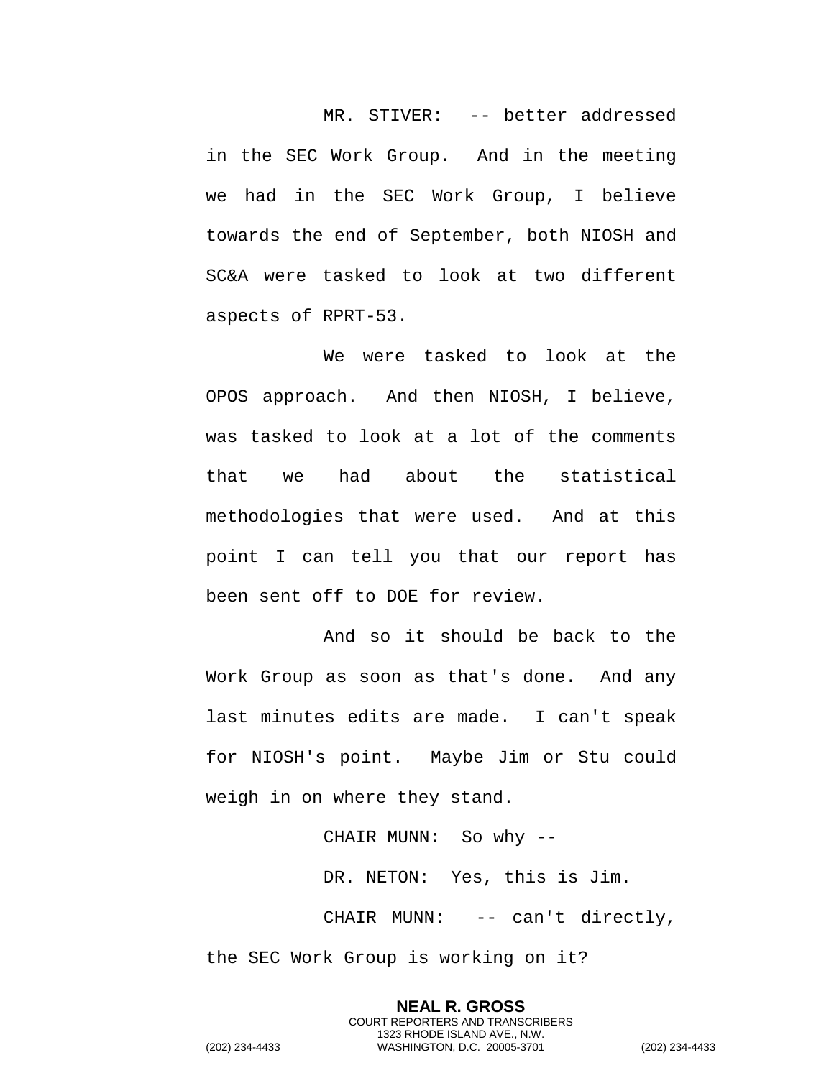MR. STIVER: -- better addressed in the SEC Work Group. And in the meeting we had in the SEC Work Group, I believe towards the end of September, both NIOSH and SC&A were tasked to look at two different aspects of RPRT-53.

We were tasked to look at the OPOS approach. And then NIOSH, I believe, was tasked to look at a lot of the comments that we had about the statistical methodologies that were used. And at this point I can tell you that our report has been sent off to DOE for review.

And so it should be back to the Work Group as soon as that's done. And any last minutes edits are made. I can't speak for NIOSH's point. Maybe Jim or Stu could weigh in on where they stand.

> CHAIR MUNN: So why -- DR. NETON: Yes, this is Jim. CHAIR MUNN: -- can't directly,

the SEC Work Group is working on it?

**NEAL R. GROSS** COURT REPORTERS AND TRANSCRIBERS 1323 RHODE ISLAND AVE., N.W. (202) 234-4433 WASHINGTON, D.C. 20005-3701 (202) 234-4433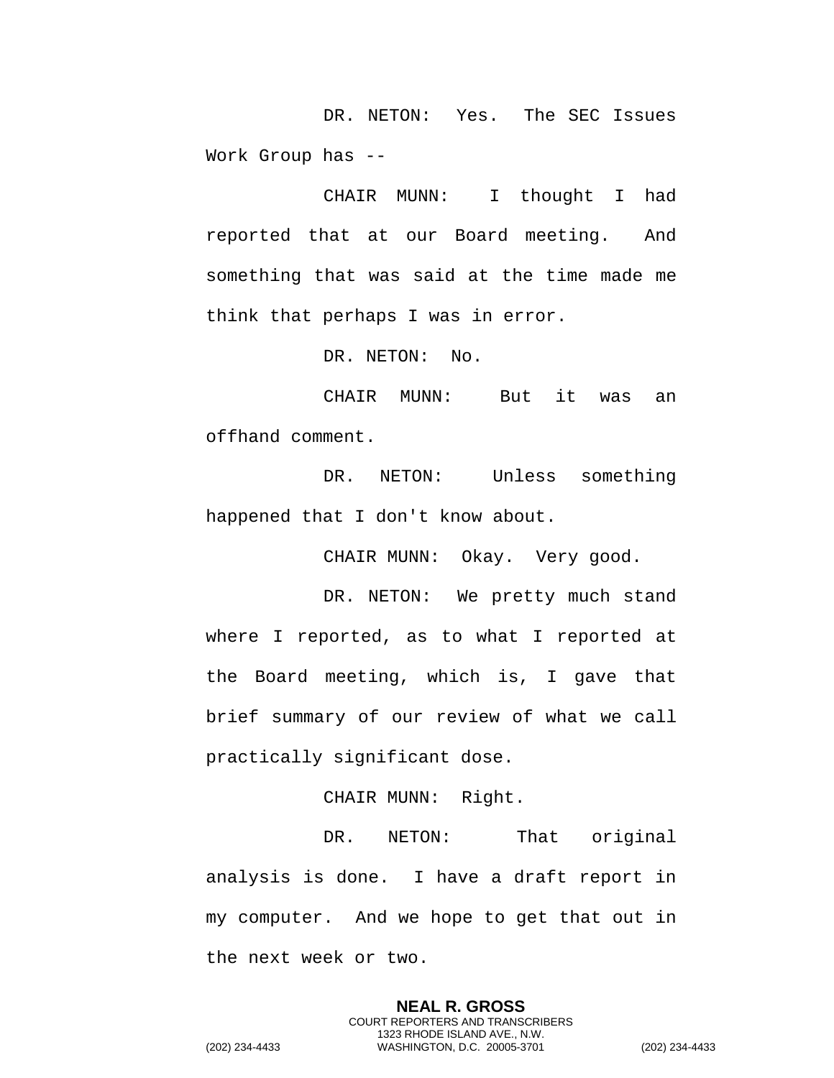DR. NETON: Yes. The SEC Issues Work Group has --

CHAIR MUNN: I thought I had reported that at our Board meeting. And something that was said at the time made me think that perhaps I was in error.

DR. NETON: No.

CHAIR MUNN: But it was an offhand comment.

DR. NETON: Unless something happened that I don't know about.

CHAIR MUNN: Okay. Very good.

DR. NETON: We pretty much stand where I reported, as to what I reported at the Board meeting, which is, I gave that brief summary of our review of what we call practically significant dose.

CHAIR MUNN: Right.

DR. NETON: That original analysis is done. I have a draft report in my computer. And we hope to get that out in the next week or two.

> **NEAL R. GROSS** COURT REPORTERS AND TRANSCRIBERS 1323 RHODE ISLAND AVE., N.W.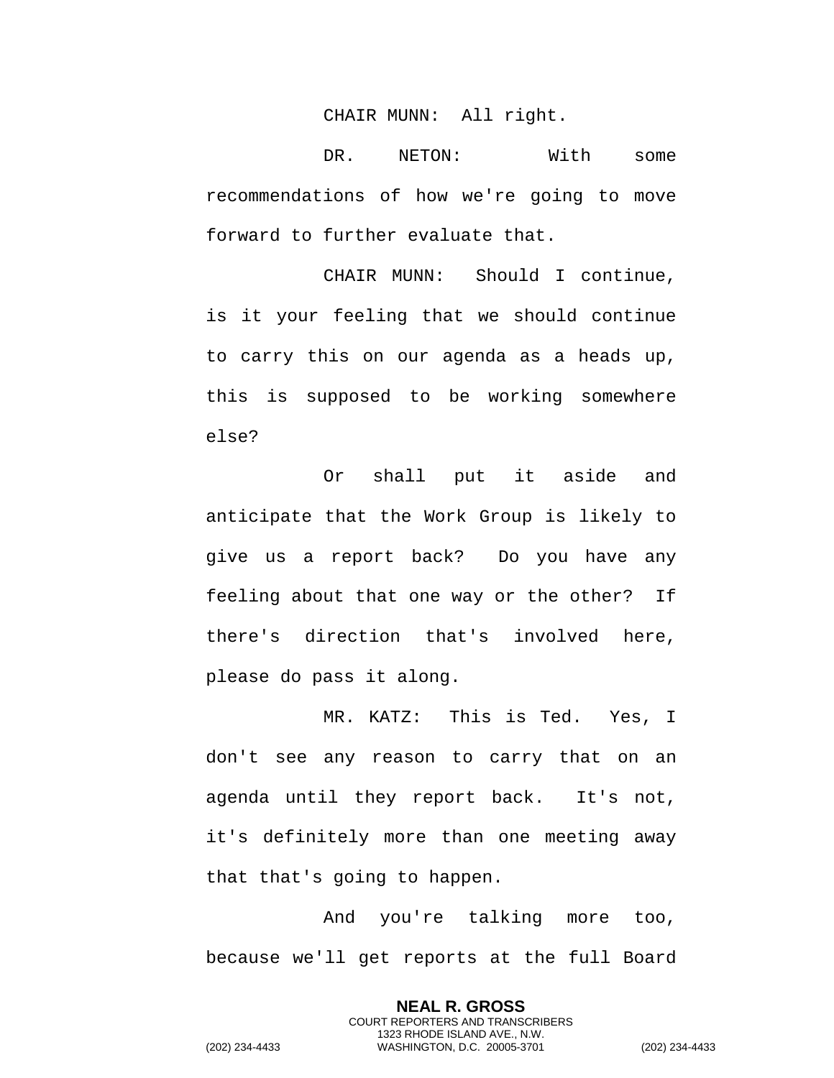## CHAIR MUNN: All right.

DR. NETON: With some recommendations of how we're going to move forward to further evaluate that.

CHAIR MUNN: Should I continue, is it your feeling that we should continue to carry this on our agenda as a heads up, this is supposed to be working somewhere else?

Or shall put it aside and anticipate that the Work Group is likely to give us a report back? Do you have any feeling about that one way or the other? If there's direction that's involved here, please do pass it along.

MR. KATZ: This is Ted. Yes, I don't see any reason to carry that on an agenda until they report back. It's not, it's definitely more than one meeting away that that's going to happen.

And you're talking more too, because we'll get reports at the full Board

> **NEAL R. GROSS** COURT REPORTERS AND TRANSCRIBERS 1323 RHODE ISLAND AVE., N.W.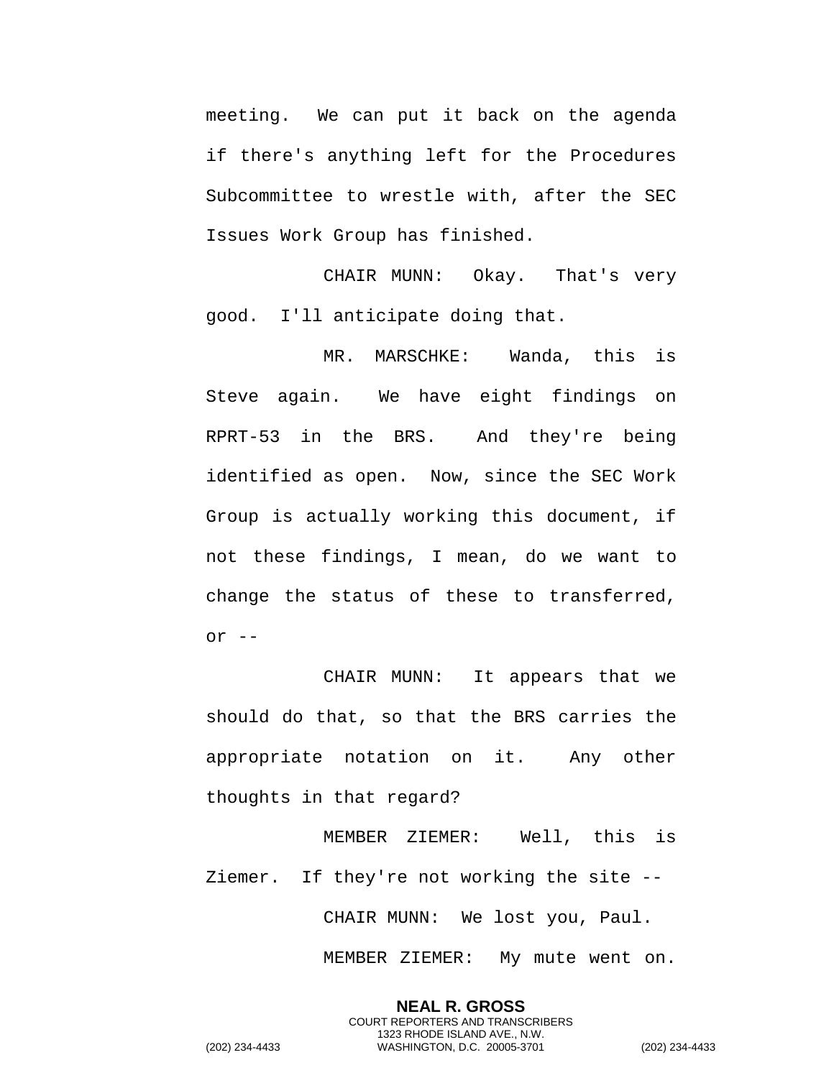meeting. We can put it back on the agenda if there's anything left for the Procedures Subcommittee to wrestle with, after the SEC Issues Work Group has finished.

CHAIR MUNN: Okay. That's very good. I'll anticipate doing that.

MR. MARSCHKE: Wanda, this is Steve again. We have eight findings on RPRT-53 in the BRS. And they're being identified as open. Now, since the SEC Work Group is actually working this document, if not these findings, I mean, do we want to change the status of these to transferred, or  $--$ 

CHAIR MUNN: It appears that we should do that, so that the BRS carries the appropriate notation on it. Any other thoughts in that regard?

MEMBER ZIEMER: Well, this is Ziemer. If they're not working the site -- CHAIR MUNN: We lost you, Paul.

> **NEAL R. GROSS** COURT REPORTERS AND TRANSCRIBERS

MEMBER ZIEMER: My mute went on.

1323 RHODE ISLAND AVE., N.W. (202) 234-4433 WASHINGTON, D.C. 20005-3701 (202) 234-4433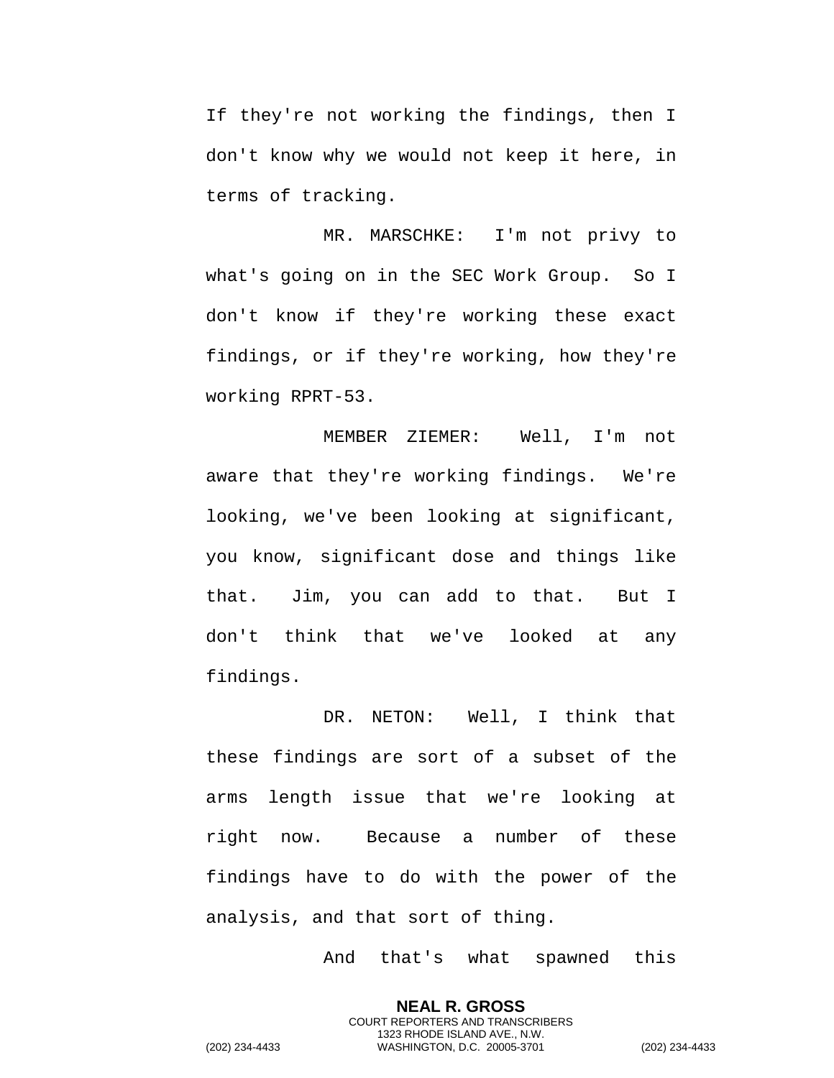If they're not working the findings, then I don't know why we would not keep it here, in terms of tracking.

MR. MARSCHKE: I'm not privy to what's going on in the SEC Work Group. So I don't know if they're working these exact findings, or if they're working, how they're working RPRT-53.

MEMBER ZIEMER: Well, I'm not aware that they're working findings. We're looking, we've been looking at significant, you know, significant dose and things like that. Jim, you can add to that. But I don't think that we've looked at any findings.

DR. NETON: Well, I think that these findings are sort of a subset of the arms length issue that we're looking at right now. Because a number of these findings have to do with the power of the analysis, and that sort of thing.

And that's what spawned this

**NEAL R. GROSS** COURT REPORTERS AND TRANSCRIBERS 1323 RHODE ISLAND AVE., N.W.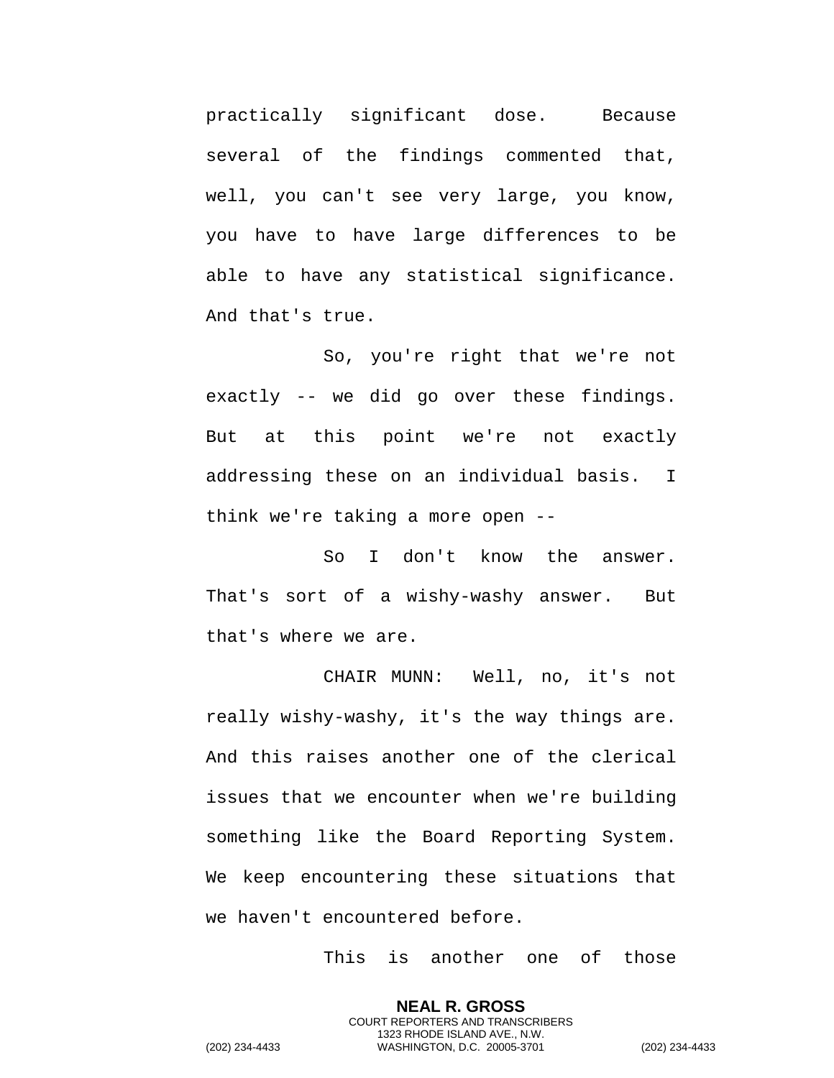practically significant dose. Because several of the findings commented that, well, you can't see very large, you know, you have to have large differences to be able to have any statistical significance. And that's true.

So, you're right that we're not exactly -- we did go over these findings. But at this point we're not exactly addressing these on an individual basis. I think we're taking a more open --

So I don't know the answer. That's sort of a wishy-washy answer. But that's where we are.

CHAIR MUNN: Well, no, it's not really wishy-washy, it's the way things are. And this raises another one of the clerical issues that we encounter when we're building something like the Board Reporting System. We keep encountering these situations that we haven't encountered before.

This is another one of those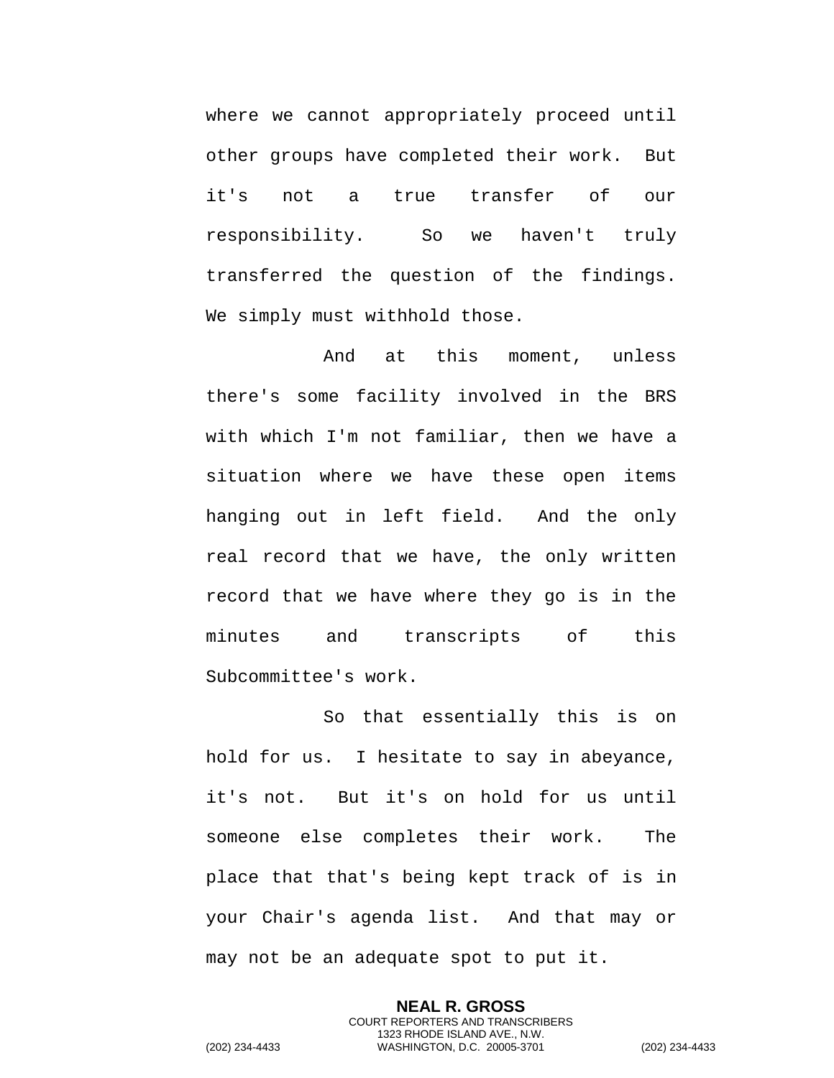where we cannot appropriately proceed until other groups have completed their work. But it's not a true transfer of our responsibility. So we haven't truly transferred the question of the findings. We simply must withhold those.

And at this moment, unless there's some facility involved in the BRS with which I'm not familiar, then we have a situation where we have these open items hanging out in left field. And the only real record that we have, the only written record that we have where they go is in the minutes and transcripts of this Subcommittee's work.

So that essentially this is on hold for us. I hesitate to say in abeyance, it's not. But it's on hold for us until someone else completes their work. The place that that's being kept track of is in your Chair's agenda list. And that may or may not be an adequate spot to put it.

> **NEAL R. GROSS** COURT REPORTERS AND TRANSCRIBERS 1323 RHODE ISLAND AVE., N.W.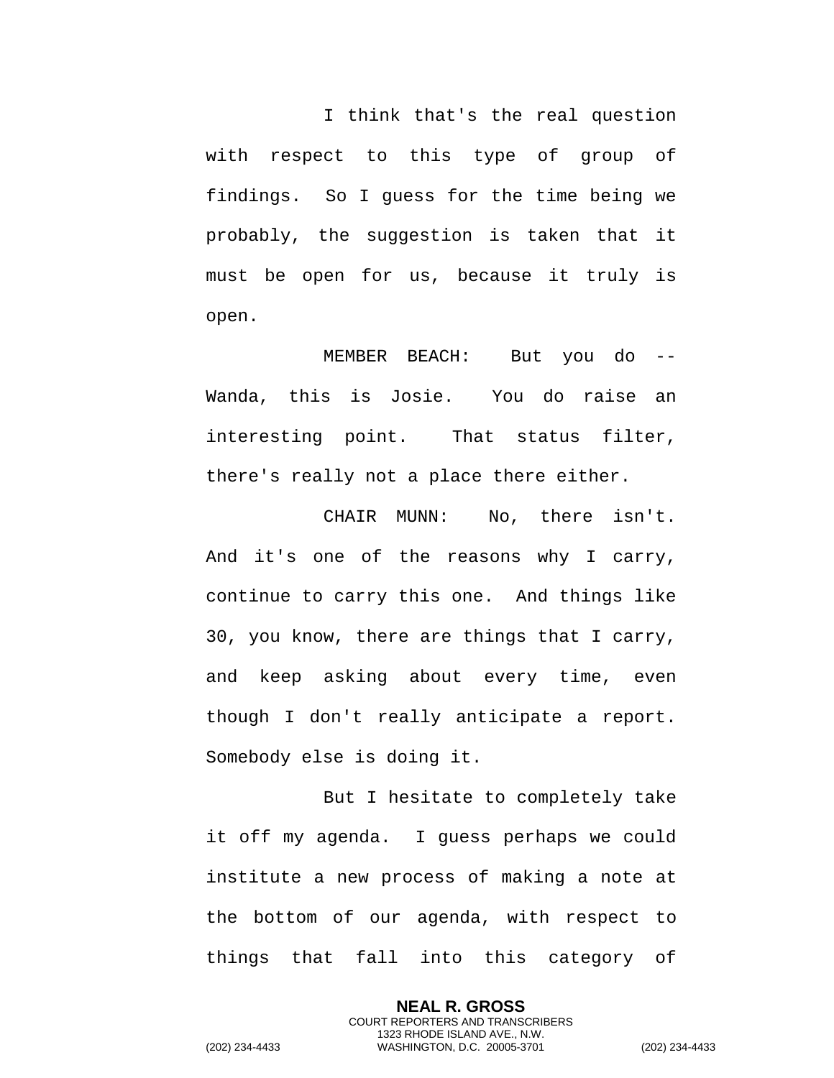I think that's the real question with respect to this type of group of findings. So I guess for the time being we probably, the suggestion is taken that it must be open for us, because it truly is open.

MEMBER BEACH: But you do -- Wanda, this is Josie. You do raise an interesting point. That status filter, there's really not a place there either.

CHAIR MUNN: No, there isn't. And it's one of the reasons why I carry, continue to carry this one. And things like 30, you know, there are things that I carry, and keep asking about every time, even though I don't really anticipate a report. Somebody else is doing it.

But I hesitate to completely take it off my agenda. I guess perhaps we could institute a new process of making a note at the bottom of our agenda, with respect to things that fall into this category of

> **NEAL R. GROSS** COURT REPORTERS AND TRANSCRIBERS 1323 RHODE ISLAND AVE., N.W.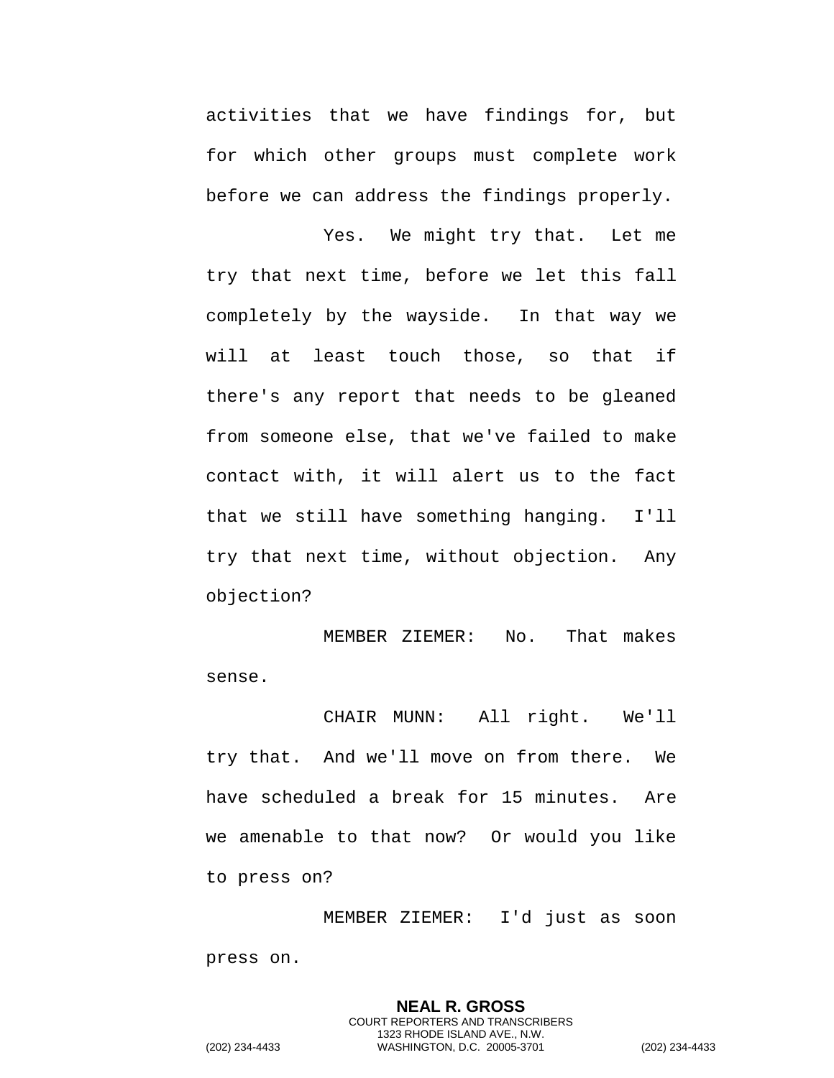activities that we have findings for, but for which other groups must complete work before we can address the findings properly.

Yes. We might try that. Let me try that next time, before we let this fall completely by the wayside. In that way we will at least touch those, so that if there's any report that needs to be gleaned from someone else, that we've failed to make contact with, it will alert us to the fact that we still have something hanging. I'll try that next time, without objection. Any objection?

MEMBER ZIEMER: No. That makes sense.

CHAIR MUNN: All right. We'll try that. And we'll move on from there. We have scheduled a break for 15 minutes. Are we amenable to that now? Or would you like to press on?

MEMBER ZIEMER: I'd just as soon press on.

> **NEAL R. GROSS** COURT REPORTERS AND TRANSCRIBERS 1323 RHODE ISLAND AVE., N.W.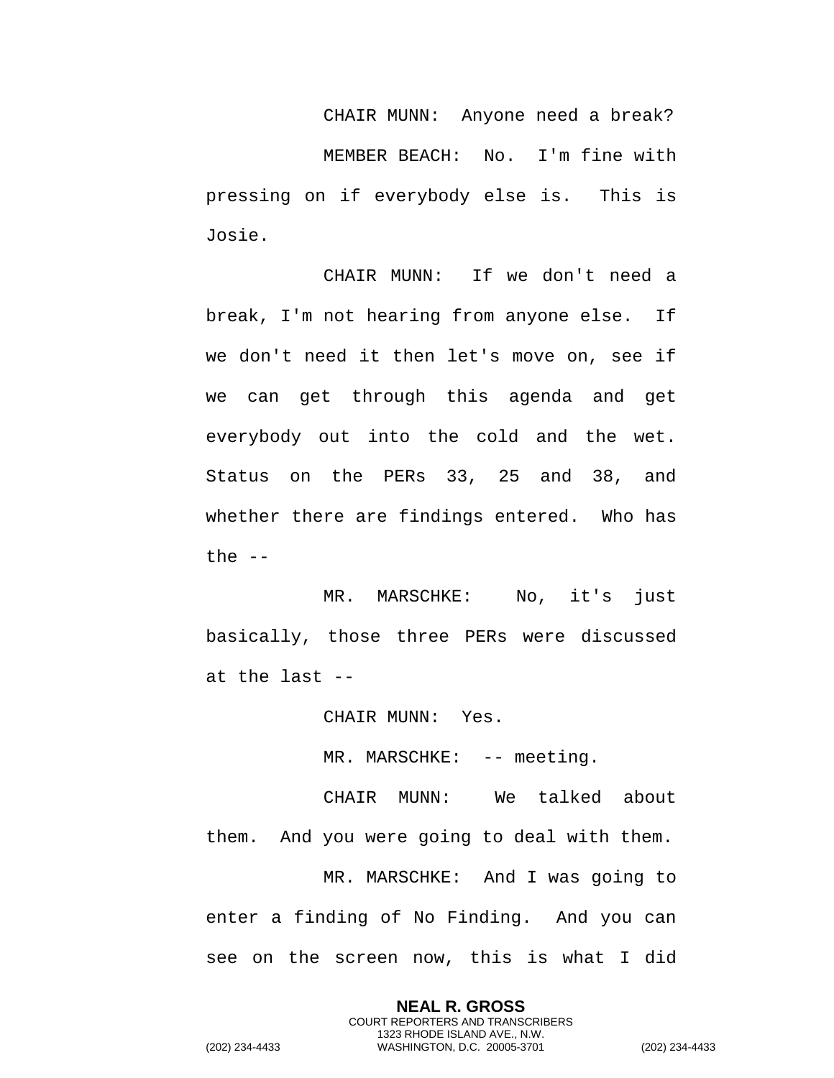CHAIR MUNN: Anyone need a break? MEMBER BEACH: No. I'm fine with pressing on if everybody else is. This is Josie.

CHAIR MUNN: If we don't need a break, I'm not hearing from anyone else. If we don't need it then let's move on, see if we can get through this agenda and get everybody out into the cold and the wet. Status on the PERs 33, 25 and 38, and whether there are findings entered. Who has the  $--$ 

MR. MARSCHKE: No, it's just basically, those three PERs were discussed at the last --

CHAIR MUNN: Yes.

MR. MARSCHKE: -- meeting.

CHAIR MUNN: We talked about them. And you were going to deal with them. MR. MARSCHKE: And I was going to enter a finding of No Finding. And you can see on the screen now, this is what I did

> **NEAL R. GROSS** COURT REPORTERS AND TRANSCRIBERS 1323 RHODE ISLAND AVE., N.W.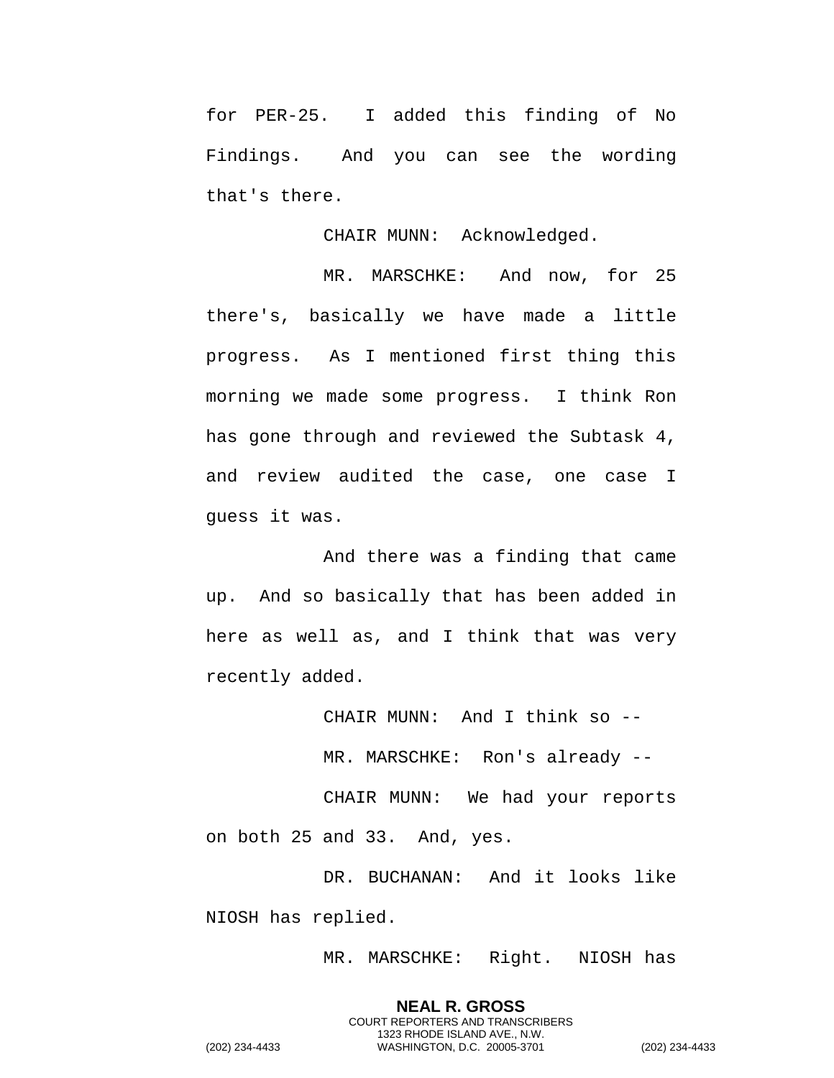for PER-25. I added this finding of No Findings. And you can see the wording that's there.

CHAIR MUNN: Acknowledged.

MR. MARSCHKE: And now, for 25 there's, basically we have made a little progress. As I mentioned first thing this morning we made some progress. I think Ron has gone through and reviewed the Subtask 4, and review audited the case, one case I guess it was.

And there was a finding that came up. And so basically that has been added in here as well as, and I think that was very recently added.

CHAIR MUNN: And I think so --

MR. MARSCHKE: Ron's already --

CHAIR MUNN: We had your reports on both 25 and 33. And, yes.

DR. BUCHANAN: And it looks like NIOSH has replied.

MR. MARSCHKE: Right. NIOSH has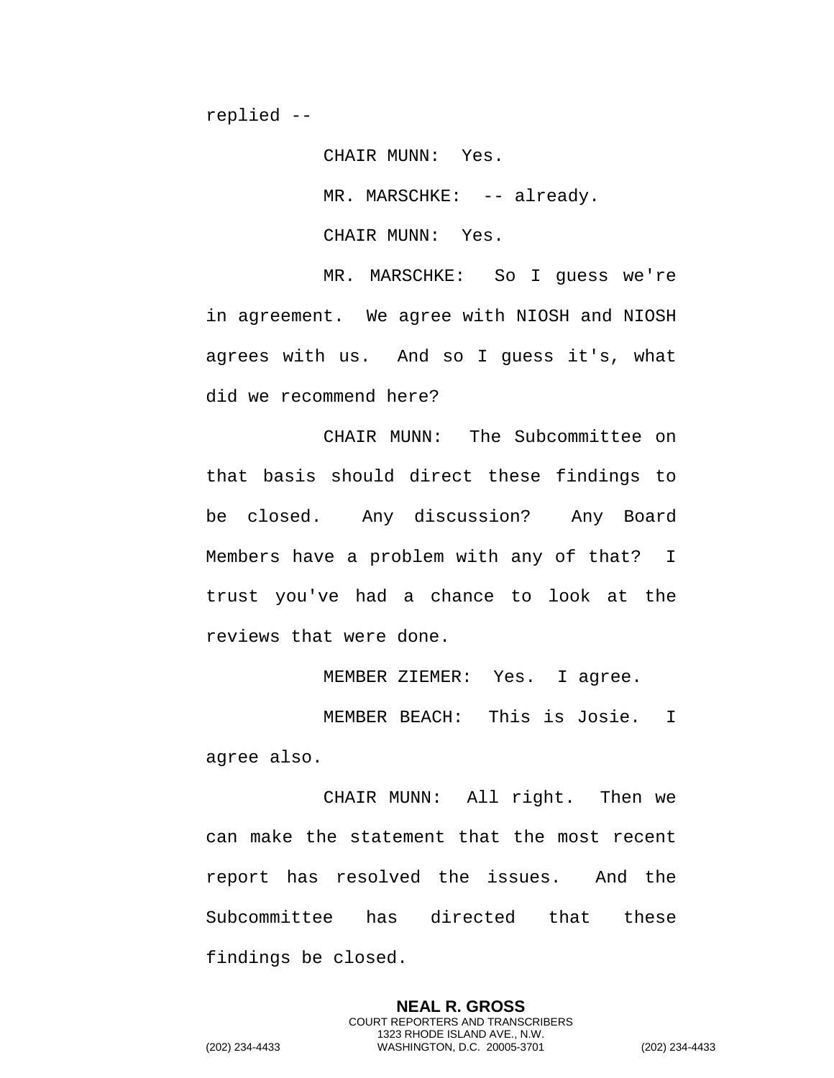CHAIR MUNN: Yes.

MR. MARSCHKE: -- already.

CHAIR MUNN: Yes.

MR. MARSCHKE: So I guess we're in agreement. We agree with NIOSH and NIOSH agrees with us. And so I guess it's, what did we recommend here?

CHAIR MUNN: The Subcommittee on that basis should direct these findings to be closed. Any discussion? Any Board Members have a problem with any of that? I trust you've had a chance to look at the reviews that were done.

MEMBER ZIEMER: Yes. I agree.

MEMBER BEACH: This is Josie. I agree also.

CHAIR MUNN: All right. Then we can make the statement that the most recent report has resolved the issues. And the Subcommittee has directed that these findings be closed.

> **NEAL R. GROSS** COURT REPORTERS AND TRANSCRIBERS 1323 RHODE ISLAND AVE., N.W.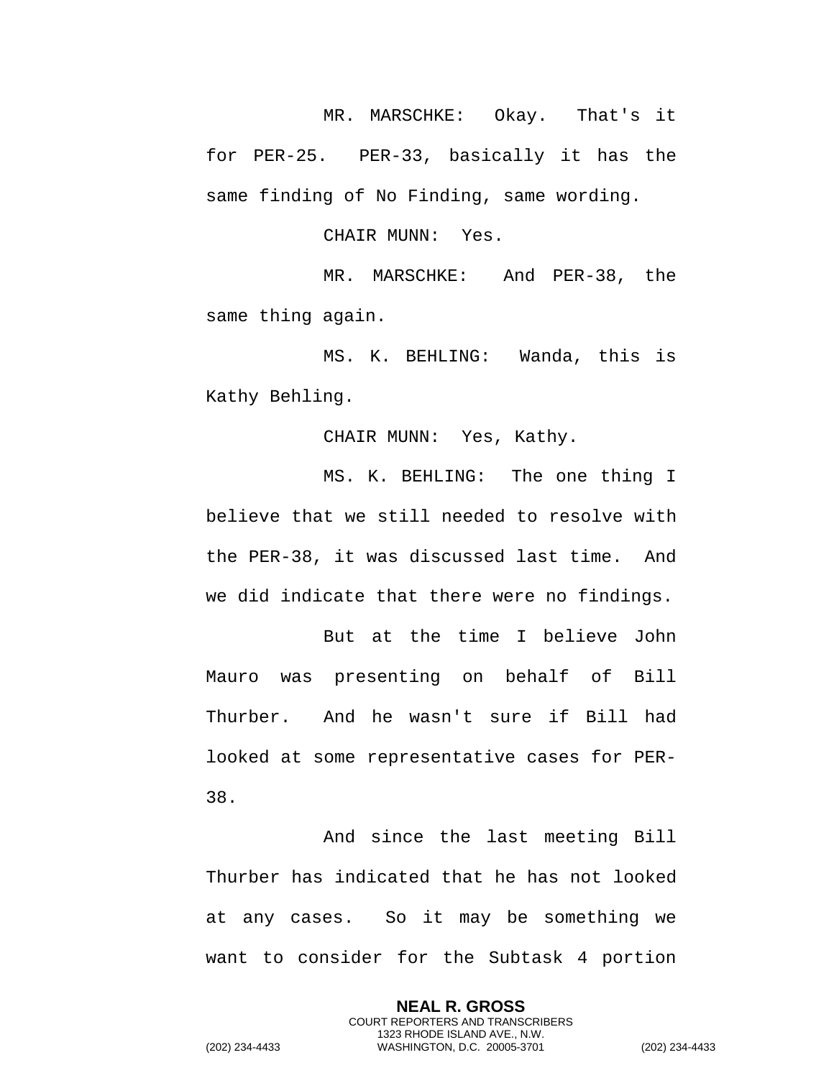MR. MARSCHKE: Okay. That's it for PER-25. PER-33, basically it has the same finding of No Finding, same wording.

CHAIR MUNN: Yes.

MR. MARSCHKE: And PER-38, the same thing again.

MS. K. BEHLING: Wanda, this is Kathy Behling.

CHAIR MUNN: Yes, Kathy.

MS. K. BEHLING: The one thing I believe that we still needed to resolve with the PER-38, it was discussed last time. And we did indicate that there were no findings.

But at the time I believe John Mauro was presenting on behalf of Bill Thurber. And he wasn't sure if Bill had looked at some representative cases for PER-38.

And since the last meeting Bill Thurber has indicated that he has not looked at any cases. So it may be something we want to consider for the Subtask 4 portion

**NEAL R. GROSS** COURT REPORTERS AND TRANSCRIBERS 1323 RHODE ISLAND AVE., N.W. (202) 234-4433 WASHINGTON, D.C. 20005-3701 (202) 234-4433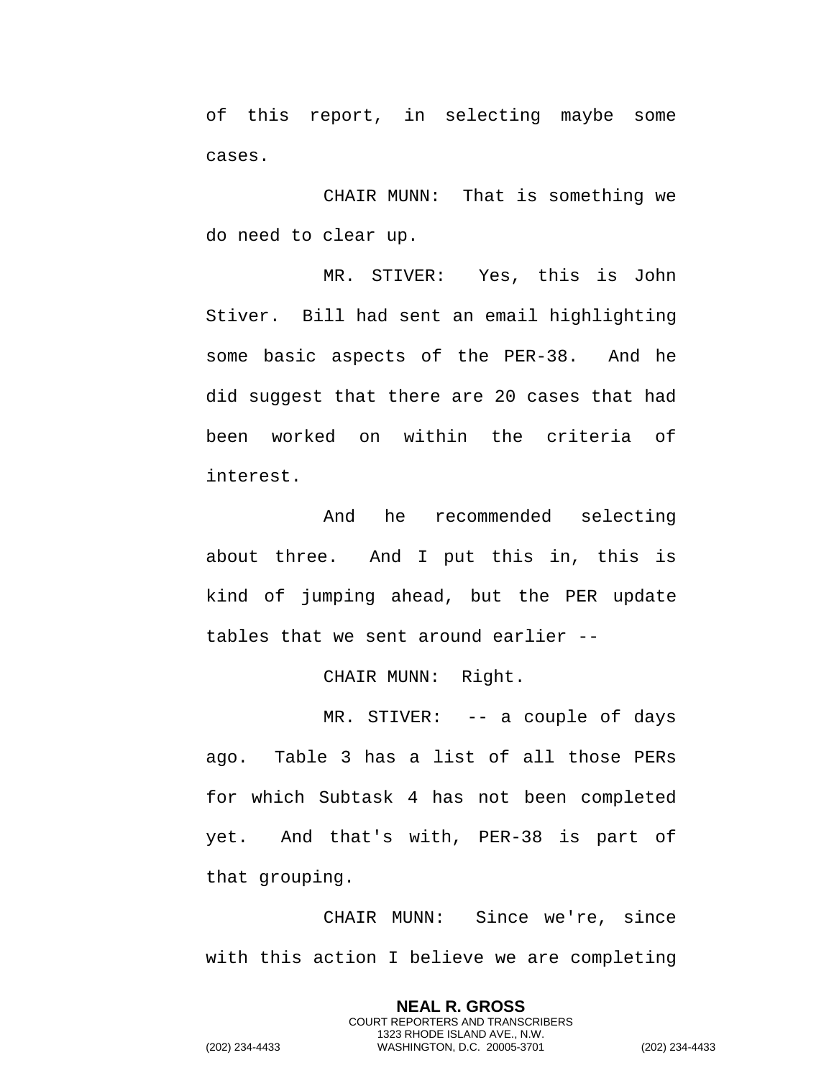of this report, in selecting maybe some cases.

CHAIR MUNN: That is something we do need to clear up.

MR. STIVER: Yes, this is John Stiver. Bill had sent an email highlighting some basic aspects of the PER-38. And he did suggest that there are 20 cases that had been worked on within the criteria of interest.

And he recommended selecting about three. And I put this in, this is kind of jumping ahead, but the PER update tables that we sent around earlier --

CHAIR MUNN: Right.

MR. STIVER: -- a couple of days ago. Table 3 has a list of all those PERs for which Subtask 4 has not been completed yet. And that's with, PER-38 is part of that grouping.

CHAIR MUNN: Since we're, since with this action I believe we are completing

> **NEAL R. GROSS** COURT REPORTERS AND TRANSCRIBERS 1323 RHODE ISLAND AVE., N.W.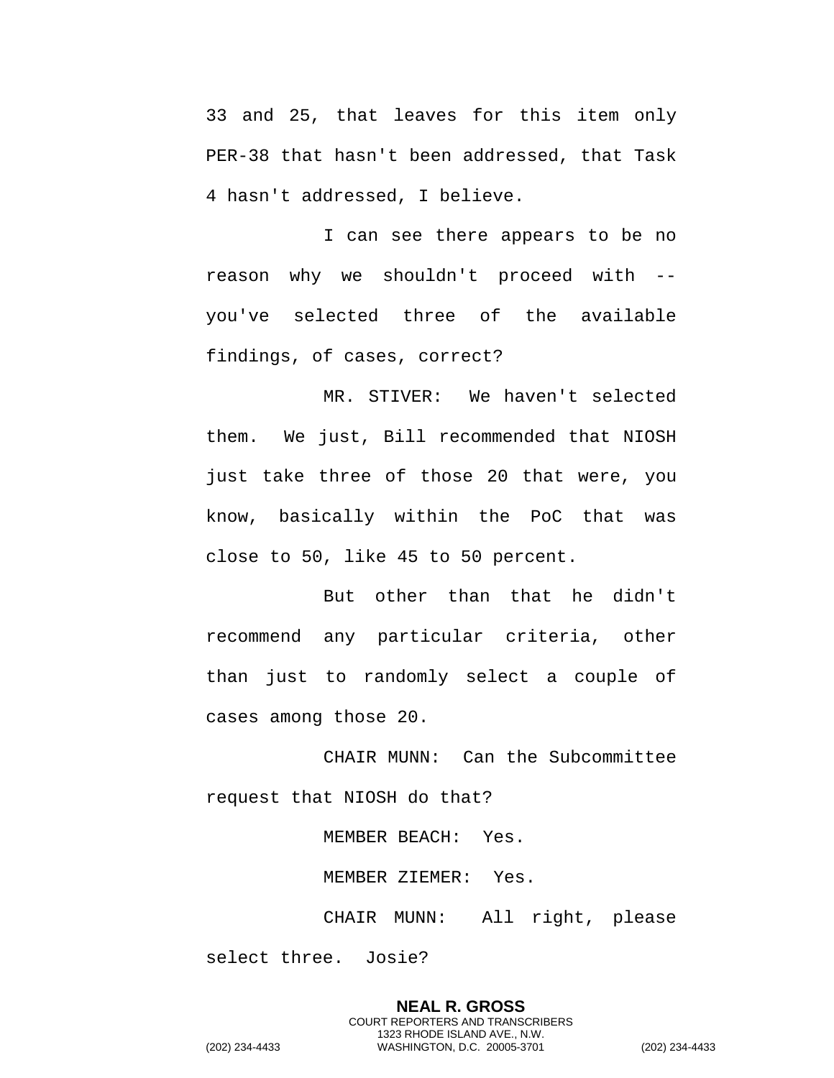33 and 25, that leaves for this item only PER-38 that hasn't been addressed, that Task 4 hasn't addressed, I believe.

I can see there appears to be no reason why we shouldn't proceed with - you've selected three of the available findings, of cases, correct?

MR. STIVER: We haven't selected them. We just, Bill recommended that NIOSH just take three of those 20 that were, you know, basically within the PoC that was close to 50, like 45 to 50 percent.

But other than that he didn't recommend any particular criteria, other than just to randomly select a couple of cases among those 20.

CHAIR MUNN: Can the Subcommittee request that NIOSH do that?

MEMBER BEACH: Yes.

MEMBER ZIEMER: Yes.

CHAIR MUNN: All right, please select three. Josie?

**NEAL R. GROSS** COURT REPORTERS AND TRANSCRIBERS 1323 RHODE ISLAND AVE., N.W. (202) 234-4433 WASHINGTON, D.C. 20005-3701 (202) 234-4433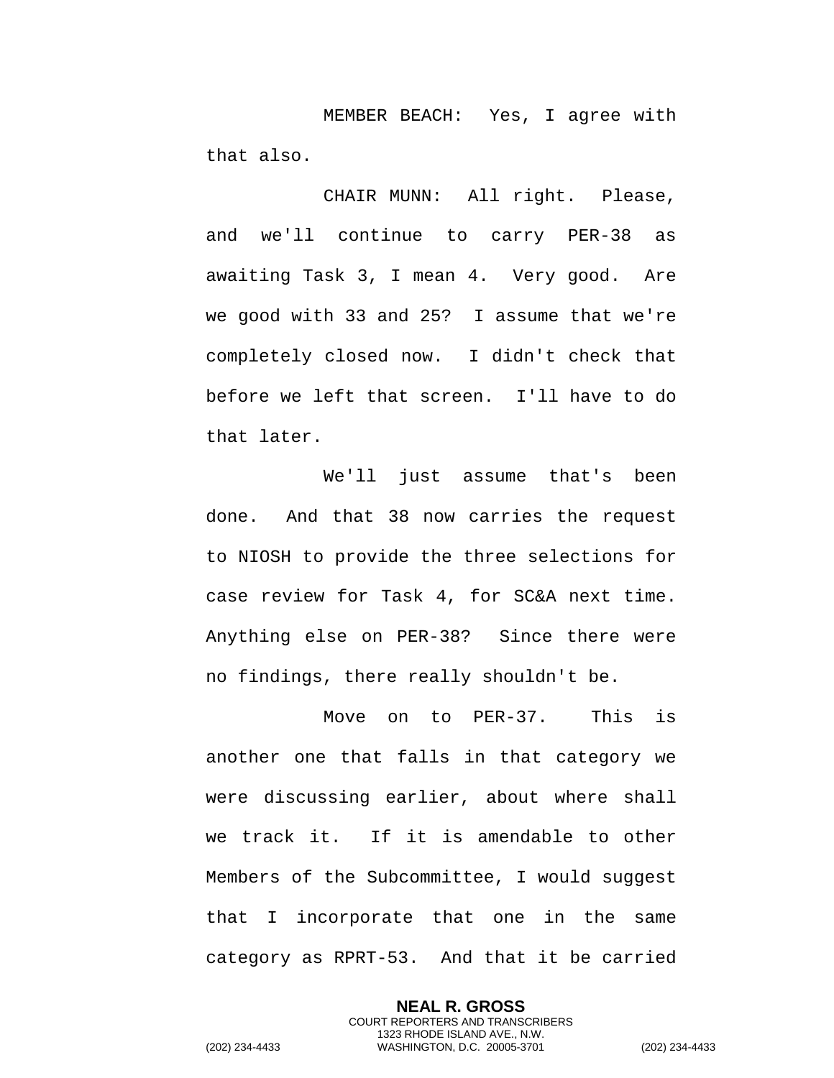MEMBER BEACH: Yes, I agree with that also.

CHAIR MUNN: All right. Please, and we'll continue to carry PER-38 as awaiting Task 3, I mean 4. Very good. Are we good with 33 and 25? I assume that we're completely closed now. I didn't check that before we left that screen. I'll have to do that later.

We'll just assume that's been done. And that 38 now carries the request to NIOSH to provide the three selections for case review for Task 4, for SC&A next time. Anything else on PER-38? Since there were no findings, there really shouldn't be.

Move on to PER-37. This is another one that falls in that category we were discussing earlier, about where shall we track it. If it is amendable to other Members of the Subcommittee, I would suggest that I incorporate that one in the same category as RPRT-53. And that it be carried

> **NEAL R. GROSS** COURT REPORTERS AND TRANSCRIBERS 1323 RHODE ISLAND AVE., N.W.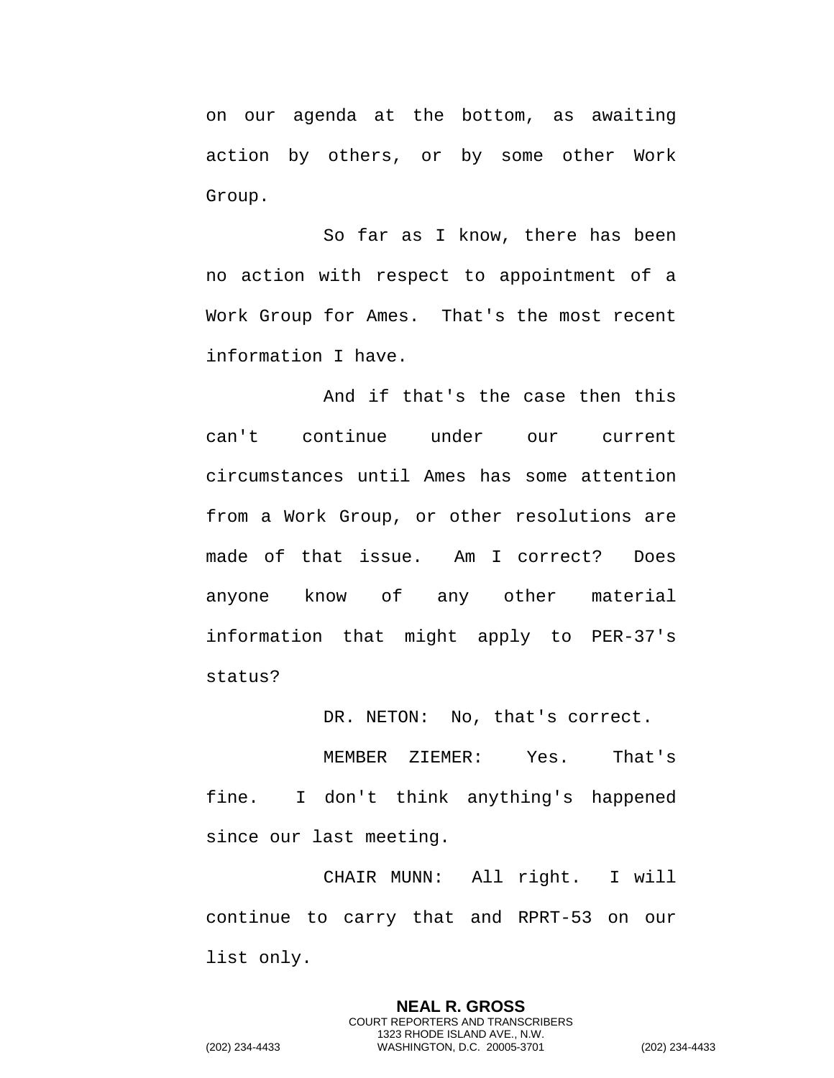on our agenda at the bottom, as awaiting action by others, or by some other Work Group.

So far as I know, there has been no action with respect to appointment of a Work Group for Ames. That's the most recent information I have.

And if that's the case then this can't continue under our current circumstances until Ames has some attention from a Work Group, or other resolutions are made of that issue. Am I correct? Does anyone know of any other material information that might apply to PER-37's status?

DR. NETON: No, that's correct.

MEMBER ZIEMER: Yes. That's fine. I don't think anything's happened since our last meeting.

CHAIR MUNN: All right. I will continue to carry that and RPRT-53 on our list only.

> **NEAL R. GROSS** COURT REPORTERS AND TRANSCRIBERS 1323 RHODE ISLAND AVE., N.W.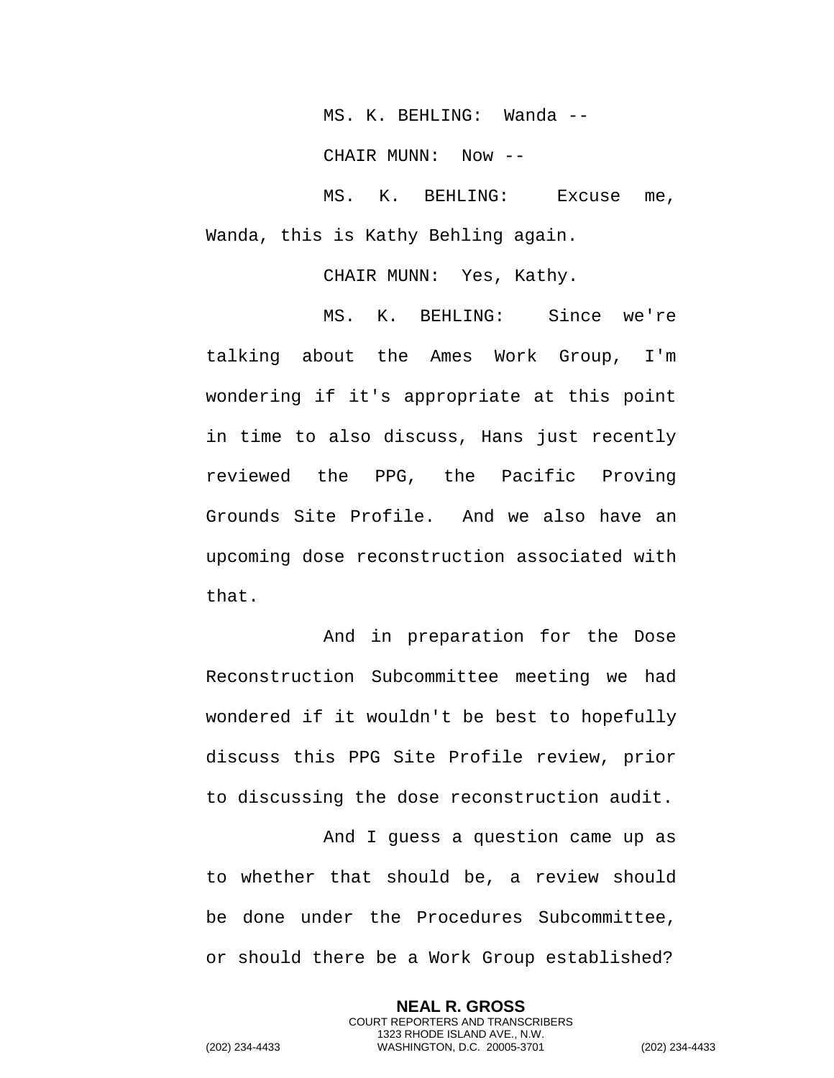MS. K. BEHLING: Wanda --

CHAIR MUNN: Now --

MS. K. BEHLING: Excuse me, Wanda, this is Kathy Behling again.

CHAIR MUNN: Yes, Kathy.

MS. K. BEHLING: Since we're talking about the Ames Work Group, I'm wondering if it's appropriate at this point in time to also discuss, Hans just recently reviewed the PPG, the Pacific Proving Grounds Site Profile. And we also have an upcoming dose reconstruction associated with that.

And in preparation for the Dose Reconstruction Subcommittee meeting we had wondered if it wouldn't be best to hopefully discuss this PPG Site Profile review, prior to discussing the dose reconstruction audit.

And I guess a question came up as to whether that should be, a review should be done under the Procedures Subcommittee, or should there be a Work Group established?

> **NEAL R. GROSS** COURT REPORTERS AND TRANSCRIBERS 1323 RHODE ISLAND AVE., N.W.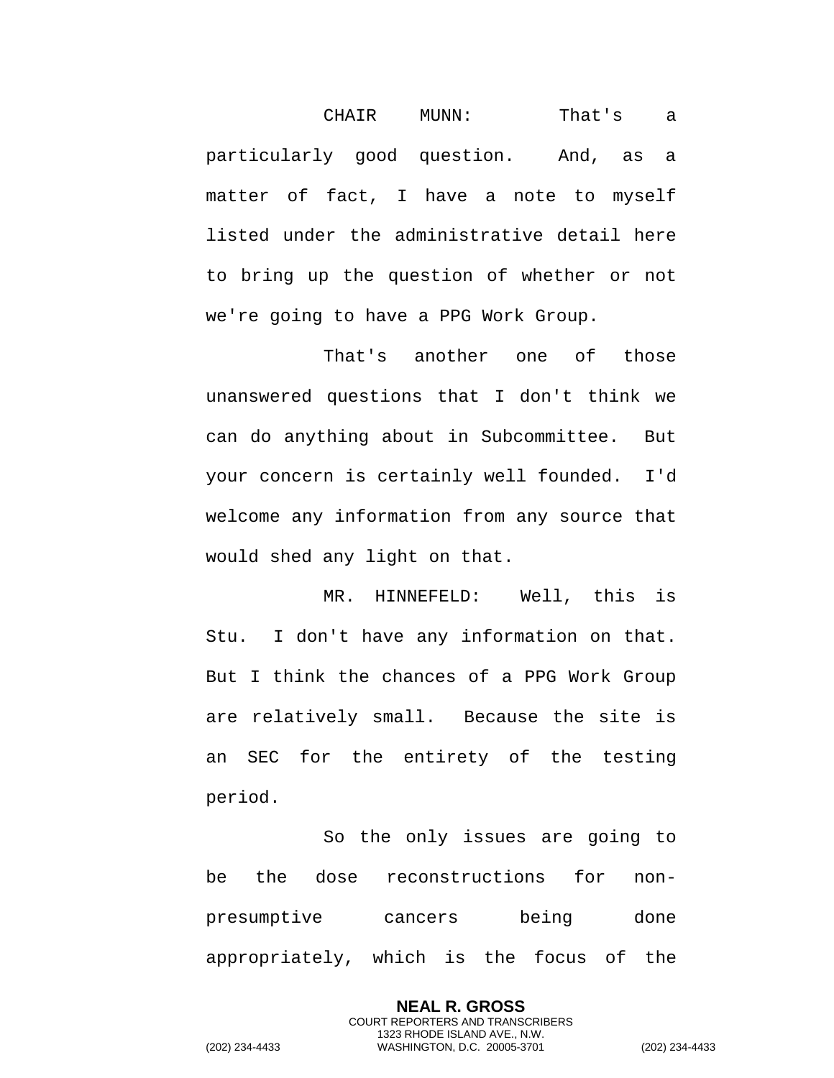CHAIR MUNN: That's a particularly good question. And, as a matter of fact, I have a note to myself listed under the administrative detail here to bring up the question of whether or not we're going to have a PPG Work Group.

That's another one of those unanswered questions that I don't think we can do anything about in Subcommittee. But your concern is certainly well founded. I'd welcome any information from any source that would shed any light on that.

MR. HINNEFELD: Well, this is Stu. I don't have any information on that. But I think the chances of a PPG Work Group are relatively small. Because the site is an SEC for the entirety of the testing period.

So the only issues are going to be the dose reconstructions for nonpresumptive cancers being done appropriately, which is the focus of the

> **NEAL R. GROSS** COURT REPORTERS AND TRANSCRIBERS 1323 RHODE ISLAND AVE., N.W.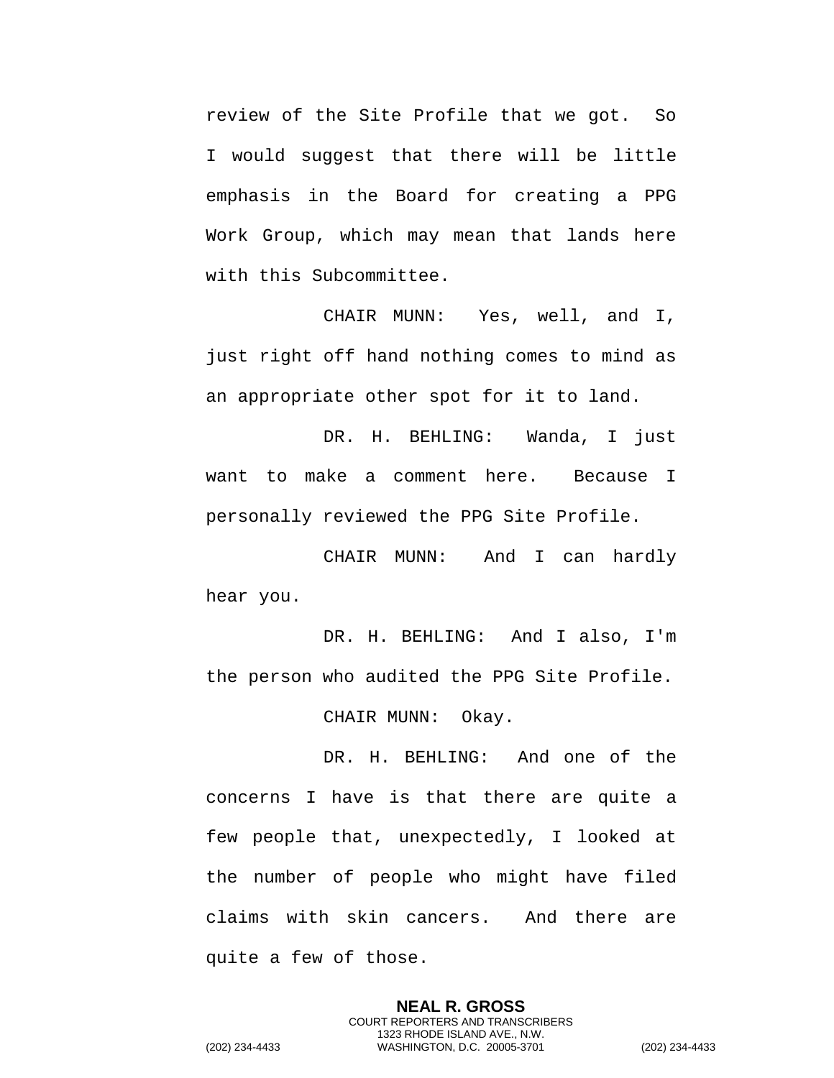review of the Site Profile that we got. So I would suggest that there will be little emphasis in the Board for creating a PPG Work Group, which may mean that lands here with this Subcommittee.

CHAIR MUNN: Yes, well, and I, just right off hand nothing comes to mind as an appropriate other spot for it to land.

DR. H. BEHLING: Wanda, I just want to make a comment here. Because I personally reviewed the PPG Site Profile.

CHAIR MUNN: And I can hardly hear you.

DR. H. BEHLING: And I also, I'm the person who audited the PPG Site Profile.

CHAIR MUNN: Okay.

DR. H. BEHLING: And one of the concerns I have is that there are quite a few people that, unexpectedly, I looked at the number of people who might have filed claims with skin cancers. And there are quite a few of those.

> **NEAL R. GROSS** COURT REPORTERS AND TRANSCRIBERS 1323 RHODE ISLAND AVE., N.W.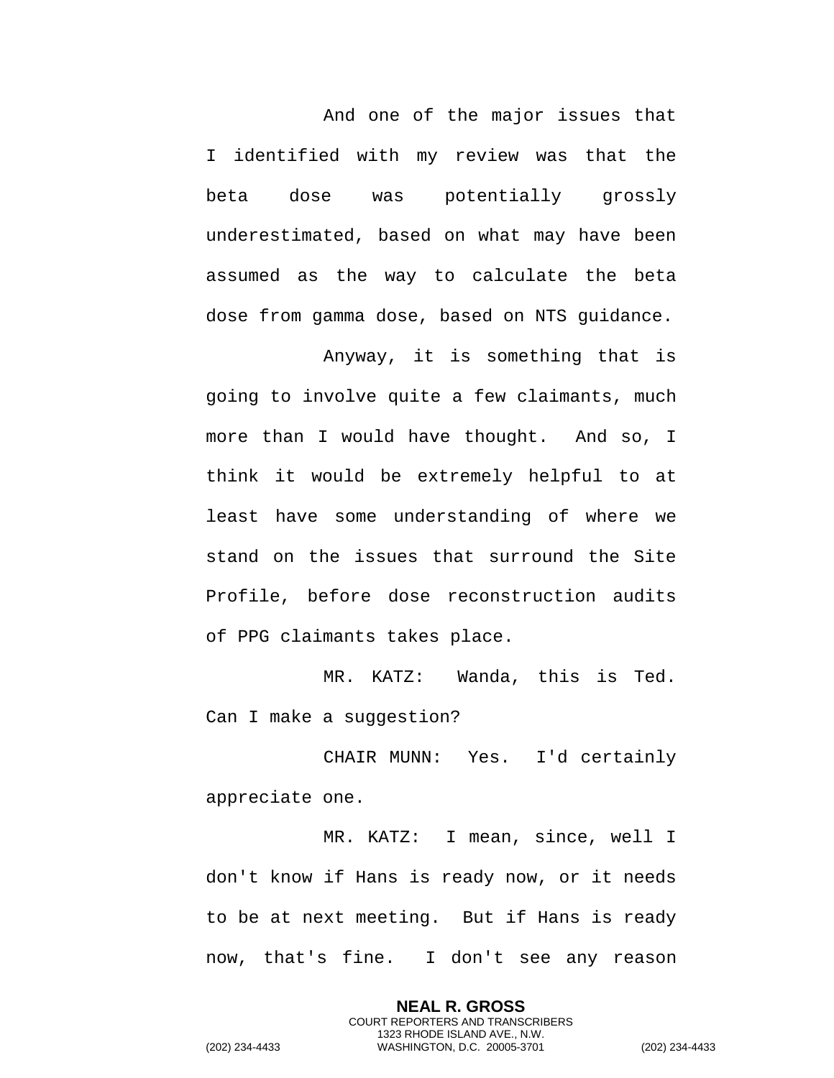And one of the major issues that I identified with my review was that the beta dose was potentially grossly underestimated, based on what may have been assumed as the way to calculate the beta dose from gamma dose, based on NTS guidance.

Anyway, it is something that is going to involve quite a few claimants, much more than I would have thought. And so, I think it would be extremely helpful to at least have some understanding of where we stand on the issues that surround the Site Profile, before dose reconstruction audits of PPG claimants takes place.

MR. KATZ: Wanda, this is Ted. Can I make a suggestion?

CHAIR MUNN: Yes. I'd certainly appreciate one.

MR. KATZ: I mean, since, well I don't know if Hans is ready now, or it needs to be at next meeting. But if Hans is ready now, that's fine. I don't see any reason

> **NEAL R. GROSS** COURT REPORTERS AND TRANSCRIBERS 1323 RHODE ISLAND AVE., N.W.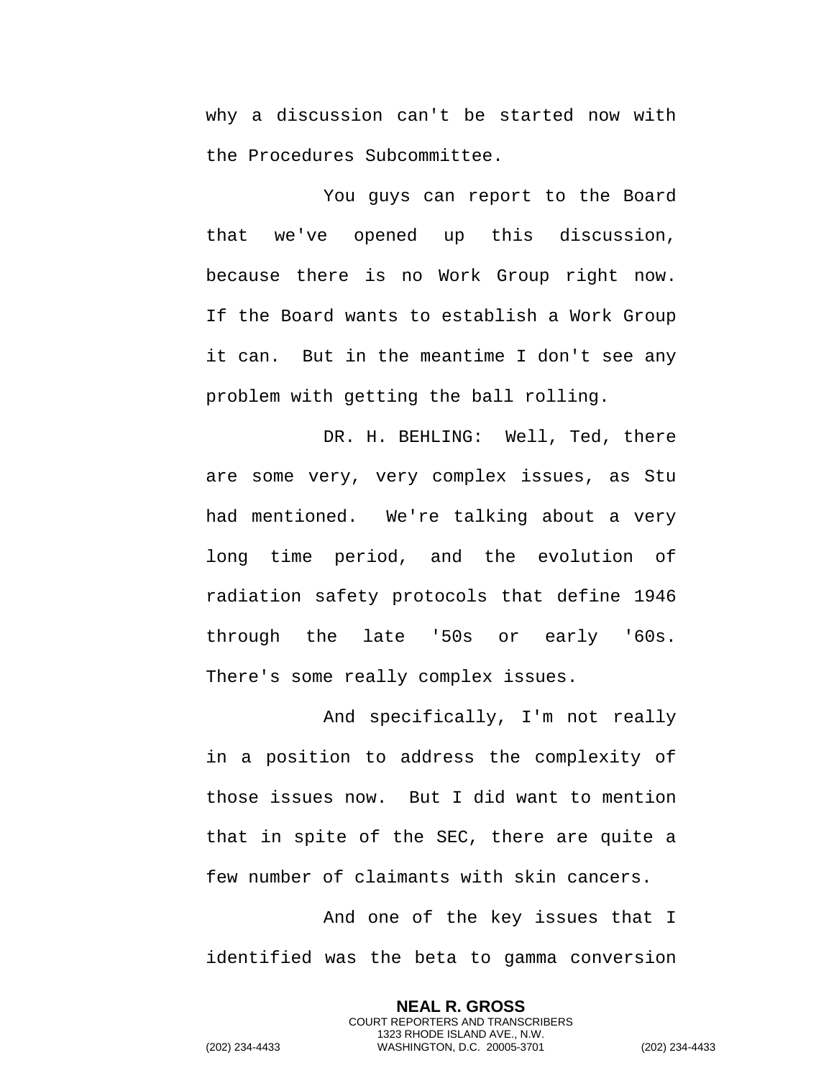why a discussion can't be started now with the Procedures Subcommittee.

You guys can report to the Board that we've opened up this discussion, because there is no Work Group right now. If the Board wants to establish a Work Group it can. But in the meantime I don't see any problem with getting the ball rolling.

DR. H. BEHLING: Well, Ted, there are some very, very complex issues, as Stu had mentioned. We're talking about a very long time period, and the evolution of radiation safety protocols that define 1946 through the late '50s or early '60s. There's some really complex issues.

And specifically, I'm not really in a position to address the complexity of those issues now. But I did want to mention that in spite of the SEC, there are quite a few number of claimants with skin cancers.

And one of the key issues that I identified was the beta to gamma conversion

> **NEAL R. GROSS** COURT REPORTERS AND TRANSCRIBERS 1323 RHODE ISLAND AVE., N.W.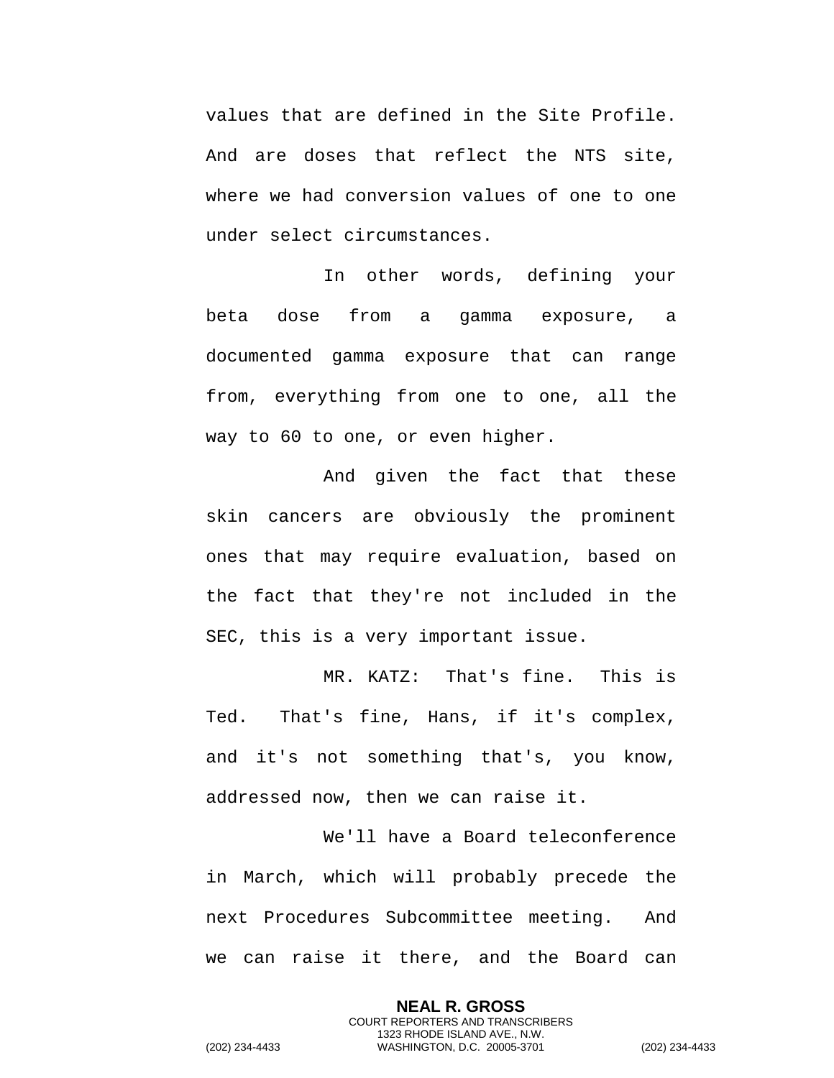values that are defined in the Site Profile. And are doses that reflect the NTS site, where we had conversion values of one to one under select circumstances.

In other words, defining your beta dose from a gamma exposure, a documented gamma exposure that can range from, everything from one to one, all the way to 60 to one, or even higher.

And given the fact that these skin cancers are obviously the prominent ones that may require evaluation, based on the fact that they're not included in the SEC, this is a very important issue.

MR. KATZ: That's fine. This is Ted. That's fine, Hans, if it's complex, and it's not something that's, you know, addressed now, then we can raise it.

We'll have a Board teleconference in March, which will probably precede the next Procedures Subcommittee meeting. And we can raise it there, and the Board can

> **NEAL R. GROSS** COURT REPORTERS AND TRANSCRIBERS 1323 RHODE ISLAND AVE., N.W.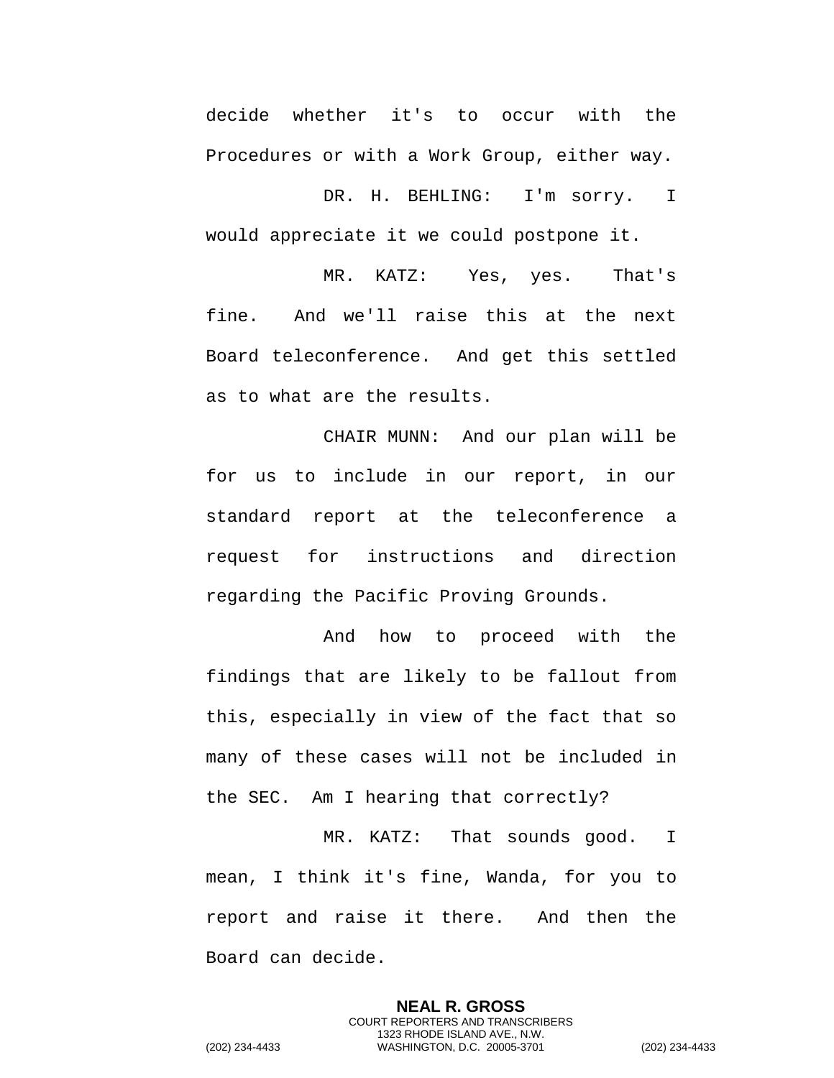decide whether it's to occur with the Procedures or with a Work Group, either way.

DR. H. BEHLING: I'm sorry. I would appreciate it we could postpone it.

MR. KATZ: Yes, yes. That's fine. And we'll raise this at the next Board teleconference. And get this settled as to what are the results.

CHAIR MUNN: And our plan will be for us to include in our report, in our standard report at the teleconference a request for instructions and direction regarding the Pacific Proving Grounds.

And how to proceed with the findings that are likely to be fallout from this, especially in view of the fact that so many of these cases will not be included in the SEC. Am I hearing that correctly?

MR. KATZ: That sounds good. I mean, I think it's fine, Wanda, for you to report and raise it there. And then the Board can decide.

> **NEAL R. GROSS** COURT REPORTERS AND TRANSCRIBERS 1323 RHODE ISLAND AVE., N.W.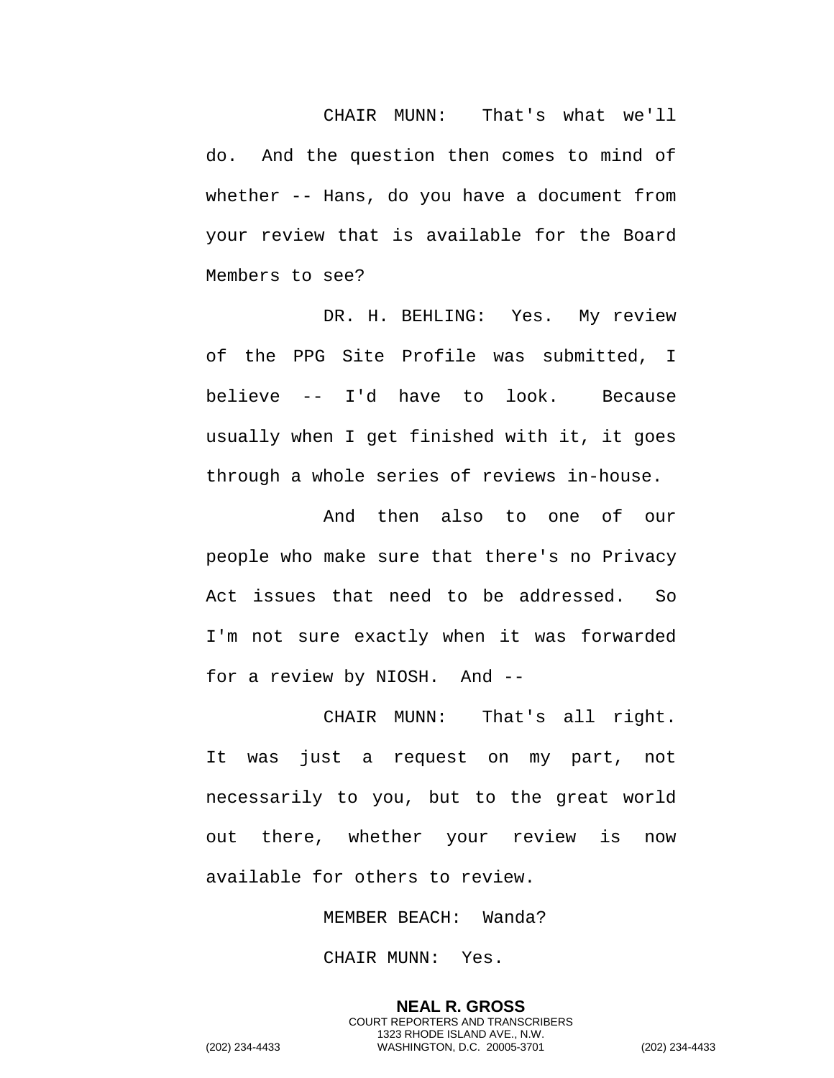CHAIR MUNN: That's what we'll do. And the question then comes to mind of whether -- Hans, do you have a document from your review that is available for the Board Members to see?

DR. H. BEHLING: Yes. My review of the PPG Site Profile was submitted, I believe -- I'd have to look. Because usually when I get finished with it, it goes through a whole series of reviews in-house.

And then also to one of our people who make sure that there's no Privacy Act issues that need to be addressed. So I'm not sure exactly when it was forwarded for a review by NIOSH. And --

CHAIR MUNN: That's all right. It was just a request on my part, not necessarily to you, but to the great world out there, whether your review is now available for others to review.

MEMBER BEACH: Wanda?

CHAIR MUNN: Yes.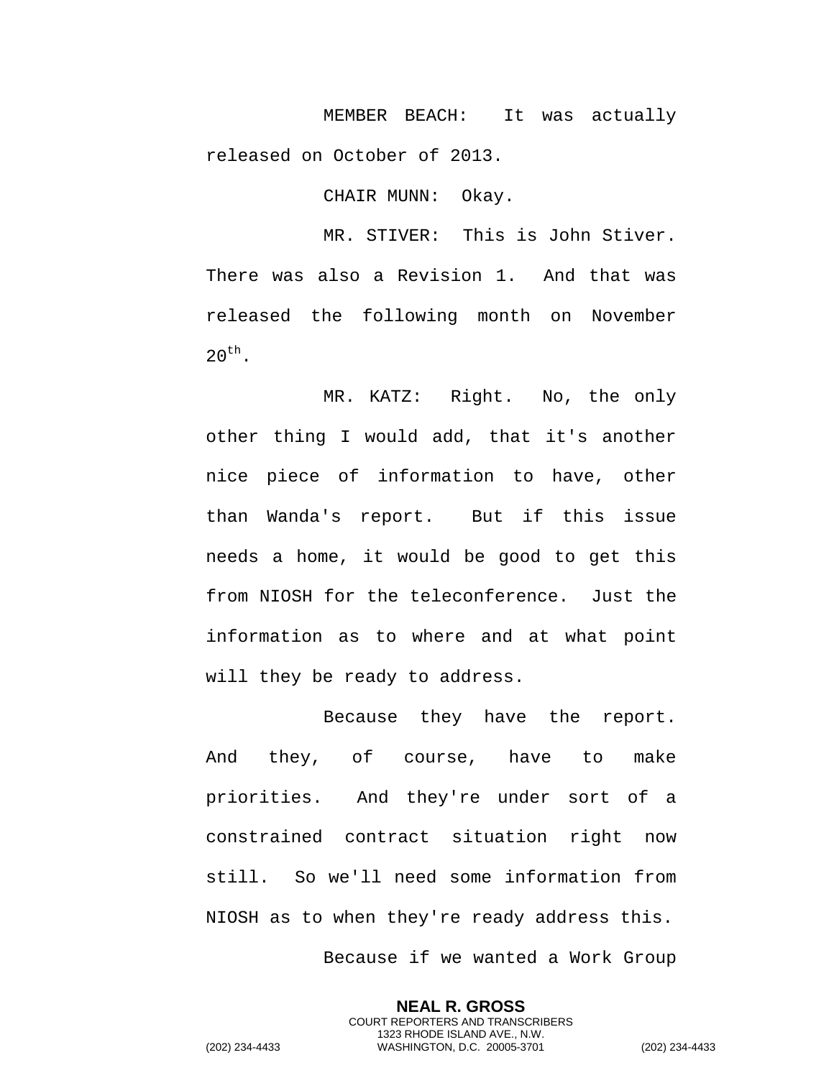MEMBER BEACH: It was actually released on October of 2013.

CHAIR MUNN: Okay.

MR. STIVER: This is John Stiver. There was also a Revision 1. And that was released the following month on November  $20^{th}$ .

MR. KATZ: Right. No, the only other thing I would add, that it's another nice piece of information to have, other than Wanda's report. But if this issue needs a home, it would be good to get this from NIOSH for the teleconference. Just the information as to where and at what point will they be ready to address.

Because they have the report. And they, of course, have to make priorities. And they're under sort of a constrained contract situation right now still. So we'll need some information from NIOSH as to when they're ready address this. Because if we wanted a Work Group

**NEAL R. GROSS** COURT REPORTERS AND TRANSCRIBERS 1323 RHODE ISLAND AVE., N.W. (202) 234-4433 WASHINGTON, D.C. 20005-3701 (202) 234-4433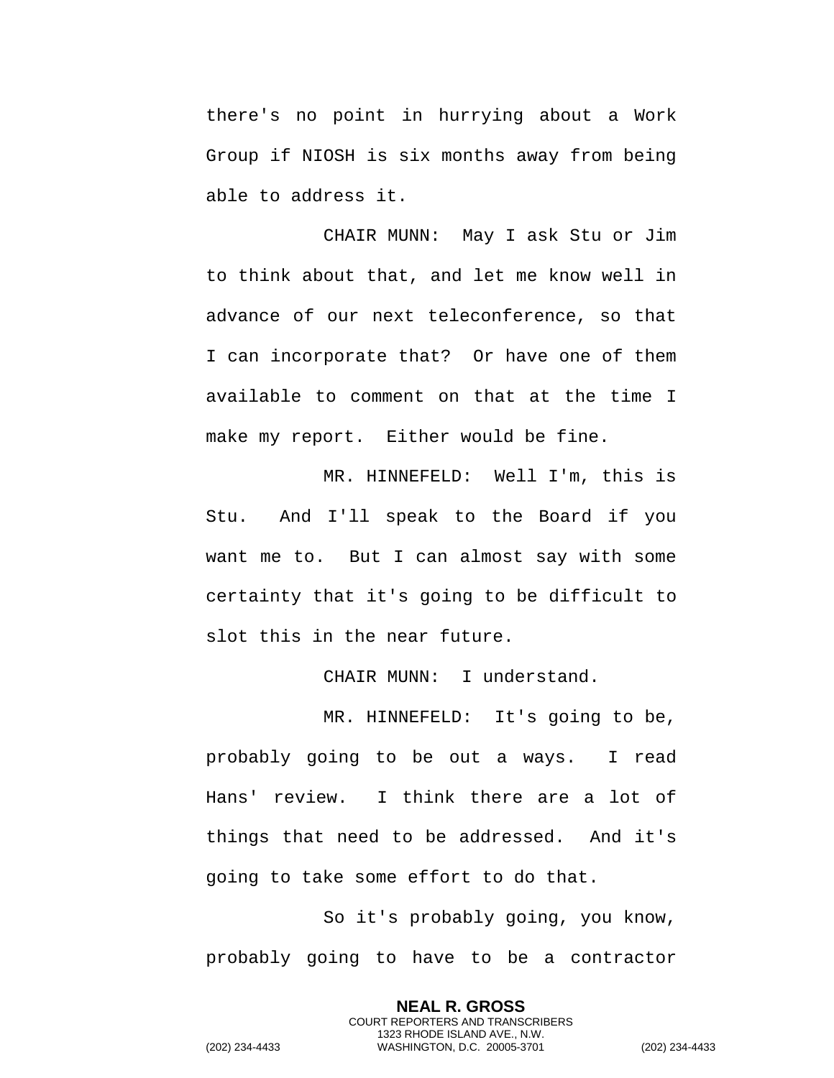there's no point in hurrying about a Work Group if NIOSH is six months away from being able to address it.

CHAIR MUNN: May I ask Stu or Jim to think about that, and let me know well in advance of our next teleconference, so that I can incorporate that? Or have one of them available to comment on that at the time I make my report. Either would be fine.

MR. HINNEFELD: Well I'm, this is Stu. And I'll speak to the Board if you want me to. But I can almost say with some certainty that it's going to be difficult to slot this in the near future.

CHAIR MUNN: I understand.

MR. HINNEFELD: It's going to be, probably going to be out a ways. I read Hans' review. I think there are a lot of things that need to be addressed. And it's going to take some effort to do that.

So it's probably going, you know, probably going to have to be a contractor

> **NEAL R. GROSS** COURT REPORTERS AND TRANSCRIBERS 1323 RHODE ISLAND AVE., N.W.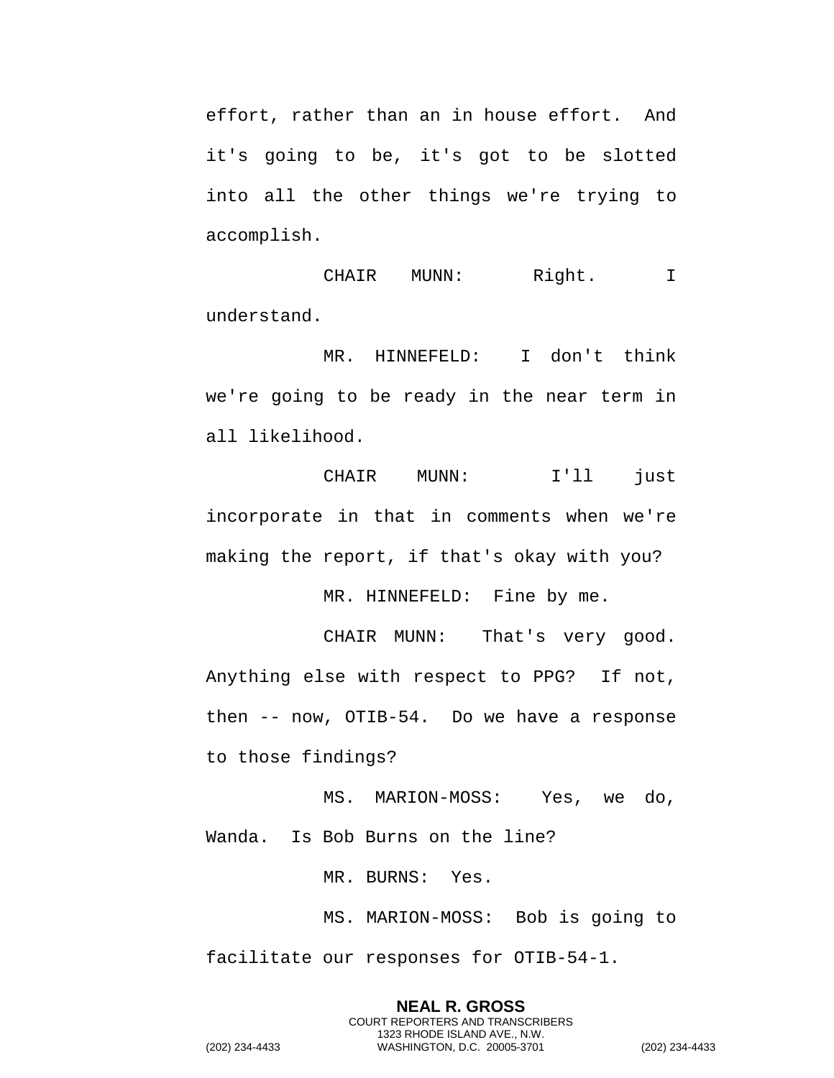effort, rather than an in house effort. And it's going to be, it's got to be slotted into all the other things we're trying to accomplish.

CHAIR MUNN: Right. I understand.

MR. HINNEFELD: I don't think we're going to be ready in the near term in all likelihood.

CHAIR MUNN: I'll just incorporate in that in comments when we're making the report, if that's okay with you?

MR. HINNEFELD: Fine by me.

CHAIR MUNN: That's very good. Anything else with respect to PPG? If not, then -- now, OTIB-54. Do we have a response to those findings?

MS. MARION-MOSS: Yes, we do, Wanda. Is Bob Burns on the line?

MR. BURNS: Yes.

MS. MARION-MOSS: Bob is going to facilitate our responses for OTIB-54-1.

**NEAL R. GROSS** COURT REPORTERS AND TRANSCRIBERS 1323 RHODE ISLAND AVE., N.W. (202) 234-4433 WASHINGTON, D.C. 20005-3701 (202) 234-4433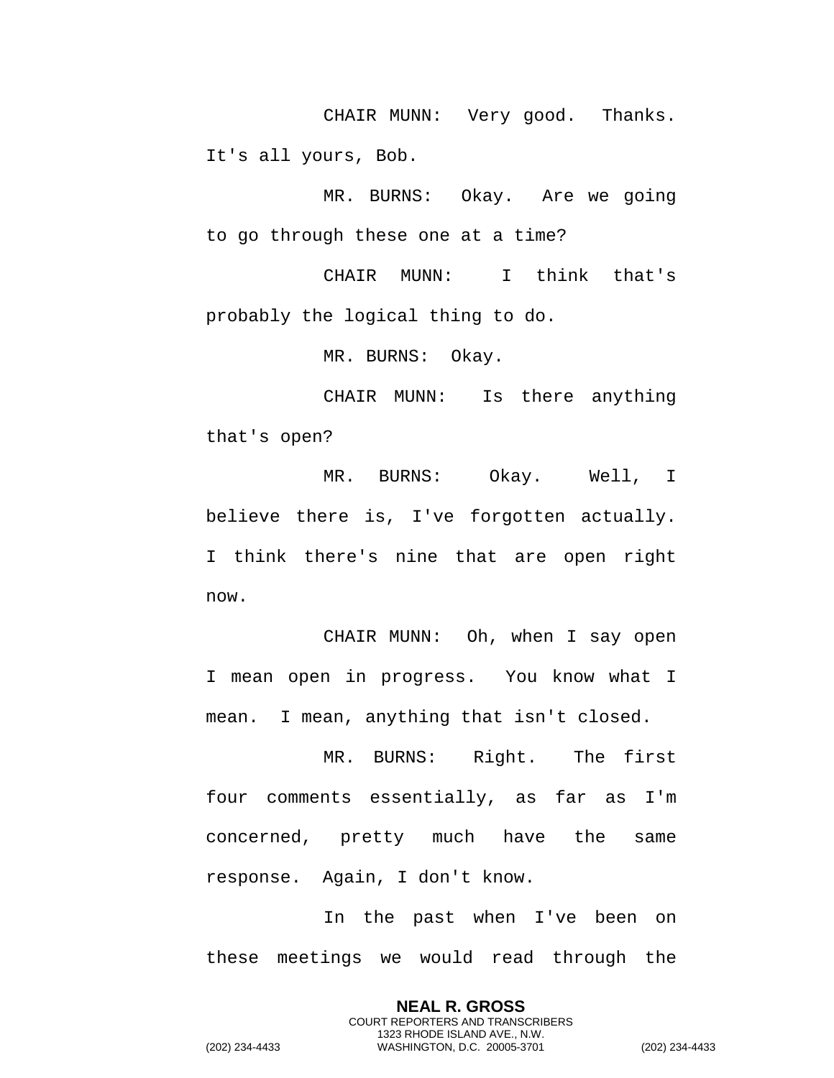CHAIR MUNN: Very good. Thanks. It's all yours, Bob.

MR. BURNS: Okay. Are we going to go through these one at a time?

CHAIR MUNN: I think that's probably the logical thing to do.

MR. BURNS: Okay.

CHAIR MUNN: Is there anything that's open?

MR. BURNS: Okay. Well, I believe there is, I've forgotten actually. I think there's nine that are open right now.

CHAIR MUNN: Oh, when I say open I mean open in progress. You know what I mean. I mean, anything that isn't closed.

MR. BURNS: Right. The first four comments essentially, as far as I'm concerned, pretty much have the same response. Again, I don't know.

In the past when I've been on these meetings we would read through the

> **NEAL R. GROSS** COURT REPORTERS AND TRANSCRIBERS 1323 RHODE ISLAND AVE., N.W.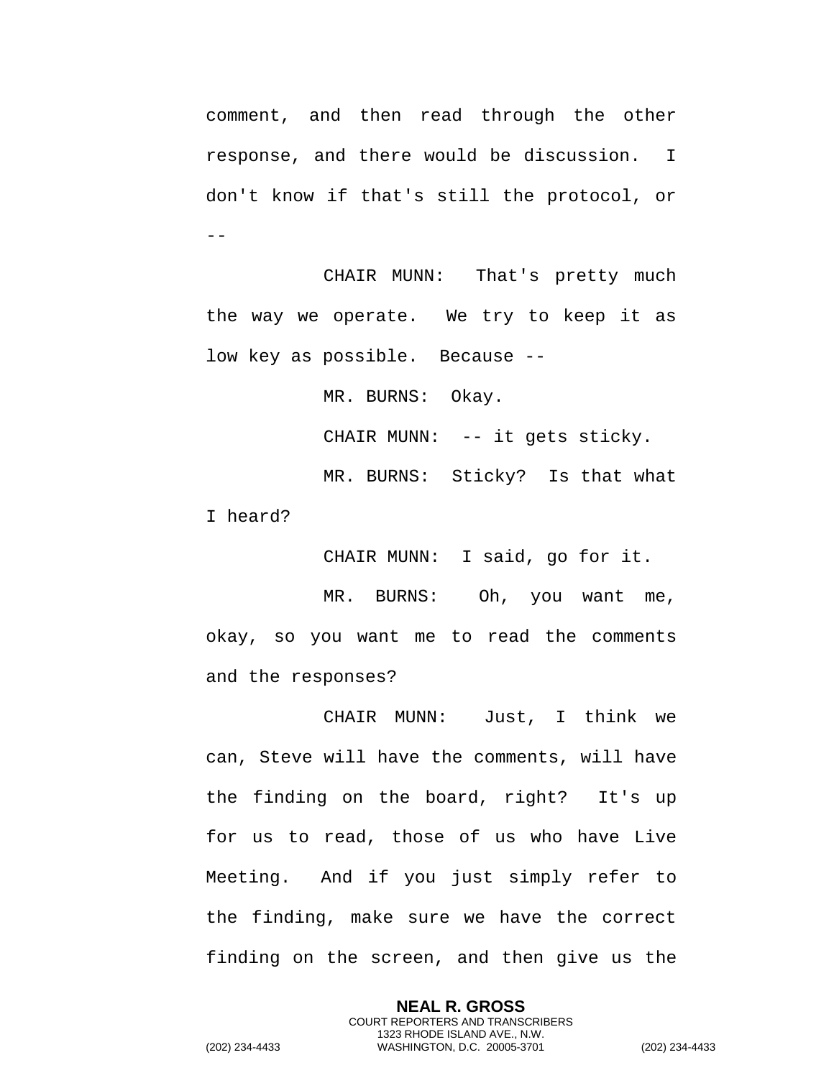comment, and then read through the other response, and there would be discussion. I don't know if that's still the protocol, or  $-$ 

CHAIR MUNN: That's pretty much the way we operate. We try to keep it as low key as possible. Because --

MR. BURNS: Okay.

CHAIR MUNN: -- it gets sticky.

MR. BURNS: Sticky? Is that what I heard?

CHAIR MUNN: I said, go for it.

MR. BURNS: Oh, you want me, okay, so you want me to read the comments and the responses?

CHAIR MUNN: Just, I think we can, Steve will have the comments, will have the finding on the board, right? It's up for us to read, those of us who have Live Meeting. And if you just simply refer to the finding, make sure we have the correct finding on the screen, and then give us the

> **NEAL R. GROSS** COURT REPORTERS AND TRANSCRIBERS 1323 RHODE ISLAND AVE., N.W.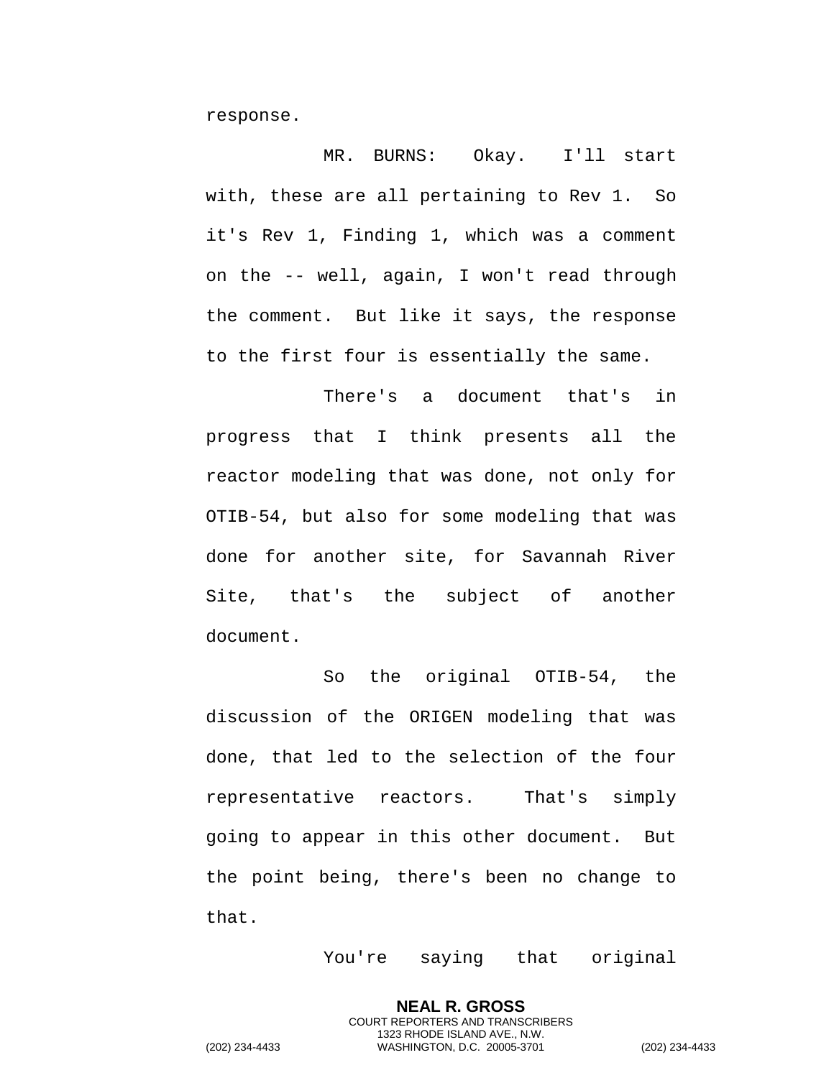response.

MR. BURNS: Okay. I'll start with, these are all pertaining to Rev 1. So it's Rev 1, Finding 1, which was a comment on the -- well, again, I won't read through the comment. But like it says, the response to the first four is essentially the same.

There's a document that's in progress that I think presents all the reactor modeling that was done, not only for OTIB-54, but also for some modeling that was done for another site, for Savannah River Site, that's the subject of another document.

So the original OTIB-54, the discussion of the ORIGEN modeling that was done, that led to the selection of the four representative reactors. That's simply going to appear in this other document. But the point being, there's been no change to that.

You're saying that original

**NEAL R. GROSS** COURT REPORTERS AND TRANSCRIBERS 1323 RHODE ISLAND AVE., N.W.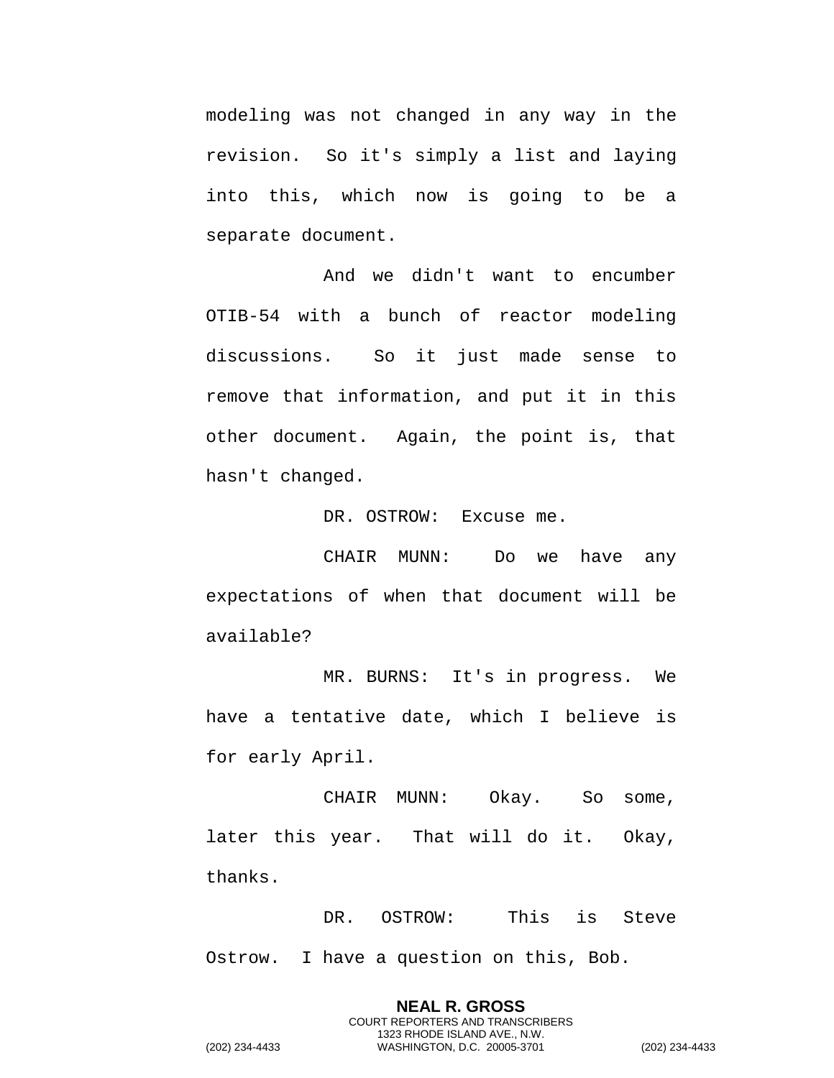modeling was not changed in any way in the revision. So it's simply a list and laying into this, which now is going to be a separate document.

And we didn't want to encumber OTIB-54 with a bunch of reactor modeling discussions. So it just made sense to remove that information, and put it in this other document. Again, the point is, that hasn't changed.

DR. OSTROW: Excuse me.

CHAIR MUNN: Do we have any expectations of when that document will be available?

MR. BURNS: It's in progress. We have a tentative date, which I believe is for early April.

CHAIR MUNN: Okay. So some, later this year. That will do it. Okay, thanks.

DR. OSTROW: This is Steve Ostrow. I have a question on this, Bob.

> **NEAL R. GROSS** COURT REPORTERS AND TRANSCRIBERS 1323 RHODE ISLAND AVE., N.W.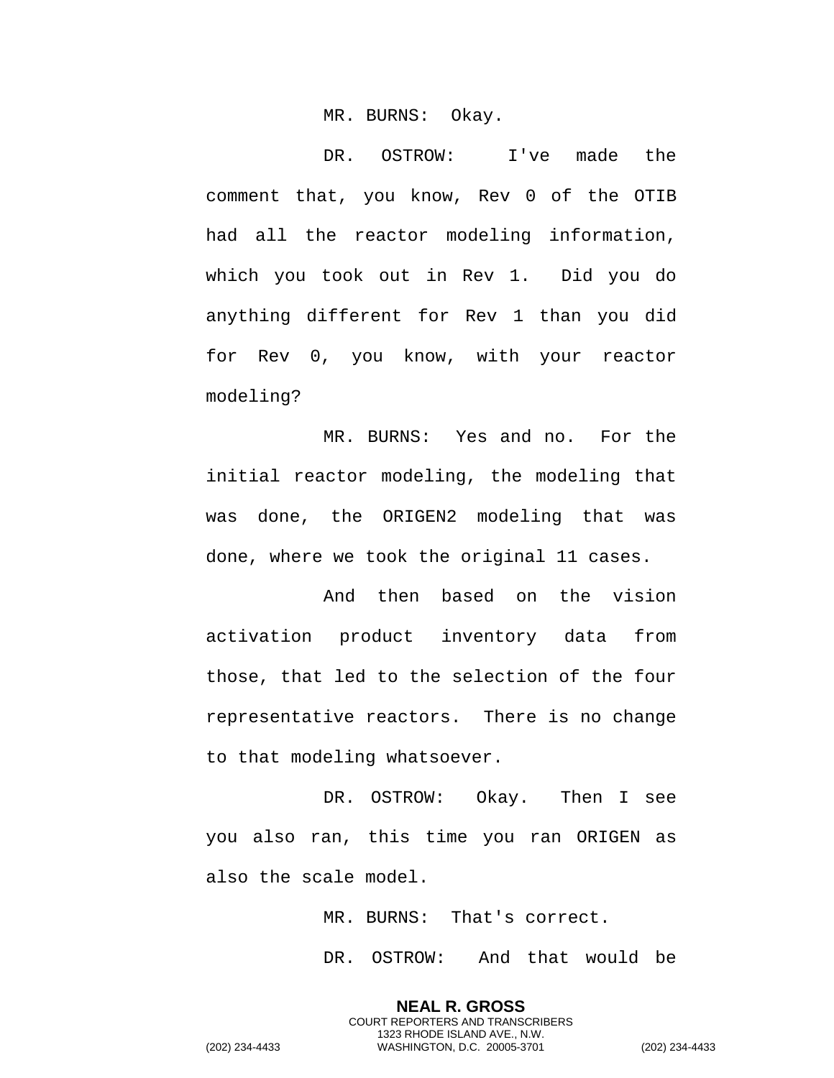MR. BURNS: Okay.

DR. OSTROW: I've made the comment that, you know, Rev 0 of the OTIB had all the reactor modeling information, which you took out in Rev 1. Did you do anything different for Rev 1 than you did for Rev 0, you know, with your reactor modeling?

MR. BURNS: Yes and no. For the initial reactor modeling, the modeling that was done, the ORIGEN2 modeling that was done, where we took the original 11 cases.

And then based on the vision activation product inventory data from those, that led to the selection of the four representative reactors. There is no change to that modeling whatsoever.

DR. OSTROW: Okay. Then I see you also ran, this time you ran ORIGEN as also the scale model.

> MR. BURNS: That's correct. DR. OSTROW: And that would be

**NEAL R. GROSS** COURT REPORTERS AND TRANSCRIBERS 1323 RHODE ISLAND AVE., N.W.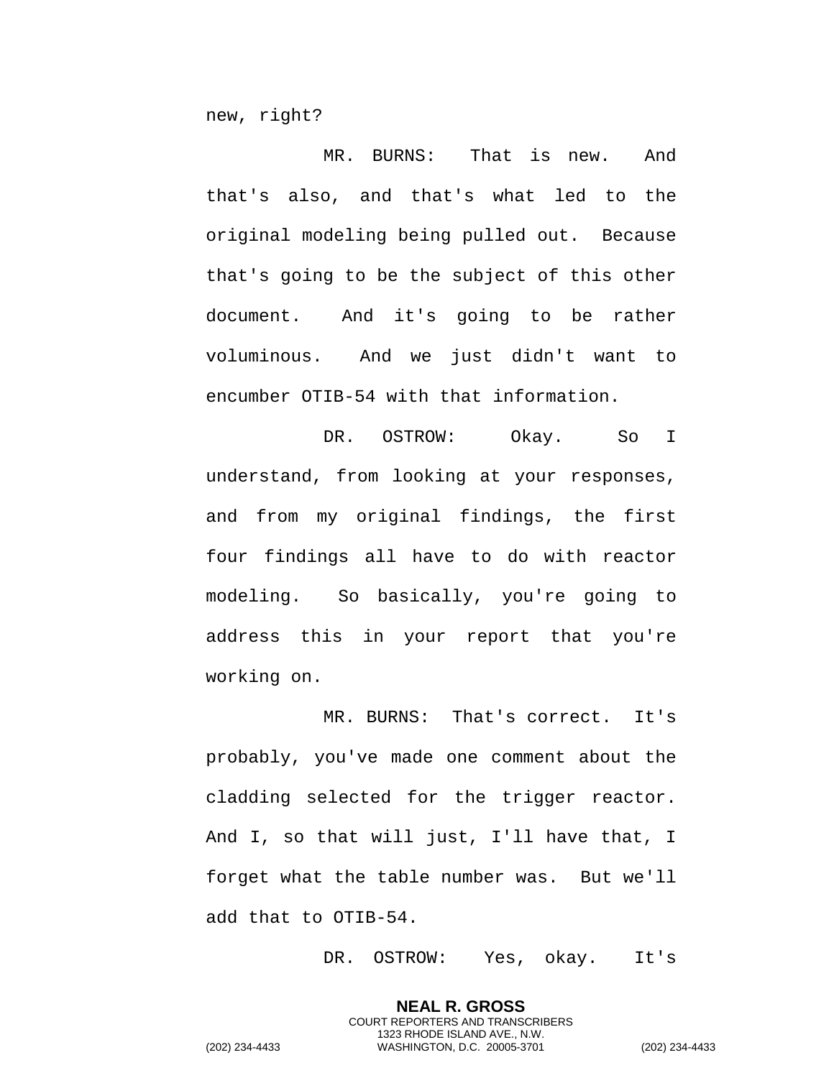new, right?

MR. BURNS: That is new. And that's also, and that's what led to the original modeling being pulled out. Because that's going to be the subject of this other document. And it's going to be rather voluminous. And we just didn't want to encumber OTIB-54 with that information.

DR. OSTROW: Okay. So I understand, from looking at your responses, and from my original findings, the first four findings all have to do with reactor modeling. So basically, you're going to address this in your report that you're working on.

MR. BURNS: That's correct. It's probably, you've made one comment about the cladding selected for the trigger reactor. And I, so that will just, I'll have that, I forget what the table number was. But we'll add that to OTIB-54.

DR. OSTROW: Yes, okay. It's

**NEAL R. GROSS** COURT REPORTERS AND TRANSCRIBERS 1323 RHODE ISLAND AVE., N.W.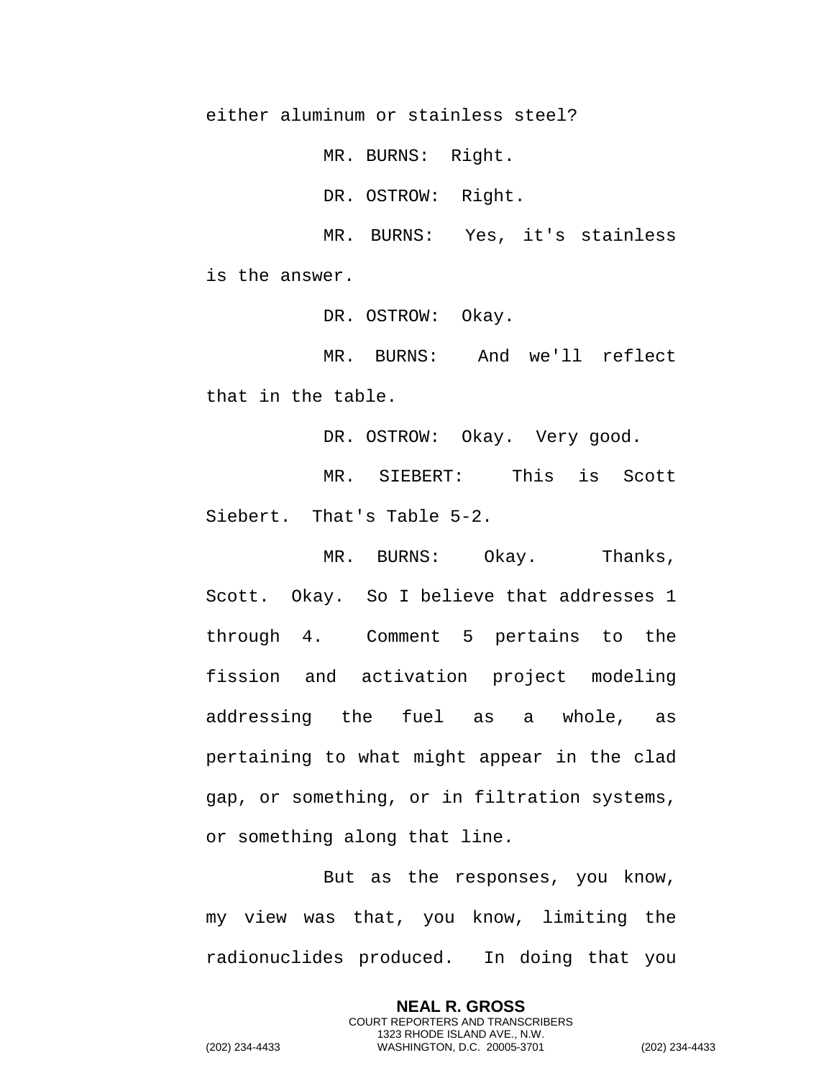either aluminum or stainless steel?

MR. BURNS: Right.

DR. OSTROW: Right.

MR. BURNS: Yes, it's stainless is the answer.

DR. OSTROW: Okay.

MR. BURNS: And we'll reflect that in the table.

DR. OSTROW: Okay. Very good.

MR. SIEBERT: This is Scott Siebert. That's Table 5-2.

MR. BURNS: Okay. Thanks, Scott. Okay. So I believe that addresses 1 through 4. Comment 5 pertains to the fission and activation project modeling addressing the fuel as a whole, as pertaining to what might appear in the clad gap, or something, or in filtration systems, or something along that line.

But as the responses, you know, my view was that, you know, limiting the radionuclides produced. In doing that you

> **NEAL R. GROSS** COURT REPORTERS AND TRANSCRIBERS 1323 RHODE ISLAND AVE., N.W.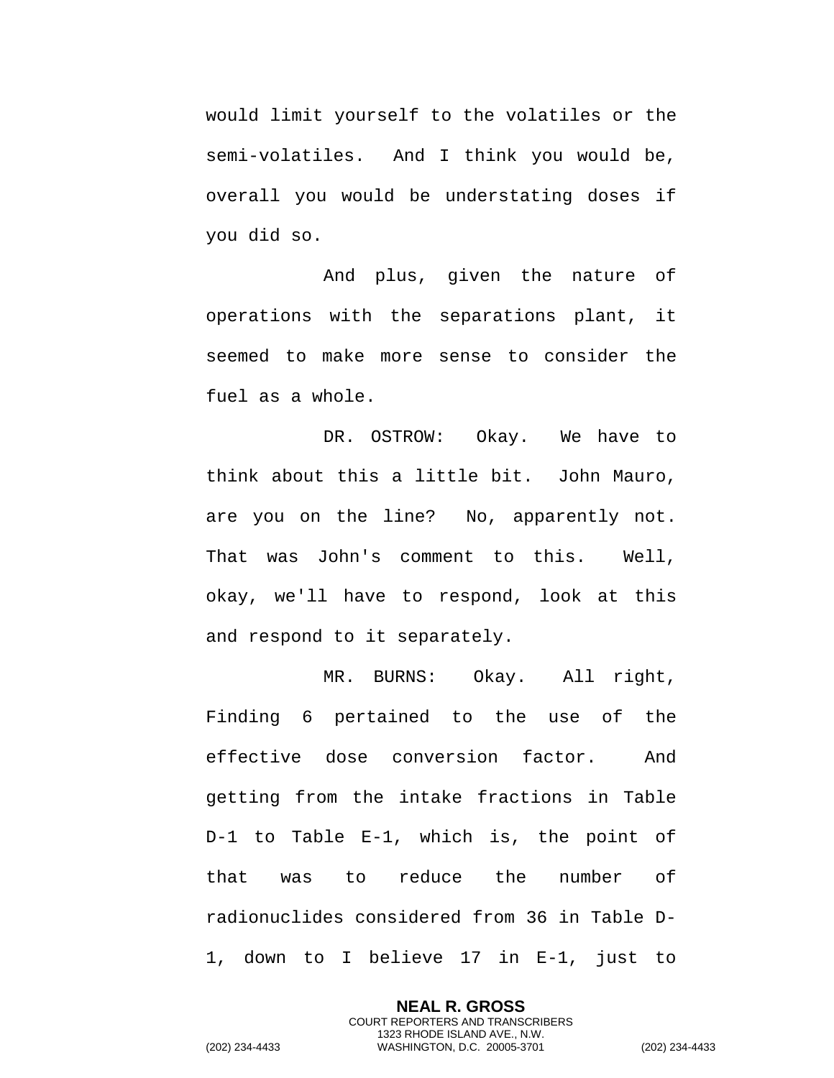would limit yourself to the volatiles or the semi-volatiles. And I think you would be, overall you would be understating doses if you did so.

And plus, given the nature of operations with the separations plant, it seemed to make more sense to consider the fuel as a whole.

DR. OSTROW: Okay. We have to think about this a little bit. John Mauro, are you on the line? No, apparently not. That was John's comment to this. Well, okay, we'll have to respond, look at this and respond to it separately.

MR. BURNS: Okay. All right, Finding 6 pertained to the use of the effective dose conversion factor. And getting from the intake fractions in Table D-1 to Table E-1, which is, the point of that was to reduce the number of radionuclides considered from 36 in Table D-1, down to I believe 17 in E-1, just to

> **NEAL R. GROSS** COURT REPORTERS AND TRANSCRIBERS 1323 RHODE ISLAND AVE., N.W.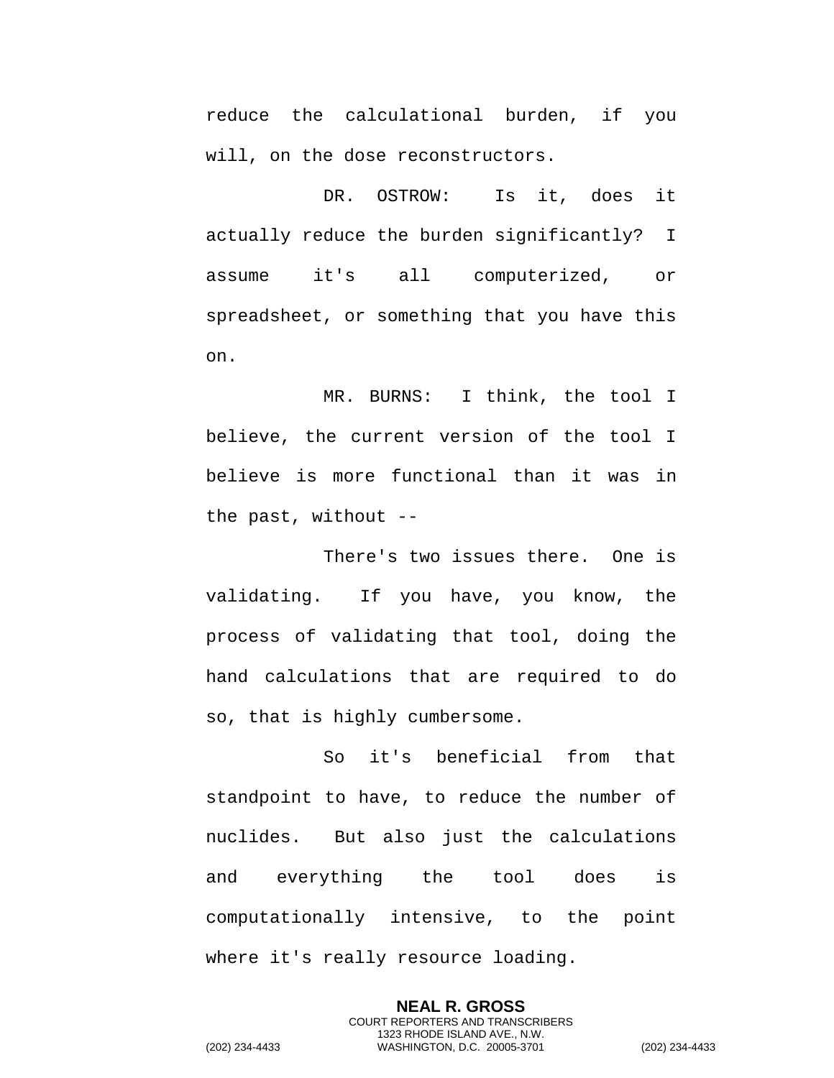reduce the calculational burden, if you will, on the dose reconstructors.

DR. OSTROW: Is it, does it actually reduce the burden significantly? I assume it's all computerized, or spreadsheet, or something that you have this on.

MR. BURNS: I think, the tool I believe, the current version of the tool I believe is more functional than it was in the past, without --

There's two issues there. One is validating. If you have, you know, the process of validating that tool, doing the hand calculations that are required to do so, that is highly cumbersome.

So it's beneficial from that standpoint to have, to reduce the number of nuclides. But also just the calculations and everything the tool does is computationally intensive, to the point where it's really resource loading.

> **NEAL R. GROSS** COURT REPORTERS AND TRANSCRIBERS 1323 RHODE ISLAND AVE., N.W.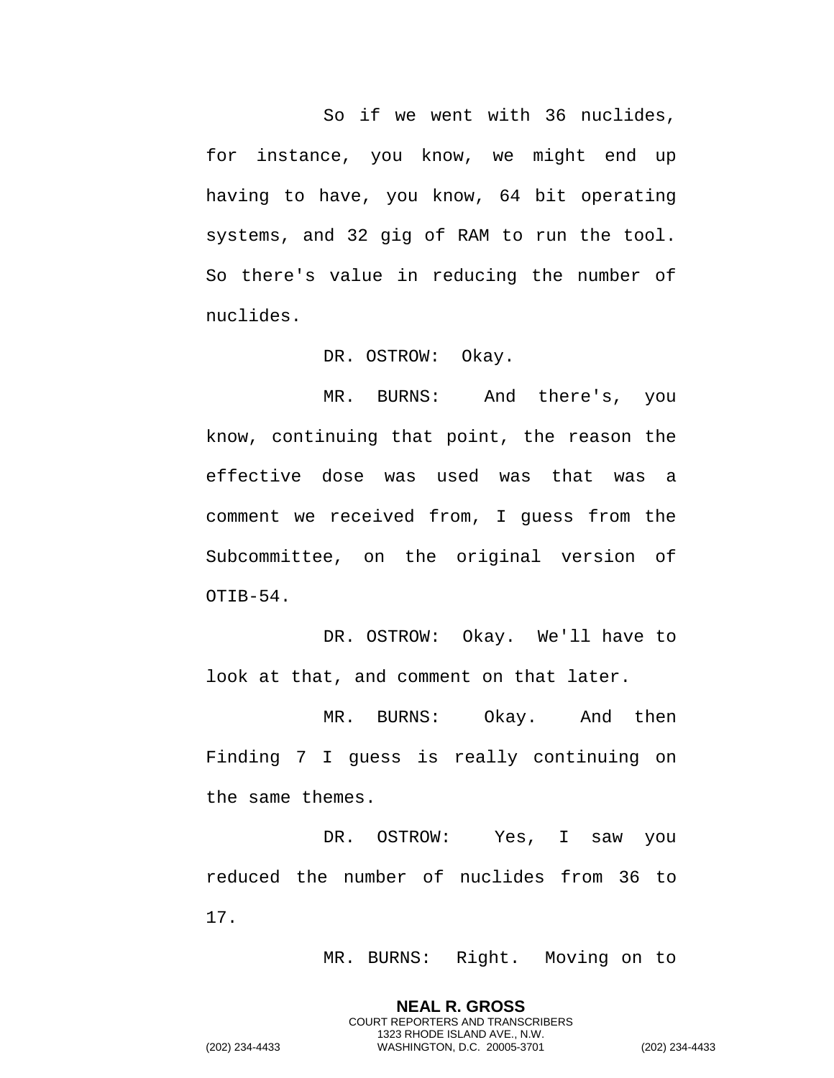So if we went with 36 nuclides, for instance, you know, we might end up having to have, you know, 64 bit operating systems, and 32 gig of RAM to run the tool. So there's value in reducing the number of nuclides.

DR. OSTROW: Okay.

MR. BURNS: And there's, you know, continuing that point, the reason the effective dose was used was that was a comment we received from, I guess from the Subcommittee, on the original version of OTIB-54.

DR. OSTROW: Okay. We'll have to look at that, and comment on that later.

MR. BURNS: Okay. And then Finding 7 I guess is really continuing on the same themes.

DR. OSTROW: Yes, I saw you reduced the number of nuclides from 36 to 17.

> **NEAL R. GROSS** COURT REPORTERS AND TRANSCRIBERS 1323 RHODE ISLAND AVE., N.W.

MR. BURNS: Right. Moving on to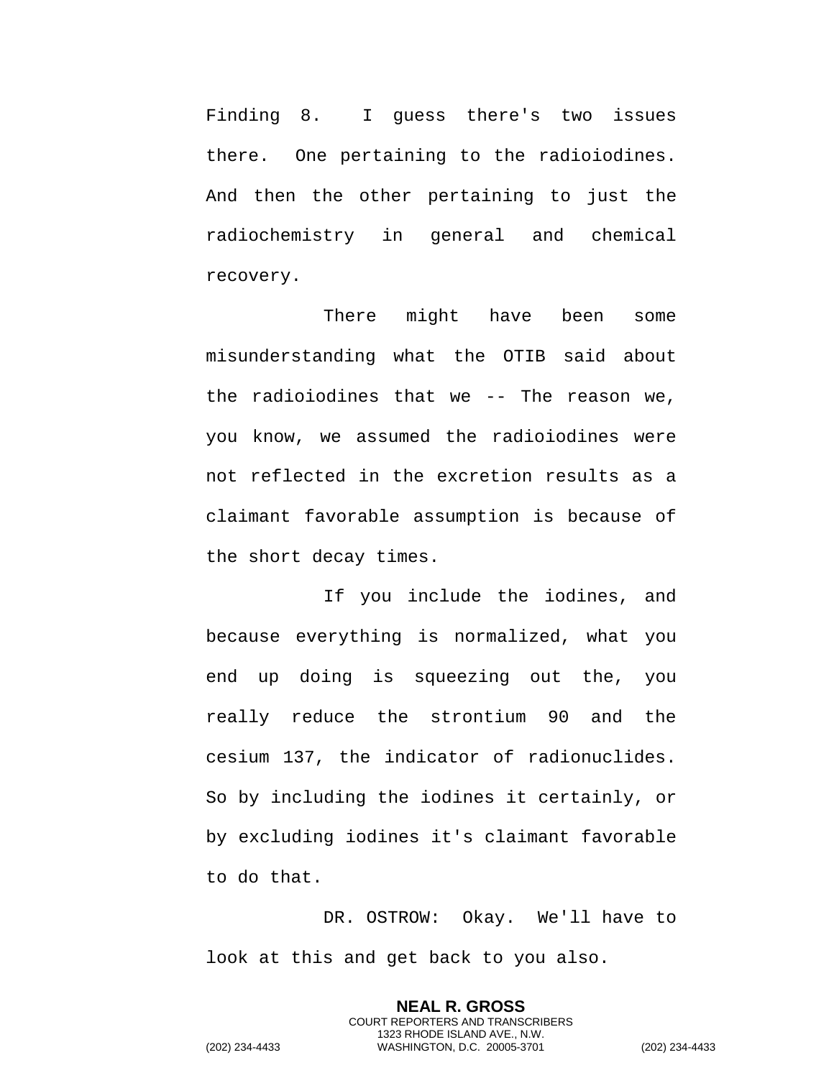Finding 8. I guess there's two issues there. One pertaining to the radioiodines. And then the other pertaining to just the radiochemistry in general and chemical recovery.

There might have been some misunderstanding what the OTIB said about the radioiodines that we -- The reason we, you know, we assumed the radioiodines were not reflected in the excretion results as a claimant favorable assumption is because of the short decay times.

If you include the iodines, and because everything is normalized, what you end up doing is squeezing out the, you really reduce the strontium 90 and the cesium 137, the indicator of radionuclides. So by including the iodines it certainly, or by excluding iodines it's claimant favorable to do that.

DR. OSTROW: Okay. We'll have to look at this and get back to you also.

> **NEAL R. GROSS** COURT REPORTERS AND TRANSCRIBERS 1323 RHODE ISLAND AVE., N.W.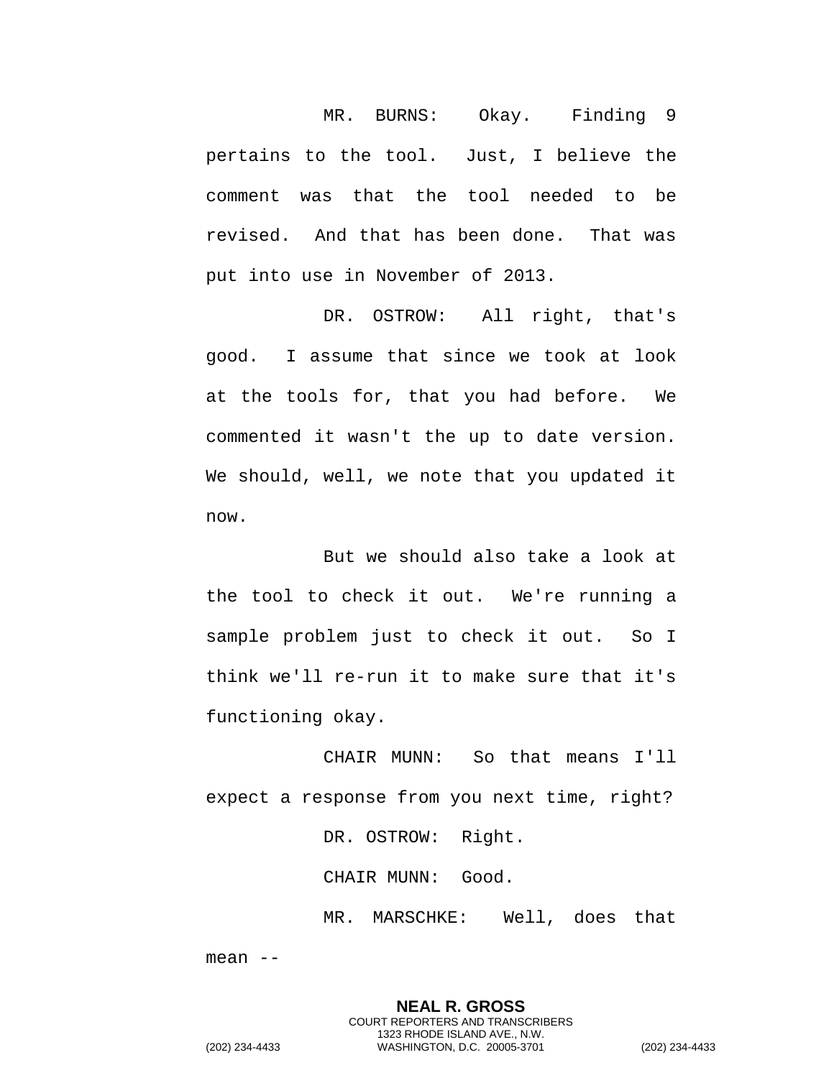MR. BURNS: Okay. Finding 9 pertains to the tool. Just, I believe the comment was that the tool needed to be revised. And that has been done. That was put into use in November of 2013.

DR. OSTROW: All right, that's good. I assume that since we took at look at the tools for, that you had before. We commented it wasn't the up to date version. We should, well, we note that you updated it now.

But we should also take a look at the tool to check it out. We're running a sample problem just to check it out. So I think we'll re-run it to make sure that it's functioning okay.

CHAIR MUNN: So that means I'll expect a response from you next time, right?

DR. OSTROW: Right.

CHAIR MUNN: Good.

MR. MARSCHKE: Well, does that

mean --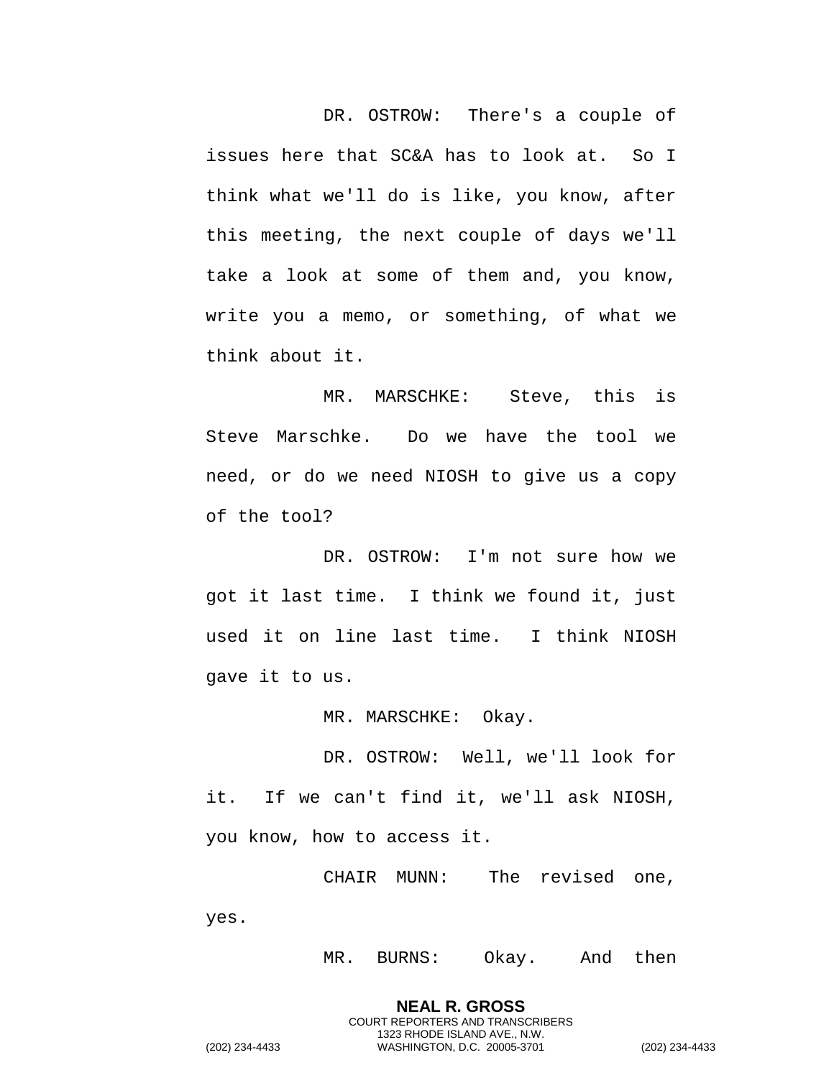DR. OSTROW: There's a couple of issues here that SC&A has to look at. So I think what we'll do is like, you know, after this meeting, the next couple of days we'll take a look at some of them and, you know, write you a memo, or something, of what we think about it.

MR. MARSCHKE: Steve, this is Steve Marschke. Do we have the tool we need, or do we need NIOSH to give us a copy of the tool?

DR. OSTROW: I'm not sure how we got it last time. I think we found it, just used it on line last time. I think NIOSH gave it to us.

MR. MARSCHKE: Okay.

DR. OSTROW: Well, we'll look for it. If we can't find it, we'll ask NIOSH, you know, how to access it.

CHAIR MUNN: The revised one, yes.

> **NEAL R. GROSS** COURT REPORTERS AND TRANSCRIBERS 1323 RHODE ISLAND AVE., N.W.

MR. BURNS: Okay. And then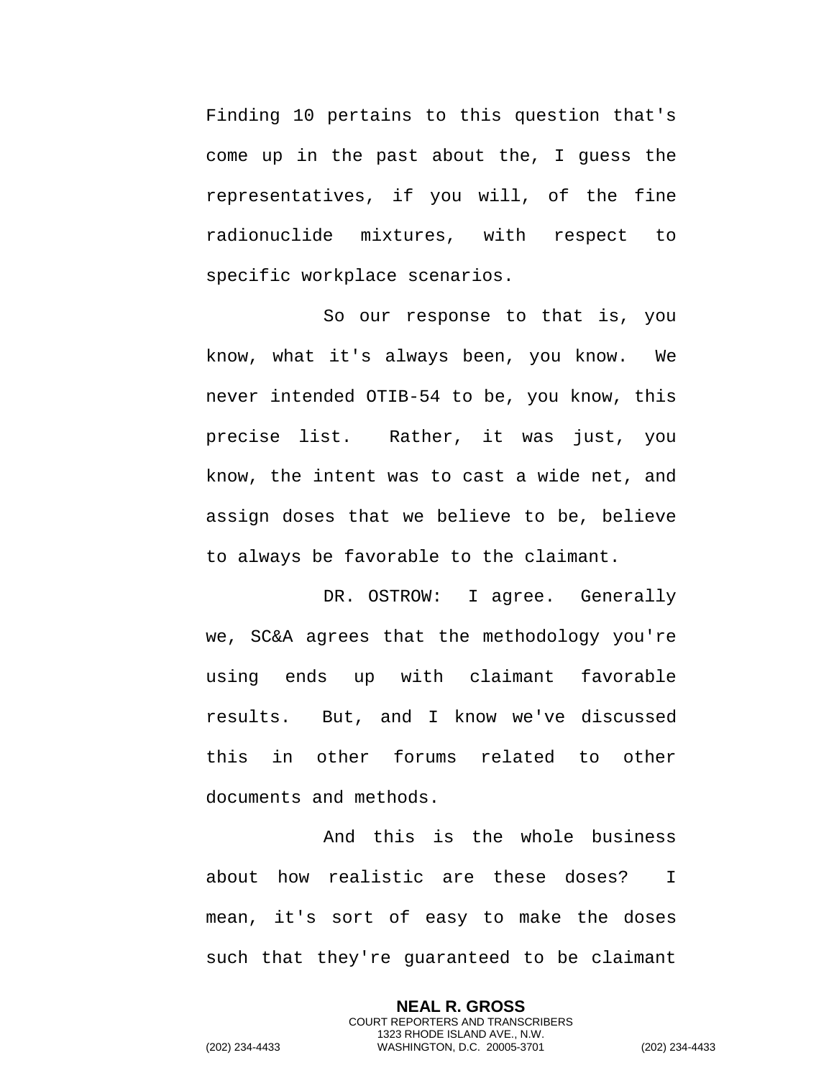Finding 10 pertains to this question that's come up in the past about the, I guess the representatives, if you will, of the fine radionuclide mixtures, with respect to specific workplace scenarios.

So our response to that is, you know, what it's always been, you know. We never intended OTIB-54 to be, you know, this precise list. Rather, it was just, you know, the intent was to cast a wide net, and assign doses that we believe to be, believe to always be favorable to the claimant.

DR. OSTROW: I agree. Generally we, SC&A agrees that the methodology you're using ends up with claimant favorable results. But, and I know we've discussed this in other forums related to other documents and methods.

And this is the whole business about how realistic are these doses? I mean, it's sort of easy to make the doses such that they're guaranteed to be claimant

> **NEAL R. GROSS** COURT REPORTERS AND TRANSCRIBERS 1323 RHODE ISLAND AVE., N.W.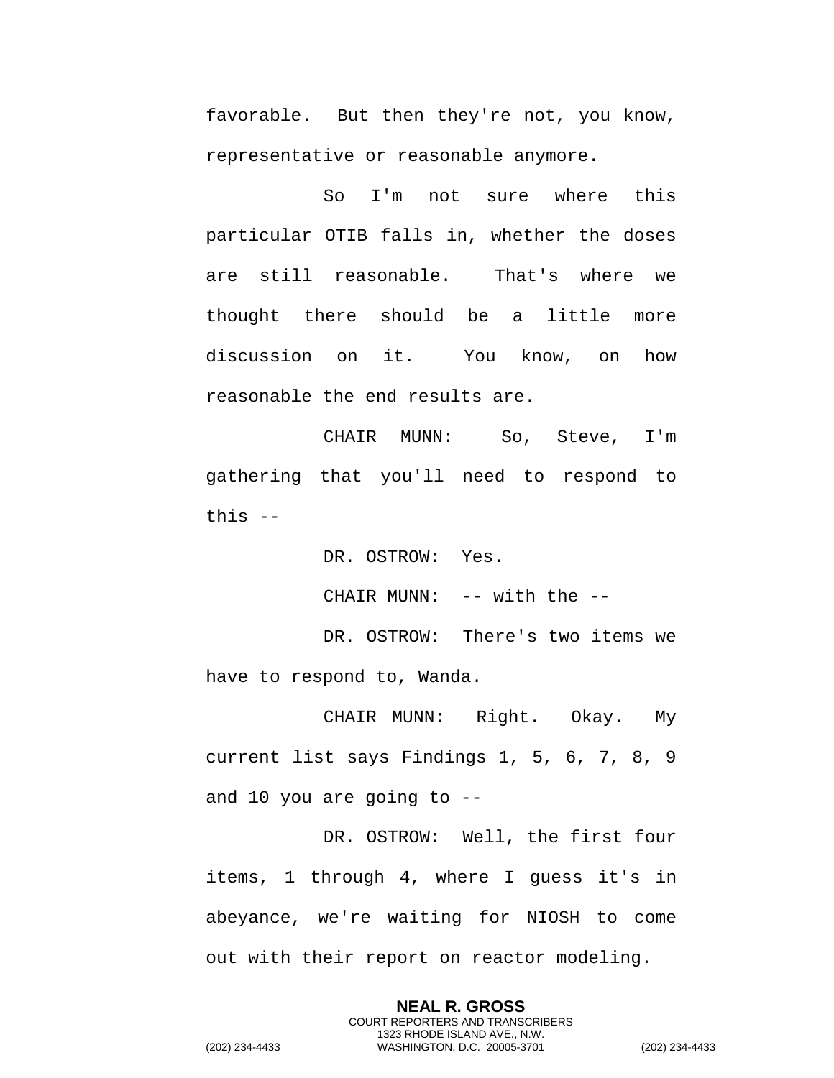favorable. But then they're not, you know, representative or reasonable anymore.

So I'm not sure where this particular OTIB falls in, whether the doses are still reasonable. That's where we thought there should be a little more discussion on it. You know, on how reasonable the end results are.

CHAIR MUNN: So, Steve, I'm gathering that you'll need to respond to this --

DR. OSTROW: Yes.

CHAIR MUNN: -- with the --

DR. OSTROW: There's two items we have to respond to, Wanda.

CHAIR MUNN: Right. Okay. My current list says Findings 1, 5, 6, 7, 8, 9 and 10 you are going to --

DR. OSTROW: Well, the first four items, 1 through 4, where I guess it's in abeyance, we're waiting for NIOSH to come out with their report on reactor modeling.

> **NEAL R. GROSS** COURT REPORTERS AND TRANSCRIBERS 1323 RHODE ISLAND AVE., N.W.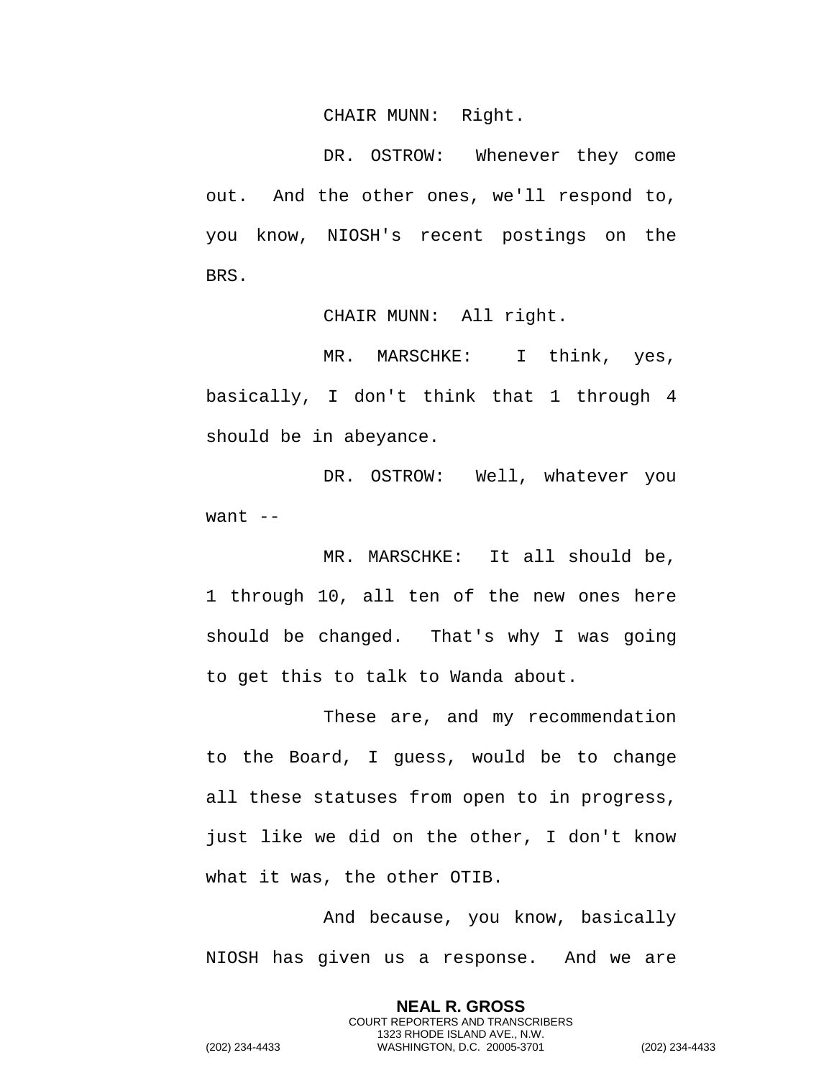CHAIR MUNN: Right.

DR. OSTROW: Whenever they come out. And the other ones, we'll respond to, you know, NIOSH's recent postings on the BRS.

CHAIR MUNN: All right.

MR. MARSCHKE: I think, yes, basically, I don't think that 1 through 4 should be in abeyance.

DR. OSTROW: Well, whatever you want  $--$ 

MR. MARSCHKE: It all should be, 1 through 10, all ten of the new ones here should be changed. That's why I was going to get this to talk to Wanda about.

These are, and my recommendation to the Board, I guess, would be to change all these statuses from open to in progress, just like we did on the other, I don't know what it was, the other OTIB.

And because, you know, basically NIOSH has given us a response. And we are

> **NEAL R. GROSS** COURT REPORTERS AND TRANSCRIBERS 1323 RHODE ISLAND AVE., N.W.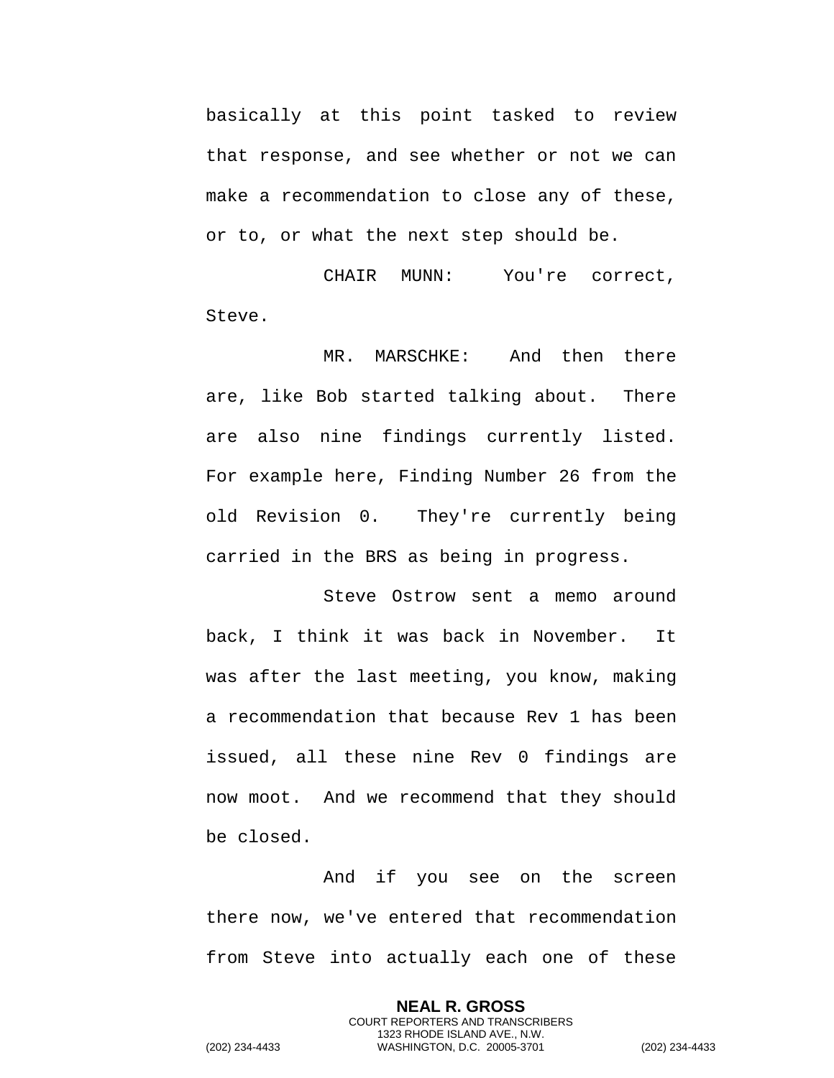basically at this point tasked to review that response, and see whether or not we can make a recommendation to close any of these, or to, or what the next step should be.

CHAIR MUNN: You're correct, Steve.

MR. MARSCHKE: And then there are, like Bob started talking about. There are also nine findings currently listed. For example here, Finding Number 26 from the old Revision 0. They're currently being carried in the BRS as being in progress.

Steve Ostrow sent a memo around back, I think it was back in November. It was after the last meeting, you know, making a recommendation that because Rev 1 has been issued, all these nine Rev 0 findings are now moot. And we recommend that they should be closed.

And if you see on the screen there now, we've entered that recommendation from Steve into actually each one of these

> **NEAL R. GROSS** COURT REPORTERS AND TRANSCRIBERS 1323 RHODE ISLAND AVE., N.W.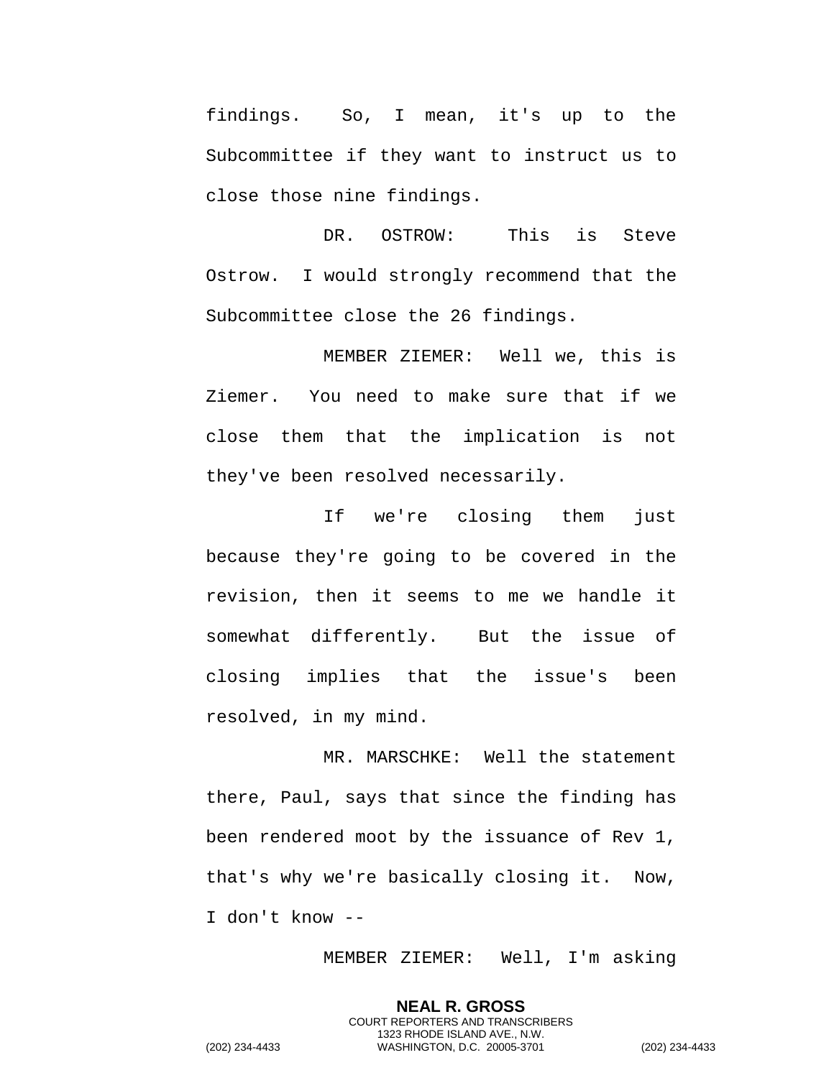findings. So, I mean, it's up to the Subcommittee if they want to instruct us to close those nine findings.

DR. OSTROW: This is Steve Ostrow. I would strongly recommend that the Subcommittee close the 26 findings.

MEMBER ZIEMER: Well we, this is Ziemer. You need to make sure that if we close them that the implication is not they've been resolved necessarily.

If we're closing them just because they're going to be covered in the revision, then it seems to me we handle it somewhat differently. But the issue of closing implies that the issue's been resolved, in my mind.

MR. MARSCHKE: Well the statement there, Paul, says that since the finding has been rendered moot by the issuance of Rev 1, that's why we're basically closing it. Now, I don't know --

MEMBER ZIEMER: Well, I'm asking

**NEAL R. GROSS** COURT REPORTERS AND TRANSCRIBERS 1323 RHODE ISLAND AVE., N.W.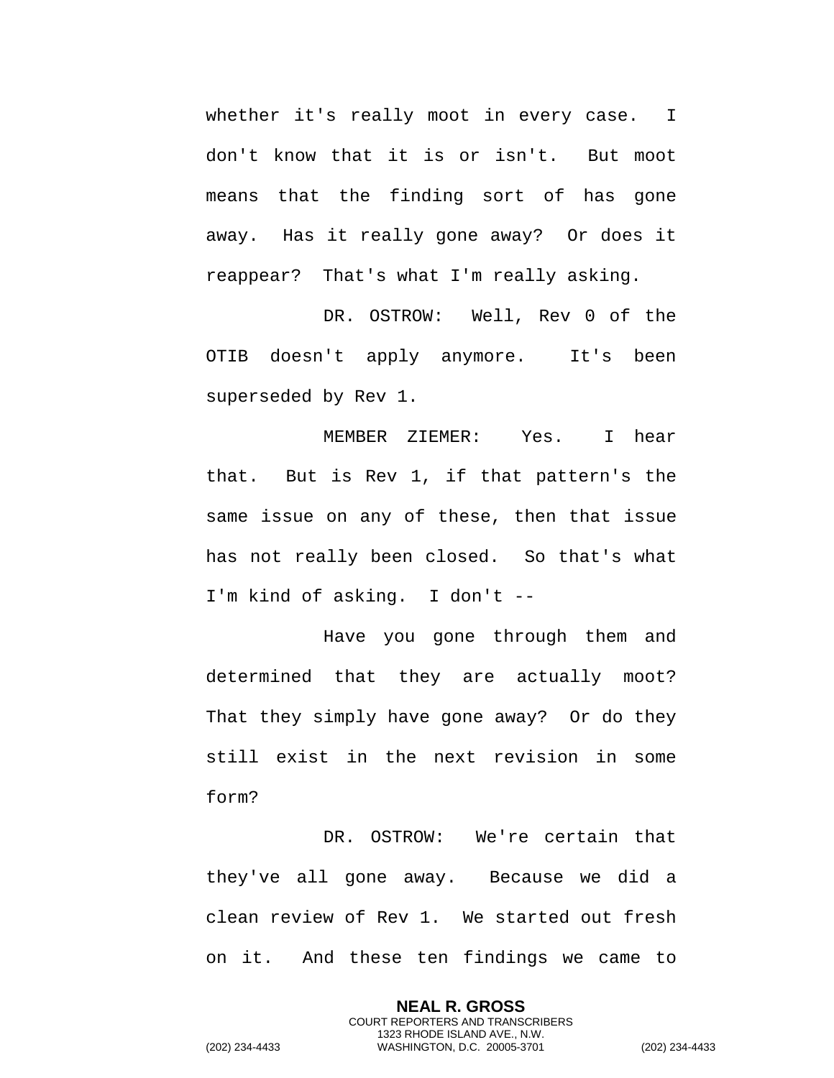whether it's really moot in every case. I don't know that it is or isn't. But moot means that the finding sort of has gone away. Has it really gone away? Or does it reappear? That's what I'm really asking.

DR. OSTROW: Well, Rev 0 of the OTIB doesn't apply anymore. It's been superseded by Rev 1.

MEMBER ZIEMER: Yes. I hear that. But is Rev 1, if that pattern's the same issue on any of these, then that issue has not really been closed. So that's what I'm kind of asking. I don't --

Have you gone through them and determined that they are actually moot? That they simply have gone away? Or do they still exist in the next revision in some form?

DR. OSTROW: We're certain that they've all gone away. Because we did a clean review of Rev 1. We started out fresh on it. And these ten findings we came to

> **NEAL R. GROSS** COURT REPORTERS AND TRANSCRIBERS 1323 RHODE ISLAND AVE., N.W.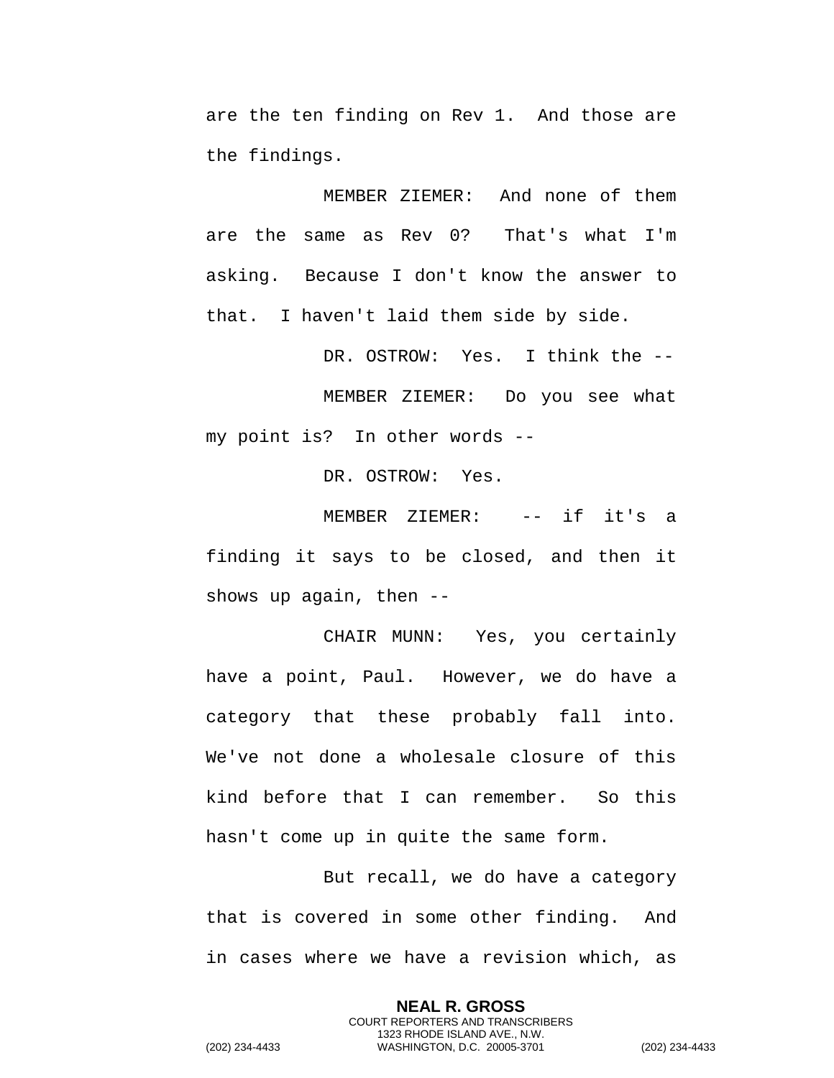are the ten finding on Rev 1. And those are the findings.

MEMBER ZIEMER: And none of them are the same as Rev 0? That's what I'm asking. Because I don't know the answer to that. I haven't laid them side by side.

DR. OSTROW: Yes. I think the -- MEMBER ZIEMER: Do you see what my point is? In other words --

DR. OSTROW: Yes.

MEMBER ZIEMER: -- if it's a finding it says to be closed, and then it shows up again, then --

CHAIR MUNN: Yes, you certainly have a point, Paul. However, we do have a category that these probably fall into. We've not done a wholesale closure of this kind before that I can remember. So this hasn't come up in quite the same form.

But recall, we do have a category that is covered in some other finding. And in cases where we have a revision which, as

> **NEAL R. GROSS** COURT REPORTERS AND TRANSCRIBERS 1323 RHODE ISLAND AVE., N.W.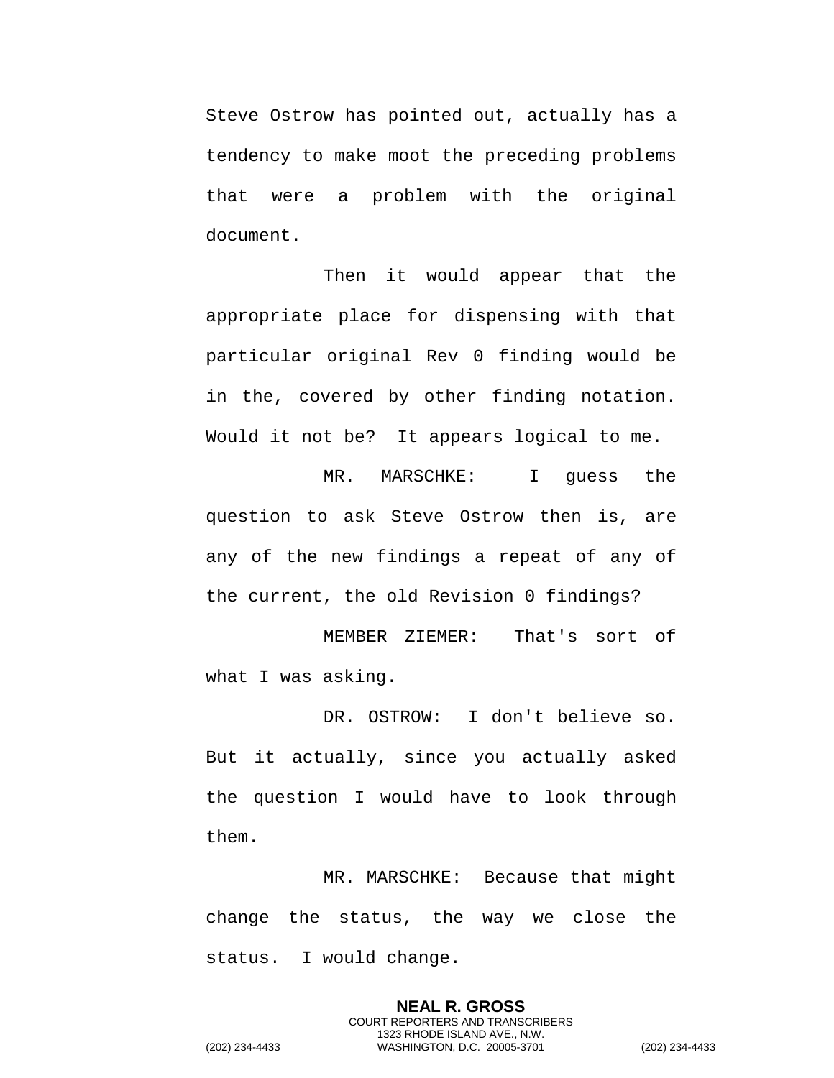Steve Ostrow has pointed out, actually has a tendency to make moot the preceding problems that were a problem with the original document.

Then it would appear that the appropriate place for dispensing with that particular original Rev 0 finding would be in the, covered by other finding notation. Would it not be? It appears logical to me.

MR. MARSCHKE: I guess the question to ask Steve Ostrow then is, are any of the new findings a repeat of any of the current, the old Revision 0 findings?

MEMBER ZIEMER: That's sort of what I was asking.

DR. OSTROW: I don't believe so. But it actually, since you actually asked the question I would have to look through them.

MR. MARSCHKE: Because that might change the status, the way we close the status. I would change.

> **NEAL R. GROSS** COURT REPORTERS AND TRANSCRIBERS 1323 RHODE ISLAND AVE., N.W.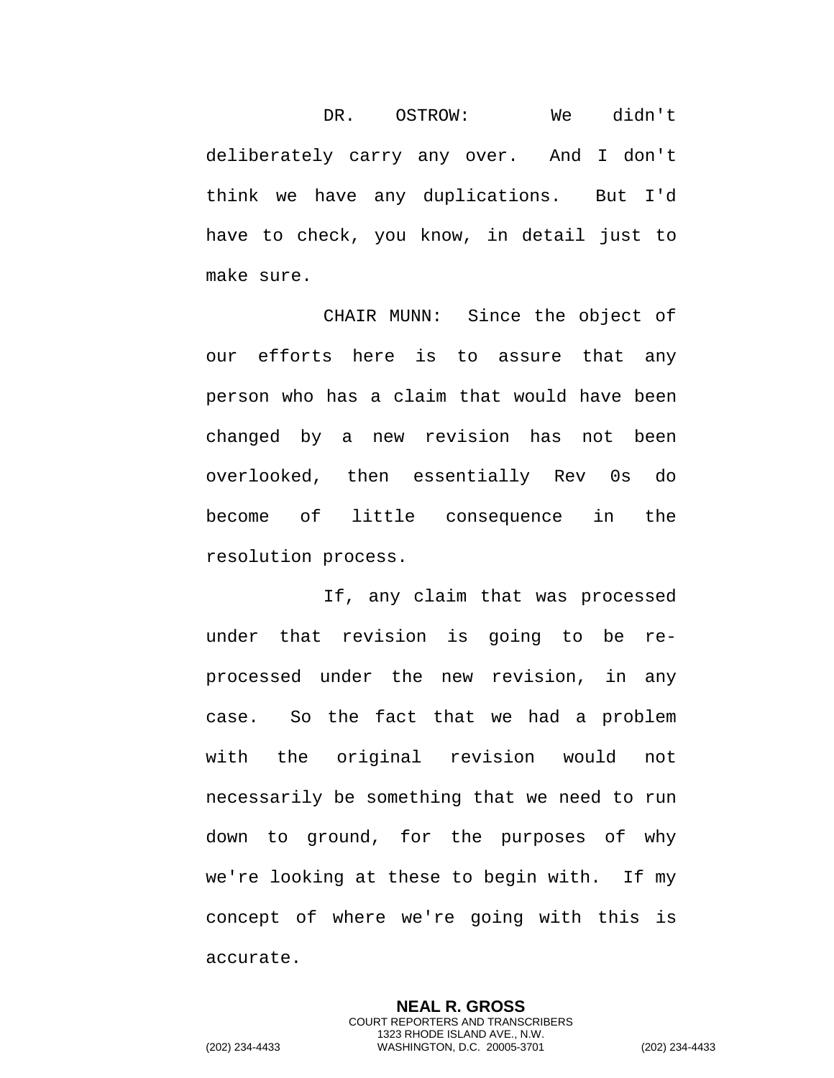DR. OSTROW: We didn't deliberately carry any over. And I don't think we have any duplications. But I'd have to check, you know, in detail just to make sure.

CHAIR MUNN: Since the object of our efforts here is to assure that any person who has a claim that would have been changed by a new revision has not been overlooked, then essentially Rev 0s do become of little consequence in the resolution process.

If, any claim that was processed under that revision is going to be reprocessed under the new revision, in any case. So the fact that we had a problem with the original revision would not necessarily be something that we need to run down to ground, for the purposes of why we're looking at these to begin with. If my concept of where we're going with this is accurate.

> **NEAL R. GROSS** COURT REPORTERS AND TRANSCRIBERS 1323 RHODE ISLAND AVE., N.W.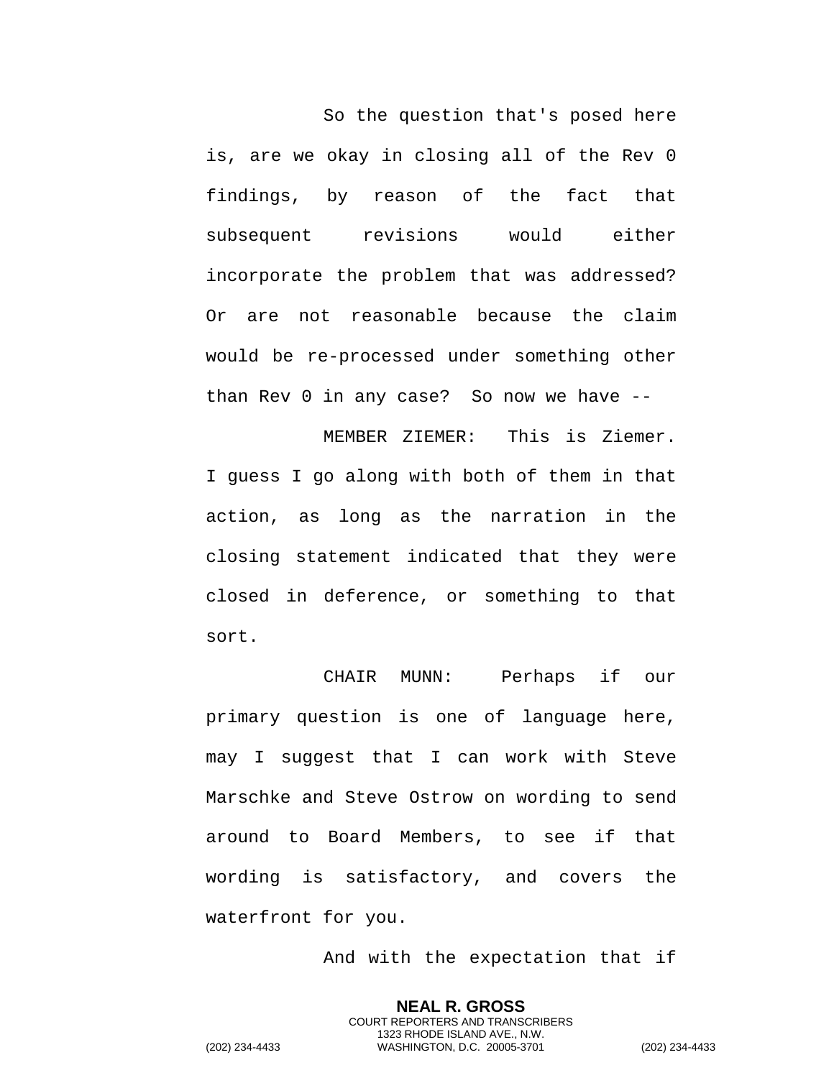So the question that's posed here is, are we okay in closing all of the Rev 0 findings, by reason of the fact that subsequent revisions would either incorporate the problem that was addressed? Or are not reasonable because the claim would be re-processed under something other than Rev 0 in any case? So now we have --

MEMBER ZIEMER: This is Ziemer. I guess I go along with both of them in that action, as long as the narration in the closing statement indicated that they were closed in deference, or something to that sort.

CHAIR MUNN: Perhaps if our primary question is one of language here, may I suggest that I can work with Steve Marschke and Steve Ostrow on wording to send around to Board Members, to see if that wording is satisfactory, and covers the waterfront for you.

And with the expectation that if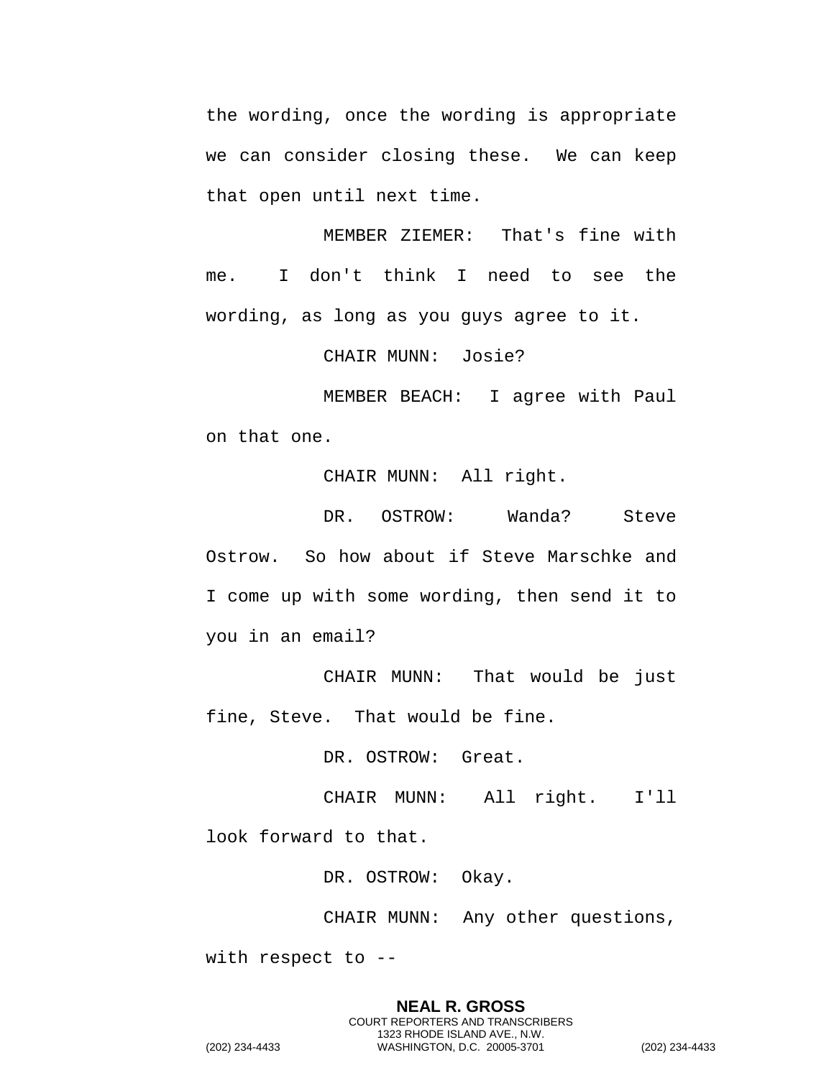the wording, once the wording is appropriate we can consider closing these. We can keep that open until next time.

MEMBER ZIEMER: That's fine with me. I don't think I need to see the wording, as long as you guys agree to it.

CHAIR MUNN: Josie?

MEMBER BEACH: I agree with Paul on that one.

CHAIR MUNN: All right.

DR. OSTROW: Wanda? Steve Ostrow. So how about if Steve Marschke and I come up with some wording, then send it to you in an email?

CHAIR MUNN: That would be just fine, Steve. That would be fine.

DR. OSTROW: Great.

CHAIR MUNN: All right. I'll

look forward to that.

DR. OSTROW: Okay.

CHAIR MUNN: Any other questions,

with respect to --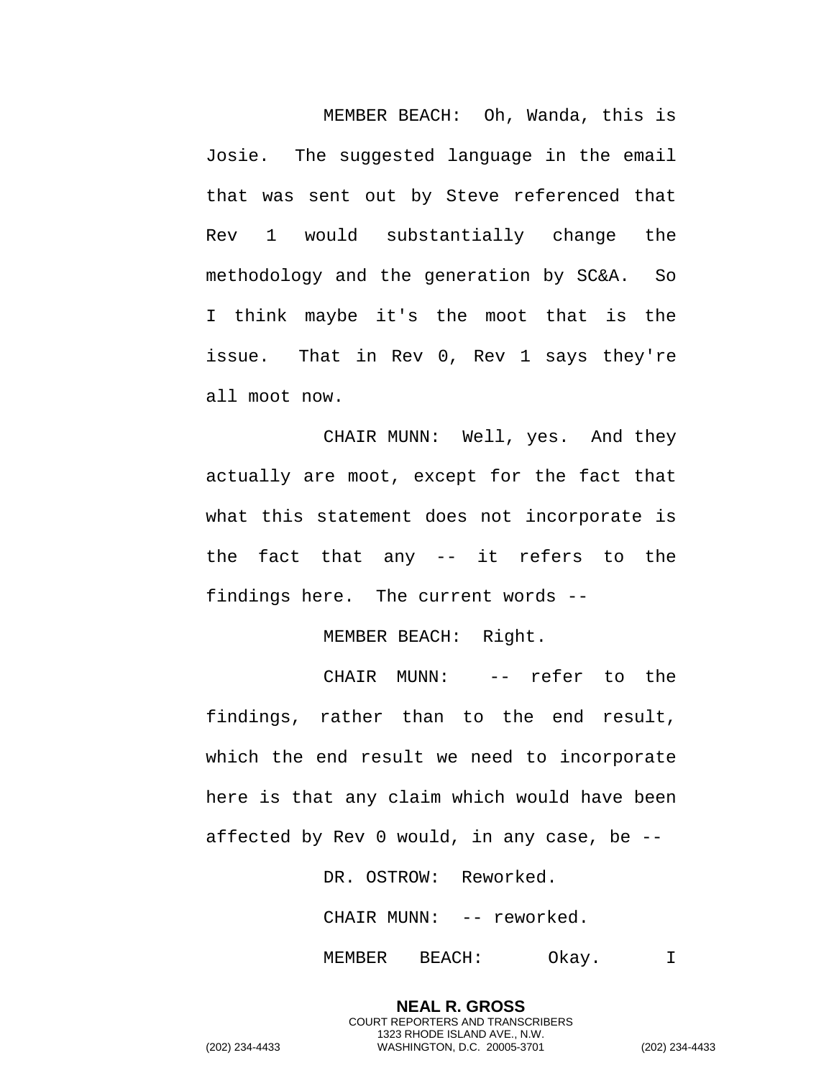MEMBER BEACH: Oh, Wanda, this is Josie. The suggested language in the email that was sent out by Steve referenced that Rev 1 would substantially change the methodology and the generation by SC&A. So I think maybe it's the moot that is the issue. That in Rev 0, Rev 1 says they're all moot now.

CHAIR MUNN: Well, yes. And they actually are moot, except for the fact that what this statement does not incorporate is the fact that any -- it refers to the findings here. The current words --

MEMBER BEACH: Right.

CHAIR MUNN: -- refer to the findings, rather than to the end result, which the end result we need to incorporate here is that any claim which would have been affected by Rev 0 would, in any case, be --

DR. OSTROW: Reworked.

CHAIR MUNN: -- reworked.

**NEAL R. GROSS** COURT REPORTERS AND TRANSCRIBERS 1323 RHODE ISLAND AVE., N.W.

MEMBER BEACH: Okay. I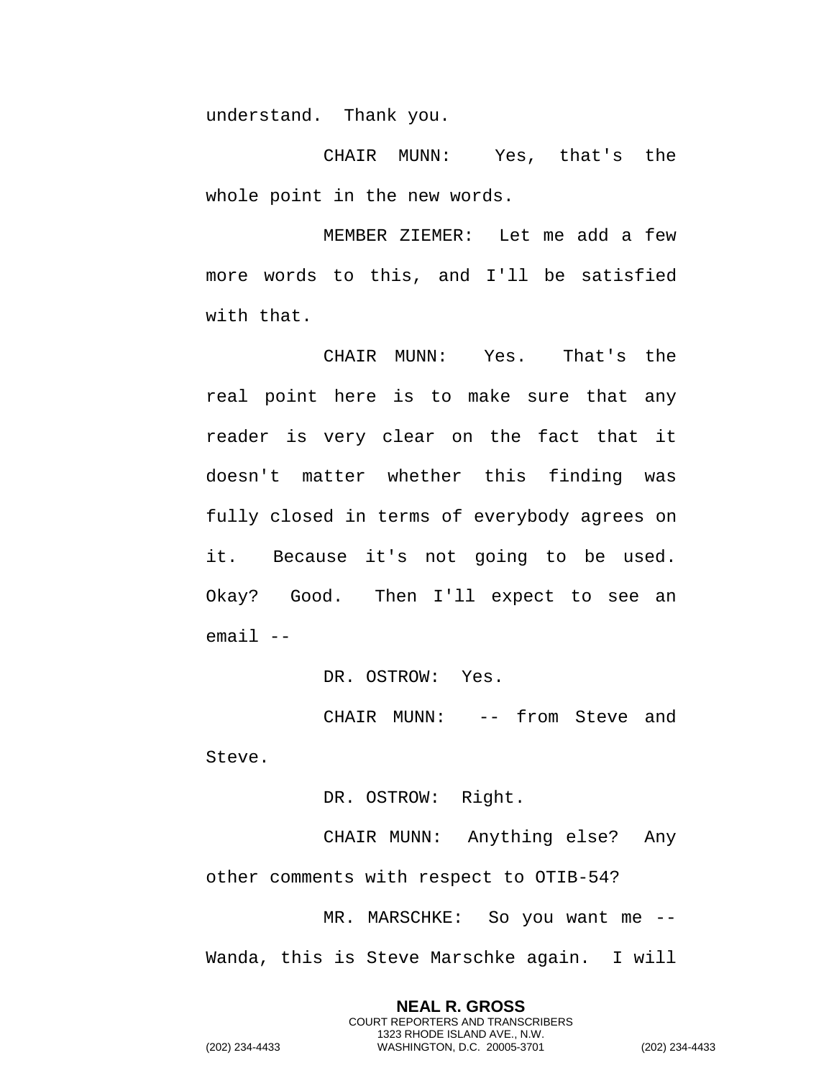understand. Thank you.

CHAIR MUNN: Yes, that's the whole point in the new words.

MEMBER ZIEMER: Let me add a few more words to this, and I'll be satisfied with that.

CHAIR MUNN: Yes. That's the real point here is to make sure that any reader is very clear on the fact that it doesn't matter whether this finding was fully closed in terms of everybody agrees on it. Because it's not going to be used. Okay? Good. Then I'll expect to see an  $email$   $--$ 

DR. OSTROW: Yes.

CHAIR MUNN: -- from Steve and Steve.

DR. OSTROW: Right.

CHAIR MUNN: Anything else? Any other comments with respect to OTIB-54?

MR. MARSCHKE: So you want me -- Wanda, this is Steve Marschke again. I will

> **NEAL R. GROSS** COURT REPORTERS AND TRANSCRIBERS 1323 RHODE ISLAND AVE., N.W.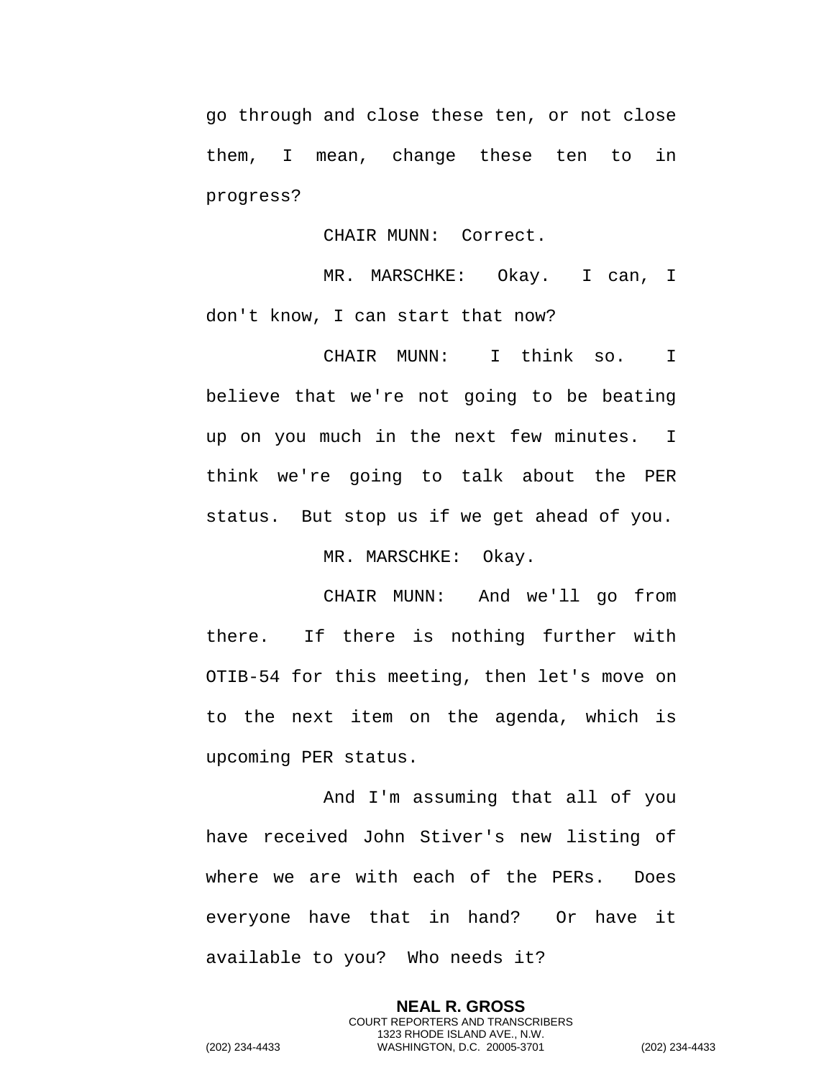go through and close these ten, or not close them, I mean, change these ten to in progress?

CHAIR MUNN: Correct.

MR. MARSCHKE: Okay. I can, I don't know, I can start that now?

CHAIR MUNN: I think so. I believe that we're not going to be beating up on you much in the next few minutes. I think we're going to talk about the PER status. But stop us if we get ahead of you.

MR. MARSCHKE: Okay.

CHAIR MUNN: And we'll go from there. If there is nothing further with OTIB-54 for this meeting, then let's move on to the next item on the agenda, which is upcoming PER status.

And I'm assuming that all of you have received John Stiver's new listing of where we are with each of the PERs. Does everyone have that in hand? Or have it available to you? Who needs it?

> **NEAL R. GROSS** COURT REPORTERS AND TRANSCRIBERS 1323 RHODE ISLAND AVE., N.W.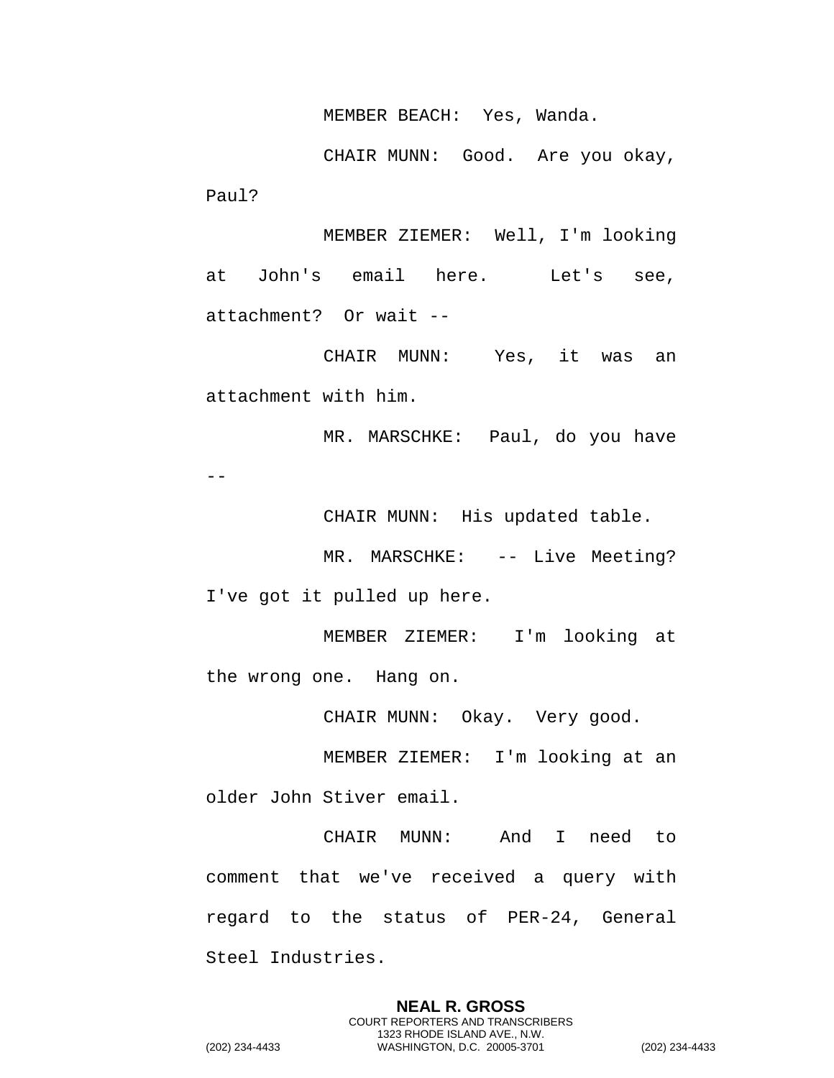MEMBER BEACH: Yes, Wanda.

CHAIR MUNN: Good. Are you okay, Paul?

MEMBER ZIEMER: Well, I'm looking at John's email here. Let's see, attachment? Or wait --

CHAIR MUNN: Yes, it was an attachment with him.

MR. MARSCHKE: Paul, do you have  $- -$ 

CHAIR MUNN: His updated table.

MR. MARSCHKE: -- Live Meeting? I've got it pulled up here.

MEMBER ZIEMER: I'm looking at the wrong one. Hang on.

CHAIR MUNN: Okay. Very good.

MEMBER ZIEMER: I'm looking at an older John Stiver email.

CHAIR MUNN: And I need to comment that we've received a query with regard to the status of PER-24, General Steel Industries.

> **NEAL R. GROSS** COURT REPORTERS AND TRANSCRIBERS 1323 RHODE ISLAND AVE., N.W.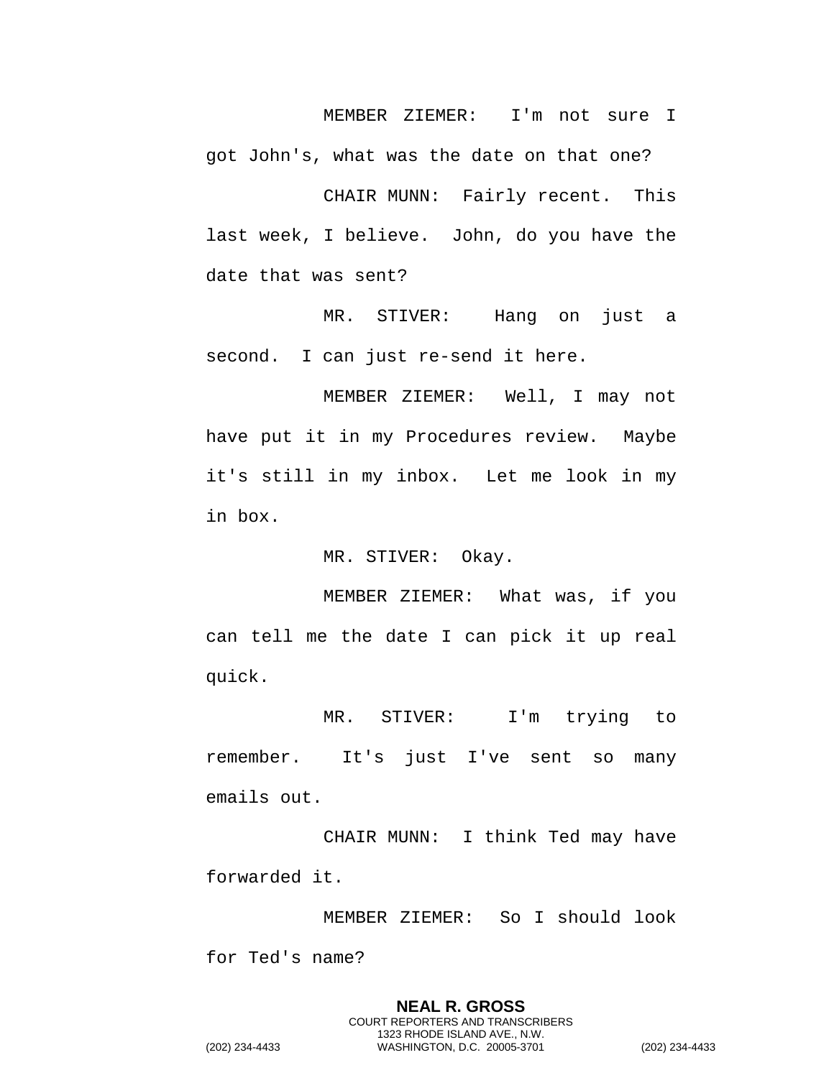MEMBER ZIEMER: I'm not sure I

got John's, what was the date on that one?

CHAIR MUNN: Fairly recent. This last week, I believe. John, do you have the date that was sent?

MR. STIVER: Hang on just a second. I can just re-send it here.

MEMBER ZIEMER: Well, I may not have put it in my Procedures review. Maybe it's still in my inbox. Let me look in my in box.

MR. STIVER: Okay.

MEMBER ZIEMER: What was, if you can tell me the date I can pick it up real quick.

MR. STIVER: I'm trying to remember. It's just I've sent so many emails out.

CHAIR MUNN: I think Ted may have forwarded it.

MEMBER ZIEMER: So I should look for Ted's name?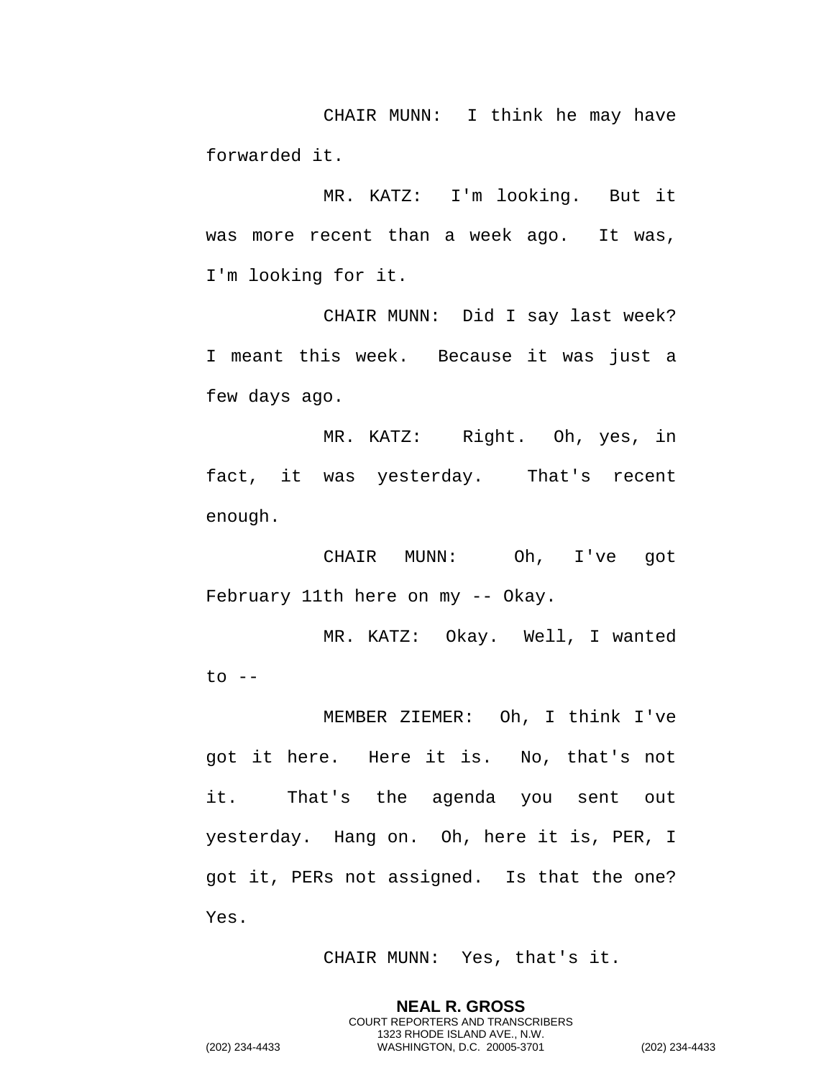CHAIR MUNN: I think he may have forwarded it.

MR. KATZ: I'm looking. But it was more recent than a week ago. It was, I'm looking for it.

CHAIR MUNN: Did I say last week? I meant this week. Because it was just a few days ago.

MR. KATZ: Right. Oh, yes, in fact, it was yesterday. That's recent enough.

CHAIR MUNN: Oh, I've got February 11th here on my -- Okay.

MR. KATZ: Okay. Well, I wanted  $to$   $-$ 

MEMBER ZIEMER: Oh, I think I've got it here. Here it is. No, that's not it. That's the agenda you sent out yesterday. Hang on. Oh, here it is, PER, I got it, PERs not assigned. Is that the one? Yes.

CHAIR MUNN: Yes, that's it.

**NEAL R. GROSS** COURT REPORTERS AND TRANSCRIBERS 1323 RHODE ISLAND AVE., N.W.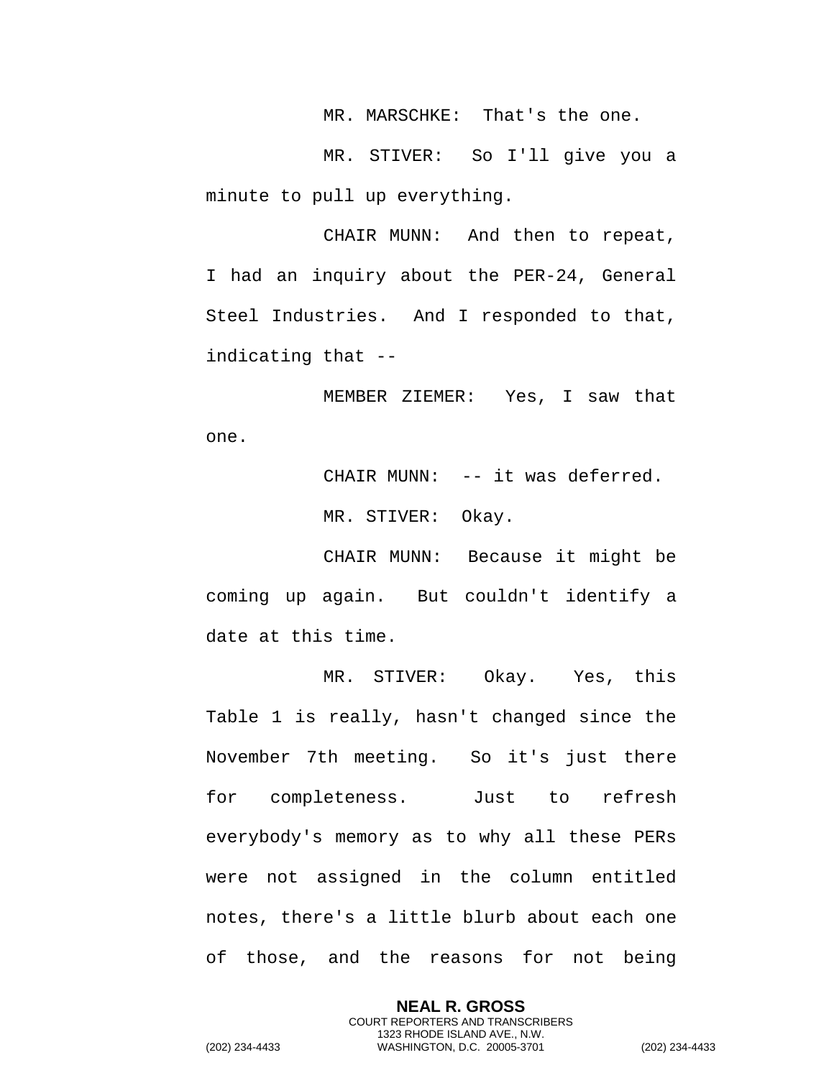MR. MARSCHKE: That's the one.

MR. STIVER: So I'll give you a minute to pull up everything.

CHAIR MUNN: And then to repeat, I had an inquiry about the PER-24, General Steel Industries. And I responded to that, indicating that --

MEMBER ZIEMER: Yes, I saw that one.

> CHAIR MUNN: -- it was deferred. MR. STIVER: Okay.

CHAIR MUNN: Because it might be coming up again. But couldn't identify a date at this time.

MR. STIVER: Okay. Yes, this Table 1 is really, hasn't changed since the November 7th meeting. So it's just there for completeness. Just to refresh everybody's memory as to why all these PERs were not assigned in the column entitled notes, there's a little blurb about each one of those, and the reasons for not being

> **NEAL R. GROSS** COURT REPORTERS AND TRANSCRIBERS 1323 RHODE ISLAND AVE., N.W.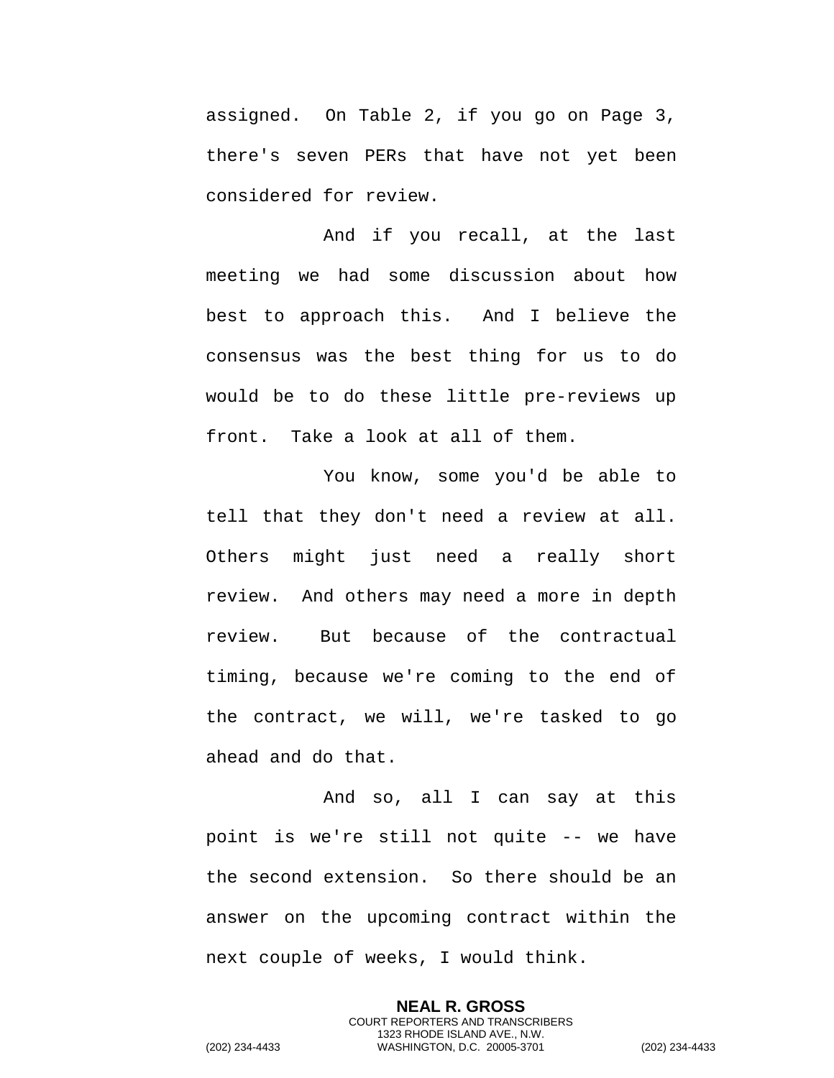assigned. On Table 2, if you go on Page 3, there's seven PERs that have not yet been considered for review.

And if you recall, at the last meeting we had some discussion about how best to approach this. And I believe the consensus was the best thing for us to do would be to do these little pre-reviews up front. Take a look at all of them.

You know, some you'd be able to tell that they don't need a review at all. Others might just need a really short review. And others may need a more in depth review. But because of the contractual timing, because we're coming to the end of the contract, we will, we're tasked to go ahead and do that.

And so, all I can say at this point is we're still not quite -- we have the second extension. So there should be an answer on the upcoming contract within the next couple of weeks, I would think.

> **NEAL R. GROSS** COURT REPORTERS AND TRANSCRIBERS 1323 RHODE ISLAND AVE., N.W.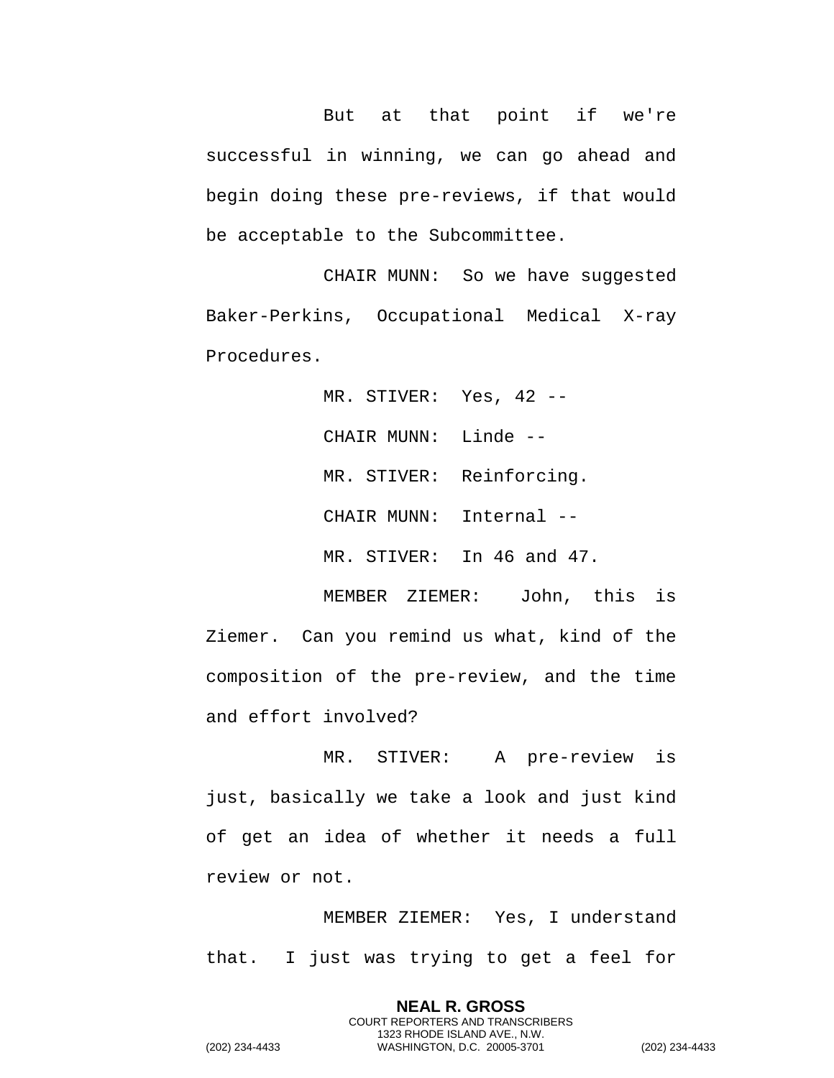But at that point if we're successful in winning, we can go ahead and begin doing these pre-reviews, if that would be acceptable to the Subcommittee.

CHAIR MUNN: So we have suggested Baker-Perkins, Occupational Medical X-ray Procedures.

> MR. STIVER: Yes, 42 --CHAIR MUNN: Linde -- MR. STIVER: Reinforcing. CHAIR MUNN: Internal -- MR. STIVER: In 46 and 47.

MEMBER ZIEMER: John, this is Ziemer. Can you remind us what, kind of the composition of the pre-review, and the time and effort involved?

MR. STIVER: A pre-review is just, basically we take a look and just kind of get an idea of whether it needs a full review or not.

MEMBER ZIEMER: Yes, I understand that. I just was trying to get a feel for

> **NEAL R. GROSS** COURT REPORTERS AND TRANSCRIBERS 1323 RHODE ISLAND AVE., N.W.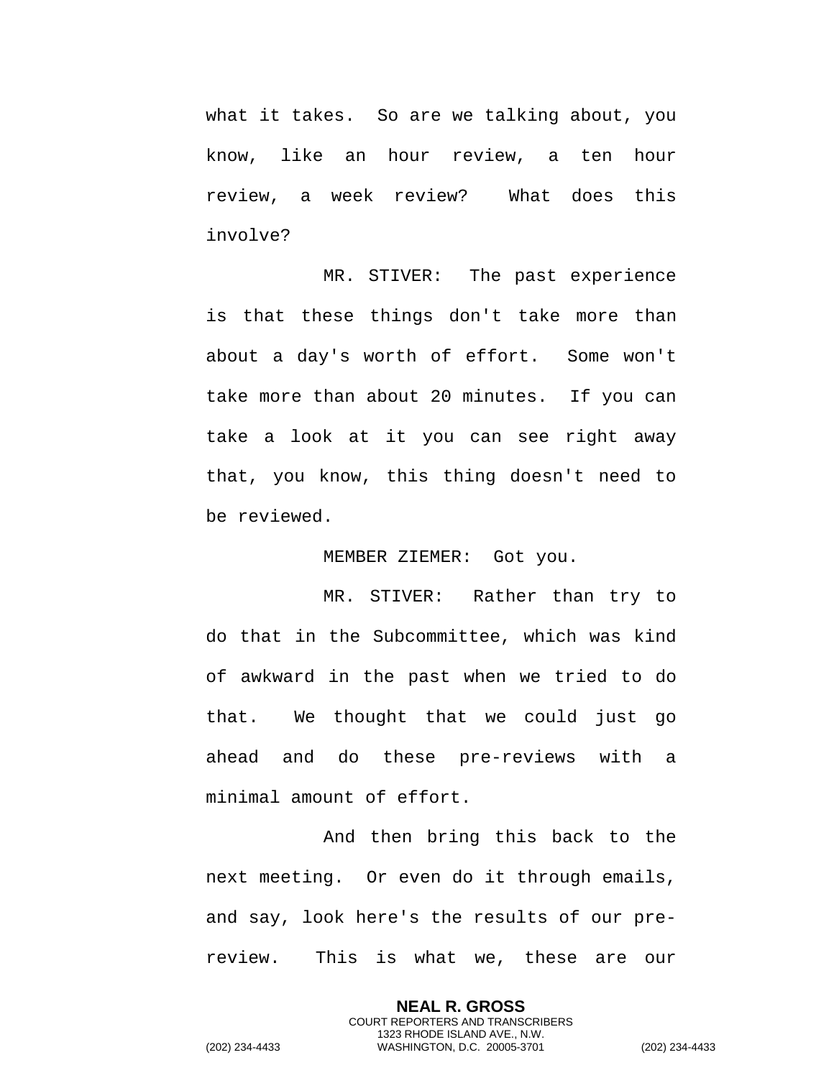what it takes. So are we talking about, you know, like an hour review, a ten hour review, a week review? What does this involve?

MR. STIVER: The past experience is that these things don't take more than about a day's worth of effort. Some won't take more than about 20 minutes. If you can take a look at it you can see right away that, you know, this thing doesn't need to be reviewed.

MEMBER ZIEMER: Got you.

MR. STIVER: Rather than try to do that in the Subcommittee, which was kind of awkward in the past when we tried to do that. We thought that we could just go ahead and do these pre-reviews with a minimal amount of effort.

And then bring this back to the next meeting. Or even do it through emails, and say, look here's the results of our prereview. This is what we, these are our

> **NEAL R. GROSS** COURT REPORTERS AND TRANSCRIBERS 1323 RHODE ISLAND AVE., N.W.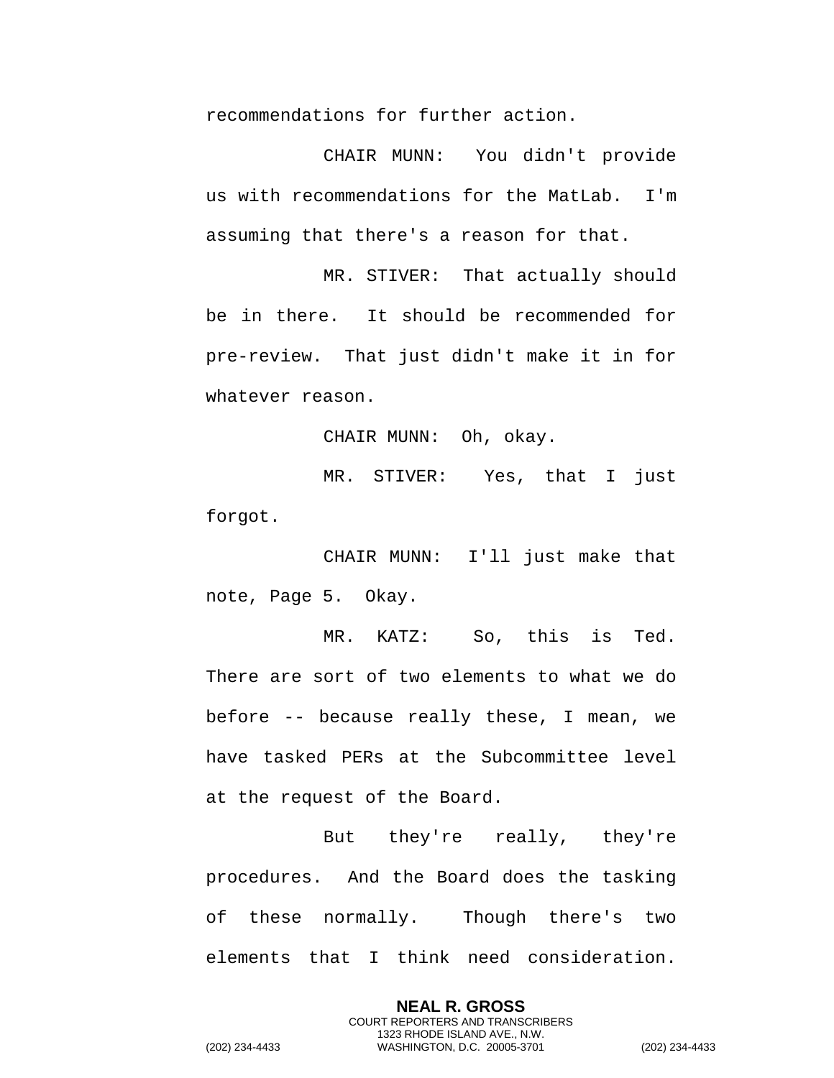recommendations for further action.

CHAIR MUNN: You didn't provide us with recommendations for the MatLab. I'm assuming that there's a reason for that.

MR. STIVER: That actually should be in there. It should be recommended for pre-review. That just didn't make it in for whatever reason.

CHAIR MUNN: Oh, okay.

MR. STIVER: Yes, that I just forgot.

CHAIR MUNN: I'll just make that note, Page 5. Okay.

MR. KATZ: So, this is Ted. There are sort of two elements to what we do before -- because really these, I mean, we have tasked PERs at the Subcommittee level at the request of the Board.

But they're really, they're procedures. And the Board does the tasking of these normally. Though there's two elements that I think need consideration.

> **NEAL R. GROSS** COURT REPORTERS AND TRANSCRIBERS 1323 RHODE ISLAND AVE., N.W.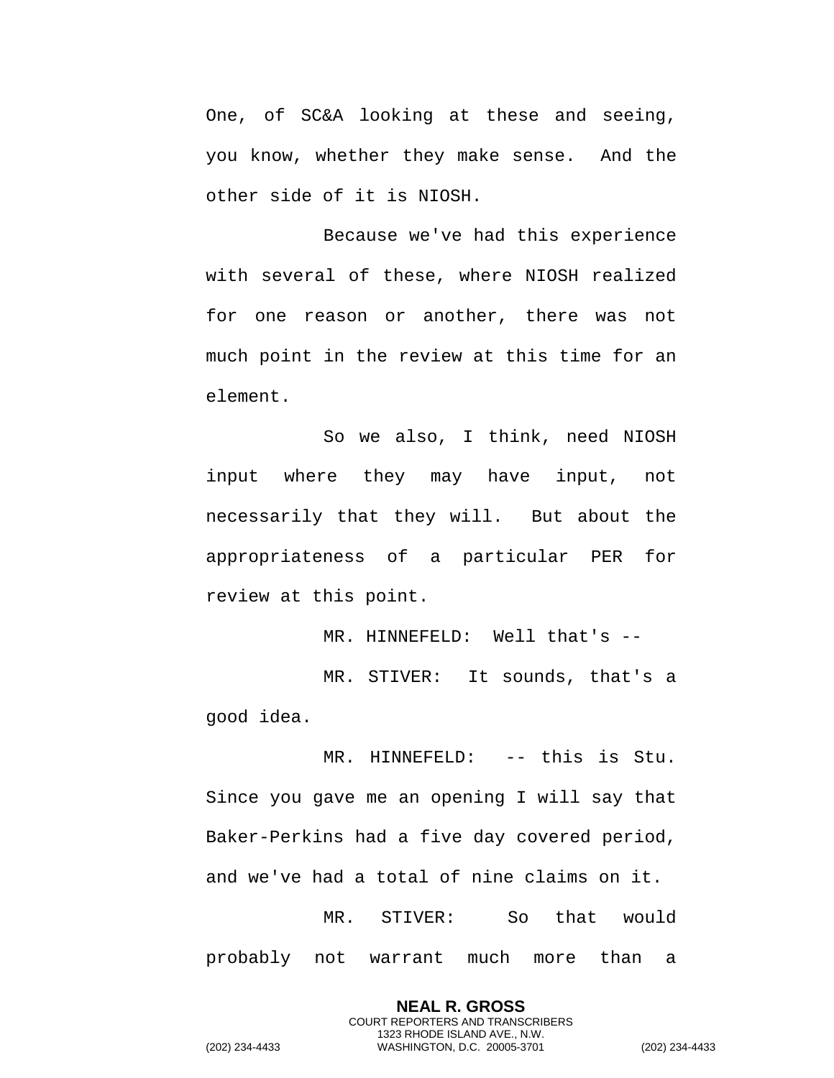One, of SC&A looking at these and seeing, you know, whether they make sense. And the other side of it is NIOSH.

Because we've had this experience with several of these, where NIOSH realized for one reason or another, there was not much point in the review at this time for an element.

So we also, I think, need NIOSH input where they may have input, not necessarily that they will. But about the appropriateness of a particular PER for review at this point.

MR. HINNEFELD: Well that's --MR. STIVER: It sounds, that's a good idea.

MR. HINNEFELD: -- this is Stu. Since you gave me an opening I will say that Baker-Perkins had a five day covered period, and we've had a total of nine claims on it. MR. STIVER: So that would

probably not warrant much more than a

**NEAL R. GROSS** COURT REPORTERS AND TRANSCRIBERS 1323 RHODE ISLAND AVE., N.W.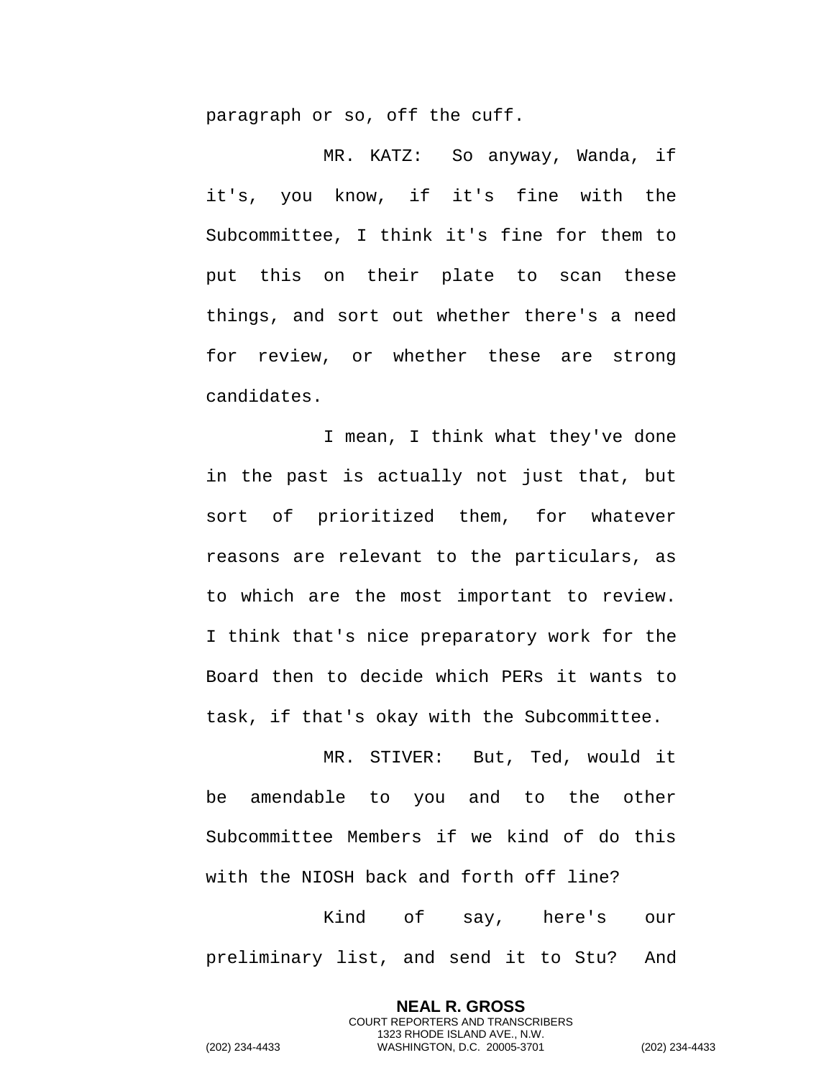paragraph or so, off the cuff.

MR. KATZ: So anyway, Wanda, if it's, you know, if it's fine with the Subcommittee, I think it's fine for them to put this on their plate to scan these things, and sort out whether there's a need for review, or whether these are strong candidates.

I mean, I think what they've done in the past is actually not just that, but sort of prioritized them, for whatever reasons are relevant to the particulars, as to which are the most important to review. I think that's nice preparatory work for the Board then to decide which PERs it wants to task, if that's okay with the Subcommittee.

MR. STIVER: But, Ted, would it be amendable to you and to the other Subcommittee Members if we kind of do this with the NIOSH back and forth off line?

Kind of say, here's our preliminary list, and send it to Stu? And

> **NEAL R. GROSS** COURT REPORTERS AND TRANSCRIBERS 1323 RHODE ISLAND AVE., N.W.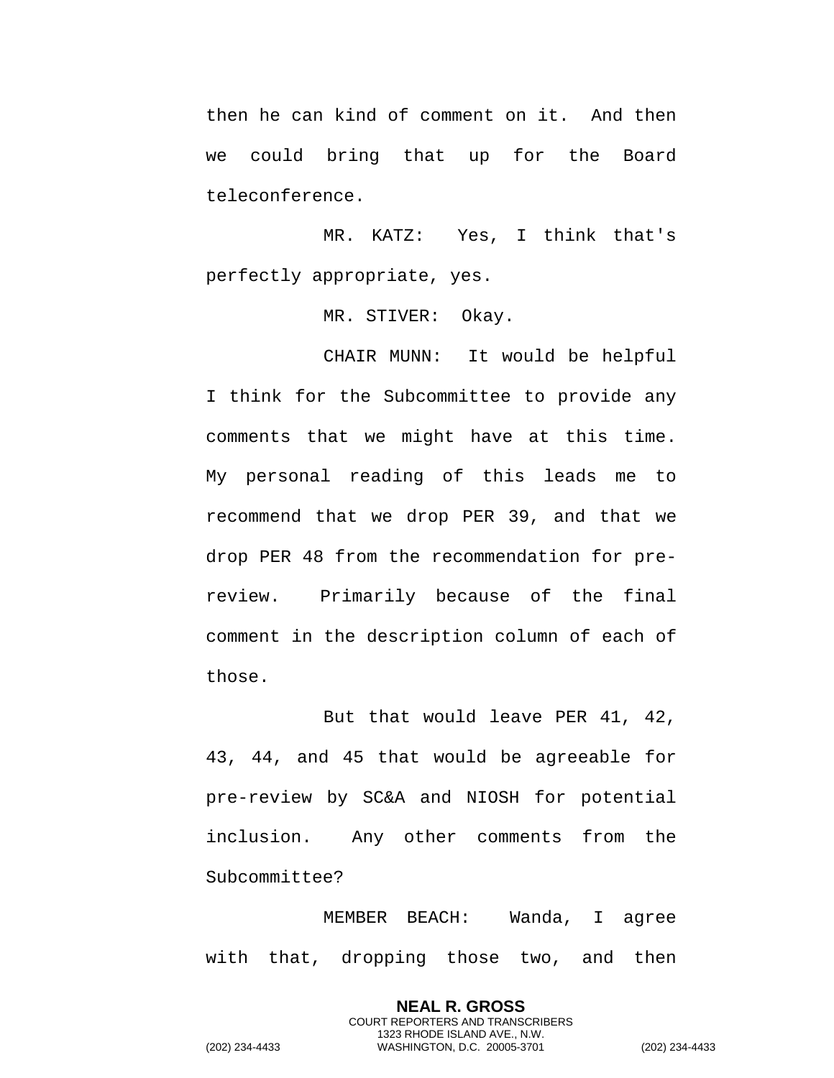then he can kind of comment on it. And then we could bring that up for the Board teleconference.

MR. KATZ: Yes, I think that's perfectly appropriate, yes.

MR. STIVER: Okay.

CHAIR MUNN: It would be helpful I think for the Subcommittee to provide any comments that we might have at this time. My personal reading of this leads me to recommend that we drop PER 39, and that we drop PER 48 from the recommendation for prereview. Primarily because of the final comment in the description column of each of those.

But that would leave PER 41, 42, 43, 44, and 45 that would be agreeable for pre-review by SC&A and NIOSH for potential inclusion. Any other comments from the Subcommittee?

MEMBER BEACH: Wanda, I agree with that, dropping those two, and then

> **NEAL R. GROSS** COURT REPORTERS AND TRANSCRIBERS 1323 RHODE ISLAND AVE., N.W.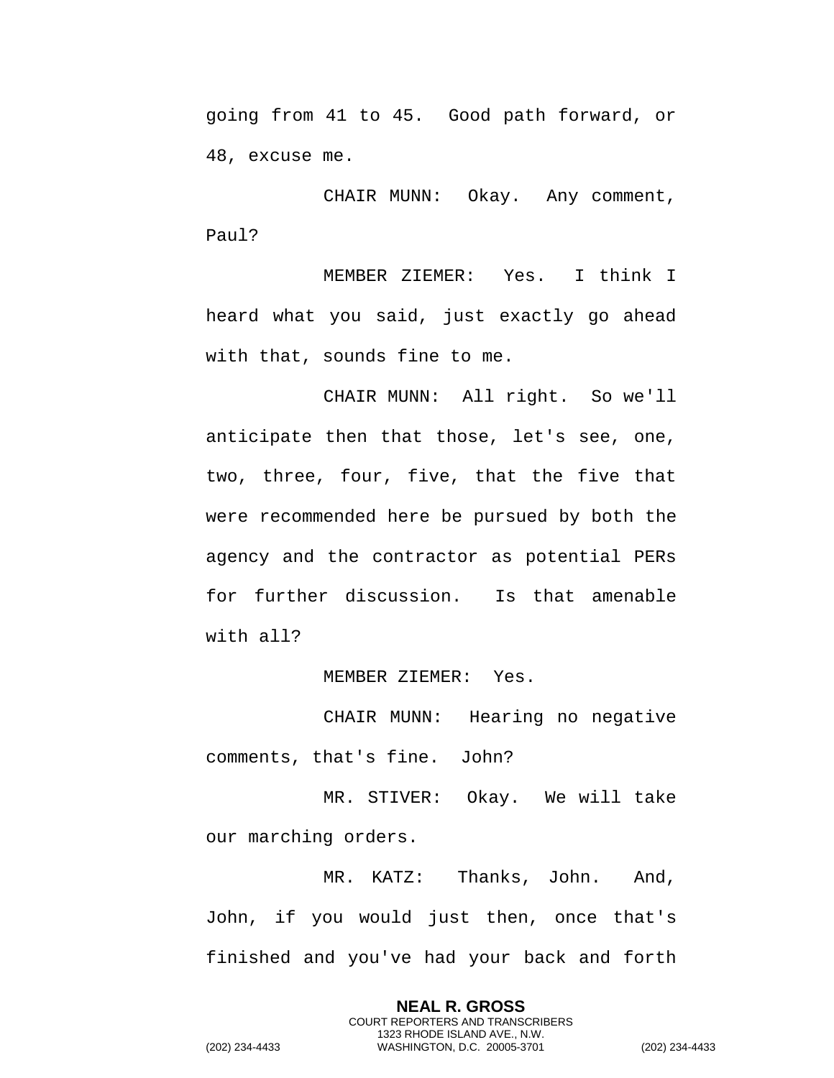going from 41 to 45. Good path forward, or 48, excuse me.

CHAIR MUNN: Okay. Any comment, Paul?

MEMBER ZIEMER: Yes. I think I heard what you said, just exactly go ahead with that, sounds fine to me.

CHAIR MUNN: All right. So we'll anticipate then that those, let's see, one, two, three, four, five, that the five that were recommended here be pursued by both the agency and the contractor as potential PERs for further discussion. Is that amenable with all?

MEMBER ZIEMER: Yes.

CHAIR MUNN: Hearing no negative comments, that's fine. John?

MR. STIVER: Okay. We will take our marching orders.

MR. KATZ: Thanks, John. And, John, if you would just then, once that's finished and you've had your back and forth

> **NEAL R. GROSS** COURT REPORTERS AND TRANSCRIBERS 1323 RHODE ISLAND AVE., N.W.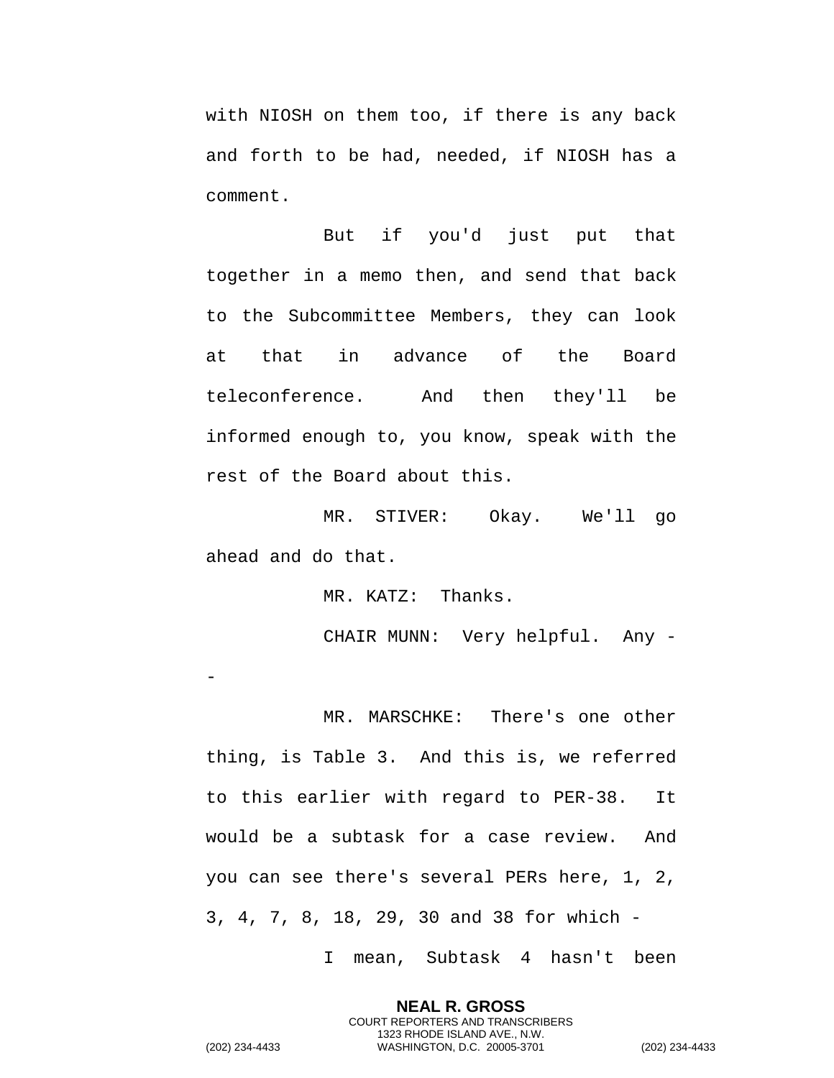with NIOSH on them too, if there is any back and forth to be had, needed, if NIOSH has a comment.

But if you'd just put that together in a memo then, and send that back to the Subcommittee Members, they can look at that in advance of the Board teleconference. And then they'll be informed enough to, you know, speak with the rest of the Board about this.

MR. STIVER: Okay. We'll go ahead and do that.

MR. KATZ: Thanks.

CHAIR MUNN: Very helpful. Any -

MR. MARSCHKE: There's one other thing, is Table 3. And this is, we referred to this earlier with regard to PER-38. It would be a subtask for a case review. And you can see there's several PERs here, 1, 2, 3, 4, 7, 8, 18, 29, 30 and 38 for which -

I mean, Subtask 4 hasn't been

**NEAL R. GROSS** COURT REPORTERS AND TRANSCRIBERS 1323 RHODE ISLAND AVE., N.W.

(202) 234-4433 WASHINGTON, D.C. 20005-3701 (202) 234-4433

-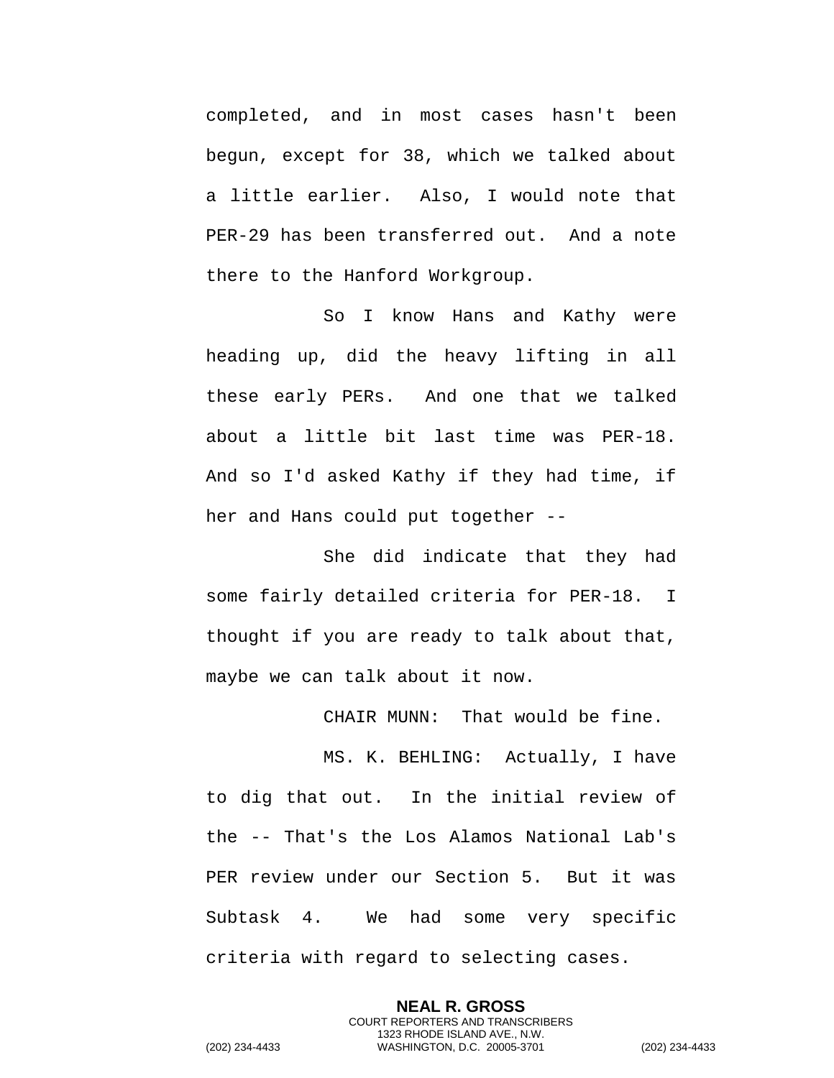completed, and in most cases hasn't been begun, except for 38, which we talked about a little earlier. Also, I would note that PER-29 has been transferred out. And a note there to the Hanford Workgroup.

So I know Hans and Kathy were heading up, did the heavy lifting in all these early PERs. And one that we talked about a little bit last time was PER-18. And so I'd asked Kathy if they had time, if her and Hans could put together --

She did indicate that they had some fairly detailed criteria for PER-18. I thought if you are ready to talk about that, maybe we can talk about it now.

CHAIR MUNN: That would be fine.

MS. K. BEHLING: Actually, I have to dig that out. In the initial review of the -- That's the Los Alamos National Lab's PER review under our Section 5. But it was Subtask 4. We had some very specific criteria with regard to selecting cases.

> **NEAL R. GROSS** COURT REPORTERS AND TRANSCRIBERS 1323 RHODE ISLAND AVE., N.W.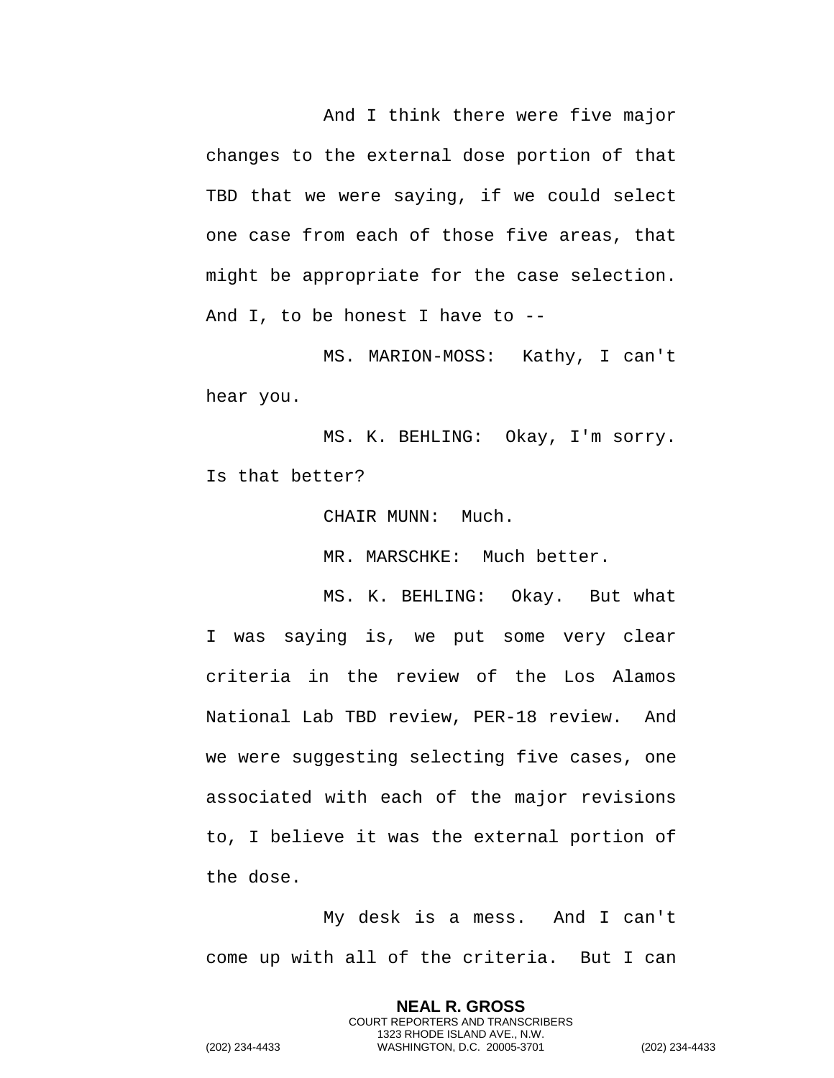And I think there were five major changes to the external dose portion of that TBD that we were saying, if we could select one case from each of those five areas, that might be appropriate for the case selection. And I, to be honest I have to --

MS. MARION-MOSS: Kathy, I can't hear you.

MS. K. BEHLING: Okay, I'm sorry. Is that better?

CHAIR MUNN: Much.

MR. MARSCHKE: Much better.

MS. K. BEHLING: Okay. But what I was saying is, we put some very clear criteria in the review of the Los Alamos National Lab TBD review, PER-18 review. And we were suggesting selecting five cases, one associated with each of the major revisions to, I believe it was the external portion of the dose.

My desk is a mess. And I can't come up with all of the criteria. But I can

> **NEAL R. GROSS** COURT REPORTERS AND TRANSCRIBERS 1323 RHODE ISLAND AVE., N.W.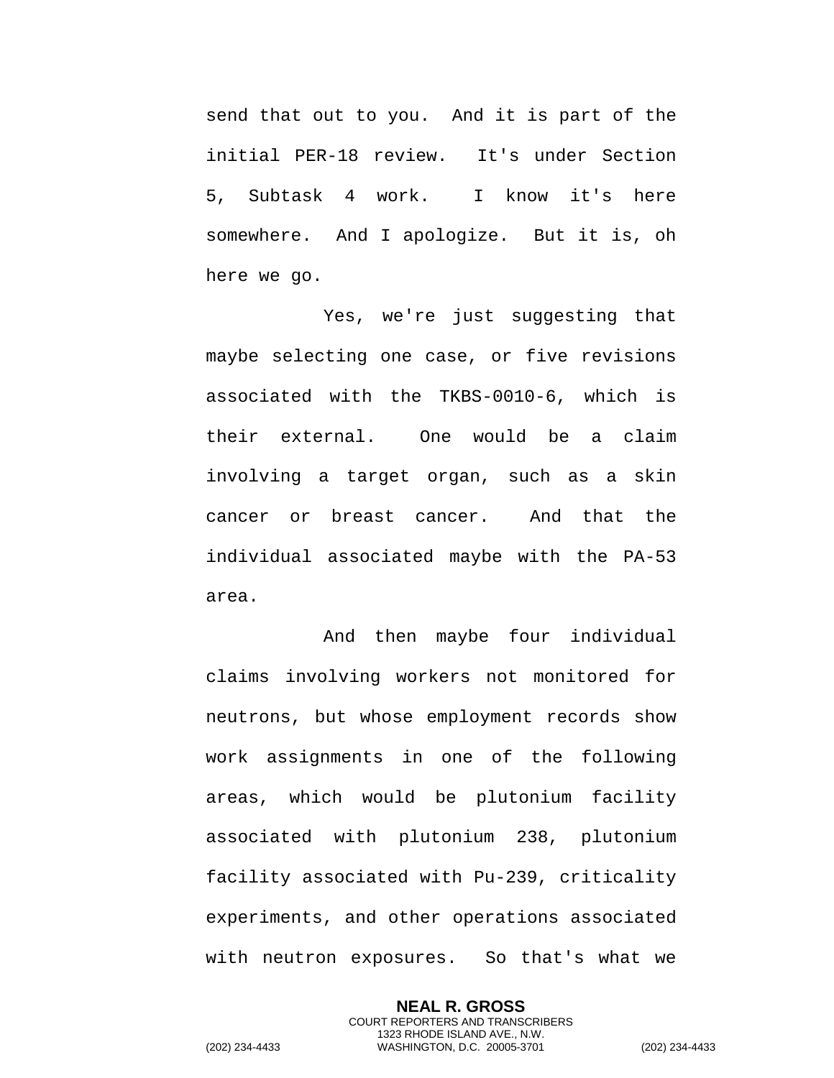send that out to you. And it is part of the initial PER-18 review. It's under Section 5, Subtask 4 work. I know it's here somewhere. And I apologize. But it is, oh here we go.

Yes, we're just suggesting that maybe selecting one case, or five revisions associated with the TKBS-0010-6, which is their external. One would be a claim involving a target organ, such as a skin cancer or breast cancer. And that the individual associated maybe with the PA-53 area.

And then maybe four individual claims involving workers not monitored for neutrons, but whose employment records show work assignments in one of the following areas, which would be plutonium facility associated with plutonium 238, plutonium facility associated with Pu-239, criticality experiments, and other operations associated with neutron exposures. So that's what we

**NEAL R. GROSS** COURT REPORTERS AND TRANSCRIBERS 1323 RHODE ISLAND AVE., N.W. (202) 234-4433 WASHINGTON, D.C. 20005-3701 (202) 234-4433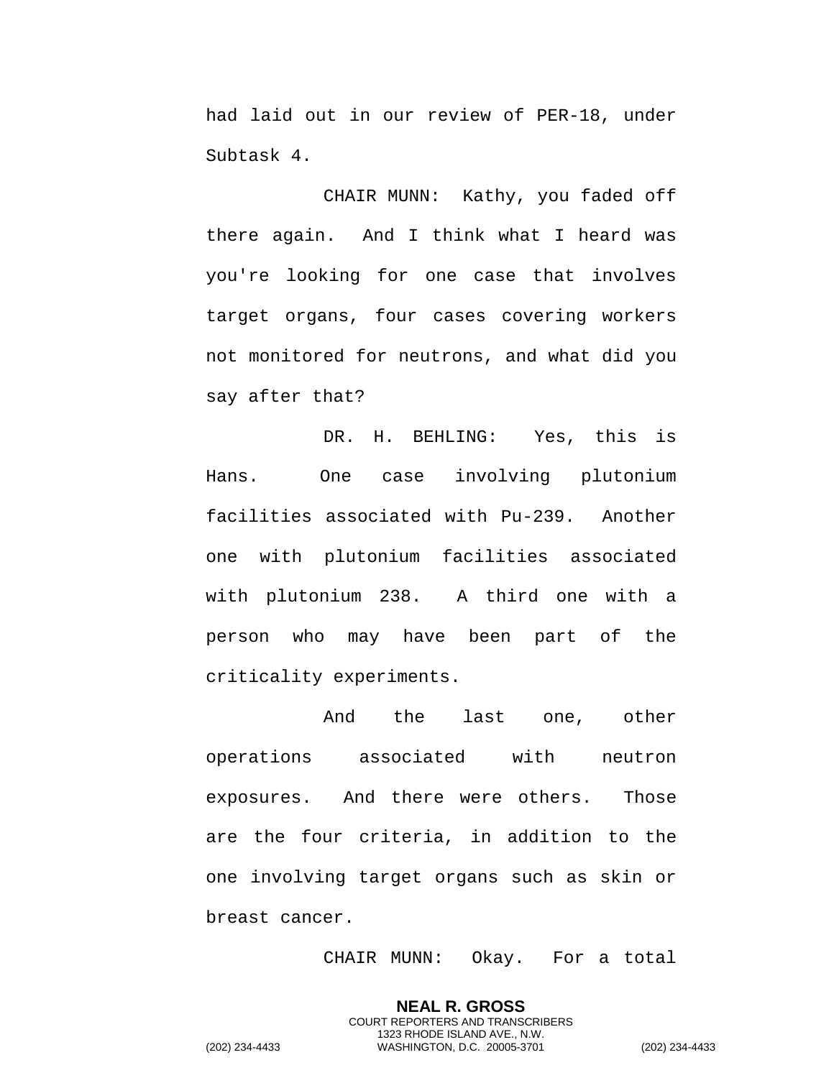had laid out in our review of PER-18, under Subtask 4.

CHAIR MUNN: Kathy, you faded off there again. And I think what I heard was you're looking for one case that involves target organs, four cases covering workers not monitored for neutrons, and what did you say after that?

DR. H. BEHLING: Yes, this is Hans. One case involving plutonium facilities associated with Pu-239. Another one with plutonium facilities associated with plutonium 238. A third one with a person who may have been part of the criticality experiments.

And the last one, other operations associated with neutron exposures. And there were others. Those are the four criteria, in addition to the one involving target organs such as skin or breast cancer.

CHAIR MUNN: Okay. For a total

**NEAL R. GROSS** COURT REPORTERS AND TRANSCRIBERS 1323 RHODE ISLAND AVE., N.W.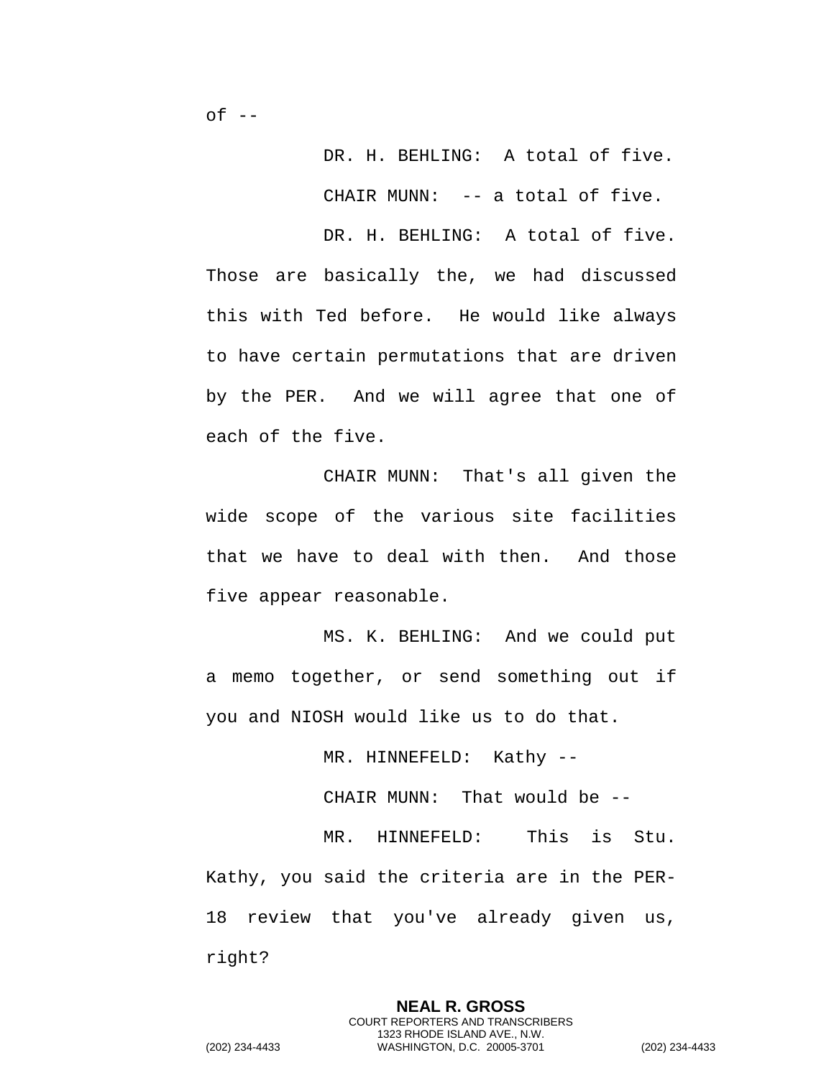DR. H. BEHLING: A total of five.

CHAIR MUNN: -- a total of five.

DR. H. BEHLING: A total of five. Those are basically the, we had discussed this with Ted before. He would like always to have certain permutations that are driven by the PER. And we will agree that one of each of the five.

CHAIR MUNN: That's all given the wide scope of the various site facilities that we have to deal with then. And those five appear reasonable.

MS. K. BEHLING: And we could put a memo together, or send something out if you and NIOSH would like us to do that.

MR. HINNEFELD: Kathy --

CHAIR MUNN: That would be --

MR. HINNEFELD: This is Stu. Kathy, you said the criteria are in the PER-18 review that you've already given us, right?

> **NEAL R. GROSS** COURT REPORTERS AND TRANSCRIBERS 1323 RHODE ISLAND AVE., N.W.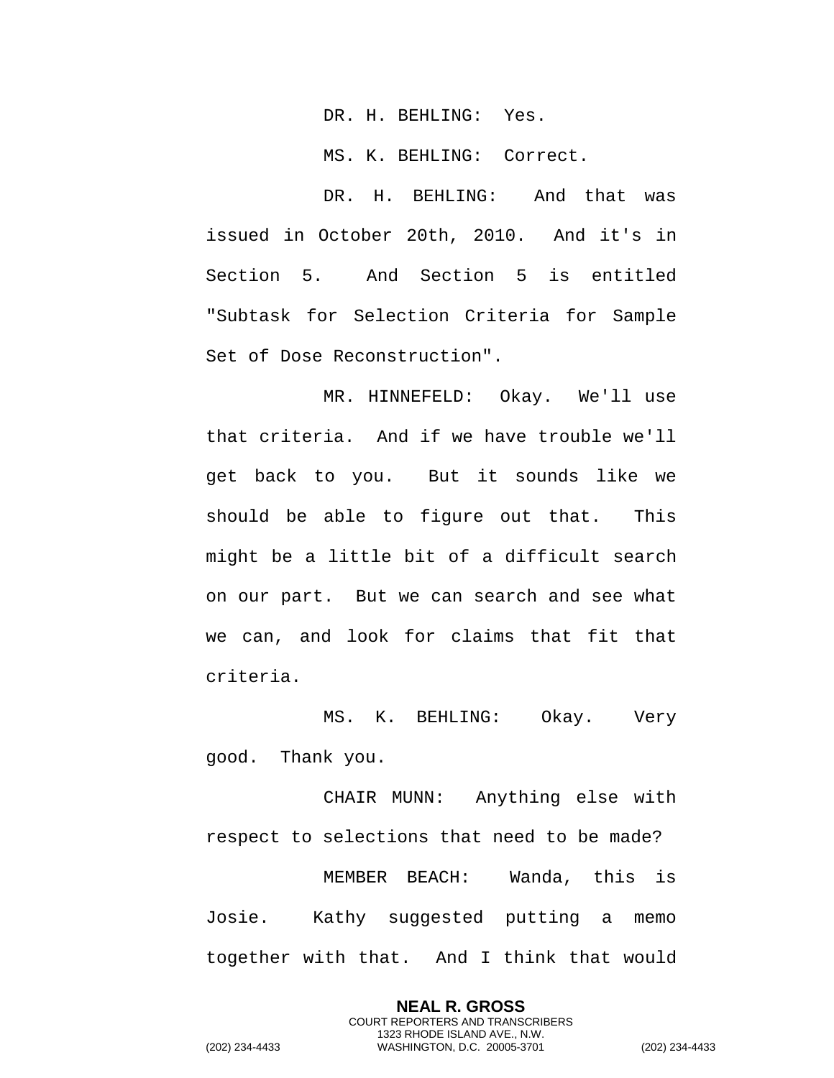DR. H. BEHLING: Yes.

MS. K. BEHLING: Correct.

DR. H. BEHLING: And that was issued in October 20th, 2010. And it's in Section 5. And Section 5 is entitled "Subtask for Selection Criteria for Sample Set of Dose Reconstruction".

MR. HINNEFELD: Okay. We'll use that criteria. And if we have trouble we'll get back to you. But it sounds like we should be able to figure out that. This might be a little bit of a difficult search on our part. But we can search and see what we can, and look for claims that fit that criteria.

MS. K. BEHLING: Okay. Very good. Thank you.

CHAIR MUNN: Anything else with respect to selections that need to be made? MEMBER BEACH: Wanda, this is Josie. Kathy suggested putting a memo together with that. And I think that would

> **NEAL R. GROSS** COURT REPORTERS AND TRANSCRIBERS 1323 RHODE ISLAND AVE., N.W.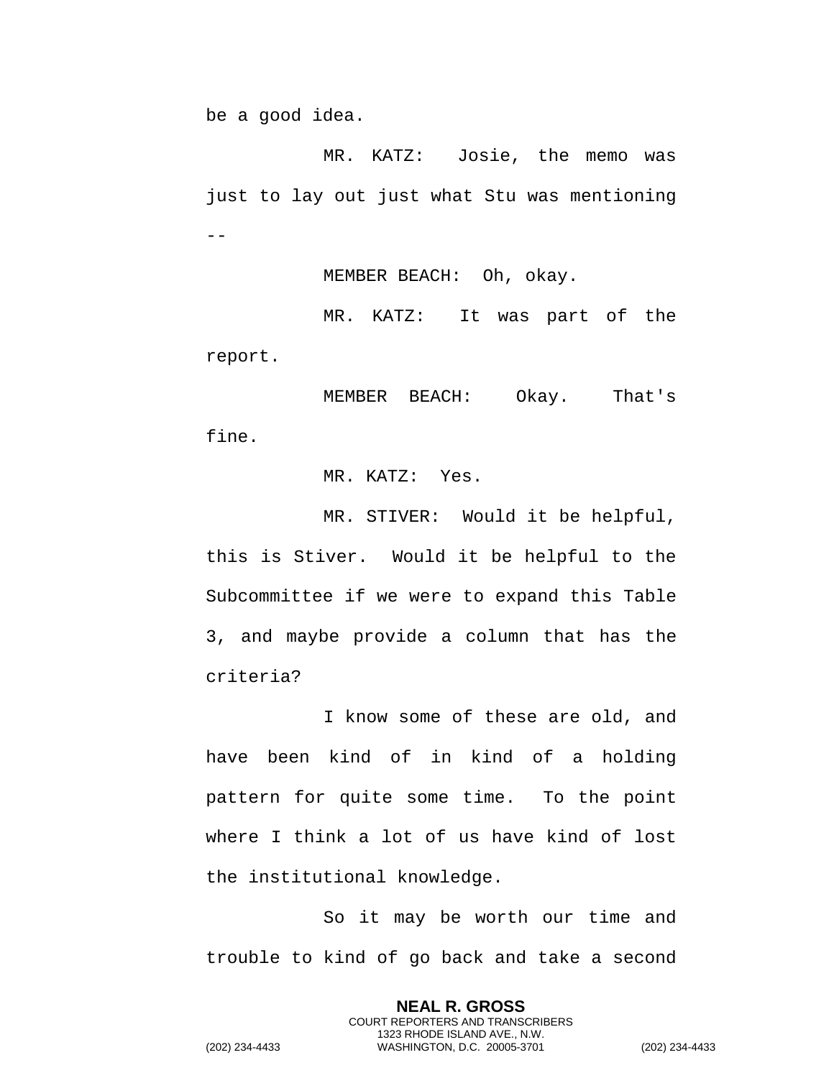be a good idea.

MR. KATZ: Josie, the memo was just to lay out just what Stu was mentioning  $- -$ 

MEMBER BEACH: Oh, okay.

MR. KATZ: It was part of the report.

MEMBER BEACH: Okay. That's fine.

MR. KATZ: Yes.

MR. STIVER: Would it be helpful, this is Stiver. Would it be helpful to the Subcommittee if we were to expand this Table 3, and maybe provide a column that has the criteria?

I know some of these are old, and have been kind of in kind of a holding pattern for quite some time. To the point where I think a lot of us have kind of lost the institutional knowledge.

So it may be worth our time and trouble to kind of go back and take a second

> **NEAL R. GROSS** COURT REPORTERS AND TRANSCRIBERS 1323 RHODE ISLAND AVE., N.W.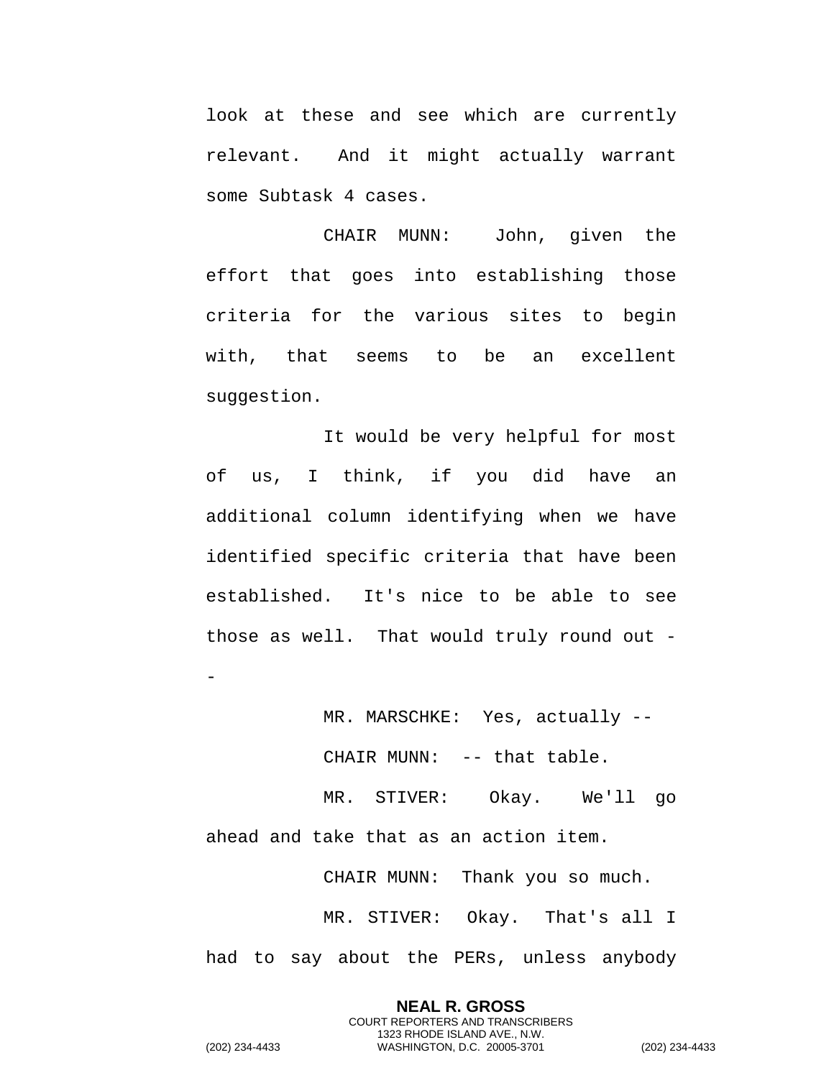look at these and see which are currently relevant. And it might actually warrant some Subtask 4 cases.

CHAIR MUNN: John, given the effort that goes into establishing those criteria for the various sites to begin with, that seems to be an excellent suggestion.

It would be very helpful for most of us, I think, if you did have an additional column identifying when we have identified specific criteria that have been established. It's nice to be able to see those as well. That would truly round out -

MR. MARSCHKE: Yes, actually --

CHAIR MUNN: -- that table.

MR. STIVER: Okay. We'll go ahead and take that as an action item.

CHAIR MUNN: Thank you so much.

MR. STIVER: Okay. That's all I had to say about the PERs, unless anybody

> **NEAL R. GROSS** COURT REPORTERS AND TRANSCRIBERS 1323 RHODE ISLAND AVE., N.W.

(202) 234-4433 WASHINGTON, D.C. 20005-3701 (202) 234-4433

-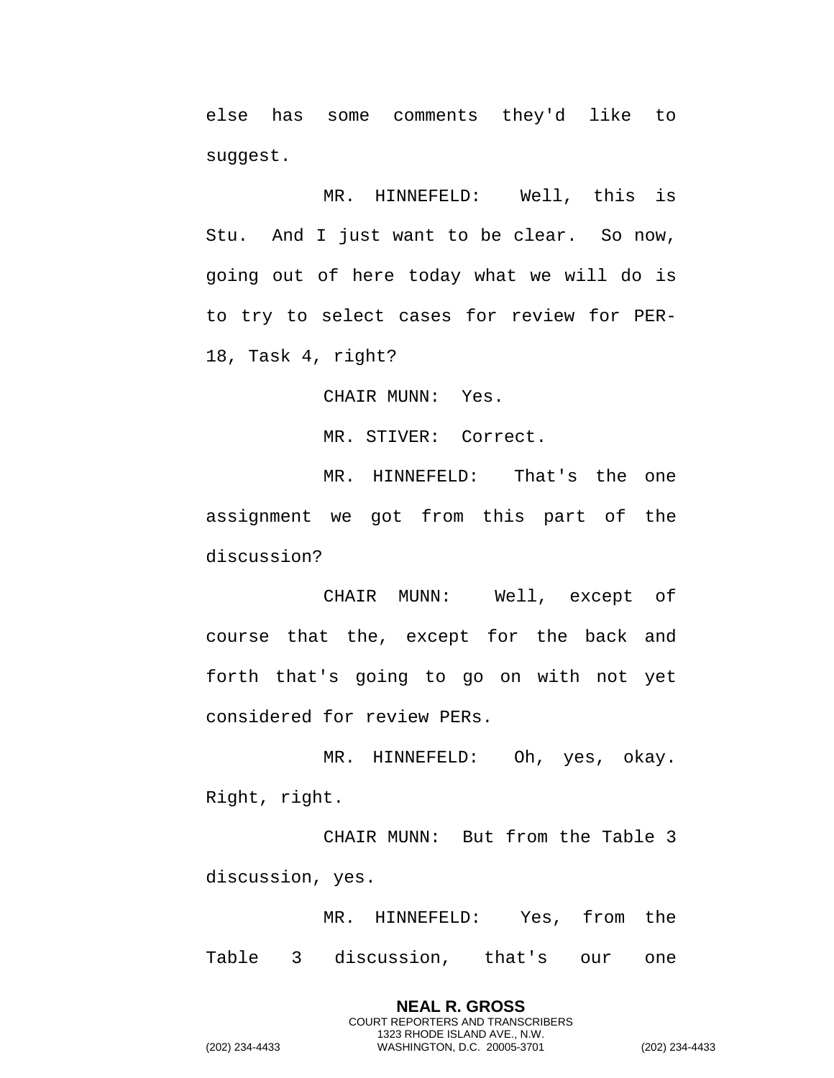else has some comments they'd like to suggest.

MR. HINNEFELD: Well, this is Stu. And I just want to be clear. So now, going out of here today what we will do is to try to select cases for review for PER-18, Task 4, right?

CHAIR MUNN: Yes.

MR. STIVER: Correct.

MR. HINNEFELD: That's the one assignment we got from this part of the discussion?

CHAIR MUNN: Well, except of course that the, except for the back and forth that's going to go on with not yet considered for review PERs.

MR. HINNEFELD: Oh, yes, okay. Right, right.

CHAIR MUNN: But from the Table 3 discussion, yes.

MR. HINNEFELD: Yes, from the Table 3 discussion, that's our one

> **NEAL R. GROSS** COURT REPORTERS AND TRANSCRIBERS 1323 RHODE ISLAND AVE., N.W.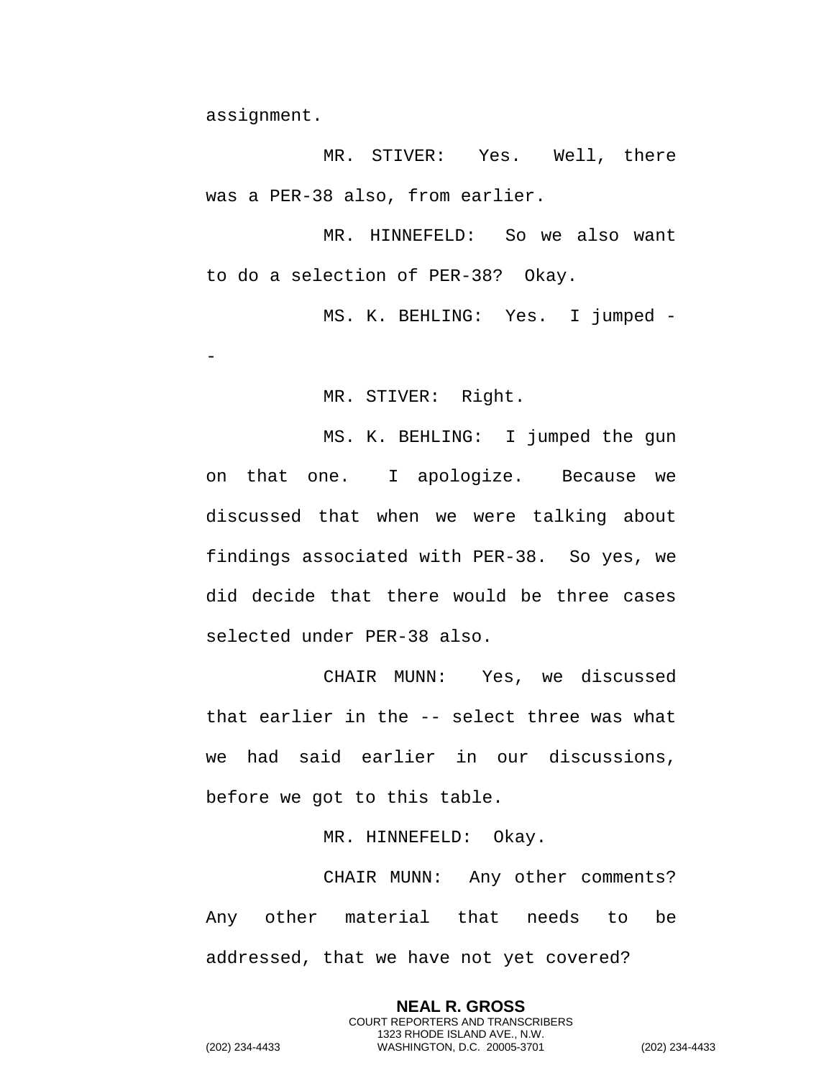assignment.

-

MR. STIVER: Yes. Well, there was a PER-38 also, from earlier.

MR. HINNEFELD: So we also want to do a selection of PER-38? Okay.

MS. K. BEHLING: Yes. I jumped -

MR. STIVER: Right.

MS. K. BEHLING: I jumped the gun on that one. I apologize. Because we discussed that when we were talking about findings associated with PER-38. So yes, we did decide that there would be three cases selected under PER-38 also.

CHAIR MUNN: Yes, we discussed that earlier in the -- select three was what we had said earlier in our discussions, before we got to this table.

MR. HINNEFELD: Okay.

CHAIR MUNN: Any other comments? Any other material that needs to be addressed, that we have not yet covered?

> **NEAL R. GROSS** COURT REPORTERS AND TRANSCRIBERS 1323 RHODE ISLAND AVE., N.W.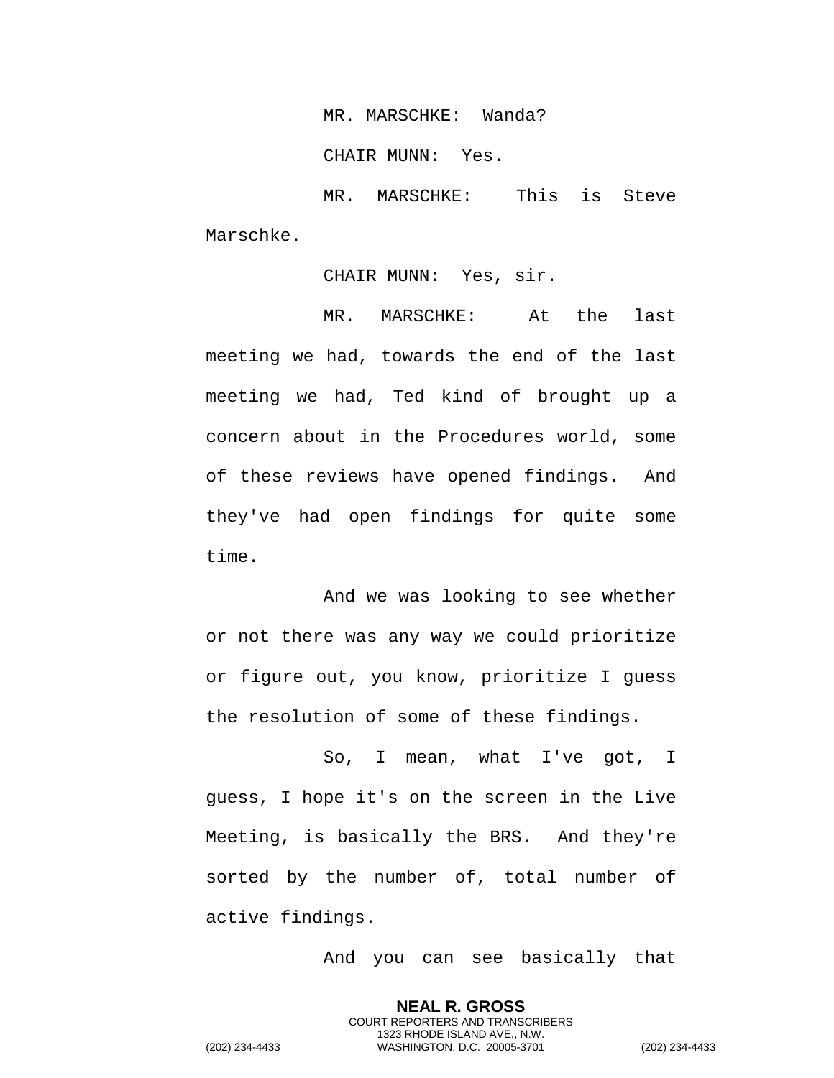MR. MARSCHKE: Wanda?

CHAIR MUNN: Yes.

MR. MARSCHKE: This is Steve Marschke.

CHAIR MUNN: Yes, sir.

MR. MARSCHKE: At the last meeting we had, towards the end of the last meeting we had, Ted kind of brought up a concern about in the Procedures world, some of these reviews have opened findings. And they've had open findings for quite some time.

And we was looking to see whether or not there was any way we could prioritize or figure out, you know, prioritize I guess the resolution of some of these findings.

So, I mean, what I've got, I guess, I hope it's on the screen in the Live Meeting, is basically the BRS. And they're sorted by the number of, total number of active findings.

And you can see basically that

**NEAL R. GROSS** COURT REPORTERS AND TRANSCRIBERS 1323 RHODE ISLAND AVE., N.W.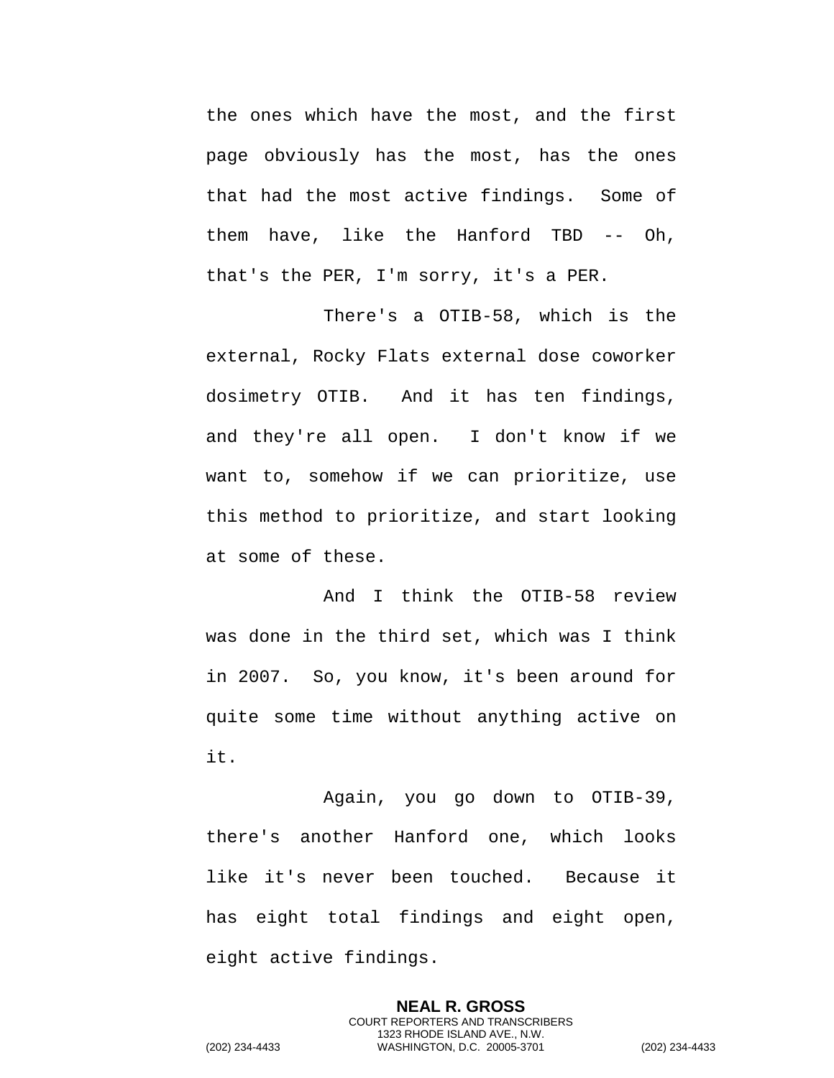the ones which have the most, and the first page obviously has the most, has the ones that had the most active findings. Some of them have, like the Hanford TBD -- Oh, that's the PER, I'm sorry, it's a PER.

There's a OTIB-58, which is the external, Rocky Flats external dose coworker dosimetry OTIB. And it has ten findings, and they're all open. I don't know if we want to, somehow if we can prioritize, use this method to prioritize, and start looking at some of these.

And I think the OTIB-58 review was done in the third set, which was I think in 2007. So, you know, it's been around for quite some time without anything active on it.

Again, you go down to OTIB-39, there's another Hanford one, which looks like it's never been touched. Because it has eight total findings and eight open, eight active findings.

> **NEAL R. GROSS** COURT REPORTERS AND TRANSCRIBERS 1323 RHODE ISLAND AVE., N.W.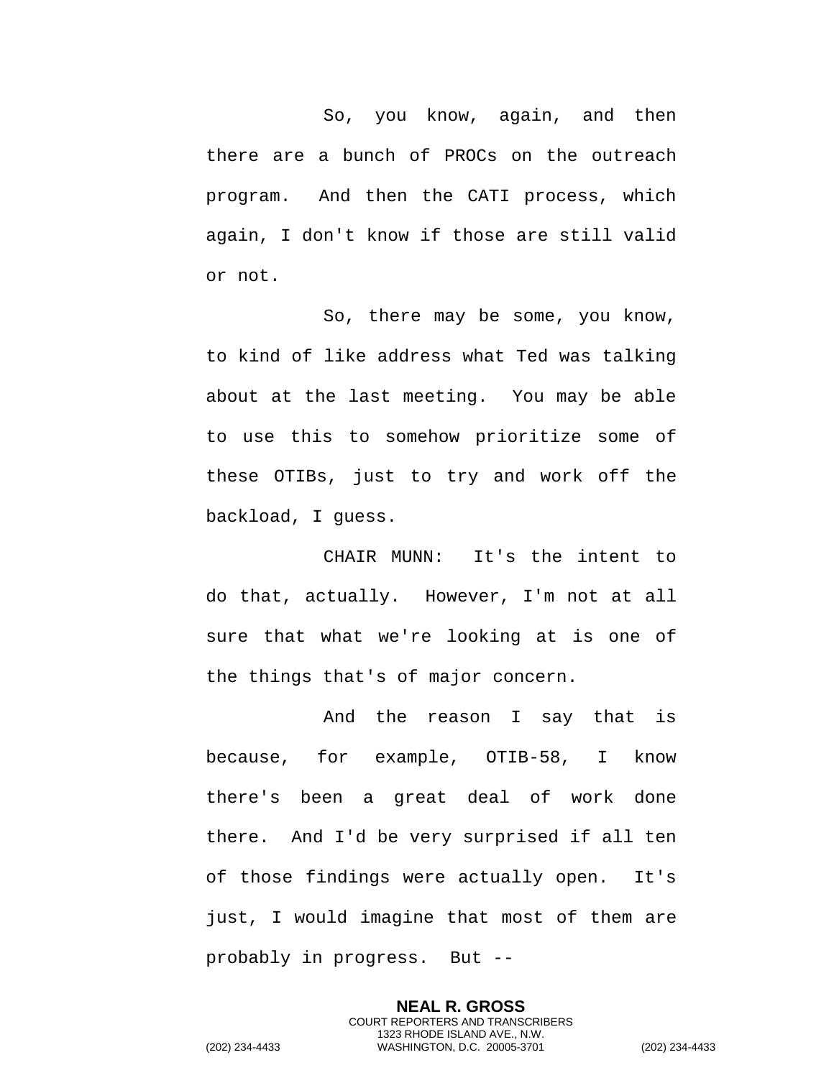So, you know, again, and then there are a bunch of PROCs on the outreach program. And then the CATI process, which again, I don't know if those are still valid or not.

So, there may be some, you know, to kind of like address what Ted was talking about at the last meeting. You may be able to use this to somehow prioritize some of these OTIBs, just to try and work off the backload, I guess.

CHAIR MUNN: It's the intent to do that, actually. However, I'm not at all sure that what we're looking at is one of the things that's of major concern.

And the reason I say that is because, for example, OTIB-58, I know there's been a great deal of work done there. And I'd be very surprised if all ten of those findings were actually open. It's just, I would imagine that most of them are probably in progress. But --

> **NEAL R. GROSS** COURT REPORTERS AND TRANSCRIBERS 1323 RHODE ISLAND AVE., N.W.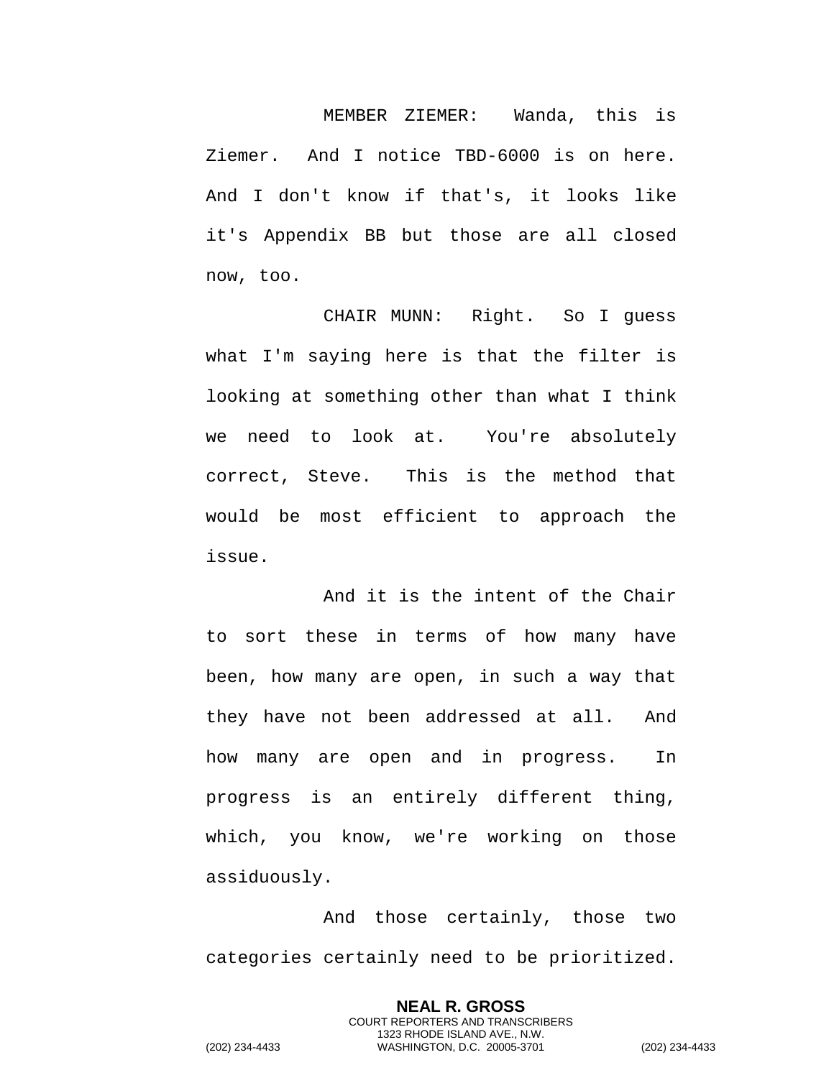MEMBER ZIEMER: Wanda, this is Ziemer. And I notice TBD-6000 is on here. And I don't know if that's, it looks like it's Appendix BB but those are all closed now, too.

CHAIR MUNN: Right. So I guess what I'm saying here is that the filter is looking at something other than what I think we need to look at. You're absolutely correct, Steve. This is the method that would be most efficient to approach the issue.

And it is the intent of the Chair to sort these in terms of how many have been, how many are open, in such a way that they have not been addressed at all. And how many are open and in progress. In progress is an entirely different thing, which, you know, we're working on those assiduously.

And those certainly, those two categories certainly need to be prioritized.

> **NEAL R. GROSS** COURT REPORTERS AND TRANSCRIBERS 1323 RHODE ISLAND AVE., N.W.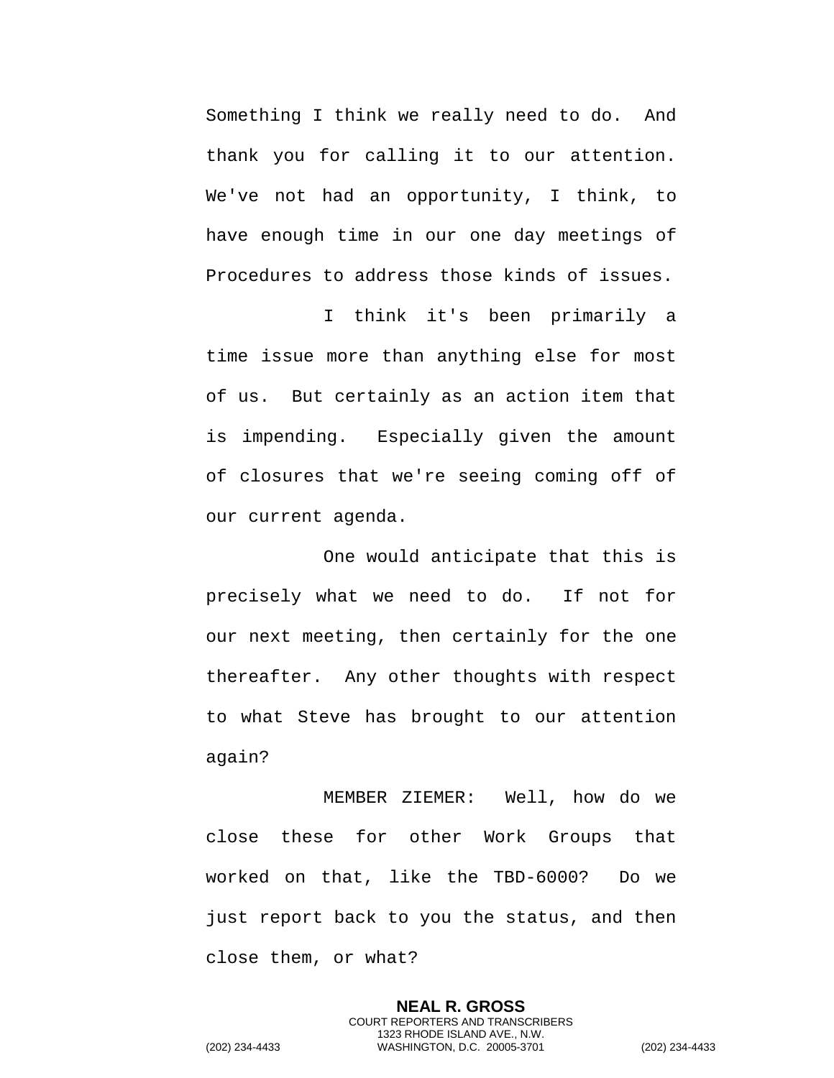Something I think we really need to do. And thank you for calling it to our attention. We've not had an opportunity, I think, to have enough time in our one day meetings of Procedures to address those kinds of issues.

I think it's been primarily a time issue more than anything else for most of us. But certainly as an action item that is impending. Especially given the amount of closures that we're seeing coming off of our current agenda.

One would anticipate that this is precisely what we need to do. If not for our next meeting, then certainly for the one thereafter. Any other thoughts with respect to what Steve has brought to our attention again?

MEMBER ZIEMER: Well, how do we close these for other Work Groups that worked on that, like the TBD-6000? Do we just report back to you the status, and then close them, or what?

> **NEAL R. GROSS** COURT REPORTERS AND TRANSCRIBERS 1323 RHODE ISLAND AVE., N.W.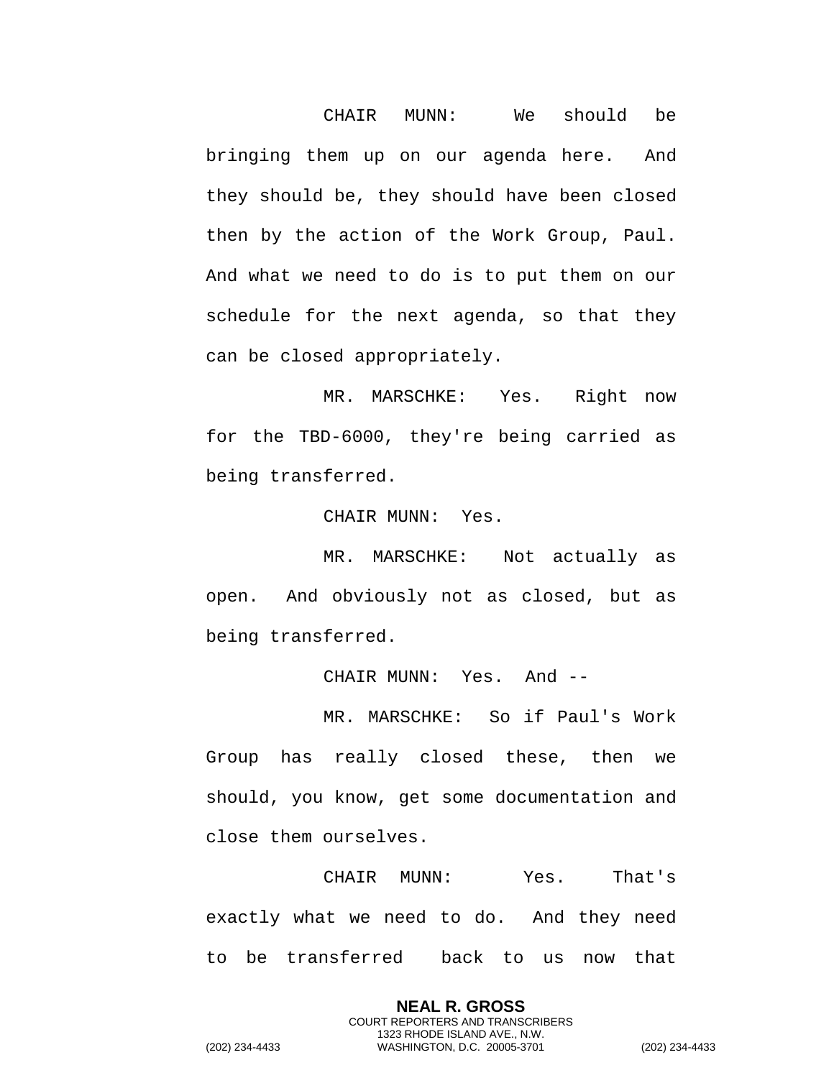CHAIR MUNN: We should be bringing them up on our agenda here. And they should be, they should have been closed then by the action of the Work Group, Paul. And what we need to do is to put them on our schedule for the next agenda, so that they can be closed appropriately.

MR. MARSCHKE: Yes. Right now for the TBD-6000, they're being carried as being transferred.

CHAIR MUNN: Yes.

MR. MARSCHKE: Not actually as open. And obviously not as closed, but as being transferred.

CHAIR MUNN: Yes. And --

MR. MARSCHKE: So if Paul's Work Group has really closed these, then we should, you know, get some documentation and close them ourselves.

CHAIR MUNN: Yes. That's exactly what we need to do. And they need to be transferred back to us now that

> **NEAL R. GROSS** COURT REPORTERS AND TRANSCRIBERS 1323 RHODE ISLAND AVE., N.W.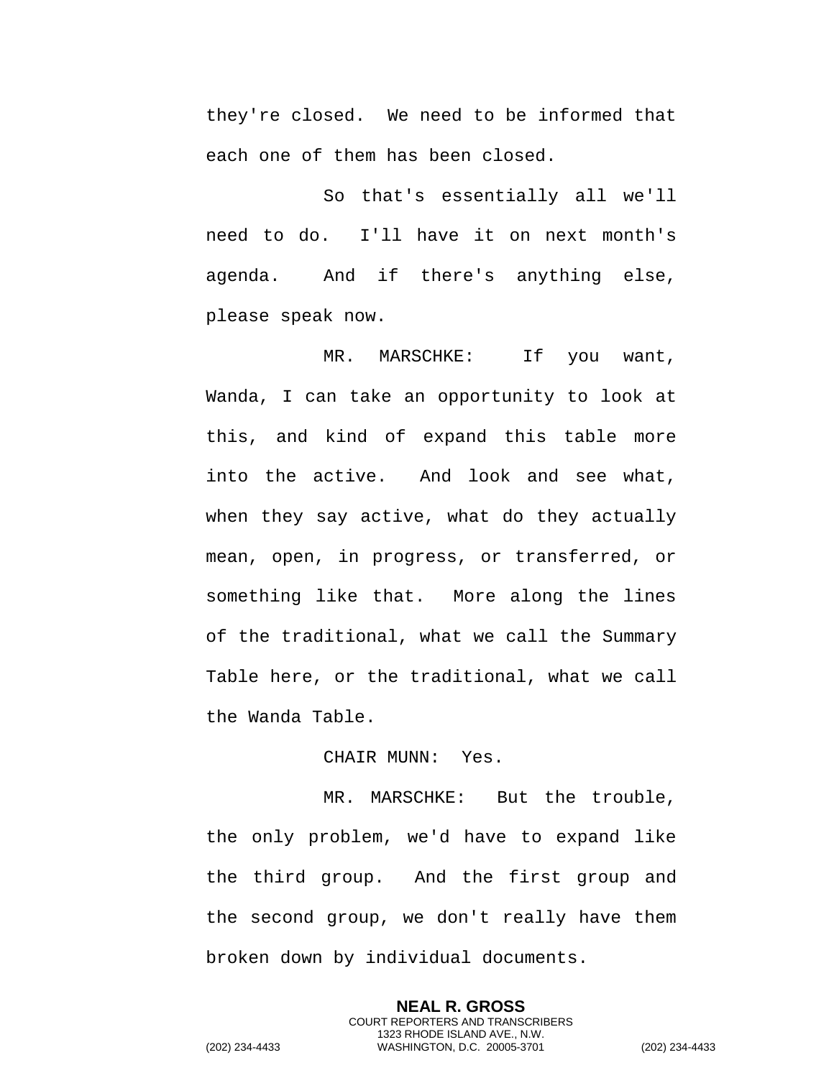they're closed. We need to be informed that each one of them has been closed.

So that's essentially all we'll need to do. I'll have it on next month's agenda. And if there's anything else, please speak now.

MR. MARSCHKE: If you want, Wanda, I can take an opportunity to look at this, and kind of expand this table more into the active. And look and see what, when they say active, what do they actually mean, open, in progress, or transferred, or something like that. More along the lines of the traditional, what we call the Summary Table here, or the traditional, what we call the Wanda Table.

## CHAIR MUNN: Yes.

MR. MARSCHKE: But the trouble, the only problem, we'd have to expand like the third group. And the first group and the second group, we don't really have them broken down by individual documents.

> **NEAL R. GROSS** COURT REPORTERS AND TRANSCRIBERS 1323 RHODE ISLAND AVE., N.W.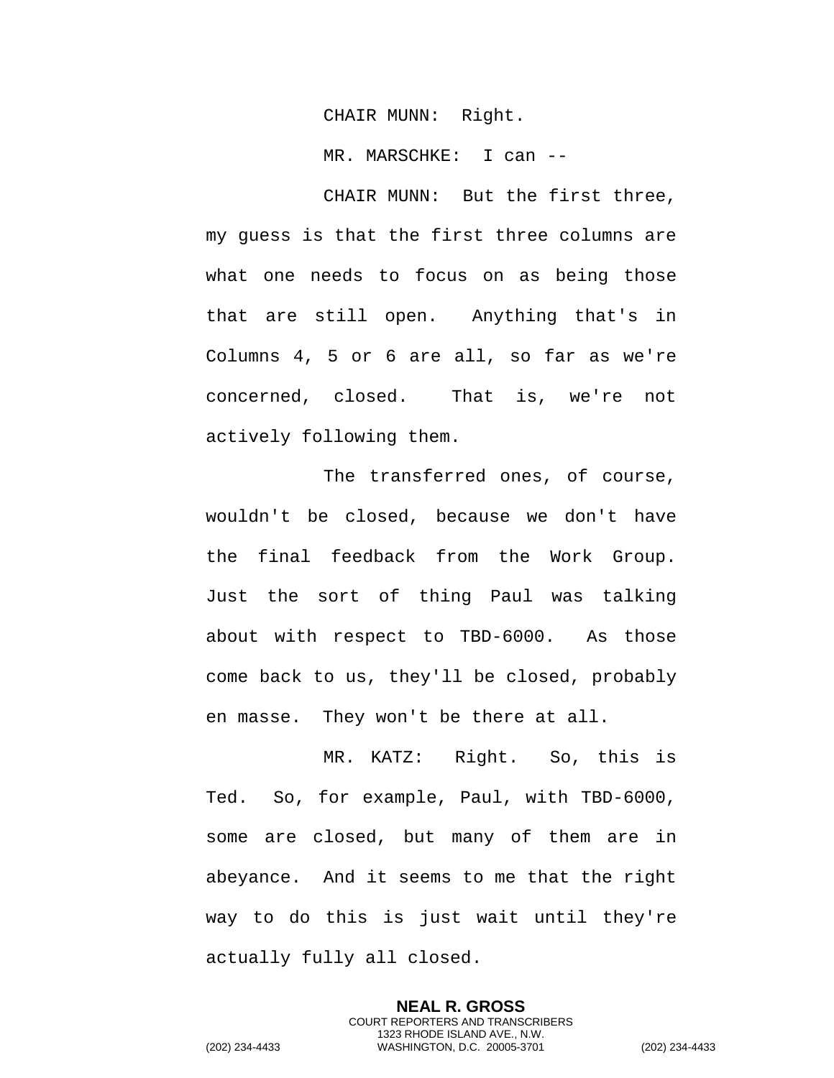CHAIR MUNN: Right.

MR. MARSCHKE: I can --

CHAIR MUNN: But the first three, my guess is that the first three columns are what one needs to focus on as being those that are still open. Anything that's in Columns 4, 5 or 6 are all, so far as we're concerned, closed. That is, we're not actively following them.

The transferred ones, of course, wouldn't be closed, because we don't have the final feedback from the Work Group. Just the sort of thing Paul was talking about with respect to TBD-6000. As those come back to us, they'll be closed, probably en masse. They won't be there at all.

MR. KATZ: Right. So, this is Ted. So, for example, Paul, with TBD-6000, some are closed, but many of them are in abeyance. And it seems to me that the right way to do this is just wait until they're actually fully all closed.

> **NEAL R. GROSS** COURT REPORTERS AND TRANSCRIBERS 1323 RHODE ISLAND AVE., N.W.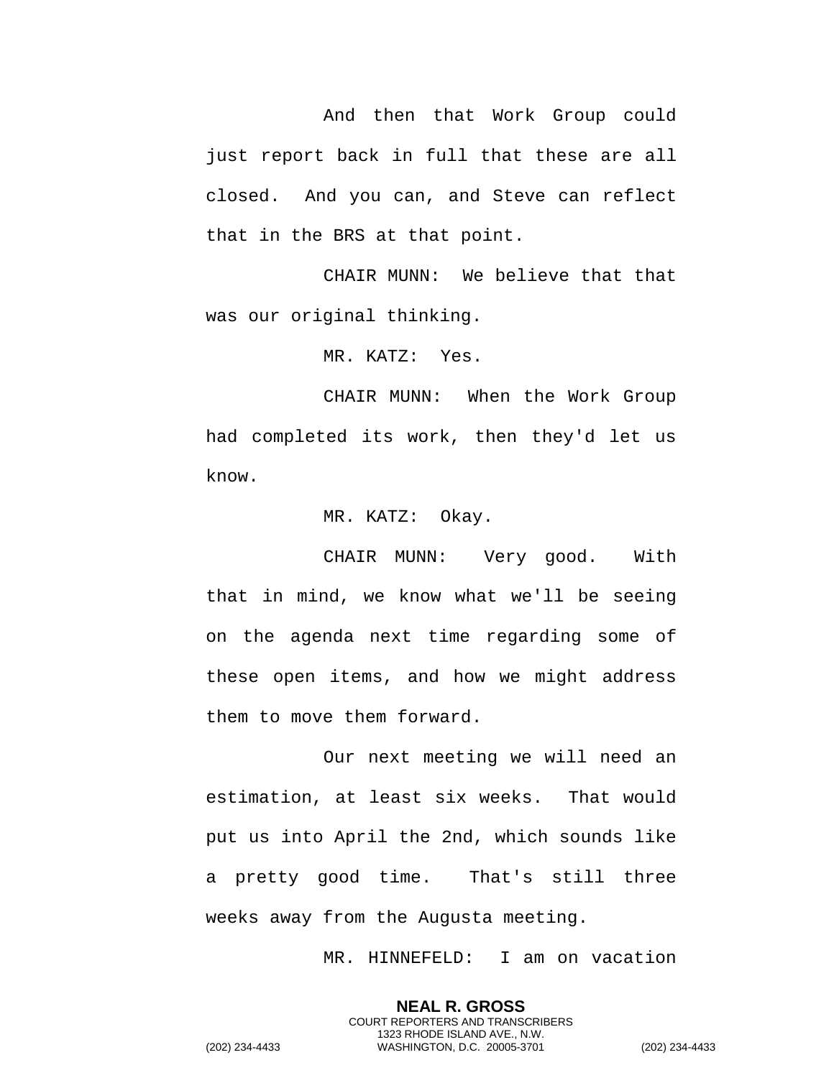And then that Work Group could just report back in full that these are all closed. And you can, and Steve can reflect that in the BRS at that point.

CHAIR MUNN: We believe that that was our original thinking.

MR. KATZ: Yes.

CHAIR MUNN: When the Work Group had completed its work, then they'd let us know.

MR. KATZ: Okay.

CHAIR MUNN: Very good. With that in mind, we know what we'll be seeing on the agenda next time regarding some of these open items, and how we might address them to move them forward.

Our next meeting we will need an estimation, at least six weeks. That would put us into April the 2nd, which sounds like a pretty good time. That's still three weeks away from the Augusta meeting.

MR. HINNEFELD: I am on vacation

**NEAL R. GROSS** COURT REPORTERS AND TRANSCRIBERS 1323 RHODE ISLAND AVE., N.W.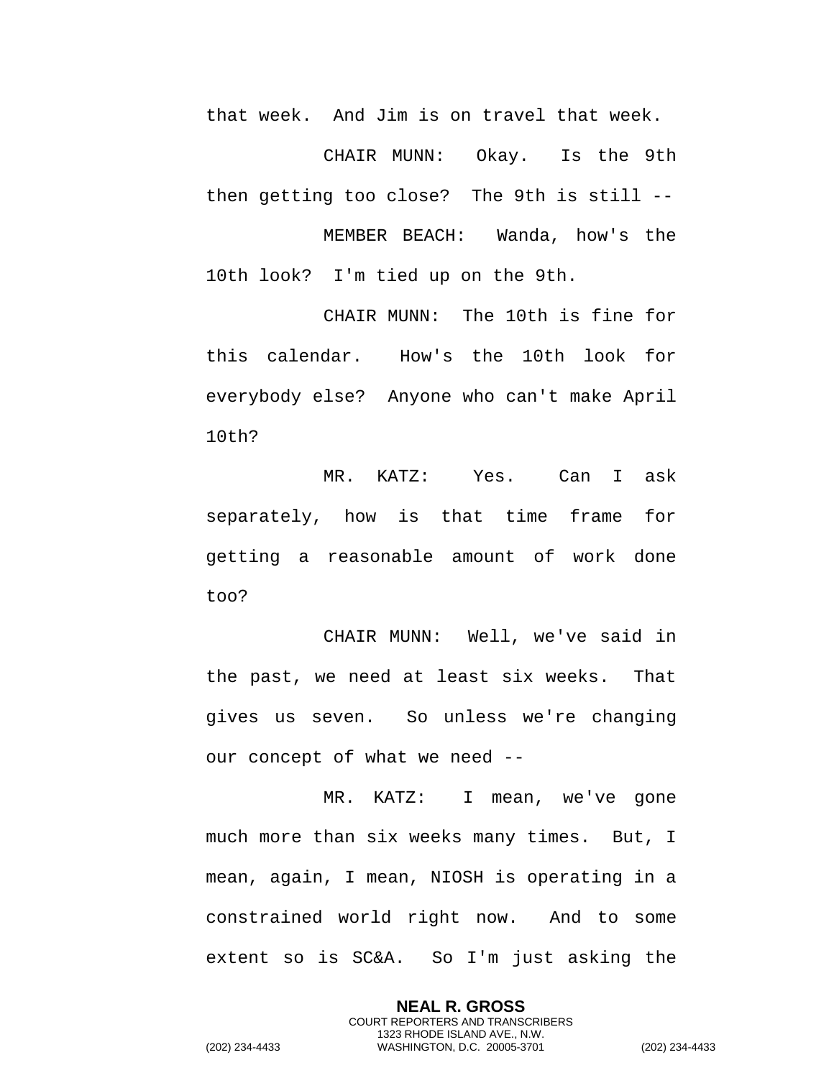that week. And Jim is on travel that week.

CHAIR MUNN: Okay. Is the 9th then getting too close? The 9th is still -- MEMBER BEACH: Wanda, how's the 10th look? I'm tied up on the 9th.

CHAIR MUNN: The 10th is fine for this calendar. How's the 10th look for everybody else? Anyone who can't make April 10th?

MR. KATZ: Yes. Can I ask separately, how is that time frame for getting a reasonable amount of work done too?

CHAIR MUNN: Well, we've said in the past, we need at least six weeks. That gives us seven. So unless we're changing our concept of what we need --

MR. KATZ: I mean, we've gone much more than six weeks many times. But, I mean, again, I mean, NIOSH is operating in a constrained world right now. And to some extent so is SC&A. So I'm just asking the

> **NEAL R. GROSS** COURT REPORTERS AND TRANSCRIBERS 1323 RHODE ISLAND AVE., N.W.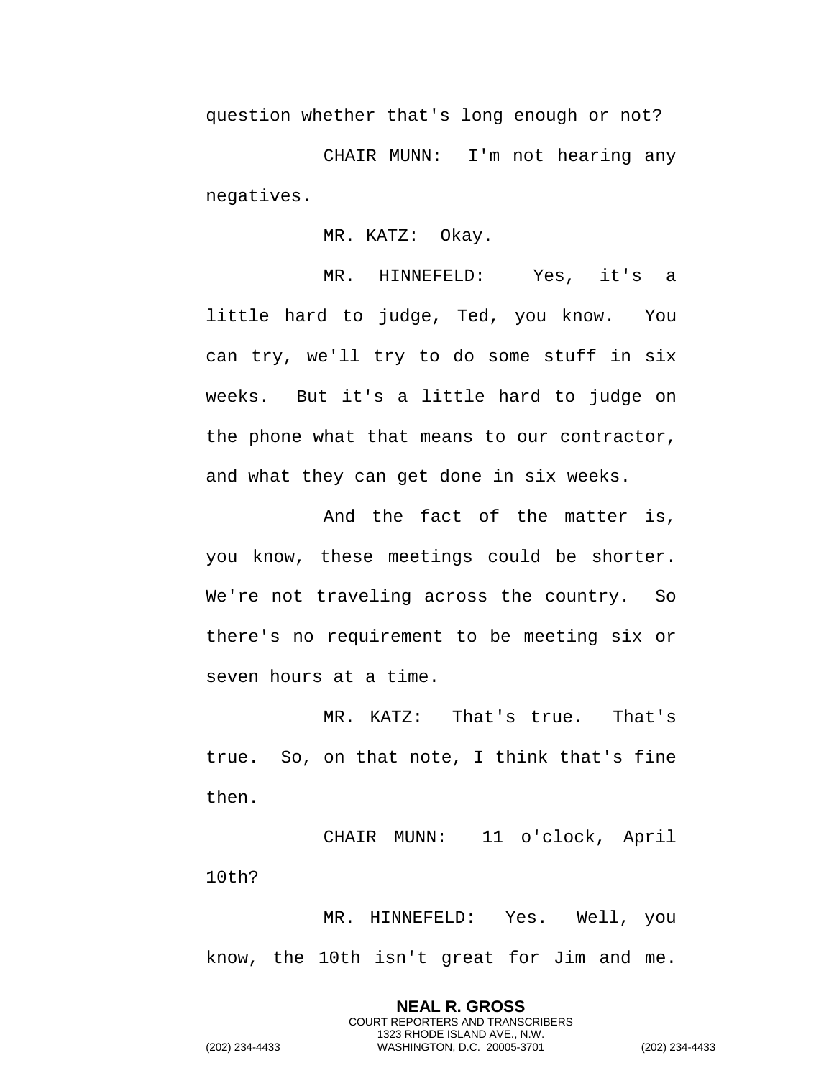question whether that's long enough or not?

CHAIR MUNN: I'm not hearing any negatives.

MR. KATZ: Okay.

MR. HINNEFELD: Yes, it's a little hard to judge, Ted, you know. You can try, we'll try to do some stuff in six weeks. But it's a little hard to judge on the phone what that means to our contractor, and what they can get done in six weeks.

And the fact of the matter is, you know, these meetings could be shorter. We're not traveling across the country. So there's no requirement to be meeting six or seven hours at a time.

MR. KATZ: That's true. That's true. So, on that note, I think that's fine then.

CHAIR MUNN: 11 o'clock, April 10th?

MR. HINNEFELD: Yes. Well, you know, the 10th isn't great for Jim and me.

> **NEAL R. GROSS** COURT REPORTERS AND TRANSCRIBERS 1323 RHODE ISLAND AVE., N.W.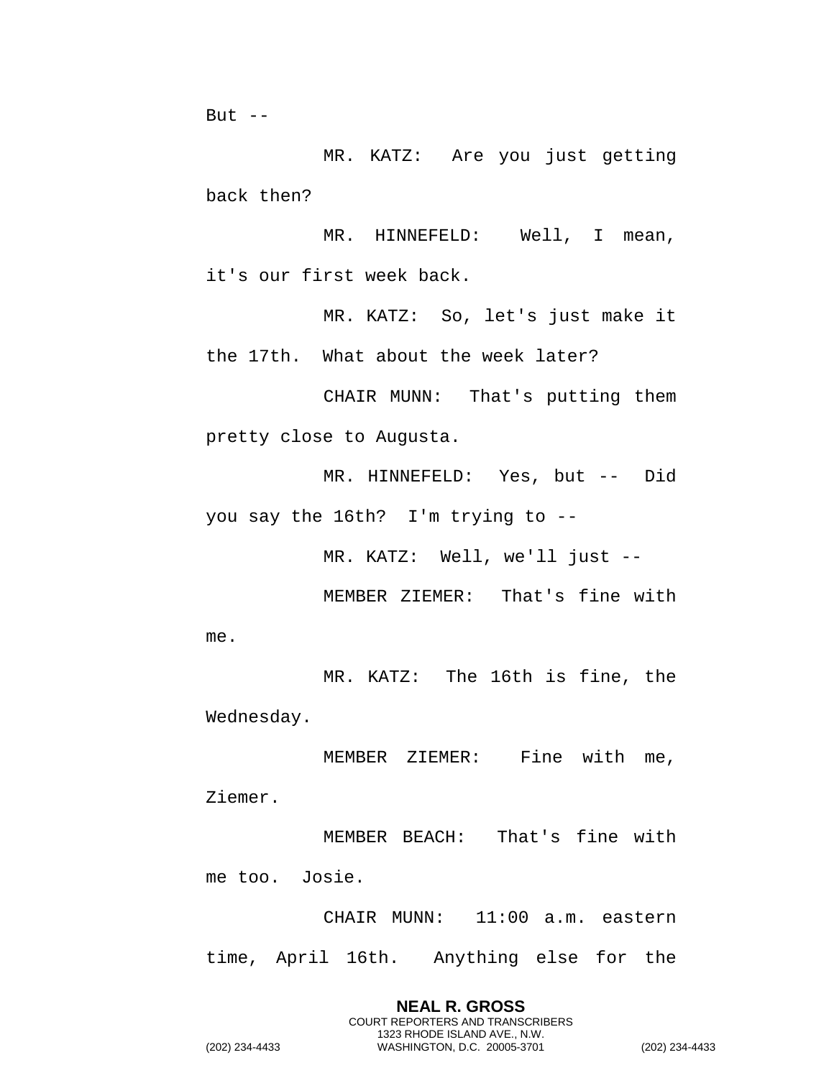But  $--$ 

MR. KATZ: Are you just getting back then?

MR. HINNEFELD: Well, I mean, it's our first week back.

MR. KATZ: So, let's just make it the 17th. What about the week later?

CHAIR MUNN: That's putting them pretty close to Augusta.

MR. HINNEFELD: Yes, but -- Did you say the 16th? I'm trying to --

MR. KATZ: Well, we'll just --

MEMBER ZIEMER: That's fine with me.

MR. KATZ: The 16th is fine, the Wednesday.

MEMBER ZIEMER: Fine with me, Ziemer.

MEMBER BEACH: That's fine with me too. Josie.

CHAIR MUNN: 11:00 a.m. eastern time, April 16th. Anything else for the

> **NEAL R. GROSS** COURT REPORTERS AND TRANSCRIBERS 1323 RHODE ISLAND AVE., N.W.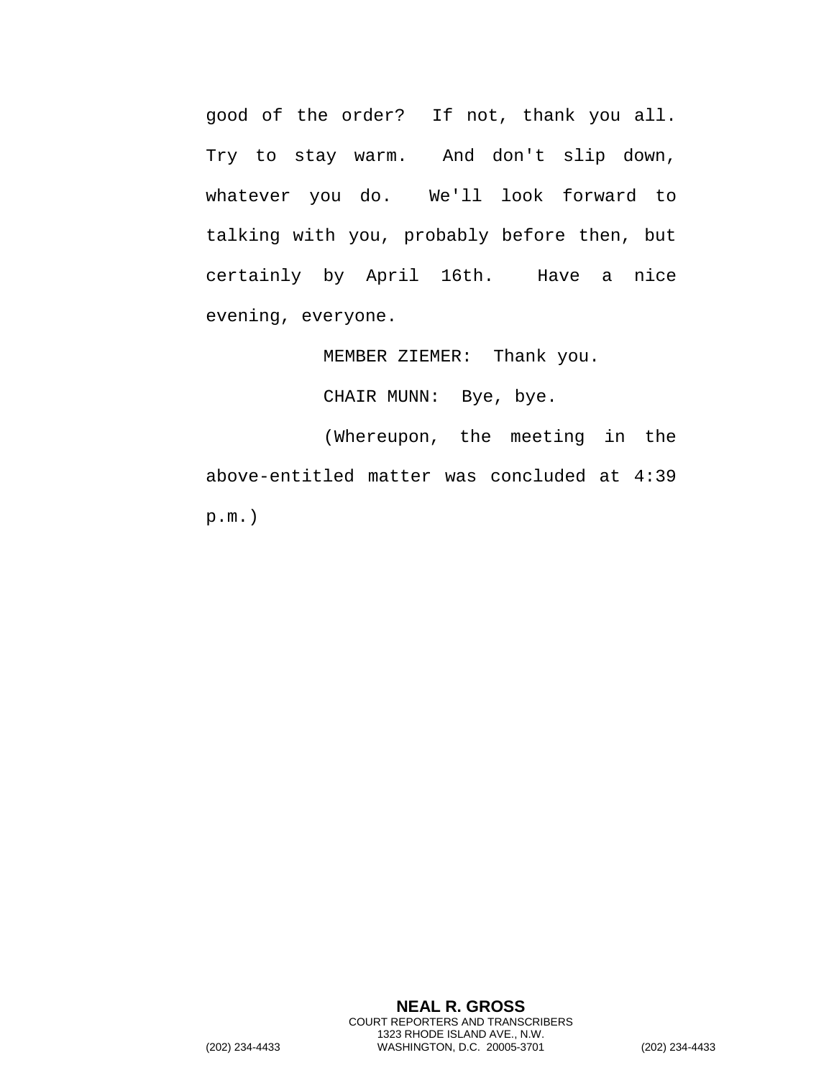good of the order? If not, thank you all. Try to stay warm. And don't slip down, whatever you do. We'll look forward to talking with you, probably before then, but certainly by April 16th. Have a nice evening, everyone.

MEMBER ZIEMER: Thank you.

CHAIR MUNN: Bye, bye.

(Whereupon, the meeting in the above-entitled matter was concluded at 4:39 p.m.)